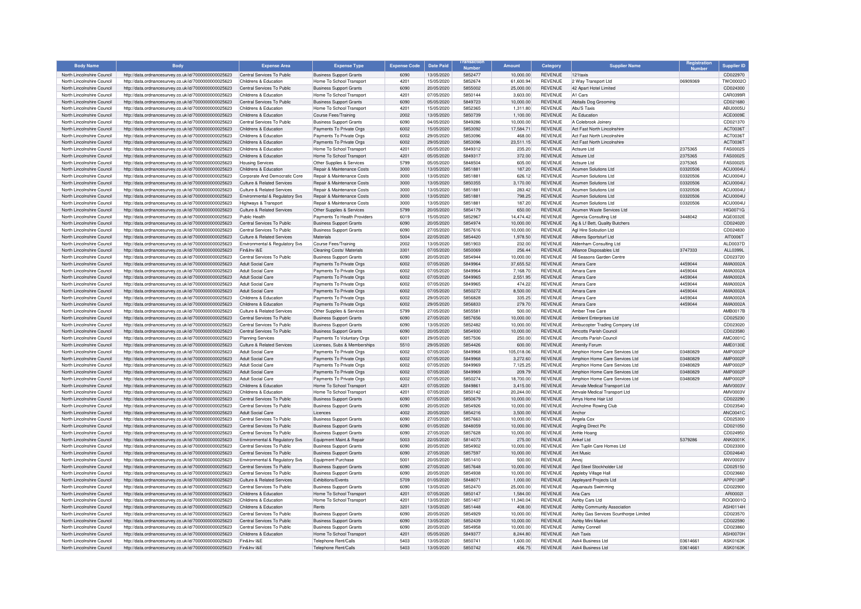| <b>Body Name</b>                                         | <b>Body</b>                                                                                                  | <b>Expense Area</b>                             | <b>Expense Type</b>                                  | <b>Expense Code</b> | <b>Date Paid</b>         | <b>Number</b>      | <b>Amount</b>         | Category                         | <b>Supplier Name</b>                                       |          | <b>Supplier ID</b>          |
|----------------------------------------------------------|--------------------------------------------------------------------------------------------------------------|-------------------------------------------------|------------------------------------------------------|---------------------|--------------------------|--------------------|-----------------------|----------------------------------|------------------------------------------------------------|----------|-----------------------------|
| North Lincolnshire Council                               | http://data.ordnancesurvey.co.uk/id/7000000000025623                                                         | Central Services To Public                      | <b>Business Support Grants</b>                       | 6090                | 13/05/2020               | 5852477            | 10,000.00             | <b>REVENUE</b>                   | 121taxis                                                   |          | CD022970                    |
| North Lincolnshire Council                               | http://data.ordnancesurvey.co.uk/id/7000000000025623                                                         | Childrens & Education                           | Home To School Transport                             | 4201                | 15/05/2020               | 5852674            | 61.600.94             | <b>REVENUE</b>                   | 2 Way Transport Ltd.                                       | 06909369 | TWO0002C                    |
| North Lincolnshire Council                               | http://data.ordnancesurvey.co.uk/id/7000000000025623                                                         | Central Services To Public                      | <b>Business Support Grants</b>                       | 6090                | 20/05/2020               | 5855002            | 25,000.00             | <b>REVENUE</b>                   | 42 Apart Hotel Limited                                     |          | CD024300                    |
| North Lincolnshire Council                               | http://data.ordnancesurvey.co.uk/id/7000000000025623                                                         | Childrens & Education                           | Home To School Transport                             | 4201                | 07/05/2020               | 5850144            | 3.603.00              | <b>REVENUE</b>                   | A1 Cars                                                    |          | CAR0399F                    |
| North Lincolnshire Council                               | http://data.ordnancesurvey.co.uk/id/7000000000025623                                                         | Central Services To Public                      | <b>Business Support Grants</b>                       | 6090                | 05/05/2020               | 5849723            | 10,000.00             | <b>REVENUE</b>                   | Abitails Dog Grooming                                      |          | CD021680                    |
| North Lincolnshire Council                               | http://data.ordnancesurvey.co.uk/id/7000000000025623                                                         | Childrens & Education                           | Home To School Transport                             | 4201                | 15/05/2020               | 5852365            | 1,311.80              | <b>REVENUE</b>                   | Abu'S Taxis                                                |          | <b>ABU0005L</b>             |
| North Lincolnshire Council                               | http://data.ordnancesurvey.co.uk/id/7000000000025623                                                         | Childrens & Education                           | Course Fees/Training                                 | 2002                | 13/05/2020               | 5850739            | 1,100.00              | <b>REVENUE</b>                   | Ac Education                                               |          | ACE0009E                    |
| North Lincolnshire Council                               | http://data.ordnancesurvey.co.uk/id/7000000000025623                                                         | Central Services To Public                      | <b>Business Support Grants</b>                       | 6090                | 04/05/2020               | 5849286            | 10,000.00             | <b>REVENUE</b>                   | A Colebrook Joinery                                        |          | CD021370                    |
| North Lincolnshire Council<br>North Lincolnshire Council | http://data.ordnancesurvey.co.uk/id/7000000000025623<br>http://data.ordnancesurvev.co.uk/id/7000000000025623 | Childrens & Education<br>Childrens & Education  | Payments To Private Orgs<br>Payments To Private Orgs | 6002<br>6002        | 15/05/2020<br>29/05/2020 | 5853092<br>5853096 | 17,584.71<br>468.00   | <b>REVENUE</b><br><b>REVENUE</b> | Act Fast North Lincolnshire<br>Act Fast North Lincolnshire |          | ACT0036T<br>ACT0036T        |
| North Lincolnshire Council                               | http://data.ordnancesurvey.co.uk/id/7000000000025623                                                         | Childrens & Education                           | Payments To Private Orgs                             | 6002                | 29/05/2020               | 5853096            | 23,511.15             | <b>REVENUE</b>                   | Act Fast North Lincolnshire                                |          | ACT0036T                    |
| North Lincolnshire Council                               | http://data.ordnancesurvey.co.uk/id/7000000000025623                                                         | Childrens & Education                           | Home To School Transport                             | 4201                | 05/05/2020               | 5849312            | 235.20                | <b>REVENUE</b>                   | Actsure Ltd                                                | 2375365  | FAS0002S                    |
| North Lincolnshire Council                               | http://data.ordnancesurvey.co.uk/id/7000000000025623                                                         | Childrens & Education                           | Home To School Transport                             | 4201                | 05/05/2020               | 5849317            | 372.00                | <b>REVENUE</b>                   | Actsure Ltd                                                | 2375365  | <b>FAS0002S</b>             |
| North Lincolnshire Council                               | http://data.ordnancesurvey.co.uk/id/7000000000025623                                                         | <b>Housing Services</b>                         | Other Supplies & Services                            | 5799                | 05/05/2020               | 5848504            | 605.00                | <b>REVENUE</b>                   | Actsure Ltd                                                | 2375365  | FAS0002S                    |
| North Lincolnshire Council                               | http://data.ordnancesurvey.co.uk/id/7000000000025623                                                         | Childrens & Education                           | Repair & Maintenance Costs                           | 3000                | 13/05/2020               | 5851881            | 187.20                | <b>REVENUE</b>                   | Acumen Solutions Ltd                                       | 03320506 | ACU0004U                    |
| North Lincolnshire Council                               | http://data.ordnancesurvey.co.uk/id/7000000000025623                                                         | Corporate And Democratic Core                   | Repair & Maintenance Costs                           | 3000                | 13/05/2020               | 5851881            | 626.12                | <b>REVENUE</b>                   | Acumen Solutions Ltd                                       | 03320506 | ACU0004U                    |
| North Lincolnshire Council                               | http://data.ordnancesurvey.co.uk/id/7000000000025623                                                         | Culture & Related Services                      | <b>Benair &amp; Maintenance Costs</b>                | 3000                | 13/05/2020               | 5850355            | 3,170.00              | <b>REVENUE</b>                   | Acumen Solutions Ltd.                                      | 03320506 | <b>ACLI0004L</b>            |
| North Lincolnshire Council                               | http://data.ordnancesurvey.co.uk/id/7000000000025623                                                         | Culture & Related Services                      | Repair & Maintenance Costs                           | 3000                | 13/05/2020               | 5851881            | 283.42                | <b>REVENUE</b>                   | Acumen Solutions Ltd                                       | 03320506 | ACU0004U                    |
| North Lincolnshire Council                               | http://data.ordnancesurvey.co.uk/id/7000000000025623                                                         | Environmental & Regulatory Svs                  | Repair & Maintenance Costs                           | 3000                | 13/05/2020               | 5851881            | 798.25                | <b>REVENUE</b>                   | Acumen Solutions Ltd                                       | 03320506 | ACU0004U                    |
| North Lincolnshire Council                               | http://data.ordnancesurvey.co.uk/id/7000000000025623                                                         | Highways & Transport                            | Repair & Maintenance Costs                           | 3000                | 13/05/2020               | 5851881            | 187.20                | <b>REVENUE</b>                   | Acumen Solutions Ltd.                                      | 03320506 | <b>ACLI00041</b>            |
| North Lincolnshire Council                               | http://data.ordnancesurvey.co.uk/id/7000000000025623                                                         | Culture & Related Services                      | Other Supplies & Services                            | 5799                | 20/05/2020               | 5854179            | 650.00                | <b>REVENUE</b>                   | Acumen Waste Services Ltd                                  |          | <b>HIG0071G</b>             |
| North Lincolnshire Council                               | http://data.ordnancesurvey.co.uk/id/7000000000025623                                                         | Public Health                                   | Payments To Health Providers                         | 6019                | 15/05/2020               | 5852967            | 14.474.42             | <b>REVENUE</b>                   | Agencia Consulting Ltd                                     | 3448042  | AGE0032E                    |
| North Lincolnshire Council                               | http://data.ordnancesurvey.co.uk/id/7000000000025623                                                         | Central Services To Public                      | <b>Business Support Grants</b>                       | 6090                | 20/05/2020               | 5854974            | 10,000.00             | <b>REVENUE</b>                   | Ag & Lf Bett, Quality Butchers                             |          | CD024020                    |
| North Lincolnshire Council                               | http://data.ordnancesurvey.co.uk/id/7000000000025623                                                         | Central Services To Public                      | <b>Business Support Grants</b>                       | 6090                | 27/05/2020               | 5857616            | 10,000.00             | <b>REVENUE</b>                   | Agl Hire Soloution Ltd                                     |          | CD024830                    |
| North Lincolnshire Council                               | http://data.ordnancesurvey.co.uk/id/7000000000025623                                                         | Culture & Related Services                      | Materials                                            | 5004                | 22/05/2020               | 5854420            | 1,978.50              | <b>REVENUE</b>                   | Aitkens Sportsturf Ltd                                     |          | AIT00067                    |
| North Lincolnshire Council                               | http://data.ordnancesurvey.co.uk/id/7000000000025623                                                         | Environmental & Regulatory Svs<br>Fin&Inv I&F   | Course Fees/Training                                 | 2002                | 13/05/2020               | 5851903<br>5850069 | 232.00                | <b>REVENUE</b>                   | Aldenham Consulting Ltd                                    |          | AI D0037D                   |
| North Lincolnshire Council                               | http://data.ordnancesurvey.co.uk/id/7000000000025623                                                         | Central Services To Public                      | Cleaning Costs/ Materials                            | 3301<br>6090        | 07/05/2020<br>20/05/2020 | 5854944            | 256.44<br>10.000.00   | REVENUE<br><b>REVENUE</b>        | Alliance Disposables Ltd                                   | 3747333  | ALL0399L<br>CD023720        |
| North Lincolnshire Council<br>North Lincolnshire Council | http://data.ordnancesurvey.co.uk/id/7000000000025623<br>http://data.ordnancesurvey.co.uk/id/7000000000025623 | Adult Social Care                               | <b>Business Support Grants</b>                       | 6002                | 07/05/2020               | 5849964            | 37,655.52             | <b>REVENUE</b>                   | All Seasons Garden Centre<br>Amara Care                    | 4459044  | AMA0002A                    |
| North Lincolnshire Council                               | http://data.ordnancesurvey.co.uk/id/7000000000025623                                                         | Adult Social Care                               | Payments To Private Orgs<br>Payments To Private Orgs | 6002                | 07/05/2020               | 5849964            | 7,168.70              | <b>REVENUE</b>                   | Amara Care                                                 | 4459044  | AMA0002A                    |
| North Lincolnshire Council                               | http://data.ordnancesurvey.co.uk/id/7000000000025623                                                         | Adult Social Care                               | Payments To Private Orgs                             | 6002                | 07/05/2020               | 5849965            | 2,551.95              | <b>REVENUE</b>                   | Amara Care                                                 | 4459044  | AMA0002A                    |
| North Lincolnshire Council                               | http://data.ordnancesurvey.co.uk/id/7000000000025623                                                         | Adult Social Care                               | Payments To Private Orgs                             | 6002                | 07/05/2020               | 5849965            | 474.22                | <b>REVENUE</b>                   | Amara Care                                                 | 4459044  | AMA0002A                    |
| North Lincolnshire Council                               | http://data.ordnancesurvey.co.uk/id/7000000000025623                                                         | Adult Social Care                               | Payments To Private Orgs                             | 6002                | 07/05/2020               | 5850272            | 8,500.00              | <b>REVENUE</b>                   | Amara Care                                                 | 4459044  | AMA0002A                    |
| North Lincolnshire Council                               | http://data.ordnancesurvey.co.uk/id/7000000000025623                                                         | Childrens & Education                           | Payments To Private Orgs                             | 6002                | 29/05/2020               | 5856828            | 335.25                | <b>REVENUE</b>                   | Amara Care                                                 | 4459044  | AMA0002A                    |
| North Lincolnshire Council                               | http://data.ordnancesurvey.co.uk/id/7000000000025623                                                         | Childrens & Education                           | Payments To Private Orgs                             | 6002                | 29/05/2020               | 5856833            | 279.70                | REVENUE                          | Amara Care                                                 | 4459044  | AMA0002A                    |
| North Lincolnshire Council                               | http://data.ordnancesurvey.co.uk/id/7000000000025623                                                         | Culture & Related Services                      | Other Supplies & Services                            | 5799                | 27/05/2020               | 5855581            | 500.00                | <b>REVENUE</b>                   | Amber Tree Care                                            |          | AMB0017F                    |
| North Lincolnshire Council                               | http://data.ordnancesurvey.co.uk/id/7000000000025623                                                         | Central Services To Public                      | <b>Business Support Grants</b>                       | 6090                | 27/05/2020               | 5857656            | 10,000.00             | <b>REVENUE</b>                   | Ambient Enterprises Ltd.                                   |          | CD025230                    |
| North Lincolnshire Council                               | http://data.ordnancesurvey.co.uk/id/7000000000025623                                                         | Central Services To Public                      | <b>Business Support Grants</b>                       | 6090                | 13/05/2020               | 5852482            | 10.000.00             | <b>REVENUE</b>                   | Ambucopter Trading Company Ltd                             |          | CD023020                    |
| North Lincolnshire Council                               | http://data.ordnancesurvey.co.uk/id/7000000000025623                                                         | Central Services To Public                      | <b>Business Support Grants</b>                       | 6090                | 20/05/2020               | 5854930            | 10,000.00             | <b>REVENUE</b>                   | Amcotts Parish Council                                     |          | CD023580                    |
| North Lincolnshire Council                               | http://data.ordnancesurvey.co.uk/id/7000000000025623                                                         | Planning Services                               | Payments To Voluntary Orgs                           | 6001                | 29/05/2020               | 5857506            | 250.00                | <b>REVENUE</b>                   | Amcotts Parish Council                                     |          | AMC0001C                    |
| North Lincolnshire Council                               | http://data.ordnancesurvey.co.uk/id/7000000000025623                                                         | Culture & Related Services                      | Licenses, Subs & Memberships                         | 5510                | 29/05/2020               | 5854426            | 600.00                | <b>REVENUE</b>                   | Amenity Forum                                              |          | AMF0130F                    |
| North Lincolnshire Council                               | http://data.ordnancesurvey.co.uk/id/7000000000025623                                                         | Adult Social Care                               | Payments To Private Orgs                             | 6002                | 07/05/2020               | 5849968            | 105.018.06            | <b>REVENUE</b>                   | Amphion Home Care Services Ltd                             | 03480829 | <b>AMP0002F</b>             |
| North Lincolnshire Council                               | http://data.ordnancesurvey.co.uk/id/7000000000025623                                                         | <b>Adult Social Care</b>                        | Payments To Private Orgs                             | 6002                | 07/05/2020               | 5849968            | 3,272.60              | <b>REVENUE</b>                   | Amphion Home Care Services Ltd                             | 03480829 | <b>AMP0002P</b>             |
| North Lincolnshire Council                               | http://data.ordnancesurvey.co.uk/id/7000000000025623                                                         | Adult Social Care                               | Payments To Private Orgs                             | 6002                | 07/05/2020               | 5849969            | 7,125.25              | <b>REVENUE</b>                   | Amphion Home Care Services Ltd                             | 03480829 | AMP0002P                    |
| North Lincolnshire Council                               | http://data.ordnancesurvey.co.uk/id/7000000000025623                                                         | Adult Social Care                               | Payments To Private Orgs                             | 6002                | 07/05/2020               | 5849969            | 209.79                | <b>REVENUE</b>                   | Amphion Home Care Services Ltd                             | 03480829 | AMP0002P                    |
| North Lincolnshire Council                               | http://data.ordnancesurvey.co.uk/id/7000000000025623                                                         | Adult Social Care                               | Payments To Private Orgs                             | 6002                | 07/05/2020               | 5850274            | 18,700.00             | <b>REVENUE</b>                   | Amphion Home Care Services Ltd                             | 03480829 | AMP0002P                    |
| North Lincolnshire Council                               | http://data.ordnancesurvey.co.uk/id/7000000000025623                                                         | Childrens & Education                           | Home To School Transport                             | 4201                | 07/05/2020               | 5849861            | 3.415.00              | <b>REVENUE</b>                   | Amvale Medical Transport Ltd                               |          | AMV0003V                    |
| North Lincolnshire Council                               | http://data.ordnancesurvey.co.uk/id/7000000000025623                                                         | Childrens & Education                           | Home To School Transpor                              | 4201                | 07/05/2020               | 5850142            | 20,244.00             | <b>REVENUE</b>                   | Amvale Medical Transport Ltd                               |          | <b>AMV0003V</b>             |
| North Lincolnshire Council                               | http://data.ordnancesurvey.co.uk/id/7000000000025623                                                         | Central Services To Public                      | <b>Business Support Grants</b>                       | 6090                | 07/05/2020               | 5850679            | 10,000.00             | <b>REVENUE</b>                   | Amys Home Hair Ltd                                         |          | CD022290                    |
| North Lincolnshire Council                               | http://data.ordnancesurvey.co.uk/id/7000000000025623                                                         | Central Services To Public                      | <b>Business Support Grants</b>                       | 6090                | 20/05/2020               | 5854926            | 10,000.00             | <b>REVENUE</b>                   | Ancholme Rowing Club                                       |          | CD023540                    |
| North Lincolnshire Council<br>North Lincolnshire Council | http://data.ordnancesurvey.co.uk/id/7000000000025623<br>http://data.ordnancesurvey.co.uk/id/7000000000025623 | Adult Social Care<br>Central Services To Public | Licences<br><b>Business Support Grants</b>           | 4002<br>6090        | 20/05/2020<br>27/05/2020 | 5854216<br>5857663 | 3,500.00<br>10,000.00 | <b>REVENUE</b><br><b>REVENUE</b> | Anchor<br>Angela Cox                                       |          | ANC0041C<br>CD025300        |
| North Lincolnshire Council                               | http://data.ordnancesurvey.co.uk/id/7000000000025623                                                         | Central Services To Public                      | <b>Business Support Grants</b>                       | 6090                | 01/05/2020               | 5848059            | 10,000.00             | <b>REVENUE</b>                   | Angling Direct Plc                                         |          | CD021050                    |
| North Lincolnshire Council                               | http://data.ordnancesurvey.co.uk/id/7000000000025623                                                         | Central Services To Public                      | <b>Business Support Grants</b>                       | 6090                | 27/05/2020               | 5857628            | 10,000.00             | <b>REVENUE</b>                   | Anhle Hoand                                                |          | CD024950                    |
| North Lincolnshire Council                               | http://data.ordnancesurvey.co.uk/id/7000000000025623                                                         | Environmental & Regulatory Svs                  | Equipment Maint.& Repair                             | 5003                | 22/05/2020               | 5814073            | 275.00                | <b>REVENUE</b>                   | Ankef I td                                                 | 5379286  | ANK0001K                    |
| North Lincolnshire Council                               | http://data.ordnancesurvey.co.uk/id/7000000000025623                                                         | Central Services To Public                      | <b>Business Support Grants</b>                       | 6090                | 20/05/2020               | 5854902            | 10,000.00             | <b>REVENUE</b>                   | Ann Tuplin Care Homes Ltd                                  |          | CD023300                    |
| North Lincolnshire Council                               | http://data.ordnancesurvey.co.uk/id/7000000000025623                                                         | Central Services To Public                      | <b>Business Support Grants</b>                       | 6090                | 27/05/2020               | 5857597            | 10,000.00             | <b>REVENUE</b>                   | Ant Music                                                  |          | CD024640                    |
| North Lincolnshire Council                               | http://data.ordnancesurvey.co.uk/id/7000000000025623                                                         | Environmental & Regulatory Svs                  | Foujoment Purchase                                   | 5001                | 20/05/2020               | 5851410            | 500.00                | <b>REVENUE</b>                   | Anvsi                                                      |          | ANV0003\                    |
| North Lincolnshire Council                               | http://data.ordnancesurvey.co.uk/id/7000000000025623                                                         | Central Services To Public                      | <b>Business Support Grants</b>                       | 6090                | 27/05/2020               | 5857648            | 10.000.00             | <b>REVENUE</b>                   | Apd Steel Stockholder Ltd                                  |          | CD025150                    |
| North Lincolnshire Council                               | http://data.ordnancesurvey.co.uk/id/7000000000025623                                                         | Central Services To Public                      | <b>Business Support Grants</b>                       | 6090                | 20/05/2020               | 5854938            | 10,000.00             | <b>REVENUE</b>                   | Appleby Village Hall                                       |          | CD023660                    |
| North Lincolnshire Council                               | http://data.ordnancesurvey.co.uk/id/7000000000025623                                                         | Culture & Related Services                      | <b>Fxhibitions/Fvents</b>                            | 5709                | 01/05/2020               | 584807             | 1.000.00              | <b>REVENUE</b>                   | Appleyard Projects Ltd                                     |          | APP0139P                    |
| North Lincolnshire Council                               | http://data.ordnancesurvey.co.uk/id/7000000000025623                                                         | Central Services To Public                      | <b>Business Support Grants</b>                       | 6090                | 13/05/2020               | 5852470            | 25,000.00             | <b>REVENUE</b>                   | Aquanauts Swimming                                         |          | CD022900                    |
| North Lincolnshire Council                               | http://data.ordnancesurvey.co.uk/id/7000000000025623                                                         | Childrens & Education                           | Home To School Transport                             | 4201                | 07/05/2020               | 5850147            | 1.584.00              | <b>REVENUE</b>                   | Aria Cars                                                  |          | ARI0002                     |
| North Lincolnshire Council                               | http://data.ordnancesurvey.co.uk/id/7000000000025623                                                         | Childrens & Education                           | Home To School Transport                             | 4201                | 13/05/2020               | 5851407            | 11,340.04             | <b>REVENUE</b>                   | Ashby Cars Ltd                                             |          | BOQ0001C                    |
| North Lincolnshire Council                               | http://data.ordnancesurvey.co.uk/id/7000000000025623                                                         | Childrens & Education                           | Rents                                                | 3201                | 13/05/2020               | 5851448            | 408.00                | <b>REVENUE</b>                   | Ashby Community Association                                |          | <b>ASH0114H</b>             |
| North Lincolnshire Council                               | http://data.ordnancesurvey.co.uk/id/7000000000025623                                                         | Central Services To Public                      | <b>Business Support Grants</b>                       | 6090                | 20/05/2020               | 5854929            | 10.000.00             | <b>REVENUE</b>                   | Ashby Gas Services Scunthorne Limited                      |          | CD023570                    |
| North Lincolnshire Council                               | http://data.ordnancesurvey.co.uk/id/7000000000025623                                                         | Central Services To Public                      | <b>Business Support Grants</b>                       | 6090                | 13/05/2020               | 5852439            | 10.000.00             | <b>REVENUE</b>                   | Ashby Mini Market                                          |          | CD022590                    |
| North Lincolnshire Council                               | http://data.ordnancesurvey.co.uk/id/7000000000025623                                                         | Central Services To Public                      | <b>Business Support Grants</b>                       | 6090<br>4201        | 20/05/2020               | 5854958            | 10,000.00             | <b>REVENUE</b>                   | Ashley Connell<br><b>Ash Taxis</b>                         |          | CD023860                    |
| North Lincolnshire Council<br>North Lincolnshire Council | http://data.ordnancesurvey.co.uk/id/7000000000025623<br>http://data.ordnancesurvey.co.uk/id/7000000000025623 | Childrens & Education<br>Fin&Inv I&F            | Home To School Transport<br>Telephone Rent/Calls     | 5403                | 05/05/2020<br>13/05/2020 | 5849377<br>5850741 | 8,244.80<br>1.600.00  | <b>REVENUE</b><br><b>REVENUE</b> | Ask4 Business Ltd                                          | 03614661 | ASH0070H<br><b>ASK0163K</b> |
| North Lincolnshire Council                               | http://data.ordnancesurvey.co.uk/id/7000000000025623                                                         | Fin&Inv I&F                                     | Telephone Rent/Calls                                 | 5403                | 13/05/2020               | 5850742            | 456.75                | <b>REVENUE</b>                   | Ask4 Business Ltd                                          | 03614661 | <b>ASK0163K</b>             |
|                                                          |                                                                                                              |                                                 |                                                      |                     |                          |                    |                       |                                  |                                                            |          |                             |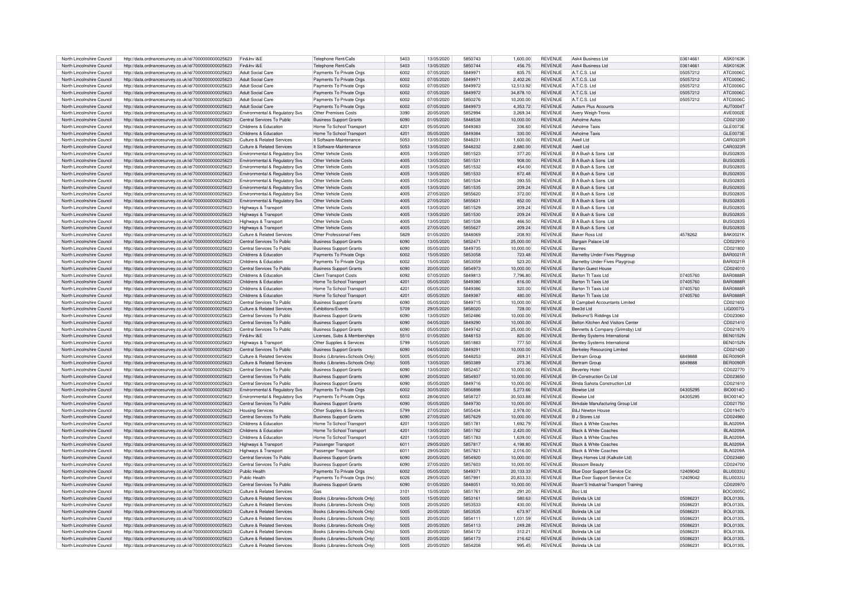| North Lincolnshire Council                               | http://data.ordnancesurvey.co.uk/id/7000000000025623                                                         | Fin&Inv I&E                                              | Telephone Rent/Calls                                             | 5403         | 13/05/2020               | 5850743            | 1,600.00         | <b>REVENUE</b>                   | Ask4 Business Ltd                     | 03614661             | ASK0163K                           |
|----------------------------------------------------------|--------------------------------------------------------------------------------------------------------------|----------------------------------------------------------|------------------------------------------------------------------|--------------|--------------------------|--------------------|------------------|----------------------------------|---------------------------------------|----------------------|------------------------------------|
|                                                          |                                                                                                              |                                                          |                                                                  |              |                          |                    |                  |                                  |                                       |                      |                                    |
| North Lincolnshire Council                               | http://data.ordnancesurvey.co.uk/id/7000000000025623                                                         | Fin&Inv I&E                                              | Telephone Rent/Calls                                             | 5403         | 13/05/2020               | 5850744            | 456.75           | <b>REVENUE</b>                   | Ask4 Business Ltd                     | 03614661             | <b>ASK0163K</b>                    |
| North Lincolnshire Council                               | http://data.ordnancesurvey.co.uk/id/7000000000025623                                                         | Adult Social Care                                        | Payments To Private Orgs                                         | 6002         | 07/05/2020               | 584997             | 835.75           | <b>REVENUE</b>                   | A.T.C.S. Ltd                          | 05057212             | ATC0006C                           |
| North Lincolnshire Council                               | http://data.ordnancesurvey.co.uk/id/7000000000025623                                                         | Adult Social Care                                        | Payments To Private Orgs                                         | 6002         | 07/05/2020               | 584997             | 2.402.26         | <b>REVENUE</b>                   | A.T.C.S. I td                         | 05057212             | ATC0006C                           |
|                                                          |                                                                                                              |                                                          |                                                                  |              |                          |                    |                  |                                  |                                       |                      |                                    |
| North Lincolnshire Council                               | http://data.ordnancesurvey.co.uk/id/7000000000025623                                                         | Adult Social Care                                        | Payments To Private Orgs                                         | 6002         | 07/05/2020               | 5849972            | 12,513.92        | <b>REVENUE</b>                   | A.T.C.S. Ltd                          | 05057212             | ATC0006C                           |
| North Lincolnshire Council                               | http://data.ordnancesurvey.co.uk/id/7000000000025623                                                         | Adult Social Care                                        | Payments To Private Orgs                                         | 6002         | 07/05/2020               | 5849972            | 34,878.10        | <b>REVENUE</b>                   | A.T.C.S. Ltd                          | 05057212             | ATC0006C                           |
| North Lincolnshire Council                               | http://data.ordnancesurvey.co.uk/id/7000000000025623                                                         | Adult Social Care                                        | Payments To Private Orgs                                         | 6002         | 07/05/2020               | 5850276            | 10.200.00        | <b>REVENUE</b>                   | A.T.C.S. Ltd                          | 05057212             | ATC0006C                           |
| North Lincolnshire Council                               | http://data.ordnancesurvey.co.uk/id/7000000000025623                                                         | Adult Social Care                                        | Payments To Private Orgs                                         | 6002         | 07/05/2020               | 5849973            | 4,353.72         | <b>REVENUE</b>                   | Autism Plus Accounts                  |                      | AUT00047                           |
|                                                          |                                                                                                              |                                                          |                                                                  |              |                          |                    |                  |                                  |                                       |                      |                                    |
| North Lincolnshire Council                               | http://data.ordnancesurvey.co.uk/id/7000000000025623                                                         | Environmental & Regulatory Svs                           | Other Premises Costs                                             | 3390         | 20/05/2020               | 5852994            | 3.269.34         | <b>REVENUE</b>                   | Avery Weigh-Tronix                    |                      | AVE0002E                           |
| North Lincolnshire Council                               | http://data.ordnancesurvey.co.uk/id/7000000000025623                                                         | Central Services To Public                               | <b>Business Support Grants</b>                                   | 6090         | 01/05/2020               | 5848538            | 10,000.00        | <b>REVENUE</b>                   | Axholme Autos                         |                      | CD021200                           |
| North Lincolnshire Council                               | http://data.ordnancesurvey.co.uk/id/7000000000025623                                                         | Childrens & Education                                    | Home To School Transpor                                          | 4201         | 05/05/2020               | 5849383            | 336.60           | <b>REVENUE</b>                   | <b>Axholme Taxis</b>                  |                      | GI F0073F                          |
|                                                          |                                                                                                              |                                                          |                                                                  | 4201         |                          |                    |                  |                                  | <b>Axholme Taxis</b>                  |                      |                                    |
| North Lincolnshire Council                               | http://data.ordnancesurvey.co.uk/id/7000000000025623                                                         | Childrens & Education                                    | Home To School Transport                                         |              | 05/05/2020               | 5849384            | 330.00           | <b>REVENUE</b>                   |                                       |                      | GLE0073E                           |
| North Lincolnshire Council                               | http://data.ordnancesurvey.co.uk/id/7000000000025623                                                         | Culture & Related Services                               | It Software-Maintenance                                          | 5053         | 13/05/2020               | 5848231            | 1.600.00         | <b>REVENUE</b>                   | Axiell I to                           |                      | CAR0323E                           |
| North Lincolnshire Council                               | http://data.ordnancesurvey.co.uk/id/7000000000025623                                                         | Culture & Related Services                               | It Software-Maintenance                                          | 5053         | 13/05/2020               | 5848232            | 2,880.00         | <b>REVENUE</b>                   | Axiell Ltd                            |                      | CAR0323F                           |
| North Lincolnshire Council                               | http://data.ordnancesurvey.co.uk/id/7000000000025623                                                         | Environmental & Regulatory Svs                           | Other Vehicle Costs                                              | 4005         | 13/05/2020               | 5851523            | 377.20           | <b>REVENUE</b>                   | B A Bush & Sons Ltd.                  |                      | BUS02835                           |
|                                                          |                                                                                                              |                                                          |                                                                  |              |                          |                    |                  |                                  |                                       |                      |                                    |
| North Lincolnshire Council                               | http://data.ordnancesurvey.co.uk/id/7000000000025623                                                         | Environmental & Regulatory Svs                           | Other Vehicle Costs                                              | 4005         | 13/05/2020               | 5851531            | 908.00           | <b>REVENUE</b>                   | B A Bush & Sons Ltd                   |                      | <b>BUS02835</b>                    |
| North Lincolnshire Council                               | http://data.ordnancesurvey.co.uk/id/7000000000025623                                                         | Environmental & Regulatory Sys                           | Other Vehicle Costs                                              | 4005         | 13/05/2020               | 5851532            | 454.00           | <b>REVENUE</b>                   | B A Bush & Sons Ltd                   |                      | <b>BUS0283S</b>                    |
| North Lincolnshire Council                               | http://data.ordnancesurvey.co.uk/id/7000000000025623                                                         | Environmental & Regulatory Svs                           | Other Vehicle Costs                                              | 4005         | 13/05/2020               | 5851533            | 872 48           | <b>REVENUE</b>                   | <b>B A Rush &amp; Sons Ltd</b>        |                      | <b>BUS0283S</b>                    |
| North Lincolnshire Council                               | http://data.ordnancesurvey.co.uk/id/7000000000025623                                                         | Environmental & Regulatory Svs                           | Other Vehicle Costs                                              | 4005         | 13/05/2020               | 5851534            | 393.55           | <b>REVENUE</b>                   | B A Bush & Sons Ltd.                  |                      | <b>BUS0283S</b>                    |
|                                                          |                                                                                                              |                                                          |                                                                  |              |                          |                    |                  |                                  |                                       |                      |                                    |
| North Lincolnshire Council                               | http://data.ordnancesurvey.co.uk/id/7000000000025623                                                         | Environmental & Regulatory Svs                           | Other Vehicle Costs                                              | 4005         | 13/05/2020               | 5851535            | 209.24           | <b>REVENUE</b>                   | B A Bush & Sons Ltd.                  |                      | <b>BUS0283S</b>                    |
| North Lincolnshire Council                               | http://data.ordnancesurvey.co.uk/id/7000000000025623                                                         | Environmental & Regulatory Svs                           | Other Vehicle Costs                                              | 4005         | 27/05/2020               | 5855620            | 372.00           | <b>REVENUE</b>                   | B A Bush & Sons Ltd                   |                      | BUS02835                           |
| North Lincolnshire Council                               | http://data.ordnancesurvey.co.uk/id/7000000000025623                                                         | Environmental & Regulatory Svs                           | Other Vehicle Costs                                              | 4005         | 27/05/2020               | 5855631            | 852.00           | <b>REVENUE</b>                   | B A Bush & Sons Ltd                   |                      | <b>BUS0283S</b>                    |
|                                                          |                                                                                                              |                                                          |                                                                  |              |                          |                    |                  |                                  |                                       |                      |                                    |
| North Lincolnshire Council                               | http://data.ordnancesurvey.co.uk/id/7000000000025623                                                         | Highways & Transport                                     | Other Vehicle Costs                                              | 4005         | 13/05/2020               | 5851529            | 209.24           | REVENUE                          | B A Bush & Sons Ltd                   |                      | <b>BUS0283S</b>                    |
| North Lincolnshire Council                               | http://data.ordnancesurvey.co.uk/id/7000000000025623                                                         | Highways & Transport                                     | Other Vehicle Costs                                              | 4005         | 13/05/2020               | 5851530            | 209.24           | REVENUE                          | B A Bush & Sons Ltd                   |                      | <b>BUS0283S</b>                    |
| North Lincolnshire Council                               | http://data.ordnancesurvey.co.uk/id/7000000000025623                                                         | Highways & Transport                                     | Other Vehicle Costs                                              | 4005         | 13/05/2020               | 5851538            | 466.50           | <b>REVENUE</b>                   | B A Bush & Sons Ltd                   |                      | <b>BUS0283S</b>                    |
| North Lincolnshire Council                               | http://data.ordnancesurvey.co.uk/id/7000000000025623                                                         | Highways & Transport                                     | Other Vehicle Costs                                              | 4005         | 27/05/2020               | 5855627            | 209.24           | <b>REVENUE</b>                   | B A Bush & Sons Ltd                   |                      | <b>BUS0283S</b>                    |
|                                                          |                                                                                                              |                                                          |                                                                  |              |                          |                    |                  |                                  |                                       |                      |                                    |
| North Lincolnshire Council                               | http://data.ordnancesurvey.co.uk/id/7000000000025623                                                         | Culture & Related Services                               | Other Professional Fees                                          | 5829         | 01/05/2020               | 5848069            | 208.93           | <b>REVENUE</b>                   | <b>Baker Ross Ltd</b>                 | 4578262              | <b>BAK0021K</b>                    |
| North Lincolnshire Council                               | http://data.ordnancesurvey.co.uk/id/7000000000025623                                                         | Central Services To Public                               | <b>Business Support Grants</b>                                   | 6090         | 13/05/2020               | 5852471            | 25,000.00        | <b>REVENUE</b>                   | Bargain Palace Ltd                    |                      | CD022910                           |
| North Lincolnshire Council                               | http://data.ordnancesurvey.co.uk/id/7000000000025623                                                         | Central Services To Public                               | <b>Business Support Grants</b>                                   | 6090         | 05/05/2020               | 5849735            | 10.000.00        | <b>REVENUE</b>                   | <b>Barnes</b>                         |                      | CD021800                           |
| North Lincolnshire Council                               |                                                                                                              | Childrens & Education                                    | Payments To Private Orgs                                         | 6002         | 15/05/2020               | 5853058            | 723.48           | <b>REVENUE</b>                   |                                       |                      | BAR0021R                           |
|                                                          | http://data.ordnancesurvey.co.uk/id/7000000000025623                                                         |                                                          |                                                                  |              |                          |                    |                  |                                  | Barnetby Under Fives Playgroup        |                      |                                    |
| North Lincolnshire Council                               | http://data.ordnancesurvey.co.uk/id/7000000000025623                                                         | Childrens & Education                                    | Payments To Private Orgs                                         | 6002         | 15/05/2020               | 5853059            | 523.20           | <b>REVENUE</b>                   | Barnetby Under Fives Playgroup        |                      | <b>BAR0021F</b>                    |
| North Lincolnshire Council                               | http://data.ordnancesurvey.co.uk/id/7000000000025623                                                         | Central Services To Public                               | <b>Business Support Grants</b>                                   | 6090         | 20/05/2020               | 5854973            | 10,000.00        | <b>REVENUE</b>                   | <b>Barton Guest House</b>             |                      | CD024010                           |
| North Lincolnshire Council                               | http://data.ordnancesurvey.co.uk/id/7000000000025623                                                         | Childrens & Education                                    | <b>Client Transport Costs</b>                                    | 6092         | 07/05/2020               | 5849813            | 7,796.80         | <b>REVENUE</b>                   | Barton Tt Taxis Ltd                   | 07405760             | <b>BAR0888F</b>                    |
| North Lincolnshire Council                               | http://data.ordnancesurvey.co.uk/id/7000000000025623                                                         | Childrens & Education                                    | Home To School Transport                                         | 4201         | 05/05/2020               | 5849380            | 816.00           | <b>REVENUE</b>                   | Barton Tt Taxis Ltd                   | 07405760             | <b>BAR0888F</b>                    |
|                                                          |                                                                                                              |                                                          |                                                                  |              |                          |                    |                  |                                  |                                       |                      |                                    |
| North Lincolnshire Council                               | http://data.ordnancesurvey.co.uk/id/7000000000025623                                                         | Childrens & Education                                    | Home To School Transpor                                          | 4201         | 05/05/2020               | 5849386            | 320.00           | <b>REVENUE</b>                   | Barton Tt Taxis Ltd                   | 07405760             | BAR0888F                           |
| North Lincolnshire Council                               | http://data.ordnancesurvey.co.uk/id/7000000000025623                                                         | Childrens & Education                                    | Home To School Transport                                         | 4201         | 05/05/2020               | 5849387            | 480.00           | <b>REVENUE</b>                   | Barton Tt Taxis Ltd                   | 07405760             | <b>BAR0888R</b>                    |
| North Lincolnshire Council                               | http://data.ordnancesurvey.co.uk/id/7000000000025623                                                         | Central Services To Public                               | <b>Business Support Grants</b>                                   | 6090         | 05/05/2020               | 5849715            | 10,000.00        | <b>REVENUE</b>                   | <b>B Campbell Accountants Limited</b> |                      | CD021600                           |
| North Lincolnshire Council                               | http://data.ordnancesurvey.co.uk/id/7000000000025623                                                         | Culture & Related Services                               | Exhibitions/Events                                               | 5709         | 29/05/2020               | 5858020            | 728.00           | <b>REVENUE</b>                   | Bee3d Ltd                             |                      | LIG0007G                           |
|                                                          |                                                                                                              |                                                          |                                                                  |              |                          |                    |                  |                                  |                                       |                      |                                    |
| North Lincolnshire Council                               | http://data.ordnancesurvey.co.uk/id/7000000000025623                                                         | Central Services To Public                               | <b>Business Support Grants</b>                                   | 6090         | 13/05/2020               | 5852486            | 10.000.00        | <b>REVENUE</b>                   | Bellisimo'S Riddinas Ltd              |                      | CD023060                           |
| North Lincolnshire Council                               | http://data.ordnancesurvey.co.uk/id/7000000000025623                                                         | Central Services To Public                               | <b>Business Support Grants</b>                                   | 6090         | 04/05/2020               | 5849290            | 10,000.00        | <b>REVENUE</b>                   | Belton Kitchen And Visitors Center    |                      | CD021410                           |
| North Lincolnshire Council                               | http://data.ordnancesurvey.co.uk/id/7000000000025623                                                         | Central Services To Public                               | <b>Business Support Grants</b>                                   | 6090         | 05/05/2020               | 5849742            | 25,000.00        | <b>REVENUE</b>                   | Bennetts & Company (Grimsby) Ltd      |                      | CD021870                           |
| North Lincolnshire Council                               | http://data.ordnancesurvey.co.uk/id/7000000000025623                                                         | Fin&Inv I&F                                              | Licenses, Subs & Memberships                                     | 5510         | 01/05/2020               | 5848153            | 820.00           | <b>REVENUE</b>                   |                                       |                      | <b>BFN0152N</b>                    |
|                                                          |                                                                                                              |                                                          |                                                                  |              |                          |                    |                  |                                  | Bentley Systems Internationa          |                      |                                    |
|                                                          |                                                                                                              |                                                          |                                                                  |              |                          |                    |                  |                                  | Bentley Systems Internationa          |                      |                                    |
| North Lincolnshire Council                               | http://data.ordnancesurvey.co.uk/id/7000000000025623                                                         | Highways & Transport                                     | Other Supplies & Services                                        | 5799         | 15/05/2020               | 5851883            | 777.50           | <b>REVENUE</b>                   |                                       |                      | <b>BEN0152N</b>                    |
| North Lincolnshire Council                               | http://data.ordnancesurvey.co.uk/id/7000000000025623                                                         | Central Services To Public                               | <b>Business Support Grants</b>                                   | 6090         | 04/05/2020               | 5849291            | 10,000.00        | <b>REVENUE</b>                   | <b>Berkeley Resourcing Limited</b>    |                      | CD021420                           |
|                                                          |                                                                                                              |                                                          |                                                                  |              |                          |                    |                  |                                  |                                       |                      |                                    |
| North Lincolnshire Council                               | http://data.ordnancesurvey.co.uk/id/7000000000025623                                                         | Culture & Related Services                               | Books (Libraries+Schools Only)                                   | 5005         | 05/05/2020               | 5848253            | 269.31           | <b>REVENUE</b>                   | Bertram Group                         | 6849888              | BER0090R                           |
| North Lincolnshire Council                               | http://data.ordnancesurvey.co.uk/id/7000000000025623                                                         | Culture & Related Services                               | Books (Libraries+Schools Only)                                   | 5005         | 13/05/2020               | 5850389            | 273.36           | <b>REVENUE</b>                   | Bertram Group                         | 6849888              | BER0090R                           |
| North Lincolnshire Council                               | http://data.ordnancesurvey.co.uk/id/7000000000025623                                                         | Central Services To Public                               | <b>Business Support Grants</b>                                   | 6090         | 13/05/2020               | 5852457            | 10,000.00        | <b>REVENUE</b>                   | <b>Beverley Hotel</b>                 |                      | CD022770                           |
| North Lincolnshire Council                               | http://data.ordnancesurvey.co.uk/id/7000000000025623                                                         | Central Services To Public                               | <b>Business Support Grants</b>                                   | 6090         | 20/05/2020               | 5854937            | 10.000.00        | <b>REVENUE</b>                   | <b>Bh Construction Co Ltd</b>         |                      | CD023650                           |
|                                                          |                                                                                                              |                                                          |                                                                  |              |                          |                    |                  |                                  |                                       |                      |                                    |
| North Lincolnshire Council                               | http://data.ordnancesurvey.co.uk/id/7000000000025623                                                         | Central Services To Public                               | <b>Business Support Grants</b>                                   | 6090         | 05/05/2020               | 5849716            | 10,000.00        | <b>REVENUE</b>                   | Binda Sahota Construction Ltd         |                      | CD021610                           |
| North Lincolnshire Council                               | http://data.ordnancesurvey.co.uk/id/7000000000025623                                                         | Environmental & Regulatory Svs                           | Payments To Private Orgs                                         | 6002         | 30/05/2020               | 5856898            | 5,273.66         | <b>REVENUE</b>                   | <b>Biowise I td</b>                   | 04305295             | <b>BIO0014O</b>                    |
| North Lincolnshire Council                               | http://data.ordnancesurvey.co.uk/id/7000000000025623                                                         | Environmental & Regulatory Sys                           | Payments To Private Orgs                                         | 6002         | 28/06/2020               | 5858727            | 30.503.88        | <b>REVENUE</b>                   | <b>Biowise I td</b>                   | 04305295             | <b>BIO0014O</b>                    |
| North Lincolnshire Council                               | http://data.ordnancesurvey.co.uk/id/7000000000025623                                                         | Central Services To Public                               | <b>Business Support Grants</b>                                   | 6090         | 05/05/2020               | 5849730            | 10.000.00        | <b>REVENUE</b>                   | Birkdale Manufacturing Group Ltd      |                      | CD021750                           |
|                                                          |                                                                                                              |                                                          |                                                                  |              |                          |                    |                  |                                  |                                       |                      |                                    |
| North Lincolnshire Council                               | http://data.ordnancesurvey.co.uk/id/7000000000025623                                                         | <b>Housing Services</b>                                  | Other Supplies & Services                                        | 5799         | 27/05/2020               | 5855434            | 2,978.00         | <b>REVENUE</b>                   | <b>B&amp;J Newton House</b>           |                      | CD019470                           |
| North Lincolnshire Council                               | http://data.ordnancesurvey.co.uk/id/7000000000025623                                                         | Central Services To Public                               | <b>Business Support Grants</b>                                   | 6090         | 27/05/2020               | 5857629            | 10,000.00        | <b>REVENUE</b>                   | <b>B.I Stores Ltd</b>                 |                      | CD024960                           |
| North Lincolnshire Council                               | http://data.ordnancesurvey.co.uk/id/7000000000025623                                                         | Childrens & Education                                    | Home To School Transpor                                          | 4201         | 13/05/2020               | 585178             | 1,692.79         | <b>REVENUE</b>                   | <b>Black &amp; White Coaches</b>      |                      | <b>BLA0209A</b>                    |
| North Lincolnshire Council                               | http://data.ordnancesurvey.co.uk/id/7000000000025623                                                         | Childrens & Education                                    | Home To School Transport                                         | 4201         | 13/05/2020               | 5851782            | 2,420.00         | <b>REVENUE</b>                   | <b>Black &amp; White Coaches</b>      |                      | BI A0209A                          |
| North Lincolnshire Council                               |                                                                                                              | Childrens & Education                                    |                                                                  | 4201         | 13/05/2020               | 5851783            | 1.639.00         | <b>REVENUE</b>                   | <b>Black &amp; White Coaches</b>      |                      | BI A0209A                          |
|                                                          | http://data.ordnancesurvey.co.uk/id/7000000000025623                                                         |                                                          | Home To School Transport                                         |              |                          |                    |                  |                                  |                                       |                      |                                    |
| North Lincolnshire Council                               | http://data.ordnancesurvey.co.uk/id/7000000000025623                                                         | Highways & Transport                                     | Passenger Transport                                              | 6011         | 29/05/2020               | 5857817            | 4,198.80         | <b>REVENUE</b>                   | <b>Black &amp; White Coaches</b>      |                      | <b>BLA0209A</b>                    |
| North Lincolnshire Council                               | http://data.ordnancesurvey.co.uk/id/7000000000025623                                                         | Highways & Transport                                     | Passenger Transport                                              | 6011         | 29/05/2020               | 585782             | 2,016.00         | <b>REVENUE</b>                   | Black & White Coaches                 |                      | <b>BLA0209A</b>                    |
| North Lincolnshire Council                               | http://data.ordnancesurvey.co.uk/id/7000000000025623                                                         | Central Services To Public                               | <b>Business Support Grants</b>                                   | 6090         | 20/05/2020               | 5854920            | 10.000.00        | <b>REVENUE</b>                   | Blevs Homes I td (Kalkstin I td)      |                      | CD023480                           |
| North Lincolnshire Council                               |                                                                                                              | Central Services To Public                               |                                                                  | 6090         | 27/05/2020               | 5857603            | 10.000.00        | <b>REVENUE</b>                   | <b>Blossom Beauty</b>                 |                      | CD024700                           |
|                                                          | http://data.ordnancesurvey.co.uk/id/7000000000025623                                                         |                                                          | <b>Business Support Grants</b>                                   |              |                          |                    |                  |                                  |                                       |                      |                                    |
| North Lincolnshire Council                               | http://data.ordnancesurvey.co.uk/id/7000000000025623                                                         | Public Health                                            | Payments To Private Orgs                                         | 6002         | 05/05/2020               | 5849371            | 20,133.33        | <b>REVENUE</b>                   | Blue Door Support Service Cic         | 12409042             | <b>BLU0033U</b>                    |
| North Lincolnshire Council                               | http://data.ordnancesurvey.co.uk/id/7000000000025623                                                         | Public Health                                            | Payments To Private Orgs (Inv)                                   | 6026         | 29/05/2020               | 5857991            | 20.833.33        | <b>REVENUE</b>                   | Blue Door Support Service Cio         | 12409042             | <b>BLU0033U</b>                    |
| North Lincolnshire Council                               | http://data.ordnancesurvey.co.uk/id/7000000000025623                                                         | Central Services To Public                               | <b>Business Support Grants</b>                                   | 6090         | 01/05/2020               | 5848051            | 10,000.00        | REVENUE                          | Boam'S Industrial Transport Training  |                      | CD020970                           |
| North Lincolnshire Council                               | http://data.ordnancesurvey.co.uk/id/7000000000025623                                                         | Culture & Related Services                               | Gas                                                              | 3101         | 15/05/2020               | 5851761            | 291.20           | <b>REVENUE</b>                   | Boc Ltd                               |                      | <b>BOC0005C</b>                    |
|                                                          |                                                                                                              |                                                          |                                                                  |              |                          |                    |                  |                                  |                                       |                      |                                    |
| North Lincolnshire Council                               | http://data.ordnancesurvey.co.uk/id/7000000000025623                                                         | Culture & Related Services                               | Books (Libraries+Schools Only)                                   | 5005         | 15/05/2020               | 5853161            | 580.63           | REVENUE                          | Bolinda Uk I td                       | 05086231             | <b>BOL0130L</b>                    |
| North Lincolnshire Council                               | http://data.ordnancesurvey.co.uk/id/7000000000025623                                                         | Culture & Related Services                               | Books (Libraries+Schools Only                                    | 5005         | 20/05/2020               | 5853533            | 430.00           | <b>REVENUE</b>                   | Bolinda Uk Ltd                        | 05086231             | <b>BOL0130L</b>                    |
| North Lincolnshire Council                               | http://data.ordnancesurvey.co.uk/id/7000000000025623                                                         | Culture & Related Services                               | Books (Libraries+Schools Only)                                   | 5005         | 20/05/2020               | 5853535            | 673.97           | <b>REVENUE</b>                   | Bolinda Uk I td                       | 05086231             | <b>BOL0130L</b>                    |
| North Lincolnshire Council                               | http://data.ordnancesurvey.co.uk/id/7000000000025623                                                         | Culture & Related Services                               | Books (Libraries+Schools Only)                                   | 5005         | 20/05/2020               | 5854111            | 1,031.59         | <b>REVENUE</b>                   | Bolinda Uk I td                       | 05086231             | <b>BOL0130L</b>                    |
| North Lincolnshire Council                               | http://data.ordnancesurvey.co.uk/id/7000000000025623                                                         | Culture & Related Services                               | Books (Libraries+Schools Only)                                   | 5005         | 20/05/2020               | 5854113            | 249.28           | <b>REVENUE</b>                   | Bolinda Uk Ltd                        | 05086231             | <b>BOL0130L</b>                    |
|                                                          |                                                                                                              |                                                          |                                                                  |              |                          |                    |                  |                                  |                                       |                      |                                    |
| North Lincolnshire Council                               | http://data.ordnancesurvey.co.uk/id/7000000000025623                                                         | Culture & Related Services                               | Books (Libraries+Schools Only)                                   | 5005         | 20/05/2020               | 5854172            | 312.21           | <b>REVENUE</b>                   | Bolinda Uk I td                       | 05086231             | BOI 0130L                          |
| North Lincolnshire Council<br>North Lincolnshire Council | http://data.ordnancesurvey.co.uk/id/7000000000025623<br>http://data.ordnancesurvey.co.uk/id/7000000000025623 | Culture & Related Services<br>Culture & Related Services | Books (Libraries+Schools Only)<br>Books (Libraries+Schools Only) | 5005<br>5005 | 20/05/2020<br>20/05/2020 | 5854173<br>5854208 | 216.62<br>995.45 | <b>REVENUE</b><br><b>REVENUE</b> | Bolinda Uk I td<br>Bolinda Uk Ltd     | 05086231<br>05086231 | <b>BOL0130L</b><br><b>BOL0130L</b> |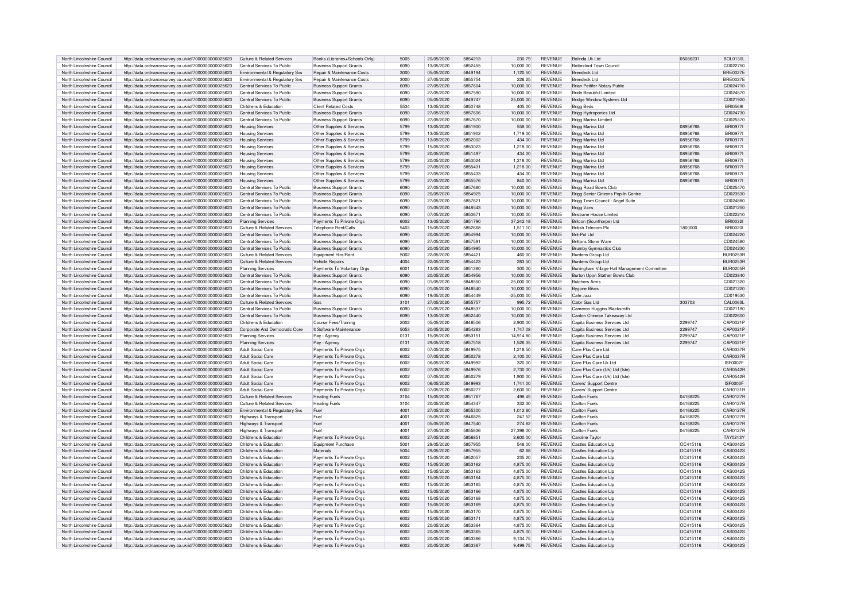| North Lincolnshire Council | http://data.ordnancesurvey.co.uk/id/7000000000025623 | Culture & Related Service:                 | Books (Libraries+Schools Only         | 5005 | 20/05/2020               | 5854213            | 230.79               | <b>REVENUE</b>            | Bolinda Uk Ltd                                        | 05086231             | <b>BOL0130L</b>      |
|----------------------------|------------------------------------------------------|--------------------------------------------|---------------------------------------|------|--------------------------|--------------------|----------------------|---------------------------|-------------------------------------------------------|----------------------|----------------------|
| North Lincolnshire Council | http://data.ordnancesurvey.co.uk/id/7000000000025623 | Central Services To Public                 | <b>Business Support Grants</b>        | 6090 | 13/05/2020               | 5852455            | 10,000.00            | REVENUE                   | <b>Bottesford Town Council</b>                        |                      | CD022750             |
| North Lincolnshire Council | http://data.ordnancesurvey.co.uk/id/7000000000025623 | Environmental & Regulatory Svs             | Repair & Maintenance Costs            | 3000 | 05/05/2020               | 5849194            | 1.120.50             | <b>REVENUE</b>            | Brendeck Ltd                                          |                      | <b>BRE0027E</b>      |
| North Lincolnshire Council | http://data.ordnancesurvey.co.uk/id/7000000000025623 | <b>Fnvironmental &amp; Requlatory Sys.</b> | <b>Benair &amp; Maintenance Costs</b> | 3000 | 27/05/2020               | 5855754            | 226.25               | <b>REVENUE</b>            | Brendeck I td                                         |                      | <b>BRE0027E</b>      |
| North Lincolnshire Council | http://data.ordnancesurvey.co.uk/id/7000000000025623 | Central Services To Public                 | <b>Business Support Grants</b>        | 6090 | 27/05/2020               | 5857604            | 10,000.00            | <b>REVENUE</b>            | Brian Pettifer Notary Public                          |                      | CD024710             |
| North Lincolnshire Council | http://data.ordnancesurvey.co.uk/id/7000000000025623 | Central Services To Public                 | <b>Business Support Grants</b>        | 6090 | 27/05/2020               | 5857590            | 10,000.00            | <b>REVENUE</b>            | <b>Bride Beautiful Limited</b>                        |                      | CD024570             |
| North Lincolnshire Council | http://data.ordnancesurvey.co.uk/id/7000000000025623 | Central Services To Public                 |                                       | 6090 | 05/05/2020               | 5849747            | 25,000.00            | <b>REVENUE</b>            | <b>Bridge Window Systems Ltd</b>                      |                      | CD021920             |
|                            |                                                      |                                            | <b>Business Support Grants</b>        |      |                          |                    |                      |                           |                                                       |                      |                      |
| North Lincolnshire Council | http://data.ordnancesurvey.co.uk/id/7000000000025623 | Childrens & Education                      | Client Related Costs                  | 5534 | 13/05/2020               | 5850748            | 405.00               | <b>REVENUE</b>            | <b>Brigg Beds</b>                                     |                      | BRI0569              |
| North Lincolnshire Council | http://data.ordnancesurvey.co.uk/id/7000000000025623 | Central Services To Public                 | <b>Business Support Grants</b>        | 6090 | 27/05/2020               | 5857606            | 10,000.00            | REVENUE                   | Brigg Hydroponics Ltd                                 |                      | CD024730             |
| North Lincolnshire Council | http://data.ordnancesurvey.co.uk/id/7000000000025623 | Central Services To Public                 | <b>Business Support Grants</b>        | 6090 | 27/05/2020               | 5857670            | 10,000.00            | <b>REVENUE</b>            | Brigg Marina Limited                                  |                      | CD025370             |
| North Lincolnshire Council | http://data.ordnancesurvey.co.uk/id/7000000000025623 | <b>Housing Services</b>                    | Other Supplies & Services             | 5799 | 13/05/2020               | 5851900            | 558.00               | <b>REVENUE</b>            | Brigg Marina Ltd                                      | 08956768             | <b>BRI0977</b>       |
| North Lincolnshire Council | http://data.ordnancesurvey.co.uk/id/7000000000025623 | <b>Housing Services</b>                    | Other Supplies & Services             | 5799 | 13/05/2020               | 5851902            | 1,719.00             | <b>REVENUE</b>            | Brigg Marina Ltd                                      | 08956768             | <b>BRI0977</b>       |
| North Lincolnshire Council | http://data.ordnancesurvey.co.uk/id/7000000000025623 | <b>Housing Services</b>                    | Other Supplies & Services             | 5799 | 13/05/2020               | 5852002            | 434.00               | <b>REVENUE</b>            | Brigg Marina Ltd                                      | 08956768             | <b>BRI09771</b>      |
| North Lincolnshire Council | http://data.ordnancesurvey.co.uk/id/7000000000025623 | <b>Housing Services</b>                    | Other Supplies & Services             | 5799 | 15/05/2020               | 5853023            | 1,218.00             | REVENUE                   | Brigg Marina Ltd                                      | 08956768             | <b>BRI0977</b>       |
|                            |                                                      |                                            |                                       |      |                          |                    |                      |                           |                                                       |                      |                      |
| North Lincolnshire Council | http://data.ordnancesurvey.co.uk/id/7000000000025623 | <b>Housing Services</b>                    | Other Supplies & Services             | 5799 | 20/05/2020               | 5851497            | 434.00               | <b>REVENUE</b>            | Brigg Marina Ltd                                      | 08956768             | <b>BRI0977</b>       |
| North Lincolnshire Council | http://data.ordnancesurvey.co.uk/id/7000000000025623 | <b>Housing Services</b>                    | Other Supplies & Services             | 5799 | 20/05/2020               | 5853024            | 1.218.00             | <b>REVENUE</b>            | Brigg Marina Ltd                                      | 08956768             | <b>BRI0977</b>       |
| North Lincolnshire Council | http://data.ordnancesurvey.co.uk/id/7000000000025623 | <b>Housing Services</b>                    | Other Supplies & Services             | 5799 | 27/05/2020               | 5855431            | 1,218.00             | REVENUE                   | Brigg Marina Ltd                                      | 08956768             | <b>BRI0977</b>       |
| North Lincolnshire Council | http://data.ordnancesurvey.co.uk/id/7000000000025623 | <b>Housing Services</b>                    | Other Supplies & Services             | 5799 | 27/05/2020               | 5855433            | 434.00               | REVENUE                   | Brigg Marina Ltd                                      | 08956768             | <b>BRI0977</b>       |
| North Lincolnshire Council | http://data.ordnancesurvey.co.uk/id/7000000000025623 | <b>Housing Services</b>                    | Other Supplies & Services             | 5799 | 27/05/2020               | 5855576            | 840.00               | REVENUE                   | Brigg Marina Ltd                                      | 08956768             | <b>BRI0977I</b>      |
| North Lincolnshire Council | http://data.ordnancesurvey.co.uk/id/7000000000025623 | Central Services To Public                 | <b>Business Support Grants</b>        | 6090 | 27/05/2020               | 5857680            | 10,000.00            | <b>REVENUE</b>            | <b>Brigg Road Bowls Club</b>                          |                      | CD025470             |
| North Lincolnshire Council | http://data.ordnancesurvey.co.uk/id/7000000000025623 | Central Services To Public                 | <b>Business Support Grants</b>        | 6090 | 20/05/2020               | 5854925            | 10,000.00            | <b>REVENUE</b>            | Brigg Senior Cirizens Pop-In Centre                   |                      | CD023530             |
| North Lincolnshire Council | http://data.ordnancesurvey.co.uk/id/7000000000025623 | Central Services To Public                 | <b>Business Support Grants</b>        | 6090 | 27/05/2020               | 5857621            | 10,000.00            | <b>REVENUE</b>            | Brigg Town Council - Angel Suite                      |                      | CD024880             |
|                            |                                                      |                                            |                                       |      |                          |                    |                      |                           |                                                       |                      |                      |
| North Lincolnshire Council | http://data.ordnancesurvey.co.uk/id/7000000000025623 | Central Services To Public                 | <b>Business Support Grants</b>        | 6090 | 01/05/2020               | 5848543            | 10,000.00            | <b>REVENUE</b>            | <b>Brigg Vans</b>                                     |                      | CD021250             |
| North Lincolnshire Council | http://data.ordnancesurvey.co.uk/id/7000000000025623 | Central Services To Public                 | <b>Business Support Grants</b>        | 6090 | 07/05/2020               | 585067             | 10,000.00            | <b>REVENUE</b>            | <b>Brisbane House Limited</b>                         |                      | CD022210             |
| North Lincolnshire Council | http://data.ordnancesurvey.co.uk/id/7000000000025623 | Planning Services                          | Payments To Private Orgs              | 6002 | 13/05/2020               | 5851790            | 37,242.18            | <b>REVENUE</b>            | Britcon (Scunthorpe) Ltd                              |                      | <b>BRI00321</b>      |
| North Lincolnshire Council | http://data.ordnancesurvey.co.uk/id/7000000000025623 | Culture & Related Services                 | Telephone Rent/Calls                  | 5403 | 15/05/2020               | 5852668            | 1,511.10             | <b>REVENUE</b>            | <b>Rritish Telecom Plc</b>                            | 1800000              | <b>BRI00201</b>      |
| North Lincolnshire Council | http://data.ordnancesurvey.co.uk/id/7000000000025623 | Central Services To Public                 | <b>Business Support Grants</b>        | 6090 | 20/05/2020               | 5854994            | 10.000.00            | <b>REVENUE</b>            | <b>Rrit-Pollitd</b>                                   |                      | CD024220             |
| North Lincolnshire Council | http://data.ordnancesurvey.co.uk/id/7000000000025623 | Central Services To Public                 | <b>Business Support Grants</b>        | 6090 | 27/05/2020               | 5857591            | 10.000.00            | <b>REVENUE</b>            | <b>Brittons Stone Ware</b>                            |                      | CD024580             |
| North Lincolnshire Council | http://data.ordnancesurvey.co.uk/id/7000000000025623 | Central Services To Public                 | <b>Business Support Grants</b>        | 6090 | 20/05/2020               | 5854995            | 10.000.00            | <b>REVENUE</b>            | <b>Brumby Gymnastics Club</b>                         |                      | CD024230             |
| North Lincolnshire Council | http://data.ordnancesurvey.co.uk/id/7000000000025623 | Culture & Related Services                 | Equipment Hire/Rent                   | 5002 | 22/05/2020               | 5854421            | 460.00               | REVENUE                   | Burdens Group Ltd                                     |                      | <b>BUR0253F</b>      |
|                            |                                                      |                                            |                                       |      |                          |                    |                      |                           |                                                       |                      |                      |
| North Lincolnshire Council | http://data.ordnancesurvey.co.uk/id/7000000000025623 | Culture & Related Services                 | Vehicle Repairs                       | 4004 | 22/05/2020               | 5854423            | 283.50               | <b>REVENUE</b>            | <b>Burdens Group Ltd</b>                              |                      | <b>BUR0253E</b>      |
| North Lincolnshire Council | http://data.ordnancesurvey.co.uk/id/7000000000025623 | Planning Services                          | Payments To Voluntary Orgs            | 6001 | 13/05/2020               | 5851380            | 300.00               | <b>REVENUE</b>            | Burringham Village Hall Management Committee          |                      | <b>BUR0205E</b>      |
| North Lincolnshire Council | http://data.ordnancesurvey.co.uk/id/7000000000025623 | Central Services To Public                 | <b>Business Support Grants</b>        | 6090 | 20/05/2020               | 5854956            | 10,000.00            | <b>REVENUE</b>            | Burton Upon Stather Bowls Club                        |                      | CD023840             |
| North Lincolnshire Council | http://data.ordnancesurvey.co.uk/id/7000000000025623 | Central Services To Public                 | <b>Business Support Grants</b>        | 6090 | 01/05/2020               | 5848550            | 25,000.00            | REVENUE                   | <b>Butchers Arms</b>                                  |                      | CD021320             |
| North Lincolnshire Council | http://data.ordnancesurvey.co.uk/id/7000000000025623 | Central Services To Public                 | <b>Business Support Grants</b>        | 6090 | 01/05/2020               | 5848540            | 10.000.00            | <b>REVENUE</b>            | <b>Bygone Bikes</b>                                   |                      | CD021220             |
| North Lincolnshire Council | http://data.ordnancesurvey.co.uk/id/7000000000025623 | Central Services To Public                 | <b>Business Support Grants</b>        | 6090 | 19/05/2020               | 5854449            | $-25,000.00$         | <b>REVENUE</b>            | Cafe Jazz                                             |                      | CD019530             |
| North Lincolnshire Council | http://data.ordnancesurvey.co.uk/id/7000000000025623 | Culture & Related Services                 | Gas                                   | 3101 | 27/05/2020               | 5855757            | 995.72               | <b>REVENUE</b>            | Calor Gas Ltd                                         | 303703               | CAL0063L             |
| North Lincolnshire Council |                                                      | Central Services To Public                 |                                       | 6090 | 01/05/2020               | 5848537            |                      | <b>REVENUE</b>            |                                                       |                      | CD021190             |
|                            | http://data.ordnancesurvey.co.uk/id/7000000000025623 |                                            | <b>Business Support Grants</b>        |      |                          |                    | 10,000.00            |                           | Cameron Huggins Blacksmith                            |                      |                      |
| North Lincolnshire Council | http://data.ordnancesurvey.co.uk/id/7000000000025623 | Central Services To Public                 | <b>Business Support Grants</b>        | 6090 | 13/05/2020               | 5852440            | 10,000.00            | <b>REVENUE</b>            | Canton Chinese Takeaway Ltd                           |                      | CD022600             |
| North Lincolnshire Council | http://data.ordnancesurvey.co.uk/id/7000000000025623 | Childrens & Education                      | Course Fees/Training                  | 2002 | 05/05/2020               | 5848506            | 2,900.00             | <b>REVENUE</b>            | Capita Business Services Ltd                          | 2299747              | CAP0021F             |
| North Lincolnshire Council | http://data.ordnancesurvey.co.uk/id/7000000000025623 | Corporate And Democratic Core              | It Software-Maintenance               | 5053 | 20/05/2020               | 5854283            | 1,747.08             | <b>REVENUE</b>            | Capita Business Services Ltd                          | 2299747              | CAP0021P             |
| North Lincolnshire Council | http://data.ordnancesurvey.co.uk/id/7000000000025623 | <b>Planning Services</b>                   | Pay - Agency                          | 0131 | 15/05/2020               | 585315             | 14.914.80            | REVENUE                   | Capita Business Services Ltd                          | 2299747              | CAP0021P             |
| North Lincolnshire Council | http://data.ordnancesurvey.co.uk/id/7000000000025623 | <b>Planning Services</b>                   | Pay - Agency                          | 0131 | 29/05/2020               | 5857518            | 1,526.35             | <b>REVENUE</b>            | Capita Business Services Ltd                          | 2299747              | CAP0021F             |
| North Lincolnshire Council | http://data.ordnancesurvey.co.uk/id/7000000000025623 | Adult Social Care                          | Payments To Private Orgs              | 6002 | 07/05/2020               | 5849975            | 1,218.50             | REVENUE                   | Care Plus Care Ltd                                    |                      | <b>CAR0337F</b>      |
| North Lincolnshire Council | http://data.ordnancesurvey.co.uk/id/7000000000025623 | Adult Social Care                          | Payments To Private Orgs              | 6002 | 07/05/2020               | 5850278            | 2.100.00             | <b>REVENUE</b>            | Care Plus Care Ltd                                    |                      | <b>CAR0337F</b>      |
| North Lincolnshire Council |                                                      | <b>Adult Social Care</b>                   |                                       | 6002 | 06/05/2020               | 5849993            |                      | <b>REVENUE</b>            | Care Plus Care Uk I td                                |                      | ISE0002E             |
|                            | http://data.ordnancesurvey.co.uk/id/7000000000025623 |                                            | Payments To Private Orgs              |      |                          |                    | 320.00               |                           |                                                       |                      |                      |
| North Lincolnshire Council | http://data.ordnancesurvey.co.uk/id/7000000000025623 | Adult Social Care                          | Payments To Private Orgs              | 6002 | 07/05/2020               | 5849976            | 2,730.00             | <b>REVENUE</b>            | Care Plus Care (Uk) Ltd (Isle                         |                      | CAR0542F             |
| North Lincolnshire Council | http://data.ordnancesurvey.co.uk/id/7000000000025623 | <b>Adult Social Care</b>                   | Payments To Private Orgs              | 6002 | 07/05/2020               | 5850279            | 1,900.00             | REVENUE                   | Care Plus Care (Uk) Ltd (Isle                         |                      | CAR0542F             |
| North Lincolnshire Council | http://data.ordnancesurvey.co.uk/id/7000000000025623 | <b>Adult Social Care</b>                   | Payments To Private Orgs              | 6002 | 06/05/2020               | 5849993            | 1,741.00             | <b>REVENUE</b>            | Carers' Support Centre                                |                      | ISF0003F             |
| North Lincolnshire Council | http://data.ordnancesurvey.co.uk/id/7000000000025623 | <b>Adult Social Care</b>                   | Payments To Private Orgs              | 6002 | 07/05/2020               | 5850277            | 2,600.00             | <b>REVENUE</b>            | Carers' Support Centre                                |                      | CAR0131F             |
| North Lincolnshire Council | http://data.ordnancesurvey.co.uk/id/7000000000025623 | <b>Culture &amp; Related Services</b>      | <b>Heating Fuels</b>                  | 3104 | 15/05/2020               | 5851767            | 498.45               | <b>REVENUE</b>            | <b>Carlton Fuels</b>                                  | 04168225             | <b>CAR0127F</b>      |
| North Lincolnshire Council | http://data.ordnancesurvey.co.uk/id/7000000000025623 | Culture & Related Services                 | <b>Heating Fuels</b>                  | 3104 | 20/05/2020               | 5854347            | 332.30               | <b>REVENUE</b>            | <b>Carlton Fuels</b>                                  | 04168225             | <b>CAR0127F</b>      |
| North Lincolnshire Council | http://data.ordnancesurvey.co.uk/id/7000000000025623 | Environmental & Regulatory Svs             | Fuel                                  | 4001 | 27/05/2020               | 5855300            | 1,012.80             | <b>REVENUE</b>            | Carlton Fuels                                         | 04168225             | CAR0127F             |
| North Lincolnshire Council | http://data.ordnancesurvey.co.uk/id/7000000000025623 | Highways & Transport                       | Fuel                                  | 4001 | 05/05/2020               | 5846825            | 247.52               | <b>REVENUE</b>            | Carlton Fuels                                         | 04168225             | CAR0127F             |
| North Lincolnshire Council | http://data.ordnancesurvey.co.uk/id/7000000000025623 |                                            | Fuel                                  | 4001 | 05/05/2020               | 5847540            | 274.82               | <b>REVENUE</b>            | <b>Carlton Fuels</b>                                  | 04168225             | <b>CAR0127F</b>      |
|                            |                                                      | Highways & Transport                       |                                       |      |                          |                    |                      |                           |                                                       |                      |                      |
| North Lincolnshire Council | http://data.ordnancesurvey.co.uk/id/7000000000025623 | Highways & Transpor                        | Fuel                                  | 4001 | 27/05/2020               | 5855636            | 27,398.00            | <b>REVENUE</b>            | <b>Carlton Fuels</b>                                  | 04168225             | <b>CAR0127F</b>      |
| North Lincolnshire Council | http://data.ordnancesurvey.co.uk/id/7000000000025623 | Childrens & Education                      | Payments To Private Orgs              | 6002 | 27/05/2020               | 5856851            | 2,600.00             | <b>REVENUE</b>            | Caroline Taylor                                       |                      | TAY0213Y             |
| North Lincolnshire Council | http://data.ordnancesurvey.co.uk/id/7000000000025623 | Childrens & Education                      | Equipment Purchase                    | 5001 | 29/05/2020               | 5857955            | 548.00               | <b>REVENUE</b>            | Castles Education Llp                                 | OC415116             | CAS0042S             |
| North Lincolnshire Council | http://data.ordnancesurvey.co.uk/id/7000000000025623 | Childrens & Education                      | Materials                             | 5004 | 29/05/2020               | 5857955            | 62.88                | <b>REVENUE</b>            | <b>Castles Education Llp</b>                          | OC415116             | CAS0042S             |
| North Lincolnshire Council | http://data.ordnancesurvey.co.uk/id/7000000000025623 | Childrens & Education                      | Payments To Private Orgs              | 6002 | 15/05/2020               | 5852053            | 235.20               | <b>REVENUE</b>            | Castles Education Llp                                 | OC415116             | CAS00425             |
| North Lincolnshire Council | http://data.ordnancesurvey.co.uk/id/7000000000025623 | Childrens & Education                      | Payments To Private Orgs              | 6002 | 15/05/2020               | 5853162            | 4,875.00             | <b>REVENUE</b>            | <b>Castles Education Lip</b>                          | OC415116             | CAS0042S             |
| North Lincolnshire Council | http://data.ordnancesurvev.co.uk/id/7000000000025623 | Childrens & Education                      | Payments To Private Orgs              | 6002 | 15/05/2020               | 5853163            | 4.875.00             | REVENUE                   | <b>Castles Education Lip</b>                          | OC415116             | CAS0042S             |
| North Lincolnshire Council |                                                      | Childrens & Education                      |                                       | 6002 |                          | 5853164            |                      | <b>REVENUE</b>            | Castles Education LIn                                 |                      |                      |
|                            | http://data.ordnancesurvey.co.uk/id/7000000000025623 |                                            | Payments To Private Orgs              |      | 15/05/2020               |                    | 4,875.00             |                           |                                                       | OC415116             | CAS0042S             |
| North Lincolnshire Council | http://data.ordnancesurvey.co.uk/id/7000000000025623 | Childrens & Education                      | Payments To Private Orgs              | 6002 | 15/05/2020               | 5853165            | 4,875.00             | REVENUE                   | <b>Castles Education Llp</b>                          | OC415116             | CAS0042S             |
| North Lincolnshire Council | http://data.ordnancesurvey.co.uk/id/7000000000025623 | Childrens & Education                      | Payments To Private Orgs              | 6002 | 15/05/2020               | 5853166            | 4,875.00             | <b>REVENUE</b>            | Castles Education LIn                                 | OC415116             | CAS0042S             |
| North Lincolnshire Council | http://data.ordnancesurvey.co.uk/id/7000000000025623 | Childrens & Education                      | Payments To Private Orgs              | 6002 | 15/05/2020               | 5853168            | 4,875.00             | <b>REVENUE</b>            | Castles Education Llp                                 | OC415116             | CAS0042S             |
| North Lincolnshire Council | http://data.ordnancesurvey.co.uk/id/7000000000025623 | Childrens & Education                      | Payments To Private Orgs              | 6002 | 15/05/2020               | 5853169            | 4,875.00             | <b>REVENUE</b>            | <b>Castles Education Lip</b>                          | OC415116             | CAS0042S             |
| North Lincolnshire Council | http://data.ordnancesurvey.co.uk/id/7000000000025623 | Childrens & Education                      | Payments To Private Orgs              | 6002 | 15/05/2020               | 5853170            | 4,875.00             | <b>REVENUE</b>            | <b>Castles Education Lip</b>                          | OC415116             | CAS0042S             |
| North Lincolnshire Council | http://data.ordnancesurvey.co.uk/id/7000000000025623 | Childrens & Education                      | Payments To Private Orgs              | 6002 | 15/05/2020               | 585317             | 4,875.00             | <b>REVENUE</b>            | <b>Castles Education Lip</b>                          | OC415116             | CAS0042S             |
| North Lincolnshire Council | http://data.ordnancesurvey.co.uk/id/7000000000025623 | Childrens & Education                      | Payments To Private Orgs              | 6002 | 20/05/2020               | 5853364            | 4,875.00             | REVENUE                   | Castles Education Llp                                 | OC415116             | CAS00429             |
|                            |                                                      |                                            |                                       | 6002 |                          |                    |                      |                           |                                                       |                      |                      |
| North Lincolnshire Council | http://data.ordnancesurvey.co.uk/id/7000000000025623 | Childrens & Education                      | Payments To Private Orgs              |      | 20/05/2020               | 5853365            | 4,875.00             | <b>REVENUE</b>            | <b>Castles Education Lip</b>                          | OC415116             | CAS0042S             |
| North Lincolnshire Council | http://data.ordnancesurvev.co.uk/id/7000000000025623 | Childrens & Education                      | Payments To Private Orgs              | 6002 | 20/05/2020<br>20/05/2020 | 5853366<br>5853367 | 9,134.75<br>9,499.75 | REVENUE<br><b>REVENUE</b> | <b>Castles Education Lip</b><br>Castles Education LIn | OC415116<br>OC415116 | CAS0042S<br>CAS0042S |
| North Lincolnshire Council | http://data.ordnancesurvey.co.uk/id/7000000000025623 | Childrens & Education                      | Payments To Private Orgs              | 6002 |                          |                    |                      |                           |                                                       |                      |                      |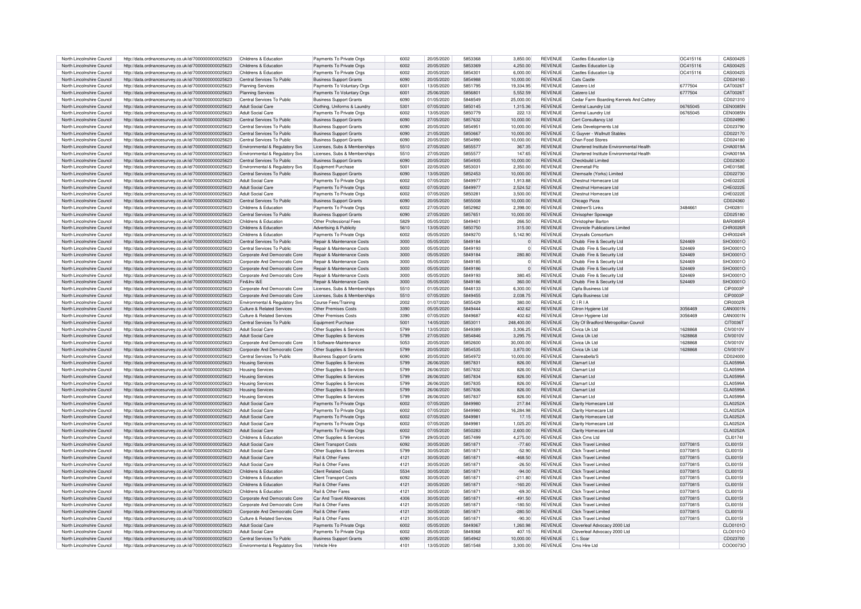| North Lincolnshire Council | http://data.ordnancesurvey.co.uk/id/7000000000025623 | Childrens & Education          | Payments To Private Orgs              | 6002 | 20/05/2020 | 5853368 | 3,850.00    | REVENUE        | Castles Education Llp                    | OC415116 | CAS00425        |
|----------------------------|------------------------------------------------------|--------------------------------|---------------------------------------|------|------------|---------|-------------|----------------|------------------------------------------|----------|-----------------|
| North Lincolnshire Council | http://data.ordnancesurvey.co.uk/id/7000000000025623 | Childrens & Education          | Payments To Private Orgs              | 6002 | 20/05/2020 | 5853369 | 4.250.00    | <b>REVENUE</b> | Castles Education LIn                    | OC415116 | CAS0042S        |
| North Lincolnshire Council | http://data.ordnancesurvey.co.uk/id/7000000000025623 | Childrens & Education          | Payments To Private Orgs              | 6002 | 20/05/2020 | 5854301 | 6.000.00    | <b>REVENUE</b> | Castles Education Lin                    | OC415116 | CAS00425        |
|                            |                                                      |                                |                                       |      |            | 5854988 |             | <b>REVENUE</b> |                                          |          | CD024160        |
| North Lincolnshire Council | http://data.ordnancesurvey.co.uk/id/7000000000025623 | Central Services To Public     | <b>Business Support Grants</b>        | 6090 | 20/05/2020 |         | 10.000.00   |                | Cats Castle                              |          |                 |
| North Lincolnshire Council | http://data.ordnancesurvey.co.uk/id/7000000000025623 | <b>Planning Services</b>       | Payments To Voluntary Orgs            | 6001 | 13/05/2020 | 5851795 | 19.334.95   | <b>REVENUE</b> | Catzero I td                             | 6777504  | CAT00261        |
| North Lincolnshire Council | http://data.ordnancesurvey.co.uk/id/7000000000025623 | <b>Planning Services</b>       | Payments To Voluntary Orgs            | 6001 | 25/06/2020 | 5856801 | 5,552.59    | <b>REVENUE</b> | Catzero I td                             | 6777504  | CAT00261        |
|                            |                                                      |                                |                                       | 6090 |            | 5848549 |             | <b>REVENUE</b> |                                          |          | CD021310        |
| North Lincolnshire Council | http://data.ordnancesurvey.co.uk/id/7000000000025623 | Central Services To Public     | <b>Business Support Grants</b>        |      | 01/05/2020 |         | 25,000.00   |                | Cedar Farm Boarding Kennels And Cattery  |          |                 |
| North Lincolnshire Council | http://data.ordnancesurvey.co.uk/id/7000000000025623 | <b>Adult Social Care</b>       | Clothing, Uniforms & Laundr           | 5301 | 07/05/2020 | 5850145 | 1.315.36    | <b>REVENUE</b> | Central Laundry Ltd                      | 06765045 | <b>CEN0085N</b> |
| North Lincolnshire Council | http://data.ordnancesurvey.co.uk/id/7000000000025623 | Adult Social Care              | Payments To Private Orgs              | 6002 | 13/05/2020 | 5850779 | 222.13      | <b>REVENUE</b> | Central Laundry Ltd                      | 06765045 | CEN0085N        |
| North Lincolnshire Council | http://data.ordnancesurvey.co.uk/id/7000000000025623 | Central Services To Public     | <b>Business Support Grants</b>        | 6090 | 27/05/2020 | 5857632 | 10.000.00   | <b>REVENUE</b> | Cert Consultancy Ltd                     |          | CD024990        |
|                            |                                                      |                                |                                       |      |            |         |             |                |                                          |          |                 |
| North Lincolnshire Council | http://data.ordnancesurvey.co.uk/id/7000000000025623 | Central Services To Public     | <b>Business Support Grants</b>        | 6090 | 20/05/2020 | 585495  | 10.000.00   | <b>REVENUE</b> | Cetis Developments Ltd                   |          | CD023790        |
| North Lincolnshire Council | http://data.ordnancesurvey.co.uk/id/7000000000025623 | Central Services To Public     | <b>Business Support Grants</b>        | 6090 | 21/05/2020 | 585066  | 10,000.00   | <b>REVENUE</b> | C Guyver - Wallnutt Stables              |          | CD022170        |
| North Lincolnshire Council | http://data.ordnancesurvey.co.uk/id/7000000000025623 | Central Services To Public     | <b>Business Support Grants</b>        | 6090 | 20/05/2020 | 5854990 | 10.000.00   | <b>REVENUE</b> | Chan Food Stores                         |          | CD024180        |
|                            |                                                      |                                |                                       |      |            |         |             |                |                                          |          |                 |
| North Lincolnshire Council | http://data.ordnancesurvey.co.uk/id/7000000000025623 | Environmental & Regulatory Svs | Licenses, Subs & Memberships          | 5510 | 27/05/2020 | 5855577 | 367.35      | <b>REVENUE</b> | Chartered Institute Environmental Health |          | CHA0019A        |
| North Lincolnshire Council | http://data.ordnancesurvey.co.uk/id/7000000000025623 | Environmental & Regulatory Svs | Licenses, Subs & Memberships          | 5510 | 27/05/2020 | 5855577 | 147.65      | <b>REVENUE</b> | Chartered Institute Environmental Health |          | CHA00194        |
| North Lincolnshire Council | http://data.ordnancesurvey.co.uk/id/7000000000025623 | Central Services To Public     | <b>Business Support Grants</b>        | 6090 | 20/05/2020 | 5854935 | 10,000.00   | <b>REVENUE</b> | Checkbuild Limited                       |          | CD023630        |
|                            |                                                      |                                |                                       |      | 22/05/2020 |         |             | <b>REVENUE</b> |                                          |          | CHE0158E        |
| North Lincolnshire Council | http://data.ordnancesurvey.co.uk/id/7000000000025623 | Environmental & Regulatory Svs | Equipment Purchase                    | 5001 |            | 5853031 | 2.350.00    |                | Chemetall Plc                            |          |                 |
| North Lincolnshire Council | http://data.ordnancesurvey.co.uk/id/7000000000025623 | Central Services To Public     | <b>Business Support Grants</b>        | 6090 | 13/05/2020 | 5852453 | 10,000.00   | <b>REVENUE</b> | Chemsafe (Yorks) Limited                 |          | CD022730        |
| North Lincolnshire Council | http://data.ordnancesurvey.co.uk/id/7000000000025623 | Adult Social Care              | Payments To Private Orgs              | 6002 | 07/05/2020 | 5849977 | 1,913.88    | <b>REVENUE</b> | Chestnut Homecare Ltd.                   |          | CHE0222E        |
|                            |                                                      |                                |                                       |      |            |         |             |                |                                          |          |                 |
| North Lincolnshire Council | http://data.ordnancesurvey.co.uk/id/7000000000025623 | Adult Social Care              | Payments To Private Orgs              | 6002 | 07/05/2020 | 5849977 | 2,524.52    | <b>REVENUE</b> | Chestnut Homecare Ltd                    |          | CHE0222E        |
| North Lincolnshire Council | http://data.ordnancesurvey.co.uk/id/7000000000025623 | Adult Social Care              | Payments To Private Orgs              | 6002 | 07/05/2020 | 585028  | 3,500.00    | <b>REVENUE</b> | Chestnut Homecare Ltd                    |          | CHF0222F        |
| North Lincolnshire Council | http://data.ordnancesurvey.co.uk/id/7000000000025623 | Central Services To Public     | <b>Business Support Grants</b>        | 6090 | 20/05/2020 | 5855008 | 10,000.00   | <b>REVENUE</b> | Chicago Pizza                            |          | CD024360        |
| North Lincolnshire Council | http://data.ordnancesurvey.co.uk/id/7000000000025623 | Childrens & Education          | Payments To Private Orgs              | 6002 | 27/05/2020 | 5852982 | 2.398.00    | <b>REVENUE</b> | Children'S Links                         | 3484661  | CHI0281I        |
|                            |                                                      |                                |                                       |      |            |         |             |                |                                          |          |                 |
| North Lincolnshire Council | http://data.ordnancesurvey.co.uk/id/7000000000025623 | Central Services To Public     | <b>Business Support Grants</b>        | 6090 | 27/05/2020 | 5857651 | 10,000.00   | <b>REVENUE</b> | Chrisopher Spowage                       |          | CD025180        |
| North Lincolnshire Council | http://data.ordnancesurvey.co.uk/id/7000000000025623 | Childrens & Education          | Other Professional Fees               | 5829 | 05/05/2020 | 5849401 | 266.50      | <b>REVENUE</b> | Christopher Barton                       |          | <b>BAR0895R</b> |
| North Lincolnshire Council | http://data.ordnancesurvey.co.uk/id/7000000000025623 | Childrens & Education          | Advertising & Publicity               | 5610 | 13/05/2020 | 5850750 | 315.00      | <b>REVENUE</b> | Chronicle Publications Limited           |          | CHR0026R        |
|                            |                                                      |                                |                                       |      |            |         |             |                |                                          |          |                 |
| North Lincolnshire Council | http://data.ordnancesurvey.co.uk/id/7000000000025623 | Childrens & Education          | Payments To Private Orgs              | 6002 | 05/05/2020 | 5849270 | 5.142.90    | <b>REVENUE</b> | Chrysalis Consortium                     |          | CHR0024R        |
| North Lincolnshire Council | http://data.ordnancesurvey.co.uk/id/7000000000025623 | Central Services To Public     | Repair & Maintenance Costs            | 3000 | 05/05/2020 | 5849184 | $\mathbf 0$ | <b>REVENUE</b> | Chubb Fire & Security Ltd                | 524469   | SHO0001O        |
| North Lincolnshire Council | http://data.ordnancesurvey.co.uk/id/7000000000025623 | Central Services To Public     | Repair & Maintenance Costs            | 3000 | 05/05/2020 | 5849193 | $\circ$     | <b>REVENUE</b> | Chubb Fire & Security Ltd                | 524469   | SHO0001C        |
|                            |                                                      |                                |                                       |      |            | 5849184 |             |                |                                          | 524469   |                 |
| North Lincolnshire Council | http://data.ordnancesurvey.co.uk/id/7000000000025623 | Corporate And Democratic Core  | Repair & Maintenance Costs            | 3000 | 05/05/2020 |         | 280.80      | <b>REVENUE</b> | Chubb Fire & Security Ltd                |          | SHO0001O        |
| North Lincolnshire Council | http://data.ordnancesurvey.co.uk/id/7000000000025623 | Corporate And Democratic Core  | <b>Benair &amp; Maintenance Costs</b> | 3000 | 05/05/2020 | 5849185 | $\Omega$    | <b>REVENUE</b> | Chubb Fire & Security Ltd                | 524469   | SHO0001C        |
| North Lincolnshire Council | http://data.ordnancesurvey.co.uk/id/7000000000025623 | Corporate And Democratic Core  | Repair & Maintenance Costs            | 3000 | 05/05/2020 | 5849186 | $\mathbf 0$ | <b>REVENUE</b> | Chubb Fire & Security Ltd                | 524469   | SHO0001C        |
| North Lincolnshire Council | http://data.ordnancesurvey.co.uk/id/7000000000025623 | Corporate And Democratic Core  | Repair & Maintenance Costs            | 3000 | 05/05/2020 | 5849193 | 380.45      | <b>REVENUE</b> | Chubb Fire & Security Ltd                | 524469   | SHO0001C        |
|                            |                                                      |                                |                                       |      |            |         |             |                |                                          |          |                 |
| North Lincolnshire Council | http://data.ordnancesurvey.co.uk/id/7000000000025623 | Fin&Inv I&F                    | Repair & Maintenance Costs            | 3000 | 05/05/2020 | 5849186 | 360.00      | <b>REVENUE</b> | Chubb Fire & Security Ltd                | 524469   | SHO0001C        |
| North Lincolnshire Council | http://data.ordnancesurvey.co.uk/id/7000000000025623 | Corporate And Democratic Core  | Licenses, Subs & Memberships          | 5510 | 01/05/2020 | 5848133 | 6,300.00    | REVENUE        | Cipfa Business Ltd                       |          | CIP0003P        |
| North Lincolnshire Council | http://data.ordnancesurvey.co.uk/id/7000000000025623 | Corporate And Democratic Core  | Licenses, Subs & Memberships          | 5510 | 07/05/2020 | 5849455 | 2,038.75    | <b>REVENUE</b> | Cipfa Business Ltd                       |          | CIP0003P        |
|                            |                                                      |                                |                                       |      |            |         |             |                |                                          |          |                 |
| North Lincolnshire Council | http://data.ordnancesurvey.co.uk/id/7000000000025623 | Environmental & Regulatory Sys | Course Fees/Training                  | 2002 | 01/07/2020 | 5855429 | 380.00      | <b>REVENUE</b> | CIRIA                                    |          | CIR0002R        |
| North Lincolnshire Council | http://data.ordnancesurvey.co.uk/id/7000000000025623 | Culture & Related Services     | Other Premises Costs                  | 3390 | 05/05/2020 | 5849444 | 402.62      | <b>REVENUE</b> | Citron Hygiene Ltd                       | 3056469  | <b>CAN0001N</b> |
| North Lincolnshire Council | http://data.ordnancesurvey.co.uk/id/7000000000025623 | Culture & Related Services     | Other Premises Costs                  | 3390 | 07/05/2020 | 5849687 | 402.62      | <b>REVENUE</b> | Citron Hygiene Ltd                       | 3056469  | <b>CAN0001N</b> |
|                            |                                                      |                                |                                       |      |            |         |             |                |                                          |          |                 |
| North Lincolnshire Council | http://data.ordnancesurvey.co.uk/id/7000000000025623 | Central Services To Public     | Equipment Purchase                    | 5001 | 14/05/2020 | 585301  | 248,400.00  | <b>REVENUE</b> | City Of Bradford Metropolitan Council    |          | CIT0036T        |
| North Lincolnshire Council | http://data.ordnancesurvey.co.uk/id/7000000000025623 | Adult Social Care              | Other Supplies & Services             | 5799 | 13/05/2020 | 5849389 | 3,306.25    | <b>REVENUE</b> | Civica Uk Ltd                            | 1628868  | CIV0010V        |
| North Lincolnshire Council | http://data.ordnancesurvey.co.uk/id/7000000000025623 | <b>Adult Social Care</b>       | Other Supplies & Services             | 5799 | 27/05/2020 | 5854846 | 3,295.75    | <b>REVENUE</b> | Civica Uk Ltd                            | 1628868  | <b>CIV0010V</b> |
|                            |                                                      |                                |                                       |      |            |         |             |                |                                          |          |                 |
| North Lincolnshire Council | http://data.ordnancesurvey.co.uk/id/7000000000025623 | Corporate And Democratic Core  | It Software-Maintenance               | 5053 | 20/05/2020 | 5852600 | 30.000.00   | <b>REVENUE</b> | Civica Uk I to                           | 1628868  | <b>CIV0010V</b> |
| North Lincolnshire Council | http://data.ordnancesurvey.co.uk/id/7000000000025623 | Corporate And Democratic Core  | Other Supplies & Services             | 5799 | 20/05/2020 | 5854535 | 3.870.00    | <b>REVENUE</b> | Civica Uk Ltd                            | 1628868  | <b>CIV0010V</b> |
| North Lincolnshire Council | http://data.ordnancesurvey.co.uk/id/7000000000025623 | Central Services To Public     | <b>Business Support Grants</b>        | 6090 | 20/05/2020 | 5854972 | 10,000.00   | <b>REVENUE</b> | Claireabella'S                           |          | CD024000        |
| North Lincolnshire Council | http://data.ordnancesurvey.co.uk/id/7000000000025623 | <b>Housing Services</b>        | Other Supplies & Services             | 5799 | 26/06/2020 | 5857831 | 826.00      | <b>REVENUE</b> | Clamart Ltd                              |          | <b>CLA0599A</b> |
|                            |                                                      |                                |                                       |      |            |         |             |                |                                          |          |                 |
| North Lincolnshire Council | http://data.ordnancesurvey.co.uk/id/7000000000025623 | <b>Housing Services</b>        | Other Supplies & Services             | 5799 | 26/06/2020 | 5857832 | 826.00      | <b>REVENUE</b> | Clamart Ltd                              |          | CLA0599A        |
| North Lincolnshire Council | http://data.ordnancesurvey.co.uk/id/7000000000025623 | <b>Housing Services</b>        | Other Supplies & Services             | 5799 | 26/06/2020 | 5857834 | 826.00      | <b>REVENUE</b> | Clamart I td                             |          | <b>CLA0599A</b> |
| North Lincolnshire Council | http://data.ordnancesurvey.co.uk/id/7000000000025623 | <b>Housing Services</b>        | Other Supplies & Services             | 5799 | 26/06/2020 | 5857835 | 826.00      | <b>REVENUE</b> | Clamart I td                             |          | <b>CLA0599A</b> |
|                            |                                                      |                                |                                       |      |            |         |             |                |                                          |          |                 |
| North Lincolnshire Council | http://data.ordnancesurvey.co.uk/id/7000000000025623 | <b>Housing Services</b>        | Other Supplies & Services             | 5799 | 26/06/2020 | 5857836 | 826.00      | <b>REVENUE</b> | <b>Clamart Ltd</b>                       |          | <b>CLA0599A</b> |
| North Lincolnshire Council | http://data.ordnancesurvey.co.uk/id/7000000000025623 | <b>Housing Services</b>        | Other Supplies & Services             | 5799 | 26/06/2020 | 5857837 | 826.00      | <b>REVENUE</b> | Clamart Ltd                              |          | CLA0599A        |
| North Lincolnshire Council | http://data.ordnancesurvey.co.uk/id/7000000000025623 | <b>Adult Social Care</b>       | Payments To Private Orgs              | 6002 | 07/05/2020 | 5849980 | 217.84      | <b>REVENUE</b> | Clarity Homecare Ltd                     |          | CLA0252A        |
| North Lincolnshire Council | http://data.ordnancesurvey.co.uk/id/7000000000025623 | <b>Adult Social Care</b>       | Payments To Private Orgs              | 6002 | 07/05/2020 | 5849980 | 16,284.98   | <b>REVENUE</b> | Clarity Homecare Ltd                     |          | CLA0252A        |
|                            |                                                      |                                |                                       |      |            |         |             |                |                                          |          |                 |
| North Lincolnshire Council | http://data.ordnancesurvey.co.uk/id/7000000000025623 | Adult Social Care              | Payments To Private Orgs              | 6002 | 07/05/2020 | 5849981 | 17.15       | <b>REVENUE</b> | Clarity Homecare Ltd                     |          | CI A0252A       |
| North Lincolnshire Council | http://data.ordnancesurvey.co.uk/id/7000000000025623 | <b>Adult Social Care</b>       | Payments To Private Orgs              | 6002 | 07/05/2020 | 584998  | 1.025.20    | <b>REVENUE</b> | Clarity Homecare Ltd                     |          | CLA0252A        |
| North Lincolnshire Council | http://data.ordnancesurvey.co.uk/id/7000000000025623 | <b>Adult Social Care</b>       | Payments To Private Orgs              | 6002 | 07/05/2020 | 5850283 | 2,600.00    | <b>REVENUE</b> | Clarity Homecare Ltd                     |          | CI A0252A       |
|                            |                                                      |                                |                                       |      |            |         |             |                |                                          |          |                 |
| North Lincolnshire Council | http://data.ordnancesurvey.co.uk/id/7000000000025623 | Childrens & Education          | Other Supplies & Services             | 5799 | 29/05/2020 | 5857499 | 4.275.00    | <b>REVENUE</b> | Click Cms I td                           |          | CI 101741       |
| North Lincolnshire Council | http://data.ordnancesurvey.co.uk/id/7000000000025623 | Adult Social Care              | <b>Client Transport Costs</b>         | 6092 | 30/05/2020 | 5851871 | $-77.60$    | <b>REVENUE</b> | <b>Click Travel Limited</b>              | 03770815 | <b>CLI0015I</b> |
| North Lincolnshire Council | http://data.ordnancesurvey.co.uk/id/7000000000025623 | <b>Adult Social Care</b>       | Other Supplies & Services             | 5799 | 30/05/2020 | 585187  | $-52.90$    | <b>REVENUE</b> | Click Travel Limited                     | 03770815 | CLI0015I        |
| North Lincolnshire Council | http://data.ordnancesurvey.co.uk/id/7000000000025623 | Adult Social Care              | Rail & Other Fares                    | 4121 | 30/05/2020 | 5851871 | $-468.50$   | <b>REVENUE</b> | Click Travel Limited                     | 03770815 | <b>CLI0015I</b> |
|                            |                                                      |                                |                                       |      |            |         |             |                |                                          |          |                 |
| North Lincolnshire Council | http://data.ordnancesurvey.co.uk/id/7000000000025623 | Adult Social Care              | Rail & Other Fares                    | 4121 | 30/05/2020 | 585187  | $-26.50$    | <b>REVENUE</b> | Click Travel Limited                     | 03770815 | <b>CLI0015I</b> |
| North Lincolnshire Council | http://data.ordnancesurvey.co.uk/id/7000000000025623 | Childrens & Education          | <b>Client Related Costs</b>           | 5534 | 30/05/2020 | 585187  | $-94.00$    | <b>REVENUE</b> | Click Travel Limited                     | 03770815 | <b>CLI0015I</b> |
| North Lincolnshire Council | http://data.ordnancesurvey.co.uk/id/7000000000025623 | Childrens & Education          | <b>Client Transport Costs</b>         | 6092 | 30/05/2020 | 585187  | $-211.80$   | <b>REVENUE</b> | <b>Click Travel Limited</b>              | 03770815 | $C1$ IO0151     |
|                            |                                                      |                                |                                       |      |            |         |             |                |                                          |          |                 |
| North Lincolnshire Council | http://data.ordnancesurvey.co.uk/id/7000000000025623 | Childrens & Education          | Rail & Other Fares                    | 4121 | 30/05/2020 | 585187  | $-160.20$   | <b>REVENUE</b> | <b>Click Travel Limited</b>              | 03770815 | CLI0015I        |
| North Lincolnshire Council | http://data.ordnancesurvey.co.uk/id/7000000000025623 | Childrens & Education          | Rail & Other Fares                    | 4121 | 30/05/2020 | 5851871 | $-69.30$    | <b>REVENUE</b> | <b>Click Travel Limited</b>              | 03770815 | CLI0015I        |
| North Lincolnshire Council | http://data.ordnancesurvey.co.uk/id/7000000000025623 | Corporate And Democratic Core  | Car And Travel Allowances             | 4306 | 30/05/2020 | 5851871 | $-491.50$   | <b>REVENUE</b> | Click Travel Limited                     | 03770815 | CLI0015I        |
|                            |                                                      |                                |                                       |      |            |         |             |                |                                          |          |                 |
| North Lincolnshire Council | http://data.ordnancesurvey.co.uk/id/7000000000025623 | Corporate And Democratic Core  | Rail & Other Fares                    | 4121 | 30/05/2020 | 5851871 | $-180.50$   | <b>REVENUE</b> | <b>Click Travel Limited</b>              | 03770815 | CLI0015I        |
| North Lincolnshire Council | http://data.ordnancesurvey.co.uk/id/7000000000025623 | Corporate And Democratic Core  | Rail & Other Fares                    | 4121 | 30/05/2020 | 5851871 | $-280.50$   | <b>REVENUE</b> | <b>Click Travel Limited</b>              | 03770815 | CLI0015I        |
| North Lincolnshire Council | http://data.ordnancesurvey.co.uk/id/7000000000025623 | Culture & Related Services     | <b>Bail &amp; Other Fares</b>         | 4121 | 30/05/2020 | 5851871 | $-90.30$    | <b>REVENUE</b> | Click Travel Limited                     | 03770815 | CLI0015I        |
| North Lincolnshire Council | http://data.ordnancesurvey.co.uk/id/7000000000025623 | Adult Social Care              | Payments To Private Orgs              | 6002 | 05/05/2020 | 5849367 | 1.260.98    | <b>REVENUE</b> | Cloverleaf Advocacy 2000 Ltd             |          | CLO0101O        |
|                            |                                                      |                                |                                       |      |            |         |             |                |                                          |          |                 |
| North Lincolnshire Council | http://data.ordnancesurvev.co.uk/id/7000000000025623 | Adult Social Care              | Payments To Private Orgs              | 6002 | 05/05/2020 | 5849368 | 407.15      | <b>REVENUE</b> | Cloverleaf Advocacy 2000 Ltd             |          | CLO0101C        |
| North Lincolnshire Council | http://data.ordnancesurvey.co.uk/id/7000000000025623 | Central Services To Public     | <b>Business Support Grants</b>        | 6090 | 20/05/2020 | 5854942 | 10.000.00   | <b>REVENUE</b> | $C \perp$ Soar                           |          | CD023700        |
| North Lincolnshire Council | http://data.ordnancesurvey.co.uk/id/7000000000025623 | Environmental & Regulatory Sys | Vehicle Hire                          | 4101 | 13/05/2020 | 5851548 | 3.300.00    | <b>REVENUE</b> | Cms Hire I to                            |          | COO0073O        |
|                            |                                                      |                                |                                       |      |            |         |             |                |                                          |          |                 |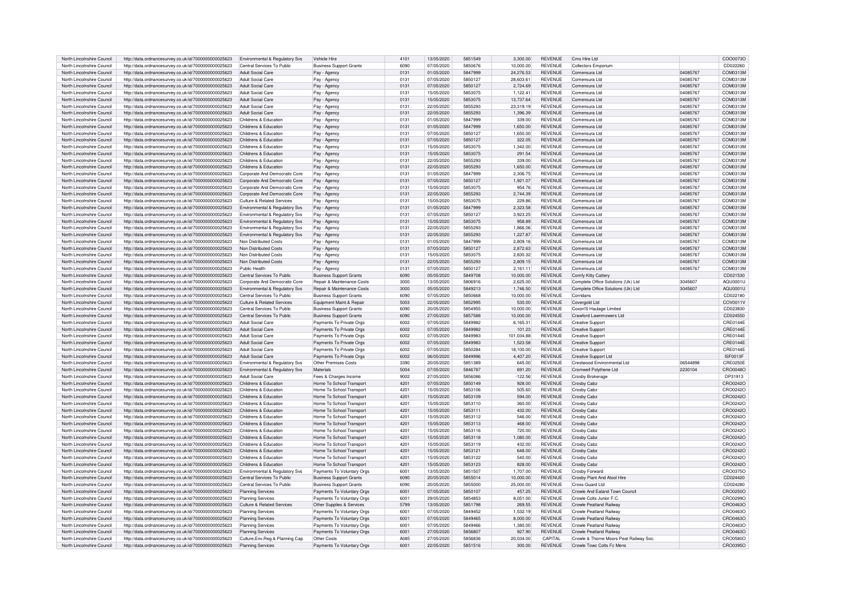|                                                          | http://data.ordnancesurvey.co.uk/id/7000000000025623                                                         | Environmental & Regulatory Svs                      | Vehicle Hire                              | 4101         | 13/05/2020               | 5851549            | 3.300.00              | <b>REVENUE</b>            | Cms Hire Ltd                                                         |          | COO0073C             |
|----------------------------------------------------------|--------------------------------------------------------------------------------------------------------------|-----------------------------------------------------|-------------------------------------------|--------------|--------------------------|--------------------|-----------------------|---------------------------|----------------------------------------------------------------------|----------|----------------------|
| North Lincolnshire Council                               | http://data.ordnancesurvey.co.uk/id/7000000000025623                                                         | Central Services To Public                          | <b>Business Support Grants</b>            | 6090         | 07/05/2020               | 5850676            | 10.000.00             | <b>REVENUE</b>            | <b>Collectors Emporium</b>                                           |          | CD022260             |
| North Lincolnshire Council                               | http://data.ordnancesurvey.co.uk/id/7000000000025623                                                         | Adult Social Care                                   | Pay - Agency                              | 0131         | 01/05/2020               | 5847999            | 24,276.53             | <b>REVENUE</b>            | Comensura Ltd                                                        | 04085767 | COM0313M             |
| North Lincolnshire Council                               | http://data.ordnancesurvey.co.uk/id/7000000000025623                                                         | Adult Social Care                                   | Pay - Agency                              | 0131         | 07/05/2020               | 5850127            | 28,603.61             | <b>REVENUE</b>            | Comensura Ltd                                                        | 04085767 | COM0313M             |
| North Lincolnshire Council                               |                                                                                                              | Adult Social Care                                   |                                           | 0131         | 07/05/2020               | 5850127            | 2.724.69              | <b>REVENUE</b>            | Comensura Ltd                                                        | 04085767 |                      |
|                                                          | http://data.ordnancesurvey.co.uk/id/7000000000025623                                                         |                                                     | Pay - Agency                              |              |                          |                    |                       |                           |                                                                      |          | COM0313M             |
| North Lincolnshire Council                               | http://data.ordnancesurvey.co.uk/id/7000000000025623                                                         | Adult Social Care                                   | Pay - Agency                              | 013          | 15/05/2020               | 5853075            | 1,122.41              | <b>REVENUE</b>            | Comensura Ltd                                                        | 04085767 | COM0313M             |
| North Lincolnshire Council                               | http://data.ordnancesurvey.co.uk/id/7000000000025623                                                         | Adult Social Care                                   | Pay - Agency                              | 0131         | 15/05/2020               | 5853075            | 13,737.64             | <b>REVENUE</b>            | Comensura Ltd                                                        | 04085767 | COM0313M             |
| North Lincolnshire Council                               | http://data.ordnancesurvey.co.uk/id/7000000000025623                                                         | Adult Social Care                                   | Pay - Agency                              | 0131         | 22/05/2020               | 5855293            | 23.319.19             | <b>REVENUE</b>            | Comensura Ltd                                                        | 04085767 | COM0313M             |
| North Lincolnshire Council                               | http://data.ordnancesurvey.co.uk/id/7000000000025623                                                         | Adult Social Care                                   | Pay - Agency                              | 0131         | 22/05/2020               | 5855293            | 1.396.39              | <b>REVENUE</b>            | Comensura Ltd                                                        | 04085767 | COM0313M             |
| North Lincolnshire Council                               | http://data.ordnancesurvey.co.uk/id/7000000000025623                                                         | Childrens & Education                               | Pay - Agency                              | 0131         | 01/05/2020               | 5847999            | 339.00                | <b>REVENUE</b>            | Comensura Ltd                                                        | 04085767 | COM0313M             |
| North Lincolnshire Council                               | http://data.ordnancesurvey.co.uk/id/7000000000025623                                                         | Childrens & Education                               | Pay - Agency                              | 0131         | 01/05/2020               | 5847999            | 1.650.00              | <b>REVENUE</b>            | Comensura Ltd                                                        | 04085767 | COM0313M             |
| North Lincolnshire Council                               | http://data.ordnancesurvey.co.uk/id/7000000000025623                                                         | Childrens & Education                               | Pay - Agency                              | 0131         | 07/05/2020               | 5850127            | 1,650.00              | <b>REVENUE</b>            | Comensura Ltd                                                        | 04085767 | COM0313M             |
| North Lincolnshire Council                               | http://data.ordnancesurvey.co.uk/id/7000000000025623                                                         | Childrens & Education                               | Pay - Agency                              | 0131         | 07/05/2020               | 5850127            | 322.05                | <b>REVENUE</b>            | Comensura Ltd                                                        | 04085767 | COM0313M             |
| North Lincolnshire Council                               | http://data.ordnancesurvey.co.uk/id/7000000000025623                                                         | Childrens & Education                               | Pay - Agency                              | 0131         | 15/05/2020               | 5853075            | 1,342.00              | <b>REVENUE</b>            | Comensura Ltd                                                        | 04085767 | COM0313M             |
| North Lincolnshire Council                               | http://data.ordnancesurvey.co.uk/id/7000000000025623                                                         | Childrens & Education                               | Pay - Agency                              | 0131         | 15/05/2020               | 5853075            | 291.54                | <b>REVENUE</b>            | Comensura Ltd                                                        | 04085767 | COM0313M             |
| North Lincolnshire Council                               | http://data.ordnancesurvey.co.uk/id/7000000000025623                                                         | Childrens & Education                               | Pay - Agency                              | 0131         | 22/05/2020               | 5855293            | 339.00                | <b>REVENUE</b>            | Comensura Ltd                                                        | 04085767 | COM0313M             |
| North Lincolnshire Council                               | http://data.ordnancesurvey.co.uk/id/7000000000025623                                                         | Childrens & Education                               | Pav - Agency                              | 0131         | 22/05/2020               | 5855293            | 1,650.00              | <b>REVENUE</b>            | Comensura Ltd                                                        | 04085767 | COM0313M             |
|                                                          |                                                                                                              |                                                     |                                           |              |                          |                    |                       |                           |                                                                      |          |                      |
| North Lincolnshire Council                               | http://data.ordnancesurvey.co.uk/id/7000000000025623                                                         | Corporate And Democratic Core                       | Pay - Agency                              | 0131         | 01/05/2020               | 5847999            | 2.306.75              | <b>REVENUE</b>            | Comensura Ltd                                                        | 04085767 | COM0313M             |
| North Lincolnshire Council                               | http://data.ordnancesurvey.co.uk/id/7000000000025623                                                         | Corporate And Democratic Core                       | Pay - Agency                              | 0131         | 07/05/2020               | 5850127            | 1.921.07              | <b>REVENUE</b>            | Comensura Ltd                                                        | 04085767 | COM0313M             |
| North Lincolnshire Council                               | http://data.ordnancesurvey.co.uk/id/7000000000025623                                                         | Corporate And Democratic Core                       | Pay - Agency                              | 0131         | 15/05/2020               | 5853075            | 954.76                | <b>REVENUE</b>            | Comensura Ltd                                                        | 04085767 | COM0313M             |
| North Lincolnshire Council                               | http://data.ordnancesurvey.co.uk/id/7000000000025623                                                         | Corporate And Democratic Core                       | Pay - Agency                              | 0131         | 22/05/2020               | 5855293            | 2.744.39              | REVENUE                   | Comensura Ltd                                                        | 04085767 | COM0313M             |
| North Lincolnshire Council                               | http://data.ordnancesurvey.co.uk/id/7000000000025623                                                         | Culture & Related Services                          | Pay - Agency                              | 0131         | 15/05/2020               | 5853075            | 229.86                | <b>REVENUE</b>            | Comensura Ltd                                                        | 04085767 | COM0313M             |
| North Lincolnshire Council                               | http://data.ordnancesurvey.co.uk/id/7000000000025623                                                         | Environmental & Regulatory Svs                      | Pay - Agency                              | 0131         | 01/05/2020               | 5847999            | 2,323.58              | REVENUE                   | Comensura Ltd                                                        | 04085767 | COM0313M             |
| North Lincolnshire Council                               | http://data.ordnancesurvey.co.uk/id/7000000000025623                                                         | Environmental & Regulatory Svs                      | Pay - Agency                              | 0131         | 07/05/2020               | 5850127            | 3,923.25              | REVENUE                   | Comensura Ltd                                                        | 04085767 | COM0313M             |
| North Lincolnshire Council                               | http://data.ordnancesurvey.co.uk/id/7000000000025623                                                         | Environmental & Regulatory Svs                      | Pay - Agency                              | 0131         | 15/05/2020               | 5853075            | 958.89                | REVENUE                   | Comensura Ltd                                                        | 04085767 | COM0313M             |
| North Lincolnshire Council                               | http://data.ordnancesurvey.co.uk/id/7000000000025623                                                         | Environmental & Regulatory Svs                      | Pay - Agency                              | 0131         | 22/05/2020               | 5855293            | 1,866.06              | <b>REVENUE</b>            | Comensura Ltd                                                        | 04085767 | COM0313M             |
| North Lincolnshire Council                               | http://data.ordnancesurvey.co.uk/id/7000000000025623                                                         | Environmental & Regulatory Svs                      | Pay - Agency                              | 0131         | 22/05/2020               | 5855293            | 1,227.87              | <b>REVENUE</b>            | Comensura Ltd                                                        | 04085767 | COM0313M             |
| North Lincolnshire Council                               | http://data.ordnancesurvey.co.uk/id/7000000000025623                                                         | Non Distributed Costs                               | Pay - Agency                              | 0131         | 01/05/2020               | 5847999            | 2.809.16              | <b>REVENUE</b>            | Comensura Ltd                                                        | 04085767 | COM0313M             |
| North Lincolnshire Council                               | http://data.ordnancesurvey.co.uk/id/7000000000025623                                                         | Non Distributed Costs                               | Pay - Agency                              | 0131         | 07/05/2020               | 5850127            | 2,872.63              | REVENUE                   | Comensura Ltd                                                        | 04085767 | COM0313M             |
| North Lincolnshire Council                               | http://data.ordnancesurvev.co.uk/id/7000000000025623                                                         | Non Distributed Costs                               | Pay - Agency                              | 0131         | 15/05/2020               | 5853075            | 2,830.32              | <b>REVENUE</b>            | Comensura Ltd                                                        | 04085767 | COM0313M             |
| North Lincolnshire Council                               | http://data.ordnancesurvey.co.uk/id/7000000000025623                                                         | Non Distributed Costs                               | Pay - Agency                              | 0131         | 22/05/2020               | 5855293            | 2,809.15              | <b>REVENUE</b>            | Comensura Ltd                                                        | 04085767 | COM0313M             |
| North Lincolnshire Council                               | http://data.ordnancesurvey.co.uk/id/7000000000025623                                                         | Public Health                                       | Pay - Agency                              | 0131         | 07/05/2020               | 5850127            | 2.161.11              | <b>REVENUE</b>            | Comensura Ltd                                                        | 04085767 | COM0313M             |
|                                                          |                                                                                                              | Central Services To Public                          |                                           | 6090         |                          | 5849708            |                       |                           |                                                                      |          | CD021530             |
| North Lincolnshire Council<br>North Lincolnshire Council | http://data.ordnancesurvey.co.uk/id/7000000000025623                                                         |                                                     | <b>Business Support Grants</b>            | 3000         | 05/05/2020<br>13/05/2020 | 5806916            | 10,000.00<br>2.625.00 | REVENUE<br><b>REVENUE</b> | Comfy Kitty Cattery                                                  | 3045607  | AQU0001L             |
|                                                          | http://data.ordnancesurvey.co.uk/id/7000000000025623                                                         | Corporate And Democratic Core                       | Repair & Maintenance Costs                |              |                          |                    |                       |                           | Complete Office Solutions (Uk) Ltd                                   |          |                      |
| North Lincolnshire Council                               | http://data.ordnancesurvey.co.uk/id/7000000000025623                                                         | Environmental & Regulatory Svs                      | Repair & Maintenance Costs                | 3000         | 05/05/2020               | 5849213            | 1,746.50              | <b>REVENUE</b>            | Complete Office Solutions (Uk) Ltd                                   | 3045607  | AQU0001U             |
| North Lincolnshire Council                               | http://data.ordnancesurvey.co.uk/id/7000000000025623                                                         | Central Services To Public                          | <b>Business Support Grants</b>            | 6090         | 07/05/2020               | 5850668            | 10.000.00             | <b>REVENUE</b>            | Corridans                                                            |          | CD022180             |
| North Lincolnshire Council                               | http://data.ordnancesurvey.co.uk/id/7000000000025623                                                         | Culture & Related Services                          | Equipment Maint.& Repair                  | 5003         | 22/05/2020               | 5852995            | 530.00                | <b>REVENUE</b>            | Covergold Ltd                                                        |          | COV0011V             |
| North Lincolnshire Council                               | http://data.ordnancesurvey.co.uk/id/7000000000025623                                                         | Central Services To Public                          | <b>Business Support Grants</b>            | 6090         | 20/05/2020               | 5854955            | 10,000.00             | <b>REVENUE</b>            | Coxon'S Haulage Limited                                              |          | CD023830             |
| North Lincolnshire Council                               | http://data.ordnancesurvey.co.uk/id/7000000000025623                                                         | Central Services To Public                          | <b>Business Support Grants</b>            | 6090         | 27/05/2020               | 5857588            | 10,000.00             | <b>REVENUE</b>            | Crawford Lawnmowers Ltd                                              |          | CD024550             |
| North Lincolnshire Council                               | http://data.ordnancesurvey.co.uk/id/7000000000025623                                                         | Adult Social Care                                   | Payments To Private Orgs                  | 6002         | 07/05/2020               | 5849982            | 6.165.31              | <b>REVENUE</b>            | <b>Creative Support</b>                                              |          | <b>CRE0144E</b>      |
| North Lincolnshire Council                               | http://data.ordnancesurvey.co.uk/id/7000000000025623                                                         | Adult Social Care                                   | Payments To Private Orgs                  | 6002         | 07/05/2020               | 5849982            | 101.23                | <b>REVENUE</b>            | <b>Creative Support</b>                                              |          | <b>CRE0144E</b>      |
| North Lincolnshire Council                               | http://data.ordnancesurvey.co.uk/id/7000000000025623                                                         | Adult Social Care                                   | Payments To Private Orgs                  | 6002         | 07/05/2020               | 5849983            | 101,034.88            | <b>REVENUE</b>            | <b>Creative Support</b>                                              |          | CRE0144E             |
| North Lincolnshire Council                               | http://data.ordnancesurvey.co.uk/id/7000000000025623                                                         | Adult Social Care                                   | Payments To Private Orgs                  | 6002         | 07/05/2020               | 5849983            | 1.523.58              | <b>REVENUE</b>            | <b>Creative Support</b>                                              |          |                      |
| North Lincolnshire Council                               | http://data.ordnancesurvey.co.uk/id/7000000000025623                                                         | Adult Social Care                                   |                                           |              |                          |                    |                       |                           |                                                                      |          | CRE0144E             |
| North Lincolnshire Council                               |                                                                                                              |                                                     |                                           | 6002         | 07/05/2020               | 5850284            |                       | <b>REVENUE</b>            |                                                                      |          |                      |
|                                                          |                                                                                                              |                                                     | Payments To Private Orgs                  |              |                          |                    | 18,100.00             |                           | <b>Creative Support</b>                                              |          | CRE0144E             |
|                                                          | http://data.ordnancesurvey.co.uk/id/7000000000025623                                                         | Adult Social Care                                   | Payments To Private Orgs                  | 6002         | 06/05/2020               | 5849996            | 4,407.20              | <b>REVENUE</b>            | Creative Support Ltd                                                 |          | ISF0013F             |
| North Lincolnshire Council                               | http://data.ordnancesurvey.co.uk/id/7000000000025623                                                         | Environmental & Regulatory Svs                      | Other Premises Costs                      | 3390         | 20/05/2020               | 5851389            | 645.00                | <b>REVENUE</b>            | Crestwood Environmental Ltd                                          | 06544898 | CRE0250E             |
| North Lincolnshire Council                               | http://data.ordnancesurvey.co.uk/id/7000000000025623                                                         | <b>Fnvironmental &amp; Requlatory Sys.</b>          | Materials                                 | 5004         | 07/05/2020               | 5846787            | 691.20                | <b>REVENUE</b>            | Cromwell Polythene Ltd                                               | 2230104  | CRO00480             |
| North Lincolnshire Council                               | http://data.ordnancesurvey.co.uk/id/7000000000025623                                                         | <b>Adult Social Care</b>                            | Fees & Charges Income                     | 9002         | 27/05/2020               | 5856086            | $-122.56$             | <b>REVENUE</b>            | Crosby Brokerage                                                     |          | DP31913              |
| North Lincolnshire Council                               | http://data.ordnancesurvey.co.uk/id/7000000000025623                                                         | Childrens & Education                               | Home To School Transport                  | 4201         | 07/05/2020               | 5850149            | 928.00                | <b>REVENUE</b>            | Crosby Cabz                                                          |          | CRO0242C             |
| North Lincolnshire Council                               | http://data.ordnancesurvey.co.uk/id/7000000000025623                                                         | Childrens & Education                               | Home To School Transport                  | 4201         | 15/05/2020               | 5853106            | 505.60                | <b>REVENUE</b>            | Crosby Cabz                                                          |          | CRO0242C             |
| North Lincolnshire Council                               | http://data.ordnancesurvey.co.uk/id/7000000000025623                                                         | Childrens & Education                               | Home To School Transport                  | 4201         | 15/05/2020               | 5853109            | 594.00                | <b>REVENUE</b>            | Crosby Cab                                                           |          | CRO0242C             |
| North Lincolnshire Council                               | http://data.ordnancesurvey.co.uk/id/7000000000025623                                                         | Childrens & Education                               | Home To School Transport                  | 4201         | 15/05/2020               | 5853110            | 360.00                | <b>REVENUE</b>            | Crosby Cabz                                                          |          | CRO02420             |
| North Lincolnshire Council                               | http://data.ordnancesurvey.co.uk/id/7000000000025623                                                         | Childrens & Education                               | Home To School Transport                  | 4201         | 15/05/2020               | 5853111            | 432.00                | <b>REVENUE</b>            | Crosby Cabz                                                          |          | CRO02420             |
| North Lincolnshire Council                               | http://data.ordnancesurvey.co.uk/id/7000000000025623                                                         | Childrens & Education                               | Home To School Transport                  | 4201         | 15/05/2020               | 5853112            | 546.00                | <b>REVENUE</b>            | Crosby Cabz                                                          |          | CRO02420             |
| North Lincolnshire Council                               | http://data.ordnancesurvey.co.uk/id/7000000000025623                                                         | Childrens & Education                               | Home To School Transport                  | 4201         | 15/05/2020               | 5853113            | 468.00                | <b>REVENUE</b>            | <b>Crosby Cabz</b>                                                   |          | CRO0242C             |
| North Lincolnshire Council                               | http://data.ordnancesurvey.co.uk/id/7000000000025623                                                         | Childrens & Education                               | Home To School Transpor                   | 420'         | 15/05/2020               | 5853116            | 720.00                | <b>REVENUE</b>            | Crosby Cab:                                                          |          | CRO02420             |
| North Lincolnshire Council                               | http://data.ordnancesurvey.co.uk/id/7000000000025623                                                         | Childrens & Education                               | Home To School Transport                  | 4201         | 15/05/2020               | 5853118            | 1.080.00              | <b>REVENUE</b>            | Crosby Cabz                                                          |          | CRO02420             |
| North Lincolnshire Council                               | http://data.ordnancesurvey.co.uk/id/7000000000025623                                                         | Childrens & Education                               | Home To School Transport                  | 4201         | 15/05/2020               | 5853119            | 432.00                | <b>REVENUE</b>            | Crosby Cabz                                                          |          | CRO0242C             |
| North Lincolnshire Council                               | http://data.ordnancesurvey.co.uk/id/7000000000025623                                                         | Childrens & Education                               | Home To School Transport                  | 4201         | 15/05/2020               | 5853121            | 648.00                | <b>REVENUE</b>            | Crosby Cabz                                                          |          | CRO0242C             |
| North Lincolnshire Council                               | http://data.ordnancesurvey.co.uk/id/7000000000025623                                                         | Childrens & Education                               | Home To School Transport                  | 4201         | 15/05/2020               | 5853122            | 540.00                | <b>REVENUE</b>            | Croshy Cab:                                                          |          | CRO0242C             |
| North Lincolnshire Council                               | http://data.ordnancesurvey.co.uk/id/7000000000025623                                                         | Childrens & Education                               | Home To School Transport                  | 4201         | 15/05/2020               | 5853123            | 828.00                | <b>REVENUE</b>            | Crosby Cabz                                                          |          | CRO0242C             |
| North Lincolnshire Council                               | http://data.ordnancesurvey.co.uk/id/7000000000025623                                                         | Environmental & Regulatory Sys                      | Payments To Voluntary Orgs                | 6001         | 13/05/2020               | 5851507            | 1,707.00              | <b>REVENUE</b>            | <b>Crosby Forward</b>                                                |          | CRO0375C             |
| North Lincolnshire Council                               | http://data.ordnancesurvey.co.uk/id/7000000000025623                                                         | Central Services To Public                          | <b>Business Support Grants</b>            | 6090         | 20/05/2020               | 5855014            | 10,000.00             | <b>REVENUE</b>            | Crosby Plant And Atool Hire                                          |          | CD024420             |
| North Lincolnshire Council                               | http://data.ordnancesurvey.co.uk/id/7000000000025623                                                         | Central Services To Public                          | <b>Business Support Grants</b>            | 6090         | 20/05/2020               | 5855000            | 25,000.00             | <b>REVENUE</b>            | Cross-Guard Ltd                                                      |          | CD024280             |
|                                                          |                                                                                                              |                                                     |                                           | 6001         |                          | 5850107            |                       | <b>REVENUE</b>            |                                                                      |          |                      |
| North Lincolnshire Council                               | http://data.ordnancesurvey.co.uk/id/7000000000025623                                                         | <b>Planning Services</b>                            | Payments To Voluntary Orgs                |              | 07/05/2020               |                    | 457.25                |                           | Crowle And Ealand Town Council                                       |          | CRO0250C             |
| North Lincolnshire Council                               | http://data.ordnancesurvey.co.uk/id/7000000000025623                                                         | <b>Planning Services</b>                            | Payments To Voluntary Orgs                | 6001         | 29/05/2020               | 5854853            | 8.051.00              | REVENUE                   | Crowle Colts Junior F.C.                                             |          | CRO0299C             |
| North Lincolnshire Council                               | http://data.ordnancesurvey.co.uk/id/7000000000025623                                                         | Culture & Related Services                          | Other Supplies & Services                 | 5799         | 13/05/2020               | 5851798            | 269.55                | REVENUE                   | Crowle Peatland Railway                                              |          | CRO0463O             |
| North Lincolnshire Council                               | http://data.ordnancesurvey.co.uk/id/7000000000025623                                                         | <b>Planning Services</b>                            | Payments To Voluntary Orgs                | 600          | 07/05/2020               | 5849452            | 1,532.19              | <b>REVENUE</b>            | Crowle Peatland Railway                                              |          | CRO0463C             |
| North Lincolnshire Council                               | http://data.ordnancesurvey.co.uk/id/7000000000025623                                                         | <b>Planning Services</b>                            | Payments To Voluntary Orgs                | 600          | 07/05/2020               | 5849465            | 8,000.00              | <b>REVENUE</b>            | Crowle Peatland Railway                                              |          | CRO0463O             |
| North Lincolnshire Council                               | http://data.ordnancesurvey.co.uk/id/7000000000025623                                                         | Planning Services                                   | Payments To Voluntary Orgs                | 6001         | 07/05/2020               | 5849466            | 1.380.00              | <b>REVENUE</b>            | Crowle Peatland Railway                                              |          | CRO0463C             |
| North Lincolnshire Council                               | http://data.ordnancesurvey.co.uk/id/7000000000025623                                                         | <b>Planning Services</b>                            | Payments To Voluntary Orgs                | 6001         | 27/05/2020               | 5856807            | 927.90                | <b>REVENUE</b>            | Crowle Peatland Railway                                              |          | CBO0463C             |
| North Lincolnshire Council<br>North Lincolnshire Council | http://data.ordnancesurvey.co.uk/id/7000000000025623<br>http://data.ordnancesurvey.co.uk/id/7000000000025623 | Culture.Env.Reg & Planning Cap<br>Planning Services | Other Costs<br>Payments To Voluntary Oras | A085<br>6001 | 27/05/2020<br>22/05/2020 | 5856836<br>5851516 | 20.034.00<br>300.00   | CAPITAL<br><b>REVENUE</b> | Crowle & Thorne Moors Peat Railway Soc.<br>Crowle Towc Colts Fc Mens |          | CRO0580O<br>CRO0395O |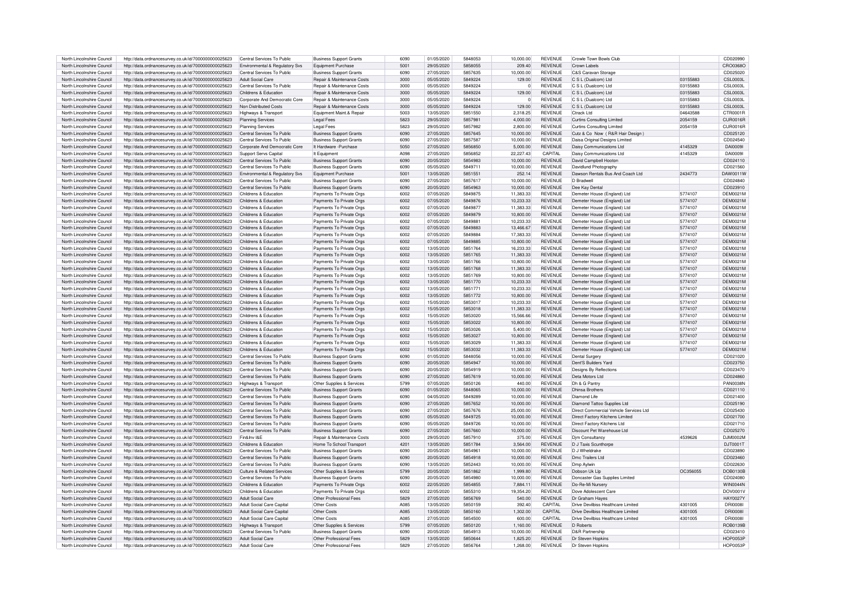| North Lincolnshire Council | http://data.ordnancesurvey.co.uk/id/7000000000025623 | Central Services To Public     | <b>Business Support Grants</b>        | 6090 | 01/05/2020 | 5848053 | 10,000.00      | <b>REVENUE</b> | Crowle Town Bowls Club                 |          | CD020990        |
|----------------------------|------------------------------------------------------|--------------------------------|---------------------------------------|------|------------|---------|----------------|----------------|----------------------------------------|----------|-----------------|
|                            |                                                      |                                |                                       |      |            |         |                |                |                                        |          |                 |
| North Lincolnshire Council | http://data.ordnancesurvey.co.uk/id/7000000000025623 | Environmental & Regulatory Svs | Equipment Purchase                    | 5001 | 29/05/2020 | 5858055 | 209.40         | <b>REVENUE</b> | Crown Labels                           |          | CRO0368C        |
| North Lincolnshire Council | http://data.ordnancesurvey.co.uk/id/7000000000025623 | Central Services To Public     | <b>Business Support Grants</b>        | 6090 | 27/05/2020 | 5857635 | 10.000.00      | <b>REVENUE</b> | C&S Caravan Storage                    |          | CD025020        |
| North Lincolnshire Council | http://data.ordnancesurvey.co.uk/id/7000000000025623 | Adult Social Care              | <b>Benair &amp; Maintenance Costs</b> | 3000 | 05/05/2020 | 5849224 | 129.00         | <b>REVENUE</b> | $C_S$   $(Dualcom)$   td               | 03155883 | <b>CSL0003L</b> |
| North Lincolnshire Council | http://data.ordnancesurvey.co.uk/id/7000000000025623 | Central Services To Public     | Repair & Maintenance Costs            | 3000 | 05/05/2020 | 5849224 | $\overline{0}$ | <b>REVENUE</b> | C S L (Dualcom) Ltd                    | 03155883 | CSI 0003L       |
| North Lincolnshire Council |                                                      | Childrens & Education          |                                       | 3000 | 05/05/2020 | 5849224 |                | <b>REVENUE</b> |                                        | 03155883 | CSI 0003L       |
|                            | http://data.ordnancesurvey.co.uk/id/7000000000025623 |                                | Repair & Maintenance Costs            |      |            |         | 129.00         |                | C S L (Dualcom) Ltd                    |          |                 |
| North Lincolnshire Council | http://data.ordnancesurvey.co.uk/id/7000000000025623 | Corporate And Democratic Core  | Repair & Maintenance Costs            | 3000 | 05/05/2020 | 5849224 | $\mathbf 0$    | <b>REVENUE</b> | C S L (Dualcom) Ltd                    | 03155883 | CSL0003L        |
| North Lincolnshire Council | http://data.ordnancesurvey.co.uk/id/7000000000025623 | Non Distributed Costs          | Repair & Maintenance Costs            | 3000 | 05/05/2020 | 5849224 | 129.00         | REVENUE        | C S L (Dualcom) Ltd                    | 03155883 | CSI 0003L       |
| North Lincolnshire Council | http://data.ordnancesurvey.co.uk/id/7000000000025623 | Highways & Transport           | Equipment Maint.& Repair              | 5003 | 13/05/2020 | 5851550 | 2,318.25       | <b>REVENUE</b> | <b>Ctrack Ltd</b>                      | 04643588 | CTR0001R        |
|                            |                                                      |                                |                                       |      |            |         |                |                |                                        |          |                 |
| North Lincolnshire Council | http://data.ordnancesurvey.co.uk/id/7000000000025623 | <b>Planning Services</b>       | Legal Fees                            | 5823 | 29/05/2020 | 5857981 | 4,000.00       | <b>REVENUE</b> | <b>Curtins Consulting Limited</b>      | 2054159  | CUR0016R        |
| North Lincolnshire Council | http://data.ordnancesurvey.co.uk/id/7000000000025623 | Planning Services              | Legal Fees                            | 5823 | 29/05/2020 | 5857982 | 2,800.00       | <b>REVENUE</b> | <b>Curtins Consulting Limited</b>      | 2054159  | CUR0016R        |
| North Lincolnshire Council | http://data.ordnancesurvey.co.uk/id/7000000000025623 | Central Services To Public     | <b>Business Support Grants</b>        | 6090 | 27/05/2020 | 5857645 | 10.000.00      | <b>REVENUE</b> | Cutz & Co Now (R&R Hair Design)        |          | CD025120        |
| North Lincolnshire Council | http://data.ordnancesurvey.co.uk/id/7000000000025623 | Central Services To Public     | <b>Business Support Grants</b>        | 6090 | 27/05/2020 | 5857587 | 10,000.00      | REVENUE        | Daisa Original Designs Limited         |          | CD024540        |
| North Lincolnshire Council | http://data.ordnancesurvey.co.uk/id/7000000000025623 | Corporate And Democratic Core  | It Hardware - Purchase                | 5050 | 27/05/2020 | 5856850 | 5,000.00       | REVENUE        | Daisy Communications Ltd               | 4145329  | DAI00091        |
|                            |                                                      |                                |                                       |      |            |         |                |                |                                        |          |                 |
| North Lincolnshire Council | http://data.ordnancesurvey.co.uk/id/7000000000025623 | Support Servs Capital          | It Fauinment                          | A098 | 27/05/2020 | 5856852 | 22.227.43      | CAPITAL        | Daisy Communications Ltd               | 4145329  | <b>DAI00091</b> |
| North Lincolnshire Council | http://data.ordnancesurvey.co.uk/id/7000000000025623 | Central Services To Public     | <b>Business Support Grants</b>        | 6090 | 20/05/2020 | 5854983 | 10.000.00      | <b>REVENUE</b> | David Campbell Hooton                  |          | CD024110        |
| North Lincolnshire Council | http://data.ordnancesurvey.co.uk/id/7000000000025623 | Central Services To Public     | <b>Business Support Grants</b>        | 6090 | 05/05/2020 | 5849711 | 10,000.00      | <b>REVENUE</b> | Davidlund Photography                  |          | CD021560        |
| North Lincolnshire Council | http://data.ordnancesurvey.co.uk/id/7000000000025623 | Environmental & Regulatory Svs | Equipment Purchase                    | 5001 | 13/05/2020 | 5851551 | 252.14         | <b>REVENUE</b> | Dawson Rentals Bus And Coach Ltd       | 2434773  | DAW0011W        |
|                            |                                                      |                                |                                       |      |            |         |                |                |                                        |          |                 |
| North Lincolnshire Council | http://data.ordnancesurvey.co.uk/id/7000000000025623 | Central Services To Public     | <b>Business Support Grants</b>        | 6090 | 27/05/2020 | 5857617 | 10,000.00      | <b>REVENUE</b> | D Bradwell                             |          | CD024840        |
| North Lincolnshire Council | http://data.ordnancesurvey.co.uk/id/7000000000025623 | Central Services To Public     | <b>Business Support Grants</b>        | 6090 | 20/05/2020 | 5854963 | 10,000.00      | REVENUE        | Dee Kay Dental                         |          | CD023910        |
| North Lincolnshire Council | http://data.ordnancesurvey.co.uk/id/7000000000025623 | Childrens & Education          | Payments To Private Orgs              | 6002 | 07/05/2020 | 5849875 | 11.383.33      | <b>REVENUE</b> | Demeter House (England) Ltd            | 5774107  | <b>DEM0021M</b> |
| North Lincolnshire Council | http://data.ordnancesurvey.co.uk/id/7000000000025623 | Childrens & Education          | Payments To Private Orgs              | 6002 | 07/05/2020 | 5849876 | 10.233.33      | REVENUE        | Demeter House (England) Ltd            | 5774107  | <b>DEM0021M</b> |
|                            |                                                      |                                |                                       |      |            |         |                |                |                                        |          |                 |
| North Lincolnshire Council | http://data.ordnancesurvey.co.uk/id/7000000000025623 | Childrens & Education          | Payments To Private Orgs              | 6002 | 07/05/2020 | 5849877 | 11,383.33      | <b>REVENUE</b> | Demeter House (England) Ltd            | 5774107  | <b>DEM0021M</b> |
| North Lincolnshire Council | http://data.ordnancesurvey.co.uk/id/7000000000025623 | Childrens & Education          | Payments To Private Orgs              | 6002 | 07/05/2020 | 5849879 | 10,800.00      | <b>REVENUE</b> | Demeter House (England) Ltd            | 5774107  | DEM0021M        |
| North Lincolnshire Council | http://data.ordnancesurvey.co.uk/id/7000000000025623 | Childrens & Education          | Payments To Private Oras              | 6002 | 07/05/2020 | 5849881 | 10,233.33      | REVENUE        | Demeter House (England) Ltd            | 5774107  | <b>DEM0021M</b> |
| North Lincolnshire Council | http://data.ordnancesurvev.co.uk/id/7000000000025623 | Childrens & Education          | Payments To Private Oras              | 6002 | 07/05/2020 | 5849883 | 13,466.67      | <b>REVENUE</b> | Demeter House (England) Ltd            | 5774107  | <b>DEM0021M</b> |
| North Lincolnshire Council |                                                      |                                |                                       | 6002 | 07/05/2020 | 5849884 | 17.383.33      | <b>REVENUE</b> |                                        |          | <b>DEM0021M</b> |
|                            | http://data.ordnancesurvev.co.uk/id/7000000000025623 | Childrens & Education          | Payments To Private Orgs              |      |            |         |                |                | Demeter House (England) Ltd            | 5774107  |                 |
| North Lincolnshire Council | http://data.ordnancesurvey.co.uk/id/7000000000025623 | Childrens & Education          | Payments To Private Orgs              | 6002 | 07/05/2020 | 5849885 | 10.800.00      | <b>REVENUE</b> | Demeter House (England) Ltd            | 5774107  | <b>DEM0021M</b> |
| North Lincolnshire Council | http://data.ordnancesurvey.co.uk/id/7000000000025623 | Childrens & Education          | Payments To Private Orgs              | 6002 | 13/05/2020 | 5851764 | 16.233.33      | <b>REVENUE</b> | Demeter House (England) Ltd            | 5774107  | DEM0021M        |
| North Lincolnshire Council | http://data.ordnancesurvey.co.uk/id/7000000000025623 | Childrens & Education          | Payments To Private Orgs              | 6002 | 13/05/2020 | 5851765 | 11.383.33      | <b>REVENUE</b> | Demeter House (England) Ltd            | 5774107  | DEM0021M        |
| North Lincolnshire Council | http://data.ordnancesurvey.co.uk/id/7000000000025623 | Childrens & Education          | Payments To Private Orgs              | 6002 | 13/05/2020 | 5851766 | 10,800.00      | <b>REVENUE</b> |                                        | 5774107  | <b>DEM0021M</b> |
|                            |                                                      |                                |                                       |      |            |         |                |                | Demeter House (England) Ltd            |          |                 |
| North Lincolnshire Council | http://data.ordnancesurvey.co.uk/id/7000000000025623 | Childrens & Education          | Payments To Private Orgs              | 6002 | 13/05/2020 | 5851768 | 11,383.33      | <b>REVENUE</b> | Demeter House (England) Ltd            | 5774107  | DEM0021M        |
| North Lincolnshire Council | http://data.ordnancesurvey.co.uk/id/7000000000025623 | Childrens & Education          | Payments To Private Orgs              | 6002 | 13/05/2020 | 5851769 | 10.800.00      | <b>REVENUE</b> | Demeter House (England) Ltd            | 5774107  | DEM0021M        |
| North Lincolnshire Council | http://data.ordnancesurvey.co.uk/id/7000000000025623 | Childrens & Education          | Payments To Private Oras              | 6002 | 13/05/2020 | 5851770 | 10.233.33      | <b>REVENUE</b> | Demeter House (England) Ltd            | 5774107  | <b>DEM0021M</b> |
| North Lincolnshire Council | http://data.ordnancesurvey.co.uk/id/7000000000025623 | Childrens & Education          | Payments To Private Orgs              | 6002 | 13/05/2020 | 5851771 | 10,233.33      | <b>REVENUE</b> | Demeter House (England) Ltd            | 5774107  | DEM0021M        |
|                            |                                                      |                                |                                       |      |            |         |                |                |                                        |          |                 |
| North Lincolnshire Council | http://data.ordnancesurvey.co.uk/id/7000000000025623 | Childrens & Education          | Payments To Private Oras              | 6002 | 13/05/2020 | 5851772 | 10,800.00      | <b>REVENUE</b> | Demeter House (Fngland) Ltd            | 5774107  | <b>DEM0021M</b> |
| North Lincolnshire Council | http://data.ordnancesurvey.co.uk/id/7000000000025623 | Childrens & Education          | Payments To Private Orgs              | 6002 | 15/05/2020 | 5853017 | 10.233.33      | <b>REVENUE</b> | Demeter House (England) Ltd            | 5774107  | <b>DEM0021M</b> |
| North Lincolnshire Council | http://data.ordnancesurvey.co.uk/id/7000000000025623 | Childrens & Education          | Payments To Private Orgs              | 6002 | 15/05/2020 | 5853018 | 11,383.33      | <b>REVENUE</b> | Demeter House (England) Ltd            | 5774107  | DEM0021M        |
| North Lincolnshire Council | http://data.ordnancesurvey.co.uk/id/7000000000025623 | Childrens & Education          | Payments To Private Orgs              | 6002 | 15/05/2020 | 5853020 | 15.566.66      | <b>REVENUE</b> | Demeter House (England) Ltd            | 5774107  | <b>DEM0021M</b> |
|                            |                                                      | Childrens & Education          |                                       | 6002 |            | 5853022 |                | <b>REVENUE</b> |                                        |          | <b>DEM0021M</b> |
| North Lincolnshire Council | http://data.ordnancesurvey.co.uk/id/7000000000025623 |                                | Payments To Private Orgs              |      | 15/05/2020 |         | 10,800.00      |                | Demeter House (England) Ltd            | 5774107  |                 |
| North Lincolnshire Council | http://data.ordnancesurvey.co.uk/id/7000000000025623 | Childrens & Education          | Payments To Private Orgs              | 6002 | 15/05/2020 | 5853026 | 5.400.00       | <b>REVENUE</b> | Demeter House (England) Ltd            | 5774107  | DEM0021M        |
| North Lincolnshire Council | http://data.ordnancesurvey.co.uk/id/7000000000025623 | Childrens & Education          | Payments To Private Orgs              | 6002 | 15/05/2020 | 5853027 | 10,800.00      | <b>REVENUE</b> | Demeter House (England) Ltd            | 5774107  | <b>DEM0021N</b> |
| North Lincolnshire Council | http://data.ordnancesurvey.co.uk/id/7000000000025623 | Childrens & Education          | Payments To Private Orgs              | 6002 | 15/05/2020 | 5853029 | 11,383.33      | <b>REVENUE</b> | Demeter House (England) Ltd            | 5774107  | <b>DEM0021M</b> |
| North Lincolnshire Council | http://data.ordnancesurvey.co.uk/id/7000000000025623 | Childrens & Education          | Payments To Private Orgs              | 6002 | 15/05/2020 | 5853032 | 11,383.33      | <b>REVENUE</b> | Demeter House (England) Ltd            | 5774107  | <b>DEM0021M</b> |
|                            |                                                      |                                |                                       |      |            |         |                |                |                                        |          |                 |
| North Lincolnshire Council | http://data.ordnancesurvey.co.uk/id/7000000000025623 | Central Services To Public     | <b>Business Support Grants</b>        | 6090 | 01/05/2020 | 5848056 | 10,000.00      | <b>REVENUE</b> | <b>Dental Surgery</b>                  |          | CD021020        |
| North Lincolnshire Council | http://data.ordnancesurvey.co.uk/id/7000000000025623 | Central Services To Public     | <b>Business Support Grants</b>        | 6090 | 20/05/2020 | 5854947 | 10,000.00      | <b>REVENUE</b> | Dent'S Builders Yard                   |          | CD023750        |
| North Lincolnshire Council | http://data.ordnancesurvey.co.uk/id/7000000000025623 | Central Services To Public     | <b>Business Support Grants</b>        | 6090 | 20/05/2020 | 5854919 | 10,000.00      | <b>REVENUE</b> | <b>Designs By Reflections</b>          |          | CD023470        |
| North Lincolnshire Council | http://data.ordnancesurvey.co.uk/id/7000000000025623 | Central Services To Public     | <b>Business Support Grants</b>        | 6090 | 27/05/2020 | 5857619 | 10.000.00      | <b>REVENUE</b> | Deta Motors Ltd                        |          | CD024860        |
|                            |                                                      |                                |                                       |      |            |         |                | <b>REVENUE</b> |                                        |          | <b>PAN0038N</b> |
| North Lincolnshire Council | http://data.ordnancesurvey.co.uk/id/7000000000025623 | Highways & Transport           | Other Supplies & Services             | 5799 | 07/05/2020 | 5850126 | 440.00         |                | Dh & G Pantry                          |          |                 |
| North Lincolnshire Council | http://data.ordnancesurvey.co.uk/id/7000000000025623 | Central Services To Public     | <b>Business Support Grants</b>        | 6090 | 01/05/2020 | 5848065 | 10,000.00      | REVENUE        | <b>Dhinsa Brothers</b>                 |          | CD021110        |
| North Lincolnshire Council | http://data.ordnancesurvey.co.uk/id/7000000000025623 | Central Services To Public     | <b>Business Support Grants</b>        | 6090 | 04/05/2020 | 5849289 | 10.000.00      | <b>REVENUE</b> | Diamond Life                           |          | CD021400        |
| North Lincolnshire Council | http://data.ordnancesurvey.co.uk/id/7000000000025623 | Central Services To Public     | <b>Business Support Grants</b>        | 6090 | 27/05/2020 | 5857652 | 10.000.00      | <b>REVENUE</b> | Diamond Tattoo Supplies Ltd            |          | CD025190        |
| North Lincolnshire Council | http://data.ordnancesurvey.co.uk/id/7000000000025623 | Central Services To Public     | <b>Business Support Grants</b>        | 6090 | 27/05/2020 | 5857676 | 25,000.00      | <b>REVENUE</b> | Direct Commercial Vehicle Services Ltd |          | CD025430        |
|                            |                                                      |                                |                                       |      |            |         |                |                |                                        |          |                 |
| North Lincolnshire Council | http://data.ordnancesurvey.co.uk/id/7000000000025623 | Central Services To Public     | <b>Business Support Grants</b>        | 6090 | 05/05/2020 | 5849725 | 10,000.00      | REVENUE        | Direct Factory Kitchens Limited        |          | CD021700        |
| North Lincolnshire Council | http://data.ordnancesurvey.co.uk/id/7000000000025623 | Central Services To Public     | <b>Business Support Grants</b>        | 6090 | 05/05/2020 | 5849726 | 10.000.00      | <b>REVENUE</b> | Direct Factory Kitchens Ltd            |          | CD021710        |
| North Lincolnshire Council | http://data.ordnancesurvey.co.uk/id/7000000000025623 | Central Services To Public     | <b>Business Support Grants</b>        | 6090 | 27/05/2020 | 5857660 | 10,000.00      | <b>REVENUE</b> | Discount Pet Warehouse Ltd             |          | CD025270        |
| North Lincolnshire Council | http://data.ordnancesurvey.co.uk/id/7000000000025623 | Fin&Inv I&F                    | Repair & Maintenance Costs            | 3000 | 29/05/2020 | 5857910 | 375.00         | <b>REVENUE</b> | Dim Consultancy                        | 4539626  | D.IM0002N       |
|                            |                                                      |                                |                                       |      |            |         |                |                |                                        |          |                 |
| North Lincolnshire Council | http://data.ordnancesurvey.co.uk/id/7000000000025623 | Childrens & Education          | Home To School Transport              | 4201 | 13/05/2020 | 5851784 | 3,564.00       | REVENUE        | D J Taxis Scunthorpe                   |          | DJT0001T        |
| North Lincolnshire Council | http://data.ordnancesurvey.co.uk/id/7000000000025623 | Central Services To Public     | <b>Business Support Grants</b>        | 6090 | 20/05/2020 | 5854961 | 10,000.00      | <b>REVENUE</b> | D.J Wheldrake                          |          | CD023890        |
| North Lincolnshire Council | http://data.ordnancesurvey.co.uk/id/7000000000025623 | Central Services To Public     | <b>Business Support Grants</b>        | 6090 | 20/05/2020 | 5854918 | 10.000.00      | <b>REVENUE</b> | Dmc Trailers Ltd                       |          | CD023460        |
| North Lincolnshire Council | http://data.ordnancesurvey.co.uk/id/7000000000025623 | Central Services To Public     | <b>Business Support Grants</b>        | 6090 | 13/05/2020 | 5852443 | 10.000.00      | <b>REVENUE</b> | Dmp Aylwin                             |          | CD022630        |
|                            |                                                      |                                |                                       |      | 20/05/2020 | 5851862 |                |                |                                        |          |                 |
| North Lincolnshire Council | http://data.ordnancesurvey.co.uk/id/7000000000025623 | Culture & Related Services     | Other Supplies & Services             | 5799 |            |         | 1.999.80       | <b>REVENUE</b> | Dobson Uk Lin                          | OC356055 | <b>DOB0130B</b> |
| North Lincolnshire Council | http://data.ordnancesurvey.co.uk/id/7000000000025623 | Central Services To Public     | <b>Business Support Grants</b>        | 6090 | 20/05/2020 | 5854980 | 10.000.00      | <b>REVENUE</b> | Doncaster Gas Supplies Limited         |          | CD024080        |
| North Lincolnshire Council | http://data.ordnancesurvey.co.uk/id/7000000000025623 | Childrens & Education          | Payments To Private Orgs              | 6002 | 22/05/2020 | 5854855 | 7.884.11       | <b>REVENUE</b> | Do-Re-Mi Nursery                       |          | <b>WIN0044N</b> |
| North Lincolnshire Council | http://data.ordnancesurvey.co.uk/id/7000000000025623 | Childrens & Education          | Payments To Private Orgs              | 6002 | 22/05/2020 | 5855310 | 19,354.20      | REVENUE        | Dove Adolescent Care                   |          | DOV0001V        |
| North Lincolnshire Council |                                                      | Adult Social Care              | Other Professional Fees               | 5829 | 27/05/2020 | 5856769 | 540.00         | <b>REVENUE</b> | Dr Graham Haves                        |          | <b>HAY0027Y</b> |
|                            | http://data.ordnancesurvey.co.uk/id/7000000000025623 |                                |                                       |      |            |         |                |                |                                        |          |                 |
| North Lincolnshire Council | http://data.ordnancesurvey.co.uk/id/7000000000025623 | Adult Social Care Capita       | Other Costs                           | A085 | 13/05/2020 | 5850159 | 392.40         | <b>CAPITAL</b> | Drive Devilbiss Healthcare Limited     | 4301005  | <b>DRI0008</b>  |
| North Lincolnshire Council | http://data.ordnancesurvey.co.uk/id/7000000000025623 | Adult Social Care Capital      | Other Costs                           | A085 | 13/05/2020 | 5850160 | 1,302.00       | CAPITAL        | Drive Devilbiss Healthcare Limited     | 4301005  | <b>DRI0008I</b> |
| North Lincolnshire Council | http://data.ordnancesurvey.co.uk/id/7000000000025623 | Adult Social Care Capital      | Other Costs                           | A085 | 27/05/2020 | 5854500 | 600.00         | CAPITAL        | Drive Devilbiss Healthcare Limited     | 4301005  | <b>DRI0008I</b> |
| North Lincolnshire Council | http://data.ordnancesurvey.co.uk/id/7000000000025623 | Highways & Transport           | Other Supplies & Services             | 5799 | 07/05/2020 | 5850120 | 1.160.00       | <b>REVENUE</b> | D Roberts                              |          | <b>ROB0139B</b> |
|                            |                                                      |                                |                                       |      |            |         |                |                |                                        |          |                 |
| North Lincolnshire Council | http://data.ordnancesurvev.co.uk/id/7000000000025623 | Central Services To Public     | <b>Business Support Grants</b>        | 6090 | 20/05/2020 | 5854913 | 10.000.00      | <b>REVENUE</b> | <b>D&amp;R Partnership</b>             |          | CD023410        |
| North Lincolnshire Council | http://data.ordnancesurvey.co.uk/id/7000000000025623 | Adult Social Care              | Other Professional Fees               | 5829 | 13/05/2020 | 5850644 | 1,825.20       | <b>REVENUE</b> | Dr Steven Hopkins                      |          | <b>HOP0053P</b> |
| North Lincolnshire Council | http://data.ordnancesurvey.co.uk/id/7000000000025623 | Adult Social Care              | Other Professional Fees               | 5829 | 27/05/2020 | 5856764 | 1.268.00       | <b>REVENUE</b> | Dr Steven Honkins                      |          | <b>HOP0053P</b> |
|                            |                                                      |                                |                                       |      |            |         |                |                |                                        |          |                 |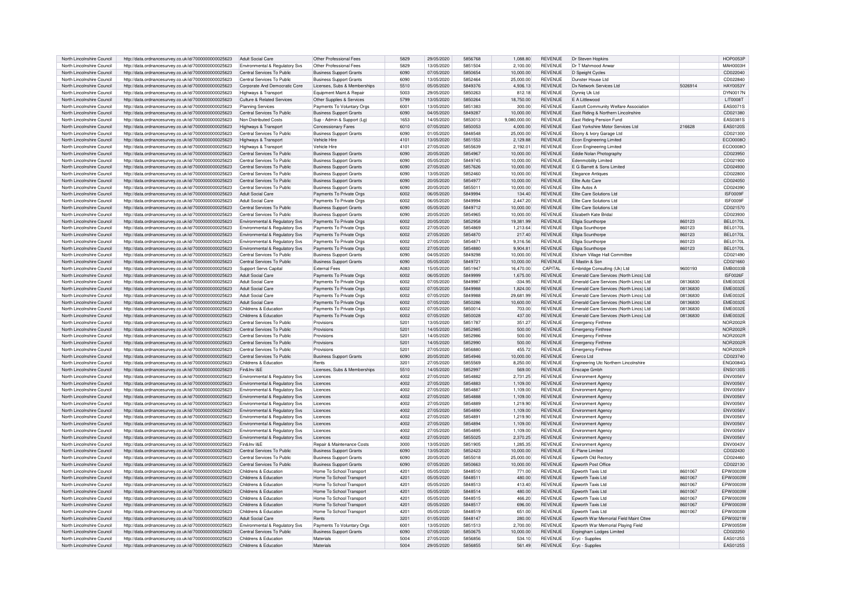| North Lincolnshire Council                               | http://data.ordnancesurvey.co.uk/id/7000000000025623                                                         | Adult Social Care                                        | Other Professional Fees                                    | 5829          | 29/05/2020               | 5856768            | 1,088.80           | <b>REVENUE</b>                   | Dr Steven Hopkins                                    |          | <b>HOP0053P</b>      |
|----------------------------------------------------------|--------------------------------------------------------------------------------------------------------------|----------------------------------------------------------|------------------------------------------------------------|---------------|--------------------------|--------------------|--------------------|----------------------------------|------------------------------------------------------|----------|----------------------|
| North Lincolnshire Council                               | http://data.ordnancesurvey.co.uk/id/7000000000025623                                                         | Environmental & Regulatory Svs                           | Other Professional Fees                                    | 5829          | 13/05/2020               | 5851504            | 2,100.00           | <b>REVENUE</b>                   | Dr T Mahmood Anwa                                    |          | <b>MAH0003H</b>      |
| North Lincolnshire Council                               | http://data.ordnancesurvey.co.uk/id/7000000000025623                                                         | Central Services To Public                               | <b>Business Support Grants</b>                             | 6090          | 07/05/2020               | 5850654            | 10.000.00          | <b>REVENUE</b>                   | D Speight Cycles                                     |          | CD022040             |
| North Lincolnshire Council                               | http://data.ordnancesurvey.co.uk/id/7000000000025623                                                         | Central Services To Public                               | <b>Business Support Grants</b>                             | 6090          | 13/05/2020               | 5852464            | 25,000.00          | <b>REVENUE</b>                   | Dunster House Ltd                                    |          | CD022840             |
| North Lincolnshire Council                               | http://data.ordnancesurvey.co.uk/id/7000000000025623                                                         | Corporate And Democratic Core                            | Licenses, Subs & Memberships                               | 5510          | 05/05/2020               | 5849376            | 4,936.13           | <b>REVENUE</b>                   | Dx Network Services Ltd                              | 5026914  | <b>HAY0053Y</b>      |
| North Lincolnshire Council                               | http://data.ordnancesurvey.co.uk/id/7000000000025623                                                         | Highways & Transport                                     | Equipment Maint.& Repair                                   | 5003          | 29/05/2020               | 5850263            | 812.18             | <b>REVENUE</b>                   | Dynnig Uk Ltd                                        |          | DYN0017N             |
| North Lincolnshire Council                               | http://data.ordnancesurvey.co.uk/id/7000000000025623                                                         | Culture & Related Services                               | Other Supplies & Services                                  | 5799          | 13/05/2020               | 5850264            | 18,750.00          | <b>REVENUE</b>                   | F A Littlewood                                       |          | LIT0008T             |
| North Lincolnshire Council                               | http://data.ordnancesurvey.co.uk/id/7000000000025623                                                         | <b>Planning Services</b>                                 | Payments To Voluntary Orgs                                 | 6001          | 13/05/2020               | 5851383            | 300.00             | <b>REVENUE</b>                   | Eastoft Community Welfare Association                |          | EAS0071S             |
| North Lincolnshire Council                               | http://data.ordnancesurvey.co.uk/id/7000000000025623                                                         | Central Services To Public                               | <b>Business Support Grants</b>                             | 6090          | 04/05/2020               | 5849287            | 10,000.00          | <b>REVENUE</b>                   | East Riding & Northern Lincolnshire                  |          | CD021380             |
| North Lincolnshire Council                               | http://data.ordnancesurvey.co.uk/id/7000000000025623                                                         | Non Distributed Costs                                    | Sup - Admin & Support (Lg)                                 | 1653          | 14/05/2020               | 5853013            | 9,080,000.00       | REVENUE                          | East Riding Pension Fund                             |          | EAS0381S             |
| North Lincolnshire Council                               | http://data.ordnancesurvey.co.uk/id/7000000000025623                                                         | Highways & Transport                                     | <b>Concessionary Fares</b>                                 | 6010          | 07/05/2020               | 5850053            | 4,000.00           | <b>REVENUE</b>                   | East Yorkshire Motor Services Ltd                    | 216628   | EAS0120S             |
| North Lincolnshire Council                               | http://data.ordnancesurvey.co.uk/id/7000000000025623                                                         | Central Services To Public                               | <b>Business Support Grants</b>                             | 6090          | 01/05/2020               | 5848548            | 25.000.00          | <b>REVENUE</b>                   | Ebony & Ivory Garage Ltd                             |          | CD021300             |
| North Lincolnshire Council                               | http://data.ordnancesurvey.co.uk/id/7000000000025623                                                         | Highways & Transport                                     | Vehicle Hire                                               | 4101          | 13/05/2020               | 5851553            | 2,129.88           | <b>REVENUE</b>                   | Econ Engineering Limited                             |          | ECO0008O             |
| North Lincolnshire Council                               | http://data.ordnancesurvey.co.uk/id/7000000000025623                                                         | Highways & Transport                                     | Vehicle Hire                                               | 4101          | 27/05/2020               | 5855639            | 2,192.01           | REVENUE                          | Econ Engineering Limited                             |          | ECO0008O             |
| North Lincolnshire Council                               | http://data.ordnancesurvey.co.uk/id/7000000000025623                                                         | Central Services To Public                               | <b>Business Support Grants</b>                             | 6090          | 20/05/2020               | 5854967            | 10.000.00          | <b>REVENUE</b>                   | Eddie Nolan Photography                              |          | CD023950             |
| North Lincolnshire Council                               | http://data.ordnancesurvey.co.uk/id/7000000000025623                                                         | Central Services To Public                               | <b>Business Support Grants</b>                             | 6090          | 05/05/2020               | 5849745            | 10.000.00          | <b>REVENUE</b>                   | <b>Edenmobility Limited</b>                          |          | CD021900             |
| North Lincolnshire Council                               | http://data.ordnancesurvey.co.uk/id/7000000000025623                                                         | Central Services To Public                               | <b>Business Support Grants</b>                             | 6090          | 27/05/2020               | 5857626            | 10,000.00          | <b>REVENUE</b>                   | E G Barrett & Sons Limited                           |          | CD024930             |
| North Lincolnshire Council                               | http://data.ordnancesurvey.co.uk/id/7000000000025623                                                         | Central Services To Public                               | <b>Business Support Grants</b>                             | 6090          | 13/05/2020               | 5852460            | 10.000.00          | <b>REVENUE</b>                   | Elegance Antiques                                    |          | CD022800             |
| North Lincolnshire Council                               | http://data.ordnancesurvey.co.uk/id/7000000000025623                                                         | Central Services To Public                               | <b>Business Support Grants</b>                             | 6090          | 20/05/2020               | 5854977            | 10.000.00          | <b>REVENUE</b>                   | Elite Auto Care                                      |          | CD024050             |
| North Lincolnshire Council                               | http://data.ordnancesurvey.co.uk/id/7000000000025623                                                         | Central Services To Public                               | <b>Business Support Grants</b>                             | 6090          | 20/05/2020               | 5855011            | 10,000.00          | <b>REVENUE</b>                   | Flite Autos A                                        |          | CD024390             |
|                                                          |                                                                                                              |                                                          |                                                            |               |                          |                    |                    |                                  |                                                      |          |                      |
| North Lincolnshire Council<br>North Lincolnshire Council | http://data.ordnancesurvey.co.uk/id/7000000000025623                                                         | Adult Social Care<br>Adult Social Care                   | Payments To Private Orgs<br>Payments To Private Orgs       | 6002<br>6002  | 06/05/2020<br>06/05/2020 | 5849994<br>5849994 | 134.40<br>2.447.20 | <b>REVENUE</b><br><b>REVENUE</b> | Elite Care Solutions Ltd<br>Elite Care Solutions Ltd |          | ISF0009F<br>ISF0009F |
|                                                          | http://data.ordnancesurvey.co.uk/id/7000000000025623                                                         |                                                          |                                                            | 6090          |                          | 5849712            |                    | <b>REVENUE</b>                   |                                                      |          |                      |
| North Lincolnshire Council<br>North Lincolnshire Council | http://data.ordnancesurvey.co.uk/id/7000000000025623                                                         | Central Services To Public<br>Central Services To Public | <b>Business Support Grants</b>                             | 6090          | 05/05/2020               | 5854965            | 10,000.00          | <b>REVENUE</b>                   | Elite Care Solutions Ltd<br>Flizabeth Kate Bridal    |          | CD021570             |
|                                                          | http://data.ordnancesurvey.co.uk/id/7000000000025623                                                         |                                                          | <b>Business Support Grants</b>                             |               | 20/05/2020               |                    | 10,000.00          |                                  |                                                      |          | CD023930             |
| North Lincolnshire Council                               | http://data.ordnancesurvey.co.uk/id/7000000000025623                                                         | Environmental & Regulatory Svs                           | Payments To Private Orgs                                   | 6002          | 20/05/2020               | 5852958            | 19,381.99          | <b>REVENUE</b>                   | Ellgia Scunthorpe                                    | 860123   | <b>BEL0170L</b>      |
| North Lincolnshire Council                               | http://data.ordnancesurvey.co.uk/id/7000000000025623                                                         | Environmental & Regulatory Svs                           | Payments To Private Orgs                                   | 6002          | 27/05/2020               | 5854869            | 1,213.64           | <b>REVENUE</b>                   | Ellgia Scunthorpe                                    | 860123   | BFI 0170L            |
| North Lincolnshire Council                               | http://data.ordnancesurvey.co.uk/id/7000000000025623                                                         | Environmental & Regulatory Svs                           | Payments To Private Orgs                                   | 6002          | 27/05/2020               | 5854870            | 217.40             | <b>REVENUE</b>                   | Ellgia Scunthorpe                                    | 860123   | <b>BEL0170L</b>      |
| North Lincolnshire Council                               | http://data.ordnancesurvey.co.uk/id/7000000000025623                                                         | Environmental & Regulatory Svs                           | Payments To Private Orgs                                   | 6002          | 27/05/2020               | 5854871            | 9,316.56           | <b>REVENUE</b>                   | Ellgia Scunthorpe                                    | 860123   | <b>BFI 0170L</b>     |
| North Lincolnshire Council                               | http://data.ordnancesurvey.co.uk/id/7000000000025623                                                         | Environmental & Regulatory Svs                           | Payments To Private Orgs                                   | 6002          | 27/05/2020               | 5854880            | 9.904.81           | <b>REVENUE</b>                   | Ellgia Scunthorpe                                    | 860123   | <b>BEL0170L</b>      |
| North Lincolnshire Council                               | http://data.ordnancesurvey.co.uk/id/7000000000025623                                                         | Central Services To Public                               | <b>Business Support Grants</b>                             | 6090          | 04/05/2020               | 5849298            | 10.000.00          | <b>REVENUE</b>                   | Elsham Village Hall Committee                        |          | CD021490             |
| North Lincolnshire Council                               | http://data.ordnancesurvey.co.uk/id/7000000000025623                                                         | Central Services To Public                               | <b>Business Support Grants</b>                             | 6090          | 05/05/2020               | 5849721            | 10,000.00          | REVENUE                          | F Mastin & Son                                       |          | CD021660             |
| North Lincolnshire Council                               | http://data.ordnancesurvey.co.uk/id/7000000000025623                                                         | Support Servs Capital                                    | <b>Fxternal Fees</b>                                       | A083          | 15/05/2020               | 5851947            | 16,470.00          | CAPITAL                          | Embridge Consulting (Uk) Ltd                         | 9600193  | <b>EMB0033B</b>      |
| North Lincolnshire Council                               | http://data.ordnancesurvey.co.uk/id/7000000000025623                                                         | Adult Social Care                                        | Payments To Private Orgs                                   | 6002          | 06/05/2020               | 5849999            | 1.675.00           | <b>REVENUE</b>                   | Emerald Care Services (North Lincs) Ltd              |          | ISF0026F             |
| North Lincolnshire Council                               | http://data.ordnancesurvey.co.uk/id/7000000000025623                                                         | Adult Social Care                                        | Payments To Private Orgs                                   | 6002          | 07/05/2020               | 5849987            | $-334.95$          | <b>REVENUE</b>                   | Emerald Care Services (North Lincs) Ltd              | 08136830 | <b>EME0032E</b>      |
| North Lincolnshire Council                               | http://data.ordnancesurvey.co.uk/id/7000000000025623                                                         | <b>Adult Social Care</b>                                 | Payments To Private Orgs                                   | 6002          | 07/05/2020               | 5849988            | 1,824.00           | <b>REVENUE</b>                   | Emerald Care Services (North Lincs) Ltd              | 08136830 | <b>EMF0032E</b>      |
| North Lincolnshire Council                               | http://data.ordnancesurvey.co.uk/id/7000000000025623                                                         | Adult Social Care                                        | Payments To Private Oras                                   | 6002          | 07/05/2020               | 5849988            | 29.681.99          | <b>REVENUE</b>                   | Emerald Care Services (North Lincs) Ltd              | 08136830 | <b>EME0032E</b>      |
| North Lincolnshire Council                               | http://data.ordnancesurvey.co.uk/id/7000000000025623                                                         | Adult Social Care                                        | Payments To Private Orgs                                   | 6002          | 07/05/2020               | 5850286            | 10.600.00          | <b>REVENUE</b>                   | Emerald Care Services (North Lincs) Ltd              | 08136830 | <b>EME0032E</b>      |
| North Lincolnshire Council                               | http://data.ordnancesurvey.co.uk/id/7000000000025623                                                         | Childrens & Education                                    | Payments To Private Oras                                   | 6002          | 07/05/2020               | 5850014            | 703.00             | <b>REVENUE</b>                   | Emerald Care Services (North Lincs) Ltd              | 08136830 | <b>EMF0032F</b>      |
|                                                          |                                                                                                              |                                                          |                                                            |               |                          |                    |                    |                                  |                                                      |          |                      |
| North Lincolnshire Council                               | http://data.ordnancesurvey.co.uk/id/7000000000025623                                                         | Childrens & Education                                    | Payments To Private Orgs                                   | 6002          | 07/05/2020               | 5850028            | 437.00             | <b>REVENUE</b>                   | Emerald Care Services (North Lincs) Ltd              | 08136830 | <b>EMF0032E</b>      |
| North Lincolnshire Council                               | http://data.ordnancesurvey.co.uk/id/7000000000025623                                                         | Central Services To Public                               | Provisions                                                 | 5201          | 13/05/2020               | 5851787            | 351.27             | <b>REVENUE</b>                   | <b>Emergency Finthree</b>                            |          | NOR2002E             |
| North Lincolnshire Council                               | http://data.ordnancesurvey.co.uk/id/7000000000025623                                                         | Central Services To Public                               | Provisions                                                 | 5201          | 14/05/2020               | 5852985            | 500.00             | <b>REVENUE</b>                   | <b>Emergency Finthree</b>                            |          | NOR2002F             |
| North Lincolnshire Council                               | http://data.ordnancesurvey.co.uk/id/7000000000025623                                                         | Central Services To Public                               | Provisions                                                 | 5201          | 14/05/2020               | 5852986            | 500.00             | <b>REVENUE</b>                   | <b>Emergency Finthree</b>                            |          | <b>NOR2002F</b>      |
| North Lincolnshire Council                               | http://data.ordnancesurvey.co.uk/id/7000000000025623                                                         | Central Services To Public                               | Provisions                                                 | 5201          | 14/05/2020               | 5852990            | 500.00             | REVENUE                          | <b>Emergency Finthree</b>                            |          | <b>NOR2002R</b>      |
| North Lincolnshire Council                               | http://data.ordnancesurvey.co.uk/id/7000000000025623                                                         | Central Services To Public                               | Provisions                                                 | 5201          | 27/05/2020               | 5856880            | 455.72             | <b>REVENUE</b>                   | <b>Emergency Finthree</b>                            |          | <b>NOR2002F</b>      |
| North Lincolnshire Council                               | http://data.ordnancesurvey.co.uk/id/7000000000025623                                                         | Central Services To Public                               | <b>Business Support Grants</b>                             | 6090          | 20/05/2020               | 5854946            | 10,000.00          | <b>REVENUE</b>                   | Enerco Ltd                                           |          | CD023740             |
| North Lincolnshire Council                               | http://data.ordnancesurvey.co.uk/id/7000000000025623                                                         | Childrens & Education                                    | Rents                                                      | 3201          | 27/05/2020               | 5855569            | 8,250.00           | <b>REVENUE</b>                   | Engineering Utc Northern Lincolnshire                |          | <b>ENG0084G</b>      |
| North Lincolnshire Council                               | http://data.ordnancesurvey.co.uk/id/7000000000025623                                                         | Fin&Inv I&E                                              | Licenses, Subs & Memberships                               | 5510          | 14/05/2020               | 5852997            | 569.00             | <b>REVENUE</b>                   | Enscape Gmbh                                         |          | <b>ENS0130S</b>      |
| North Lincolnshire Council                               | http://data.ordnancesurvey.co.uk/id/7000000000025623                                                         | Environmental & Regulatory Svs                           | Licences                                                   | 4002          | 27/05/2020               | 5854882            | 2,731.25           | <b>REVENUE</b>                   | <b>Environment Agency</b>                            |          | <b>ENV0056V</b>      |
| North Lincolnshire Council                               | http://data.ordnancesurvey.co.uk/id/7000000000025623                                                         | Environmental & Regulatory Svs                           | Licences                                                   | 4002          | 27/05/2020               | 5854883            | 1.109.00           | <b>REVENUE</b>                   | <b>Environment Agency</b>                            |          | <b>ENV0056V</b>      |
| North Lincolnshire Council                               | http://data.ordnancesurvey.co.uk/id/7000000000025623                                                         | Environmental & Regulatory Svs                           | Licences                                                   | 4002          | 27/05/2020               | 5854887            | 1,109.00           | <b>REVENUE</b>                   | <b>Environment Agenc</b>                             |          | <b>ENV0056V</b>      |
| North Lincolnshire Council                               | http://data.ordnancesurvey.co.uk/id/7000000000025623                                                         | Environmental & Regulatory Svs                           | Licences                                                   | 4002          | 27/05/2020               | 5854888            | 1,109.00           | <b>REVENUE</b>                   | <b>Environment Agency</b>                            |          | <b>ENV0056V</b>      |
| North Lincolnshire Council                               | http://data.ordnancesurvey.co.uk/id/7000000000025623                                                         | Environmental & Regulatory Sys                           | Licences                                                   | 4002          | 27/05/2020               | 5854889            | 1.219.90           | <b>REVENUE</b>                   | <b>Environment Agenc</b>                             |          | ENV0056V             |
| North Lincolnshire Council                               | http://data.ordnancesurvey.co.uk/id/7000000000025623                                                         | Environmental & Regulatory Svs                           | Licences                                                   | 4002          | 27/05/2020               | 5854890            | 1,109.00           | <b>REVENUE</b>                   | <b>Environment Agenc</b>                             |          | <b>ENV0056V</b>      |
| North Lincolnshire Council                               | http://data.ordnancesurvey.co.uk/id/7000000000025623                                                         | Environmental & Regulatory Svs                           | Licences                                                   | 4002          | 27/05/2020               | 5854891            | 1,219.90           | REVENUE                          | <b>Environment Agenc</b>                             |          | ENV0056\             |
| North Lincolnshire Council                               | http://data.ordnancesurvey.co.uk/id/7000000000025623                                                         | Environmental & Regulatory Svs                           | Licences                                                   | 4002          | 27/05/2020               | 5854894            | 1,109.00           | <b>REVENUE</b>                   | <b>Environment Agency</b>                            |          | <b>ENV0056V</b>      |
| North Lincolnshire Council                               | http://data.ordnancesurvey.co.uk/id/7000000000025623                                                         | Environmental & Regulatory Svs                           | Licences                                                   | 4002          | 27/05/2020               | 5854895            | 1,109.00           | <b>REVENUE</b>                   | Environment Agency                                   |          | <b>ENV0056V</b>      |
| North Lincolnshire Council                               | http://data.ordnancesurvey.co.uk/id/7000000000025623                                                         | Environmental & Regulatory Svs                           | Licences                                                   | 4002          | 27/05/2020               | 5855025            | 2.370.25           | <b>REVENUE</b>                   | Environment Agency                                   |          | <b>FNV0056V</b>      |
| North Lincolnshire Council                               | http://data.ordnancesurvey.co.uk/id/7000000000025623                                                         | Fin&Inv I&F                                              | Repair & Maintenance Costs                                 | 3000          | 13/05/2020               | 5851905            | 1,285.35           | REVENUE                          | <b>Environment Agency</b>                            |          | <b>ENV0043V</b>      |
| North Lincolnshire Council                               | http://data.ordnancesurvey.co.uk/id/7000000000025623                                                         | Central Services To Public                               | <b>Business Support Grants</b>                             | 6090          | 13/05/2020               | 5852423            | 10,000.00          | REVENUE                          | E-Plane Limited                                      |          | CD022430             |
| North Lincolnshire Council                               | http://data.ordnancesurvey.co.uk/id/7000000000025623                                                         | Central Services To Public                               | <b>Business Support Grants</b>                             | 6090          | 20/05/2020               | 5855018            | 25,000.00          | <b>REVENUE</b>                   | <b>Foworth Old Recton</b>                            |          | CD024460             |
|                                                          |                                                                                                              | Central Services To Public                               |                                                            | 6090          | 07/05/2020               | 5850663            | 10,000.00          | <b>REVENUE</b>                   |                                                      |          | CD022130             |
| North Lincolnshire Council<br>North Lincolnshire Council | http://data.ordnancesurvey.co.uk/id/7000000000025623<br>http://data.ordnancesurvey.co.uk/id/7000000000025623 | Childrens & Education                                    | <b>Business Support Grants</b><br>Home To School Transport | 4201          | 05/05/2020               | 5848510            | 771.00             | <b>REVENUE</b>                   | Epworth Post Office<br><b>Enworth Taxis Ltd</b>      | 8601067  | EPW0003W             |
| North Lincolnshire Council                               |                                                                                                              | Childrens & Education                                    |                                                            | 4201          | 05/05/2020               | 5848511            | 480.00             | <b>REVENUE</b>                   | Epworth Taxis Ltd                                    | 8601067  | EPW0003W             |
| North Lincolnshire Council                               | http://data.ordnancesurvey.co.uk/id/7000000000025623<br>http://data.ordnancesurvey.co.uk/id/7000000000025623 | Childrens & Education                                    | Home To School Transport<br>Home To School Transport       | 4201          | 05/05/2020               | 5848513            | 413.40             | <b>REVENUE</b>                   | Epworth Taxis Ltd                                    | 8601067  | FPW0003W             |
| North Lincolnshire Council                               | http://data.ordnancesurvey.co.uk/id/7000000000025623                                                         | Childrens & Education                                    | Home To School Transport                                   | 4201          | 05/05/2020               | 5848514            | 480.00             | REVENUE                          | Epworth Taxis Ltd                                    | 8601067  | EPW0003W             |
| North Lincolnshire Council                               |                                                                                                              | Childrens & Education                                    | Home To School Transport                                   | $420^{\circ}$ | 05/05/2020               | 5848515            | 466.20             | <b>REVENUE</b>                   | <b>Foworth Taxis Ltd</b>                             | 8601067  | EPW0003W             |
| North Lincolnshire Council                               | http://data.ordnancesurvey.co.uk/id/7000000000025623                                                         | Childrens & Education                                    | Home To School Transport                                   | $420^{\circ}$ | 05/05/2020               | 5848517            | 696.00             | <b>REVENUE</b>                   | Epworth Taxis Ltd                                    | 8601067  | EPW0003W             |
|                                                          | http://data.ordnancesurvey.co.uk/id/7000000000025623                                                         | Childrens & Education                                    |                                                            | $420^{\circ}$ |                          | 5848519            |                    | <b>REVENUE</b>                   | Foworth Taxis I td                                   |          |                      |
| North Lincolnshire Council<br>North Lincolnshire Council | http://data.ordnancesurvey.co.uk/id/7000000000025623<br>http://data.ordnancesurvey.co.uk/id/7000000000025623 | Adult Social Care                                        | Home To School Transport<br>Rents                          | 3201          | 05/05/2020<br>01/05/2020 | 5848147            | 651.00<br>280.00   | <b>REVENUE</b>                   | Epworth War Memorial Field Maint Cttee               | 8601067  | EPW0003W<br>EPW0021W |
| North Lincolnshire Council                               | http://data.ordnancesurvey.co.uk/id/7000000000025623                                                         | <b>Environmental &amp; Requiatory Sys.</b>               | Payments To Voluntary Orgs                                 | 6001          | 13/05/2020               | 5851513            | 2.700.00           | <b>REVENUE</b>                   |                                                      |          | EPW0055W             |
| North Lincolnshire Council                               |                                                                                                              | Central Services To Public                               | <b>Business Support Grants</b>                             | 6090          |                          | 5850675            | 10.000.00          | <b>REVENUE</b>                   | Epworth War Memorial Playing Field                   |          | CD022250             |
| North Lincolnshire Council                               | http://data.ordnancesurvey.co.uk/id/7000000000025623<br>http://data.ordnancesurvey.co.uk/id/7000000000025623 | Childrens & Education                                    | Materials                                                  | 5004          | 07/05/2020<br>27/05/2020 | 5856856            | 534.10             | <b>REVENUE</b>                   | Erpingham Lodges Limited                             |          | EAS0125S             |
| North Lincolnshire Council                               | http://data.ordnancesurvey.co.uk/id/7000000000025623                                                         | Childrens & Education                                    | Materials                                                  | 5004          | 29/05/2020               | 5856855            | 561.49             | <b>REVENUE</b>                   | Eryc - Supplies<br>Eryc - Supplies                   |          | EAS0125S             |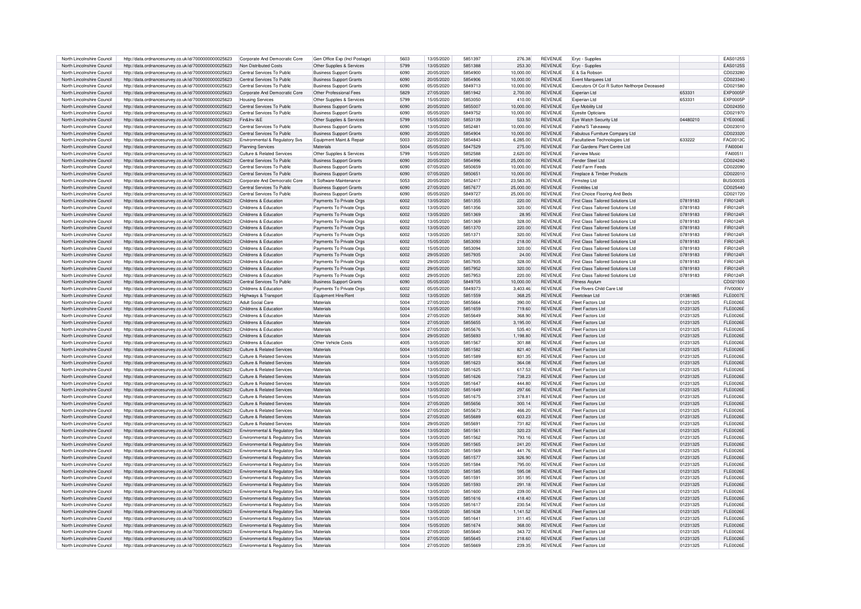| North Lincolnshire Council | http://data.ordnancesurvey.co.uk/id/7000000000025623 | Corporate And Democratic Core              | Gen Office Exp (Incl Postage)  | 5603 | 13/05/2020 | 5851397 | 276.38    | <b>REVENUE</b> | Eryc - Supplies                              |          | EAS0125S        |
|----------------------------|------------------------------------------------------|--------------------------------------------|--------------------------------|------|------------|---------|-----------|----------------|----------------------------------------------|----------|-----------------|
|                            |                                                      |                                            |                                |      |            |         |           |                |                                              |          |                 |
| North Lincolnshire Council | http://data.ordnancesurvev.co.uk/id/7000000000025623 | Non Distributed Costs                      | Other Supplies & Services      | 5799 | 13/05/2020 | 5851388 | 253.30    | <b>REVENUE</b> | Ervc - Supplies                              |          | EAS0125S        |
| North Lincolnshire Council | http://data.ordnancesurvey.co.uk/id/7000000000025623 | Central Services To Public                 | <b>Business Support Grants</b> | 6090 | 20/05/2020 | 5854900 | 10,000.00 | <b>REVENUE</b> | F & Sa Bobson                                |          | CD023280        |
| North Lincolnshire Council | http://data.ordnancesurvey.co.uk/id/7000000000025623 | Central Services To Public                 | <b>Business Support Grants</b> | 6090 | 20/05/2020 | 5854906 | 10.000.00 | <b>REVENUE</b> | <b>Fvent Marquees Ltd</b>                    |          | CD023340        |
|                            |                                                      |                                            |                                |      |            |         |           |                |                                              |          |                 |
| North Lincolnshire Council | http://data.ordnancesurvey.co.uk/id/7000000000025623 | Central Services To Public                 | <b>Business Support Grants</b> | 6090 | 05/05/2020 | 5849713 | 10,000.00 | REVENUE        | Executors Of Col R Sutton Nelthorpe Deceased |          | CD021580        |
| North Lincolnshire Council | http://data.ordnancesurvey.co.uk/id/7000000000025623 | Corporate And Democratic Core              | Other Professional Fees        | 5829 | 27/05/2020 | 5851942 | 2,700.00  | <b>REVENUE</b> | Experian Ltd                                 | 653331   | <b>EXP0005F</b> |
| North Lincolnshire Council | http://data.ordnancesurvey.co.uk/id/7000000000025623 | <b>Housing Services</b>                    | Other Supplies & Services      | 5799 | 15/05/2020 | 5853050 | 410.00    | <b>REVENUE</b> | Experian Ltd                                 | 653331   | EXP0005F        |
| North Lincolnshire Council | http://data.ordnancesurvey.co.uk/id/7000000000025623 | Central Services To Public                 | <b>Business Support Grants</b> | 6090 | 20/05/2020 | 5855007 | 10,000.00 | <b>REVENUE</b> | Eye Mobility Ltd                             |          | CD024350        |
|                            |                                                      |                                            |                                |      |            |         |           |                |                                              |          |                 |
| North Lincolnshire Council | http://data.ordnancesurvey.co.uk/id/7000000000025623 | Central Services To Public                 | <b>Business Support Grants</b> | 6090 | 05/05/2020 | 5849752 | 10.000.00 | <b>REVENUE</b> | <b>Evesite Onticians</b>                     |          | CD021970        |
| North Lincolnshire Council | http://data.ordnancesurvey.co.uk/id/7000000000025623 | Fin&Inv I&F                                | Other Supplies & Services      | 5799 | 15/05/2020 | 5853139 | 533.50    | <b>REVENUE</b> | Eye Watch Security Ltd                       | 04480210 | EYE0006E        |
| North Lincolnshire Council | http://data.ordnancesurvey.co.uk/id/7000000000025623 | Central Services To Public                 | <b>Business Support Grants</b> | 6090 | 13/05/2020 | 5852481 | 10.000.00 | <b>REVENUE</b> | Fabiha'S Takeaway                            |          | CD023010        |
|                            |                                                      |                                            |                                |      |            |         |           |                |                                              |          |                 |
| North Lincolnshire Council | http://data.ordnancesurvey.co.uk/id/7000000000025623 | Central Services To Public                 | <b>Business Support Grants</b> | 6090 | 20/05/2020 | 5854904 | 10,000.00 | <b>REVENUE</b> | Fabulous Furniture Company Ltd               |          | CD023320        |
| North Lincolnshire Council | http://data.ordnancesurvey.co.uk/id/7000000000025623 | Environmental & Regulatory Svs             | Foujoment Maint & Repai        | 5003 | 22/05/2020 | 5854843 | 6.285.00  | <b>REVENUE</b> | Facultatieve Technologies Ltd                | 633222   | FAC00130        |
| North Lincolnshire Council | http://data.ordnancesurvey.co.uk/id/7000000000025623 | <b>Planning Services</b>                   | Materials                      | 5004 | 05/05/2020 | 5847529 | 275.00    | <b>REVENUE</b> | Fair Gardens Plant Centre Ltd                |          | FAI0004         |
|                            |                                                      |                                            |                                | 5799 | 15/05/2020 | 5852588 | 2.620.00  | <b>REVENUE</b> | <b>Fairview Music</b>                        |          | FAI0051         |
| North Lincolnshire Council | http://data.ordnancesurvey.co.uk/id/7000000000025623 | Culture & Related Services                 | Other Supplies & Services      |      |            |         |           |                |                                              |          |                 |
| North Lincolnshire Council | http://data.ordnancesurvey.co.uk/id/7000000000025623 | Central Services To Public                 | <b>Business Support Grants</b> | 6090 | 20/05/2020 | 5854996 | 25.000.00 | <b>REVENUE</b> | Fender Steel Ltd                             |          | CD024240        |
| North Lincolnshire Council | http://data.ordnancesurvey.co.uk/id/7000000000025623 | Central Services To Public                 | <b>Business Support Grants</b> | 6090 | 07/05/2020 | 5850659 | 10.000.00 | <b>REVENUE</b> | <b>Field Farm Feeds</b>                      |          | CD022090        |
| North Lincolnshire Council | http://data.ordnancesurvey.co.uk/id/7000000000025623 | Central Services To Public                 | <b>Business Support Grants</b> | 6090 | 07/05/2020 | 5850651 | 10,000.00 | <b>REVENUE</b> | Fireplace & Timber Products                  |          | CD022010        |
|                            |                                                      |                                            |                                |      |            |         |           |                |                                              |          |                 |
| North Lincolnshire Council | http://data.ordnancesurvey.co.uk/id/7000000000025623 | Corporate And Democratic Core              | It Software-Maintenance        | 5053 | 20/05/2020 | 5852417 | 23.583.35 | <b>REVENUE</b> | Firmsten I td                                |          | <b>BUS0003S</b> |
| North Lincolnshire Council | http://data.ordnancesurvey.co.uk/id/7000000000025623 | Central Services To Public                 | <b>Business Support Grants</b> | 6090 | 27/05/2020 | 5857677 | 25,000.00 | <b>REVENUE</b> | First4tiles Ltd                              |          | CD025440        |
| North Lincolnshire Council | http://data.ordnancesurvey.co.uk/id/7000000000025623 | Central Services To Public                 | <b>Business Support Grants</b> | 6090 | 05/05/2020 | 5849727 | 25,000.00 | <b>REVENUE</b> | First Choice Flooring And Beds               |          | CD021720        |
|                            |                                                      |                                            |                                |      |            |         |           |                |                                              |          |                 |
| North Lincolnshire Council | http://data.ordnancesurvey.co.uk/id/7000000000025623 | Childrens & Education                      | Payments To Private Orgs       | 6002 | 13/05/2020 | 5851355 | 220.00    | <b>REVENUE</b> | First Class Tailored Solutions Ltd           | 07819183 | FIR0124F        |
| North Lincolnshire Council | http://data.ordnancesurvev.co.uk/id/7000000000025623 | Childrens & Education                      | Payments To Private Orgs       | 6002 | 13/05/2020 | 5851356 | 320.00    | REVENUE        | <b>First Class Tailored Solutions Ltd</b>    | 07819183 | FIR0124R        |
| North Lincolnshire Council | http://data.ordnancesurvey.co.uk/id/7000000000025623 | Childrens & Education                      | Payments To Private Orgs       | 6002 | 13/05/2020 | 5851369 | 28.95     | <b>REVENUE</b> | <b>First Class Tailored Solutions Ltd</b>    | 07819183 | FIR0124R        |
| North Lincolnshire Council | http://data.ordnancesurvey.co.uk/id/7000000000025623 | Childrens & Education                      | Payments To Private Orgs       | 6002 | 13/05/2020 | 5851369 | 328.00    | <b>REVENUE</b> | First Class Tailored Solutions Ltd           | 07819183 | FIR0124R        |
|                            |                                                      |                                            |                                |      |            |         |           |                |                                              |          |                 |
| North Lincolnshire Council | http://data.ordnancesurvey.co.uk/id/7000000000025623 | Childrens & Education                      | Payments To Private Orgs       | 6002 | 13/05/2020 | 5851370 | 220.00    | <b>REVENUE</b> | First Class Tailored Solutions Ltd           | 07819183 | FIR0124R        |
| North Lincolnshire Council | http://data.ordnancesurvev.co.uk/id/7000000000025623 | Childrens & Education                      | Payments To Private Orgs       | 6002 | 13/05/2020 | 5851371 | 320.00    | REVENUE        | First Class Tailored Solutions Ltd           | 07819183 | FIR0124R        |
| North Lincolnshire Council | http://data.ordnancesurvey.co.uk/id/7000000000025623 | Childrens & Education                      | Payments To Private Orgs       | 6002 | 15/05/2020 | 5853093 | 218.00    | <b>REVENUE</b> | First Class Tailored Solutions Ltd           | 07819183 | FIR0124R        |
| North Lincolnshire Council | http://data.ordnancesurvey.co.uk/id/7000000000025623 | Childrens & Education                      | Payments To Private Orgs       | 6002 | 15/05/2020 | 5853094 | 320.00    | <b>REVENUE</b> | First Class Tailored Solutions Ltd           | 07819183 | FIR0124R        |
|                            |                                                      |                                            |                                |      |            |         |           |                |                                              |          |                 |
| North Lincolnshire Council | http://data.ordnancesurvey.co.uk/id/7000000000025623 | Childrens & Education                      | Payments To Private Orgs       | 6002 | 29/05/2020 | 5857935 | 24.00     | <b>REVENUE</b> | First Class Tailored Solutions Ltd           | 07819183 | FIR0124R        |
| North Lincolnshire Council | http://data.ordnancesurvey.co.uk/id/7000000000025623 | Childrens & Education                      | Payments To Private Orgs       | 6002 | 29/05/2020 | 5857935 | 328.00    | <b>REVENUE</b> | <b>First Class Tailored Solutions Ltd</b>    | 07819183 | FIR0124F        |
| North Lincolnshire Council | http://data.ordnancesurvey.co.uk/id/7000000000025623 | Childrens & Education                      | Payments To Private Orgs       | 6002 | 29/05/2020 | 5857952 | 320.00    | <b>REVENUE</b> | <b>First Class Tailored Solutions Ltd</b>    | 07819183 | FIR0124F        |
|                            |                                                      |                                            |                                |      |            |         |           |                |                                              |          |                 |
| North Lincolnshire Council | http://data.ordnancesurvey.co.uk/id/7000000000025623 | Childrens & Education                      | Payments To Private Orgs       | 6002 | 29/05/2020 | 5857953 | 220.00    | REVENUE        | First Class Tailored Solutions Ltd           | 07819183 | FIR0124R        |
| North Lincolnshire Council | http://data.ordnancesurvey.co.uk/id/7000000000025623 | Central Services To Public                 | <b>Business Support Grants</b> | 6090 | 05/05/2020 | 5849705 | 10,000.00 | <b>REVENUE</b> | Fitness Asylum                               |          | CD021500        |
| North Lincolnshire Council | http://data.ordnancesurvey.co.uk/id/7000000000025623 | Childrens & Education                      | Payments To Private Orgs       | 6002 | 05/05/2020 | 5849373 | 3.403.46  | <b>REVENUE</b> | Five Rivers Child Care Ltd                   |          | FIV0006V        |
| North Lincolnshire Council | http://data.ordnancesurvey.co.uk/id/7000000000025623 | Highways & Transport                       | Equipment Hire/Rent            | 5002 | 13/05/2020 | 5851559 | 368.25    | <b>REVENUE</b> | Fleetclean Ltd                               | 01381865 | <b>FLE0007E</b> |
|                            |                                                      |                                            |                                |      |            |         |           |                |                                              |          |                 |
| North Lincolnshire Council | http://data.ordnancesurvey.co.uk/id/7000000000025623 | <b>Adult Social Care</b>                   | Materials                      | 5004 | 27/05/2020 | 5855664 | 390.00    | <b>REVENUE</b> | Fleet Factors Ltd                            | 01231325 | FL E0026E       |
| North Lincolnshire Council | http://data.ordnancesurvey.co.uk/id/7000000000025623 | Childrens & Education                      | Materials                      | 5004 | 13/05/2020 | 5851659 | 719.60    | <b>REVENUE</b> | <b>Fleet Factors Ltd</b>                     | 01231325 | <b>FLE0026E</b> |
| North Lincolnshire Council | http://data.ordnancesurvey.co.uk/id/7000000000025623 | Childrens & Education                      | Materials                      | 5004 | 27/05/2020 | 5855649 | 368.90    | <b>REVENUE</b> | <b>Fleet Factors Ltd</b>                     | 01231325 | <b>FLE0026E</b> |
| North Lincolnshire Council | http://data.ordnancesurvey.co.uk/id/7000000000025623 | Childrens & Education                      | Materials                      | 5004 | 27/05/2020 | 5855655 | 3,195.00  | <b>REVENUE</b> | <b>Eleet Factors Ltd</b>                     | 01231325 | EL E0026E       |
|                            |                                                      |                                            |                                |      |            |         |           |                |                                              |          |                 |
| North Lincolnshire Council | http://data.ordnancesurvey.co.uk/id/7000000000025623 | Childrens & Education                      | Materials                      | 5004 | 27/05/2020 | 5855676 | 535.40    | <b>REVENUE</b> | Fleet Factors Ltd                            | 01231325 | FL E0026E       |
| North Lincolnshire Council | http://data.ordnancesurvey.co.uk/id/7000000000025623 | Childrens & Education                      | Materials                      | 5004 | 29/05/2020 | 5855693 | 1,198.80  | <b>REVENUE</b> | Fleet Factors Ltd                            | 01231325 | FL E0026E       |
| North Lincolnshire Council | http://data.ordnancesurvey.co.uk/id/7000000000025623 | Childrens & Education                      | Other Vehicle Costs            | 4005 | 13/05/2020 | 5851567 | 301.88    | <b>REVENUE</b> | Fleet Factors Ltd                            | 01231325 | FI F0026F       |
| North Lincolnshire Council | http://data.ordnancesurvey.co.uk/id/7000000000025623 | Culture & Related Services                 | Materials                      | 5004 | 13/05/2020 | 5851582 | 821.40    | <b>REVENUE</b> | Fleet Factors Ltd                            | 01231325 | FI F0026F       |
|                            |                                                      |                                            |                                |      |            |         |           |                |                                              |          |                 |
| North Lincolnshire Council | http://data.ordnancesurvey.co.uk/id/7000000000025623 | Culture & Related Services                 | Materials                      | 5004 | 13/05/2020 | 5851589 | 831.35    | REVENUE        | <b>Fleet Factors Ltd</b>                     | 01231325 | <b>FLE0026E</b> |
| North Lincolnshire Council | http://data.ordnancesurvey.co.uk/id/7000000000025623 | <b>Culture &amp; Related Services</b>      | Materials                      | 5004 | 13/05/2020 | 5851623 | 364.08    | <b>REVENUE</b> | Fleet Factors Ltd                            | 01231325 | FL E0026E       |
| North Lincolnshire Council | http://data.ordnancesurvey.co.uk/id/7000000000025623 | Culture & Related Services                 | Materials                      | 5004 | 13/05/2020 | 5851625 | 617.53    | <b>REVENUE</b> | Fleet Factors Ltd                            | 01231325 | FL E0026E       |
|                            |                                                      |                                            |                                |      |            |         |           |                |                                              |          |                 |
| North Lincolnshire Council | http://data.ordnancesurvey.co.uk/id/7000000000025623 | Culture & Related Services                 | Materials                      | 5004 | 13/05/2020 | 5851626 | 738.23    | <b>REVENUE</b> | <b>Fleet Factors Ltd</b>                     | 01231325 | <b>FLE0026E</b> |
| North Lincolnshire Council | http://data.ordnancesurvey.co.uk/id/7000000000025623 | Culture & Related Services                 | Materials                      | 5004 | 13/05/2020 | 5851647 | 444.80    | REVENUE        | <b>Fleet Factors Ltd</b>                     | 01231325 | <b>FLE0026E</b> |
| North Lincolnshire Council | http://data.ordnancesurvey.co.uk/id/7000000000025623 | Culture & Related Services                 | Materials                      | 5004 | 13/05/2020 | 5851649 | 297.66    | <b>REVENUE</b> | Fleet Factors Ltd                            | 01231325 | FL E0026E       |
| North Lincolnshire Council | http://data.ordnancesurvey.co.uk/id/7000000000025623 | Culture & Related Services                 | Materials                      | 5004 | 15/05/2020 | 5851675 | 378.81    | <b>REVENUE</b> | Fleet Factors Ltd                            | 01231325 | FL E0026E       |
|                            |                                                      |                                            |                                |      |            |         |           |                |                                              |          |                 |
| North Lincolnshire Council | http://data.ordnancesurvey.co.uk/id/7000000000025623 | Culture & Related Services                 | Materials                      | 5004 | 27/05/2020 | 5855656 | 300.14    | <b>REVENUE</b> | <b>Fleet Factors Ltd</b>                     | 01231325 | <b>FLE0026E</b> |
| North Lincolnshire Council | http://data.ordnancesurvey.co.uk/id/7000000000025623 | Culture & Related Services                 | Materials                      | 5004 | 27/05/2020 | 5855673 | 466.20    | <b>REVENUE</b> | <b>Fleet Factors Ltd</b>                     | 01231325 | <b>FLE0026E</b> |
| North Lincolnshire Council | http://data.ordnancesurvey.co.uk/id/7000000000025623 | Culture & Related Services                 | Materials                      | 5004 | 27/05/2020 | 5855689 | 603.23    | <b>REVENUE</b> | <b>Fleet Factors Ltd</b>                     | 01231325 | <b>FLE0026E</b> |
| North Lincolnshire Council | http://data.ordnancesurvey.co.uk/id/7000000000025623 | Culture & Related Services                 | Materials                      | 5004 | 29/05/2020 | 585569  | 731.82    | REVENUE        | <b>Fleet Factors Ltd</b>                     | 01231325 | <b>FLE0026E</b> |
|                            |                                                      |                                            |                                |      |            |         |           |                |                                              |          |                 |
| North Lincolnshire Council | http://data.ordnancesurvey.co.uk/id/7000000000025623 | Environmental & Regulatory Svs             | Materials                      | 5004 | 13/05/2020 | 5851561 | 320.23    | <b>REVENUE</b> | Fleet Factors Ltd                            | 01231325 | FI F0026F       |
| North Lincolnshire Council | http://data.ordnancesurvey.co.uk/id/7000000000025623 | Environmental & Regulatory Svs             | Materials                      | 5004 | 13/05/2020 | 5851562 | 793.16    | <b>REVENUE</b> | Fleet Factors Ltd                            | 01231325 | FI F0026F       |
| North Lincolnshire Council | http://data.ordnancesurvey.co.uk/id/7000000000025623 | Environmental & Regulatory Svs             | Materials                      | 5004 | 13/05/2020 | 5851565 | 241.20    | <b>REVENUE</b> | <b>Fleet Factors Ltd</b>                     | 01231325 | <b>FLE0026E</b> |
|                            |                                                      |                                            | Materials                      | 5004 | 13/05/2020 | 5851569 |           | <b>REVENUE</b> |                                              |          | FL E0026E       |
| North Lincolnshire Council | http://data.ordnancesurvey.co.uk/id/7000000000025623 | Environmental & Regulatory Svs             |                                |      |            |         | 441.76    |                | <b>Fleet Factors Ltd</b>                     | 01231325 |                 |
| North Lincolnshire Council | http://data.ordnancesurvey.co.uk/id/7000000000025623 | Environmental & Regulatory Svs             | Materials                      | 5004 | 13/05/2020 | 5851577 | 326.90    | <b>REVENUE</b> | Fleet Factors Ltd                            | 01231325 | <b>FLE0026E</b> |
| North Lincolnshire Council | http://data.ordnancesurvey.co.uk/id/7000000000025623 | Environmental & Regulatory Svs             | Materials                      | 5004 | 13/05/2020 | 5851584 | 795.00    | <b>REVENUE</b> | <b>Fleet Factors Ltd</b>                     | 01231325 | FL E0026E       |
| North Lincolnshire Council | http://data.ordnancesurvey.co.uk/id/7000000000025623 | Environmental & Regulatory Svs             | Materials                      | 5004 | 13/05/2020 | 5851585 | 595.08    | <b>REVENUE</b> | <b>Eleet Factors Ltd</b>                     | 01231325 | <b>FLE0026E</b> |
|                            |                                                      |                                            |                                |      |            |         |           |                |                                              |          |                 |
| North Lincolnshire Council | http://data.ordnancesurvey.co.uk/id/7000000000025623 | Environmental & Regulatory Svs             | Materials                      | 5004 | 13/05/2020 | 5851591 | 351.95    | <b>REVENUE</b> | Fleet Factors Ltd                            | 01231325 | FL E0026E       |
| North Lincolnshire Council | http://data.ordnancesurvey.co.uk/id/7000000000025623 | Environmental & Regulatory Svs             | Materials                      | 5004 | 13/05/2020 | 5851593 | 291.18    | <b>REVENUE</b> | Fleet Factors Ltd                            | 01231325 | FL E0026E       |
| North Lincolnshire Council | http://data.ordnancesurvey.co.uk/id/7000000000025623 | Environmental & Regulatory Svs             | Materials                      | 5004 | 13/05/2020 | 5851600 | 239.00    | <b>REVENUE</b> | <b>Fleet Factors Ltd</b>                     | 01231325 | FI F0026F       |
| North Lincolnshire Council |                                                      |                                            | Materials                      | 5004 | 13/05/2020 | 5851616 | 418.40    | <b>REVENUE</b> | Fleet Factors Ltd                            | 01231325 | <b>FLE0026E</b> |
|                            | http://data.ordnancesurvey.co.uk/id/7000000000025623 | Environmental & Regulatory Svs             |                                |      |            |         |           |                |                                              |          |                 |
| North Lincolnshire Council | http://data.ordnancesurvey.co.uk/id/7000000000025623 | Environmental & Regulatory Sys             | Materials                      | 5004 | 13/05/2020 | 5851617 | 230.54    | <b>REVENUE</b> | <b>Fleet Factors Ltd</b>                     | 01231325 | <b>FLE0026E</b> |
| North Lincolnshire Council | http://data.ordnancesurvey.co.uk/id/7000000000025623 | Environmental & Regulatory Svs             | Materials                      | 5004 | 13/05/2020 | 5851638 | 1,141.52  | <b>REVENUE</b> | Fleet Factors Ltd                            | 01231325 | FL E0026E       |
| North Lincolnshire Council | http://data.ordnancesurvey.co.uk/id/7000000000025623 | Environmental & Regulatory Svs             | Materials                      | 5004 | 13/05/2020 | 5851641 | 311.45    | <b>REVENUE</b> | Fleet Factors Ltd                            | 01231325 | FL E0026E       |
| North Lincolnshire Council | http://data.ordnancesurvey.co.uk/id/7000000000025623 | <b>Environmental &amp; Requlatory Sys.</b> | Materials                      | 5004 | 15/05/2020 | 5851674 | 368.00    | <b>REVENUE</b> | <b>Fleet Factors Ltd</b>                     | 01231325 | <b>FLE0026E</b> |
|                            |                                                      |                                            |                                |      |            |         |           |                |                                              |          |                 |
| North Lincolnshire Council | http://data.ordnancesurvey.co.uk/id/7000000000025623 | Environmental & Regulatory Sys             | Materials                      | 5004 | 27/05/2020 | 5855640 | 343.72    | <b>REVENUE</b> | Fleet Factors Ltd                            | 01231325 | FL E0026E       |
| North Lincolnshire Council | http://data.ordnancesurvey.co.uk/id/7000000000025623 | Environmental & Regulatory Svs             | Materials                      | 5004 | 27/05/2020 | 5855645 | 218.60    | <b>REVENUE</b> | Fleet Factors Ltd                            | 01231325 | <b>FLE0026E</b> |
| North Lincolnshire Council | http://data.ordnancesurvey.co.uk/id/7000000000025623 | Environmental & Regulatory Svs             | Materials                      | 5004 | 27/05/2020 | 5855669 | 239.35    | <b>REVENUE</b> | Fleet Factors Ltd                            | 01231325 | <b>FLE0026E</b> |
|                            |                                                      |                                            |                                |      |            |         |           |                |                                              |          |                 |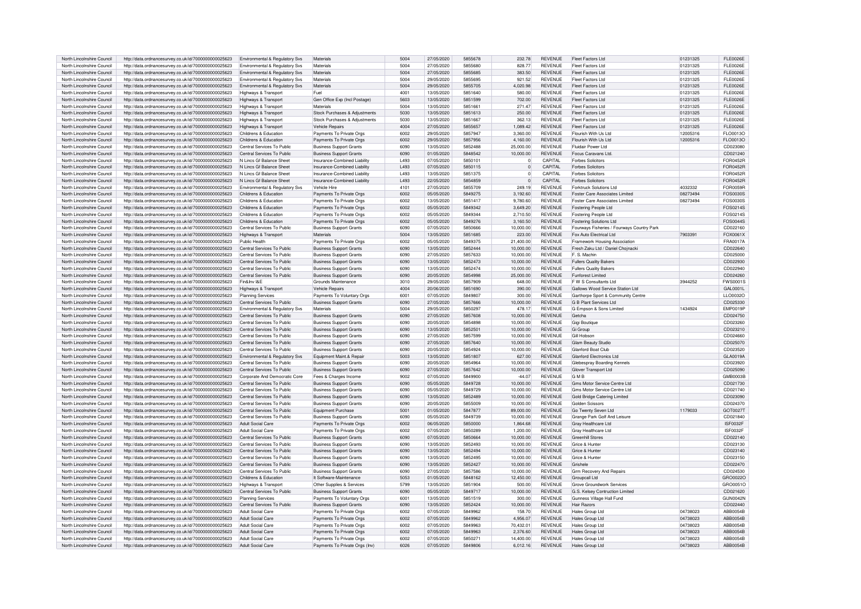| North Lincolnshire Council | http://data.ordnancesurvey.co.uk/id/7000000000025623                                                         | Environmental & Regulatory Svs         | Materials                                                  | 5004 | 27/05/2020 | 5855678 | 232.78                | <b>REVENUE</b> | Fleet Factors Ltd                          | 01231325             | <b>FLE0026E</b>      |
|----------------------------|--------------------------------------------------------------------------------------------------------------|----------------------------------------|------------------------------------------------------------|------|------------|---------|-----------------------|----------------|--------------------------------------------|----------------------|----------------------|
| North Lincolnshire Council | http://data.ordnancesurvey.co.uk/id/7000000000025623                                                         | Environmental & Regulatory Sys         | Materials                                                  | 5004 | 27/05/2020 | 5855680 | 828.77                | <b>REVENUE</b> | <b>Fleet Factors Ltd</b>                   | 01231325             | <b>FLE0026E</b>      |
| North Lincolnshire Council | http://data.ordnancesurvey.co.uk/id/7000000000025623                                                         | Environmental & Regulatory Svs         | Materials                                                  | 5004 | 27/05/2020 | 5855685 | 383.50                | <b>REVENUE</b> | Fleet Factors Ltd                          | 01231325             | FI F0026F            |
| North Lincolnshire Council | http://data.ordnancesurvey.co.uk/id/7000000000025623                                                         | Environmental & Regulatory Svs         | Materials                                                  | 5004 | 29/05/2020 | 5855695 | 921.52                | <b>REVENUE</b> | <b>Fleet Factors Ltd</b>                   | 01231325             | <b>FLE0026E</b>      |
| North Lincolnshire Council | http://data.ordnancesurvey.co.uk/id/7000000000025623                                                         | Environmental & Regulatory Svs         | Materials                                                  | 5004 | 29/05/2020 | 5855705 | 4,020.98              | <b>REVENUE</b> | Fleet Factors Ltd                          | 01231325             | <b>FLE0026E</b>      |
| North Lincolnshire Council | http://data.ordnancesurvey.co.uk/id/7000000000025623                                                         | Highways & Transport                   | Fuel                                                       | 4001 | 13/05/2020 | 5851640 | 580.00                | <b>REVENUE</b> | Fleet Factors Ltd                          | 01231325             | <b>FLE0026E</b>      |
| North Lincolnshire Council |                                                                                                              |                                        | Gen Office Exp (Incl Postage)                              | 5603 | 13/05/2020 | 5851599 | 702.00                | <b>REVENUE</b> | Fleet Factors Ltd                          | 01231325             | FI F0026F            |
|                            | http://data.ordnancesurvey.co.uk/id/7000000000025623                                                         | Highways & Transport                   |                                                            |      |            |         |                       |                |                                            |                      |                      |
| North Lincolnshire Council | http://data.ordnancesurvey.co.uk/id/7000000000025623                                                         | Highways & Transport                   | Materials                                                  | 5004 | 13/05/2020 | 5851661 | 271.47                | <b>REVENUE</b> | Fleet Factors Ltd                          | 01231325             | FL E0026E            |
| North Lincolnshire Council | http://data.ordnancesurvey.co.uk/id/7000000000025623                                                         | Highways & Transport                   | Stock Purchases & Adjustments                              | 5030 | 13/05/2020 | 5851613 | 250.00                | <b>REVENUE</b> | Fleet Factors Ltd                          | 01231325             | FL E0026E            |
| North Lincolnshire Council | http://data.ordnancesurvey.co.uk/id/7000000000025623                                                         | Highways & Transport                   | Stock Purchases & Adiustments                              | 5030 | 13/05/2020 | 5851667 | 362.13                | <b>REVENUE</b> | <b>Fleet Factors Ltd</b>                   | 01231325             | <b>FLE0026E</b>      |
| North Lincolnshire Council | http://data.ordnancesurvey.co.uk/id/7000000000025623                                                         | Highways & Transport                   | Vehicle Repairs                                            | 4004 | 27/05/2020 | 585565  | 1,089.42              | <b>REVENUE</b> | Fleet Factors Ltd                          | 01231325             | <b>FLE0026E</b>      |
| North Lincolnshire Council | http://data.ordnancesurvey.co.uk/id/7000000000025623                                                         | Childrens & Education                  | Payments To Private Orgs                                   | 6002 | 29/05/2020 | 5857947 | 3.360.00              | <b>REVENUE</b> | Flourish With Us Ltd                       | 12005316             | FLO0013O             |
| North Lincolnshire Council | http://data.ordnancesurvey.co.uk/id/7000000000025623                                                         | Childrens & Education                  | Payments To Private Orgs                                   | 6002 | 29/05/2020 | 5857956 | 4,160.00              | <b>REVENUE</b> | Flourish With Us Ltd                       | 12005316             | FLO0013C             |
| North Lincolnshire Council | http://data.ordnancesurvey.co.uk/id/7000000000025623                                                         | Central Services To Public             | <b>Business Support Grants</b>                             | 6090 | 13/05/2020 | 5852488 | 25.000.00             | <b>REVENUE</b> | Fluidair Power Ltd                         |                      | CD023080             |
| North Lincolnshire Council | http://data.ordnancesurvey.co.uk/id/7000000000025623                                                         | Central Services To Public             | <b>Business Support Grants</b>                             | 6090 | 01/05/2020 | 5848542 | 10.000.00             | <b>REVENUE</b> | Focus Caravans Ltd                         |                      | CD021240             |
| North Lincolnshire Council |                                                                                                              | N Lincs Gf Balance Sheet               | Insurance-Combined Liability                               | 493  | 07/05/2020 | 5850101 | $\overline{0}$        | CAPITAL        | <b>Forbes Solicitors</b>                   |                      | FOR0452F             |
|                            | http://data.ordnancesurvey.co.uk/id/7000000000025623                                                         |                                        |                                                            | 493  |            |         |                       | CAPITAL        |                                            |                      |                      |
| North Lincolnshire Council | http://data.ordnancesurvey.co.uk/id/7000000000025623                                                         | N Lincs Gf Balance Sheet               | Insurance-Combined Liability                               |      | 07/05/2020 | 5850115 | $\overline{0}$        |                | <b>Forbes Solicitors</b>                   |                      | FOR0452F             |
| North Lincolnshire Council | http://data.ordnancesurvey.co.uk/id/7000000000025623                                                         | N Lincs Gf Balance Sheet               | Insurance-Combined Liability                               | 493  | 13/05/2020 | 5851375 | $\Omega$              | CAPITAL        | <b>Forbes Solicitors</b>                   |                      | FOR0452F             |
| North Lincolnshire Council | http://data.ordnancesurvey.co.uk/id/7000000000025623                                                         | N Lincs Gf Balance Sheet               | Insurance-Combined Liability                               | L493 | 22/05/2020 | 5854859 | $\overline{0}$        | CAPITAL        | <b>Forbes Solicitors</b>                   |                      | FOR0452F             |
| North Lincolnshire Council | http://data.ordnancesurvey.co.uk/id/7000000000025623                                                         | Environmental & Regulatory Svs         | Vehicle Hire                                               | 4101 | 27/05/2020 | 5855709 | 249.19                | <b>REVENUE</b> | Forktruck Solutions Ltd                    | 4032332              | FOR0059F             |
| North Lincolnshire Council | http://data.ordnancesurvey.co.uk/id/7000000000025623                                                         | Childrens & Education                  | Payments To Private Orgs                                   | 6002 | 05/05/2020 | 5849275 | 3.192.60              | <b>REVENUE</b> | Foster Care Associates Limited             | 08273494             | FOS0030S             |
| North Lincolnshire Council | http://data.ordnancesurvey.co.uk/id/7000000000025623                                                         | Childrens & Education                  | Payments To Private Orgs                                   | 6002 | 13/05/2020 | 5851417 | 9,780.60              | REVENUE        | Foster Care Associates Limited             | 08273494             | FOS0030S             |
| North Lincolnshire Council | http://data.ordnancesurvey.co.uk/id/7000000000025623                                                         | Childrens & Education                  | Payments To Private Orgs                                   | 6002 | 05/05/2020 | 5849342 | 3.649.20              | <b>REVENUE</b> | Fostering People Ltd                       |                      | FOS02145             |
| North Lincolnshire Council | http://data.ordnancesurvey.co.uk/id/7000000000025623                                                         | Childrens & Education                  | Payments To Private Orgs                                   | 6002 | 05/05/2020 | 5849344 | 2.710.50              | <b>REVENUE</b> | Fostering People Ltd                       |                      | FOS0214S             |
| North Lincolnshire Council |                                                                                                              | Childrens & Education                  |                                                            | 6002 | 05/05/2020 | 5849276 | 3,160.50              | <b>REVENUE</b> | <b>Fostering Solutions Ltd</b>             |                      | FOS0044S             |
|                            | http://data.ordnancesurvey.co.uk/id/7000000000025623                                                         |                                        | Payments To Private Orgs                                   |      |            |         |                       |                |                                            |                      |                      |
| North Lincolnshire Council | http://data.ordnancesurvey.co.uk/id/7000000000025623                                                         | Central Services To Public             | <b>Business Support Grants</b>                             | 6090 | 07/05/2020 | 5850666 | 10.000.00             | <b>REVENUE</b> | Fourways Fisheries / Fourways Country Park |                      | CD022160             |
| North Lincolnshire Council | http://data.ordnancesurvey.co.uk/id/7000000000025623                                                         | Highways & Transport                   | Materials                                                  | 5004 | 13/05/2020 | 5851685 | 223.00                | <b>REVENUE</b> | Fox Auto Electrical Ltd                    | 7903391              | FOX0061)             |
| North Lincolnshire Council | http://data.ordnancesurvey.co.uk/id/7000000000025623                                                         | Public Health                          | Payments To Private Orgs                                   | 6002 | 05/05/2020 | 5849375 | 21,400.00             | REVENUE        | Framework Housing Association              |                      | FRA0017A             |
| North Lincolnshire Council | http://data.ordnancesurvey.co.uk/id/7000000000025623                                                         | Central Services To Public             | <b>Business Support Grants</b>                             | 6090 | 13/05/2020 | 5852444 | 10,000.00             | <b>REVENUE</b> | Fresh Zaku Ltd / Daniel Chojnacki          |                      | CD022640             |
| North Lincolnshire Council | http://data.ordnancesurvey.co.uk/id/7000000000025623                                                         | Central Services To Public             | <b>Business Support Grants</b>                             | 6090 | 27/05/2020 | 5857633 | 10,000.00             | REVENUE        | F. S. Machin                               |                      | CD025000             |
| North Lincolnshire Council | http://data.ordnancesurvey.co.uk/id/7000000000025623                                                         | Central Services To Public             | <b>Business Support Grants</b>                             | 6090 | 13/05/2020 | 5852473 | 10,000.00             | <b>REVENUE</b> | <b>Fullers Quality Bakers</b>              |                      | CD022930             |
| North Lincolnshire Council | http://data.ordnancesurvey.co.uk/id/7000000000025623                                                         | Central Services To Public             | <b>Business Support Grants</b>                             | 6090 | 13/05/2020 | 5852474 | 10,000.00             | <b>REVENUE</b> | <b>Fullers Quality Bakers</b>              |                      | CD022940             |
| North Lincolnshire Council | http://data.ordnancesurvey.co.uk/id/7000000000025623                                                         | Central Services To Public             | <b>Business Support Grants</b>                             | 6090 | 20/05/2020 | 5854998 | 25,000.00             | <b>REVENUE</b> | <b>Funforest Limited</b>                   |                      | CD024260             |
| North Lincolnshire Council | http://data.ordnancesurvey.co.uk/id/7000000000025623                                                         | Fin&Inv I&F                            | Grounds Maintenance                                        | 3010 | 29/05/2020 | 5857909 | 648.00                | <b>REVENUE</b> | F W S Consultants Ltd                      | 3944252              | FWS00019             |
| North Lincolnshire Council |                                                                                                              |                                        |                                                            | 4004 | 20/06/2020 | 5851690 | 390.00                | <b>REVENUE</b> | Gallows Wood Service Station Ltd           |                      | GAL0001L             |
|                            | http://data.ordnancesurvey.co.uk/id/7000000000025623                                                         | Highways & Transport                   | Vehicle Repairs                                            |      |            |         |                       |                |                                            |                      |                      |
| North Lincolnshire Council | http://data.ordnancesurvey.co.uk/id/7000000000025623                                                         | <b>Planning Services</b>               | Payments To Voluntary Orgs                                 | 6001 | 07/05/2020 | 584980  | 300.00                | <b>REVENUE</b> | Garthorpe Sport & Community Centre         |                      | LLO0032C             |
| North Lincolnshire Council | http://data.ordnancesurvey.co.uk/id/7000000000025623                                                         | Central Services To Public             | <b>Business Support Grants</b>                             | 6090 | 27/05/2020 | 5857666 | 10,000.00             | <b>REVENUE</b> | G B Plant Services Ltd                     |                      | CD025330             |
| North Lincolnshire Council | http://data.ordnancesurvey.co.uk/id/7000000000025623                                                         | Environmental & Regulatory Svs         | Materials                                                  | 5004 | 29/05/2020 | 585029  | 478.17                | <b>REVENUE</b> | G Empson & Sons Limited                    | 1434924              | <b>EMP0019</b>       |
| North Lincolnshire Council | http://data.ordnancesurvey.co.uk/id/7000000000025623                                                         | Central Services To Public             | <b>Business Support Grants</b>                             | 6090 | 27/05/2020 | 5857608 | 10.000.00             | <b>REVENUE</b> | Getcha                                     |                      | CD024750             |
| North Lincolnshire Council | http://data.ordnancesurvey.co.uk/id/7000000000025623                                                         | Central Services To Public             | <b>Business Support Grants</b>                             | 6090 | 20/05/2020 | 5854898 | 10,000.00             | <b>REVENUE</b> | Gigi Boutique                              |                      | CD023260             |
| North Lincolnshire Council | http://data.ordnancesurvey.co.uk/id/7000000000025623                                                         | Central Services To Public             | <b>Business Support Grants</b>                             | 6090 | 13/05/2020 | 585250  | 10,000.00             | <b>REVENUE</b> | Gi Group                                   |                      | CD023210             |
| North Lincolnshire Council | http://data.ordnancesurvey.co.uk/id/7000000000025623                                                         | Central Services To Public             | <b>Business Support Grants</b>                             | 6090 | 27/05/2020 | 585759  | 10.000.00             | <b>REVENUE</b> | Gill Hobson                                |                      | CD02466              |
| North Lincolnshire Council | http://data.ordnancesurvey.co.uk/id/7000000000025623                                                         | Central Services To Public             | <b>Business Support Grants</b>                             | 6090 | 27/05/2020 | 5857640 | 10,000.00             | <b>REVENUE</b> | Glam Beauty Studio                         |                      | CD025070             |
| North Lincolnshire Council | http://data.ordnancesurvey.co.uk/id/7000000000025623                                                         | Central Services To Public             | <b>Business Support Grants</b>                             | 6090 | 20/05/2020 | 585492  | 10,000.00             | <b>REVENUE</b> | Glanford Boat Club                         |                      | CD023520             |
|                            |                                                                                                              |                                        |                                                            |      |            |         |                       |                |                                            |                      |                      |
| North Lincolnshire Council | http://data.ordnancesurvey.co.uk/id/7000000000025623                                                         | Environmental & Regulatory Sys         | Equipment Maint.& Repair                                   | 5003 | 13/05/2020 | 5851807 | 627.00                | <b>REVENUE</b> | <b>Glanford Electronics Ltd</b>            |                      | GLA0019A             |
| North Lincolnshire Council | http://data.ordnancesurvey.co.uk/id/7000000000025623                                                         | Central Services To Public             | <b>Business Support Grants</b>                             | 6090 | 20/05/2020 | 5854964 | 10.000.00             | <b>REVENUE</b> | Glebesprav Boarding Kennels                |                      | CD023920             |
| North Lincolnshire Council | http://data.ordnancesurvey.co.uk/id/7000000000025623                                                         | Central Services To Public             | <b>Business Support Grants</b>                             | 6090 | 27/05/2020 | 5857642 | 10.000.00             | <b>REVENUE</b> | Glover Transport Ltd                       |                      | CD025090             |
| North Lincolnshire Council | http://data.ordnancesurvey.co.uk/id/7000000000025623                                                         | Cornorate And Democratic Core          | Fees & Charges Income                                      | 9002 | 07/05/2020 | 5849900 | $-44.07$              | <b>REVENUE</b> | GMR                                        |                      | <b>GMB0003E</b>      |
| North Lincolnshire Council | http://data.ordnancesurvey.co.uk/id/7000000000025623                                                         | Central Services To Public             | <b>Business Support Grants</b>                             | 6090 | 05/05/2020 | 5849728 | 10.000.00             | <b>REVENUE</b> | Gms Motor Service Centre Ltd               |                      | CD021730             |
| North Lincolnshire Council | http://data.ordnancesurvey.co.uk/id/7000000000025623                                                         | Central Services To Public             | <b>Business Support Grants</b>                             | 6090 | 05/05/2020 | 5849729 | 10.000.00             | <b>REVENUE</b> | Gms Motor Service Centre Ltd               |                      | CD021740             |
| North Lincolnshire Council | http://data.ordnancesurvey.co.uk/id/7000000000025623                                                         | Central Services To Public             | <b>Business Support Grants</b>                             | 6090 | 13/05/2020 | 5852489 | 10,000.00             | <b>REVENUE</b> | Gold Bridge Catering Limited               |                      | CD023090             |
| North Lincolnshire Council | http://data.ordnancesurvey.co.uk/id/7000000000025623                                                         | Central Services To Public             | <b>Business Support Grants</b>                             | 6090 | 20/05/2020 | 5855009 | 10,000.00             | REVENUE        | Golden Scissors                            |                      | CD024370             |
| North Lincolnshire Council | http://data.ordnancesurvey.co.uk/id/7000000000025623                                                         | Central Services To Public             | Equipment Purchase                                         | 5001 | 01/05/2020 | 5847877 | 89.000.00             | <b>REVENUE</b> | Go Twenty Seven Ltd                        | 1179033              | GOT00271             |
| North Lincolnshire Council | http://data.ordnancesurvey.co.uk/id/7000000000025623                                                         | Central Services To Public             | <b>Business Support Grants</b>                             | 6090 | 05/05/2020 | 5849739 | 10.000.00             | REVENUE        | Grange Park Golf And Leisure               |                      | CD021840             |
| North Lincolnshire Council |                                                                                                              | <b>Adult Social Care</b>               |                                                            | 6002 | 06/05/2020 | 5850000 | 1.864.68              | <b>REVENUE</b> |                                            |                      | ISF0032F             |
|                            | http://data.ordnancesurvey.co.uk/id/7000000000025623                                                         |                                        | Payments To Private Orgs                                   |      |            |         |                       |                | Gray Healthcare Ltd                        |                      |                      |
| North Lincolnshire Council | http://data.ordnancesurvey.co.uk/id/7000000000025623                                                         | Adult Social Care                      | Payments To Private Orgs                                   | 6002 | 07/05/2020 | 585028  | 1,200.00              | REVENUE        | Gray Healthcare Ltd                        |                      | <b>ISF0032F</b>      |
| North Lincolnshire Council | http://data.ordnancesurvey.co.uk/id/7000000000025623                                                         | Central Services To Public             | <b>Business Support Grants</b>                             | 6090 | 07/05/2020 | 585066  | 10,000.00             | <b>REVENUE</b> | <b>Greenhill Stores</b>                    |                      | CD022140             |
| North Lincolnshire Council | http://data.ordnancesurvey.co.uk/id/7000000000025623                                                         | Central Services To Public             | <b>Business Support Grants</b>                             | 6090 | 13/05/2020 | 5852493 | 10.000.00             | <b>REVENUE</b> | Grice & Hunter                             |                      | CD023130             |
| North Lincolnshire Council | http://data.ordnancesurvey.co.uk/id/7000000000025623                                                         | Central Services To Public             | <b>Business Support Grants</b>                             | 6090 | 13/05/2020 | 5852494 | 10.000.00             | <b>REVENUE</b> | Grice & Hunter                             |                      | CD023140             |
| North Lincolnshire Council | http://data.ordnancesurvey.co.uk/id/7000000000025623                                                         | Central Services To Public             | <b>Business Support Grants</b>                             | 6090 | 13/05/2020 | 5852495 | 10,000.00             | <b>REVENUE</b> | Grice & Hunter                             |                      | CD023150             |
| North Lincolnshire Council | http://data.ordnancesurvey.co.uk/id/7000000000025623                                                         | Central Services To Public             | <b>Business Support Grants</b>                             | 6090 | 13/05/2020 | 585242  | 10,000.00             | <b>REVENUE</b> | Grishele                                   |                      | CD022470             |
| North Lincolnshire Council | http://data.ordnancesurvey.co.uk/id/7000000000025623                                                         | Central Services To Public             | <b>Business Support Grants</b>                             | 6090 | 27/05/2020 | 5857586 | 10.000.00             | <b>REVENUE</b> | Grm Recovery And Repairs                   |                      | CD024530             |
| North Lincolnshire Council | http://data.ordnancesurvey.co.uk/id/7000000000025623                                                         | Childrens & Education                  | It Software-Maintenance                                    | 5053 | 01/05/2020 | 5848162 | 12,450.00             | <b>REVENUE</b> | Groupcall Ltd                              |                      | GRO00220             |
| North Lincolnshire Council | http://data.ordnancesurvey.co.uk/id/7000000000025623                                                         | Highways & Transport                   | Other Supplies & Services                                  | 5799 | 13/05/2020 | 5851904 | 500.00                | <b>REVENUE</b> | Grove Groundwork Services                  |                      | GRO0051O             |
|                            |                                                                                                              |                                        |                                                            |      |            |         |                       |                |                                            |                      |                      |
| North Lincolnshire Council | http://data.ordnancesurvey.co.uk/id/7000000000025623                                                         | Central Services To Public             | <b>Business Support Grants</b>                             | 6090 | 05/05/2020 | 5849717 | 10,000.00             | REVENUE        | G.S. Kelsey Contruction Limited            |                      | CD021620             |
| North Lincolnshire Council | http://data.ordnancesurvey.co.uk/id/7000000000025623                                                         | <b>Planning Services</b>               | Payments To Voluntary Orgs                                 | 6001 | 13/05/2020 | 5851519 | 300.00                | <b>REVENUE</b> | Gunness Village Hall Fund                  |                      | <b>GUN0042N</b>      |
| North Lincolnshire Council | http://data.ordnancesurvey.co.uk/id/7000000000025623                                                         | Central Services To Public             | <b>Business Support Grants</b>                             | 6090 | 13/05/2020 | 5852424 | 10.000.00             | <b>REVENUE</b> | <b>Hair Razors</b>                         |                      | CD022440             |
|                            |                                                                                                              |                                        |                                                            |      |            | 5849962 | 158.70                | REVENUE        | Hales Group Ltd                            | 04738023             | ABB0054E             |
| North Lincolnshire Council | http://data.ordnancesurvey.co.uk/id/7000000000025623                                                         | Adult Social Care                      | Payments To Private Orgs                                   | 6002 | 07/05/2020 |         |                       |                |                                            |                      |                      |
| North Lincolnshire Council | http://data.ordnancesurvey.co.uk/id/7000000000025623                                                         | Adult Social Care                      | Payments To Private Orgs                                   | 6002 | 07/05/2020 | 5849962 | 4,956.07              | <b>REVENUE</b> | Hales Group Ltd                            | 04738023             | ABB0054B             |
| North Lincolnshire Council | http://data.ordnancesurvey.co.uk/id/7000000000025623                                                         | Adult Social Care                      | Payments To Private Orgs                                   | 6002 | 07/05/2020 | 5849963 | 70.432.01             | <b>REVENUE</b> | Hales Group Ltd                            | 04738023             | ABB0054B             |
| North Lincolnshire Council |                                                                                                              | <b>Adult Social Care</b>               | Payments To Private Orgs                                   | 6002 | 07/05/2020 | 5849963 |                       | <b>REVENUE</b> | Hales Group Ltd                            |                      | ABB0054B             |
| North Lincolnshire Council | http://data.ordnancesurvey.co.uk/id/7000000000025623                                                         |                                        |                                                            | 6002 | 07/05/2020 | 5850271 | 2,376.60<br>14.400.00 | <b>REVENUE</b> |                                            | 04738023<br>04738023 |                      |
| North Lincolnshire Council | http://data.ordnancesurvey.co.uk/id/7000000000025623<br>http://data.ordnancesurvey.co.uk/id/7000000000025623 | Adult Social Care<br>Adult Social Care | Payments To Private Orgs<br>Payments To Private Orgs (Inv) | 6026 | 07/05/2020 | 5849806 | 6,012.16              | <b>REVENUE</b> | Hales Group Ltd<br>Hales Group Ltd         | 04738023             | ABB0054B<br>ABB0054B |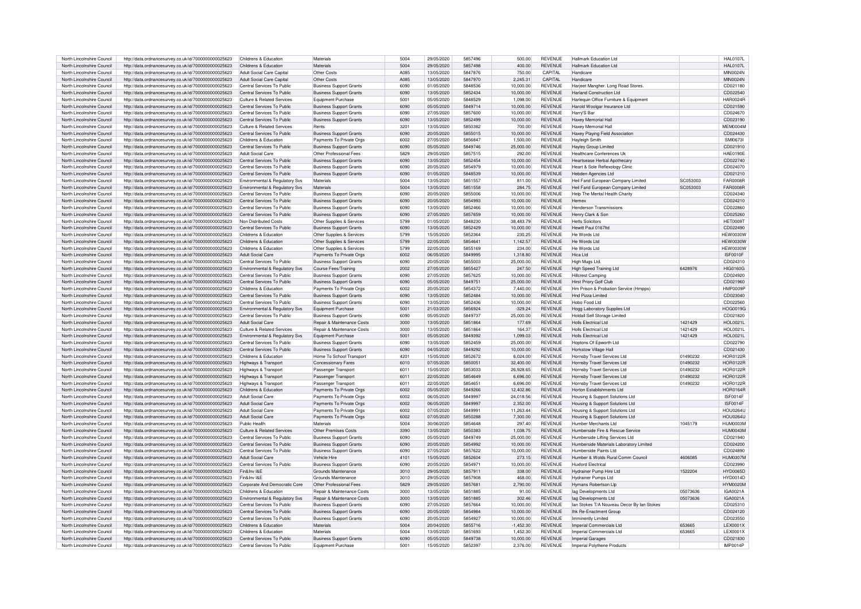| North Lincolnshire Council | http://data.ordnancesurvey.co.uk/id/7000000000025623 | Childrens & Education                 | Materials                      | 5004        | 29/05/2020 | 5857496 | 500.00      | <b>REVENUE</b> | Hallmark Education Ltd                     |          | <b>HAL0107L</b> |
|----------------------------|------------------------------------------------------|---------------------------------------|--------------------------------|-------------|------------|---------|-------------|----------------|--------------------------------------------|----------|-----------------|
| North Lincolnshire Council | http://data.ordnancesurvey.co.uk/id/7000000000025623 | Childrens & Education                 | <b>Materials</b>               | 5004        | 29/05/2020 | 5857498 | 400.00      | <b>REVENUE</b> | Hallmark Education Ltd                     |          | <b>HAL0107L</b> |
|                            |                                                      |                                       |                                |             |            |         |             |                |                                            |          |                 |
| North Lincolnshire Council | http://data.ordnancesurvey.co.uk/id/7000000000025623 | Adult Social Care Capital             | Other Costs                    | <b>A085</b> | 13/05/2020 | 5847876 | 750.00      | <b>CAPITAL</b> | Handicare                                  |          | MIN0024N        |
| North Lincolnshire Council | http://data.ordnancesurvey.co.uk/id/7000000000025623 | Adult Social Care Capital             | Other Costs                    | <b>A085</b> | 13/05/2020 | 5847970 | 2,245.31    | CAPITAL        | Handicare                                  |          | MIN0024N        |
| North Lincolnshire Council | http://data.ordnancesurvey.co.uk/id/7000000000025623 | Central Services To Public            | <b>Business Support Grants</b> | 6090        | 01/05/2020 | 5848536 | 10.000.00   | <b>REVENUE</b> | Harjeet Mangher. Long Road Stores          |          | CD021180        |
| North Lincolnshire Council | http://data.ordnancesurvey.co.uk/id/7000000000025623 | Central Services To Public            | <b>Business Support Grants</b> | 6090        | 13/05/2020 | 5852434 | 10.000.00   | <b>REVENUE</b> | <b>Harland Construction Ltd</b>            |          | CD022540        |
| North Lincolnshire Council | http://data.ordnancesurvey.co.uk/id/7000000000025623 | Culture & Related Services            | <b>Equipment Purchase</b>      | 5001        | 05/05/2020 | 5848529 | 1,098.00    | <b>REVENUE</b> | Harlequin Office Furniture & Equipment     |          | HAR0024F        |
| North Lincolnshire Council | http://data.ordnancesurvey.co.uk/id/7000000000025623 | Central Services To Public            | <b>Business Support Grants</b> | 6090        | 05/05/2020 | 5849714 | 10.000.00   | <b>REVENUE</b> | Harold Woolgar Insurance Ltd               |          | CD021590        |
| North Lincolnshire Council | http://data.ordnancesurvey.co.uk/id/7000000000025623 | Central Services To Public            | <b>Business Support Grants</b> | 6090        | 27/05/2020 | 5857600 | 10.000.00   | <b>REVENUE</b> | Harry'S Bar                                |          | CD024670        |
|                            |                                                      |                                       |                                |             |            |         |             |                |                                            |          |                 |
| North Lincolnshire Council | http://data.ordnancesurvey.co.uk/id/7000000000025623 | Central Services To Public            | <b>Business Support Grants</b> | 6090        | 13/05/2020 | 5852499 | 10.000.00   | <b>REVENUE</b> | Haxey Memorial Hall                        |          | CD023190        |
| North Lincolnshire Council | http://data.ordnancesurvey.co.uk/id/7000000000025623 | Culture & Related Services            | Rents                          | 3201        | 13/05/2020 | 5850382 | 700.00      | <b>REVENUE</b> | Haxey Memorial Hall                        |          | MFM0004M        |
| North Lincolnshire Council | http://data.ordnancesurvey.co.uk/id/7000000000025623 | Central Services To Public            | <b>Business Support Grants</b> | 6090        | 20/05/2020 | 5855015 | 10,000.00   | <b>REVENUE</b> | Haxey Playing Field Association            |          | CD024430        |
| North Lincolnshire Council | http://data.ordnancesurvey.co.uk/id/7000000000025623 | Childrens & Education                 | Payments To Private Orgs       | 6002        | 27/05/2020 | 5856847 | 1.500.00    | <b>REVENUE</b> | Hayleigh Smith                             |          | SMI0673I        |
| North Lincolnshire Council | http://data.ordnancesurvey.co.uk/id/7000000000025623 | Central Services To Public            | <b>Business Support Grants</b> | 6090        | 05/05/2020 | 5849746 | 25,000.00   | <b>REVENUE</b> | Hayley Group Limited                       |          | CD021910        |
| North Lincolnshire Council |                                                      | Adult Social Care                     | Other Professional Fees        | 5829        | 29/05/2020 | 5857515 | 292.00      | <b>REVENUE</b> | Healthcare Conferences Uk                  |          | HAF0190F        |
|                            | http://data.ordnancesurvey.co.uk/id/7000000000025623 |                                       |                                |             |            |         |             |                |                                            |          |                 |
| North Lincolnshire Council | http://data.ordnancesurvey.co.uk/id/7000000000025623 | Central Services To Public            | <b>Business Support Grants</b> | 6090        | 13/05/2020 | 5852454 | 10,000.00   | <b>REVENUE</b> | Heartsease Herbal Apothecary               |          | CD022740        |
| North Lincolnshire Council | http://data.ordnancesurvey.co.uk/id/7000000000025623 | Central Services To Public            | <b>Business Support Grants</b> | 6090        | 20/05/2020 | 5854979 | 10.000.00   | <b>REVENUE</b> | Heart & Sole Reflexology Clinic            |          | CD024070        |
| North Lincolnshire Council | http://data.ordnancesurvey.co.uk/id/7000000000025623 | Central Services To Public            | <b>Business Support Grants</b> | 6090        | 01/05/2020 | 5848539 | 10,000.00   | REVENUE        | Hebden Agencies Ltd                        |          | CD021210        |
| North Lincolnshire Council | http://data.ordnancesurvey.co.uk/id/7000000000025623 | Environmental & Regulatory Svs        | Materials                      | 5004        | 13/05/2020 | 5851557 | 811.00      | REVENUE        | Heil Farid European Company Limited        | SC053003 | <b>FAR0008R</b> |
| North Lincolnshire Council | http://data.ordnancesurvey.co.uk/id/7000000000025623 | Environmental & Regulatory Svs        | Materials                      | 5004        | 13/05/2020 | 5851558 | 284.75      | REVENUE        | Heil Farid European Company Limited        | SC053003 | <b>FAR0008R</b> |
| North Lincolnshire Council | http://data.ordnancesurvey.co.uk/id/7000000000025623 | Central Services To Public            | <b>Business Support Grants</b> | 6090        | 20/05/2020 | 5855006 | 10,000.00   | <b>REVENUE</b> | Help The Mental Health Charity             |          | CD024340        |
|                            |                                                      |                                       |                                | 6090        |            | 5854993 |             | <b>REVENUE</b> | Hemex                                      |          |                 |
| North Lincolnshire Council | http://data.ordnancesurvey.co.uk/id/7000000000025623 | Central Services To Public            | <b>Business Support Grants</b> |             | 20/05/2020 |         | 10,000.00   |                |                                            |          | CD024210        |
| North Lincolnshire Council | http://data.ordnancesurvey.co.uk/id/7000000000025623 | Central Services To Public            | <b>Business Support Grants</b> | 6090        | 13/05/2020 | 5852466 | 10.000.00   | <b>REVENUE</b> | Henderson Transmissions                    |          | CD022860        |
| North Lincolnshire Council | http://data.ordnancesurvey.co.uk/id/7000000000025623 | Central Services To Public            | <b>Business Support Grants</b> | 6090        | 27/05/2020 | 5857659 | 10,000.00   | <b>REVENUE</b> | Henry Clark & Son                          |          | CD025260        |
| North Lincolnshire Council | http://data.ordnancesurvey.co.uk/id/7000000000025623 | Non Distributed Costs                 | Other Supplies & Services      | 5799        | 01/05/2020 | 5848230 | 38,483.79   | <b>REVENUE</b> | <b>Hetts Solicitors</b>                    |          | HFT0009T        |
| North Lincolnshire Council | http://data.ordnancesurvey.co.uk/id/7000000000025623 | Central Services To Public            | <b>Business Support Grants</b> | 6090        | 13/05/2020 | 5852429 | 10,000.00   | <b>REVENUE</b> | Hewitt Paul 0167fd                         |          | CD022490        |
| North Lincolnshire Council | http://data.ordnancesurvey.co.uk/id/7000000000025623 | Childrens & Education                 | Other Supplies & Services      | 5799        | 15/05/2020 | 5852364 | 230.25      | <b>REVENUE</b> | He Words I td                              |          | HFW0030V        |
|                            |                                                      |                                       |                                |             |            |         |             | <b>REVENUE</b> |                                            |          |                 |
| North Lincolnshire Council | http://data.ordnancesurvey.co.uk/id/7000000000025623 | Childrens & Education                 | Other Supplies & Services      | 5799        | 22/05/2020 | 5854641 | 1,142.57    |                | He Words I td                              |          | <b>HEW0030V</b> |
| North Lincolnshire Council | http://data.ordnancesurvey.co.uk/id/7000000000025623 | Childrens & Education                 | Other Supplies & Services      | 5799        | 22/05/2020 | 5855169 | 234.00      | <b>REVENUE</b> | He Words I td                              |          | <b>HEW0030V</b> |
| North Lincolnshire Council | http://data.ordnancesurvey.co.uk/id/7000000000025623 | <b>Adult Social Care</b>              | Payments To Private Orgs       | 6002        | 06/05/2020 | 5849995 | 1,318.80    | <b>REVENUE</b> | Hica I td                                  |          | ISF0010F        |
| North Lincolnshire Council | http://data.ordnancesurvey.co.uk/id/7000000000025623 | Central Services To Public            | <b>Business Support Grants</b> | 6090        | 20/05/2020 | 5855003 | 25.000.00   | <b>REVENUE</b> | High Mugs I td.                            |          | CD024310        |
| North Lincolnshire Council | http://data.ordnancesurvey.co.uk/id/7000000000025623 | Environmental & Regulatory Svs        | Course Fees/Training           | 2002        | 27/05/2020 | 5855427 | 247.50      | <b>REVENUE</b> | High Speed Training Ltd                    | 6428976  | <b>HIG0160G</b> |
| North Lincolnshire Council | http://data.ordnancesurvey.co.uk/id/7000000000025623 | Central Services To Public            | <b>Business Support Grants</b> | 6090        | 27/05/2020 | 5857625 | 10,000.00   | <b>REVENUE</b> | <b>Hillcrest Camping</b>                   |          | CD024920        |
|                            |                                                      | Central Services To Public            |                                | 6090        | 05/05/2020 | 5849751 | 25.000.00   | <b>REVENUE</b> |                                            |          | CD021960        |
| North Lincolnshire Council | http://data.ordnancesurvey.co.uk/id/7000000000025623 |                                       | <b>Business Support Grants</b> |             |            |         |             |                | Hirst Priory Golf Club                     |          |                 |
| North Lincolnshire Council | http://data.ordnancesurvey.co.uk/id/7000000000025623 | Childrens & Education                 | Payments To Private Orgs       | 6002        | 20/05/2020 | 5854372 | 7,440.00    | <b>REVENUE</b> | Hm Prison & Probation Service (Hmpps)      |          | HMP0009P        |
| North Lincolnshire Council | http://data.ordnancesurvey.co.uk/id/7000000000025623 | Central Services To Public            | <b>Business Support Grants</b> | 6090        | 13/05/2020 | 5852484 | 10,000.00   | <b>REVENUE</b> | Hnd Pizza Limited                          |          | CD023040        |
| North Lincolnshire Council | http://data.ordnancesurvey.co.uk/id/7000000000025623 | Central Services To Public            | <b>Business Support Grants</b> | 6090        | 13/05/2020 | 5852436 | 10.000.00   | <b>REVENUE</b> | Hobo Food I to                             |          | CD022560        |
| North Lincolnshire Council | http://data.ordnancesurvey.co.uk/id/7000000000025623 | Environmental & Regulatory Svs        | Equipment Purchase             | 5001        | 21/03/2020 | 5856924 | $-329.24$   | <b>REVENUE</b> | Hogg Laboratory Supplies Ltd               |          | HOG0019G        |
| North Lincolnshire Council | http://data.ordnancesurvey.co.uk/id/7000000000025623 | Central Services To Public            | <b>Business Support Grants</b> | 6090        | 05/05/2020 | 5849737 | 25,000.00   | <b>REVENUE</b> | Holdall Self Storage Limited               |          | CD021820        |
| North Lincolnshire Council |                                                      | Adult Social Care                     |                                | 3000        | 13/05/2020 | 5851864 | 177.69      | <b>REVENUE</b> | <b>Holls Electrical Ltd</b>                | 1421429  | <b>HOL0021L</b> |
|                            | http://data.ordnancesurvey.co.uk/id/7000000000025623 |                                       | Repair & Maintenance Costs     |             |            |         |             |                |                                            |          |                 |
| North Lincolnshire Council | http://data.ordnancesurvey.co.uk/id/7000000000025623 | Culture & Related Services            | Repair & Maintenance Costs     | 3000        | 13/05/2020 | 5851864 | 164.37      | <b>REVENUE</b> | Holls Electrical Ltd                       | 1421429  | <b>HOL0021L</b> |
| North Lincolnshire Council | http://data.ordnancesurvey.co.uk/id/7000000000025623 | Environmental & Regulatory Svs        | Equipment Purchase             | 5001        | 05/05/2020 | 5849392 | 1,099.03    | <b>REVENUE</b> | Holls Electrical Ltd                       | 1421429  | HOI 0021I       |
| North Lincolnshire Council | http://data.ordnancesurvey.co.uk/id/7000000000025623 | Central Services To Public            | <b>Business Support Grants</b> | 6090        | 13/05/2020 | 5852459 | 25.000.00   | <b>REVENUE</b> | Hontons Of Foworth Ltd                     |          | CD022790        |
| North Lincolnshire Council | http://data.ordnancesurvey.co.uk/id/7000000000025623 | Central Services To Public            | <b>Business Support Grants</b> | 6090        | 04/05/2020 | 5849292 | 10.000.00   | <b>REVENUE</b> | Horkstow Village Hall                      |          | CD021430        |
| North Lincolnshire Council | http://data.ordnancesurvey.co.uk/id/7000000000025623 | Childrens & Education                 | Home To School Transport       | 4201        | 15/05/2020 | 5852672 | 6,024.00    | <b>REVENUE</b> | <b>Homsby Travel Services Ltd</b>          | 01490232 | <b>HOR0122F</b> |
| North Lincolnshire Council | http://data.ordnancesurvey.co.uk/id/7000000000025623 | Highways & Transport                  | <b>Concessionary Fares</b>     | 6010        | 07/05/2020 | 5850051 | 32,400.00   | <b>REVENUE</b> | Hornsby Travel Services Ltd                | 01490232 | <b>HOR0122R</b> |
|                            |                                                      |                                       |                                |             |            |         |             |                |                                            |          |                 |
| North Lincolnshire Council | http://data.ordnancesurvey.co.uk/id/7000000000025623 | Highways & Transport                  | Passenger Transport            | 6011        | 15/05/2020 | 5853033 | 26,928.65   | <b>REVENUE</b> | Homsby Travel Services Ltd                 | 01490232 | <b>HOR0122R</b> |
| North Lincolnshire Council | http://data.ordnancesurvey.co.uk/id/7000000000025623 | Highways & Transport                  | Passenger Transport            | 6011        | 22/05/2020 | 5854649 | 6.696.00    | <b>REVENUE</b> | Hornsby Travel Services Ltd                | 01490232 | <b>HOR0122F</b> |
| North Lincolnshire Council | http://data.ordnancesurvey.co.uk/id/7000000000025623 | Highways & Transport                  | Passenger Transport            | 6011        | 22/05/2020 | 5854651 | 6.696.00    | <b>REVENUE</b> | Homsby Travel Services Ltd                 | 01490232 | <b>HOR0122F</b> |
| North Lincolnshire Council | http://data.ordnancesurvey.co.uk/id/7000000000025623 | Childrens & Education                 | Payments To Private Orgs       | 6002        | 05/05/2020 | 5849266 | 12.402.86   | <b>REVENUE</b> | Horton Establishments Ltd                  |          | <b>HOR0164F</b> |
| North Lincolnshire Council | http://data.ordnancesurvey.co.uk/id/7000000000025623 | <b>Adult Social Care</b>              | Payments To Private Orgs       | 6002        | 06/05/2020 | 5849997 | 24,018.56   | <b>REVENUE</b> | Housing & Support Solutions Ltd            |          | <b>ISF0014F</b> |
| North Lincolnshire Council | http://data.ordnancesurvey.co.uk/id/7000000000025623 | <b>Adult Social Care</b>              | Payments To Private Orgs       | 6002        | 06/05/2020 | 5849997 | 2,352.00    | <b>REVENUE</b> | Housing & Support Solutions Ltd            |          | <b>ISF0014F</b> |
|                            |                                                      |                                       |                                |             |            |         |             |                |                                            |          |                 |
| North Lincolnshire Council | http://data.ordnancesurvey.co.uk/id/7000000000025623 | Adult Social Care                     | Payments To Private Orgs       | 6002        | 07/05/2020 | 584999  | 11,263.44   | REVENUE        | Housing & Support Solutions Ltd            |          | <b>HOU0264L</b> |
| North Lincolnshire Council | http://data.ordnancesurvey.co.uk/id/7000000000025623 | Adult Social Care                     | Payments To Private Orgs       | 6002        | 07/05/2020 | 5850288 | 7,300.00    | REVENUE        | Housing & Support Solutions Ltd            |          | <b>HOU0264U</b> |
| North Lincolnshire Council | http://data.ordnancesurvey.co.uk/id/7000000000025623 | Public Health                         | Materials                      | 5004        | 30/06/2020 | 5854648 | 297.40      | <b>REVENUE</b> | Humber Merchants Ltd                       | 1045179  | HUM0003M        |
| North Lincolnshire Council | http://data.ordnancesurvey.co.uk/id/7000000000025623 | <b>Culture &amp; Related Services</b> | Other Premises Costs           | 3390        | 13/05/2020 | 5850383 | 1,038.75    | <b>REVENUE</b> | Humberside Fire & Rescue Service           |          | HUM0043M        |
| North Lincolnshire Council | http://data.ordnancesurvey.co.uk/id/7000000000025623 | Central Services To Public            | <b>Business Support Grants</b> | 6090        | 05/05/2020 | 5849749 | 25,000.00   | <b>REVENUE</b> | Humberside Lifting Services Ltd            |          | CD021940        |
| North Lincolnshire Council | http://data.ordnancesurvey.co.uk/id/7000000000025623 | Central Services To Public            | <b>Business Support Grants</b> | 6090        | 20/05/2020 | 5854992 | 10.000.00   | <b>REVENUE</b> | Humberside Materials Laboratory Limited    |          | CD024200        |
| North Lincolnshire Council | http://data.ordnancesurvey.co.uk/id/7000000000025623 | Central Services To Public            | <b>Business Support Grants</b> | 6090        | 27/05/2020 | 5857622 | 10,000.00   | REVENUE        | Humberside Paints Ltd                      |          | CD024890        |
|                            |                                                      |                                       |                                |             |            |         |             |                |                                            |          |                 |
| North Lincolnshire Council | http://data.ordnancesurvey.co.uk/id/7000000000025623 | Adult Social Care                     | Vehicle Hire                   | 4101        | 15/05/2020 | 5852604 | 273.15      | <b>REVENUE</b> | Humber & Wolds Rural Comm Council          | 4606085  | <b>HUM0307M</b> |
| North Lincolnshire Council | http://data.ordnancesurvey.co.uk/id/7000000000025623 | Central Services To Public            | <b>Business Support Grants</b> | 6090        | 20/05/2020 | 585497  | 10,000.00   | <b>REVENUE</b> | <b>Huxford Flectrical</b>                  |          | CD023990        |
| North Lincolnshire Council | http://data.ordnancesurvey.co.uk/id/7000000000025623 | Fin&Inv I&F                           | Grounds Maintenance            | 3010        | 29/05/2020 | 5857911 | 338.00      | <b>REVENUE</b> | Hydrainer Pump Hire Ltd                    | 1522204  | <b>HYD0065D</b> |
| North Lincolnshire Council | http://data.ordnancesurvey.co.uk/id/7000000000025623 | Fin&Inv I&F                           | Grounds Maintenance            | 3010        | 29/05/2020 | 5857908 | 468.00      | <b>REVENUE</b> | Hydrainer Pumps Ltd                        |          | <b>HYD0014D</b> |
| North Lincolnshire Council | http://data.ordnancesurvey.co.uk/id/7000000000025623 | Corporate And Democratic Core         | Other Professional Fees        | 5829        | 29/05/2020 | 5857681 | 2.790.00    | <b>REVENUE</b> | Hymans Robertson Lip                       |          | <b>HYM0020N</b> |
| North Lincolnshire Council | http://data.ordnancesurvey.co.uk/id/7000000000025623 | Childrens & Education                 | Repair & Maintenance Costs     | 3000        | 13/05/2020 | 5851885 | 91.00       | REVENUE        | lag Developments Ltd                       | 05073636 | IGA0021A        |
|                            |                                                      |                                       |                                |             |            |         |             |                |                                            |          |                 |
| North Lincolnshire Council | http://data.ordnancesurvey.co.uk/id/7000000000025623 | Environmental & Regulatory Svs        | Repair & Maintenance Costs     | 3000        | 13/05/2020 | 5851885 | 302.46      | <b>REVENUE</b> | lag Developments Ltd                       | 05073636 | IGA0021A        |
| North Lincolnshire Council | http://data.ordnancesurvey.co.uk/id/7000000000025623 | Central Services To Public            | <b>Business Support Grants</b> | 6090        | 27/05/2020 | 5857664 | 10.000.00   | <b>REVENUE</b> | lan Stokes T/A Nouveau Decor By lan Stokes |          | CD025310        |
| North Lincolnshire Council | http://data.ordnancesurvey.co.uk/id/7000000000025623 | Central Services To Public            | <b>Business Support Grants</b> | 6090        | 20/05/2020 | 5854984 | 10,000.00   | REVENUE        | Ihk Re-Enactment Group                     |          | CD024120        |
| North Lincolnshire Council | http://data.ordnancesurvey.co.uk/id/7000000000025623 | Central Services To Public            | <b>Business Support Grants</b> | 6090        | 20/05/2020 | 5854927 | 10,000.00   | REVENUE        | <b>Imminently Limited</b>                  |          | CD023550        |
| North Lincolnshire Council | http://data.ordnancesurvey.co.uk/id/7000000000025623 | Childrens & Education                 | Materials                      | 5004        | 20/04/2020 | 5855716 | $-1.452.30$ | <b>REVENUE</b> | Imperial Commercials Ltd                   | 653665   | <b>LEX0001X</b> |
| North Lincolnshire Council | http://data.ordnancesurvey.co.uk/id/7000000000025623 | Childrens & Education                 | Materials                      | 5004        | 13/05/2020 | 5851693 | 1,452.30    | <b>REVENUE</b> | Imperial Commercials Ltd                   | 653665   | LEX0001X        |
|                            |                                                      |                                       |                                |             |            |         |             |                |                                            |          |                 |
| North Lincolnshire Council | http://data.ordnancesurvey.co.uk/id/7000000000025623 | Central Services To Public            | <b>Business Support Grants</b> | 6090        | 05/05/2020 | 5849738 | 10,000.00   | <b>REVENUE</b> | <b>Imperial Garages</b>                    |          | CD021830        |
| North Lincolnshire Council | http://data.ordnancesurvey.co.uk/id/7000000000025623 | Central Services To Public            | Equipment Purchase             | 5001        | 15/05/2020 | 5852397 | 2.376.00    | <b>REVENUE</b> | Imperial Polythene Products                |          | IMP0014P        |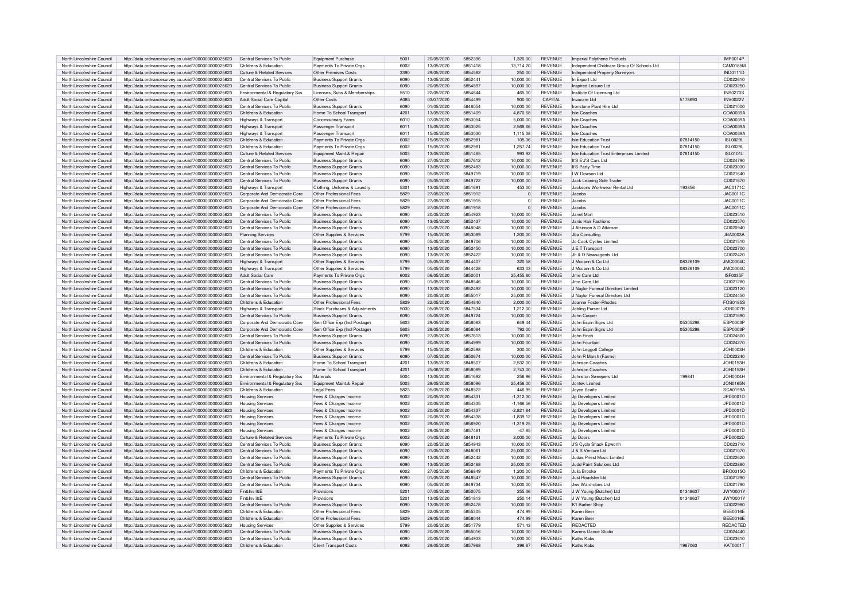| North Lincolnshire Council |                                                                                                              |                                       |                                                                 |      |            |         |                |                |                                            |          |                             |
|----------------------------|--------------------------------------------------------------------------------------------------------------|---------------------------------------|-----------------------------------------------------------------|------|------------|---------|----------------|----------------|--------------------------------------------|----------|-----------------------------|
|                            | http://data.ordnancesurvey.co.uk/id/7000000000025623                                                         | Central Services To Public            | Equipment Purchase                                              | 5001 | 20/05/2020 | 5852396 | 1,320.00       | <b>REVENUE</b> | Imperial Polythene Products                |          | <b>IMP0014P</b>             |
| North Lincolnshire Council | http://data.ordnancesurvey.co.uk/id/7000000000025623                                                         | Childrens & Education                 | Payments To Private Orgs                                        | 6002 | 13/05/2020 | 5851418 | 13,714.20      | <b>REVENUE</b> | Independent Childcare Group Of Schools Ltd |          | CAM0185M                    |
| North Lincolnshire Council | http://data.ordnancesurvey.co.uk/id/7000000000025623                                                         | Culture & Related Services            | Other Premises Costs                                            | 3390 | 29/05/2020 | 5854582 | 250.00         | <b>REVENUE</b> | Independent Property Surveyors             |          | <b>IND0111D</b>             |
| North Lincolnshire Council | http://data.ordnancesurvey.co.uk/id/7000000000025623                                                         | Central Services To Public            | <b>Business Support Grants</b>                                  | 6090 | 13/05/2020 | 5852441 | 10.000.00      | <b>REVENUE</b> | In Export Ltd                              |          | CD022610                    |
|                            |                                                                                                              |                                       |                                                                 |      |            |         |                |                |                                            |          |                             |
| North Lincolnshire Council | http://data.ordnancesurvey.co.uk/id/7000000000025623                                                         | Central Services To Public            | <b>Business Support Grants</b>                                  | 6090 | 20/05/2020 | 5854897 | 10.000.00      | <b>REVENUE</b> | Inspired Leisure Ltd                       |          | CD023250                    |
| North Lincolnshire Council | http://data.ordnancesurvey.co.uk/id/7000000000025623                                                         | Environmental & Regulatory Svs        | Licenses, Subs & Memberships                                    | 5510 | 22/05/2020 | 5854644 | 465.00         | REVENUE        | Institute Of Licensing Ltd                 |          | <b>INS0270S</b>             |
| North Lincolnshire Council | http://data.ordnancesurvey.co.uk/id/7000000000025623                                                         | <b>Adult Social Care Capital</b>      | Other Costs                                                     | A085 | 03/07/2020 | 5854499 | 900.00         | CAPITAL        | Invacare Ltd                               | 5178693  | <b>INV0022V</b>             |
| North Lincolnshire Council | http://data.ordnancesurvey.co.uk/id/7000000000025623                                                         | Central Services To Public            | <b>Business Support Grants</b>                                  | 6090 | 01/05/2020 | 5848054 | 10.000.00      | <b>REVENUE</b> | Ironstone Plant Hire Ltd                   |          | CD021000                    |
| North Lincolnshire Council | http://data.ordnancesurvey.co.uk/id/7000000000025623                                                         | Childrens & Education                 | Home To School Transport                                        | 4201 | 13/05/2020 | 5851409 | 4,870.68       | <b>REVENUE</b> | <b>Isle Coaches</b>                        |          | COA0039/                    |
|                            |                                                                                                              |                                       |                                                                 |      |            |         |                |                |                                            |          |                             |
| North Lincolnshire Council | http://data.ordnancesurvey.co.uk/id/7000000000025623                                                         | Highways & Transport                  | Concessionary Fares                                             | 6010 | 07/05/2020 | 5850054 | 5.000.00       | <b>REVENUE</b> | Isle Coaches                               |          | COA0039/                    |
| North Lincolnshire Council | http://data.ordnancesurvey.co.uk/id/7000000000025623                                                         | Highways & Transport                  | Passenger Transport                                             | 6011 | 15/05/2020 | 5853025 | 2.568.66       | <b>REVENUE</b> | <b>Isle Coaches</b>                        |          | COA0039A                    |
| North Lincolnshire Council | http://data.ordnancesurvey.co.uk/id/7000000000025623                                                         | Highways & Transport                  | Passenger Transport                                             | 6011 | 15/05/2020 | 5853030 | 1,115.38       | <b>REVENUE</b> | <b>Isle Coaches</b>                        |          | COA0039A                    |
| North Lincolnshire Council | http://data.ordnancesurvey.co.uk/id/7000000000025623                                                         | Childrens & Education                 | Payments To Private Orgs                                        | 6002 | 15/05/2020 | 5852981 | 105.36         | <b>REVENUE</b> | <b>Isle Education Trust</b>                | 07814150 | <b>ISL0029L</b>             |
| North Lincolnshire Council |                                                                                                              | Childrens & Education                 |                                                                 | 6002 | 15/05/2020 | 5852981 | 1.257.74       | <b>REVENUE</b> | <b>Isle Education Trust</b>                | 07814150 | <b>ISL0029L</b>             |
|                            | http://data.ordnancesurvey.co.uk/id/7000000000025623                                                         |                                       | Payments To Private Orgs                                        |      |            |         |                |                |                                            |          |                             |
| North Lincolnshire Council | http://data.ordnancesurvey.co.uk/id/7000000000025623                                                         | Culture & Related Services            | Equipment Maint.& Repair                                        | 5003 | 13/05/2020 | 5851465 | 993.92         | <b>REVENUE</b> | Isle Education Trust Enterprises Limited   | 07814150 | ISL0101L                    |
| North Lincolnshire Council | http://data.ordnancesurvey.co.uk/id/7000000000025623                                                         | Central Services To Public            | <b>Business Support Grants</b>                                  | 6090 | 27/05/2020 | 5857612 | 10,000.00      | <b>REVENUE</b> | It'S F'J'S Cars I td                       |          | CD024790                    |
| North Lincolnshire Council | http://data.ordnancesurvey.co.uk/id/7000000000025623                                                         | Central Services To Public            | <b>Business Support Grants</b>                                  | 6090 | 13/05/2020 | 5852483 | 10,000.00      | <b>REVENUE</b> | It'S Party Time                            |          | CD023030                    |
| North Lincolnshire Council | http://data.ordnancesurvey.co.uk/id/7000000000025623                                                         | Central Services To Public            | <b>Business Support Grants</b>                                  | 6090 | 05/05/2020 | 5849719 | 10,000.00      | <b>REVENUE</b> | I W Dowson Ltd                             |          | CD021640                    |
|                            |                                                                                                              |                                       |                                                                 | 6090 |            |         |                |                |                                            |          |                             |
| North Lincolnshire Council | http://data.ordnancesurvey.co.uk/id/7000000000025623                                                         | Central Services To Public            | <b>Business Support Grants</b>                                  |      | 05/05/2020 | 5849722 | 10,000.00      | <b>REVENUE</b> | Jack Leaning Sole Trader                   |          | CD021670                    |
| North Lincolnshire Council | http://data.ordnancesurvey.co.uk/id/7000000000025623                                                         | Highways & Transport                  | Clothing, Uniforms & Laundr                                     | 5301 | 13/05/2020 | 585169  | 453.00         | <b>REVENUE</b> | Jacksons Workwear Rental Ltd               | 193856   | JAC0171C                    |
| North Lincolnshire Council | http://data.ordnancesurvey.co.uk/id/7000000000025623                                                         | Corporate And Democratic Core         | Other Professional Fees                                         | 5829 | 27/05/2020 | 5851912 | $\overline{0}$ | <b>REVENUE</b> | Jacobs                                     |          | JAC0011C                    |
| North Lincolnshire Council | http://data.ordnancesurvey.co.uk/id/7000000000025623                                                         | Corporate And Democratic Core         | Other Professional Fees                                         | 5829 | 27/05/2020 | 5851915 | $\Omega$       | <b>REVENUE</b> | Jacobs                                     |          | JAC0011C                    |
| North Lincolnshire Council | http://data.ordnancesurvey.co.uk/id/7000000000025623                                                         | Corporate And Democratic Core         | Other Professional Fees                                         | 5829 | 27/05/2020 | 5851918 | $\Omega$       | <b>REVENUE</b> | Jacobs                                     |          | <b>JAC0011C</b>             |
|                            |                                                                                                              |                                       |                                                                 |      |            |         |                |                | Janet Mort                                 |          |                             |
| North Lincolnshire Council | http://data.ordnancesurvey.co.uk/id/7000000000025623                                                         | Central Services To Public            | <b>Business Support Grants</b>                                  | 6090 | 20/05/2020 | 5854923 | 10,000.00      | <b>REVENUE</b> |                                            |          | CD023510                    |
| North Lincolnshire Council | http://data.ordnancesurvey.co.uk/id/7000000000025623                                                         | Central Services To Public            | <b>Business Support Grants</b>                                  | 6090 | 13/05/2020 | 5852437 | 10.000.00      | <b>REVENUE</b> | Janis Hair Fashions                        |          | CD022570                    |
| North Lincolnshire Council | http://data.ordnancesurvey.co.uk/id/7000000000025623                                                         | Central Services To Public            | <b>Business Support Grants</b>                                  | 6090 | 01/05/2020 | 5848048 | 10,000.00      | <b>REVENUE</b> | J Atkinson & D Atkinson                    |          | CD020940                    |
| North Lincolnshire Council | http://data.ordnancesurvey.co.uk/id/7000000000025623                                                         | <b>Planning Services</b>              | Other Supplies & Services                                       | 5799 | 15/05/2020 | 5853089 | 1,200.00       | <b>REVENUE</b> | Jba Consulting                             |          | JBA0003A                    |
| North Lincolnshire Council |                                                                                                              | Central Services To Public            |                                                                 | 6090 | 05/05/2020 | 5849706 | 10.000.00      | <b>REVENUE</b> |                                            |          | CD021510                    |
|                            | http://data.ordnancesurvey.co.uk/id/7000000000025623                                                         |                                       | <b>Business Support Grants</b>                                  |      |            |         |                |                | Jc Cook Cycles Limited                     |          |                             |
| North Lincolnshire Council | http://data.ordnancesurvey.co.uk/id/7000000000025623                                                         | Central Services To Public            | <b>Business Support Grants</b>                                  | 6090 | 13/05/2020 | 5852450 | 10,000.00      | <b>REVENUE</b> | J.E.T Transport                            |          | CD022700                    |
| North Lincolnshire Council | http://data.ordnancesurvey.co.uk/id/7000000000025623                                                         | Central Services To Public            | <b>Business Support Grants</b>                                  | 6090 | 13/05/2020 | 5852422 | 10,000.00      | REVENUE        | Jh & D Newsagents Ltd                      |          | CD022420                    |
| North Lincolnshire Council | http://data.ordnancesurvey.co.uk/id/7000000000025623                                                         | Highways & Transport                  | Other Supplies & Services                                       | 5799 | 05/05/2020 | 5844407 | 320.58         | <b>REVENUE</b> | J Mocann & Co Ltd                          | 08326109 | <b>JMC0004C</b>             |
| North Lincolnshire Council | http://data.ordnancesurvey.co.uk/id/7000000000025623                                                         | Highways & Transport                  | Other Supplies & Services                                       | 5799 | 05/05/2020 | 5844428 | 633.03         | REVENUE        | J Mccann & Co Ltd                          | 08326109 | <b>JMC00040</b>             |
| North Lincolnshire Council | http://data.ordnancesurvey.co.uk/id/7000000000025623                                                         | Adult Social Care                     | Payments To Private Orgs                                        | 6002 | 06/05/2020 | 585000  | 25,455.80      | <b>REVENUE</b> | Jme Care Ltd                               |          | ISF0035F                    |
|                            |                                                                                                              |                                       |                                                                 |      |            |         |                |                |                                            |          |                             |
| North Lincolnshire Council | http://data.ordnancesurvey.co.uk/id/7000000000025623                                                         | Central Services To Public            | <b>Business Support Grants</b>                                  | 6090 | 01/05/2020 | 5848546 | 10,000.00      | <b>REVENUE</b> | Jme Care Ltd                               |          | CD021280                    |
| North Lincolnshire Council | http://data.ordnancesurvey.co.uk/id/7000000000025623                                                         | Central Services To Public            | <b>Business Support Grants</b>                                  | 6090 | 13/05/2020 | 5852492 | 10,000.00      | <b>REVENUE</b> | J Naylor Funeral Directors Limited         |          | CD023120                    |
| North Lincolnshire Council | http://data.ordnancesurvev.co.uk/id/7000000000025623                                                         | Central Services To Public            | <b>Business Support Grants</b>                                  | 6090 | 20/05/2020 | 5855017 | 25,000.00      | <b>REVENUE</b> | J Navlor Funeral Directors Ltd             |          | CD024450                    |
| North Lincolnshire Council | http://data.ordnancesurvey.co.uk/id/7000000000025623                                                         | Childrens & Education                 | Other Professional Fees                                         | 5829 | 22/05/2020 | 5854840 | 2,000.00       | <b>REVENUE</b> | Joanne Foster-Bhodes                       |          | FOS0185S                    |
|                            |                                                                                                              |                                       |                                                                 | 5030 | 05/05/2020 | 5847534 |                | <b>REVENUE</b> |                                            |          | <b>JOB0007B</b>             |
| North Lincolnshire Council | http://data.ordnancesurvev.co.uk/id/7000000000025623                                                         | Highways & Transport                  | Stock Purchases & Adiustments                                   |      |            |         | 1.212.00       |                | Jobling Purser Ltd                         |          |                             |
| North Lincolnshire Council | http://data.ordnancesurvev.co.uk/id/7000000000025623                                                         | Central Services To Public            | <b>Business Support Grants</b>                                  | 6090 | 05/05/2020 | 5849724 | 10,000.00      | <b>REVENUE</b> | John Coope                                 |          | CD021690                    |
| North Lincolnshire Council | http://data.ordnancesurvey.co.uk/id/7000000000025623                                                         | Corporate And Democratic Core         | Gen Office Exp (Incl Postage)                                   | 5603 | 29/05/2020 | 5858083 | 649.44         | <b>REVENUE</b> | John Espin Signs Ltd                       | 05305298 | <b>ESP0003F</b>             |
| North Lincolnshire Council | http://data.ordnancesurvey.co.uk/id/7000000000025623                                                         | Corporate And Democratic Core         | Gen Office Exp (Incl Postage                                    | 5603 | 29/05/2020 | 5858084 | 792.00         | <b>REVENUE</b> | John Espin Signs Ltd                       | 05305298 | ESP0003P                    |
| North Lincolnshire Council | http://data.ordnancesurvey.co.uk/id/7000000000025623                                                         | Central Services To Public            | <b>Business Support Grants</b>                                  | 6090 | 27/05/2020 | 5857613 | 10,000.00      | <b>REVENUE</b> | John Finch                                 |          | CD024800                    |
|                            |                                                                                                              |                                       |                                                                 |      |            |         |                | <b>REVENUE</b> |                                            |          |                             |
|                            |                                                                                                              |                                       |                                                                 |      |            |         |                |                | John Fountain                              |          |                             |
| North Lincolnshire Council | http://data.ordnancesurvey.co.uk/id/7000000000025623                                                         | Central Services To Public            | <b>Business Support Grants</b>                                  | 6090 | 20/05/2020 | 5854999 | 10,000.00      |                |                                            |          | CD024270                    |
| North Lincolnshire Council | http://data.ordnancesurvey.co.uk/id/7000000000025623                                                         | Childrens & Education                 | Other Supplies & Services                                       | 5799 | 15/05/2020 | 5852598 | 300.00         | <b>REVENUE</b> | John Leggott College                       |          | JOH0003H                    |
| North Lincolnshire Council | http://data.ordnancesurvey.co.uk/id/7000000000025623                                                         | Central Services To Public            | <b>Business Support Grants</b>                                  | 6090 | 07/05/2020 | 5850674 | 10,000.00      | <b>REVENUE</b> | John B Marsh (Farms                        |          | CD022240                    |
|                            |                                                                                                              |                                       |                                                                 |      |            |         |                |                |                                            |          |                             |
| North Lincolnshire Council | http://data.ordnancesurvey.co.uk/id/7000000000025623                                                         | Childrens & Education                 | Home To School Transpor                                         | 4201 | 13/05/2020 | 5848507 | 2.532.00       | <b>REVENUE</b> | Johnson Coaches                            |          | <b>JOH0153H</b>             |
| North Lincolnshire Council | http://data.ordnancesurvey.co.uk/id/7000000000025623                                                         | Childrens & Education                 | Home To School Transport                                        | 4201 | 25/06/2020 | 5858089 | 2,743.00       | <b>REVENUE</b> | Johnson Coaches                            |          | <b>JOH0153H</b>             |
| North Lincolnshire Council | http://data.ordnancesurvey.co.uk/id/7000000000025623                                                         | Environmental & Regulatory Svs        | Materials                                                       | 5004 | 13/05/2020 | 5851692 | 256.96         | <b>REVENUE</b> | Johnston Sweepers Ltd                      | 199841   | JOH0004F                    |
| North Lincolnshire Council | http://data.ordnancesurvey.co.uk/id/7000000000025623                                                         | Environmental & Regulatory Sys        | Equipment Maint.& Repair                                        | 5003 | 29/05/2020 | 5858096 | 25,456.00      | <b>REVENUE</b> | Jontek Limited                             |          | <b>JON0165M</b>             |
| North Lincolnshire Council | http://data.ordnancesurvey.co.uk/id/7000000000025623                                                         | Childrens & Education                 | Legal Fees                                                      | 5823 | 05/05/2020 | 5848522 | 446.95         | <b>REVENUE</b> | Joyce Scaife                               |          | SCA0199/                    |
|                            |                                                                                                              |                                       |                                                                 |      |            |         |                |                |                                            |          |                             |
| North Lincolnshire Council | http://data.ordnancesurvey.co.uk/id/7000000000025623                                                         | <b>Housing Services</b>               | Fees & Charges Income                                           | 9002 | 20/05/2020 | 585433  | $-1,312.30$    | <b>REVENUE</b> | Jp Developers Limited                      |          | JPD0001D                    |
| North Lincolnshire Council | http://data.ordnancesurvey.co.uk/id/7000000000025623                                                         | <b>Housing Services</b>               | Fees & Charges Income                                           | 9002 | 20/05/2020 | 5854335 | $-1,166.56$    | <b>REVENUE</b> | Jp Developers Limited                      |          | JPD0001D                    |
| North Lincolnshire Council | http://data.ordnancesurvey.co.uk/id/7000000000025623                                                         | <b>Housing Services</b>               | Fees & Charges Income                                           | 9002 | 20/05/2020 | 5854337 | $-2,821.84$    | <b>REVENUE</b> | Jo Developers Limited                      |          | JPD0001D                    |
| North Lincolnshire Council | http://data.ordnancesurvey.co.uk/id/7000000000025623                                                         | <b>Housing Services</b>               | Fees & Charges Income                                           | 9002 | 20/05/2020 | 5854338 | $-1,839.12$    | <b>REVENUE</b> | Jp Developers Limited                      |          | JPD0001D                    |
| North Lincolnshire Council | http://data.ordnancesurvey.co.uk/id/7000000000025623                                                         | <b>Housing Services</b>               | Fees & Charges Income                                           | 9002 | 29/05/2020 | 5856920 | $-1.319.25$    | <b>REVENUE</b> | Jo Developers Limited                      |          | JPD0001D                    |
|                            |                                                                                                              |                                       |                                                                 | 9002 | 29/05/2020 | 585748  |                | <b>REVENUE</b> |                                            |          |                             |
| North Lincolnshire Council | http://data.ordnancesurvey.co.uk/id/7000000000025623                                                         | <b>Housing Services</b>               | Fees & Charges Income                                           |      |            |         | $-47.85$       |                | Jp Developers Limited                      |          | JPD0001D                    |
| North Lincolnshire Council | http://data.ordnancesurvey.co.uk/id/7000000000025623                                                         | <b>Culture &amp; Related Services</b> | Payments To Private Orgs                                        | 6002 | 01/05/2020 | 584812  | 2,000.00       | <b>REVENUE</b> | Jn Doors                                   |          | JPD0002D                    |
| North Lincolnshire Council | http://data.ordnancesurvey.co.uk/id/7000000000025623                                                         | Central Services To Public            | <b>Business Support Grants</b>                                  | 6090 | 20/05/2020 | 5854943 | 10.000.00      | <b>REVENUE</b> | J'S Cycle Shack Epworth                    |          | CD023710                    |
| North Lincolnshire Council | http://data.ordnancesurvey.co.uk/id/7000000000025623                                                         | Central Services To Public            | <b>Business Support Grants</b>                                  | 6090 | 01/05/2020 | 5848061 | 25,000.00      | <b>REVENUE</b> | J & S Venture Ltd                          |          | CD021070                    |
| North Lincolnshire Council | http://data.ordnancesurvey.co.uk/id/7000000000025623                                                         | Central Services To Public            | <b>Business Support Grants</b>                                  | 6090 | 13/05/2020 | 5852442 | 10.000.00      | <b>REVENUE</b> | Judas Priest Music Limited                 |          | CD022620                    |
| North Lincolnshire Council |                                                                                                              | Central Services To Public            |                                                                 | 6090 | 13/05/2020 | 5852468 |                | <b>REVENUE</b> | Judd Paint Solutions Ltd                   |          |                             |
|                            | http://data.ordnancesurvey.co.uk/id/7000000000025623                                                         |                                       | <b>Business Support Grants</b>                                  |      |            |         | 25,000.00      |                |                                            |          | CD022880                    |
| North Lincolnshire Council | http://data.ordnancesurvey.co.uk/id/7000000000025623                                                         | Childrens & Education                 | Payments To Private Orgs                                        | 6002 | 27/05/2020 | 5856849 | 1.200.00       | <b>REVENUE</b> | Julia Brooke                               |          | <b>BRO0315C</b>             |
| North Lincolnshire Council | http://data.ordnancesurvey.co.uk/id/7000000000025623                                                         | Central Services To Public            | <b>Business Support Grants</b>                                  | 6090 | 01/05/2020 | 5848547 | 10,000.00      | <b>REVENUE</b> | Just Roadster Ltd                          |          | CD021290                    |
| North Lincolnshire Council | http://data.ordnancesurvey.co.uk/id/7000000000025623                                                         | Central Services To Public            | <b>Business Support Grants</b>                                  | 6090 | 05/05/2020 | 5849734 | 10,000.00      | <b>REVENUE</b> | Jws Wardrobes Ltd                          |          | CD021790                    |
| North Lincolnshire Council | http://data.ordnancesurvey.co.uk/id/7000000000025623                                                         | Fin&Inv I&F                           | Provisions                                                      | 5201 | 07/05/2020 | 5850075 | 255.36         | <b>REVENUE</b> | J W Young (Butcher) Ltd                    | 01348637 | <b>JWY0001Y</b>             |
| North Lincolnshire Council |                                                                                                              | Fin&Inv I&F                           | Provisions                                                      | 5201 | 13/05/2020 | 5851813 | 250.14         | <b>REVENUE</b> |                                            |          |                             |
|                            | http://data.ordnancesurvey.co.uk/id/7000000000025623                                                         |                                       |                                                                 |      |            |         |                |                | J W Young (Butcher) Ltd                    | 01348637 | <b>JWY0001Y</b>             |
| North Lincolnshire Council | http://data.ordnancesurvey.co.uk/id/7000000000025623                                                         | Central Services To Public            | <b>Business Support Grants</b>                                  | 6090 | 13/05/2020 | 5852478 | 10.000.00      | <b>REVENUE</b> | K1 Barber Shop                             |          | CD022980                    |
| North Lincolnshire Council | http://data.ordnancesurvey.co.uk/id/7000000000025623                                                         | Childrens & Education                 | Other Professional Fees                                         | 5829 | 22/05/2020 | 5855305 | 474.99         | <b>REVENUE</b> | Karen Bee                                  |          | <b>BEE0016E</b>             |
| North Lincolnshire Council | http://data.ordnancesurvey.co.uk/id/7000000000025623                                                         | Childrens & Education                 | Other Professional Fees                                         | 5829 | 29/05/2020 | 5858044 | 474.99         | <b>REVENUE</b> | Karen Beer                                 |          | <b>BEE0016E</b>             |
| North Lincolnshire Council | http://data.ordnancesurvey.co.uk/id/7000000000025623                                                         | <b>Housing Services</b>               | Other Supplies & Services                                       | 5799 | 20/05/2020 | 5851779 | 571.43         | <b>REVENUE</b> | REDACTED                                   |          | REDACTED                    |
| North Lincolnshire Council |                                                                                                              | Central Services To Public            | <b>Business Support Grants</b>                                  | 6090 | 20/05/2020 | 5855016 | 10.000.00      | <b>REVENUE</b> | Karens Dance Studio                        |          | CD024440                    |
| North Lincolnshire Council | http://data.ordnancesurvey.co.uk/id/7000000000025623                                                         | Central Services To Public            |                                                                 | 6090 | 20/05/2020 | 5854933 | 10.000.00      | <b>REVENUE</b> | Kaths Kabs                                 |          |                             |
| North Lincolnshire Council | http://data.ordnancesurvey.co.uk/id/7000000000025623<br>http://data.ordnancesurvey.co.uk/id/7000000000025623 | Childrens & Education                 | <b>Business Support Grants</b><br><b>Client Transport Costs</b> | 6092 | 29/05/2020 | 5857968 | 398.67         | <b>REVENUE</b> | Kaths Kabs                                 | 1967063  | CD023610<br><b>KAT0001T</b> |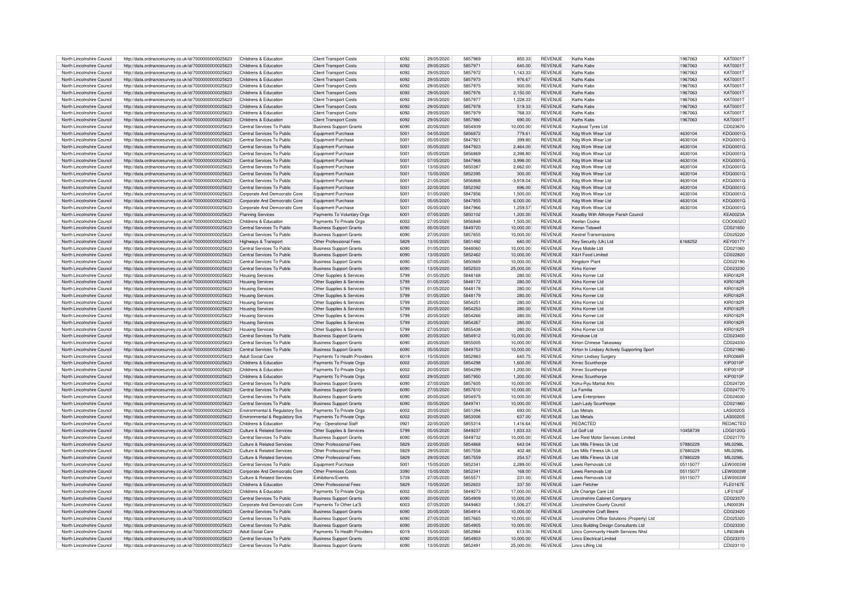| North Lincolnshire Council | http://data.ordnancesurvey.co.uk/id/7000000000025623 | Childrens & Education          | <b>Client Transport Costs</b>  | 6092 | 29/05/2020 | 5857969 | 850.33      | <b>REVENUE</b> | Kaths Kabs                                   | 1967063  | KAT0001T         |
|----------------------------|------------------------------------------------------|--------------------------------|--------------------------------|------|------------|---------|-------------|----------------|----------------------------------------------|----------|------------------|
| North Lincolnshire Council | http://data.ordnancesurvey.co.uk/id/7000000000025623 | Childrens & Education          | Client Transport Costs         | 6092 | 29/05/2020 | 585797  | 640.00      | <b>REVENUE</b> | Kaths Kabs                                   | 1967063  | <b>KAT0001T</b>  |
| North Lincolnshire Council | http://data.ordnancesurvey.co.uk/id/7000000000025623 | Childrens & Education          | <b>Client Transport Costs</b>  | 6092 | 29/05/2020 | 5857972 | 1,143.33    | <b>REVENUE</b> | Kathe Kahe                                   | 1967063  | <b>KAT0001T</b>  |
| North Lincolnshire Council | http://data.ordnancesurvey.co.uk/id/7000000000025623 | Childrens & Education          | <b>Client Transport Costs</b>  | 6092 | 29/05/2020 | 5857973 | 976.67      | <b>REVENUE</b> | Kathe Kahe                                   | 1967063  | KAT00011         |
| North Lincolnshire Council | http://data.ordnancesurvey.co.uk/id/7000000000025623 | Childrens & Education          | <b>Client Transport Costs</b>  | 6092 | 29/05/2020 | 5857975 | 300.00      | <b>REVENUE</b> | Kaths Kabs                                   | 1967063  | KAT00011         |
|                            |                                                      | Childrens & Education          |                                | 6092 | 29/05/2020 | 5857976 |             | <b>REVENUE</b> | Kaths Kabs                                   |          | KAT00011         |
| North Lincolnshire Council | http://data.ordnancesurvey.co.uk/id/7000000000025623 |                                | <b>Client Transport Costs</b>  |      |            |         | 2.150.00    |                |                                              | 1967063  |                  |
| North Lincolnshire Council | http://data.ordnancesurvey.co.uk/id/7000000000025623 | Childrens & Education          | <b>Client Transport Costs</b>  | 6092 | 29/05/2020 | 5857977 | 1,228.33    | <b>REVENUE</b> | Kaths Kabs                                   | 1967063  | KAT00017         |
| North Lincolnshire Council | http://data.ordnancesurvey.co.uk/id/7000000000025623 | Childrens & Education          | <b>Client Transport Costs</b>  | 6092 | 29/05/2020 | 5857978 | 519.33      | <b>REVENUE</b> | Kaths Kabs                                   | 1967063  | KAT0001T         |
| North Lincolnshire Council | http://data.ordnancesurvey.co.uk/id/7000000000025623 | Childrens & Education          | <b>Client Transport Costs</b>  | 6092 | 29/05/2020 | 5857979 | 768.33      | <b>REVENUE</b> | Kaths Kabs                                   | 1967063  | KAT0001T         |
| North Lincolnshire Council | http://data.ordnancesurvey.co.uk/id/7000000000025623 | Childrens & Education          | <b>Client Transport Costs</b>  | 6092 | 29/05/2020 | 5857980 | 690.00      | <b>REVENUE</b> | Kaths Kabs                                   | 1967063  | KAT00011         |
|                            |                                                      | Central Services To Public     |                                | 6090 | 20/05/2020 | 5854939 |             | <b>REVENUE</b> | Kayboat Tyres Ltd                            |          | CD023670         |
| North Lincolnshire Council | http://data.ordnancesurvey.co.uk/id/7000000000025623 |                                | <b>Business Support Grants</b> |      |            |         | 10,000.00   |                |                                              |          |                  |
| North Lincolnshire Council | http://data.ordnancesurvey.co.uk/id/7000000000025623 | Central Services To Public     | Equipment Purchase             | 5001 | 04/05/2020 | 5856872 | 779.61      | <b>REVENUE</b> | Kdg Work Wear Ltd                            | 4630104  | KDG0001G         |
| North Lincolnshire Council | http://data.ordnancesurvey.co.uk/id/7000000000025623 | Central Services To Public     | Equipment Purchase             | 5001 | 05/05/2020 | 584792  | 399.80      | <b>REVENUE</b> | Kdg Work Wear Ltd                            | 4630104  | KDG0001G         |
| North Lincolnshire Council | http://data.ordnancesurvey.co.uk/id/7000000000025623 | Central Services To Public     | Equipment Purchase             | 5001 | 05/05/2020 | 5847923 | 2.464.00    | <b>REVENUE</b> | Kdg Work Wear Ltd                            | 4630104  | KDG0001G         |
| North Lincolnshire Council | http://data.ordnancesurvey.co.uk/id/7000000000025623 | Central Services To Public     | Equipment Purchase             | 5001 | 05/05/2020 | 5856869 | 2.398.80    | <b>REVENUE</b> | Kdg Work Wear Ltd                            | 4630104  | KDG0001G         |
| North Lincolnshire Council | http://data.ordnancesurvey.co.uk/id/7000000000025623 | Central Services To Public     | Equipment Purchase             | 5001 | 07/05/2020 | 5847968 | 3.998.00    | <b>REVENUE</b> | Kdg Work Wear Ltd                            | 4630104  | KDG0001G         |
|                            |                                                      |                                |                                |      |            | 5850387 |             |                |                                              |          |                  |
| North Lincolnshire Council | http://data.ordnancesurvey.co.uk/id/7000000000025623 | Central Services To Public     | Equipment Purchase             | 5001 | 13/05/2020 |         | 2.662.00    | <b>REVENUE</b> | Kdg Work Wear Ltd                            | 4630104  | KDG0001G         |
| North Lincolnshire Council | http://data.ordnancesurvey.co.uk/id/7000000000025623 | Central Services To Public     | Equipment Purchase             | 5001 | 15/05/2020 | 5852395 | 300.00      | <b>REVENUE</b> | Kdg Work Wear Ltd                            | 4630104  | KDG0001G         |
| North Lincolnshire Council | http://data.ordnancesurvey.co.uk/id/7000000000025623 | Central Services To Public     | Equipment Purchase             | 5001 | 21/05/2020 | 5856868 | $-3,918.04$ | <b>REVENUE</b> | Kdg Work Wear Ltd                            | 4630104  | KDG0001G         |
| North Lincolnshire Council | http://data.ordnancesurvey.co.uk/id/7000000000025623 | Central Services To Public     | Equipment Purchase             | 5001 | 22/05/2020 | 5852392 | 696.00      | <b>REVENUE</b> | Kdg Work Wear Ltd                            | 4630104  | KDG0001G         |
| North Lincolnshire Council | http://data.ordnancesurvey.co.uk/id/7000000000025623 | Corporate And Democratic Core  | Equipment Purchase             | 5001 | 01/05/2020 | 5847856 | 1,500.00    | <b>REVENUE</b> | Kdg Work Wear Ltd                            | 4630104  | KDG0001G         |
| North Lincolnshire Council | http://data.ordnancesurvey.co.uk/id/7000000000025623 | Corporate And Democratic Core  | Equipment Purchase             | 5001 | 05/05/2020 | 5847855 | 6,000.00    | <b>REVENUE</b> | Kdg Work Wear Ltd                            | 4630104  | KDG0001G         |
|                            |                                                      |                                |                                |      |            |         |             |                |                                              |          |                  |
| North Lincolnshire Council | http://data.ordnancesurvey.co.uk/id/7000000000025623 | Corporate And Democratic Core  | Foujoment Purchase             | 5001 | 05/05/2020 | 5847966 | 1.259.57    | <b>REVENUE</b> | Kda Work Wear I td                           | 4630104  | KDG0001G         |
| North Lincolnshire Council | http://data.ordnancesurvey.co.uk/id/7000000000025623 | Planning Services              | Payments To Voluntary Orgs     | 6001 | 07/05/2020 | 5850102 | 1,200.00    | <b>REVENUE</b> | Keadby With Althorpe Parish Council          |          | <b>KEA0023A</b>  |
| North Lincolnshire Council | http://data.ordnancesurvey.co.uk/id/7000000000025623 | Childrens & Education          | Payments To Private Orgs       | 6002 | 27/05/2020 | 5856848 | 1.500.00    | <b>REVENUE</b> | Keelan Cooke                                 |          | COO0652C         |
| North Lincolnshire Council | http://data.ordnancesurvey.co.uk/id/7000000000025623 | Central Services To Public     | <b>Business Support Grants</b> | 6090 | 05/05/2020 | 5849720 | 10,000.00   | <b>REVENUE</b> | Keiran Tidswel                               |          | CD021650         |
| North Lincolnshire Council | http://data.ordnancesurvev.co.uk/id/7000000000025623 | Central Services To Public     | <b>Business Support Grants</b> | 6090 | 27/05/2020 | 5857655 | 10.000.00   | <b>REVENUE</b> | <b>Kestrel Transmissions</b>                 |          | CD025220         |
| North Lincolnshire Council | http://data.ordnancesurvey.co.uk/id/7000000000025623 | Highways & Transport           | Other Professional Fees        | 5829 | 13/05/2020 | 5851492 | 640.00      | <b>REVENUE</b> | Key Security (Uk) Ltd                        | 6168252  | <b>KEY0017</b>   |
| North Lincolnshire Council |                                                      | Central Services To Public     |                                | 6090 | 01/05/2020 | 5848060 | 10.000.00   | <b>REVENUE</b> | Kevs Mobile Ltd                              |          | CD021060         |
|                            | http://data.ordnancesurvey.co.uk/id/7000000000025623 |                                | <b>Business Support Grants</b> |      |            |         |             |                |                                              |          |                  |
| North Lincolnshire Council | http://data.ordnancesurvey.co.uk/id/7000000000025623 | Central Services To Public     | <b>Business Support Grants</b> | 6090 | 13/05/2020 | 5852462 | 10,000.00   | <b>REVENUE</b> | K&H Food Limited                             |          | CD022820         |
| North Lincolnshire Council | http://data.ordnancesurvey.co.uk/id/7000000000025623 | Central Services To Public     | <b>Business Support Grants</b> | 6090 | 07/05/2020 | 5850669 | 10.000.00   | <b>REVENUE</b> | Kingdom Plant                                |          | CD022190         |
| North Lincolnshire Council | http://data.ordnancesurvey.co.uk/id/7000000000025623 | Central Services To Public     | <b>Business Support Grants</b> | 6090 | 13/05/2020 | 5852503 | 25,000.00   | <b>REVENUE</b> | Kirks Korne                                  |          | CD023230         |
| North Lincolnshire Council | http://data.ordnancesurvey.co.uk/id/7000000000025623 | <b>Housing Services</b>        | Other Supplies & Services      | 5799 | 01/05/2020 | 5848168 | 280.00      | <b>REVENUE</b> | Kirks Komer I to                             |          | <b>KIR0182R</b>  |
| North Lincolnshire Council | http://data.ordnancesurvey.co.uk/id/7000000000025623 | <b>Housing Services</b>        | Other Supplies & Services      | 5799 | 01/05/2020 | 5848172 | 280.00      | <b>REVENUE</b> | Kirks Korner I td                            |          | <b>KIR0182R</b>  |
| North Lincolnshire Council | http://data.ordnancesurvey.co.uk/id/7000000000025623 | <b>Housing Services</b>        | Other Supplies & Services      | 5799 | 01/05/2020 | 5848178 | 280.00      | <b>REVENUE</b> | Kirks Komer Ltd                              |          | <b>KIR0182R</b>  |
|                            |                                                      |                                |                                |      |            |         |             |                |                                              |          |                  |
| North Lincolnshire Council | http://data.ordnancesurvey.co.uk/id/7000000000025623 | <b>Housing Services</b>        | Other Supplies & Services      | 5799 | 01/05/2020 | 5848179 | 280.00      | <b>REVENUE</b> | Kirks Korner I td                            |          | <b>KIR0182F</b>  |
| North Lincolnshire Council | http://data.ordnancesurvey.co.uk/id/7000000000025623 | <b>Housing Services</b>        | Other Supplies & Services      | 5799 | 20/05/2020 | 5854251 | 280.00      | <b>REVENUE</b> | Kirks Komer I td                             |          | <b>KIR0182F</b>  |
| North Lincolnshire Council | http://data.ordnancesurvey.co.uk/id/7000000000025623 | <b>Housing Services</b>        | Other Supplies & Services      | 5799 | 20/05/2020 | 5854253 | 280.00      | <b>REVENUE</b> | Kirks Komer I td                             |          | <b>KIR0182R</b>  |
| North Lincolnshire Council | http://data.ordnancesurvey.co.uk/id/7000000000025623 | <b>Housing Services</b>        | Other Supplies & Services      | 5799 | 20/05/2020 | 5854266 | 280.00      | <b>REVENUE</b> | Kirks Komer I td                             |          | <b>KIR0182R</b>  |
| North Lincolnshire Council | http://data.ordnancesurvey.co.uk/id/7000000000025623 | <b>Housing Services</b>        | Other Supplies & Services      | 5799 | 20/05/2020 | 5854267 | 280.00      | <b>REVENUE</b> | Kirks Komer Ltd                              |          | <b>KIR0182F</b>  |
| North Lincolnshire Council | http://data.ordnancesurvey.co.uk/id/7000000000025623 | <b>Housing Services</b>        | Other Supplies & Services      | 5799 | 27/05/2020 | 5855438 | 280.00      | <b>REVENUE</b> | Kirks Korner Ltd                             |          | <b>KIR0182F</b>  |
| North Lincolnshire Council | http://data.ordnancesurvey.co.uk/id/7000000000025623 | Central Services To Public     | <b>Business Support Grants</b> | 6090 | 20/05/2020 | 5854912 | 10,000.00   | <b>REVENUE</b> | Kirnokow Ltd                                 |          | CD023400         |
|                            |                                                      |                                |                                |      |            |         |             |                |                                              |          |                  |
| North Lincolnshire Council | http://data.ordnancesurvey.co.uk/id/7000000000025623 | Central Services To Public     | <b>Business Support Grants</b> | 6090 | 20/05/2020 | 5855005 | 10.000.00   | <b>REVENUE</b> | Kirton Chinese Takeaway                      |          | CD02433          |
| North Lincolnshire Council | http://data.ordnancesurvey.co.uk/id/7000000000025623 | Central Services To Public     | <b>Business Support Grants</b> | 6090 | 05/05/2020 | 5849753 | 10.000.00   | <b>REVENUE</b> | Kirton In Lindsey Actively Supporting Sport  |          | CD021980         |
| North Lincolnshire Council | http://data.ordnancesurvey.co.uk/id/7000000000025623 | <b>Adult Social Care</b>       | Payments To Health Providers   | 6019 | 15/05/2020 | 5852983 | 640.75      | <b>REVENUE</b> | Kirton Lindsey Surger                        |          | <b>KIR0068F</b>  |
| North Lincolnshire Council | http://data.ordnancesurvey.co.uk/id/7000000000025623 | Childrens & Education          | Payments To Private Orgs       | 6002 | 20/05/2020 | 5854298 | 1.600.00    | <b>REVENUE</b> | Kmec Scunthorne                              |          | <b>KIP0010P</b>  |
| North Lincolnshire Council | http://data.ordnancesurvey.co.uk/id/7000000000025623 | Childrens & Education          | Payments To Private Orgs       | 6002 | 20/05/2020 | 5854299 | 1,200.00    | <b>REVENUE</b> | Kmec Scunthorne                              |          | KIP0010F         |
| North Lincolnshire Council | http://data.ordnancesurvey.co.uk/id/7000000000025623 | Childrens & Education          | Payments To Private Orgs       | 6002 | 29/05/2020 | 5857950 | 1,200.00    | <b>REVENUE</b> | Kmec Scunthorpe                              |          | KIP0010P         |
| North Lincolnshire Council |                                                      | Central Services To Public     |                                | 6090 | 27/05/2020 | 5857605 | 10.000.00   | <b>REVENUE</b> |                                              |          | CD024720         |
|                            | http://data.ordnancesurvey.co.uk/id/7000000000025623 |                                | <b>Business Support Grants</b> |      |            |         |             |                | Koku-Ryu Martial Arts                        |          |                  |
| North Lincolnshire Council | http://data.ordnancesurvey.co.uk/id/7000000000025623 | Central Services To Public     | <b>Business Support Grants</b> | 6090 | 27/05/2020 | 5857610 | 10,000.00   | <b>REVENUE</b> | La Familia                                   |          | CD024770         |
| North Lincolnshire Council | http://data.ordnancesurvey.co.uk/id/7000000000025623 | Central Services To Public     | <b>Business Support Grants</b> | 6090 | 20/05/2020 | 5854975 | 10,000.00   | <b>REVENUE</b> | Lane Enterprises                             |          | CD024030         |
| North Lincolnshire Council | http://data.ordnancesurvey.co.uk/id/7000000000025623 | Central Services To Public     | <b>Business Support Grants</b> | 6090 | 05/05/2020 | 584974  | 10,000.00   | <b>REVENUE</b> | Lash Lady Scunthorpe                         |          | CD021860         |
| North Lincolnshire Council | http://data.ordnancesurvey.co.uk/id/7000000000025623 | Environmental & Regulatory Svs | Payments To Private Orgs       | 6002 | 20/05/2020 | 5851394 | 693.00      | <b>REVENUE</b> | Las Metals                                   |          | <b>LAS0020S</b>  |
| North Lincolnshire Council | http://data.ordnancesurvey.co.uk/id/7000000000025623 | Environmental & Regulatory Svs | Payments To Private Orgs       | 6002 | 20/05/2020 | 5853006 | 637.00      | <b>REVENUE</b> | Las Metals                                   |          | <b>LAS0020S</b>  |
|                            |                                                      |                                |                                |      |            |         |             |                |                                              |          |                  |
| North Lincolnshire Council | http://data.ordnancesurvey.co.uk/id/7000000000025623 | Childrens & Education          | Pay - Operational Staff        | 0921 | 22/05/2020 | 5855314 | 1.416.64    | <b>REVENUE</b> | <b>REDACTED</b>                              |          | <b>REDACTED</b>  |
| North Lincolnshire Council | http://data.ordnancesurvey.co.uk/id/7000000000025623 | Culture & Related Services     | Other Supplies & Services      | 5799 | 05/05/2020 | 5849237 | 1,833.33    | <b>REVENUE</b> | I d Golf Ltd                                 | 10458739 | LDG0120G         |
| North Lincolnshire Council | http://data.ordnancesurvey.co.uk/id/7000000000025623 | Central Services To Public     | <b>Business Support Grants</b> | 6090 | 05/05/2020 | 5849732 | 10,000.00   | <b>REVENUE</b> | Lee Reid Motor Services Limited              |          | CD021770         |
| North Lincolnshire Council | http://data.ordnancesurvey.co.uk/id/7000000000025623 | Culture & Related Services     | Other Professional Fees        | 5829 | 22/05/2020 | 5854868 | 643.04      | <b>REVENUE</b> | Les Mills Fitness Uk Ltd                     | 07880229 | <b>MIL0298L</b>  |
| North Lincolnshire Council | http://data.ordnancesurvey.co.uk/id/7000000000025623 | Culture & Related Services     | Other Professional Fees        | 5829 | 29/05/2020 | 5857558 | 402.48      | <b>REVENUE</b> | Les Mills Fitness Uk Ltd                     | 07880229 | MIL0298L         |
| North Lincolnshire Council | http://data.ordnancesurvey.co.uk/id/7000000000025623 | Culture & Related Services     | Other Professional Fees        | 5829 | 29/05/2020 | 5857559 | 254.57      | <b>REVENUE</b> | Les Mills Fitness Uk Ltd.                    | 07880229 | <b>MIL0298L</b>  |
|                            |                                                      |                                |                                | 5001 |            | 5852341 |             | <b>REVENUE</b> |                                              |          | <b>LEW0003W</b>  |
| North Lincolnshire Council | http://data.ordnancesurvey.co.uk/id/7000000000025623 | Central Services To Public     | Equipment Purchase             |      | 15/05/2020 |         | 2,289.00    |                | Lewis Removals Ltd                           | 05115077 |                  |
| North Lincolnshire Council | http://data.ordnancesurvey.co.uk/id/7000000000025623 | Corporate And Democratic Core  | Other Premises Costs           | 3390 | 15/05/2020 | 5852341 | 168.00      | <b>REVENUE</b> | Lewis Removals Ltd                           | 05115077 | <b>LEW0003W</b>  |
| North Lincolnshire Council | http://data.ordnancesurvey.co.uk/id/7000000000025623 | Culture & Related Services     | Exhibitions/Events             | 5709 | 27/05/2020 | 585557  | 231.00      | <b>REVENUE</b> | Lewis Removals Ltd                           | 05115077 | <b>LEW0003W</b>  |
| North Lincolnshire Council | http://data.ordnancesurvey.co.uk/id/7000000000025623 | Childrens & Education          | Other Professional Fees        | 5829 | 15/05/2020 | 5852603 | 337.50      | <b>REVENUE</b> | Liam Fletcher                                |          | <b>FLE0167E</b>  |
| North Lincolnshire Council | http://data.ordnancesurvey.co.uk/id/7000000000025623 | Childrens & Education          | Payments To Private Orgs       | 6002 | 05/05/2020 | 5849273 | 17,000.00   | <b>REVENUE</b> | Life Change Care Ltd                         |          | <b>LIF0163F</b>  |
| North Lincolnshire Council | http://data.ordnancesurvey.co.uk/id/7000000000025623 | Central Services To Public     | <b>Business Support Grants</b> | 6090 | 20/05/2020 | 5854909 | 10,000.00   | <b>REVENUE</b> | Lincolnshire Cabinet Company                 |          | CD023370         |
| North Lincolnshire Council | http://data.ordnancesurvey.co.uk/id/7000000000025623 | Corporate And Democratic Core  | Payments To Other La'S         | 6003 | 07/05/2020 | 5849463 | 1.506.27    | <b>REVENUE</b> | Lincolnshire County Council                  |          | LIN0003N         |
|                            |                                                      |                                |                                |      |            |         |             |                |                                              |          |                  |
| North Lincolnshire Council | http://data.ordnancesurvey.co.uk/id/7000000000025623 | Central Services To Public     | <b>Business Support Grants</b> | 6090 | 20/05/2020 | 5854914 | 10,000.00   | <b>REVENUE</b> | <b>Lincolnshire Craft Beers</b>              |          | CD023420         |
| North Lincolnshire Council | http://data.ordnancesurvey.co.uk/id/7000000000025623 | Central Services To Public     | <b>Business Support Grants</b> | 6090 | 27/05/2020 | 5857665 | 10,000.00   | <b>REVENUE</b> | Lincolnshire Office Solutions (Property) Ltd |          | CD025320         |
| North Lincolnshire Council | http://data.ordnancesurvey.co.uk/id/7000000000025623 | Central Services To Public     | <b>Business Support Grants</b> | 6090 | 20/05/2020 | 5854905 | 10.000.00   | <b>REVENUE</b> | Lincs Building Design Consultants Ltd        |          | CD023330         |
| North Lincolnshire Council | http://data.ordnancesurvey.co.uk/id/7000000000025623 | Adult Social Care              | Payments To Health Providers   | 6019 | 15/05/2020 | 5852984 | 613.00      | <b>REVENUE</b> | Lincs Community Health Services Nhst         |          | <b>I IN0384N</b> |
| North Lincolnshire Council | http://data.ordnancesurvey.co.uk/id/7000000000025623 | Central Services To Public     | <b>Business Support Grants</b> | 6090 | 20/05/2020 | 5854903 | 10.000.00   | <b>REVENUE</b> | Lincs Electrical Limited                     |          | CD023310         |
| North Lincolnshire Council | http://data.ordnancesurvey.co.uk/id/7000000000025623 | Central Services To Public     | <b>Business Support Grants</b> | nena | 13/05/2020 | 585249  | 25.000.00   | <b>REVENUE</b> | Lincs Lifting Ltd                            |          | CD023110         |
|                            |                                                      |                                |                                |      |            |         |             |                |                                              |          |                  |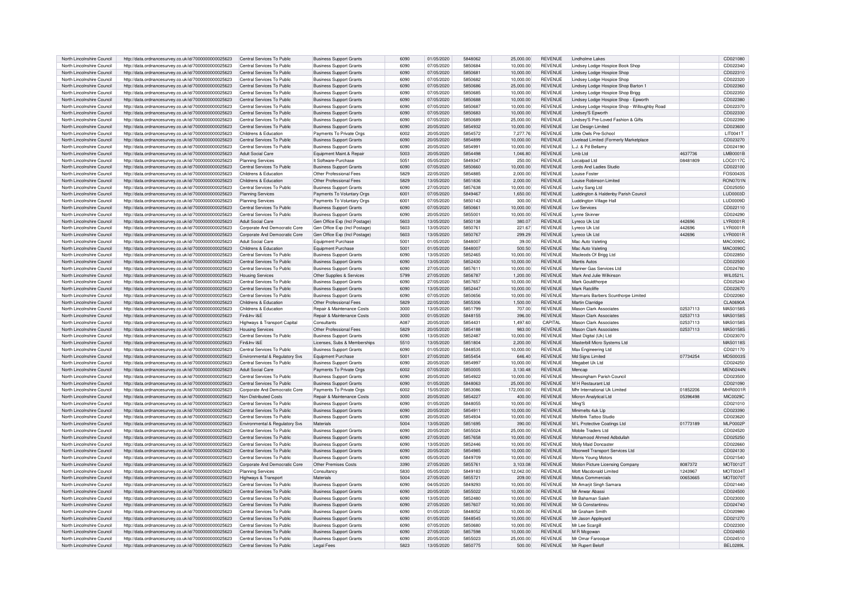| North Lincolnshire Council | http://data.ordnancesurvey.co.uk/id/7000000000025623 | Central Services To Public     | <b>Business Support Grants</b> | 6090 | 01/05/2020 | 5848062 | 25,000.00  | <b>REVENUE</b> | Lindholme Lakes                              |          | CD021080         |
|----------------------------|------------------------------------------------------|--------------------------------|--------------------------------|------|------------|---------|------------|----------------|----------------------------------------------|----------|------------------|
| North Lincolnshire Council | http://data.ordnancesurvey.co.uk/id/7000000000025623 | Central Services To Public     | <b>Business Support Grants</b> | 6090 | 07/05/2020 | 5850684 | 10,000.00  | <b>REVENUE</b> | Lindsey Lodge Hospice Book Shop              |          | CD022340         |
| North Lincolnshire Council | http://data.ordnancesurvey.co.uk/id/7000000000025623 | Central Services To Public     | <b>Business Support Grants</b> | 6090 | 07/05/2020 | 5850681 | 10.000.00  | <b>REVENUE</b> | Lindsey Lodge Hospice Shop                   |          | CD022310         |
| North Lincolnshire Council | http://data.ordnancesurvey.co.uk/id/7000000000025623 | Central Services To Public     | <b>Business Support Grants</b> | 6090 | 07/05/2020 | 5850682 | 10.000.00  | <b>REVENUE</b> | Lindsey Lodge Hospice Shop                   |          | CD022320         |
| North Lincolnshire Council | http://data.ordnancesurvey.co.uk/id/7000000000025623 | Central Services To Public     | <b>Business Support Grants</b> | 6090 | 07/05/2020 | 5850686 | 25,000.00  | REVENUE        | Lindsey Lodge Hospice Shop Barton 1          |          | CD022360         |
| North Lincolnshire Council | http://data.ordnancesurvey.co.uk/id/7000000000025623 | Central Services To Public     | <b>Business Support Grants</b> | 6090 | 07/05/2020 | 5850685 | 10.000.00  | REVENUE        | Lindsey Lodge Hospice Shop Brigg             |          | CD022350         |
| North Lincolnshire Council |                                                      | Central Services To Public     |                                | 6090 | 07/05/2020 | 5850688 |            | <b>REVENUE</b> |                                              |          | CD022380         |
|                            | http://data.ordnancesurvey.co.uk/id/7000000000025623 |                                | <b>Business Support Grants</b> |      |            |         | 10,000.00  |                | Lindsey Lodge Hospice Shop - Epworth         |          |                  |
| North Lincolnshire Council | http://data.ordnancesurvey.co.uk/id/7000000000025623 | Central Services To Public     | <b>Business Support Grants</b> | 6090 | 07/05/2020 | 5850687 | 10,000.00  | <b>REVENUE</b> | Lindsey Lodge Hospice Shop - Willoughby Road |          | CD022370         |
| North Lincolnshire Council | http://data.ordnancesurvey.co.uk/id/7000000000025623 | Central Services To Public     | <b>Business Support Grants</b> | 6090 | 07/05/2020 | 5850683 | 10,000.00  | REVENUE        | Lindsev'S Epworth                            |          | CD022330         |
| North Lincolnshire Council | http://data.ordnancesurvey.co.uk/id/7000000000025623 | Central Services To Public     | <b>Business Support Grants</b> | 6090 | 07/05/2020 | 5850689 | 25,000.00  | <b>REVENUE</b> | Lindsev'S Pre-Loved Fashion & Gifts          |          | CD022390         |
| North Lincolnshire Council | http://data.ordnancesurvey.co.uk/id/7000000000025623 | Central Services To Public     | <b>Business Support Grants</b> | 6090 | 20/05/2020 | 5854932 | 10.000.00  | REVENUE        | <b>List Design Limited</b>                   |          | CD023600         |
| North Lincolnshire Council | http://data.ordnancesurvey.co.uk/id/7000000000025623 | Childrens & Education          | Payments To Private Orgs       | 6002 | 20/05/2020 | 5854572 | 7,277.76   | <b>REVENUE</b> | Little Owls Pre-School                       |          | LIT0041T         |
| North Lincolnshire Council | http://data.ordnancesurvey.co.uk/id/7000000000025623 | Central Services To Public     | <b>Business Support Grants</b> | 6090 | 20/05/2020 | 5854899 | 10.000.00  | <b>REVENUE</b> | Livelead Limited (Formerly Marketplace       |          | CD023270         |
| North Lincolnshire Council | http://data.ordnancesurvey.co.uk/id/7000000000025623 | Central Services To Public     | <b>Business Support Grants</b> | 6090 | 20/05/2020 | 5854991 | 10,000.00  | <b>REVENUE</b> | L.J. & Pd Bellamy                            |          | CD024190         |
|                            |                                                      | Adult Social Care              |                                | 5003 | 20/05/2020 | 5854498 | 1.046.80   | <b>REVENUE</b> | $l$ mb $l$ td                                | 4637736  | <b>LMB0001B</b>  |
| North Lincolnshire Council | http://data.ordnancesurvey.co.uk/id/7000000000025623 |                                | Equipment Maint.& Repair       |      |            |         |            |                |                                              |          |                  |
| North Lincolnshire Council | http://data.ordnancesurvey.co.uk/id/7000000000025623 | <b>Planning Services</b>       | It Software-Purchase           | 5051 | 05/05/2020 | 5849347 | 250.00     | <b>REVENUE</b> | Localpad Ltd                                 | 08481809 | LOC0117C         |
| North Lincolnshire Council | http://data.ordnancesurvey.co.uk/id/7000000000025623 | Central Services To Public     | <b>Business Support Grants</b> | 6090 | 07/05/2020 | 5850660 | 10,000.00  | <b>REVENUE</b> | Lords And Ladies Studio                      |          | CD022100         |
| North Lincolnshire Council | http://data.ordnancesurvey.co.uk/id/7000000000025623 | Childrens & Education          | Other Professional Fees        | 5829 | 22/05/2020 | 5854885 | 2,000.00   | <b>REVENUE</b> | Louise Eoster                                |          | FOS0043S         |
| North Lincolnshire Council | http://data.ordnancesurvey.co.uk/id/7000000000025623 | Childrens & Education          | Other Professional Fees        | 5829 | 13/05/2020 | 5851836 | 2,000.00   | <b>REVENUE</b> | Louise Robinson Limited                      |          | <b>RON0701N</b>  |
| North Lincolnshire Council | http://data.ordnancesurvey.co.uk/id/7000000000025623 | Central Services To Public     | <b>Business Support Grants</b> | 6090 | 27/05/2020 | 5857638 | 10,000.00  | <b>REVENUE</b> | Lucky Sang Ltd                               |          | CD025050         |
| North Lincolnshire Council | http://data.ordnancesurvey.co.uk/id/7000000000025623 | <b>Planning Services</b>       | Payments To Voluntary Orgs     | 6001 | 07/05/2020 | 5849467 | 1,650.00   | REVENUE        | Luddington & Haldenby Parish Council         |          | LUD0003D         |
| North Lincolnshire Council | http://data.ordnancesurvey.co.uk/id/7000000000025623 | <b>Planning Services</b>       | Payments To Voluntary Orgs     | 6001 | 07/05/2020 | 5850143 | 300.00     | <b>REVENUE</b> | Luddington Village Hall                      |          | LUD0009D         |
|                            |                                                      | Central Services To Public     | <b>Business Support Grants</b> |      |            |         |            |                | I w Services                                 |          |                  |
| North Lincolnshire Council | http://data.ordnancesurvey.co.uk/id/7000000000025623 |                                |                                | 6090 | 07/05/2020 | 5850661 | 10,000.00  | REVENUE        |                                              |          | CD022110         |
| North Lincolnshire Council | http://data.ordnancesurvey.co.uk/id/7000000000025623 | Central Services To Public     | <b>Business Support Grants</b> | 6090 | 20/05/2020 | 5855001 | 10,000.00  | REVENUE        | Lynne Skinner                                |          | CD024290         |
| North Lincolnshire Council | http://data.ordnancesurvey.co.uk/id/7000000000025623 | Adult Social Care              | Gen Office Exp (Incl Postage)  | 5603 | 13/05/2020 | 5850138 | 380.07     | <b>REVENUE</b> | Lyreco Uk Ltd                                | 442696   | <b>I YR0001F</b> |
| North Lincolnshire Council | http://data.ordnancesurvey.co.uk/id/7000000000025623 | Corporate And Democratic Core  | Gen Office Exp (Incl Postage)  | 5603 | 13/05/2020 | 5850761 | 221.67     | <b>REVENUE</b> | I vreco Uk I td                              | 442696   | LYR0001R         |
| North Lincolnshire Council | http://data.ordnancesurvey.co.uk/id/7000000000025623 | Corporate And Democratic Core  | Gen Office Exp (Incl Postage)  | 5603 | 13/05/2020 | 5850767 | 299.29     | <b>REVENUE</b> | Lyreco Uk Ltd                                | 442696   | I YR0001F        |
| North Lincolnshire Council | http://data.ordnancesurvey.co.uk/id/7000000000025623 | Adult Social Care              | Equipment Purchase             | 5001 | 01/05/2020 | 5848007 | 39.00      | <b>REVENUE</b> | Mac Auto Valeting                            |          | <b>MAC0090C</b>  |
| North Lincolnshire Council | http://data.ordnancesurvey.co.uk/id/7000000000025623 | Childrens & Education          | Equipment Purchase             | 5001 | 01/05/2020 | 5848007 | 500.50     | <b>REVENUE</b> | Mac Auto Valeting                            |          | <b>MAC00900</b>  |
| North Lincolnshire Council | http://data.ordnancesurvey.co.uk/id/7000000000025623 | Central Services To Public     | <b>Business Support Grants</b> | 6090 | 13/05/2020 | 5852465 | 10,000.00  | <b>REVENUE</b> | Macleods Of Brigg Ltd                        |          | CD022850         |
|                            |                                                      | Central Services To Public     |                                | 6090 | 13/05/2020 | 5852430 | 10.000.00  | <b>REVENUE</b> | Mantis Autos                                 |          | CD022500         |
| North Lincolnshire Council | http://data.ordnancesurvey.co.uk/id/7000000000025623 |                                | <b>Business Support Grants</b> |      |            |         |            |                |                                              |          |                  |
| North Lincolnshire Council | http://data.ordnancesurvey.co.uk/id/7000000000025623 | Central Services To Public     | <b>Business Support Grants</b> | 6090 | 27/05/2020 | 5857611 | 10.000.00  | <b>REVENUE</b> | Mariner Gas Services Ltd                     |          | CD024780         |
| North Lincolnshire Council | http://data.ordnancesurvey.co.uk/id/7000000000025623 | <b>Housing Services</b>        | Other Supplies & Services      | 5799 | 27/05/2020 | 5856787 | 1,200.00   | <b>REVENUE</b> | Mark And Julie Wilkinson                     |          | WIL0521L         |
| North Lincolnshire Council | http://data.ordnancesurvey.co.uk/id/7000000000025623 | Central Services To Public     | <b>Business Support Grants</b> | 6090 | 27/05/2020 | 5857657 | 10,000.00  | <b>REVENUE</b> | Mark Gouldthorpe                             |          | CD025240         |
| North Lincolnshire Council | http://data.ordnancesurvey.co.uk/id/7000000000025623 | Central Services To Public     | <b>Business Support Grants</b> | 6090 | 13/05/2020 | 5852447 | 10.000.00  | <b>REVENUE</b> | Mark Ratcliffe                               |          | CD022670         |
| North Lincolnshire Council | http://data.ordnancesurvey.co.uk/id/7000000000025623 | Central Services To Public     | <b>Business Support Grants</b> | 6090 | 07/05/2020 | 5850656 | 10.000.00  | <b>REVENUE</b> | Marmaris Barbers Scunthorne Limited          |          | CD022060         |
| North Lincolnshire Council | http://data.ordnancesurvey.co.uk/id/7000000000025623 | Childrens & Education          | Other Professional Fees        | 5829 | 22/05/2020 | 5855306 | 1,500.00   | <b>REVENUE</b> | Martin Clarridge                             |          | <b>CLA0690A</b>  |
| North Lincolnshire Council | http://data.ordnancesurvey.co.uk/id/7000000000025623 | Childrens & Education          | Repair & Maintenance Costs     | 3000 | 13/05/2020 | 5851799 | 707.00     | <b>REVENUE</b> | <b>Mason Clark Associates</b>                | 02537113 | MAS0158S         |
| North Lincolnshire Council |                                                      | Fin&Inv I&E                    | Repair & Maintenance Costs     | 3000 |            | 5848155 | 396.00     | <b>REVENUE</b> | <b>Mason Clark Associates</b>                | 02537113 | MAS0158S         |
|                            | http://data.ordnancesurvey.co.uk/id/7000000000025623 |                                |                                |      | 01/05/2020 |         |            |                |                                              |          |                  |
| North Lincolnshire Council | http://data.ordnancesurvey.co.uk/id/7000000000025623 | Highways & Transport Capita    | Consultants                    | A087 | 20/05/2020 | 5854431 | 1,497.60   | CAPITAL        | <b>Mason Clark Associates</b>                | 02537113 | <b>MAS0158S</b>  |
| North Lincolnshire Council | http://data.ordnancesurvey.co.uk/id/7000000000025623 | <b>Housing Services</b>        | Other Professional Fees        | 5829 | 20/05/2020 | 5854188 | 983.00     | <b>REVENUE</b> | Mason Clark Associates                       | 02537113 | MAS01585         |
| North Lincolnshire Council | http://data.ordnancesurvey.co.uk/id/7000000000025623 | Central Services To Public     | <b>Business Support Grants</b> | 6090 | 13/05/2020 | 5852487 | 10.000.00  | <b>REVENUE</b> | Mast Digital (Uk) Ltd                        |          | CD023070         |
| North Lincolnshire Council | http://data.ordnancesurvey.co.uk/id/7000000000025623 | Fin&Inv I&F                    | Licenses, Subs & Memberships   | 5510 | 13/05/2020 | 5851804 | 2,200.00   | <b>REVENUE</b> | Masterbill Micro Systems Ltd                 |          | <b>MAS0118S</b>  |
| North Lincolnshire Council | http://data.ordnancesurvey.co.uk/id/7000000000025623 | Central Services To Public     | <b>Business Support Grants</b> | 6090 | 01/05/2020 | 5848535 | 10,000.00  | <b>REVENUE</b> | Max Engineering Ltd                          |          | CD021170         |
| North Lincolnshire Council | http://data.ordnancesurvey.co.uk/id/7000000000025623 | Environmental & Regulatory Svs | Equipment Purchase             | 5001 | 27/05/2020 | 5855454 | 646.40     | <b>REVENUE</b> | Md Signs Limited                             | 07734254 | <b>MDS0003S</b>  |
| North Lincolnshire Council | http://data.ordnancesurvey.co.uk/id/7000000000025623 | Central Services To Public     | <b>Business Support Grants</b> | 6090 | 20/05/2020 | 5854997 | 10,000.00  | <b>REVENUE</b> | Megabet Uk Ltd                               |          | CD024250         |
| North Lincolnshire Council |                                                      | Adult Social Care              |                                | 6002 | 07/05/2020 | 5850005 |            | <b>REVENUE</b> | Mencac                                       |          | <b>MFN0244N</b>  |
|                            | http://data.ordnancesurvey.co.uk/id/7000000000025623 |                                | Payments To Private Orgs       |      |            |         | 3,130.48   |                |                                              |          |                  |
| North Lincolnshire Council | http://data.ordnancesurvey.co.uk/id/7000000000025623 | Central Services To Public     | <b>Business Support Grants</b> | 6090 | 20/05/2020 | 5854922 | 10,000.00  | <b>REVENUE</b> | Messingham Parish Council                    |          | CD023500         |
| North Lincolnshire Council | http://data.ordnancesurvey.co.uk/id/7000000000025623 | Central Services To Public     | <b>Business Support Grants</b> | 6090 | 01/05/2020 | 5848063 | 25,000.00  | <b>REVENUE</b> | M H Restaurant Ltd                           |          | CD021090         |
| North Lincolnshire Council | http://data.ordnancesurvey.co.uk/id/7000000000025623 | Corporate And Democratic Core  | Payments To Private Orgs       | 6002 | 15/05/2020 | 5853086 | 172,000.00 | <b>REVENUE</b> | Mhr International Uk Limited                 | 01852206 | MHR0001F         |
| North Lincolnshire Council | http://data.ordnancesurvey.co.uk/id/7000000000025623 | Non Distributed Costs          | Repair & Maintenance Costs     | 3000 | 20/05/2020 | 5854227 | 400.00     | <b>REVENUE</b> | Micron Analytical Ltd                        | 05396498 | <b>MIC0029C</b>  |
| North Lincolnshire Council | http://data.ordnancesurvey.co.uk/id/7000000000025623 | Central Services To Public     | <b>Business Support Grants</b> | 6090 | 01/05/2020 | 5848055 | 10.000.00  | <b>REVENUE</b> | Mina'S                                       |          | CD021010         |
| North Lincolnshire Council | http://data.ordnancesurvey.co.uk/id/7000000000025623 | Central Services To Public     | <b>Business Support Grants</b> | 6090 | 20/05/2020 | 5854911 | 10,000.00  | <b>REVENUE</b> | Minimelts 4uk Lln                            |          | CD023390         |
| North Lincolnshire Council | http://data.ordnancesurvey.co.uk/id/7000000000025623 | Central Services To Public     | <b>Business Support Grants</b> | 6090 | 20/05/2020 | 5854934 | 10.000.00  | <b>REVENUE</b> | Misfitink Tattoo Studio                      |          | CD023620         |
| North Lincolnshire Council | http://data.ordnancesurvey.co.uk/id/7000000000025623 | Environmental & Regulatory Svs | Materials                      | 5004 | 13/05/2020 | 5851695 | 390.00     | <b>REVENUE</b> | M L Protective Coatings Ltd                  | 01773189 | <b>MLP0002P</b>  |
|                            |                                                      |                                |                                | 6090 | 20/05/2020 | 5855024 |            | <b>REVENUE</b> | Mobile Traders Ltd                           |          | CD024520         |
| North Lincolnshire Council | http://data.ordnancesurvey.co.uk/id/7000000000025623 | Central Services To Public     | <b>Business Support Grants</b> | 6090 | 27/05/2020 | 5857658 | 25,000.00  | <b>REVENUE</b> |                                              |          | CD025250         |
| North Lincolnshire Council | http://data.ordnancesurvey.co.uk/id/7000000000025623 | Central Services To Public     | <b>Business Support Grants</b> |      |            |         | 10,000.00  |                | Mohamood Ahmed Adbdullah                     |          |                  |
| North Lincolnshire Council | http://data.ordnancesurvey.co.uk/id/7000000000025623 | Central Services To Public     | <b>Business Support Grants</b> | 6090 | 13/05/2020 | 5852446 | 10,000.00  | <b>REVENUE</b> | Molly Maid Doncaster                         |          | CD022660         |
| North Lincolnshire Council | http://data.ordnancesurvey.co.uk/id/7000000000025623 | Central Services To Public     | <b>Business Support Grants</b> | 6090 | 20/05/2020 | 5854985 | 10,000.00  | <b>REVENUE</b> | Moorwell Transport Services Ltd              |          | CD024130         |
| North Lincolnshire Council | http://data.ordnancesurvey.co.uk/id/7000000000025623 | Central Services To Public     | <b>Business Support Grants</b> | 6090 | 05/05/2020 | 5849709 | 10,000.00  | <b>REVENUE</b> | Morris Young Motors                          |          | CD021540         |
| North Lincolnshire Council | http://data.ordnancesurvey.co.uk/id/7000000000025623 | Corporate And Democratic Core  | Other Premises Costs           | 3390 | 27/05/2020 | 5855761 | 3,103.08   | REVENUE        | Motion Picture Licensing Company             | 8087372  | MOT0012T         |
| North Lincolnshire Council | http://data.ordnancesurvey.co.uk/id/7000000000025623 | <b>Planning Services</b>       | Consultancy                    | 5830 | 05/05/2020 | 5849183 | 12.042.00  | REVENUE        | Mott Macdonald Limited                       | 1243967  | MOT0034T         |
| North Lincolnshire Council | http://data.ordnancesurvey.co.uk/id/7000000000025623 | Highways & Transport           | Materials                      | 5004 | 27/05/2020 | 5855721 | 209.00     | <b>REVENUE</b> | Motus Commercials                            | 00653665 | <b>MOT0070T</b>  |
| North Lincolnshire Council | http://data.ordnancesurvey.co.uk/id/7000000000025623 | Central Services To Public     | <b>Business Support Grants</b> | 6090 | 04/05/2020 | 5849293 | 10,000.00  | <b>REVENUE</b> | Mr Amarjit Singh Samara                      |          | CD021440         |
|                            |                                                      |                                |                                |      |            |         |            |                |                                              |          |                  |
| North Lincolnshire Council | http://data.ordnancesurvey.co.uk/id/7000000000025623 | Central Services To Public     | <b>Business Support Grants</b> | 6090 | 20/05/2020 | 5855022 | 10,000.00  | REVENUE        | Mr Anwar Abassi                              |          | CD024500         |
| North Lincolnshire Council | http://data.ordnancesurvey.co.uk/id/7000000000025623 | Central Services To Public     | <b>Business Support Grants</b> | 6090 | 13/05/2020 | 5852480 | 10,000.00  | <b>REVENUE</b> | Mr Bahaman Saleh                             |          | CD023000         |
| North Lincolnshire Council | http://data.ordnancesurvey.co.uk/id/7000000000025623 | Central Services To Public     | <b>Business Support Grants</b> | 6090 | 27/05/2020 | 5857607 | 10.000.00  | <b>REVENUE</b> | Mr G Constantino                             |          | CD024740         |
| North Lincolnshire Council | http://data.ordnancesurvey.co.uk/id/7000000000025623 | Central Services To Public     | <b>Business Support Grants</b> | 6090 | 01/05/2020 | 5848052 | 10.000.00  | <b>REVENUE</b> | Mr Graham Smith                              |          | CD020980         |
| North Lincolnshire Council | http://data.ordnancesurvey.co.uk/id/7000000000025623 | Central Services To Public     | <b>Business Support Grants</b> | 6090 | 01/05/2020 | 5848545 | 10,000.00  | <b>REVENUE</b> | Mr Jason Appleyard                           |          | CD021270         |
| North Lincolnshire Council | http://data.ordnancesurvey.co.uk/id/7000000000025623 | Central Services To Public     | <b>Business Support Grants</b> | 6090 | 07/05/2020 | 5850680 | 10,000.00  | <b>REVENUE</b> | Mr Lee Scargill                              |          | CD022300         |
| North Lincolnshire Council | http://data.ordnancesurvey.co.uk/id/7000000000025623 | Central Services To Public     | <b>Business Support Grants</b> | 6090 | 27/05/2020 | 5857598 | 10.000.00  | <b>REVENUE</b> | M R Mcgowar                                  |          | CD024650         |
| North Lincolnshire Council | http://data.ordnancesurvev.co.uk/id/7000000000025623 | Central Services To Public     | <b>Business Support Grants</b> | 6090 | 20/05/2020 | 5855023 | 25,000.00  | <b>REVENUE</b> | Mr Omar Farooque                             |          | CD024510         |
|                            |                                                      |                                |                                |      |            |         |            |                |                                              |          |                  |
| North Lincolnshire Council | http://data.ordnancesurvey.co.uk/id/7000000000025623 | Central Services To Public     | <b>Legal Fees</b>              | 5823 | 13/05/2020 | 5850775 | 500.00     | <b>REVENUE</b> | Mr Rupert Belof                              |          | <b>BFI 0289L</b> |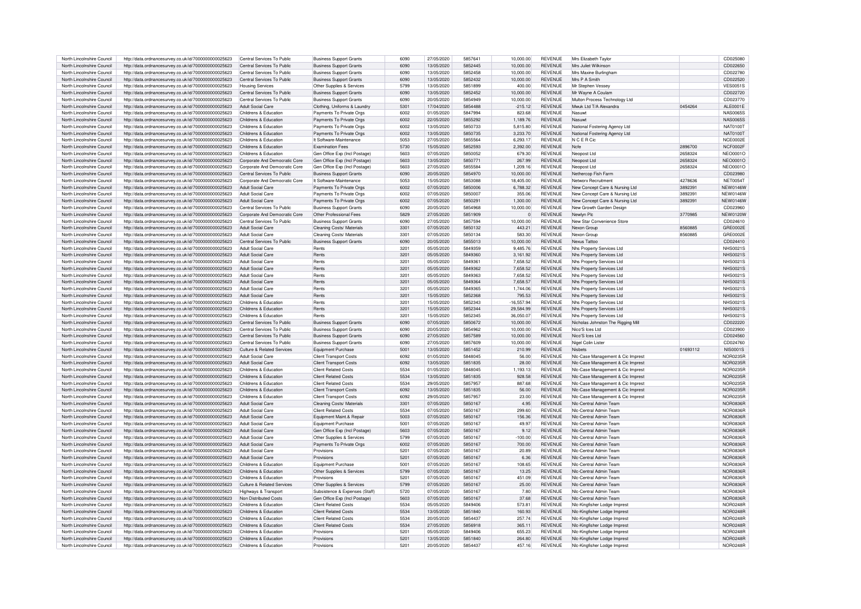| North Lincolnshire Council | http://data.ordnancesurvey.co.uk/id/7000000000025623 | Central Services To Public    | <b>Business Support Grants</b> | 6090 | 27/05/2020 | 5857641 | 10,000.00      | <b>REVENUE</b> | Mrs Elizabeth Taylor                                         |          | CD025080        |
|----------------------------|------------------------------------------------------|-------------------------------|--------------------------------|------|------------|---------|----------------|----------------|--------------------------------------------------------------|----------|-----------------|
| North Lincolnshire Council | http://data.ordnancesurvey.co.uk/id/7000000000025623 | Central Services To Public    | <b>Business Support Grants</b> | 6090 | 13/05/2020 | 5852445 | 10.000.00      | <b>REVENUE</b> | Mrs Juliet Wilkinson                                         |          | CD022650        |
| North Lincolnshire Council | http://data.ordnancesurvey.co.uk/id/7000000000025623 | Central Services To Public    | <b>Business Support Grants</b> | 6090 | 13/05/2020 | 5852458 | 10,000.00      | <b>REVENUE</b> | Mrs Maxine Burlingham                                        |          | CD022780        |
|                            |                                                      |                               |                                |      |            |         |                |                |                                                              |          |                 |
| North Lincolnshire Council | http://data.ordnancesurvey.co.uk/id/7000000000025623 | Central Services To Public    | <b>Business Support Grants</b> | 6090 | 13/05/2020 | 5852432 | 10,000.00      | <b>REVENUE</b> | Mrs P A Smith                                                |          | CD022520        |
| North Lincolnshire Council | http://data.ordnancesurvey.co.uk/id/7000000000025623 | <b>Housing Services</b>       | Other Supplies & Services      | 5799 | 13/05/2020 | 5851899 | 400.00         | <b>REVENUE</b> | Mr Stephen Vessey                                            |          | <b>VES0051S</b> |
| North Lincolnshire Council | http://data.ordnancesurvey.co.uk/id/7000000000025623 | Central Services To Public    | <b>Business Support Grants</b> | 6090 | 13/05/2020 | 5852452 | 10.000.00      | <b>REVENUE</b> | Mr Wayne A Coulam                                            |          | CD022720        |
|                            |                                                      |                               |                                |      |            |         |                |                |                                                              |          |                 |
| North Lincolnshire Council | http://data.ordnancesurvey.co.uk/id/7000000000025623 | Central Services To Public    | <b>Business Support Grants</b> | 6090 | 20/05/2020 | 5854949 | 10,000.00      | <b>REVENUE</b> | Multon Process Technology Ltd                                |          | CD023770        |
| North Lincolnshire Council | http://data.ordnancesurvey.co.uk/id/7000000000025623 | <b>Adult Social Care</b>      | Clothing, Uniforms & Laundr    | 5301 | 17/04/2020 | 5854488 | $-215.12$      | <b>REVENUE</b> | Mwuk Ltd T/A Alexandra                                       | 0454264  | ALE0001E        |
| North Lincolnshire Council | http://data.ordnancesurvey.co.uk/id/7000000000025623 | Childrens & Education         | Payments To Private Orgs       | 6002 | 01/05/2020 | 5847994 | 823.68         | <b>REVENUE</b> | Nasuwt                                                       |          | <b>NAS0065S</b> |
|                            |                                                      |                               |                                |      |            |         |                |                |                                                              |          |                 |
| North Lincolnshire Council | http://data.ordnancesurvey.co.uk/id/7000000000025623 | Childrens & Education         | Payments To Private Orgs       | 6002 | 22/05/2020 | 5855292 | 1.189.76       | <b>REVENUE</b> | Nasuwt                                                       |          | NAS00655        |
| North Lincolnshire Council | http://data.ordnancesurvey.co.uk/id/7000000000025623 | Childrens & Education         | Payments To Private Orgs       | 6002 | 13/05/2020 | 5850733 | 5.815.80       | <b>REVENUE</b> | National Fostering Agency Ltd                                |          | <b>NAT0100T</b> |
| North Lincolnshire Council | http://data.ordnancesurvey.co.uk/id/7000000000025623 | Childrens & Education         | Payments To Private Orgs       | 6002 | 13/05/2020 | 5850735 | 3,233.70       | <b>REVENUE</b> | National Fostering Agency Ltd                                |          | <b>NAT0100T</b> |
| North Lincolnshire Council |                                                      | Childrens & Education         | It Software-Maintenance        | 5053 | 27/05/2020 | 5855564 | 6.293.17       | <b>REVENUE</b> | N C E R Cic                                                  |          | NCE0002E        |
|                            | http://data.ordnancesurvey.co.uk/id/7000000000025623 |                               |                                |      |            |         |                |                |                                                              |          |                 |
| North Lincolnshire Council | http://data.ordnancesurvey.co.uk/id/7000000000025623 | Childrens & Education         | <b>Examination Fees</b>        | 5730 | 15/05/2020 | 5852593 | 2.392.00       | <b>REVENUE</b> | Nofe                                                         | 2896700  | NCF0002F        |
| North Lincolnshire Council | http://data.ordnancesurvey.co.uk/id/7000000000025623 | Childrens & Education         | Gen Office Exp (Incl Postage)  | 5603 | 07/05/2020 | 5850052 | 679.30         | <b>REVENUE</b> | Neonost Ltd                                                  | 2658324  | NEO0001C        |
| North Lincolnshire Council | http://data.ordnancesurvey.co.uk/id/7000000000025623 | Corporate And Democratic Core | Gen Office Exp (Incl Postage)  | 5603 | 13/05/2020 | 585077  | 267.99         | <b>REVENUE</b> | Neopost Ltd                                                  | 2658324  | <b>NEO0001C</b> |
|                            |                                                      |                               |                                |      |            |         |                |                |                                                              |          |                 |
| North Lincolnshire Council | http://data.ordnancesurvey.co.uk/id/7000000000025623 | Corporate And Democratic Core | Gen Office Exp (Incl Postage)  | 5603 | 27/05/2020 | 5855584 | 1.209.16       | <b>REVENUE</b> | Neopost Ltd                                                  | 2658324  | NEO0001C        |
| North Lincolnshire Council | http://data.ordnancesurvey.co.uk/id/7000000000025623 | Central Services To Public    | <b>Business Support Grants</b> | 6090 | 20/05/2020 | 5854970 | 10,000.00      | <b>REVENUE</b> | Nethercop Fish Farm                                          |          | CD023980        |
| North Lincolnshire Council | http://data.ordnancesurvey.co.uk/id/7000000000025623 | Corporate And Democratic Core | It Software-Maintenance        | 5053 | 15/05/2020 | 5853088 | 18,405.00      | <b>REVENUE</b> | Networx Recruitment                                          | 4278636  | NET0054T        |
|                            |                                                      |                               |                                |      |            |         |                |                |                                                              |          |                 |
| North Lincolnshire Council | http://data.ordnancesurvey.co.uk/id/7000000000025623 | Adult Social Care             | Payments To Private Oras       | 6002 | 07/05/2020 | 5850006 | 6.788.32       | <b>REVENUE</b> | New Concept Care & Nursing Ltd                               | 3892391  | <b>NEW0146W</b> |
| North Lincolnshire Council | http://data.ordnancesurvey.co.uk/id/7000000000025623 | Adult Social Care             | Payments To Private Orgs       | 6002 | 07/05/2020 | 5850007 | 355.06         | <b>REVENUE</b> | New Concept Care & Nursing Ltd                               | 3892391  | <b>NEW0146W</b> |
| North Lincolnshire Council | http://data.ordnancesurvey.co.uk/id/7000000000025623 | Adult Social Care             | Payments To Private Orgs       | 6002 | 07/05/2020 | 5850291 | 1,300.00       | <b>REVENUE</b> | New Concept Care & Nursing Ltd                               | 3892391  | <b>NEW0146W</b> |
| North Lincolnshire Council | http://data.ordnancesurvey.co.uk/id/7000000000025623 | Central Services To Public    | Business Support Grants        | 6090 | 20/05/2020 | 5854968 | 10.000.00      | <b>REVENUE</b> | New Growth Garden Design                                     |          | CD023960        |
|                            |                                                      |                               |                                |      |            |         |                |                |                                                              |          |                 |
| North Lincolnshire Council | http://data.ordnancesurvey.co.uk/id/7000000000025623 | Corporate And Democratic Core | Other Professional Fees        | 5829 | 27/05/2020 | 5851909 | $\overline{0}$ | <b>REVENUE</b> | Newlyn Plc                                                   | 3770985  | <b>NEW0120W</b> |
| North Lincolnshire Council | http://data.ordnancesurvey.co.uk/id/7000000000025623 | Central Services To Public    | <b>Business Support Grants</b> | 6090 | 27/05/2020 | 5857594 | 10,000.00      | <b>REVENUE</b> | New Star Convenience Store                                   |          | CD024610        |
| North Lincolnshire Council |                                                      | Adult Social Care             |                                | 3301 | 07/05/2020 | 5850132 | 443.21         | <b>REVENUE</b> | Nexon Group                                                  | 8560885  | GRE0002E        |
|                            | http://data.ordnancesurvey.co.uk/id/7000000000025623 |                               | Cleaning Costs/ Materials      |      |            |         |                |                |                                                              |          |                 |
| North Lincolnshire Council | http://data.ordnancesurvey.co.uk/id/7000000000025623 | Adult Social Care             | Cleaning Costs/ Materials      | 3301 | 07/05/2020 | 5850134 | 583.30         | <b>REVENUE</b> | Nexon Group                                                  | 8560885  | GRF0002E        |
| North Lincolnshire Council | http://data.ordnancesurvey.co.uk/id/7000000000025623 | Central Services To Public    | <b>Business Support Grants</b> | 6090 | 20/05/2020 | 5855013 | 10.000.00      | <b>REVENUE</b> | Nexus Tattor                                                 |          | CD024410        |
| North Lincolnshire Council | http://data.ordnancesurvey.co.uk/id/7000000000025623 | Adult Social Care             | Rents                          | 3201 | 05/05/2020 | 5849359 | 9.485.76       | <b>REVENUE</b> | Nhs Property Services Ltd                                    |          | NHS00219        |
|                            |                                                      |                               |                                |      |            |         |                |                |                                                              |          |                 |
| North Lincolnshire Council | http://data.ordnancesurvey.co.uk/id/7000000000025623 | <b>Adult Social Care</b>      | Rents                          | 3201 | 05/05/2020 | 5849360 | 3,161.92       | <b>REVENUE</b> | Nhs Property Services Ltd                                    |          | <b>NHS0021S</b> |
| North Lincolnshire Council | http://data.ordnancesurvey.co.uk/id/7000000000025623 | Adult Social Care             | Rents                          | 3201 | 05/05/2020 | 5849361 | 7.658.52       | <b>REVENUE</b> | Nhs Property Services Ltd                                    |          | NHS00215        |
| North Lincolnshire Council | http://data.ordnancesurvey.co.uk/id/7000000000025623 | <b>Adult Social Care</b>      | Rents                          | 3201 | 05/05/2020 | 5849362 | 7,658.52       | <b>REVENUE</b> | Nhs Property Services Ltd                                    |          | NHS00219        |
|                            |                                                      |                               |                                |      |            |         |                |                |                                                              |          |                 |
| North Lincolnshire Council | http://data.ordnancesurvey.co.uk/id/7000000000025623 | Adult Social Care             | Rents                          | 3201 | 05/05/2020 | 5849363 | 7,658.52       | <b>REVENUE</b> | Nhs Property Services Ltd                                    |          | <b>NHS0021S</b> |
| North Lincolnshire Council | http://data.ordnancesurvey.co.uk/id/7000000000025623 | <b>Adult Social Care</b>      | Rents                          | 3201 | 05/05/2020 | 5849364 | 7,658.57       | <b>REVENUE</b> | Nhs Property Services Ltd                                    |          | <b>NHS0021S</b> |
| North Lincolnshire Council | http://data.ordnancesurvey.co.uk/id/7000000000025623 | Adult Social Care             | Rents                          | 3201 | 05/05/2020 | 5849365 | 1,744.06       | <b>REVENUE</b> | Nhs Property Services Ltd                                    |          | <b>NHS0021S</b> |
|                            |                                                      |                               |                                | 3201 |            | 5852368 |                | <b>REVENUE</b> |                                                              |          |                 |
| North Lincolnshire Council | http://data.ordnancesurvey.co.uk/id/7000000000025623 | Adult Social Care             | Rents                          |      | 15/05/2020 |         | 795.53         |                | Nhs Property Services Ltd                                    |          | <b>NHS0021S</b> |
| North Lincolnshire Council | http://data.ordnancesurvey.co.uk/id/7000000000025623 | Childrens & Education         | Rents                          | 3201 | 15/05/2020 | 5852343 | $-16.557.94$   | <b>REVENUE</b> | Nhs Property Services Ltd                                    |          | NHS00215        |
| North Lincolnshire Council | http://data.ordnancesurvey.co.uk/id/7000000000025623 | Childrens & Education         | Rents                          | 3201 | 15/05/2020 | 5852344 | 29,584.99      | <b>REVENUE</b> | Nhs Property Services Ltd                                    |          | NHS00219        |
| North Lincolnshire Council | http://data.ordnancesurvev.co.uk/id/7000000000025623 | Childrens & Education         | Rents                          | 3201 | 15/05/2020 | 5852345 | 36,050.07      | <b>REVENUE</b> | Nhs Property Services Ltd                                    |          | NHS00219        |
|                            |                                                      |                               |                                |      |            |         |                |                |                                                              |          |                 |
| North Lincolnshire Council | http://data.ordnancesurvey.co.uk/id/7000000000025623 | Central Services To Public    | <b>Business Support Grants</b> | 6090 | 07/05/2020 | 5850672 | 10,000.00      | <b>REVENUE</b> | Nicholas Johnston The Rigging Mill                           |          | CD022220        |
| North Lincolnshire Council | http://data.ordnancesurvey.co.uk/id/7000000000025623 | Central Services To Public    | <b>Business Support Grants</b> | 6090 | 20/05/2020 | 5854962 | 10,000.00      | <b>REVENUE</b> | Nico'S Ices Ltd                                              |          | CD023900        |
| North Lincolnshire Council | http://data.ordnancesurvey.co.uk/id/7000000000025623 | Central Services To Public    | <b>Business Support Grants</b> | 6090 | 27/05/2020 | 5857589 | 10,000.00      | <b>REVENUE</b> | Nico'S Ices Ltd                                              |          | CD024560        |
|                            |                                                      |                               |                                |      |            |         |                |                |                                                              |          |                 |
| North Lincolnshire Council | http://data.ordnancesurvey.co.uk/id/7000000000025623 | Central Services To Public    | <b>Business Support Grants</b> | 6090 | 27/05/2020 | 5857609 | 10,000.00      | <b>REVENUE</b> | Nigel Colin Lister                                           |          | CD024760        |
| North Lincolnshire Council | http://data.ordnancesurvey.co.uk/id/7000000000025623 | Culture & Related Services    | Equipment Purchase             | 5001 | 13/05/2020 | 5851452 | 210.99         | <b>REVENUE</b> | Nisbets                                                      | 01693112 | <b>NIS0001S</b> |
| North Lincolnshire Council | http://data.ordnancesurvey.co.uk/id/7000000000025623 | Adult Social Care             | <b>Client Transport Costs</b>  | 6092 | 01/05/2020 | 5848045 | 56.00          | <b>REVENUE</b> | NIc-Case Management & Cic Imprest                            |          | NOR0235F        |
|                            |                                                      |                               |                                |      |            |         |                |                |                                                              |          |                 |
| North Lincolnshire Council | http://data.ordnancesurvey.co.uk/id/7000000000025623 | Adult Social Care             | Client Transport Costs         | 6092 | 13/05/2020 | 5851835 | 28.00          | <b>REVENUE</b> | Nic-Case Management & Cic Imprest                            |          | <b>NOR0235R</b> |
| North Lincolnshire Council | http://data.ordnancesurvey.co.uk/id/7000000000025623 | Childrens & Education         | Client Related Costs           | 5534 | 01/05/2020 | 5848045 | 1,193.13       | <b>REVENUE</b> | NIc-Case Management & Cic Imprest                            |          | NOR0235F        |
| North Lincolnshire Council | http://data.ordnancesurvey.co.uk/id/7000000000025623 | Childrens & Education         | Client Related Costs           | 5534 | 13/05/2020 | 5851835 | 928.58         | <b>REVENUE</b> | NIc-Case Management & Cic Imprest                            |          | NOR0235E        |
| North Lincolnshire Council | http://data.ordnancesurvey.co.uk/id/7000000000025623 | Childrens & Education         | Client Related Costs           | 5534 | 29/05/2020 | 5857957 | 887.68         | <b>REVENUE</b> | NIc-Case Management & Cic Imprest                            |          | NOR0235E        |
|                            |                                                      |                               |                                |      |            |         |                |                |                                                              |          |                 |
| North Lincolnshire Council | http://data.ordnancesurvey.co.uk/id/7000000000025623 | Childrens & Education         | <b>Client Transport Costs</b>  | 6092 | 13/05/2020 | 5851835 | 56.00          | <b>REVENUE</b> | NIc-Case Management & Cic Imprest                            |          | NOR0235E        |
| North Lincolnshire Council | http://data.ordnancesurvey.co.uk/id/7000000000025623 | Childrens & Education         | <b>Client Transport Costs</b>  | 6092 | 29/05/2020 | 5857957 | 23.00          | <b>REVENUE</b> | Nic-Case Management & Cic Impres                             |          | <b>NOR0235</b>  |
| North Lincolnshire Council | http://data.ordnancesurvey.co.uk/id/7000000000025623 | <b>Adult Social Care</b>      | Cleaning Costs/ Materials      | 3301 | 07/05/2020 | 5850167 | 4.95           | <b>REVENUE</b> | Nic-Central Admin Team                                       |          | <b>NOR0836F</b> |
|                            |                                                      |                               |                                | 5534 |            |         |                |                |                                                              |          |                 |
| North Lincolnshire Council | http://data.ordnancesurvey.co.uk/id/7000000000025623 | <b>Adult Social Care</b>      | <b>Client Related Costs</b>    |      | 07/05/2020 | 5850167 | 299.60         | <b>REVENUE</b> | Nic-Central Admin Team                                       |          | <b>NOR0836F</b> |
| North Lincolnshire Council | http://data.ordnancesurvey.co.uk/id/7000000000025623 | <b>Adult Social Care</b>      | Equipment Maint.& Repair       | 5003 | 07/05/2020 | 5850167 | 156.36         | <b>REVENUE</b> | Nic-Central Admin Team                                       |          | <b>NOR0836F</b> |
| North Lincolnshire Council | http://data.ordnancesurvey.co.uk/id/7000000000025623 | <b>Adult Social Care</b>      | Equipment Purchase             | 5001 | 07/05/2020 | 5850167 | 49.97          | <b>REVENUE</b> | Nic-Central Admin Team                                       |          | NOR0836F        |
| North Lincolnshire Council | http://data.ordnancesurvey.co.uk/id/7000000000025623 | <b>Adult Social Care</b>      | Gen Office Exp (Incl Postage)  | 5603 | 07/05/2020 | 5850167 | 9.12           | <b>REVENUE</b> | Nic-Central Admin Team                                       |          | NOR0836F        |
|                            |                                                      |                               |                                |      |            |         |                |                |                                                              |          |                 |
| North Lincolnshire Council | http://data.ordnancesurvey.co.uk/id/7000000000025623 | Adult Social Care             | Other Supplies & Services      | 5799 | 07/05/2020 | 5850167 | $-100.00$      | <b>REVENUE</b> | Nic-Central Admin Team                                       |          | NOR0836F        |
| North Lincolnshire Council | http://data.ordnancesurvey.co.uk/id/7000000000025623 | Adult Social Care             | Payments To Private Orgs       | 6002 | 07/05/2020 | 5850167 | 700.00         | <b>REVENUE</b> | Nic-Central Admin Team                                       |          | NOR0836F        |
| North Lincolnshire Council | http://data.ordnancesurvey.co.uk/id/7000000000025623 | <b>Adult Social Care</b>      | Provisions                     | 5201 | 07/05/2020 | 5850163 | 20.89          | REVENUE        | Nic-Central Admin Team                                       |          | NOR0836R        |
| North Lincolnshire Council |                                                      |                               | Provisions                     | 5201 | 07/05/2020 | 5850167 | 6.36           | <b>REVENUE</b> | Nic-Central Admin Team                                       |          | NOR0836F        |
|                            |                                                      |                               |                                |      |            |         |                |                |                                                              |          |                 |
| North Lincolnshire Council | http://data.ordnancesurvey.co.uk/id/7000000000025623 | Adult Social Care             |                                |      |            |         |                |                |                                                              |          |                 |
|                            | http://data.ordnancesurvey.co.uk/id/7000000000025623 | Childrens & Education         | Equipment Purchase             | 5001 | 07/05/2020 | 5850167 | 108.65         | <b>REVENUE</b> | Nic-Central Admin Team                                       |          | NOR0836R        |
| North Lincolnshire Council | http://data.ordnancesurvey.co.uk/id/7000000000025623 | Childrens & Education         | Other Supplies & Services      | 5799 | 07/05/2020 | 5850167 | 13.25          | <b>REVENUE</b> | Nic-Central Admin Team                                       |          | NOR0836R        |
|                            |                                                      |                               |                                |      |            |         |                |                |                                                              |          |                 |
| North Lincolnshire Council | http://data.ordnancesurvey.co.uk/id/7000000000025623 | Childrens & Education         | Provisions                     | 5201 | 07/05/2020 | 5850167 | 451.09         | <b>REVENUE</b> | Nic-Central Admin Team                                       |          | NOR0836F        |
| North Lincolnshire Council | http://data.ordnancesurvey.co.uk/id/7000000000025623 | Culture & Related Services    | Other Supplies & Services      | 5799 | 07/05/2020 | 5850167 | 25.00          | <b>REVENUE</b> | Nic-Central Admin Team                                       |          | NOR0836R        |
| North Lincolnshire Council | http://data.ordnancesurvey.co.uk/id/7000000000025623 | Highways & Transport          | Subsistence & Expenses (Staff) | 5720 | 07/05/2020 | 5850167 | 7.80           | <b>REVENUE</b> | Nic-Central Admin Team                                       |          | NOR0836R        |
|                            |                                                      |                               |                                |      |            |         |                |                |                                                              |          |                 |
| North Lincolnshire Council | http://data.ordnancesurvey.co.uk/id/7000000000025623 | Non Distributed Costs         | Gen Office Exp (Incl Postage)  | 5603 | 07/05/2020 | 5850167 | 37.68          | <b>REVENUE</b> | Nic-Central Admin Team                                       |          | NOR0836F        |
| North Lincolnshire Council | http://data.ordnancesurvey.co.uk/id/7000000000025623 | Childrens & Education         | <b>Client Related Costs</b>    | 5534 | 05/05/2020 | 5849406 | 573.81         | <b>REVENUE</b> | NIc-Kingfisher Lodge Imprest                                 |          | NOR0248F        |
| North Lincolnshire Council | http://data.ordnancesurvey.co.uk/id/7000000000025623 | Childrens & Education         | <b>Client Related Costs</b>    | 5534 | 13/05/2020 | 5851840 | 160.93         | <b>REVENUE</b> | Nic-Kingfisher Lodge Imprest                                 |          | NOR0248R        |
|                            |                                                      | Childrens & Education         | <b>Client Related Costs</b>    | 5534 |            | 5854437 |                |                |                                                              |          |                 |
| North Lincolnshire Council | http://data.ordnancesurvey.co.uk/id/7000000000025623 |                               |                                |      | 20/05/2020 |         | 257.74         | REVENUE        | Nic-Kingfisher Lodge Imprest                                 |          | NOR0248R        |
| North Lincolnshire Council | http://data.ordnancesurvey.co.uk/id/7000000000025623 | Childrens & Education         | <b>Client Related Costs</b>    | 5534 | 27/05/2020 | 5856918 | 365.11         | <b>REVENUE</b> | Nic-Kingfisher Lodge Imprest                                 |          | <b>NOR0248R</b> |
| North Lincolnshire Council | http://data.ordnancesurvey.co.uk/id/7000000000025623 | Childrens & Education         | Provisions                     | 5201 | 05/05/2020 | 5849406 | 655.23         | <b>REVENUE</b> | Nic-Kingfisher Lodge Imprest                                 |          | NOR0248F        |
| North Lincolnshire Council | http://data.ordnancesurvey.co.uk/id/7000000000025623 | Childrens & Education         | Provisions                     | 5201 | 13/05/2020 | 5851840 | 264.80         | <b>REVENUE</b> |                                                              |          | NOR0248R        |
| North Lincolnshire Council | http://data.ordnancesurvey.co.uk/id/7000000000025623 | Childrens & Education         | Provisions                     | 5201 | 20/05/2020 | 5854437 | 457.16         | <b>REVENUE</b> | NIc-Kingfisher Lodge Imprest<br>NIc-Kingfisher Lodge Imprest |          | <b>NOR0248R</b> |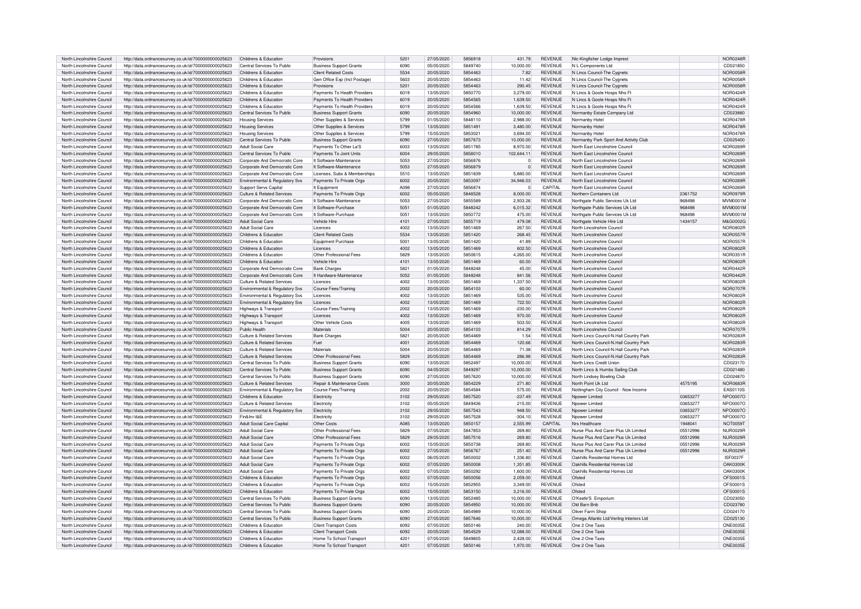|                                                          | http://data.ordnancesurvey.co.uk/id/7000000000025623                                                         | Childrens & Education                          | Provisions                                           | 5201         | 27/05/2020               | 5856918            | 431.79               | <b>REVENUE</b>                   | NIc-Kingfisher Lodge Imprest             |          | NOR0248R                    |
|----------------------------------------------------------|--------------------------------------------------------------------------------------------------------------|------------------------------------------------|------------------------------------------------------|--------------|--------------------------|--------------------|----------------------|----------------------------------|------------------------------------------|----------|-----------------------------|
| North Lincolnshire Council                               |                                                                                                              |                                                |                                                      |              |                          |                    |                      |                                  |                                          |          |                             |
| North Lincolnshire Council                               | http://data.ordnancesurvey.co.uk/id/7000000000025623                                                         | Central Services To Public                     | <b>Business Support Grants</b>                       | 6090         | 05/05/2020               | 5849740            | 10,000.00            | <b>REVENUE</b>                   | N L Components Ltd                       |          | CD021850                    |
| North Lincolnshire Council                               | http://data.ordnancesurvey.co.uk/id/7000000000025623                                                         | Childrens & Education                          | Client Related Costs                                 | 5534         | 20/05/2020               | 5854463            | 7.82                 | <b>REVENUE</b>                   | N Lincs Council-The Cygnets              |          | <b>NOR0058R</b>             |
| North Lincolnshire Council                               | http://data.ordnancesurvey.co.uk/id/7000000000025623                                                         | Childrens & Education                          | Gen Office Exp (Incl Postage)                        | 5603         | 20/05/2020               | 5854463            | 11.42                | <b>REVENUE</b>                   | N Lincs Council-The Cygnets              |          | NOR0058R                    |
| North Lincolnshire Council                               | http://data.ordnancesurvey.co.uk/id/7000000000025623                                                         | Childrens & Education                          | Provisions                                           | 5201         | 20/05/2020               | 5854463            | 290.45               | <b>REVENUE</b>                   | N Lincs Council-The Cygnets              |          | NOR0058F                    |
| North Lincolnshire Council                               |                                                                                                              | Childrens & Education                          |                                                      | 6019         | 13/05/2020               | 5850770            |                      | <b>REVENUE</b>                   |                                          |          | NOR0424F                    |
|                                                          | http://data.ordnancesurvey.co.uk/id/7000000000025623                                                         |                                                | Payments To Health Providers                         |              |                          |                    | 3,279.00             |                                  | N Lincs & Goole Hosps Nhs F              |          |                             |
| North Lincolnshire Council                               | http://data.ordnancesurvey.co.uk/id/7000000000025623                                                         | Childrens & Education                          | Payments To Health Providers                         | 6019         | 20/05/2020               | 5854565            | 1.639.50             | <b>REVENUE</b>                   | N Lincs & Goole Hosps Nhs Ft             |          | <b>NOR0424F</b>             |
| North Lincolnshire Council                               | http://data.ordnancesurvey.co.uk/id/7000000000025623                                                         | Childrens & Education                          | Payments To Health Providers                         | 6019         | 20/05/2020               | 5854566            | 1,639.50             | <b>REVENUE</b>                   | N Lincs & Goole Hosps Nhs Ft             |          | <b>NOR0424F</b>             |
| North Lincolnshire Council                               | http://data.ordnancesurvey.co.uk/id/7000000000025623                                                         | Central Services To Public                     | <b>Business Support Grants</b>                       | 6090         | 20/05/2020               | 5854960            | 10,000.00            | <b>REVENUE</b>                   | Normanby Estate Company Ltd              |          | CD023880                    |
|                                                          |                                                                                                              |                                                |                                                      |              |                          |                    |                      |                                  |                                          |          |                             |
| North Lincolnshire Council                               | http://data.ordnancesurvey.co.uk/id/7000000000025623                                                         | <b>Housing Services</b>                        | Other Supplies & Services                            | 5799         | 01/05/2020               | 5848110            | 2,988.00             | <b>REVENUE</b>                   | Normanby Hote                            |          | NOR0478F                    |
| North Lincolnshire Council                               | http://data.ordnancesurvey.co.uk/id/7000000000025623                                                         | <b>Housing Services</b>                        | Other Supplies & Services                            | 5799         | 13/05/2020               | 5851491            | 3,480.00             | <b>REVENUE</b>                   | Normanby Hote                            |          | <b>NOR0478F</b>             |
| North Lincolnshire Council                               | http://data.ordnancesurvey.co.uk/id/7000000000025623                                                         | <b>Housing Services</b>                        | Other Supplies & Services                            | 5799         | 15/05/2020               | 585302             | 3.694.00             | <b>REVENUE</b>                   | Normanby Hote                            |          | NOR0478F                    |
| North Lincolnshire Council                               | http://data.ordnancesurvey.co.uk/id/7000000000025623                                                         | Central Services To Public                     | <b>Business Support Grants</b>                       | 6090         | 27/05/2020               | 5857673            | 10,000.00            | <b>REVENUE</b>                   | Normanby Park Sport And Activity Club    |          | CD025400                    |
|                                                          |                                                                                                              |                                                |                                                      | 6003         |                          | 5851785            |                      | <b>REVENUE</b>                   |                                          |          |                             |
| North Lincolnshire Council                               | http://data.ordnancesurvey.co.uk/id/7000000000025623                                                         | Adult Social Care                              | Payments To Other La'S                               |              | 13/05/2020               |                    | 8,970.00             |                                  | North East Lincolnshire Council          |          | NOR0269R                    |
| North Lincolnshire Council                               | http://data.ordnancesurvey.co.uk/id/7000000000025623                                                         | Central Services To Public                     | Payments To Joint Units                              | 6004         | 29/05/2020               | 5858010            | 102.644.11           | <b>REVENUE</b>                   | North East Lincolnshire Council          |          | NOR0269R                    |
| North Lincolnshire Council                               | http://data.ordnancesurvey.co.uk/id/7000000000025623                                                         | Corporate And Democratic Core                  | It Software-Maintenance                              | 5053         | 27/05/2020               | 5856876            | $\Omega$             | <b>REVENUE</b>                   | North East Lincolnshire Council          |          | NOR0269R                    |
| North Lincolnshire Council                               | http://data.ordnancesurvey.co.uk/id/7000000000025623                                                         | Corporate And Democratic Core                  | It Software-Maintenance                              | 5053         | 27/05/2020               | 5856879            | $\mathbf{0}$         | <b>REVENUE</b>                   | North East Lincolnshire Council          |          | NOR0269F                    |
|                                                          |                                                                                                              |                                                |                                                      |              |                          |                    |                      |                                  |                                          |          |                             |
| North Lincolnshire Council                               | http://data.ordnancesurvey.co.uk/id/7000000000025623                                                         | Corporate And Democratic Core                  | Licenses, Subs & Memberships                         | 5510         | 13/05/2020               | 5851839            | 5.880.00             | <b>REVENUE</b>                   | North East Lincolnshire Council          |          | NOR0269R                    |
| North Lincolnshire Council                               | http://data.ordnancesurvey.co.uk/id/7000000000025623                                                         | Environmental & Regulatory Svs                 | Payments To Private Orgs                             | 6002         | 20/05/2020               | 5853097            | 34.946.03            | <b>REVENUE</b>                   | North East Lincolnshire Council          |          | NOR0269R                    |
| North Lincolnshire Council                               | http://data.ordnancesurvey.co.uk/id/7000000000025623                                                         | Support Servs Capital                          | It Equipment                                         | A098         | 27/05/2020               | 5856874            | $\mathbf 0$          | CAPITAL                          | North East Lincolnshire Council          |          | NOR0269R                    |
| North Lincolnshire Council                               | http://data.ordnancesurvey.co.uk/id/7000000000025623                                                         | Culture & Related Services                     | Payments To Private Orgs                             | 6002         | 05/05/2020               | 5848528            | 8,000.00             | <b>REVENUE</b>                   | Northern Containers Ltd                  | 2361752  | NOR0979R                    |
|                                                          |                                                                                                              |                                                |                                                      |              |                          |                    |                      |                                  |                                          |          |                             |
| North Lincolnshire Council                               | http://data.ordnancesurvey.co.uk/id/7000000000025623                                                         | Corporate And Democratic Core                  | It Software-Maintenance                              | 5053         | 27/05/2020               | 5855589            | 2.933.26             | REVENUE                          | Northgate Public Services Uk Ltd         | 968498   | <b>MVM0001M</b>             |
| North Lincolnshire Council                               | http://data.ordnancesurvey.co.uk/id/7000000000025623                                                         | Corporate And Democratic Core                  | It Software-Purchase                                 | 5051         | 01/05/2020               | 5848242            | 6,015.32             | <b>REVENUE</b>                   | Northgate Public Services Uk Ltd         | 968498   | <b>MVM0001M</b>             |
| North Lincolnshire Council                               | http://data.ordnancesurvey.co.uk/id/7000000000025623                                                         | Corporate And Democratic Core                  | It Software-Purchase                                 | 5051         | 13/05/2020               | 5850772            | 475.00               | REVENUE                          | Northgate Public Services Uk Ltd         | 968498   | <b>MVM0001M</b>             |
| North Lincolnshire Council                               | http://data.ordnancesurvey.co.uk/id/7000000000025623                                                         | <b>Adult Social Care</b>                       | Vehicle Hire                                         | 4101         | 27/05/2020               | 5855719            | 479.08               | <b>REVENUE</b>                   | Northgate Vehicle Hire Ltd               | 1434157  | M&G0002G                    |
|                                                          |                                                                                                              |                                                |                                                      |              |                          |                    |                      |                                  |                                          |          |                             |
| North Lincolnshire Council                               | http://data.ordnancesurvev.co.uk/id/7000000000025623                                                         | Adult Social Care                              | I icences                                            | 4002         | 13/05/2020               | 5851469            | 267.50               | <b>REVENUE</b>                   | North Lincolnshire Council               |          | NOR0802R                    |
| North Lincolnshire Council                               | http://data.ordnancesurvey.co.uk/id/7000000000025623                                                         | Childrens & Education                          | <b>Client Related Costs</b>                          | 5534         | 13/05/2020               | 5851420            | 268.45               | <b>REVENUE</b>                   | North Lincolnshire Council               |          | <b>NOR0557F</b>             |
| North Lincolnshire Council                               | http://data.ordnancesurvey.co.uk/id/7000000000025623                                                         | Childrens & Education                          | Equipment Purchase                                   | 5001         | 13/05/2020               | 5851420            | 41.89                | <b>REVENUE</b>                   | North Lincolnshire Council               |          | <b>NOR0557F</b>             |
|                                                          |                                                                                                              |                                                | Licences                                             | 4002         | 13/05/2020               | 5851469            | 602.50               | <b>REVENUE</b>                   |                                          |          | NOR0802F                    |
| North Lincolnshire Council                               | http://data.ordnancesurvey.co.uk/id/7000000000025623                                                         | Childrens & Education                          |                                                      |              |                          |                    |                      |                                  | North Lincolnshire Council               |          |                             |
| North Lincolnshire Council                               | http://data.ordnancesurvey.co.uk/id/7000000000025623                                                         | Childrens & Education                          | Other Professional Fees                              | 5829         | 13/05/2020               | 5850615            | 4,265.00             | <b>REVENUE</b>                   | North Lincolnshire Council               |          | <b>NOR0351F</b>             |
| North Lincolnshire Council                               | http://data.ordnancesurvey.co.uk/id/7000000000025623                                                         | Childrens & Education                          | <b>Vehicle Hire</b>                                  | 4101         | 13/05/2020               | 5851469            | 60.00                | <b>REVENUE</b>                   | North Lincolnshire Council               |          | <b>NOR0802R</b>             |
| North Lincolnshire Council                               | http://data.ordnancesurvey.co.uk/id/7000000000025623                                                         | Corporate And Democratic Core                  | <b>Bank Charge</b>                                   | 5821         | 01/05/2020               | 5848248            | 45.00                | <b>REVENUE</b>                   | North Lincolnshire Council               |          | NOR0442R                    |
|                                                          |                                                                                                              |                                                |                                                      |              |                          |                    |                      |                                  |                                          |          |                             |
| North Lincolnshire Council                               | http://data.ordnancesurvey.co.uk/id/7000000000025623                                                         | Corporate And Democratic Core                  | It Hardware-Maintenance                              | 5052         | 01/05/2020               | 5848248            | 841.56               | <b>REVENUE</b>                   | North Lincolnshire Council               |          | <b>NOR0442F</b>             |
| North Lincolnshire Council                               | http://data.ordnancesurvey.co.uk/id/7000000000025623                                                         | Culture & Related Services                     | Licences                                             | 4002         | 13/05/2020               | 5851469            | 1.337.50             | REVENUE                          | North Lincolnshire Council               |          | <b>NOR0802F</b>             |
| North Lincolnshire Council                               | http://data.ordnancesurvey.co.uk/id/7000000000025623                                                         | Environmental & Regulatory Svs                 | Course Fees/Training                                 | 2002         | 20/05/2020               | 5854103            | 60.00                | <b>REVENUE</b>                   | North Lincolnshire Council               |          | NOR0707R                    |
| North Lincolnshire Council                               | http://data.ordnancesurvey.co.uk/id/7000000000025623                                                         | Environmental & Regulatory Svs                 | <b>Licences</b>                                      | 4002         | 13/05/2020               | 5851469            | 535.00               | <b>REVENUE</b>                   | North Lincolnshire Council               |          | <b>NOR0802R</b>             |
|                                                          |                                                                                                              |                                                |                                                      |              |                          |                    |                      |                                  |                                          |          |                             |
| North Lincolnshire Council                               | http://data.ordnancesurvey.co.uk/id/7000000000025623                                                         | <b>Environmental &amp; Requlatory Sys</b>      | I icences                                            | 4002         | 13/05/2020               | 5851469            | 722.50               | <b>REVENUE</b>                   | North Lincolnshire Council               |          | <b>NOR0802R</b>             |
| North Lincolnshire Council                               | http://data.ordnancesurvey.co.uk/id/7000000000025623                                                         | Highways & Transport                           | Course Fees/Training                                 | 2002         | 13/05/2020               | 5851469            | $-230.00$            | <b>REVENUE</b>                   | North Lincolnshire Council               |          | NOR0802F                    |
| North Lincolnshire Council                               | http://data.ordnancesurvey.co.uk/id/7000000000025623                                                         | Highways & Transport                           | I icences                                            | 4002         | 13/05/2020               | 5851469            | 970.00               | <b>REVENUE</b>                   | North Lincolnshire Council               |          | NOR0802F                    |
| North Lincolnshire Council                               | http://data.ordnancesurvey.co.uk/id/7000000000025623                                                         | Highways & Transport                           | Other Vehicle Costs                                  | 4005         | 13/05/2020               | 5851469            | 503.50               | <b>REVENUE</b>                   | North Lincolnshire Council               |          | NOR0802F                    |
|                                                          |                                                                                                              |                                                |                                                      |              |                          |                    |                      |                                  |                                          |          |                             |
| North Lincolnshire Council                               | http://data.ordnancesurvey.co.uk/id/7000000000025623                                                         | Public Health                                  | Materials                                            | 5004         | 20/05/2020               | 5854103            | 814.29               | REVENUE                          | North Lincolnshire Council               |          | <b>NOR0707R</b>             |
| North Lincolnshire Council                               | http://data.ordnancesurvey.co.uk/id/7000000000025623                                                         | <b>Culture &amp; Related Services</b>          | Bank Charge                                          | 5821         | 20/05/2020               | 5854469            | 1.54                 | <b>REVENUE</b>                   | North Lincs Council-N.Hall Country Park  |          | <b>NOR0283F</b>             |
| North Lincolnshire Council                               | http://data.ordnancesurvey.co.uk/id/7000000000025623                                                         | <b>Culture &amp; Related Services</b>          | Fuel                                                 | 4001         | 20/05/2020               | 5854469            | 120.66               | REVENUE                          | North Lincs Council-N.Hall Country Park  |          | NOR0283R                    |
| North Lincolnshire Council                               | http://data.ordnancesurvey.co.uk/id/7000000000025623                                                         | <b>Culture &amp; Related Services</b>          | Materials                                            | 5004         | 20/05/2020               | 5854469            | 71.38                | REVENUE                          | North Lincs Council-N.Hall Country Park  |          | NOR0283R                    |
|                                                          |                                                                                                              |                                                |                                                      |              |                          |                    |                      |                                  |                                          |          |                             |
| North Lincolnshire Council                               | http://data.ordnancesurvey.co.uk/id/7000000000025623                                                         | Culture & Related Services                     | Other Professional Fees                              | 5829         | 20/05/2020               | 5854469            | 286.98               | <b>REVENUE</b>                   | North Lincs Council-N.Hall Country Park  |          | NOR0283F                    |
| North Lincolnshire Council                               | http://data.ordnancesurvey.co.uk/id/7000000000025623                                                         | Central Services To Public                     | <b>Business Support Grants</b>                       | 6090         | 13/05/2020               | 5852497            | 10,000.00            | REVENUE                          | North Lincs Credit Union                 |          | CD023170                    |
| North Lincolnshire Council                               | http://data.ordnancesurvey.co.uk/id/7000000000025623                                                         | Central Services To Public                     | <b>Business Support Grants</b>                       | 6090         | 04/05/2020               | 5849297            | 10,000.00            | REVENUE                          | North Lincs & Humbs Sailing Club         |          | CD021480                    |
| North Lincolnshire Council                               |                                                                                                              | Central Services To Public                     |                                                      | 6090         | 27/05/2020               | 5857620            | 10.000.00            | REVENUE                          |                                          |          | CD024870                    |
|                                                          | http://data.ordnancesurvey.co.uk/id/7000000000025623                                                         |                                                | <b>Business Support Grants</b>                       |              |                          |                    |                      |                                  | North Lindsey Bowling Club               |          |                             |
| North Lincolnshire Council                               | http://data.ordnancesurvey.co.uk/id/7000000000025623                                                         | Culture & Related Services                     | <b>Benair &amp; Maintenance Costs</b>                | 3000         |                          |                    |                      |                                  |                                          |          |                             |
| North Lincolnshire Council                               | http://data.ordnancesurvey.co.uk/id/7000000000025623                                                         |                                                |                                                      |              | 20/05/2020               | 5854229            | 271.80               | <b>REVENUE</b>                   | North Point Uk I td                      | 4575195  | NOR0683R                    |
|                                                          |                                                                                                              | Environmental & Regulatory Svs                 | Course Fees/Training                                 | 2002         | 20/05/2020               | 5854584            | 575.00               | <b>REVENUE</b>                   | Nottingham City Council - Now Income     |          | <b>EAS0110S</b>             |
|                                                          |                                                                                                              |                                                | Flectricity                                          |              |                          | 5857520            |                      |                                  |                                          | 03653277 | NPO0007C                    |
| North Lincolnshire Council                               | http://data.ordnancesurvey.co.uk/id/7000000000025623                                                         | Childrens & Education                          |                                                      | 3102         | 29/05/2020               |                    | $-237.49$            | <b>REVENUE</b>                   | Noower Limited                           |          |                             |
| North Lincolnshire Council                               | http://data.ordnancesurvey.co.uk/id/7000000000025623                                                         | Culture & Related Services                     | Flectricity                                          | 3102         | 05/05/2020               | 5849436            | 215.00               | <b>REVENUE</b>                   | Noower Limited                           | 03653277 | NPO00070                    |
| North Lincolnshire Council                               | http://data.ordnancesurvey.co.uk/id/7000000000025623                                                         | Environmental & Regulatory Svs                 | Electricity                                          | 3102         | 29/05/2020               | 5857543            | 948.50               | <b>REVENUE</b>                   | Noower Limited                           | 03653277 | <b>NPO0007C</b>             |
| North Lincolnshire Council                               | http://data.ordnancesurvey.co.uk/id/7000000000025623                                                         | Fin&Inv I&F                                    | Electricity                                          | 3102         | 29/05/2020               | 5857528            | $-304.10$            | <b>REVENUE</b>                   | Nnower I imited                          | 03653277 | NPO00070                    |
| North Lincolnshire Council                               |                                                                                                              | Adult Social Care Capital                      | Other Costs                                          | A085         | 13/05/2020               | 5850157            |                      | <b>CAPITAL</b>                   | Nrs Healthcare                           |          |                             |
|                                                          | http://data.ordnancesurvey.co.uk/id/7000000000025623                                                         |                                                |                                                      |              |                          |                    | 2,555.99             |                                  |                                          | 1948041  | <b>NOT0059T</b>             |
| North Lincolnshire Council                               | http://data.ordnancesurvey.co.uk/id/7000000000025623                                                         | Adult Social Care                              | Other Professional Fees                              | 5829         | 07/05/2020               | 5847853            | 269.80               | REVENUE                          | Nurse Plus And Carer Plus Uk Limited     | 05512996 | NUR0029F                    |
| North Lincolnshire Council                               | http://data.ordnancesurvey.co.uk/id/7000000000025623                                                         | <b>Adult Social Care</b>                       | Other Professional Fees                              | 5829         | 29/05/2020               | 5857516            | 269.80               | <b>REVENUE</b>                   | Nurse Plus And Carer Plus Uk Limited     | 05512996 | NUR0029E                    |
| North Lincolnshire Council                               | http://data.ordnancesurvey.co.uk/id/7000000000025623                                                         | <b>Adult Social Care</b>                       | Payments To Private Orgs                             | 6002         | 15/05/2020               | 5850738            | 269.80               | REVENUE                          | Nurse Plus And Carer Plus Uk Limited     | 05512996 | NUR0029R                    |
| North Lincolnshire Council                               |                                                                                                              |                                                | Payments To Private Oras                             | 6002         | 27/05/2020               | 5856767            |                      | <b>REVENUE</b>                   |                                          |          |                             |
|                                                          | http://data.ordnancesurvey.co.uk/id/7000000000025623                                                         | <b>Adult Social Care</b>                       |                                                      |              |                          |                    | 251.40               |                                  | Nurse Plus And Carer Plus Uk Limited     | 05512996 | NUR0029R                    |
| North Lincolnshire Council                               | http://data.ordnancesurvey.co.uk/id/7000000000025623                                                         | Adult Social Care                              | Payments To Private Orgs                             | 6002         | 06/05/2020               | 5850002            | 1.336.80             | <b>REVENUE</b>                   | Oakhills Residential Homes Ltd           |          | <b>ISF0037F</b>             |
| North Lincolnshire Council                               | http://data.ordnancesurvey.co.uk/id/7000000000025623                                                         | Adult Social Care                              | Payments To Private Orgs                             | 6002         | 07/05/2020               | 5850008            | 1,351.85             | <b>REVENUE</b>                   | Oakhills Residential Homes Ltd           |          | <b>OAK0300K</b>             |
| North Lincolnshire Council                               | http://data.ordnancesurvey.co.uk/id/7000000000025623                                                         | Adult Social Care                              | Payments To Private Orgs                             | 6002         | 07/05/2020               | 5850293            | 1.600.00             | <b>REVENUE</b>                   | Oakhills Residential Homes I td          |          | <b>OAK0300K</b>             |
|                                                          |                                                                                                              |                                                |                                                      | 6002         |                          | 5850056            |                      | <b>REVENUE</b>                   |                                          |          |                             |
| North Lincolnshire Council                               | http://data.ordnancesurvey.co.uk/id/7000000000025623                                                         | Childrens & Education                          | Payments To Private Orgs                             |              | 07/05/2020               |                    | 2.059.00             |                                  | Ofsted                                   |          | OFS0001S                    |
| North Lincolnshire Council                               | http://data.ordnancesurvey.co.uk/id/7000000000025623                                                         | Childrens & Education                          | Payments To Private Orgs                             | 6002         | 15/05/2020               | 5852955            | 3.349.00             | <b>REVENUE</b>                   | Ofsted                                   |          | OFS0001S                    |
| North Lincolnshire Council                               | http://data.ordnancesurvey.co.uk/id/7000000000025623                                                         | Childrens & Education                          | Payments To Private Orgs                             | 6002         | 15/05/2020               | 5853150            | 3,216.00             | <b>REVENUE</b>                   | Ofsted                                   |          | OFS0001S                    |
| North Lincolnshire Council                               |                                                                                                              | Central Services To Public                     |                                                      | 6090         | 13/05/2020               | 5852485            | 10.000.00            | <b>REVENUE</b>                   |                                          |          | CD023050                    |
|                                                          | http://data.ordnancesurvey.co.uk/id/7000000000025623                                                         |                                                | <b>Business Support Grants</b>                       |              |                          |                    |                      |                                  | O'Keefe'S Emporium                       |          |                             |
| North Lincolnshire Council                               | http://data.ordnancesurvey.co.uk/id/7000000000025623                                                         | Central Services To Public                     | <b>Business Support Grants</b>                       | 6090         | 20/05/2020               | 5854950            | 10.000.00            | <b>REVENUE</b>                   | Old Barn Bnb                             |          | CD023780                    |
| North Lincolnshire Council                               | http://data.ordnancesurvey.co.uk/id/7000000000025623                                                         | Central Services To Public                     | <b>Business Support Grants</b>                       | 6090         | 20/05/2020               | 5854989            | 10,000.00            | REVENUE                          | Oliver Farm Shop                         |          | CD024170                    |
| North Lincolnshire Council                               | http://data.ordnancesurvey.co.uk/id/7000000000025623                                                         | Central Services To Public                     | <b>Business Support Grants</b>                       | 6090         | 27/05/2020               | 5857646            | 10,000.00            | <b>REVENUE</b>                   | Omega Atlantic Ltd/Verling Interiors Ltd |          | CD025130                    |
| North Lincolnshire Council                               | http://data.ordnancesurvey.co.uk/id/7000000000025623                                                         |                                                |                                                      | 6092         | 07/05/2020               | 5850146            | 240.00               | REVENUE                          | One 2 One Taxis                          |          | <b>ONE0035E</b>             |
|                                                          |                                                                                                              | Childrens & Education                          | <b>Client Transport Costs</b>                        |              |                          |                    |                      |                                  |                                          |          |                             |
| North Lincolnshire Council                               | http://data.ordnancesurvey.co.uk/id/7000000000025623                                                         | Childrens & Education                          | <b>Client Transport Costs</b>                        | 6092         | 20/05/2020               | 5854529            | 12.088.00            | <b>REVENUE</b>                   | One 2 One Taxis                          |          | ONE0035E                    |
| North Lincolnshire Council<br>North Lincolnshire Council | http://data.ordnancesurvey.co.uk/id/7000000000025623<br>http://data.ordnancesurvey.co.uk/id/7000000000025623 | Childrens & Education<br>Childrens & Education | Home To School Transport<br>Home To School Transport | 4201<br>4201 | 07/05/2020<br>07/05/2020 | 5849805<br>5850146 | 2.428.00<br>1.970.00 | <b>REVENUE</b><br><b>REVENUE</b> | One 2 One Taxis<br>One 2 One Taxis       |          | ONE0035E<br><b>ONE0035E</b> |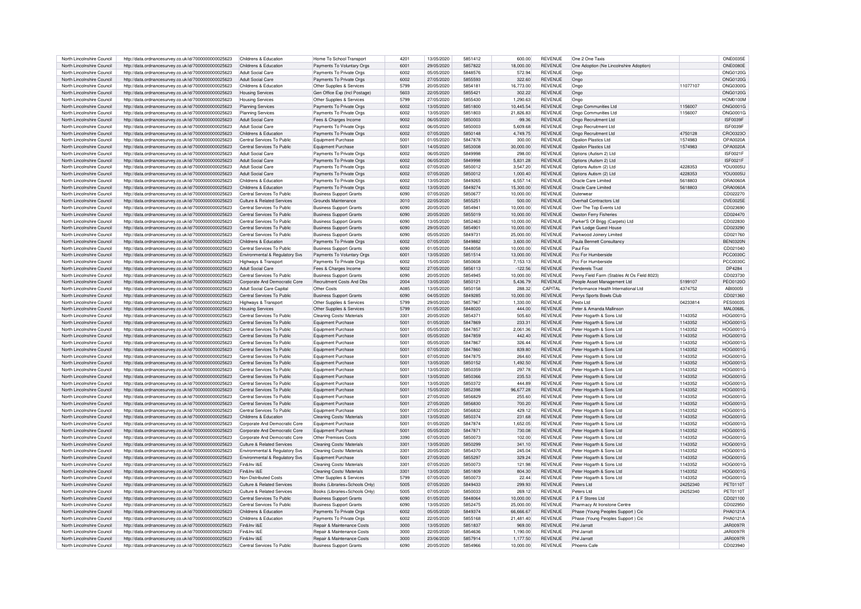| North Lincolnshire Council                               | http://data.ordnancesurvey.co.uk/id/7000000000025623                                                         | Childrens & Education                     | Home To School Transport                                     | 4201         | 13/05/2020               | 5851412            | 600.00                | <b>REVENUE</b>                   | One 2 One Taxis                             |          | ONE0035E                    |
|----------------------------------------------------------|--------------------------------------------------------------------------------------------------------------|-------------------------------------------|--------------------------------------------------------------|--------------|--------------------------|--------------------|-----------------------|----------------------------------|---------------------------------------------|----------|-----------------------------|
| North Lincolnshire Council                               | http://data.ordnancesurvey.co.uk/id/7000000000025623                                                         | Childrens & Education                     | Payments To Voluntary Orgs                                   | 6001         | 29/05/2020               | 5857822            | 18.000.00             | <b>REVENUE</b>                   | One Adoption (Ne Lincolnshire Adoption)     |          | ONE0080E                    |
| North Lincolnshire Council                               | http://data.ordnancesurvey.co.uk/id/7000000000025623                                                         | Adult Social Care                         | Payments To Private Orgs                                     | 6002         | 05/05/2020               | 5848576            | 572.94                | <b>REVENUE</b>                   | Ongo                                        |          | <b>ONG0120G</b>             |
| North Lincolnshire Council                               | http://data.ordnancesurvey.co.uk/id/7000000000025623                                                         | <b>Adult Social Care</b>                  | Payments To Private Orgs                                     | 6002         | 27/05/2020               | 5855593            | 322.60                | <b>REVENUE</b>                   | Ongo                                        |          | <b>ONG0120G</b>             |
| North Lincolnshire Council                               | http://data.ordnancesurvey.co.uk/id/7000000000025623                                                         | Childrens & Education                     | Other Supplies & Services                                    | 5799         | 20/05/2020               | 5854181            | 16,773.00             | <b>REVENUE</b>                   | Ongo                                        | 11077107 | <b>ONG0300G</b>             |
|                                                          |                                                                                                              |                                           |                                                              | 5603         |                          | 585542             |                       |                                  |                                             |          |                             |
| North Lincolnshire Council                               | http://data.ordnancesurvey.co.uk/id/7000000000025623                                                         | <b>Housing Services</b>                   | Gen Office Exp (Incl Postage)                                |              | 22/05/2020               |                    | 302.22                | <b>REVENUE</b>                   | Ongo                                        |          | <b>ONG0120G</b>             |
| North Lincolnshire Council                               | http://data.ordnancesurvey.co.uk/id/7000000000025623                                                         | <b>Housing Services</b>                   | Other Supplies & Services                                    | 5799         | 27/05/2020               | 5855430            | 1,290.63              | <b>REVENUE</b>                   | Ongo                                        |          | <b>HOM0100N</b>             |
| North Lincolnshire Council                               | http://data.ordnancesurvey.co.uk/id/7000000000025623                                                         | <b>Planning Services</b>                  | Payments To Private Oras                                     | 6002         | 13/05/2020               | 5851800            | 10,445.54             | <b>REVENUE</b>                   | Ongo Communities Ltd                        | 1156007  | <b>ONG0001G</b>             |
| North Lincolnshire Council                               | http://data.ordnancesurvey.co.uk/id/7000000000025623                                                         | <b>Planning Services</b>                  | Payments To Private Orgs                                     | 6002         | 13/05/2020               | 5851803            | 21,826.83             | <b>REVENUE</b>                   | Ongo Communities Ltd                        | 1156007  | ONG0001G                    |
| North Lincolnshire Council                               | http://data.ordnancesurvey.co.uk/id/7000000000025623                                                         | Adult Social Care                         | Fees & Charges Income                                        | 9002         | 06/05/2020               | 5850003            | $-99.36$              | <b>REVENUE</b>                   | Ongo Recruitment Ltd                        |          | ISF0039F                    |
| North Lincolnshire Council                               | http://data.ordnancesurvey.co.uk/id/7000000000025623                                                         | Adult Social Care                         | Payments To Private Orgs                                     | 6002         | 06/05/2020               | 5850003            | 5.609.68              | <b>REVENUE</b>                   | Ongo Recruitment Ltd                        |          | <b>ISF0039F</b>             |
|                                                          |                                                                                                              |                                           |                                                              |              |                          |                    |                       |                                  |                                             |          |                             |
| North Lincolnshire Council                               | http://data.ordnancesurvey.co.uk/id/7000000000025623                                                         | Childrens & Education                     | Payments To Private Orgs                                     | 6002         | 07/05/2020               | 5850148            | 4,749.75              | <b>REVENUE</b>                   | Ongo Recruitment Ltd                        | 4750128  | CRO0323C                    |
| North Lincolnshire Council                               | http://data.ordnancesurvey.co.uk/id/7000000000025623                                                         | Central Services To Public                | Equipment Purchase                                           | 5001         | 01/05/2020               | 5847878            | 300.00                | <b>REVENUE</b>                   | Onalion Plastics Ltd                        | 1574983  | OPA0020A                    |
| North Lincolnshire Council                               | http://data.ordnancesurvey.co.uk/id/7000000000025623                                                         | Central Services To Public                | Equipment Purchase                                           | 5001         | 14/05/2020               | 5853008            | 30,000.00             | <b>REVENUE</b>                   | Onalion Plastics Ltd                        | 1574983  | OPA0020A                    |
| North Lincolnshire Council                               | http://data.ordnancesurvey.co.uk/id/7000000000025623                                                         | Adult Social Care                         | Payments To Private Orgs                                     | 6002         | 06/05/2020               | 5849998            | 298.00                | <b>REVENUE</b>                   | Options (Autism 2) Ltd                      |          | ISE0021E                    |
| North Lincolnshire Council                               | http://data.ordnancesurvey.co.uk/id/7000000000025623                                                         | <b>Adult Social Care</b>                  | Payments To Private Orgs                                     | 6002         | 06/05/2020               | 5849998            | 5,831.28              | <b>REVENUE</b>                   | Options (Autism 2) Ltd                      |          | <b>ISF0021F</b>             |
| North Lincolnshire Council                               |                                                                                                              | Adult Social Care                         |                                                              | 6002         | 07/05/2020               | 5850012            | 3.547.20              | <b>REVENUE</b>                   |                                             | 4228353  | <b>YOU0005L</b>             |
|                                                          | http://data.ordnancesurvey.co.uk/id/7000000000025623                                                         |                                           | Payments To Private Orgs                                     |              |                          |                    |                       |                                  | Options Autism (2) Ltd                      |          |                             |
| North Lincolnshire Council                               | http://data.ordnancesurvey.co.uk/id/7000000000025623                                                         | Adult Social Care                         | Payments To Private Orgs                                     | 6002         | 07/05/2020               | 5850012            | 1,000.40              | <b>REVENUE</b>                   | Options Autism (2) Ltd                      | 4228353  | <b>YOU0005L</b>             |
| North Lincolnshire Council                               | http://data.ordnancesurvey.co.uk/id/7000000000025623                                                         | Childrens & Education                     | Payments To Private Orgs                                     | 6002         | 13/05/2020               | 5849265            | 6,557.14              | <b>REVENUE</b>                   | Oracle Care Limited                         | 5618803  | ORA0060A                    |
| North Lincolnshire Council                               | http://data.ordnancesurvey.co.uk/id/7000000000025623                                                         | Childrens & Education                     | Payments To Private Orgs                                     | 6002         | 13/05/2020               | 5849274            | 15.300.00             | <b>REVENUE</b>                   | Oracle Care Limited                         | 5618803  | ORA0060A                    |
| North Lincolnshire Council                               | http://data.ordnancesurvey.co.uk/id/7000000000025623                                                         | Central Services To Public                | <b>Business Support Grants</b>                               | 6090         | 07/05/2020               | 5850677            | 10,000.00             | <b>REVENUE</b>                   | Outerwear                                   |          | CD022270                    |
| North Lincolnshire Council                               | http://data.ordnancesurvey.co.uk/id/7000000000025623                                                         | Culture & Related Services                | Grounds Maintenance                                          | 3010         | 22/05/2020               | 5855251            | 500.00                | <b>REVENUE</b>                   | Overhall Contractors Ltd                    |          | OVE0025E                    |
|                                                          |                                                                                                              |                                           |                                                              |              |                          |                    |                       |                                  |                                             |          |                             |
| North Lincolnshire Council                               | http://data.ordnancesurvey.co.uk/id/7000000000025623                                                         | Central Services To Public                | <b>Business Support Grants</b>                               | 6090         | 20/05/2020               | 5854941            | 10.000.00             | <b>REVENUE</b>                   | Over The Top Events Ltd                     |          | CD023690                    |
| North Lincolnshire Council                               | http://data.ordnancesurvey.co.uk/id/7000000000025623                                                         | Central Services To Public                | <b>Business Support Grants</b>                               | 6090         | 20/05/2020               | 5855019            | 10,000.00             | <b>REVENUE</b>                   | Owston Ferry Fisheries                      |          | CD024470                    |
| North Lincolnshire Council                               | http://data.ordnancesurvey.co.uk/id/7000000000025623                                                         | Central Services To Public                | <b>Business Support Grants</b>                               | 6090         | 13/05/2020               | 5852463            | 10.000.00             | <b>REVENUE</b>                   | Parker'S Of Brigg (Carpets) Ltd             |          | CD022830                    |
| North Lincolnshire Council                               | http://data.ordnancesurvey.co.uk/id/7000000000025623                                                         | Central Services To Public                | <b>Business Support Grants</b>                               | 6090         | 29/05/2020               | 5854901            | 10,000.00             | <b>REVENUE</b>                   | Park Lodge Guest House                      |          | CD023290                    |
| North Lincolnshire Council                               | http://data.ordnancesurvey.co.uk/id/7000000000025623                                                         | Central Services To Public                | <b>Business Support Grants</b>                               | 6090         | 05/05/2020               | 5849731            | 25,000.00             | <b>REVENUE</b>                   | Parkwood Joinery Limited                    |          | CD021760                    |
| North Lincolnshire Council                               | http://data.ordnancesurvey.co.uk/id/7000000000025623                                                         | Childrens & Education                     | Payments To Private Orgs                                     | 6002         | 07/05/2020               | 5849882            | 3.600.00              | <b>REVENUE</b>                   | Paula Bennett Consultancy                   |          | <b>BEN0320N</b>             |
|                                                          |                                                                                                              |                                           |                                                              |              |                          |                    |                       |                                  |                                             |          |                             |
| North Lincolnshire Council                               | http://data.ordnancesurvey.co.uk/id/7000000000025623                                                         | Central Services To Public                | <b>Business Support Grants</b>                               | 6090         | 01/05/2020               | 5848058            | 10.000.00             | <b>REVENUE</b>                   | Paul Fox                                    |          | CD021040                    |
| North Lincolnshire Council                               | http://data.ordnancesurvey.co.uk/id/7000000000025623                                                         | Environmental & Regulatory Svs            | Payments To Voluntary Orgs                                   | 6001         | 13/05/2020               | 5851514            | 13,000.00             | <b>REVENUE</b>                   | Pcc For Humberside                          |          | PCC00300                    |
| North Lincolnshire Council                               | http://data.ordnancesurvey.co.uk/id/7000000000025623                                                         | Highways & Transport                      | Payments To Private Orgs                                     | 6002         | 15/05/2020               | 5850608            | 7.153.13              | <b>REVENUE</b>                   | Pcc For Humberside                          |          | <b>PCC0030C</b>             |
| North Lincolnshire Council                               | http://data.ordnancesurvey.co.uk/id/7000000000025623                                                         | <b>Adult Social Care</b>                  | Fees & Charges Income                                        | 9002         | 27/05/2020               | 5856113            | $-122.56$             | <b>REVENUE</b>                   | Penderels Trust                             |          | DP4284                      |
| North Lincolnshire Council                               | http://data.ordnancesurvey.co.uk/id/7000000000025623                                                         | Central Services To Public                | <b>Business Support Grants</b>                               | 6090         | 20/05/2020               | 5854945            | 10,000.00             | <b>REVENUE</b>                   | Penny Field Farm (Stables At Os Field 8023) |          | CD023730                    |
| North Lincolnshire Council                               | http://data.ordnancesurvey.co.uk/id/7000000000025623                                                         | Corporate And Democratic Core             | Recruitment Costs And Dbs                                    | 2004         | 13/05/2020               | 585012             | 5,436.79              | <b>REVENUE</b>                   | People Asset Management Ltd                 | 5199107  | <b>PEO0120C</b>             |
| North Lincolnshire Council                               | http://data.ordnancesurvey.co.uk/id/7000000000025623                                                         |                                           |                                                              |              |                          |                    |                       |                                  |                                             |          |                             |
|                                                          |                                                                                                              | Adult Social Care Capital                 | Other Costs                                                  | A085         | 13/05/2020               | 5850158            | 288.32                | CAPITAL                          | Performance Health International Ltd        | 4374752  | ABI00051                    |
| North Lincolnshire Council                               | http://data.ordnancesurvey.co.uk/id/7000000000025623                                                         | Central Services To Public                | <b>Business Support Grants</b>                               | 6090         | 04/05/2020               | 5849285            | 10,000.00             | <b>REVENUE</b>                   | Perrys Sports Bowls Club                    |          | CD021360                    |
| North Lincolnshire Council                               | http://data.ordnancesurvey.co.uk/id/7000000000025623                                                         | Highways & Transport                      | Other Supplies & Services                                    | 5799         | 29/05/2020               | 5857967            | 1,330.00              | <b>REVENUE</b>                   | Pestx Ltd                                   | 04233814 | <b>PES0003S</b>             |
| North Lincolnshire Council                               | http://data.ordnancesurvey.co.uk/id/7000000000025623                                                         | <b>Housing Services</b>                   | Other Supplies & Services                                    | 5799         | 01/05/2020               | 5848020            | 444.00                | <b>REVENUE</b>                   | Peter & Amanda Mallinson                    |          | <b>MAL0068L</b>             |
| North Lincolnshire Council                               | http://data.ordnancesurvev.co.uk/id/7000000000025623                                                         | Central Services To Public                | Cleaning Costs/ Materials                                    | 3301         | 20/05/2020               | 5854371            | 505.60                | <b>REVENUE</b>                   | Peter Hogarth & Sons Ltd                    | 1143352  | HOG0001C                    |
| North Lincolnshire Council                               | http://data.ordnancesurvey.co.uk/id/7000000000025623                                                         | Central Services To Public                | Equipment Purchase                                           | 5001         | 01/05/2020               | 5847869            | 233.31                | <b>REVENUE</b>                   | Peter Hogarth & Sons Ltd                    | 1143352  | HOG0001C                    |
|                                                          |                                                                                                              |                                           |                                                              |              |                          |                    |                       |                                  |                                             |          |                             |
| North Lincolnshire Council                               | http://data.ordnancesurvey.co.uk/id/7000000000025623                                                         | Central Services To Public                | Equipment Purchase                                           | 5001         | 05/05/2020               | 5847857            | 2,061.36              | <b>REVENUE</b>                   | Peter Hogarth & Sons Ltd                    | 1143352  | HOG0001C                    |
| North Lincolnshire Council                               | http://data.ordnancesurvey.co.uk/id/7000000000025623                                                         | Central Services To Public                | Equipment Purchase                                           | 5001         | 05/05/2020               | 5847859            | 442.40                | <b>REVENUE</b>                   | Peter Hogarth & Sons Ltd                    | 1143352  | HOG0001G                    |
| North Lincolnshire Council                               | http://data.ordnancesurvey.co.uk/id/7000000000025623                                                         | Central Services To Public                | Foujoment Purchase                                           | 5001         | 05/05/2020               | 5847867            | 326.44                | <b>REVENUE</b>                   | Peter Hogarth & Sons Ltd                    | 1143352  | HOG00010                    |
| North Lincolnshire Council                               | http://data.ordnancesurvey.co.uk/id/7000000000025623                                                         | Central Services To Public                | Equipment Purchase                                           | 5001         | 07/05/2020               | 5847860            | 839.80                | <b>REVENUE</b>                   | Peter Hogarth & Sons Ltd                    | 1143352  | HOG0001G                    |
| North Lincolnshire Council                               | http://data.ordnancesurvey.co.uk/id/7000000000025623                                                         | Central Services To Public                | Equipment Purchase                                           | 5001         | 07/05/2020               | 5847875            | 264.60                | <b>REVENUE</b>                   | Peter Hogarth & Sons Ltd                    | 1143352  | HOG0001G                    |
| North Lincolnshire Council                               | http://data.ordnancesurvey.co.uk/id/7000000000025623                                                         | Central Services To Public                | Foujoment Purchase                                           | 5001         | 13/05/2020               | 5850152            | 1.492.50              | <b>REVENUE</b>                   | Peter Hogarth & Sons Ltd                    | 1143352  | HOG0001G                    |
| North Lincolnshire Council                               | http://data.ordnancesurvey.co.uk/id/7000000000025623                                                         | Central Services To Public                | Foujoment Purchase                                           | 5001         | 13/05/2020               | 5850359            | 297.78                | REVENUE                          | Peter Hogarth & Sons Ltd                    | 1143352  | HOG0001G                    |
|                                                          |                                                                                                              |                                           |                                                              |              |                          |                    |                       |                                  |                                             |          |                             |
| North Lincolnshire Council                               | http://data.ordnancesurvey.co.uk/id/7000000000025623                                                         | Central Services To Public                | Equipment Purchase                                           | 5001         | 13/05/2020               | 5850366            | 235.53                | <b>REVENUE</b>                   | Peter Hogarth & Sons Ltd                    | 1143352  | HOG0001C                    |
| North Lincolnshire Council                               | http://data.ordnancesurvey.co.uk/id/7000000000025623                                                         | Central Services To Public                | Equipment Purchase                                           | 5001         | 13/05/2020               | 5850372            | 444.89                | <b>REVENUE</b>                   | Peter Hogarth & Sons Ltd                    | 1143352  | HOG0001C                    |
| North Lincolnshire Council                               | http://data.ordnancesurvey.co.uk/id/7000000000025623                                                         | Central Services To Public                | Equipment Purchase                                           | 5001         | 15/05/2020               | 5852398            | 96,677.28             | <b>REVENUE</b>                   | Peter Hogarth & Sons Ltd                    | 1143352  | HOG0001G                    |
| North Lincolnshire Council                               | http://data.ordnancesurvey.co.uk/id/7000000000025623                                                         | Central Services To Public                | Equipment Purchase                                           | 5001         | 27/05/2020               | 5856829            | 255.60                | <b>REVENUE</b>                   | Peter Hogarth & Sons Ltd                    | 1143352  | HOG0001C                    |
| North Lincolnshire Council                               | http://data.ordnancesurvey.co.uk/id/7000000000025623                                                         | Central Services To Public                | Equipment Purchase                                           | 5001         | 27/05/2020               | 5856830            | 700.20                | <b>REVENUE</b>                   | Peter Hogarth & Sons Ltd                    | 1143352  | HOG0001G                    |
| North Lincolnshire Council                               | http://data.ordnancesurvey.co.uk/id/7000000000025623                                                         | Central Services To Public                | Equipment Purchase                                           | 5001         | 27/05/2020               | 5856832            | 429.12                | REVENUE                          | Peter Hogarth & Sons Ltd                    | 1143352  | HOG0001G                    |
|                                                          |                                                                                                              |                                           |                                                              |              |                          |                    |                       |                                  |                                             |          |                             |
| North Lincolnshire Council                               | http://data.ordnancesurvey.co.uk/id/7000000000025623                                                         | Childrens & Education                     | Cleaning Costs/ Materials                                    | 3301         | 13/05/2020               | 5850374            | 231.68                | <b>REVENUE</b>                   | Peter Hogarth & Sons Ltd                    | 1143352  | HOG0001G                    |
| North Lincolnshire Council                               | http://data.ordnancesurvey.co.uk/id/7000000000025623                                                         | Corporate And Democratic Core             | Equipment Purchase                                           | 5001         | 01/05/2020               | 5847874            | 1.652.05              | <b>REVENUE</b>                   | Peter Hogarth & Sons Ltd                    | 1143352  | HOG0001C                    |
| North Lincolnshire Council                               | http://data.ordnancesurvey.co.uk/id/7000000000025623                                                         | Corporate And Democratic Core             | Equipment Purchase                                           | 5001         | 05/05/2020               | 584787             | 730.08                | <b>REVENUE</b>                   | Peter Hogarth & Sons Ltd                    | 1143352  | HOG0001G                    |
| North Lincolnshire Council                               | http://data.ordnancesurvey.co.uk/id/7000000000025623                                                         | Corporate And Democratic Core             | Other Premises Costs                                         | 3390         | 07/05/2020               | 5850073            | 102.00                | <b>REVENUE</b>                   | Peter Hogarth & Sons Ltd                    | 1143352  | HOG0001C                    |
| North Lincolnshire Council                               | http://data.ordnancesurvey.co.uk/id/7000000000025623                                                         | Culture & Related Services                | Cleaning Costs/ Materials                                    | 3301         | 13/05/2020               | 5850299            | 341.10                | <b>REVENUE</b>                   | Peter Hogarth & Sons Ltd                    | 1143352  | HOG0001G                    |
| North Lincolnshire Council                               | http://data.ordnancesurvey.co.uk/id/7000000000025623                                                         | Environmental & Regulatory Svs            | Cleaning Costs/ Materials                                    | 3301         | 20/05/2020               | 5854370            | 245.04                | <b>REVENUE</b>                   | Peter Hogarth & Sons Ltd                    | 1143352  | HOG0001G                    |
|                                                          |                                                                                                              |                                           |                                                              |              |                          |                    |                       |                                  |                                             |          |                             |
| North Lincolnshire Council                               | http://data.ordnancesurvey.co.uk/id/7000000000025623                                                         | Environmental & Regulatory Svs            | Equipment Purchase                                           | 5001         | 27/05/2020               | 5855297            | 329.24                | <b>REVENUE</b>                   | Peter Hogarth & Sons Ltd                    | 1143352  | HOG0001C                    |
| North Lincolnshire Council                               | http://data.ordnancesurvey.co.uk/id/7000000000025623                                                         | Fin&Inv I&F                               | Cleaning Costs/ Materials                                    | 3301         | 07/05/2020               | 5850073            | 121.98                | <b>REVENUE</b>                   | Peter Hogarth & Sons Ltd                    | 1143352  | HOG0001G                    |
| North Lincolnshire Council                               | http://data.ordnancesurvey.co.uk/id/7000000000025623                                                         | Fin&Inv I&F                               | Cleaning Costs/ Materials                                    | 3301         | 13/05/2020               | 5851809            | 804.30                | <b>REVENUE</b>                   | Peter Hogarth & Sons Ltd                    | 1143352  | HOG0001G                    |
| North Lincolnshire Council                               | http://data.ordnancesurvey.co.uk/id/7000000000025623                                                         | Non Distributed Costs                     | Other Supplies & Services                                    | 5799         | 07/05/2020               | 5850073            | 22.44                 | REVENUE                          | Peter Hogarth & Sons Ltd                    | 1143352  | HOG0001C                    |
| North Lincolnshire Council                               | http://data.ordnancesurvey.co.uk/id/7000000000025623                                                         | Culture & Related Services                | Books (Libraries+Schools Only)                               | 5005         | 07/05/2020               | 5849433            | 299.93                | <b>REVENUE</b>                   | Peters Ltd                                  | 24252340 | PET0110T                    |
| North Lincolnshire Council                               | http://data.ordnancesurvey.co.uk/id/7000000000025623                                                         | Culture & Related Services                | Books (Libraries+Schools Only)                               | 5005         | 07/05/2020               | 5850033            | 269.12                | <b>REVENUE</b>                   | Peters Ltd                                  | 24252340 | PET0110T                    |
|                                                          |                                                                                                              |                                           |                                                              |              |                          |                    |                       |                                  |                                             |          |                             |
| North Lincolnshire Council                               | http://data.ordnancesurvey.co.uk/id/7000000000025623                                                         | Central Services To Public                | <b>Business Support Grants</b>                               | 6090         | 01/05/2020               | 5848064            | 10.000.00             | <b>REVENUE</b>                   | P & F Stores I td                           |          | CD021100                    |
| North Lincolnshire Council                               | http://data.ordnancesurvey.co.uk/id/7000000000025623                                                         | Central Services To Public                | <b>Business Support Grants</b>                               | 6090         | 13/05/2020               | 5852475            | 25.000.00             | <b>REVENUE</b>                   | Pharmacy At Ironstone Centre                |          | CD022950                    |
| North Lincolnshire Council                               | http://data.ordnancesurvey.co.uk/id/7000000000025623                                                         | Childrens & Education                     | Payments To Private Orgs                                     | 6002         | 05/05/2020               | 5849374            | 66,666.67             | <b>REVENUE</b>                   | Phase (Young Peoples Support) Cio           |          | PHA0121A                    |
| North Lincolnshire Council                               | http://data.ordnancesurvey.co.uk/id/7000000000025623                                                         | Childrens & Education                     | Payments To Private Orgs                                     | 6002         | 22/05/2020               | 5855168            | 21,481.40             | REVENUE                          | Phase (Young Peoples Support) Cic           |          | PHA0121A                    |
| North Lincolnshire Council                               | http://data.ordnancesurvey.co.uk/id/7000000000025623                                                         | Fin&Inv I&F                               | <b>Benair &amp; Maintenance Costs</b>                        | 3000         | 13/05/2020               | 5851837            | 969.00                | <b>REVENUE</b>                   | Phil Jarratt                                |          | <b>JAR0097R</b>             |
| North Lincolnshire Council                               |                                                                                                              |                                           |                                                              |              |                          |                    |                       | <b>REVENUE</b>                   |                                             |          |                             |
|                                                          |                                                                                                              |                                           |                                                              |              |                          |                    |                       |                                  |                                             |          |                             |
|                                                          | http://data.ordnancesurvey.co.uk/id/7000000000025623                                                         | Fin&Inv I&F                               | Benair & Maintenance Costs                                   | 3000         | 22/05/2020               | 5854636            | 1.190.00              |                                  | Phil Jarratt                                |          | <b>JAR0097R</b>             |
| North Lincolnshire Council<br>North Lincolnshire Council | http://data.ordnancesurvey.co.uk/id/7000000000025623<br>http://data.ordnancesurvey.co.uk/id/7000000000025623 | Fin&Inv I&F<br>Central Services To Public | Repair & Maintenance Costs<br><b>Business Support Grants</b> | 3000<br>GOOO | 23/06/2020<br>20/05/2020 | 5857914<br>5854966 | 1,177.50<br>10.000.00 | <b>REVENUE</b><br><b>REVENUE</b> | Phil Jarratt<br>Phoenix Cafe                |          | <b>JAR0097R</b><br>CD023940 |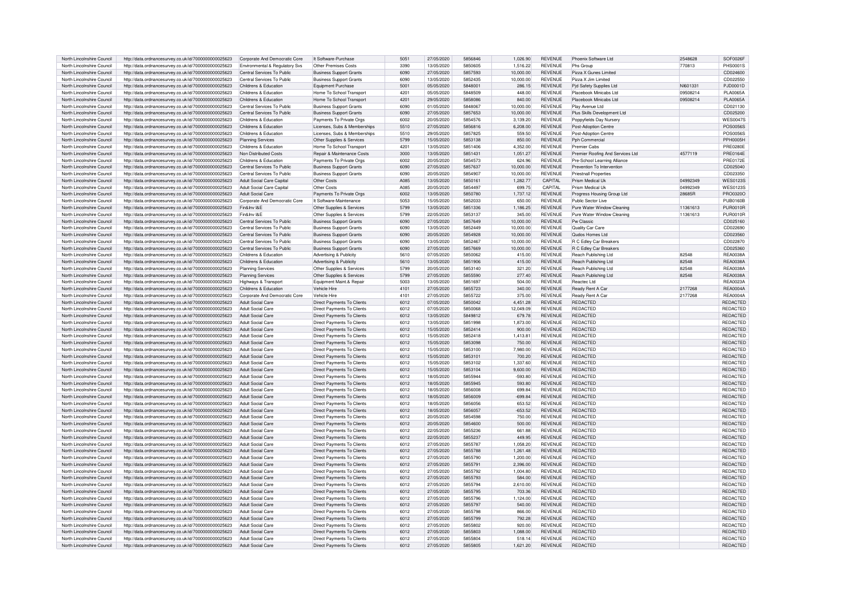|                                                          | http://data.ordnancesurvey.co.uk/id/7000000000025623                                                         | Corporate And Democratic Core          | It Software-Purchase                                     | 5051         | 27/05/2020               | 5856846            | 1,026.90           | <b>REVENUE</b>                   | Phoenix Software Ltd               | 2548628  | SOF0026F             |
|----------------------------------------------------------|--------------------------------------------------------------------------------------------------------------|----------------------------------------|----------------------------------------------------------|--------------|--------------------------|--------------------|--------------------|----------------------------------|------------------------------------|----------|----------------------|
| North Lincolnshire Council                               |                                                                                                              |                                        |                                                          |              |                          |                    |                    |                                  |                                    |          |                      |
| North Lincolnshire Council                               | http://data.ordnancesurvey.co.uk/id/7000000000025623                                                         | Environmental & Regulatory Svs         | Other Premises Costs                                     | 3390         | 13/05/2020               | 5850605            | 1,516.22           | <b>REVENUE</b>                   | Phs Group                          | 770813   | PHS00019             |
| North Lincolnshire Council                               | http://data.ordnancesurvey.co.uk/id/7000000000025623                                                         | Central Services To Public             | <b>Business Support Grants</b>                           | 6090         | 27/05/2020               | 5857593            | 10.000.00          | <b>REVENUE</b>                   | Pizza X Gunes Limited              |          | CD024600             |
| North Lincolnshire Council                               | http://data.ordnancesurvey.co.uk/id/7000000000025623                                                         | Central Services To Public             | <b>Business Support Grants</b>                           | 6090         | 13/05/2020               | 5852435            | 10,000.00          | <b>REVENUE</b>                   | Pizza X Jim Limited                |          | CD022550             |
| North Lincolnshire Council                               | http://data.ordnancesurvey.co.uk/id/7000000000025623                                                         | Childrens & Education                  | Equipment Purchase                                       | 5001         | 05/05/2020               | 584800             | 286.15             | <b>REVENUE</b>                   | Pid Safety Supplies Ltd            | NI601331 | PJD0001D             |
|                                                          |                                                                                                              |                                        |                                                          |              |                          |                    |                    |                                  |                                    |          |                      |
| North Lincolnshire Council                               | http://data.ordnancesurvey.co.uk/id/7000000000025623                                                         | Childrens & Education                  | Home To School Transport                                 | 4201         | 05/05/2020               | 5848509            | 448.00             | <b>REVENUE</b>                   | Placebook Minicabs Ltd             | 09508214 | <b>PLA0065A</b>      |
| North Lincolnshire Council                               | http://data.ordnancesurvey.co.uk/id/7000000000025623                                                         | Childrens & Education                  | Home To School Transport                                 | 4201         | 29/05/2020               | 5858086            | 840.00             | <b>REVENUE</b>                   | Placebook Minicabs Ltd             | 09508214 | <b>PLA0065A</b>      |
| North Lincolnshire Council                               | http://data.ordnancesurvey.co.uk/id/7000000000025623                                                         | Central Services To Public             | <b>Business Support Grants</b>                           | 6090         | 01/05/2020               | 5848067            | 10,000.00          | <b>REVENUE</b>                   | Play Avenue Ltd                    |          | CD021130             |
| North Lincolnshire Council                               | http://data.ordnancesurvey.co.uk/id/7000000000025623                                                         | Central Services To Public             | <b>Business Support Grants</b>                           | 6090         | 27/05/2020               | 5857653            | 10,000.00          | <b>REVENUE</b>                   | Plus Skills Development Ltd        |          | CD025200             |
|                                                          |                                                                                                              |                                        |                                                          |              |                          |                    |                    |                                  |                                    |          |                      |
| North Lincolnshire Council                               | http://data.ordnancesurvey.co.uk/id/7000000000025623                                                         | Childrens & Education                  | Payments To Private Orgs                                 | 6002         | 20/05/2020               | 5854576            | 3,139.20           | <b>REVENUE</b>                   | Poppyfields Day Nursery            |          | <b>WES00479</b>      |
| North Lincolnshire Council                               | http://data.ordnancesurvey.co.uk/id/7000000000025623                                                         | Childrens & Education                  | Licenses, Subs & Memberships                             | 5510         | 27/05/2020               | 5856816            | 6,208.00           | REVENUE                          | Post-Adoption Centre               |          | POS00569             |
| North Lincolnshire Council                               | http://data.ordnancesurvey.co.uk/id/7000000000025623                                                         | Childrens & Education                  | Licenses, Subs & Memberships                             | 5510         | 29/05/2020               | 5857825            | 559.50             | <b>REVENUE</b>                   | Post-Adoption Centre               |          | POS00569             |
| North Lincolnshire Council                               | http://data.ordnancesurvey.co.uk/id/7000000000025623                                                         | <b>Planning Services</b>               | Other Supplies & Services                                | 5799         | 15/05/2020               | 5853138            | 850.00             | <b>REVENUE</b>                   | Pph Commercial                     |          | <b>PPH0005F</b>      |
|                                                          |                                                                                                              |                                        |                                                          |              |                          |                    |                    |                                  |                                    |          |                      |
| North Lincolnshire Council                               | http://data.ordnancesurvey.co.uk/id/7000000000025623                                                         | Childrens & Education                  | Home To School Transport                                 | 4201         | 13/05/2020               | 5851406            | 4.352.00           | <b>REVENUE</b>                   | Premier Cabs                       |          | <b>PRF0280F</b>      |
| North Lincolnshire Council                               | http://data.ordnancesurvey.co.uk/id/7000000000025623                                                         | Non Distributed Costs                  | Repair & Maintenance Costs                               | 3000         | 13/05/2020               | 5851431            | 1,051.27           | <b>REVENUE</b>                   | Premier Roofing And Services Ltd   | 4577119  | <b>PRE0164E</b>      |
| North Lincolnshire Council                               | http://data.ordnancesurvey.co.uk/id/7000000000025623                                                         | Childrens & Education                  | Payments To Private Orgs                                 | 6002         | 20/05/2020               | 5854573            | 624.96             | <b>REVENUE</b>                   | Pre-School Learning Alliance       |          | <b>PRE0172E</b>      |
| North Lincolnshire Council                               | http://data.ordnancesurvey.co.uk/id/7000000000025623                                                         | Central Services To Public             | <b>Business Support Grants</b>                           | 6090         | 27/05/2020               | 5857637            | 10.000.00          | <b>REVENUE</b>                   | Prevention To Intervention         |          | CD025040             |
|                                                          |                                                                                                              |                                        |                                                          |              |                          |                    |                    |                                  |                                    |          |                      |
| North Lincolnshire Council                               | http://data.ordnancesurvey.co.uk/id/7000000000025623                                                         | Central Services To Public             | <b>Business Support Grants</b>                           | GOOO         | 20/05/2020               | 5854907            | 10.000.00          | <b>REVENUE</b>                   | <b>Priestnall Properties</b>       |          | CD023350             |
| North Lincolnshire Council                               | http://data.ordnancesurvey.co.uk/id/7000000000025623                                                         | Adult Social Care Capital              | Other Costs                                              | <b>A085</b>  | 13/05/2020               | 5850161            | 1,282.77           | CAPITAL                          | <b>Prism Medical Llk</b>           | 04992349 | <b>WES01239</b>      |
| North Lincolnshire Council                               | http://data.ordnancesurvey.co.uk/id/7000000000025623                                                         | Adult Social Care Capital              | Other Costs                                              | A085         | 20/05/2020               | 5854497            | 699.75             | CAPITAL                          | Prism Medical Uk                   | 04992349 | <b>WES01239</b>      |
| North Lincolnshire Council                               | http://data.ordnancesurvey.co.uk/id/7000000000025623                                                         | Adult Social Care                      | Payments To Private Orgs                                 | 6002         | 13/05/2020               | 5850780            | 1,737.12           | <b>REVENUE</b>                   | Progress Housing Group Ltd         | 28685R   | PRO0320O             |
|                                                          |                                                                                                              |                                        |                                                          |              |                          |                    |                    |                                  |                                    |          |                      |
| North Lincolnshire Council                               | http://data.ordnancesurvey.co.uk/id/7000000000025623                                                         | Corporate And Democratic Core          | It Software-Maintenance                                  | 5053         | 15/05/2020               | 5852033            | 650.00             | <b>REVENUE</b>                   | Public Sector Live                 |          | PUB0160F             |
| North Lincolnshire Council                               | http://data.ordnancesurvey.co.uk/id/7000000000025623                                                         | Fin&Inv I&E                            | Other Supplies & Services                                | 5799         | 13/05/2020               | 5851336            | 1,186.25           | <b>REVENUE</b>                   | Pure Water Window Cleaning         | 11361613 | <b>PUR0010R</b>      |
| North Lincolnshire Council                               | http://data.ordnancesurvey.co.uk/id/7000000000025623                                                         | Fin&Inv I&F                            | Other Supplies & Services                                | 5799         | 22/05/2020               | 5853137            | 345.00             | <b>REVENUE</b>                   | Pure Water Window Cleaning         | 11361613 | <b>PUR0010F</b>      |
| North Lincolnshire Council                               |                                                                                                              | Central Services To Public             |                                                          | 6090         |                          | 5857649            |                    | <b>REVENUE</b>                   | Pw Classic                         |          | CD025160             |
|                                                          | http://data.ordnancesurvey.co.uk/id/7000000000025623                                                         |                                        | <b>Business Support Grants</b>                           |              | 27/05/2020               |                    | 10,000.00          |                                  |                                    |          |                      |
| North Lincolnshire Council                               | http://data.ordnancesurvey.co.uk/id/7000000000025623                                                         | Central Services To Public             | <b>Business Support Grants</b>                           | 6090         | 13/05/2020               | 5852449            | 10,000.00          | <b>REVENUE</b>                   | Quality Car Care                   |          | CD022690             |
| North Lincolnshire Council                               | http://data.ordnancesurvey.co.uk/id/7000000000025623                                                         | Central Services To Public             | <b>Business Support Grants</b>                           | 6090         | 20/05/2020               | 5854928            | 10,000.00          | <b>REVENUE</b>                   | Qudos Homes Ltd                    |          | CD023560             |
| North Lincolnshire Council                               | http://data.ordnancesurvey.co.uk/id/7000000000025623                                                         | Central Services To Public             | <b>Business Support Grants</b>                           | 6090         | 13/05/2020               | 5852467            | 10.000.00          | <b>REVENUE</b>                   | R C Edley Car Breakers             |          | CD022870             |
| North Lincolnshire Council                               |                                                                                                              | Central Services To Public             |                                                          | 6090         | 27/05/2020               | 5857669            | 10.000.00          | <b>REVENUE</b>                   |                                    |          | CD025360             |
|                                                          | http://data.ordnancesurvey.co.uk/id/7000000000025623                                                         |                                        | <b>Business Support Grants</b>                           |              |                          |                    |                    |                                  | R C Edley Car Breakers             |          |                      |
| North Lincolnshire Council                               | http://data.ordnancesurvey.co.uk/id/7000000000025623                                                         | Childrens & Education                  | Advertising & Publicity                                  | 5610         | 07/05/2020               | 5850062            | 415.00             | <b>REVENUE</b>                   | Reach Publishing Ltd               | 82548    | REA0038A             |
| North Lincolnshire Council                               | http://data.ordnancesurvey.co.uk/id/7000000000025623                                                         | Childrens & Education                  | Advertising & Publicity                                  | 5610         | 13/05/2020               | 5851906            | 415.00             | <b>REVENUE</b>                   | Reach Publishing Ltd               | 82548    | REA0038A             |
| North Lincolnshire Council                               | http://data.ordnancesurvey.co.uk/id/7000000000025623                                                         | Planning Services                      | Other Supplies & Services                                | 5799         | 20/05/2020               | 5853140            | 321.20             | <b>REVENUE</b>                   | Reach Publishing Ltd               | 82548    | REA0038A             |
|                                                          |                                                                                                              |                                        |                                                          |              |                          |                    |                    |                                  |                                    |          |                      |
| North Lincolnshire Council                               | http://data.ordnancesurvey.co.uk/id/7000000000025623                                                         | <b>Planning Services</b>               | Other Supplies & Services                                | 5799         | 27/05/2020               | 5855590            | 277.40             | <b>REVENUE</b>                   | Reach Publishing Ltd               | 82548    | <b>REA0038A</b>      |
| North Lincolnshire Council                               | http://data.ordnancesurvey.co.uk/id/7000000000025623                                                         | Highways & Transport                   | Equipment Maint.& Repair                                 | 5003         | 13/05/2020               | 5851697            | 504.00             | <b>REVENUE</b>                   | Reactec Ltd                        |          | REA0023A             |
| North Lincolnshire Council                               | http://data.ordnancesurvey.co.uk/id/7000000000025623                                                         | Childrens & Education                  | Vehicle Hire                                             | 4101         | 27/05/2020               | 5855723            | 340.00             | <b>REVENUE</b>                   | Ready Rent A Car                   | 2177268  | REA0004A             |
| North Lincolnshire Council                               | http://data.ordnancesurvey.co.uk/id/7000000000025623                                                         | Corporate And Democratic Core          | Vehicle Hire                                             | 4101         | 27/05/2020               | 5855722            | 375.00             | <b>REVENUE</b>                   | Ready Rent A Car                   | 2177268  | <b>REA0004</b>       |
|                                                          |                                                                                                              |                                        |                                                          |              |                          |                    |                    |                                  |                                    |          |                      |
| North Lincolnshire Council                               | http://data.ordnancesurvey.co.uk/id/7000000000025623                                                         | <b>Adult Social Care</b>               | Direct Payments To Clients                               | 6012         | 07/05/2020               | 5850042            | 4.451.28           | <b>REVENUE</b>                   | <b>REDACTED</b>                    |          | <b>REDACTED</b>      |
| North Lincolnshire Council                               | http://data.ordnancesurvey.co.uk/id/7000000000025623                                                         | <b>Adult Social Care</b>               | Direct Payments To Clients                               |              | 07/05/2020               | 5850068            | 12,049.09          | REVENUE                          | <b>REDACTED</b>                    |          | REDACTED             |
|                                                          |                                                                                                              |                                        |                                                          | 6012         |                          |                    |                    |                                  |                                    |          |                      |
|                                                          |                                                                                                              |                                        |                                                          |              |                          | 5849812            |                    |                                  |                                    |          |                      |
| North Lincolnshire Council                               | http://data.ordnancesurvey.co.uk/id/7000000000025623                                                         | <b>Adult Social Care</b>               | Direct Payments To Clients                               | 6012         | 13/05/2020               |                    | 679.78             | <b>REVENUE</b>                   | <b>REDACTED</b>                    |          | <b>REDACTED</b>      |
| North Lincolnshire Council                               | http://data.ordnancesurvey.co.uk/id/7000000000025623                                                         | Adult Social Care                      | Direct Payments To Clients                               | 6012         | 13/05/2020               | 5851998            | 1.873.00           | <b>REVENUE</b>                   | REDACTED                           |          | <b>REDACTED</b>      |
| North Lincolnshire Council                               | http://data.ordnancesurvey.co.uk/id/7000000000025623                                                         | Adult Social Care                      | Direct Payments To Clients                               | 6012         | 15/05/2020               | 5852414            | 900.00             | <b>REVENUE</b>                   | <b>REDACTED</b>                    |          | REDACTED             |
| North Lincolnshire Council                               | http://data.ordnancesurvey.co.uk/id/7000000000025623                                                         | Adult Social Care                      | Direct Payments To Clients                               | 6012         | 15/05/2020               | 5852418            | 1,413.81           | <b>REVENUE</b>                   | <b>REDACTED</b>                    |          | <b>REDACTED</b>      |
|                                                          |                                                                                                              |                                        |                                                          |              |                          | 5853098            |                    |                                  |                                    |          |                      |
| North Lincolnshire Council                               | http://data.ordnancesurvey.co.uk/id/7000000000025623                                                         | Adult Social Care                      | Direct Payments To Clients                               | 6012         | 15/05/2020               |                    | 750.00             | <b>REVENUE</b>                   | <b>REDACTED</b>                    |          | <b>REDACTED</b>      |
| North Lincolnshire Council                               | http://data.ordnancesurvey.co.uk/id/7000000000025623                                                         | Adult Social Care                      | Direct Payments To Clients                               | 6012         | 15/05/2020               | 5853100            | 7,980.00           | <b>REVENUE</b>                   | REDACTED                           |          | REDACTED             |
| North Lincolnshire Council                               | http://data.ordnancesurvey.co.uk/id/7000000000025623                                                         | Adult Social Care                      | Direct Payments To Clients                               | 6012         | 15/05/2020               | 5853101            | 700.20             | <b>REVENUE</b>                   | <b>REDACTED</b>                    |          | REDACTED             |
| North Lincolnshire Council                               | http://data.ordnancesurvey.co.uk/id/7000000000025623                                                         | Adult Social Care                      | Direct Payments To Clients                               | 6012         | 15/05/2020               | 5853102            | 1,337.60           | REVENUE                          | <b>REDACTED</b>                    |          | REDACTE              |
| North Lincolnshire Council                               | http://data.ordnancesurvey.co.uk/id/7000000000025623                                                         | Adult Social Care                      | Direct Payments To Clients                               | 6012         | 15/05/2020               | 5853104            | 9,600.00           | <b>REVENUE</b>                   | <b>REDACTED</b>                    |          | REDACTED             |
|                                                          |                                                                                                              |                                        |                                                          |              |                          |                    |                    |                                  |                                    |          |                      |
| North Lincolnshire Council                               | http://data.ordnancesurvey.co.uk/id/7000000000025623                                                         | Adult Social Care                      | Direct Payments To Clients                               | 6012         | 18/05/2020               | 5855944            | $-593.80$          | <b>REVENUE</b>                   | <b>REDACTED</b>                    |          | REDACTE              |
| North Lincolnshire Council                               | http://data.ordnancesurvey.co.uk/id/7000000000025623                                                         | Adult Social Care                      | Direct Payments To Clients                               | 6012         | 18/05/2020               | 5855945            | 593.80             | <b>REVENUE</b>                   | <b>REDACTED</b>                    |          | REDACTE              |
| North Lincolnshire Council                               | http://data.ordnancesurvey.co.uk/id/7000000000025623                                                         | Adult Social Care                      | Direct Payments To Clients                               | 6012         | 18/05/2020               | 5856008            | 699.84             | <b>REVENUE</b>                   | <b>REDACTED</b>                    |          | REDACTE              |
| North Lincolnshire Council                               | http://data.ordnancesurvey.co.uk/id/7000000000025623                                                         | Adult Social Care                      | Direct Payments To Clients                               | 6012         | 18/05/2020               | 5856009            | $-699.84$          | <b>REVENUE</b>                   | <b>REDACTED</b>                    |          | <b>REDACTED</b>      |
|                                                          |                                                                                                              |                                        |                                                          |              |                          |                    |                    |                                  |                                    |          |                      |
| North Lincolnshire Council                               | http://data.ordnancesurvey.co.uk/id/7000000000025623                                                         | Adult Social Care                      | Direct Payments To Clients                               | 6012         | 18/05/2020               | 5856056            | 653.52             | <b>REVENUE</b>                   | REDACTED                           |          | REDACTED             |
| North Lincolnshire Council                               | http://data.ordnancesurvey.co.uk/id/7000000000025623                                                         | Adult Social Care                      | Direct Payments To Clients                               | 6012         | 18/05/2020               | 5856057            | $-653.52$          | <b>REVENUE</b>                   | <b>REDACTED</b>                    |          | <b>REDACTED</b>      |
| North Lincolnshire Council                               | http://data.ordnancesurvey.co.uk/id/7000000000025623                                                         | Adult Social Care                      | Direct Payments To Clients                               | 6012         | 20/05/2020               | 5854598            | 750.00             | <b>REVENUE</b>                   | REDACTED                           |          | REDACTED             |
| North Lincolnshire Council                               | http://data.ordnancesurvey.co.uk/id/7000000000025623                                                         | Adult Social Care                      | Direct Payments To Clients                               | 6012         | 20/05/2020               | 5854600            | 500.00             | <b>REVENUE</b>                   | <b>REDACTED</b>                    |          | <b>REDACTED</b>      |
|                                                          |                                                                                                              |                                        |                                                          |              |                          |                    |                    |                                  |                                    |          |                      |
| North Lincolnshire Council                               | http://data.ordnancesurvey.co.uk/id/7000000000025623                                                         | Adult Social Care                      | Direct Payments To Clients                               | 6012         | 22/05/2020               | 5855236            | 661.88             | <b>REVENUE</b>                   | <b>REDACTED</b>                    |          | REDACTED             |
| North Lincolnshire Council                               | http://data.ordnancesurvey.co.uk/id/7000000000025623                                                         | Adult Social Care                      | Direct Payments To Clients                               | 6012         | 22/05/2020               | 5855237            | 449.95             | <b>REVENUE</b>                   | <b>REDACTED</b>                    |          | REDACTED             |
| North Lincolnshire Council                               | http://data.ordnancesurvey.co.uk/id/7000000000025623                                                         | Adult Social Care                      | Direct Payments To Clients                               | 6012         | 27/05/2020               | 5855787            | 1,058.20           | <b>REVENUE</b>                   | <b>REDACTED</b>                    |          | REDACTED             |
| North Lincolnshire Council                               | http://data.ordnancesurvey.co.uk/id/7000000000025623                                                         | Adult Social Care                      | Direct Payments To Clients                               | 6012         | 27/05/2020               | 5855788            | 1,261.48           | <b>REVENUE</b>                   | <b>REDACTED</b>                    |          | REDACTED             |
|                                                          |                                                                                                              |                                        |                                                          |              |                          |                    |                    |                                  |                                    |          |                      |
| North Lincolnshire Council                               | http://data.ordnancesurvey.co.uk/id/7000000000025623                                                         | Adult Social Care                      | Direct Payments To Clients                               | 6012         | 27/05/2020               | 5855790            | 1.200.00           | <b>REVENUE</b>                   | <b>REDACTED</b>                    |          | REDACTED             |
| North Lincolnshire Council                               | http://data.ordnancesurvey.co.uk/id/7000000000025623                                                         | <b>Adult Social Care</b>               | Direct Payments To Clients                               | 6012         | 27/05/2020               | 5855791            | 2,396.00           | <b>REVENUE</b>                   | <b>REDACTED</b>                    |          | REDACTED             |
| North Lincolnshire Council                               | http://data.ordnancesurvey.co.uk/id/7000000000025623                                                         | <b>Adult Social Care</b>               | Direct Payments To Clients                               | 6012         | 27/05/2020               | 5855792            | 1,004.80           | <b>REVENUE</b>                   | <b>REDACTED</b>                    |          | REDACTED             |
| North Lincolnshire Council                               | http://data.ordnancesurvey.co.uk/id/7000000000025623                                                         | Adult Social Care                      | Direct Payments To Clients                               | 6012         | 27/05/2020               | 5855793            | 584.00             | <b>REVENUE</b>                   | <b>REDACTED</b>                    |          | <b>REDACTED</b>      |
|                                                          |                                                                                                              |                                        |                                                          |              |                          |                    |                    |                                  |                                    |          |                      |
| North Lincolnshire Council                               | http://data.ordnancesurvey.co.uk/id/7000000000025623                                                         | Adult Social Care                      | Direct Payments To Clients                               | 6012         | 27/05/2020               | 5855794            | 2,610.00           | REVENUE                          | <b>REDACTED</b>                    |          | REDACTED             |
| North Lincolnshire Council                               | http://data.ordnancesurvey.co.uk/id/7000000000025623                                                         | Adult Social Care                      | Direct Payments To Clients                               | 6012         | 27/05/2020               | 5855795            | 703.36             | <b>REVENUE</b>                   | <b>REDACTED</b>                    |          | <b>REDACTED</b>      |
| North Lincolnshire Council                               | http://data.ordnancesurvey.co.uk/id/7000000000025623                                                         | Adult Social Care                      | Direct Payments To Clients                               | 6012         | 27/05/2020               | 5855796            | 1,124.00           | <b>REVENUE</b>                   | REDACTED                           |          | REDACTED             |
|                                                          |                                                                                                              |                                        |                                                          | 6012         | 27/05/2020               | 5855797            |                    | <b>REVENUE</b>                   | <b>REDACTED</b>                    |          |                      |
| North Lincolnshire Council                               | http://data.ordnancesurvey.co.uk/id/7000000000025623                                                         | Adult Social Care                      | Direct Payments To Clients                               |              |                          |                    | 540.00             |                                  |                                    |          | <b>REDACTED</b>      |
| North Lincolnshire Council                               | http://data.ordnancesurvey.co.uk/id/7000000000025623                                                         | Adult Social Care                      | Direct Payments To Clients                               | 6012         | 27/05/2020               | 5855798            | 866.00             | REVENUE                          | <b>REDACTED</b>                    |          | REDACTED             |
| North Lincolnshire Council                               | http://data.ordnancesurvey.co.uk/id/7000000000025623                                                         | Adult Social Care                      | Direct Payments To Clients                               | 6012         | 27/05/2020               | 5855799            | 792.28             | <b>REVENUE</b>                   | <b>REDACTED</b>                    |          | <b>REDACTED</b>      |
| North Lincolnshire Council                               | http://data.ordnancesurvey.co.uk/id/7000000000025623                                                         | Adult Social Care                      | Direct Payments To Clients                               | 6012         | 27/05/2020               | 5855802            | 920.00             | REVENUE                          | <b>REDACTED</b>                    |          | REDACTED             |
|                                                          |                                                                                                              |                                        |                                                          |              |                          |                    |                    |                                  |                                    |          |                      |
| North Lincolnshire Council                               | http://data.ordnancesurvey.co.uk/id/7000000000025623                                                         | Adult Social Care                      | Direct Payments To Clients                               | 6012         | 27/05/2020               | 5855803            | 1.088.00           | <b>REVENUE</b>                   | <b>REDACTED</b>                    |          | REDACTED             |
| North Lincolnshire Council<br>North Lincolnshire Council | http://data.ordnancesurvey.co.uk/id/7000000000025623<br>http://data.ordnancesurvey.co.uk/id/7000000000025623 | Adult Social Care<br>Adult Social Care | Direct Payments To Clients<br>Direct Payments To Clients | 6012<br>6012 | 27/05/2020<br>27/05/2020 | 5855804<br>5855805 | 518.14<br>1,621.20 | <b>REVENUE</b><br><b>REVENUE</b> | <b>REDACTED</b><br><b>REDACTED</b> |          | REDACTED<br>REDACTED |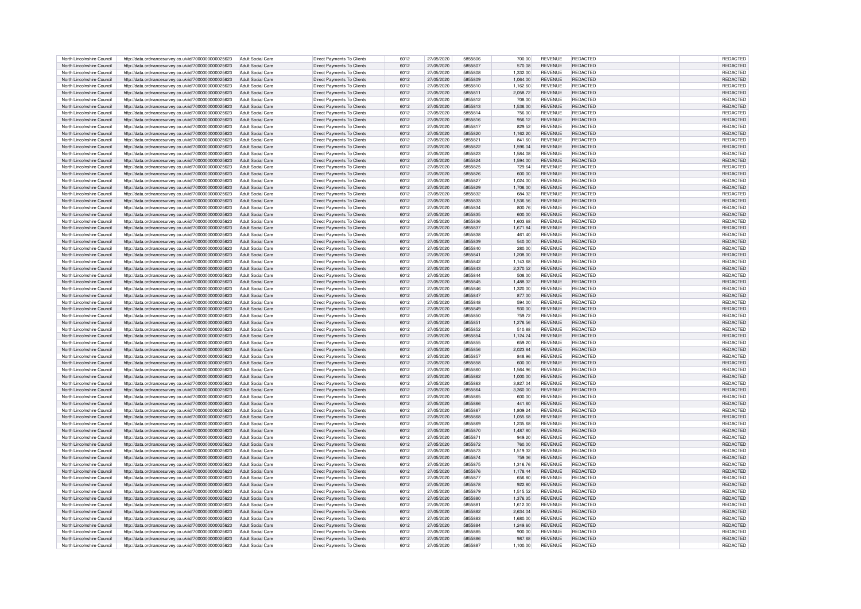| North Lincolnshire Council | http://data.ordnancesurvey.co.uk/id/7000000000025623 | Adult Social Care        | Direct Payments To Clients        | 6012 | 27/05/2020 | 5855806        | 700.00   | <b>REVENUE</b> | REDACTED        | REDACTED        |
|----------------------------|------------------------------------------------------|--------------------------|-----------------------------------|------|------------|----------------|----------|----------------|-----------------|-----------------|
|                            |                                                      |                          |                                   |      |            |                |          |                |                 |                 |
| North Lincolnshire Council | http://data.ordnancesurvey.co.uk/id/7000000000025623 | Adult Social Care        | Direct Payments To Clients        | 6012 | 27/05/2020 | 5855807        | 570.08   | <b>REVENUE</b> | <b>REDACTED</b> | <b>REDACTED</b> |
| North Lincolnshire Council | http://data.ordnancesurvey.co.uk/id/7000000000025623 | Adult Social Care        | Direct Payments To Clients        | 6012 | 27/05/2020 | 5855808        | 1.332.00 | <b>REVENUE</b> | REDACTED        | REDACTED        |
| North Lincolnshire Council | http://data.ordnancesurvey.co.uk/id/7000000000025623 | Adult Social Care        | Direct Payments To Clients        | 6012 | 27/05/2020 | 5855809        | 1,064.00 | <b>REVENUE</b> | REDACTED        | REDACTED        |
| North Lincolnshire Council | http://data.ordnancesurvey.co.uk/id/7000000000025623 | Adult Social Care        | Direct Payments To Clients        | 6012 | 27/05/2020 | 5855810        | 1,162.60 | <b>REVENUE</b> | REDACTED        | REDACTED        |
| North Lincolnshire Council | http://data.ordnancesurvey.co.uk/id/7000000000025623 | Adult Social Care        | Direct Payments To Clients        | 6012 | 27/05/2020 | 5855811        | 2,058.72 | <b>REVENUE</b> | <b>REDACTED</b> | REDACTED        |
|                            |                                                      |                          |                                   |      |            |                |          |                |                 |                 |
| North Lincolnshire Council | http://data.ordnancesurvey.co.uk/id/7000000000025623 | Adult Social Care        | Direct Payments To Clients        | 6012 | 27/05/2020 | 5855812        | 708.00   | <b>REVENUE</b> | <b>REDACTED</b> | REDACTED        |
| North Lincolnshire Council | http://data.ordnancesurvey.co.uk/id/7000000000025623 | <b>Adult Social Care</b> | Direct Payments To Clients        | 6012 | 27/05/2020 | 5855813        | 1,536.00 | <b>REVENUE</b> | REDACTED        | REDACTED        |
| North Lincolnshire Council | http://data.ordnancesurvey.co.uk/id/7000000000025623 | Adult Social Care        | Direct Payments To Clients        | 6012 | 27/05/2020 | 5855814        | 756.00   | <b>REVENUE</b> | REDACTED        | REDACTE         |
|                            |                                                      |                          |                                   |      |            |                |          |                |                 |                 |
| North Lincolnshire Council | http://data.ordnancesurvey.co.uk/id/7000000000025623 | <b>Adult Social Care</b> | Direct Payments To Clients        | 6012 | 27/05/2020 | 5855816        | 956.12   | <b>REVENUE</b> | REDACTED        | REDACTED        |
| North Lincolnshire Council | http://data.ordnancesurvey.co.uk/id/7000000000025623 | Adult Social Care        | Direct Payments To Clients        | 6012 | 27/05/2020 | 5855817        | 829.52   | REVENUE        | REDACTED        | REDACTED        |
| North Lincolnshire Council | http://data.ordnancesurvey.co.uk/id/7000000000025623 | <b>Adult Social Care</b> | Direct Payments To Clients        | 6012 | 27/05/2020 | 5855820        | 1,162.20 | <b>REVENUE</b> | REDACTED        | REDACTED        |
| North Lincolnshire Council | http://data.ordnancesurvey.co.uk/id/7000000000025623 | <b>Adult Social Care</b> | Direct Payments To Clients        | 6012 | 27/05/2020 | 585582         | 841.60   | <b>REVENUE</b> | <b>REDACTED</b> | REDACTED        |
| North Lincolnshire Council | http://data.ordnancesurvey.co.uk/id/7000000000025623 | Adult Social Care        | Direct Payments To Clients        | 6012 | 27/05/2020 | 5855822        | 1.596.04 | <b>REVENUE</b> | <b>REDACTED</b> | <b>REDACTED</b> |
|                            |                                                      |                          |                                   |      |            |                |          |                |                 |                 |
| North Lincolnshire Council | http://data.ordnancesurvey.co.uk/id/7000000000025623 | Adult Social Care        | Direct Payments To Clients        | 6012 | 27/05/2020 | 5855823        | 1,584.08 | <b>REVENUE</b> | REDACTED        | REDACTED        |
| North Lincolnshire Council | http://data.ordnancesurvey.co.uk/id/7000000000025623 | Adult Social Care        | Direct Payments To Clients        | 6012 | 27/05/2020 | 5855824        | 1,594.00 | <b>REVENUE</b> | REDACTED        | REDACTED        |
| North Lincolnshire Council | http://data.ordnancesurvey.co.uk/id/7000000000025623 | Adult Social Care        | Direct Payments To Clients        | 6012 | 27/05/2020 | 5855825        | 729.64   | <b>REVENUE</b> | REDACTED        | <b>REDACTED</b> |
| North Lincolnshire Council |                                                      | Adult Social Care        | Direct Payments To Clients        | 6012 | 27/05/2020 | 5855826        | 600.00   | <b>REVENUE</b> | <b>REDACTED</b> | REDACTED        |
|                            | http://data.ordnancesurvey.co.uk/id/7000000000025623 |                          |                                   |      |            |                |          |                |                 |                 |
| North Lincolnshire Council | http://data.ordnancesurvey.co.uk/id/7000000000025623 | Adult Social Care        | Direct Payments To Clients        | 6012 | 27/05/2020 | 5855827        | 1,024.00 | <b>REVENUE</b> | <b>REDACTED</b> | REDACTED        |
| North Lincolnshire Council | http://data.ordnancesurvey.co.uk/id/7000000000025623 | Adult Social Care        | Direct Payments To Clients        | 6012 | 27/05/2020 | 5855829        | 1,706.00 | <b>REVENUE</b> | REDACTED        | <b>REDACTED</b> |
| North Lincolnshire Council | http://data.ordnancesurvey.co.uk/id/7000000000025623 | Adult Social Care        | Direct Payments To Clients        | 6012 | 27/05/2020 | 5855832        | 684.32   | <b>REVENUE</b> | REDACTED        | <b>REDACTED</b> |
| North Lincolnshire Council | http://data.ordnancesurvey.co.uk/id/7000000000025623 | <b>Adult Social Care</b> | Direct Payments To Clients        | 6012 | 27/05/2020 | 5855833        | 1,536.56 | <b>REVENUE</b> | REDACTED        | <b>REDACTED</b> |
|                            |                                                      |                          |                                   |      |            |                |          |                |                 |                 |
| North Lincolnshire Council | http://data.ordnancesurvey.co.uk/id/7000000000025623 | Adult Social Care        | Direct Payments To Clients        | 6012 | 27/05/2020 | 5855834        | 800.76   | <b>REVENUE</b> | REDACTED        | <b>REDACTED</b> |
| North Lincolnshire Council | http://data.ordnancesurvey.co.uk/id/7000000000025623 | Adult Social Care        | Direct Payments To Clients        | 6012 | 27/05/2020 | 5855835        | 600.00   | <b>REVENUE</b> | REDACTED        | <b>REDACTED</b> |
| North Lincolnshire Council | http://data.ordnancesurvey.co.uk/id/7000000000025623 | Adult Social Care        | Direct Payments To Clients        | 6012 | 27/05/2020 | 5855836        | 1,603.68 | <b>REVENUE</b> | <b>REDACTED</b> | <b>REDACTED</b> |
| North Lincolnshire Council | http://data.ordnancesurvey.co.uk/id/7000000000025623 | Adult Social Care        | Direct Payments To Clients        | 6012 | 27/05/2020 | 5855837        | 1,671.84 | <b>REVENUE</b> | REDACTED        | REDACTED        |
|                            |                                                      |                          |                                   |      |            |                |          |                |                 |                 |
| North Lincolnshire Council | http://data.ordnancesurvey.co.uk/id/7000000000025623 | Adult Social Care        | Direct Payments To Clients        | 6012 | 27/05/2020 | 5855838        | 461.40   | <b>REVENUE</b> | REDACTED        | REDACTED        |
| North Lincolnshire Council | http://data.ordnancesurvey.co.uk/id/7000000000025623 | Adult Social Care        | Direct Payments To Clients        | 6012 | 27/05/2020 | 5855839        | 540.00   | <b>REVENUE</b> | <b>REDACTED</b> | REDACTED        |
| North Lincolnshire Council | http://data.ordnancesurvey.co.uk/id/7000000000025623 | Adult Social Care        | Direct Payments To Clients        | 6012 | 27/05/2020 | 5855840        | 280.00   | <b>REVENUE</b> | <b>REDACTED</b> | REDACTED        |
| North Lincolnshire Council | http://data.ordnancesurvey.co.uk/id/7000000000025623 | Adult Social Care        | Direct Payments To Clients        | 6012 | 27/05/2020 | 5855841        | 1,208.00 | REVENUE        | <b>REDACTED</b> | REDACTED        |
|                            |                                                      |                          |                                   |      |            |                |          |                |                 |                 |
| North Lincolnshire Council | http://data.ordnancesurvey.co.uk/id/7000000000025623 | Adult Social Care        | Direct Payments To Clients        | 6012 | 27/05/2020 | 5855842        | 1,143.68 | <b>REVENUE</b> | REDACTED        | REDACTED        |
| North Lincolnshire Council | http://data.ordnancesurvey.co.uk/id/7000000000025623 | Adult Social Care        | Direct Payments To Clients        | 6012 | 27/05/2020 | 5855843        | 2,370.52 | <b>REVENUE</b> | REDACTED        | REDACTED        |
| North Lincolnshire Council | http://data.ordnancesurvey.co.uk/id/7000000000025623 | Adult Social Care        | Direct Payments To Clients        | 6012 | 27/05/2020 | 5855844        | 508.00   | <b>REVENUE</b> | REDACTED        | REDACTED        |
| North Lincolnshire Council | http://data.ordnancesurvey.co.uk/id/7000000000025623 | Adult Social Care        | Direct Payments To Clients        | 6012 | 27/05/2020 | 5855845        | 1,488.32 | REVENUE        | REDACTED        | REDACTED        |
|                            |                                                      |                          |                                   |      |            |                |          |                |                 |                 |
| North Lincolnshire Council | http://data.ordnancesurvey.co.uk/id/7000000000025623 | Adult Social Care        | Direct Payments To Clients        | 6012 | 27/05/2020 | 5855846        | 1,320.00 | <b>REVENUE</b> | REDACTED        | REDACTED        |
| North Lincolnshire Council | http://data.ordnancesurvey.co.uk/id/7000000000025623 | <b>Adult Social Care</b> | Direct Payments To Clients        | 6012 | 27/05/2020 | 5855847        | 877.00   | <b>REVENUE</b> | <b>REDACTED</b> | REDACTED        |
| North Lincolnshire Council | http://data.ordnancesurvey.co.uk/id/7000000000025623 | <b>Adult Social Care</b> | Direct Payments To Clients        | 6012 | 27/05/2020 | 5855848        | 594.00   | <b>REVENUE</b> | <b>REDACTED</b> | REDACTED        |
| North Lincolnshire Council | http://data.ordnancesurvey.co.uk/id/7000000000025623 | Adult Social Care        | Direct Payments To Clients        | 6012 | 27/05/2020 | 5855849        | 930.00   | <b>REVENUE</b> | REDACTED        | REDACTED        |
|                            |                                                      |                          |                                   |      |            |                |          |                |                 |                 |
| North Lincolnshire Council | http://data.ordnancesurvey.co.uk/id/7000000000025623 | <b>Adult Social Care</b> | Direct Payments To Clients        | 6012 | 27/05/2020 | 5855850        | 759.72   | <b>REVENUE</b> | REDACTED        | REDACTED        |
| North Lincolnshire Council | http://data.ordnancesurvey.co.uk/id/7000000000025623 | Adult Social Care        | Direct Payments To Clients        | 6012 | 27/05/2020 | 5855851        | 1.276.56 | <b>REVENUE</b> | REDACTED        | <b>REDACTED</b> |
| North Lincolnshire Council | http://data.ordnancesurvey.co.uk/id/7000000000025623 | <b>Adult Social Care</b> | Direct Payments To Clients        | 6012 | 27/05/2020 | 5855852        | 510.88   | <b>REVENUE</b> | <b>REDACTED</b> | <b>REDACTED</b> |
| North Lincolnshire Council | http://data.ordnancesurvey.co.uk/id/7000000000025623 | Adult Social Care        | Direct Payments To Clients        | 6012 | 27/05/2020 | 5855854        | 1,124.24 | <b>REVENUE</b> | REDACTED        | <b>REDACTED</b> |
|                            |                                                      |                          |                                   |      |            |                |          |                |                 |                 |
| North Lincolnshire Council | http://data.ordnancesurvey.co.uk/id/7000000000025623 | Adult Social Care        | Direct Payments To Clients        | 6012 | 27/05/2020 | 5855855        | 659.20   | <b>REVENUE</b> | <b>REDACTED</b> | <b>REDACTED</b> |
| North Lincolnshire Council | http://data.ordnancesurvey.co.uk/id/7000000000025623 | Adult Social Care        | Direct Payments To Clients        | 6012 | 27/05/2020 | 5855856        | 2,023.84 | <b>REVENUE</b> | REDACTED        | <b>REDACTE</b>  |
| North Lincolnshire Council | http://data.ordnancesurvey.co.uk/id/7000000000025623 | Adult Social Care        | Direct Payments To Clients        | 6012 | 27/05/2020 | 5855857        | 848.96   | REVENUE        | REDACTED        | <b>REDACTE</b>  |
| North Lincolnshire Council | http://data.ordnancesurvey.co.uk/id/7000000000025623 | Adult Social Care        | Direct Payments To Clients        | 6012 | 27/05/2020 | 5855858        | 600.00   | <b>REVENUE</b> | REDACTED        | REDACTE         |
|                            |                                                      |                          |                                   |      |            |                |          |                |                 |                 |
| North Lincolnshire Council | http://data.ordnancesurvey.co.uk/id/7000000000025623 | Adult Social Care        | Direct Payments To Clients        | 6012 | 27/05/2020 | 5855860        | 1.564.96 | <b>REVENUE</b> | REDACTED        | <b>REDACTE</b>  |
| North Lincolnshire Council | http://data.ordnancesurvey.co.uk/id/7000000000025623 | Adult Social Care        | <b>Direct Payments To Clients</b> | 6012 | 27/05/2020 | 5855862        | 1,000.00 | <b>REVENUE</b> | <b>REDACTED</b> | <b>REDACTEI</b> |
| North Lincolnshire Council | http://data.ordnancesurvey.co.uk/id/7000000000025623 | Adult Social Care        | Direct Payments To Clients        | 6012 | 27/05/2020 | 5855863        | 3,827.04 | <b>REVENUE</b> | <b>REDACTED</b> | <b>REDACTE</b>  |
| North Lincolnshire Council | http://data.ordnancesurvey.co.uk/id/7000000000025623 | Adult Social Care        | Direct Payments To Clients        | 6012 | 27/05/2020 | 5855864        | 3,360.00 | <b>REVENUE</b> | REDACTED        | <b>REDACTED</b> |
| North Lincolnshire Council | http://data.ordnancesurvey.co.uk/id/7000000000025623 | Adult Social Care        | Direct Payments To Clients        | 6012 | 27/05/2020 | 5855865        |          | <b>REVENUE</b> | REDACTED        | <b>REDACTED</b> |
|                            |                                                      |                          |                                   |      |            |                | 600.00   |                |                 |                 |
| North Lincolnshire Council | http://data.ordnancesurvey.co.uk/id/7000000000025623 | Adult Social Care        | Direct Payments To Clients        | 6012 | 27/05/2020 | 5855866        | 441.60   | <b>REVENUE</b> | REDACTED        | REDACTED        |
| North Lincolnshire Council | http://data.ordnancesurvey.co.uk/id/7000000000025623 | Adult Social Care        | Direct Payments To Clients        | 6012 | 27/05/2020 | 5855867        | 1,809.24 | <b>REVENUE</b> | <b>REDACTED</b> | <b>REDACTED</b> |
| North Lincolnshire Council | http://data.ordnancesurvey.co.uk/id/7000000000025623 | Adult Social Care        | Direct Payments To Clients        | 6012 | 27/05/2020 | 5855868        | 1,055.68 | <b>REVENUE</b> | <b>REDACTED</b> | REDACTED        |
| North Lincolnshire Council |                                                      | Adult Social Care        |                                   | 6012 |            | 5855869        |          | <b>REVENUE</b> | <b>REDACTED</b> | <b>REDACTED</b> |
|                            | http://data.ordnancesurvey.co.uk/id/7000000000025623 |                          | Direct Payments To Clients        |      | 27/05/2020 |                | 1,235.68 |                |                 |                 |
| North Lincolnshire Council | http://data.ordnancesurvey.co.uk/id/7000000000025623 | Adult Social Care        | Direct Payments To Clients        | 6012 | 27/05/2020 | 5855870        | 1,487.80 | REVENUE        | <b>REDACTED</b> | <b>REDACTED</b> |
| North Lincolnshire Council | http://data.ordnancesurvey.co.uk/id/7000000000025623 | Adult Social Care        | Direct Payments To Clients        | 6012 | 27/05/2020 | 585587         | 949.20   | <b>REVENUE</b> | REDACTED        | REDACTED        |
| North Lincolnshire Council | http://data.ordnancesurvey.co.uk/id/7000000000025623 | Adult Social Care        | Direct Payments To Clients        | 6012 | 27/05/2020 | 5855872        | 760.00   | <b>REVENUE</b> | REDACTED        | REDACTED        |
| North Lincolnshire Council | http://data.ordnancesurvey.co.uk/id/7000000000025623 | Adult Social Care        | Direct Payments To Clients        | 6012 | 27/05/2020 | 5855873        | 1,519.32 | <b>REVENUE</b> | REDACTED        | REDACTED        |
|                            |                                                      |                          |                                   |      |            |                |          |                |                 |                 |
| North Lincolnshire Council | http://data.ordnancesurvey.co.uk/id/7000000000025623 | Adult Social Care        | Direct Payments To Clients        | 6012 | 27/05/2020 | 5855874        | 759.36   | <b>REVENUE</b> | <b>REDACTED</b> | REDACTED        |
| North Lincolnshire Council | http://data.ordnancesurvey.co.uk/id/7000000000025623 | Adult Social Care        | Direct Payments To Clients        | 6012 | 27/05/2020 | 5855875        | 1,316.76 | <b>REVENUE</b> | <b>REDACTED</b> | REDACTED        |
| North Lincolnshire Council | http://data.ordnancesurvey.co.uk/id/7000000000025623 | <b>Adult Social Care</b> | Direct Payments To Clients        | 6012 | 27/05/2020 | 5855876        | 1,178.44 | <b>REVENUE</b> | <b>REDACTED</b> | REDACTED        |
| North Lincolnshire Council | http://data.ordnancesurvey.co.uk/id/7000000000025623 | Adult Social Care        | Direct Payments To Clients        | 6012 | 27/05/2020 | 5855877        | 656.80   | <b>REVENUE</b> | REDACTED        | <b>REDACTED</b> |
|                            |                                                      |                          |                                   |      |            |                |          |                |                 |                 |
| North Lincolnshire Council | http://data.ordnancesurvey.co.uk/id/7000000000025623 | Adult Social Care        | Direct Payments To Clients        | 6012 | 27/05/2020 | 5855878        | 922.80   | <b>REVENUE</b> | REDACTED        | REDACTED        |
| North Lincolnshire Council | http://data.ordnancesurvey.co.uk/id/7000000000025623 | Adult Social Care        | Direct Payments To Clients        | 6012 | 27/05/2020 | 5855879        | 1,515.52 | <b>REVENUE</b> | <b>REDACTED</b> | REDACTED        |
| North Lincolnshire Council | http://data.ordnancesurvey.co.uk/id/7000000000025623 | Adult Social Care        | Direct Payments To Clients        | 6012 | 27/05/2020 | 5855880        | 1,376.35 | <b>REVENUE</b> | REDACTED        | REDACTED        |
| North Lincolnshire Council | http://data.ordnancesurvey.co.uk/id/7000000000025623 | Adult Social Care        | Direct Payments To Clients        | 6012 | 27/05/2020 | <b>5855881</b> | 1,612.00 | <b>REVENUE</b> | REDACTED        | <b>REDACTED</b> |
|                            |                                                      |                          |                                   |      |            |                |          |                |                 |                 |
| North Lincolnshire Council | http://data.ordnancesurvey.co.uk/id/7000000000025623 | <b>Adult Social Care</b> | Direct Payments To Clients        | 6012 | 27/05/2020 | 5855882        | 2,634.04 | <b>REVENUE</b> | REDACTED        | REDACTED        |
| North Lincolnshire Council | http://data.ordnancesurvey.co.uk/id/7000000000025623 | Adult Social Care        | Direct Payments To Clients        | 6012 | 27/05/2020 | 5855883        | 1,680.00 | <b>REVENUE</b> | REDACTED        | REDACTED        |
| North Lincolnshire Council | http://data.ordnancesurvey.co.uk/id/7000000000025623 | Adult Social Care        | Direct Payments To Clients        | 6012 | 27/05/2020 | 5855884        | 1,249.60 | <b>REVENUE</b> | REDACTED        | REDACTED        |
| North Lincolnshire Council | http://data.ordnancesurvey.co.uk/id/7000000000025623 | Adult Social Care        | Direct Payments To Clients        | 6012 | 27/05/2020 | 5855885        | 900.00   | REVENUE        | <b>REDACTED</b> | REDACTED        |
| North Lincolnshire Council | http://data.ordnancesurvey.co.uk/id/7000000000025623 | Adult Social Care        | Direct Payments To Clients        | 6012 | 27/05/2020 | 5855886        | 987.68   | <b>REVENUE</b> | REDACTED        | REDACTED        |
|                            |                                                      |                          |                                   |      |            |                |          |                |                 |                 |
| North Lincolnshire Council | http://data.ordnancesurvey.co.uk/id/7000000000025623 | Adult Social Care        | Direct Payments To Clients        | 6012 | 27/05/2020 | 5855887        | 1,100.00 | <b>REVENUE</b> | <b>REDACTED</b> | REDACTED        |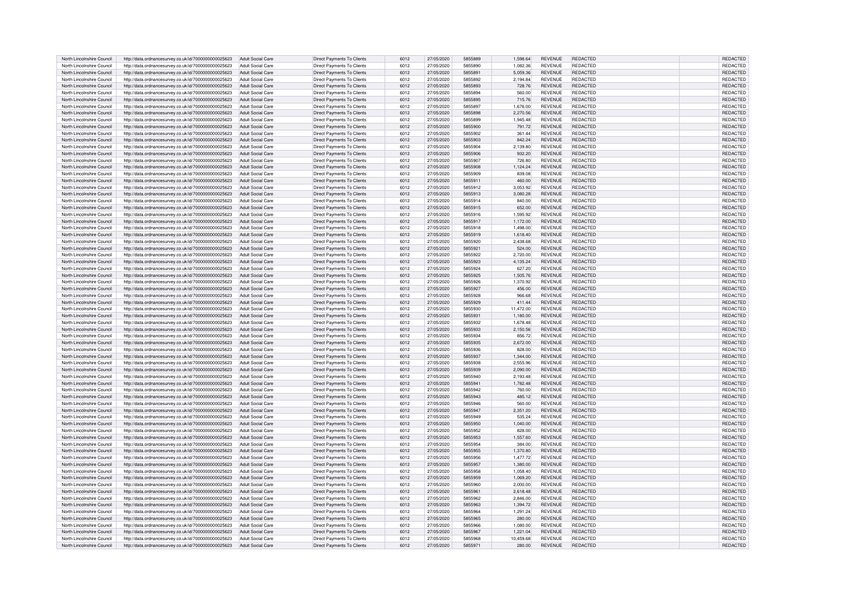| North Lincolnshire Council | http://data.ordnancesurvey.co.uk/id/7000000000025623 | <b>Adult Social Care</b> | Direct Payments To Clients        | 6012 | 27/05/2020 | 5855889 | 1,598.64  | <b>REVENUE</b> | REDACTED        | <b>REDACTED</b> |
|----------------------------|------------------------------------------------------|--------------------------|-----------------------------------|------|------------|---------|-----------|----------------|-----------------|-----------------|
|                            |                                                      |                          |                                   |      |            |         |           |                |                 |                 |
| North Lincolnshire Council | http://data.ordnancesurvey.co.uk/id/7000000000025623 | Adult Social Care        | Direct Payments To Clients        | 6012 | 27/05/2020 | 5855890 | 1,082.36  | <b>REVENUE</b> | REDACTED        | <b>REDACTED</b> |
| North Lincolnshire Council | http://data.ordnancesurvey.co.uk/id/7000000000025623 | Adult Social Care        | Direct Payments To Clients        | 6012 | 27/05/2020 | 5855891 | 5,059.36  | <b>REVENUE</b> | <b>REDACTED</b> | REDACTED        |
| North Lincolnshire Council |                                                      | Adult Social Care        | Direct Payments To Clients        | 6012 | 27/05/2020 | 5855892 |           | <b>REVENUE</b> | <b>REDACTED</b> | REDACTE         |
|                            | http://data.ordnancesurvey.co.uk/id/7000000000025623 |                          |                                   |      |            |         | 2,194.84  |                |                 |                 |
| North Lincolnshire Council | http://data.ordnancesurvey.co.uk/id/7000000000025623 | Adult Social Care        | Direct Payments To Clients        | 6012 | 27/05/2020 | 5855893 | 728.76    | <b>REVENUE</b> | REDACTED        | <b>REDACTED</b> |
| North Lincolnshire Council | http://data.ordnancesurvey.co.uk/id/7000000000025623 | Adult Social Care        | Direct Payments To Clients        | 6012 | 27/05/2020 | 5855894 | 560.00    | <b>REVENUE</b> | REDACTED        | <b>REDACTED</b> |
|                            |                                                      |                          |                                   |      |            |         |           |                |                 |                 |
| North Lincolnshire Council | http://data.ordnancesurvey.co.uk/id/7000000000025623 | Adult Social Care        | Direct Payments To Clients        | 6012 | 27/05/2020 | 5855895 | 715.76    | <b>REVENUE</b> | REDACTED        | REDACTED        |
| North Lincolnshire Council | http://data.ordnancesurvey.co.uk/id/7000000000025623 | Adult Social Care        | Direct Payments To Clients        | 6012 | 27/05/2020 | 5855897 | 1,676.00  | <b>REVENUE</b> | REDACTED        | <b>REDACTED</b> |
| North Lincolnshire Council | http://data.ordnancesurvey.co.uk/id/7000000000025623 | Adult Social Care        | Direct Payments To Clients        | 6012 | 27/05/2020 | 5855898 | 2,270.56  | <b>REVENUE</b> | <b>REDACTED</b> | REDACTED        |
|                            |                                                      |                          |                                   |      |            |         |           |                |                 |                 |
| North Lincolnshire Council | http://data.ordnancesurvey.co.uk/id/7000000000025623 | Adult Social Care        | Direct Payments To Clients        | 6012 | 27/05/2020 | 5855899 | 1,945.48  | <b>REVENUE</b> | <b>REDACTED</b> | REDACTED        |
| North Lincolnshire Council | http://data.ordnancesurvey.co.uk/id/7000000000025623 | Adult Social Care        | Direct Payments To Clients        | 6012 | 27/05/2020 | 5855900 | 791.72    | <b>REVENUE</b> | <b>REDACTED</b> | <b>REDACTED</b> |
| North Lincolnshire Council |                                                      | Adult Social Care        |                                   | 6012 | 27/05/2020 | 5855902 |           | <b>REVENUE</b> | <b>REDACTED</b> |                 |
|                            | http://data.ordnancesurvey.co.uk/id/7000000000025623 |                          | Direct Payments To Clients        |      |            |         | 361.44    |                |                 | REDACTED        |
| North Lincolnshire Council | http://data.ordnancesurvey.co.uk/id/7000000000025623 | <b>Adult Social Care</b> | Direct Payments To Clients        | 6012 | 27/05/2020 | 5855903 | 842.24    | <b>REVENUE</b> | REDACTED        | REDACTED        |
| North Lincolnshire Council | http://data.ordnancesurvey.co.uk/id/7000000000025623 | Adult Social Care        | Direct Payments To Clients        | 6012 | 27/05/2020 | 5855904 | 2,139.80  | <b>REVENUE</b> | REDACTED        | REDACTED        |
|                            |                                                      |                          |                                   |      |            |         |           |                |                 |                 |
| North Lincolnshire Council | http://data.ordnancesurvey.co.uk/id/7000000000025623 | Adult Social Care        | Direct Payments To Clients        | 6012 | 27/05/2020 | 5855906 | 932.20    | <b>REVENUE</b> | <b>REDACTED</b> | <b>REDACTED</b> |
| North Lincolnshire Council | http://data.ordnancesurvey.co.uk/id/7000000000025623 | Adult Social Care        | Direct Payments To Clients        | 6012 | 27/05/2020 | 5855907 | 726.80    | <b>REVENUE</b> | <b>REDACTED</b> | <b>REDACTED</b> |
|                            |                                                      |                          | Direct Payments To Clients        | 6012 |            | 5855908 |           |                |                 |                 |
| North Lincolnshire Council | http://data.ordnancesurvey.co.uk/id/7000000000025623 | <b>Adult Social Care</b> |                                   |      | 27/05/2020 |         | 1,124.24  | <b>REVENUE</b> | REDACTED        | REDACTED        |
| North Lincolnshire Council | http://data.ordnancesurvey.co.uk/id/7000000000025623 | Adult Social Care        | Direct Payments To Clients        | 6012 | 27/05/2020 | 5855909 | 839.08    | <b>REVENUE</b> | REDACTED        | <b>REDACTED</b> |
| North Lincolnshire Council | http://data.ordnancesurvey.co.uk/id/7000000000025623 | Adult Social Care        | Direct Payments To Clients        | 6012 | 27/05/2020 | 5855911 | 460.00    | <b>REVENUE</b> | REDACTED        | <b>REDACTED</b> |
|                            |                                                      |                          |                                   |      |            |         |           |                |                 |                 |
| North Lincolnshire Council | http://data.ordnancesurvey.co.uk/id/7000000000025623 | Adult Social Care        | Direct Payments To Clients        | 6012 | 27/05/2020 | 5855912 | 3,053.92  | <b>REVENUE</b> | <b>REDACTED</b> | <b>REDACTED</b> |
| North Lincolnshire Council | http://data.ordnancesurvey.co.uk/id/7000000000025623 | Adult Social Care        | Direct Payments To Clients        | 6012 | 27/05/2020 | 5855913 | 3,080.28  | <b>REVENUE</b> | REDACTED        | <b>REDACTED</b> |
| North Lincolnshire Council |                                                      | Adult Social Care        |                                   | 6012 | 27/05/2020 | 5855914 | 840.00    | <b>REVENUE</b> | REDACTED        | <b>REDACTED</b> |
|                            | http://data.ordnancesurvey.co.uk/id/7000000000025623 |                          | Direct Payments To Clients        |      |            |         |           |                |                 |                 |
| North Lincolnshire Council | http://data.ordnancesurvey.co.uk/id/7000000000025623 | <b>Adult Social Care</b> | Direct Payments To Clients        | 6012 | 27/05/2020 | 5855915 | 652.00    | <b>REVENUE</b> | REDACTED        | <b>REDACTED</b> |
| North Lincolnshire Council | http://data.ordnancesurvey.co.uk/id/7000000000025623 | <b>Adult Social Care</b> | Direct Payments To Clients        | 6012 | 27/05/2020 | 5855916 | 1,595.92  | REVENUE        | REDACTED        | REDACTED        |
|                            |                                                      |                          |                                   |      |            |         |           |                |                 |                 |
| North Lincolnshire Council | http://data.ordnancesurvey.co.uk/id/7000000000025623 | Adult Social Care        | Direct Payments To Clients        | 6012 | 27/05/2020 | 5855917 | 1.172.00  | <b>REVENUE</b> | REDACTED        | <b>REDACTED</b> |
| North Lincolnshire Council | http://data.ordnancesurvey.co.uk/id/7000000000025623 | Adult Social Care        | Direct Payments To Clients        | 6012 | 27/05/2020 | 5855918 | 1,498.00  | <b>REVENUE</b> | <b>REDACTED</b> | <b>REDACTED</b> |
| North Lincolnshire Council |                                                      | Adult Social Care        |                                   | 6012 |            | 5855919 |           |                | <b>REDACTED</b> |                 |
|                            | http://data.ordnancesurvey.co.uk/id/7000000000025623 |                          | Direct Payments To Clients        |      | 27/05/2020 |         | 1,618.40  | <b>REVENUE</b> |                 | <b>REDACTED</b> |
| North Lincolnshire Council | http://data.ordnancesurvey.co.uk/id/7000000000025623 | Adult Social Care        | Direct Payments To Clients        | 6012 | 27/05/2020 | 5855920 | 2,438.68  | <b>REVENUE</b> | REDACTED        | REDACTED        |
| North Lincolnshire Council | http://data.ordnancesurvey.co.uk/id/7000000000025623 | Adult Social Care        | Direct Payments To Clients        | 6012 | 27/05/2020 | 5855921 | 524.00    | <b>REVENUE</b> | REDACTED        | REDACTED        |
|                            |                                                      |                          |                                   |      |            |         |           |                |                 |                 |
| North Lincolnshire Council | http://data.ordnancesurvey.co.uk/id/7000000000025623 | Adult Social Care        | Direct Payments To Clients        | 6012 | 27/05/2020 | 5855922 | 2,720.00  | <b>REVENUE</b> | <b>REDACTED</b> | REDACTED        |
| North Lincolnshire Council | http://data.ordnancesurvey.co.uk/id/7000000000025623 | Adult Social Care        | Direct Payments To Clients        | 6012 | 27/05/2020 | 5855923 | 4,135.24  | <b>REVENUE</b> | <b>REDACTED</b> | REDACTED        |
| North Lincolnshire Council |                                                      |                          | Direct Payments To Clients        | 6012 | 27/05/2020 | 5855924 | 627.20    | <b>REVENUE</b> | REDACTED        | REDACTED        |
|                            | http://data.ordnancesurvey.co.uk/id/7000000000025623 | Adult Social Care        |                                   |      |            |         |           |                |                 |                 |
| North Lincolnshire Council | http://data.ordnancesurvey.co.uk/id/7000000000025623 | Adult Social Care        | Direct Payments To Clients        | 6012 | 27/05/2020 | 5855925 | 1.505.76  | <b>REVENUE</b> | REDACTED        | REDACTED        |
| North Lincolnshire Council | http://data.ordnancesurvey.co.uk/id/7000000000025623 | Adult Social Care        | Direct Payments To Clients        | 6012 | 27/05/2020 | 5855926 | 1,370.92  | <b>REVENUE</b> | REDACTED        | REDACTED        |
|                            |                                                      |                          |                                   |      |            |         |           |                |                 |                 |
| North Lincolnshire Council | http://data.ordnancesurvey.co.uk/id/7000000000025623 | <b>Adult Social Care</b> | Direct Payments To Clients        | 6012 | 27/05/2020 | 5855927 | 456.00    | <b>REVENUE</b> | REDACTED        | REDACTED        |
| North Lincolnshire Council | http://data.ordnancesurvey.co.uk/id/7000000000025623 | Adult Social Care        | Direct Payments To Clients        | 6012 | 27/05/2020 | 5855928 | 966.68    | <b>REVENUE</b> | REDACTED        | REDACTED        |
| North Lincolnshire Council | http://data.ordnancesurvey.co.uk/id/7000000000025623 | <b>Adult Social Care</b> | Direct Payments To Clients        | 6012 | 27/05/2020 | 5855929 | 411.44    | <b>REVENUE</b> | REDACTED        | REDACTED        |
|                            |                                                      |                          |                                   |      |            |         |           |                |                 |                 |
| North Lincolnshire Council | http://data.ordnancesurvey.co.uk/id/7000000000025623 | <b>Adult Social Care</b> | Direct Payments To Clients        | 6012 | 27/05/2020 | 5855930 | 11,472.00 | <b>REVENUE</b> | <b>REDACTED</b> | <b>REDACTED</b> |
| North Lincolnshire Council | http://data.ordnancesurvey.co.uk/id/7000000000025623 | <b>Adult Social Care</b> | Direct Payments To Clients        | 6012 | 27/05/2020 | 5855931 | 1,180.00  | <b>REVENUE</b> | <b>REDACTED</b> | REDACTED        |
|                            |                                                      |                          |                                   |      |            | 5855932 |           |                |                 |                 |
| North Lincolnshire Council | http://data.ordnancesurvey.co.uk/id/7000000000025623 | Adult Social Care        | Direct Payments To Clients        | 6012 | 27/05/2020 |         | 1,678.48  | <b>REVENUE</b> | REDACTED        | REDACTED        |
| North Lincolnshire Council | http://data.ordnancesurvey.co.uk/id/7000000000025623 | Adult Social Care        | Direct Payments To Clients        | 6012 | 27/05/2020 | 5855933 | 2,150.56  | <b>REVENUE</b> | <b>REDACTED</b> | REDACTED        |
| North Lincolnshire Council | http://data.ordnancesurvey.co.uk/id/7000000000025623 | Adult Social Care        | Direct Payments To Clients        | 6012 | 27/05/2020 | 5855934 | 856.72    | <b>REVENUE</b> | <b>REDACTED</b> | REDACTED        |
|                            |                                                      |                          |                                   |      |            |         |           |                |                 |                 |
| North Lincolnshire Council | http://data.ordnancesurvey.co.uk/id/7000000000025623 | Adult Social Care        | Direct Payments To Clients        | 6012 | 27/05/2020 | 5855935 | 2,672.00  | <b>REVENUE</b> | REDACTED        | <b>REDACTED</b> |
| North Lincolnshire Council | http://data.ordnancesurvey.co.uk/id/7000000000025623 | Adult Social Care        | Direct Payments To Clients        | 6012 | 27/05/2020 | 5855936 | 828.00    | <b>REVENUE</b> | REDACTED        | REDACTED        |
|                            |                                                      |                          |                                   |      |            | 5855937 |           |                |                 |                 |
| North Lincolnshire Council | http://data.ordnancesurvey.co.uk/id/7000000000025623 | Adult Social Care        | Direct Payments To Clients        | 6012 | 27/05/2020 |         | 1,344.00  | <b>REVENUE</b> | REDACTED        | REDACTED        |
| North Lincolnshire Council | http://data.ordnancesurvey.co.uk/id/7000000000025623 | Adult Social Care        | Direct Payments To Clients        | 6012 | 27/05/2020 | 5855938 | 2,555.96  | <b>REVENUE</b> | REDACTED        | <b>REDACTE</b>  |
| North Lincolnshire Council | http://data.ordnancesurvey.co.uk/id/7000000000025623 | <b>Adult Social Care</b> | <b>Direct Payments To Clients</b> | 6012 | 27/05/2020 | 5855939 | 2,090.00  | <b>REVENUE</b> | REDACTED        | <b>REDACTEI</b> |
|                            |                                                      |                          |                                   |      |            |         |           |                |                 |                 |
| North Lincolnshire Council | http://data.ordnancesurvey.co.uk/id/7000000000025623 | Adult Social Care        | Direct Payments To Clients        | 6012 | 27/05/2020 | 5855940 | 2,193.48  | <b>REVENUE</b> | REDACTED        | REDACTE         |
| North Lincolnshire Council | http://data.ordnancesurvey.co.uk/id/7000000000025623 | Adult Social Care        | Direct Payments To Clients        | 6012 | 27/05/2020 | 585594  | 1,782.48  | <b>REVENUE</b> | REDACTED        | REDACTE         |
| North Lincolnshire Council | http://data.ordnancesurvey.co.uk/id/7000000000025623 | Adult Social Care        | Direct Payments To Clients        | 6012 | 27/05/2020 | 5855942 | 760.00    | REVENUE        | <b>REDACTED</b> | REDACTE         |
|                            |                                                      |                          |                                   |      |            |         |           |                |                 |                 |
| North Lincolnshire Council | http://data.ordnancesurvey.co.uk/id/7000000000025623 | Adult Social Care        | Direct Payments To Clients        | 6012 | 27/05/2020 | 5855943 | 485.12    | <b>REVENUE</b> | REDACTED        | REDACTED        |
| North Lincolnshire Council | http://data.ordnancesurvey.co.uk/id/7000000000025623 | Adult Social Care        | Direct Payments To Clients        | 6012 | 27/05/2020 | 5855946 | 560.00    | <b>REVENUE</b> | REDACTED        | <b>REDACTED</b> |
| North Lincolnshire Council |                                                      | Adult Social Care        |                                   | 6012 | 27/05/2020 | 5855947 | 2,351.20  | <b>REVENUE</b> | REDACTED        | REDACTED        |
|                            | http://data.ordnancesurvey.co.uk/id/7000000000025623 |                          | Direct Payments To Clients        |      |            |         |           |                |                 |                 |
| North Lincolnshire Council | http://data.ordnancesurvey.co.uk/id/7000000000025623 | Adult Social Care        | Direct Payments To Clients        | 6012 | 27/05/2020 | 5855949 | 535.24    | <b>REVENUE</b> | REDACTED        | REDACTED        |
| North Lincolnshire Council | http://data.ordnancesurvey.co.uk/id/7000000000025623 | Adult Social Care        | Direct Payments To Clients        | 6012 | 27/05/2020 | 5855950 | 1,040.00  | <b>REVENUE</b> | REDACTED        | REDACTED        |
|                            |                                                      |                          |                                   |      |            |         |           |                |                 |                 |
| North Lincolnshire Council | http://data.ordnancesurvey.co.uk/id/7000000000025623 | Adult Social Care        | Direct Payments To Clients        | 6012 | 27/05/2020 | 5855952 | 828.00    | <b>REVENUE</b> | REDACTED        | REDACTED        |
| North Lincolnshire Council | http://data.ordnancesurvey.co.uk/id/7000000000025623 | Adult Social Care        | Direct Payments To Clients        | 6012 | 27/05/2020 | 5855953 | 1,557.60  | <b>REVENUE</b> | REDACTED        | REDACTED        |
| North Lincolnshire Council | http://data.ordnancesurvey.co.uk/id/7000000000025623 | Adult Social Care        | Direct Payments To Clients        | 6012 | 27/05/2020 | 5855954 | 384.00    | <b>REVENUE</b> | REDACTED        | REDACTED        |
|                            |                                                      |                          |                                   |      |            |         |           |                |                 |                 |
| North Lincolnshire Council | http://data.ordnancesurvey.co.uk/id/7000000000025623 | Adult Social Care        | <b>Direct Payments To Clients</b> | 6012 | 27/05/2020 | 5855955 | 1,370.80  | <b>REVENUE</b> | <b>REDACTED</b> | REDACTED        |
| North Lincolnshire Council | http://data.ordnancesurvey.co.uk/id/7000000000025623 | Adult Social Care        | Direct Payments To Clients        | 6012 | 27/05/2020 | 5855956 | 1,477.72  | <b>REVENUE</b> | REDACTED        | REDACTED        |
|                            |                                                      | Adult Social Care        |                                   | 6012 | 27/05/2020 | 5855957 |           | <b>REVENUE</b> | <b>REDACTED</b> | <b>REDACTED</b> |
| North Lincolnshire Council | http://data.ordnancesurvey.co.uk/id/7000000000025623 |                          | Direct Payments To Clients        |      |            |         | 1,380.00  |                |                 |                 |
| North Lincolnshire Council | http://data.ordnancesurvey.co.uk/id/7000000000025623 | <b>Adult Social Care</b> | Direct Payments To Clients        | 6012 | 27/05/2020 | 5855958 | 1,058.40  | <b>REVENUE</b> | <b>REDACTED</b> | REDACTED        |
| North Lincolnshire Council | http://data.ordnancesurvey.co.uk/id/7000000000025623 | Adult Social Care        | Direct Payments To Clients        | 6012 | 27/05/2020 | 5855950 | 1.069.20  | <b>REVENUE</b> | REDACTED        | REDACTED        |
|                            |                                                      |                          |                                   |      |            |         |           |                |                 |                 |
| North Lincolnshire Council | http://data.ordnancesurvey.co.uk/id/7000000000025623 | Adult Social Care        | Direct Payments To Clients        | 6012 | 27/05/2020 | 5855960 | 2,000.00  | <b>REVENUE</b> | REDACTED        | REDACTED        |
| North Lincolnshire Council | http://data.ordnancesurvey.co.uk/id/7000000000025623 | Adult Social Care        | Direct Payments To Clients        | 6012 | 27/05/2020 | 5855961 | 2,618.48  | <b>REVENUE</b> | <b>REDACTED</b> | <b>REDACTED</b> |
|                            |                                                      |                          | Direct Payments To Clients        | 6012 | 27/05/2020 | 5855962 |           | <b>REVENUE</b> | REDACTED        | REDACTED        |
| North Lincolnshire Council | http://data.ordnancesurvey.co.uk/id/7000000000025623 | Adult Social Care        |                                   |      |            |         | 2,846.00  |                |                 |                 |
| North Lincolnshire Council | http://data.ordnancesurvey.co.uk/id/7000000000025623 | <b>Adult Social Care</b> | Direct Payments To Clients        | 6012 | 27/05/2020 | 5855963 | 1,394.72  | <b>REVENUE</b> | REDACTED        | REDACTED        |
| North Lincolnshire Council | http://data.ordnancesurvey.co.uk/id/7000000000025623 | <b>Adult Social Care</b> | Direct Payments To Clients        | 6012 | 27/05/2020 | 5855964 | 1,291.24  | <b>REVENUE</b> | REDACTED        | REDACTED        |
|                            |                                                      |                          |                                   |      |            |         |           |                |                 |                 |
| North Lincolnshire Council | http://data.ordnancesurvey.co.uk/id/7000000000025623 | <b>Adult Social Care</b> | Direct Payments To Clients        | 6012 | 27/05/2020 | 5855965 | 280.00    | <b>REVENUE</b> | REDACTED        | <b>REDACTED</b> |
| North Lincolnshire Council | http://data.ordnancesurvey.co.uk/id/7000000000025623 | Adult Social Care        | Direct Payments To Clients        | 6012 | 27/05/2020 | 5855966 | 1,080.00  | REVENUE        | REDACTED        | REDACTED        |
| North Lincolnshire Council | http://data.ordnancesurvey.co.uk/id/7000000000025623 | Adult Social Care        | Direct Payments To Clients        | 6012 | 27/05/2020 | 5855967 | 1.221.04  | <b>REVENUE</b> | REDACTED        | REDACTED        |
|                            |                                                      |                          |                                   |      |            |         |           |                |                 |                 |
| North Lincolnshire Council | http://data.ordnancesurvey.co.uk/id/7000000000025623 | Adult Social Care        | Direct Payments To Clients        | 6012 | 27/05/2020 | 5855968 | 10.459.68 | <b>REVENUE</b> | REDACTED        | REDACTED        |
| North Lincolnshire Council | http://data.ordnancesurvey.co.uk/id/7000000000025623 | Adult Social Care        | Direct Payments To Clients        | 6012 | 27/05/2020 | 585597  | 280.00    | <b>REVENUE</b> | <b>REDACTED</b> | REDACTED        |
|                            |                                                      |                          |                                   |      |            |         |           |                |                 |                 |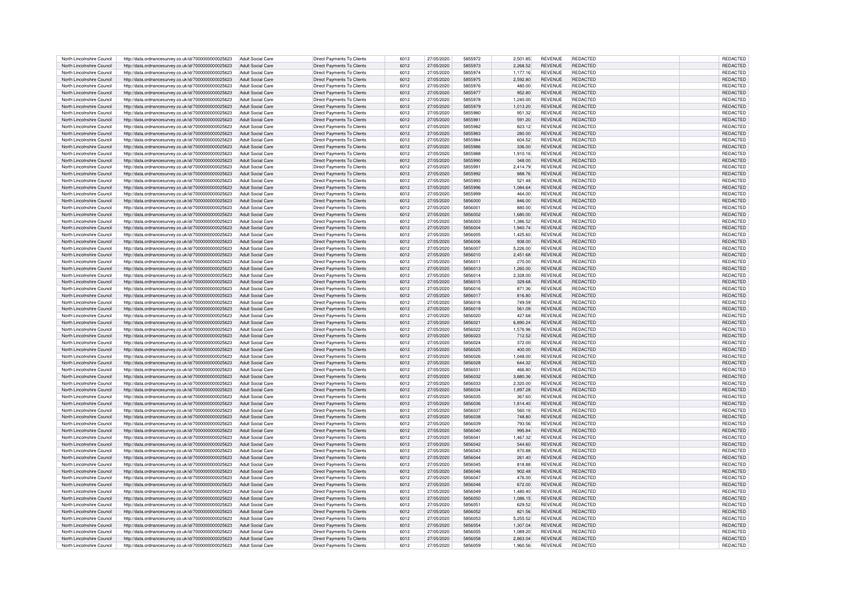| North Lincolnshire Council | http://data.ordnancesurvey.co.uk/id/7000000000025623 | Adult Social Care        | Direct Payments To Clients | 6012 | 27/05/2020 | 5855972 | 2,501.85 | <b>REVENUE</b> | REDACTED        | REDACTED        |
|----------------------------|------------------------------------------------------|--------------------------|----------------------------|------|------------|---------|----------|----------------|-----------------|-----------------|
|                            |                                                      |                          |                            |      |            |         |          |                |                 |                 |
| North Lincolnshire Council | http://data.ordnancesurvey.co.uk/id/7000000000025623 | Adult Social Care        | Direct Payments To Clients | 6012 | 27/05/2020 | 5855973 | 2,268.52 | <b>REVENUE</b> | <b>REDACTED</b> | <b>REDACTED</b> |
| North Lincolnshire Council | http://data.ordnancesurvey.co.uk/id/7000000000025623 | Adult Social Care        | Direct Payments To Clients | 6012 | 27/05/2020 | 5855974 | 1.177.16 | <b>REVENUE</b> | REDACTED        | REDACTED        |
| North Lincolnshire Council | http://data.ordnancesurvey.co.uk/id/7000000000025623 | Adult Social Care        | Direct Payments To Clients | 6012 | 27/05/2020 | 5855975 | 2,592.80 | <b>REVENUE</b> | REDACTED        | REDACTED        |
| North Lincolnshire Council | http://data.ordnancesurvey.co.uk/id/7000000000025623 | Adult Social Care        | Direct Payments To Clients | 6012 | 27/05/2020 | 5855976 | 480.00   | <b>REVENUE</b> | REDACTED        | REDACTED        |
| North Lincolnshire Council | http://data.ordnancesurvey.co.uk/id/7000000000025623 | Adult Social Care        | Direct Payments To Clients | 6012 | 27/05/2020 | 5855977 | 952.80   | <b>REVENUE</b> | <b>REDACTED</b> | REDACTED        |
|                            |                                                      |                          |                            |      |            |         |          |                |                 |                 |
| North Lincolnshire Council | http://data.ordnancesurvey.co.uk/id/7000000000025623 | Adult Social Care        | Direct Payments To Clients | 6012 | 27/05/2020 | 5855978 | 1,240.00 | <b>REVENUE</b> | <b>REDACTED</b> | REDACTED        |
| North Lincolnshire Council | http://data.ordnancesurvey.co.uk/id/7000000000025623 | <b>Adult Social Care</b> | Direct Payments To Clients | 6012 | 27/05/2020 | 5855979 | 1,013.20 | <b>REVENUE</b> | REDACTED        | REDACTED        |
| North Lincolnshire Council | http://data.ordnancesurvey.co.uk/id/7000000000025623 | Adult Social Care        | Direct Payments To Clients | 6012 | 27/05/2020 | 5855980 | 951.32   | <b>REVENUE</b> | REDACTED        | REDACTE         |
|                            |                                                      |                          |                            |      |            |         |          |                |                 |                 |
| North Lincolnshire Council | http://data.ordnancesurvey.co.uk/id/7000000000025623 | <b>Adult Social Care</b> | Direct Payments To Clients | 6012 | 27/05/2020 | 5855981 | 591.20   | <b>REVENUE</b> | REDACTED        | REDACTED        |
| North Lincolnshire Council | http://data.ordnancesurvey.co.uk/id/7000000000025623 | Adult Social Care        | Direct Payments To Clients | 6012 | 27/05/2020 | 5855982 | 823.12   | REVENUE        | REDACTED        | REDACTED        |
| North Lincolnshire Council | http://data.ordnancesurvey.co.uk/id/7000000000025623 | <b>Adult Social Care</b> | Direct Payments To Clients | 6012 | 27/05/2020 | 5855983 | 280.00   | <b>REVENUE</b> | REDACTED        | REDACTED        |
| North Lincolnshire Council | http://data.ordnancesurvey.co.uk/id/7000000000025623 | <b>Adult Social Care</b> | Direct Payments To Clients | 6012 | 27/05/2020 | 5855984 | 604.52   | <b>REVENUE</b> | <b>REDACTED</b> | REDACTED        |
| North Lincolnshire Council | http://data.ordnancesurvey.co.uk/id/7000000000025623 | Adult Social Care        | Direct Payments To Clients | 6012 | 27/05/2020 | 5855986 | 336.00   | <b>REVENUE</b> | <b>REDACTED</b> | <b>REDACTED</b> |
|                            |                                                      |                          |                            |      |            |         |          |                |                 |                 |
| North Lincolnshire Council | http://data.ordnancesurvey.co.uk/id/7000000000025623 | Adult Social Care        | Direct Payments To Clients | 6012 | 27/05/2020 | 5855988 | 1,910.16 | <b>REVENUE</b> | REDACTED        | REDACTED        |
| North Lincolnshire Council | http://data.ordnancesurvey.co.uk/id/7000000000025623 | Adult Social Care        | Direct Payments To Clients | 6012 | 27/05/2020 | 5855990 | 348.00   | <b>REVENUE</b> | REDACTED        | REDACTED        |
| North Lincolnshire Council | http://data.ordnancesurvey.co.uk/id/7000000000025623 | Adult Social Care        | Direct Payments To Clients | 6012 | 27/05/2020 | 5855991 | 2.414.79 | <b>REVENUE</b> | REDACTED        | <b>REDACTED</b> |
| North Lincolnshire Council |                                                      | Adult Social Care        | Direct Payments To Clients | 6012 | 27/05/2020 | 5855992 | 888.76   | <b>REVENUE</b> | <b>REDACTED</b> | REDACTED        |
|                            | http://data.ordnancesurvey.co.uk/id/7000000000025623 |                          |                            |      |            |         |          |                |                 |                 |
| North Lincolnshire Council | http://data.ordnancesurvey.co.uk/id/7000000000025623 | Adult Social Care        | Direct Payments To Clients | 6012 | 27/05/2020 | 5855993 | 521.48   | <b>REVENUE</b> | <b>REDACTED</b> | REDACTED        |
| North Lincolnshire Council | http://data.ordnancesurvey.co.uk/id/7000000000025623 | Adult Social Care        | Direct Payments To Clients | 6012 | 27/05/2020 | 5855996 | 1,084.64 | <b>REVENUE</b> | REDACTED        | <b>REDACTED</b> |
| North Lincolnshire Council | http://data.ordnancesurvey.co.uk/id/7000000000025623 | Adult Social Care        | Direct Payments To Clients | 6012 | 27/05/2020 | 5855999 | 464.00   | REVENUE        | REDACTED        | <b>REDACTED</b> |
| North Lincolnshire Council | http://data.ordnancesurvey.co.uk/id/7000000000025623 | <b>Adult Social Care</b> | Direct Payments To Clients | 6012 | 27/05/2020 | 5856000 | 846.00   | <b>REVENUE</b> | REDACTED        | <b>REDACTED</b> |
|                            |                                                      |                          |                            |      |            |         |          |                |                 |                 |
| North Lincolnshire Council | http://data.ordnancesurvey.co.uk/id/7000000000025623 | Adult Social Care        | Direct Payments To Clients | 6012 | 27/05/2020 | 585600  | 880.00   | <b>REVENUE</b> | REDACTED        | <b>REDACTED</b> |
| North Lincolnshire Council | http://data.ordnancesurvey.co.uk/id/7000000000025623 | Adult Social Care        | Direct Payments To Clients | 6012 | 27/05/2020 | 5856002 | 1.680.00 | <b>REVENUE</b> | REDACTED        | <b>REDACTED</b> |
| North Lincolnshire Council | http://data.ordnancesurvey.co.uk/id/7000000000025623 | Adult Social Care        | Direct Payments To Clients | 6012 | 27/05/2020 | 5856003 | 1,386.52 | <b>REVENUE</b> | <b>REDACTED</b> | <b>REDACTED</b> |
| North Lincolnshire Council | http://data.ordnancesurvey.co.uk/id/7000000000025623 | Adult Social Care        | Direct Payments To Clients | 6012 | 27/05/2020 | 5856004 | 1,940.74 | <b>REVENUE</b> | REDACTED        | REDACTED        |
|                            |                                                      |                          |                            |      |            |         |          |                |                 |                 |
| North Lincolnshire Council | http://data.ordnancesurvey.co.uk/id/7000000000025623 | Adult Social Care        | Direct Payments To Clients | 6012 | 27/05/2020 | 5856005 | 1,425.60 | <b>REVENUE</b> | REDACTED        | REDACTED        |
| North Lincolnshire Council | http://data.ordnancesurvey.co.uk/id/7000000000025623 | Adult Social Care        | Direct Payments To Clients | 6012 | 27/05/2020 | 5856006 | 938.00   | <b>REVENUE</b> | <b>REDACTED</b> | REDACTED        |
| North Lincolnshire Council | http://data.ordnancesurvey.co.uk/id/7000000000025623 | Adult Social Care        | Direct Payments To Clients | 6012 | 27/05/2020 | 5856007 | 5,226.00 | <b>REVENUE</b> | <b>REDACTED</b> | REDACTED        |
| North Lincolnshire Council | http://data.ordnancesurvey.co.uk/id/7000000000025623 | <b>Adult Social Care</b> | Direct Payments To Clients | 6012 | 27/05/2020 | 5856010 | 2,451.68 | REVENUE        | <b>REDACTED</b> | REDACTED        |
|                            |                                                      |                          |                            |      |            |         |          |                |                 |                 |
| North Lincolnshire Council | http://data.ordnancesurvey.co.uk/id/7000000000025623 | Adult Social Care        | Direct Payments To Clients | 6012 | 27/05/2020 | 5856011 | 270.00   | <b>REVENUE</b> | REDACTED        | REDACTED        |
| North Lincolnshire Council | http://data.ordnancesurvey.co.uk/id/7000000000025623 | <b>Adult Social Care</b> | Direct Payments To Clients | 6012 | 27/05/2020 | 5856013 | 1.260.00 | <b>REVENUE</b> | REDACTED        | REDACTED        |
| North Lincolnshire Council | http://data.ordnancesurvey.co.uk/id/7000000000025623 | Adult Social Care        | Direct Payments To Clients | 6012 | 27/05/2020 | 5856014 | 2,328.00 | <b>REVENUE</b> | REDACTED        | REDACTED        |
| North Lincolnshire Council | http://data.ordnancesurvey.co.uk/id/7000000000025623 | <b>Adult Social Care</b> | Direct Payments To Clients | 6012 | 27/05/2020 | 5856015 | 329.68   | REVENUE        | REDACTED        | REDACTED        |
|                            |                                                      |                          |                            |      |            |         |          |                |                 |                 |
| North Lincolnshire Council | http://data.ordnancesurvey.co.uk/id/7000000000025623 | Adult Social Care        | Direct Payments To Clients | 6012 | 27/05/2020 | 5856016 | 871.36   | <b>REVENUE</b> | REDACTED        | REDACTED        |
| North Lincolnshire Council | http://data.ordnancesurvey.co.uk/id/7000000000025623 | <b>Adult Social Care</b> | Direct Payments To Clients | 6012 | 27/05/2020 | 5856017 | 816.80   | <b>REVENUE</b> | <b>REDACTED</b> | REDACTED        |
| North Lincolnshire Council | http://data.ordnancesurvey.co.uk/id/7000000000025623 | <b>Adult Social Care</b> | Direct Payments To Clients | 6012 | 27/05/2020 | 5856018 | 749.59   | <b>REVENUE</b> | <b>REDACTED</b> | REDACTED        |
| North Lincolnshire Council | http://data.ordnancesurvey.co.uk/id/7000000000025623 | Adult Social Care        | Direct Payments To Clients | 6012 | 27/05/2020 | 5856019 | 561.09   | <b>REVENUE</b> | REDACTED        | REDACTED        |
|                            |                                                      |                          |                            |      |            | 5856020 |          |                |                 |                 |
| North Lincolnshire Council | http://data.ordnancesurvey.co.uk/id/7000000000025623 | <b>Adult Social Care</b> | Direct Payments To Clients | 6012 | 27/05/2020 |         | 427.68   | <b>REVENUE</b> | REDACTED        | REDACTED        |
| North Lincolnshire Council | http://data.ordnancesurvey.co.uk/id/7000000000025623 | Adult Social Care        | Direct Payments To Clients | 6012 | 27/05/2020 | 5856021 | 6.890.24 | <b>REVENUE</b> | REDACTED        | REDACTED        |
| North Lincolnshire Council | http://data.ordnancesurvey.co.uk/id/7000000000025623 | <b>Adult Social Care</b> | Direct Payments To Clients | 6012 | 27/05/2020 | 5856022 | 1,576.96 | <b>REVENUE</b> | <b>REDACTED</b> | <b>REDACTED</b> |
| North Lincolnshire Council | http://data.ordnancesurvey.co.uk/id/7000000000025623 | Adult Social Care        | Direct Payments To Clients | 6012 | 27/05/2020 | 5856023 | 712.52   | <b>REVENUE</b> | REDACTED        | REDACTED        |
|                            |                                                      |                          |                            |      |            | 5856024 |          | <b>REVENUE</b> | <b>REDACTED</b> |                 |
| North Lincolnshire Council | http://data.ordnancesurvey.co.uk/id/7000000000025623 | Adult Social Care        | Direct Payments To Clients | 6012 | 27/05/2020 |         | 372.00   |                |                 | <b>REDACTED</b> |
| North Lincolnshire Council | http://data.ordnancesurvey.co.uk/id/7000000000025623 | Adult Social Care        | Direct Payments To Clients | 6012 | 27/05/2020 | 5856025 | 400.00   | <b>REVENUE</b> | REDACTED        | <b>REDACTE</b>  |
| North Lincolnshire Council | http://data.ordnancesurvey.co.uk/id/7000000000025623 | Adult Social Care        | Direct Payments To Clients | 6012 | 27/05/2020 | 5856026 | 1,048.00 | REVENUE        | REDACTED        | <b>REDACTE</b>  |
| North Lincolnshire Council | http://data.ordnancesurvey.co.uk/id/7000000000025623 | Adult Social Care        | Direct Payments To Clients | 6012 | 27/05/2020 | 5856028 | 644.32   | <b>REVENUE</b> | REDACTED        | REDACTE         |
| North Lincolnshire Council | http://data.ordnancesurvey.co.uk/id/7000000000025623 | Adult Social Care        | Direct Payments To Clients | 6012 | 27/05/2020 | 585603  | 466.80   | <b>REVENUE</b> | REDACTED        | <b>REDACTE</b>  |
|                            |                                                      |                          |                            |      |            |         |          |                |                 |                 |
| North Lincolnshire Council | http://data.ordnancesurvey.co.uk/id/7000000000025623 | Adult Social Care        | Direct Payments To Clients | 6012 | 27/05/2020 | 5856032 | 3,880.36 | <b>REVENUE</b> | <b>REDACTED</b> | <b>REDACTEI</b> |
| North Lincolnshire Council | http://data.ordnancesurvey.co.uk/id/7000000000025623 | Adult Social Care        | Direct Payments To Clients | 6012 | 27/05/2020 | 5856033 | 2,320.00 | <b>REVENUE</b> | <b>REDACTED</b> | <b>REDACTE</b>  |
| North Lincolnshire Council | http://data.ordnancesurvey.co.uk/id/7000000000025623 | Adult Social Care        | Direct Payments To Clients | 6012 | 27/05/2020 | 5856034 | 1,897.28 | <b>REVENUE</b> | REDACTED        | REDACTED        |
| North Lincolnshire Council | http://data.ordnancesurvey.co.uk/id/7000000000025623 | Adult Social Care        | Direct Payments To Clients | 6012 | 27/05/2020 | 5856035 | 367.60   | <b>REVENUE</b> | REDACTED        | <b>REDACTED</b> |
|                            |                                                      |                          |                            |      |            |         |          |                |                 |                 |
| North Lincolnshire Council | http://data.ordnancesurvey.co.uk/id/7000000000025623 | Adult Social Care        | Direct Payments To Clients | 6012 | 27/05/2020 | 5856036 | 1.814.40 | <b>REVENUE</b> | REDACTED        | REDACTED        |
| North Lincolnshire Council | http://data.ordnancesurvey.co.uk/id/7000000000025623 | Adult Social Care        | Direct Payments To Clients | 6012 | 27/05/2020 | 5856037 | 560.16   | <b>REVENUE</b> | <b>REDACTED</b> | <b>REDACTED</b> |
| North Lincolnshire Council | http://data.ordnancesurvey.co.uk/id/7000000000025623 | Adult Social Care        | Direct Payments To Clients | 6012 | 27/05/2020 | 5856038 | 748.80   | <b>REVENUE</b> | <b>REDACTED</b> | REDACTED        |
| North Lincolnshire Council | http://data.ordnancesurvey.co.uk/id/7000000000025623 | Adult Social Care        | Direct Payments To Clients | 6012 | 27/05/2020 | 5856039 | 793.56   | <b>REVENUE</b> | <b>REDACTED</b> | <b>REDACTED</b> |
|                            |                                                      |                          |                            |      |            |         |          |                |                 |                 |
| North Lincolnshire Council | http://data.ordnancesurvey.co.uk/id/7000000000025623 | Adult Social Care        | Direct Payments To Clients | 6012 | 27/05/2020 | 5856040 | 995.84   | REVENUE        | <b>REDACTED</b> | <b>REDACTED</b> |
| North Lincolnshire Council | http://data.ordnancesurvey.co.uk/id/7000000000025623 | Adult Social Care        | Direct Payments To Clients | 6012 | 27/05/2020 | 585604  | 1,467.32 | <b>REVENUE</b> | REDACTED        | REDACTED        |
| North Lincolnshire Council | http://data.ordnancesurvey.co.uk/id/7000000000025623 | Adult Social Care        | Direct Payments To Clients | 6012 | 27/05/2020 | 5856042 | 544.60   | <b>REVENUE</b> | REDACTED        | REDACTED        |
| North Lincolnshire Council | http://data.ordnancesurvey.co.uk/id/7000000000025623 | Adult Social Care        | Direct Payments To Clients | 6012 | 27/05/2020 | 5856043 | 870.88   | <b>REVENUE</b> | REDACTED        | REDACTED        |
| North Lincolnshire Council | http://data.ordnancesurvey.co.uk/id/7000000000025623 | Adult Social Care        | Direct Payments To Clients | 6012 | 27/05/2020 | 5856044 | 261.40   | <b>REVENUE</b> | <b>REDACTED</b> | REDACTED        |
|                            |                                                      |                          |                            |      |            |         |          |                |                 |                 |
| North Lincolnshire Council | http://data.ordnancesurvey.co.uk/id/7000000000025623 | Adult Social Care        | Direct Payments To Clients | 6012 | 27/05/2020 | 5856045 | 818.88   | <b>REVENUE</b> | <b>REDACTED</b> | REDACTED        |
| North Lincolnshire Council | http://data.ordnancesurvey.co.uk/id/7000000000025623 | <b>Adult Social Care</b> | Direct Payments To Clients | 6012 | 27/05/2020 | 5856046 | 902.48   | <b>REVENUE</b> | <b>REDACTED</b> | REDACTED        |
| North Lincolnshire Council | http://data.ordnancesurvey.co.uk/id/7000000000025623 | Adult Social Care        | Direct Payments To Clients | 6012 | 27/05/2020 | 5856047 | 476.00   | <b>REVENUE</b> | REDACTED        | <b>REDACTED</b> |
| North Lincolnshire Council | http://data.ordnancesurvey.co.uk/id/7000000000025623 | Adult Social Care        | Direct Payments To Clients | 6012 | 27/05/2020 | 5856048 | 672.00   | <b>REVENUE</b> | REDACTED        | REDACTED        |
|                            |                                                      |                          |                            | 6012 | 27/05/2020 | 5856049 |          | <b>REVENUE</b> | <b>REDACTED</b> |                 |
| North Lincolnshire Council | http://data.ordnancesurvey.co.uk/id/7000000000025623 | Adult Social Care        | Direct Payments To Clients |      |            |         | 1,480.40 |                |                 | REDACTED        |
| North Lincolnshire Council | http://data.ordnancesurvey.co.uk/id/7000000000025623 | Adult Social Care        | Direct Payments To Clients | 6012 | 27/05/2020 | 5856050 | 1,086.15 | <b>REVENUE</b> | REDACTED        | REDACTED        |
| North Lincolnshire Council | http://data.ordnancesurvey.co.uk/id/7000000000025623 | Adult Social Care        | Direct Payments To Clients | 6012 | 27/05/2020 | 5856051 | 629.52   | <b>REVENUE</b> | REDACTED        | <b>REDACTED</b> |
| North Lincolnshire Council | http://data.ordnancesurvey.co.uk/id/7000000000025623 | <b>Adult Social Care</b> | Direct Payments To Clients | 6012 | 27/05/2020 | 5856052 | 821.56   | <b>REVENUE</b> | REDACTED        | REDACTED        |
|                            |                                                      | Adult Social Care        |                            | 6012 | 27/05/2020 | 5856053 |          | <b>REVENUE</b> | REDACTED        |                 |
| North Lincolnshire Council | http://data.ordnancesurvey.co.uk/id/7000000000025623 |                          | Direct Payments To Clients |      |            |         | 5,255.52 |                |                 | REDACTED        |
| North Lincolnshire Council | http://data.ordnancesurvey.co.uk/id/7000000000025623 | Adult Social Care        | Direct Payments To Clients | 6012 | 27/05/2020 | 5856054 | 1,307.04 | <b>REVENUE</b> | REDACTED        | REDACTED        |
| North Lincolnshire Council | http://data.ordnancesurvey.co.uk/id/7000000000025623 | Adult Social Care        | Direct Payments To Clients | 6012 | 27/05/2020 | 5856055 | 1.089.20 | REVENUE        | <b>REDACTED</b> | REDACTED        |
| North Lincolnshire Council | http://data.ordnancesurvey.co.uk/id/7000000000025623 | Adult Social Care        | Direct Payments To Clients | 6012 | 27/05/2020 | 5856058 | 2.863.04 | <b>REVENUE</b> | REDACTED        | REDACTED        |
| North Lincolnshire Council | http://data.ordnancesurvey.co.uk/id/7000000000025623 | Adult Social Care        | Direct Payments To Clients | 6012 | 27/05/2020 | 5856059 | 1,960.56 | <b>REVENUE</b> | <b>REDACTED</b> | REDACTED        |
|                            |                                                      |                          |                            |      |            |         |          |                |                 |                 |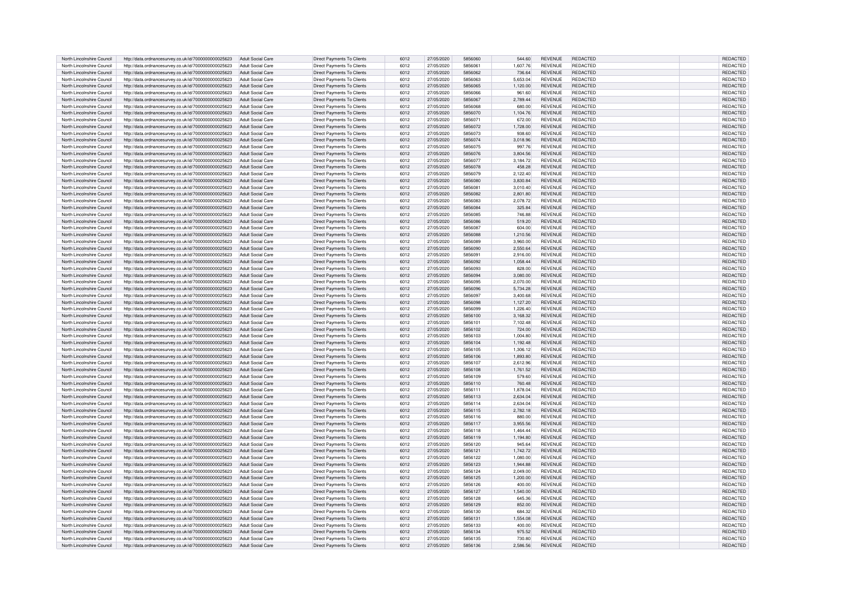|                                                          | http://data.ordnancesurvey.co.uk/id/7000000000025623                                                         | <b>Adult Social Care</b>               | Direct Payments To Clients                               | 6012         | 27/05/2020               | 5856060            | 544.60             | <b>REVENUE</b>                   | REDACTED                    | <b>REDACTED</b>      |
|----------------------------------------------------------|--------------------------------------------------------------------------------------------------------------|----------------------------------------|----------------------------------------------------------|--------------|--------------------------|--------------------|--------------------|----------------------------------|-----------------------------|----------------------|
| North Lincolnshire Council                               |                                                                                                              |                                        |                                                          |              |                          |                    |                    |                                  |                             |                      |
| North Lincolnshire Council                               | http://data.ordnancesurvey.co.uk/id/7000000000025623                                                         | Adult Social Care                      | Direct Payments To Clients                               | 6012         | 27/05/2020               | 585606             | 1,607.76           | <b>REVENUE</b>                   | REDACTED                    | <b>REDACTED</b>      |
| North Lincolnshire Council                               | http://data.ordnancesurvey.co.uk/id/7000000000025623                                                         | Adult Social Care                      | Direct Payments To Clients                               | 6012         | 27/05/2020               | 5856062            | 736.64             | <b>REVENUE</b>                   | <b>REDACTED</b>             | REDACTED             |
| North Lincolnshire Council                               | http://data.ordnancesurvey.co.uk/id/7000000000025623                                                         | Adult Social Care                      | Direct Payments To Clients                               | 6012         | 27/05/2020               | 5856063            | 5.653.04           | <b>REVENUE</b>                   | <b>REDACTED</b>             | REDACTE              |
| North Lincolnshire Council                               | http://data.ordnancesurvey.co.uk/id/7000000000025623                                                         | Adult Social Care                      | Direct Payments To Clients                               | 6012         | 27/05/2020               | 5856065            | 1,120.00           | <b>REVENUE</b>                   | REDACTED                    | <b>REDACTED</b>      |
|                                                          |                                                                                                              |                                        |                                                          |              |                          |                    |                    |                                  |                             |                      |
| North Lincolnshire Council                               | http://data.ordnancesurvey.co.uk/id/7000000000025623                                                         | Adult Social Care                      | Direct Payments To Clients                               | 6012         | 27/05/2020               | 5856066            | 961.60             | <b>REVENUE</b>                   | REDACTED                    | <b>REDACTED</b>      |
| North Lincolnshire Council                               | http://data.ordnancesurvey.co.uk/id/7000000000025623                                                         | Adult Social Care                      | Direct Payments To Clients                               | 6012         | 27/05/2020               | 5856067            | 2.789.44           | <b>REVENUE</b>                   | REDACTED                    | <b>REDACTED</b>      |
| North Lincolnshire Council                               | http://data.ordnancesurvey.co.uk/id/7000000000025623                                                         | Adult Social Care                      | Direct Payments To Clients                               | 6012         | 27/05/2020               | 5856068            | 680.00             | <b>REVENUE</b>                   | REDACTED                    | <b>REDACTED</b>      |
| North Lincolnshire Council                               |                                                                                                              | Adult Social Care                      |                                                          |              |                          | 5856070            |                    | <b>REVENUE</b>                   | <b>REDACTED</b>             |                      |
|                                                          | http://data.ordnancesurvey.co.uk/id/7000000000025623                                                         |                                        | Direct Payments To Clients                               | 6012         | 27/05/2020               |                    | 1,104.76           |                                  |                             | REDACTED             |
| North Lincolnshire Council                               | http://data.ordnancesurvey.co.uk/id/7000000000025623                                                         | Adult Social Care                      | Direct Payments To Clients                               | 6012         | 27/05/2020               | 585607             | 672.00             | <b>REVENUE</b>                   | <b>REDACTED</b>             | REDACTED             |
| North Lincolnshire Council                               | http://data.ordnancesurvey.co.uk/id/7000000000025623                                                         | Adult Social Care                      | Direct Payments To Clients                               | 6012         | 27/05/2020               | 5856072            | 1,728.00           | <b>REVENUE</b>                   | <b>REDACTED</b>             | <b>REDACTED</b>      |
| North Lincolnshire Council                               | http://data.ordnancesurvey.co.uk/id/7000000000025623                                                         | Adult Social Care                      | Direct Payments To Clients                               | 6012         | 27/05/2020               | 5856073            | 938.60             | <b>REVENUE</b>                   | <b>REDACTED</b>             | REDACTED             |
|                                                          |                                                                                                              |                                        |                                                          |              |                          |                    |                    |                                  |                             |                      |
| North Lincolnshire Council                               | http://data.ordnancesurvey.co.uk/id/7000000000025623                                                         | <b>Adult Social Care</b>               | Direct Payments To Clients                               | 6012         | 27/05/2020               | 5856074            | 3,018.96           | <b>REVENUE</b>                   | REDACTED                    | REDACTED             |
| North Lincolnshire Council                               | http://data.ordnancesurvey.co.uk/id/7000000000025623                                                         | Adult Social Care                      | Direct Payments To Clients                               | 6012         | 27/05/2020               | 5856075            | 997.76             | <b>REVENUE</b>                   | REDACTED                    | REDACTED             |
| North Lincolnshire Council                               | http://data.ordnancesurvey.co.uk/id/7000000000025623                                                         | Adult Social Care                      | Direct Payments To Clients                               | 6012         | 27/05/2020               | 5856076            | 3.804.56           | <b>REVENUE</b>                   | <b>REDACTED</b>             | <b>REDACTED</b>      |
| North Lincolnshire Council                               | http://data.ordnancesurvey.co.uk/id/7000000000025623                                                         | Adult Social Care                      | Direct Payments To Clients                               | 6012         | 27/05/2020               | 5856077            | 3,184.72           | <b>REVENUE</b>                   | <b>REDACTED</b>             | <b>REDACTED</b>      |
| North Lincolnshire Council                               | http://data.ordnancesurvey.co.uk/id/7000000000025623                                                         | Adult Social Care                      | Direct Payments To Clients                               | 6012         | 27/05/2020               | 5856078            | 458.28             | <b>REVENUE</b>                   | REDACTED                    | REDACTED             |
|                                                          |                                                                                                              |                                        |                                                          |              |                          |                    |                    |                                  |                             |                      |
| North Lincolnshire Council                               | http://data.ordnancesurvey.co.uk/id/7000000000025623                                                         | Adult Social Care                      | Direct Payments To Clients                               | 6012         | 27/05/2020               | 5856079            | 2.122.40           | <b>REVENUE</b>                   | REDACTED                    | <b>REDACTED</b>      |
| North Lincolnshire Council                               | http://data.ordnancesurvey.co.uk/id/7000000000025623                                                         | Adult Social Care                      | Direct Payments To Clients                               | 6012         | 27/05/2020               | 5856080            | 3.830.84           | <b>REVENUE</b>                   | REDACTED                    | <b>REDACTED</b>      |
| North Lincolnshire Council                               | http://data.ordnancesurvey.co.uk/id/7000000000025623                                                         | Adult Social Care                      | Direct Payments To Clients                               | 6012         | 27/05/2020               | 5856081            | 3,010.40           | <b>REVENUE</b>                   | <b>REDACTED</b>             | <b>REDACTED</b>      |
| North Lincolnshire Council                               | http://data.ordnancesurvey.co.uk/id/7000000000025623                                                         | Adult Social Care                      | Direct Payments To Clients                               | 6012         | 27/05/2020               | 5856082            | 2,801.80           | <b>REVENUE</b>                   | REDACTED                    | <b>REDACTED</b>      |
|                                                          |                                                                                                              |                                        |                                                          |              |                          | 5856083            |                    |                                  |                             |                      |
| North Lincolnshire Council                               | http://data.ordnancesurvey.co.uk/id/7000000000025623                                                         | Adult Social Care                      | Direct Payments To Clients                               | 6012         | 27/05/2020               |                    | 2,078.72           | <b>REVENUE</b>                   | REDACTED                    | <b>REDACTED</b>      |
| North Lincolnshire Council                               | http://data.ordnancesurvey.co.uk/id/7000000000025623                                                         | <b>Adult Social Care</b>               | Direct Payments To Clients                               | 6012         | 27/05/2020               | 5856084            | 325.84             | <b>REVENUE</b>                   | REDACTED                    | <b>REDACTED</b>      |
| North Lincolnshire Council                               | http://data.ordnancesurvey.co.uk/id/7000000000025623                                                         | <b>Adult Social Care</b>               | Direct Payments To Clients                               | 6012         | 27/05/2020               | 5856085            | 746.88             | REVENUE                          | REDACTED                    | <b>REDACTED</b>      |
| North Lincolnshire Council                               | http://data.ordnancesurvey.co.uk/id/7000000000025623                                                         | Adult Social Care                      | Direct Payments To Clients                               | 6012         | 27/05/2020               | 5856086            | 519.20             | <b>REVENUE</b>                   | REDACTED                    | REDACTED             |
| North Lincolnshire Council                               | http://data.ordnancesurvey.co.uk/id/7000000000025623                                                         | Adult Social Care                      | Direct Payments To Clients                               | 6012         | 27/05/2020               | 5856087            | 604.00             | <b>REVENUE</b>                   | <b>REDACTED</b>             | <b>REDACTED</b>      |
|                                                          |                                                                                                              |                                        |                                                          |              |                          |                    |                    |                                  |                             |                      |
| North Lincolnshire Council                               | http://data.ordnancesurvey.co.uk/id/7000000000025623                                                         | Adult Social Care                      | Direct Payments To Clients                               | 6012         | 27/05/2020               | 5856088            | 1,210.56           | <b>REVENUE</b>                   | <b>REDACTED</b>             | <b>REDACTED</b>      |
| North Lincolnshire Council                               | http://data.ordnancesurvey.co.uk/id/7000000000025623                                                         | Adult Social Care                      | Direct Payments To Clients                               | 6012         | 27/05/2020               | 5856089            | 3,960.00           | <b>REVENUE</b>                   | REDACTED                    | REDACTED             |
| North Lincolnshire Council                               | http://data.ordnancesurvey.co.uk/id/7000000000025623                                                         | Adult Social Care                      | Direct Payments To Clients                               | 6012         | 27/05/2020               | 5856090            | 2,550.64           | <b>REVENUE</b>                   | REDACTED                    | REDACTED             |
| North Lincolnshire Council                               | http://data.ordnancesurvey.co.uk/id/7000000000025623                                                         | Adult Social Care                      | Direct Payments To Clients                               | 6012         | 27/05/2020               | 5856091            | 2,916.00           | <b>REVENUE</b>                   | <b>REDACTED</b>             | REDACTED             |
|                                                          |                                                                                                              |                                        |                                                          |              |                          |                    |                    |                                  |                             |                      |
| North Lincolnshire Council                               | http://data.ordnancesurvey.co.uk/id/7000000000025623                                                         | Adult Social Care                      | Direct Payments To Clients                               | 6012         | 27/05/2020               | 5856092            | 1,058.44           | <b>REVENUE</b>                   | <b>REDACTED</b>             | REDACTED             |
| North Lincolnshire Council                               | http://data.ordnancesurvey.co.uk/id/7000000000025623                                                         | Adult Social Care                      | Direct Payments To Clients                               | 6012         | 27/05/2020               | 5856093            | 828.00             | <b>REVENUE</b>                   | REDACTED                    | REDACTED             |
| North Lincolnshire Council                               | http://data.ordnancesurvey.co.uk/id/7000000000025623                                                         | Adult Social Care                      | Direct Payments To Clients                               | 6012         | 27/05/2020               | 5856094            | 3,080.00           | <b>REVENUE</b>                   | REDACTED                    | REDACTED             |
| North Lincolnshire Council                               | http://data.ordnancesurvey.co.uk/id/7000000000025623                                                         | Adult Social Care                      | Direct Payments To Clients                               | 6012         | 27/05/2020               | 5856095            | 2,070.00           | <b>REVENUE</b>                   | REDACTED                    | REDACTED             |
|                                                          |                                                                                                              |                                        |                                                          |              |                          | 5856096            |                    |                                  |                             |                      |
| North Lincolnshire Council                               | http://data.ordnancesurvey.co.uk/id/7000000000025623                                                         | <b>Adult Social Care</b>               | Direct Payments To Clients                               | 6012         | 27/05/2020               |                    | 5,734.28           | <b>REVENUE</b>                   | REDACTED                    | REDACTED             |
| North Lincolnshire Council                               | http://data.ordnancesurvey.co.uk/id/7000000000025623                                                         | Adult Social Care                      | Direct Payments To Clients                               | 6012         | 27/05/2020               | 5856097            | 3,400.68           | <b>REVENUE</b>                   | REDACTED                    | REDACTED             |
| North Lincolnshire Council                               | http://data.ordnancesurvey.co.uk/id/7000000000025623                                                         | <b>Adult Social Care</b>               | Direct Payments To Clients                               | 6012         | 27/05/2020               | 5856098            | 1,127.20           | <b>REVENUE</b>                   | REDACTED                    | REDACTED             |
| North Lincolnshire Council                               | http://data.ordnancesurvey.co.uk/id/7000000000025623                                                         | <b>Adult Social Care</b>               | Direct Payments To Clients                               | 6012         | 27/05/2020               | 5856099            | 1,226.40           | <b>REVENUE</b>                   | <b>REDACTED</b>             | <b>REDACTED</b>      |
| North Lincolnshire Council                               | http://data.ordnancesurvey.co.uk/id/7000000000025623                                                         | <b>Adult Social Care</b>               | Direct Payments To Clients                               | 6012         | 27/05/2020               | 5856100            | 3,168.32           | <b>REVENUE</b>                   | <b>REDACTED</b>             | REDACTED             |
|                                                          |                                                                                                              |                                        |                                                          |              |                          |                    |                    |                                  |                             |                      |
| North Lincolnshire Council                               | http://data.ordnancesurvey.co.uk/id/7000000000025623                                                         | Adult Social Care                      | Direct Payments To Clients                               | 6012         | 27/05/2020               | 5856101            | 7,102.48           | REVENUE                          | REDACTED                    | REDACTED             |
| North Lincolnshire Council                               | http://data.ordnancesurvey.co.uk/id/7000000000025623                                                         | Adult Social Care                      | Direct Payments To Clients                               | 6012         | 27/05/2020               | 5856102            | 724.00             | <b>REVENUE</b>                   | <b>REDACTED</b>             | REDACTED             |
| North Lincolnshire Council                               | http://data.ordnancesurvey.co.uk/id/7000000000025623                                                         | Adult Social Care                      | Direct Payments To Clients                               | 6012         | 27/05/2020               | 5856103            | 1,004.80           | <b>REVENUE</b>                   | <b>REDACTED</b>             | REDACTED             |
| North Lincolnshire Council                               | http://data.ordnancesurvey.co.uk/id/7000000000025623                                                         | Adult Social Care                      | Direct Payments To Clients                               | 6012         | 27/05/2020               | 5856104            | 1,192.48           | <b>REVENUE</b>                   | REDACTED                    | REDACTED             |
|                                                          |                                                                                                              |                                        |                                                          |              |                          | 5856105            |                    |                                  |                             |                      |
| North Lincolnshire Council                               | http://data.ordnancesurvey.co.uk/id/7000000000025623                                                         | Adult Social Care                      | Direct Payments To Clients                               | 6012         | 27/05/2020               |                    | 1,306.12           | <b>REVENUE</b>                   | REDACTED                    | REDACTED             |
| North Lincolnshire Council                               | http://data.ordnancesurvey.co.uk/id/7000000000025623                                                         | Adult Social Care                      | Direct Payments To Clients                               | 6012         | 27/05/2020               | 5856106            | 1,893.80           | <b>REVENUE</b>                   | REDACTED                    | REDACTED             |
| North Lincolnshire Council                               | http://data.ordnancesurvey.co.uk/id/7000000000025623                                                         | Adult Social Care                      | Direct Payments To Clients                               | 6012         | 27/05/2020               | 5856107            | 2,612.96           | <b>REVENUE</b>                   | REDACTED                    |                      |
| North Lincolnshire Council                               | http://data.ordnancesurvey.co.uk/id/7000000000025623                                                         | <b>Adult Social Care</b>               |                                                          |              |                          |                    |                    |                                  |                             | <b>REDACTE</b>       |
| North Lincolnshire Council                               |                                                                                                              |                                        |                                                          |              |                          |                    |                    |                                  |                             |                      |
|                                                          |                                                                                                              |                                        | Direct Payments To Clients                               | 6012         | 27/05/2020               | 5856108            | 1,761.52           | <b>REVENUE</b>                   | REDACTED                    | <b>REDACTEI</b>      |
|                                                          | http://data.ordnancesurvey.co.uk/id/7000000000025623                                                         | Adult Social Care                      | Direct Payments To Clients                               | 6012         | 27/05/2020               | 5856109            | 579.60             | <b>REVENUE</b>                   | REDACTED                    | REDACTE              |
| North Lincolnshire Council                               | http://data.ordnancesurvey.co.uk/id/7000000000025623                                                         | Adult Social Care                      | Direct Payments To Clients                               | 6012         | 27/05/2020               | 5856110            | 760.48             | <b>REVENUE</b>                   | REDACTED                    | REDACTEI             |
| North Lincolnshire Council                               | http://data.ordnancesurvey.co.uk/id/7000000000025623                                                         | Adult Social Care                      | Direct Payments To Clients                               | 6012         | 27/05/2020               | 5856111            | 1,878.04           | <b>REVENUE</b>                   | <b>REDACTED</b>             | REDACTE              |
| North Lincolnshire Council                               | http://data.ordnancesurvey.co.uk/id/7000000000025623                                                         | Adult Social Care                      | Direct Payments To Clients                               | 6012         | 27/05/2020               | 5856113            | 2.634.04           | <b>REVENUE</b>                   | REDACTED                    | REDACTED             |
|                                                          |                                                                                                              |                                        |                                                          |              |                          | 5856114            |                    |                                  |                             |                      |
| North Lincolnshire Council                               | http://data.ordnancesurvey.co.uk/id/7000000000025623                                                         | Adult Social Care                      | Direct Payments To Clients                               | 6012         | 27/05/2020               |                    | 2,634.04           | <b>REVENUE</b>                   | REDACTED                    | <b>REDACTED</b>      |
| North Lincolnshire Council                               | http://data.ordnancesurvey.co.uk/id/7000000000025623                                                         | Adult Social Care                      | Direct Payments To Clients                               | 6012         | 27/05/2020               | 5856115            | 2,782.18           | <b>REVENUE</b>                   | REDACTED                    | <b>REDACTED</b>      |
| North Lincolnshire Council                               | http://data.ordnancesurvey.co.uk/id/7000000000025623                                                         | Adult Social Care                      | Direct Payments To Clients                               | 6012         | 27/05/2020               | 5856116            | 880.00             | <b>REVENUE</b>                   | REDACTED                    | <b>REDACTED</b>      |
| North Lincolnshire Council                               | http://data.ordnancesurvey.co.uk/id/7000000000025623                                                         | Adult Social Care                      | Direct Payments To Clients                               | 6012         | 27/05/2020               | 5856117            | 3,955.56           | <b>REVENUE</b>                   | REDACTED                    | REDACTED             |
| North Lincolnshire Council                               |                                                                                                              | Adult Social Care                      |                                                          | 6012         | 27/05/2020               | 5856118            |                    |                                  |                             |                      |
|                                                          | http://data.ordnancesurvey.co.uk/id/7000000000025623                                                         |                                        | Direct Payments To Clients                               |              |                          |                    | 1,464.44           | REVENUE                          | REDACTED                    | REDACTED             |
| North Lincolnshire Council                               | http://data.ordnancesurvey.co.uk/id/7000000000025623                                                         | Adult Social Care                      | Direct Payments To Clients                               | 6012         | 27/05/2020               | 5856119            | 1,194.80           | <b>REVENUE</b>                   | REDACTED                    | REDACTED             |
| North Lincolnshire Council                               | http://data.ordnancesurvey.co.uk/id/7000000000025623                                                         | Adult Social Care                      | Direct Payments To Clients                               | 6012         | 27/05/2020               | 5856120            | 945.64             | <b>REVENUE</b>                   | REDACTED                    | REDACTED             |
| North Lincolnshire Council                               | http://data.ordnancesurvey.co.uk/id/7000000000025623                                                         | Adult Social Care                      | <b>Direct Payments To Clients</b>                        | 6012         | 27/05/2020               | 5856121            | 1,742.72           | <b>REVENUE</b>                   | <b>REDACTED</b>             | REDACTED             |
| North Lincolnshire Council                               | http://data.ordnancesurvey.co.uk/id/7000000000025623                                                         | Adult Social Care                      | Direct Payments To Clients                               | 6012         | 27/05/2020               | 5856122            | 1,080.00           | <b>REVENUE</b>                   | REDACTED                    | REDACTED             |
|                                                          |                                                                                                              | Adult Social Care                      |                                                          | 6012         | 27/05/2020               | 5856123            |                    | <b>REVENUE</b>                   | <b>REDACTED</b>             | <b>REDACTED</b>      |
| North Lincolnshire Council                               | http://data.ordnancesurvey.co.uk/id/7000000000025623                                                         |                                        | Direct Payments To Clients                               |              |                          |                    | 1,944.88           |                                  |                             |                      |
| North Lincolnshire Council                               | http://data.ordnancesurvey.co.uk/id/7000000000025623                                                         | Adult Social Care                      | Direct Payments To Clients                               | 6012         | 27/05/2020               | 5856124            | 2,049.00           | <b>REVENUE</b>                   | <b>REDACTED</b>             | REDACTED             |
| North Lincolnshire Council                               | http://data.ordnancesurvey.co.uk/id/7000000000025623                                                         | Adult Social Care                      | Direct Payments To Clients                               | 6012         | 27/05/2020               | 5856125            | 1.200.00           | <b>REVENUE</b>                   | REDACTED                    | REDACTED             |
| North Lincolnshire Council                               | http://data.ordnancesurvey.co.uk/id/7000000000025623                                                         | Adult Social Care                      | Direct Payments To Clients                               | 6012         | 27/05/2020               | 5856126            | 400.00             | <b>REVENUE</b>                   | REDACTED                    | REDACTED             |
| North Lincolnshire Council                               | http://data.ordnancesurvey.co.uk/id/7000000000025623                                                         | Adult Social Care                      | Direct Payments To Clients                               | 6012         | 27/05/2020               | 5856127            | 1.540.00           | <b>REVENUE</b>                   | <b>REDACTED</b>             | <b>REDACTED</b>      |
|                                                          |                                                                                                              |                                        |                                                          | 6012         | 27/05/2020               | 5856128            |                    | <b>REVENUE</b>                   | REDACTED                    |                      |
| North Lincolnshire Council                               | http://data.ordnancesurvey.co.uk/id/7000000000025623                                                         | Adult Social Care                      | Direct Payments To Clients                               |              |                          |                    | 645.36             |                                  |                             | REDACTED             |
| North Lincolnshire Council                               | http://data.ordnancesurvey.co.uk/id/7000000000025623                                                         | <b>Adult Social Care</b>               | Direct Payments To Clients                               | 6012         | 27/05/2020               | 5856129            | 852.00             | <b>REVENUE</b>                   | REDACTED                    | REDACTED             |
| North Lincolnshire Council                               | http://data.ordnancesurvey.co.uk/id/7000000000025623                                                         | <b>Adult Social Care</b>               | Direct Payments To Clients                               | 6012         | 27/05/2020               | 5856130            | 684.32             | <b>REVENUE</b>                   | REDACTED                    | REDACTED             |
| North Lincolnshire Council                               | http://data.ordnancesurvey.co.uk/id/7000000000025623                                                         | <b>Adult Social Care</b>               | Direct Payments To Clients                               | 6012         | 27/05/2020               | 585613             | 1,554.08           | <b>REVENUE</b>                   | REDACTED                    | REDACTED             |
| North Lincolnshire Council                               | http://data.ordnancesurvey.co.uk/id/7000000000025623                                                         | Adult Social Care                      | Direct Payments To Clients                               | 6012         | 27/05/2020               | 5856133            | 400.00             | REVENUE                          | REDACTED                    | REDACTED             |
| North Lincolnshire Council                               |                                                                                                              | Adult Social Care                      |                                                          | 6012         | 27/05/2020               | 5856134            | 975.52             | <b>REVENUE</b>                   |                             |                      |
|                                                          | http://data.ordnancesurvey.co.uk/id/7000000000025623                                                         |                                        | Direct Payments To Clients                               |              |                          |                    |                    |                                  | REDACTED                    | REDACTED             |
| North Lincolnshire Council<br>North Lincolnshire Council | http://data.ordnancesurvey.co.uk/id/7000000000025623<br>http://data.ordnancesurvey.co.uk/id/7000000000025623 | Adult Social Care<br>Adult Social Care | Direct Payments To Clients<br>Direct Payments To Clients | 6012<br>6012 | 27/05/2020<br>27/05/2020 | 5856135<br>5856136 | 730.80<br>2,586.56 | <b>REVENUE</b><br><b>REVENUE</b> | REDACTED<br><b>REDACTED</b> | REDACTED<br>REDACTED |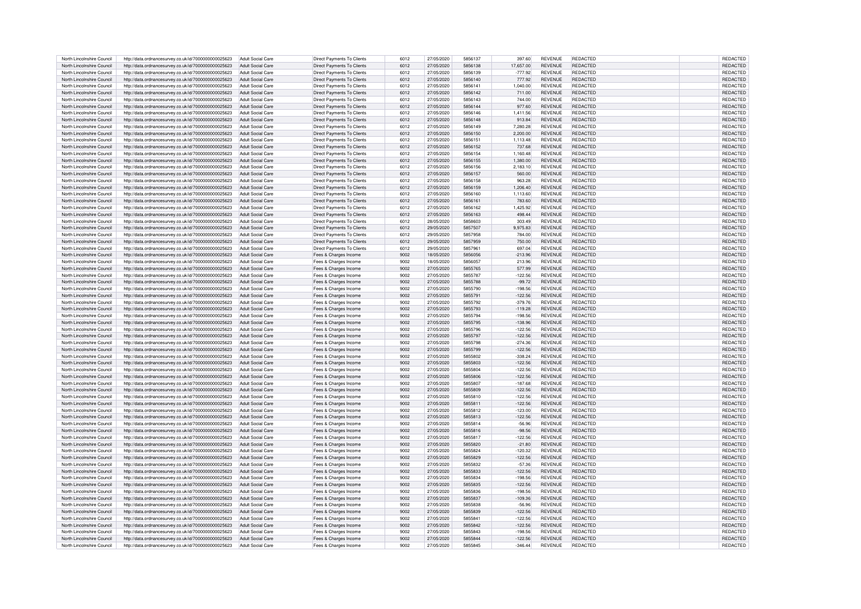| North Lincolnshire Council | http://data.ordnancesurvey.co.uk/id/7000000000025623 | Adult Social Care        | Direct Payments To Clients        | 6012 | 27/05/2020 | 5856137 | 397.60    | <b>REVENUE</b> | REDACTED        | REDACTED        |
|----------------------------|------------------------------------------------------|--------------------------|-----------------------------------|------|------------|---------|-----------|----------------|-----------------|-----------------|
|                            |                                                      |                          |                                   |      |            |         |           |                |                 |                 |
| North Lincolnshire Council | http://data.ordnancesurvey.co.uk/id/7000000000025623 | Adult Social Care        | Direct Payments To Clients        | 6012 | 27/05/2020 | 5856138 | 17.657.00 | <b>REVENUE</b> | <b>REDACTED</b> | <b>REDACTED</b> |
| North Lincolnshire Council | http://data.ordnancesurvey.co.uk/id/7000000000025623 | Adult Social Care        | Direct Payments To Clients        | 6012 | 27/05/2020 | 5856139 | $-777.92$ | <b>REVENUE</b> | REDACTED        | <b>REDACTED</b> |
| North Lincolnshire Council | http://data.ordnancesurvey.co.uk/id/7000000000025623 | Adult Social Care        | Direct Payments To Clients        | 6012 | 27/05/2020 | 5856140 | 777.92    | <b>REVENUE</b> | REDACTED        | <b>REDACTED</b> |
|                            |                                                      |                          |                                   |      |            |         |           |                |                 |                 |
| North Lincolnshire Council | http://data.ordnancesurvey.co.uk/id/7000000000025623 | Adult Social Care        | Direct Payments To Clients        | 6012 | 27/05/2020 | 5856141 | 1,040.00  | <b>REVENUE</b> | REDACTED        | <b>REDACTED</b> |
| North Lincolnshire Council | http://data.ordnancesurvey.co.uk/id/7000000000025623 | Adult Social Care        | Direct Payments To Clients        | 6012 | 27/05/2020 | 5856142 | 711.00    | <b>REVENUE</b> | REDACTED        | <b>REDACTED</b> |
| North Lincolnshire Council | http://data.ordnancesurvey.co.uk/id/7000000000025623 | Adult Social Care        | Direct Payments To Clients        | 6012 | 27/05/2020 | 5856143 | 744.00    | <b>REVENUE</b> | <b>REDACTED</b> | <b>REDACTED</b> |
|                            |                                                      |                          |                                   |      |            | 5856144 |           |                |                 |                 |
| North Lincolnshire Counci  | http://data.ordnancesurvey.co.uk/id/7000000000025623 | <b>Adult Social Care</b> | Direct Payments To Clients        | 6012 | 27/05/2020 |         | 977.60    | <b>REVENUE</b> | REDACTED        | REDACTED        |
| North Lincolnshire Council | http://data.ordnancesurvey.co.uk/id/7000000000025623 | Adult Social Care        | <b>Direct Payments To Clients</b> | 6012 | 27/05/2020 | 5856146 | 1,411.56  | <b>REVENUE</b> | REDACTED        | REDACTE         |
| North Lincolnshire Council | http://data.ordnancesurvey.co.uk/id/7000000000025623 | Adult Social Care        | Direct Payments To Clients        | 6012 | 27/05/2020 | 5856148 | 913.84    | <b>REVENUE</b> | REDACTED        | REDACTED        |
| North Lincolnshire Council | http://data.ordnancesurvey.co.uk/id/7000000000025623 | Adult Social Care        | Direct Payments To Clients        | 6012 | 27/05/2020 | 5856149 | 7,280.28  | <b>REVENUE</b> | <b>REDACTED</b> | REDACTED        |
|                            |                                                      |                          |                                   |      |            |         |           |                |                 |                 |
| North Lincolnshire Council | http://data.ordnancesurvey.co.uk/id/7000000000025623 | <b>Adult Social Care</b> | Direct Payments To Clients        | 6012 | 27/05/2020 | 5856150 | 2,200.00  | <b>REVENUE</b> | REDACTED        | REDACTED        |
| North Lincolnshire Council | http://data.ordnancesurvey.co.uk/id/7000000000025623 | Adult Social Care        | Direct Payments To Clients        | 6012 | 27/05/2020 | 5856151 | 1,113.48  | <b>REVENUE</b> | <b>REDACTED</b> | <b>REDACTED</b> |
| North Lincolnshire Council | http://data.ordnancesurvey.co.uk/id/7000000000025623 | Adult Social Care        | Direct Payments To Clients        | 6012 | 27/05/2020 | 5856152 | 737.68    | <b>REVENUE</b> | <b>REDACTED</b> | <b>REDACTED</b> |
|                            |                                                      |                          |                                   | 6012 |            | 5856154 |           |                | <b>REDACTED</b> |                 |
| North Lincolnshire Council | http://data.ordnancesurvey.co.uk/id/7000000000025623 | Adult Social Care        | Direct Payments To Clients        |      | 27/05/2020 |         | 1,160.48  | <b>REVENUE</b> |                 | REDACTED        |
| North Lincolnshire Council | http://data.ordnancesurvey.co.uk/id/7000000000025623 | <b>Adult Social Care</b> | Direct Payments To Clients        | 6012 | 27/05/2020 | 5856155 | 1,380.00  | <b>REVENUE</b> | <b>REDACTED</b> | REDACTED        |
| North Lincolnshire Council | http://data.ordnancesurvey.co.uk/id/7000000000025623 | Adult Social Care        | Direct Payments To Clients        | 6012 | 27/05/2020 | 5856156 | 2.183.10  | <b>REVENUE</b> | REDACTED        | <b>REDACTED</b> |
| North Lincolnshire Council | http://data.ordnancesurvey.co.uk/id/7000000000025623 | Adult Social Care        | Direct Payments To Clients        | 6012 | 27/05/2020 | 5856157 | 560.00    | <b>REVENUE</b> | <b>REDACTED</b> | <b>REDACTED</b> |
|                            |                                                      |                          |                                   |      |            |         |           |                |                 |                 |
| North Lincolnshire Council | http://data.ordnancesurvey.co.uk/id/7000000000025623 | Adult Social Care        | Direct Payments To Clients        | 6012 | 27/05/2020 | 5856158 | 963.28    | <b>REVENUE</b> | <b>REDACTED</b> | REDACTED        |
| North Lincolnshire Council | http://data.ordnancesurvey.co.uk/id/7000000000025623 | Adult Social Care        | Direct Payments To Clients        | 6012 | 27/05/2020 | 5856159 | 1,206.40  | <b>REVENUE</b> | <b>REDACTED</b> | <b>REDACTED</b> |
| North Lincolnshire Council | http://data.ordnancesurvey.co.uk/id/7000000000025623 | Adult Social Care        | Direct Payments To Clients        | 6012 | 27/05/2020 | 5856160 | 1,113.60  | <b>REVENUE</b> | <b>REDACTED</b> | <b>REDACTED</b> |
|                            |                                                      |                          |                                   | 6012 |            | 5856161 |           |                |                 |                 |
| North Lincolnshire Council | http://data.ordnancesurvey.co.uk/id/7000000000025623 | <b>Adult Social Care</b> | <b>Direct Payments To Clients</b> |      | 27/05/2020 |         | 783.60    | <b>REVENUE</b> | REDACTED        | <b>REDACTED</b> |
| North Lincolnshire Council | http://data.ordnancesurvey.co.uk/id/7000000000025623 | Adult Social Care        | Direct Payments To Clients        | 6012 | 27/05/2020 | 5856162 | 1,425.92  | <b>REVENUE</b> | REDACTED        | <b>REDACTED</b> |
| North Lincolnshire Council | http://data.ordnancesurvey.co.uk/id/7000000000025623 | Adult Social Care        | Direct Payments To Clients        | 6012 | 27/05/2020 | 5856163 | 498.44    | <b>REVENUE</b> | REDACTED        | <b>REDACTED</b> |
| North Lincolnshire Council | http://data.ordnancesurvey.co.uk/id/7000000000025623 | Adult Social Care        | Direct Payments To Clients        | 6012 | 28/05/2020 | 5858603 | 303.49    | <b>REVENUE</b> | <b>REDACTED</b> | <b>REDACTED</b> |
|                            |                                                      |                          |                                   |      |            |         |           |                |                 |                 |
| North Lincolnshire Council | http://data.ordnancesurvey.co.uk/id/7000000000025623 | Adult Social Care        | Direct Payments To Clients        | 6012 | 29/05/2020 | 5857507 | 9,975.83  | <b>REVENUE</b> | REDACTED        | REDACTED        |
| North Lincolnshire Council | http://data.ordnancesurvey.co.uk/id/7000000000025623 | Adult Social Care        | Direct Payments To Clients        | 6012 | 29/05/2020 | 5857958 | 784.00    | <b>REVENUE</b> | REDACTED        | REDACTED        |
| North Lincolnshire Council | http://data.ordnancesurvey.co.uk/id/7000000000025623 | Adult Social Care        | Direct Payments To Clients        | 6012 | 29/05/2020 | 5857959 | 750.00    | <b>REVENUE</b> | REDACTED        | REDACTED        |
| North Lincolnshire Council | http://data.ordnancesurvey.co.uk/id/7000000000025623 | Adult Social Care        | Direct Payments To Clients        | 6012 | 29/05/2020 | 5857961 | 697.04    | <b>REVENUE</b> | REDACTED        | REDACTED        |
|                            |                                                      |                          |                                   |      |            |         |           |                |                 |                 |
| North Lincolnshire Council | http://data.ordnancesurvey.co.uk/id/7000000000025623 | Adult Social Care        | Fees & Charges Income             | 9002 | 18/05/2020 | 5856056 | $-213.96$ | <b>REVENUE</b> | REDACTED        | <b>REDACTED</b> |
| North Lincolnshire Council | http://data.ordnancesurvey.co.uk/id/7000000000025623 | Adult Social Care        | Fees & Charges Income             | 9002 | 18/05/2020 | 5856057 | 213.96    | <b>REVENUE</b> | REDACTED        | REDACTED        |
| North Lincolnshire Council | http://data.ordnancesurvey.co.uk/id/7000000000025623 | Adult Social Care        | Fees & Charges Income             | 9002 | 27/05/2020 | 5855765 | 577.99    | REVENUE        | <b>REDACTED</b> | REDACTED        |
|                            |                                                      |                          |                                   |      |            |         |           |                |                 |                 |
| North Lincolnshire Council | http://data.ordnancesurvey.co.uk/id/7000000000025623 | Adult Social Care        | Fees & Charges Income             | 9002 | 27/05/2020 | 5855787 | $-122.56$ | <b>REVENUE</b> | <b>REDACTED</b> | REDACTED        |
| North Lincolnshire Council | http://data.ordnancesurvey.co.uk/id/7000000000025623 | Adult Social Care        | Fees & Charges Income             | 9002 | 27/05/2020 | 5855788 | $-99.72$  | <b>REVENUE</b> | REDACTED        | REDACTED        |
| North Lincolnshire Council | http://data.ordnancesurvey.co.uk/id/7000000000025623 | Adult Social Care        | Fees & Charges Income             | 9002 | 27/05/2020 | 5855790 | $-198.56$ | <b>REVENUE</b> | REDACTED        | REDACTED        |
| North Lincolnshire Council |                                                      |                          |                                   | 9002 | 27/05/2020 | 585579  | $-122.56$ | <b>REVENUE</b> | <b>REDACTED</b> | <b>REDACTED</b> |
|                            | http://data.ordnancesurvey.co.uk/id/7000000000025623 | Adult Social Care        | Fees & Charges Income             |      |            |         |           |                |                 |                 |
| North Lincolnshire Council | http://data.ordnancesurvey.co.uk/id/7000000000025623 | Adult Social Care        | Fees & Charges Income             | 9002 | 27/05/2020 | 5855792 | $-379.76$ | <b>REVENUE</b> | <b>REDACTED</b> | <b>REDACTED</b> |
| North Lincolnshire Council | http://data.ordnancesurvey.co.uk/id/7000000000025623 | Adult Social Care        | Fees & Charges Income             | 9002 | 27/05/2020 | 5855793 | $-119.28$ | <b>REVENUE</b> | <b>REDACTED</b> | REDACTED        |
| North Lincolnshire Council | http://data.ordnancesurvey.co.uk/id/7000000000025623 | Adult Social Care        | Fees & Charges Income             | 9002 | 27/05/2020 | 5855794 | $-198.56$ | <b>REVENUE</b> | <b>REDACTED</b> | REDACTED        |
| North Lincolnshire Council |                                                      | Adult Social Care        |                                   | 9002 | 27/05/2020 | 5855795 | $-138.96$ | <b>REVENUE</b> | REDACTED        | <b>REDACTED</b> |
|                            | http://data.ordnancesurvey.co.uk/id/7000000000025623 |                          | Fees & Charges Income             |      |            |         |           |                |                 |                 |
| North Lincolnshire Council | http://data.ordnancesurvey.co.uk/id/7000000000025623 | Adult Social Care        | Fees & Charges Income             | 9002 | 27/05/2020 | 5855796 | $-12256$  | <b>REVENUE</b> | <b>REDACTED</b> | <b>REDACTED</b> |
| North Lincolnshire Council | http://data.ordnancesurvey.co.uk/id/7000000000025623 | Adult Social Care        | Fees & Charges Income             | 9002 | 27/05/2020 | 5855797 | $-122.56$ | <b>REVENUE</b> | <b>REDACTED</b> | <b>REDACTE</b>  |
| North Lincolnshire Council | http://data.ordnancesurvey.co.uk/id/7000000000025623 | Adult Social Care        | Fees & Charges Income             | 9002 | 27/05/2020 | 5855798 | $-274.36$ | <b>REVENUE</b> | <b>REDACTED</b> | <b>REDACTE</b>  |
|                            |                                                      | Adult Social Care        |                                   | 9002 |            | 5855799 |           | <b>REVENUE</b> | <b>REDACTED</b> |                 |
| North Lincolnshire Counci  | http://data.ordnancesurvey.co.uk/id/7000000000025623 |                          | Fees & Charges Income             |      | 27/05/2020 |         | $-122.56$ |                |                 | <b>REDACTE</b>  |
| North Lincolnshire Council | http://data.ordnancesurvey.co.uk/id/7000000000025623 | Adult Social Care        | Fees & Charges Income             | 9002 | 27/05/2020 | 5855802 | $-338.24$ | <b>REVENUE</b> | <b>REDACTED</b> | <b>REDACTE</b>  |
| North Lincolnshire Counci  | http://data.ordnancesurvey.co.uk/id/7000000000025623 | Adult Social Care        | Fees & Charges Income             | 9002 | 27/05/2020 | 5855803 | $-122.56$ | <b>REVENUE</b> | REDACTED        | REDACTE         |
| North Lincolnshire Council | http://data.ordnancesurvey.co.uk/id/7000000000025623 | Adult Social Care        | Fees & Charges Income             | 9002 | 27/05/2020 | 5855804 | $-122.56$ | <b>REVENUE</b> | REDACTED        | <b>REDACTE</b>  |
|                            |                                                      |                          |                                   |      |            |         |           |                |                 |                 |
| North Lincolnshire Council | http://data.ordnancesurvey.co.uk/id/7000000000025623 | Adult Social Care        | Fees & Charges Income             | 9002 | 27/05/2020 | 5855806 | $-122.56$ | <b>REVENUE</b> | <b>REDACTED</b> | <b>REDACTE</b>  |
| North Lincolnshire Council | http://data.ordnancesurvey.co.uk/id/7000000000025623 | Adult Social Care        | Fees & Charges Income             | 9002 | 27/05/2020 | 5855807 | $-187.68$ | <b>REVENUE</b> | <b>REDACTED</b> | <b>REDACTE</b>  |
| North Lincolnshire Council | http://data.ordnancesurvey.co.uk/id/7000000000025623 | Adult Social Care        | Fees & Charges Income             | 9002 | 27/05/2020 | 5855809 | $-122.56$ | <b>REVENUE</b> | REDACTED        | <b>REDACTED</b> |
| North Lincolnshire Council | http://data.ordnancesurvey.co.uk/id/7000000000025623 | Adult Social Care        | Fees & Charges Income             | 9002 | 27/05/2020 | 5855810 | $-122.56$ | <b>REVENUE</b> | REDACTED        | <b>REDACTED</b> |
|                            |                                                      |                          |                                   |      |            |         |           |                |                 |                 |
| North Lincolnshire Council | http://data.ordnancesurvey.co.uk/id/7000000000025623 | Adult Social Care        | Fees & Charges Income             | 9002 | 27/05/2020 | 5855811 | $-122.56$ | <b>REVENUE</b> | <b>REDACTED</b> | <b>REDACTED</b> |
| North Lincolnshire Council | http://data.ordnancesurvey.co.uk/id/7000000000025623 | Adult Social Care        | Fees & Charges Income             | 9002 | 27/05/2020 | 5855812 | $-123.00$ | <b>REVENUE</b> | <b>REDACTED</b> | <b>REDACTED</b> |
| North Lincolnshire Council | http://data.ordnancesurvey.co.uk/id/7000000000025623 | Adult Social Care        | Fees & Charges Income             | 9002 | 27/05/2020 | 5855813 | $-122.56$ | <b>REVENUE</b> | <b>REDACTED</b> | <b>REDACTED</b> |
| North Lincolnshire Council |                                                      | Adult Social Care        |                                   | 9002 | 27/05/2020 | 5855814 |           | <b>REVENUE</b> | <b>REDACTED</b> | <b>REDACTED</b> |
|                            | http://data.ordnancesurvey.co.uk/id/7000000000025623 |                          | Fees & Charges Income             |      |            |         | $-56.96$  |                |                 |                 |
| North Lincolnshire Council | http://data.ordnancesurvey.co.uk/id/7000000000025623 | Adult Social Care        | Fees & Charges Income             | 9002 | 27/05/2020 | 5855816 | $-98.56$  | <b>REVENUE</b> | <b>REDACTED</b> | <b>REDACTED</b> |
| North Lincolnshire Council | http://data.ordnancesurvey.co.uk/id/7000000000025623 | Adult Social Care        | Fees & Charges Income             | 9002 | 27/05/2020 | 5855817 | $-122.56$ | <b>REVENUE</b> | REDACTED        | <b>REDACTED</b> |
| North Lincolnshire Council | http://data.ordnancesurvey.co.uk/id/7000000000025623 | Adult Social Care        | Fees & Charges Income             | 9002 | 27/05/2020 | 5855820 | $-21.80$  | <b>REVENUE</b> | REDACTED        | REDACTED        |
|                            |                                                      |                          |                                   | 9002 |            | 5855824 |           |                |                 |                 |
| North Lincolnshire Council | http://data.ordnancesurvey.co.uk/id/7000000000025623 | Adult Social Care        | Fees & Charges Income             |      | 27/05/2020 |         | 120.32    | <b>REVENUE</b> | REDACTED        | REDACTED        |
| North Lincolnshire Council | http://data.ordnancesurvey.co.uk/id/7000000000025623 | Adult Social Care        | Fees & Charges Income             | 9002 | 27/05/2020 | 5855829 | $-122.56$ | <b>REVENUE</b> | <b>REDACTED</b> | REDACTED        |
| North Lincolnshire Council | http://data.ordnancesurvey.co.uk/id/7000000000025623 | Adult Social Care        | Fees & Charges Income             | 9002 | 27/05/2020 | 5855832 | $-57.36$  | <b>REVENUE</b> | <b>REDACTED</b> | <b>REDACTED</b> |
| North Lincolnshire Council | http://data.ordnancesurvey.co.uk/id/7000000000025623 | Adult Social Care        | Fees & Charges Income             | 9002 | 27/05/2020 | 5855833 | $-122.56$ | <b>REVENUE</b> | <b>REDACTED</b> | <b>REDACTED</b> |
|                            |                                                      |                          |                                   |      |            | 5855834 |           |                |                 |                 |
| North Lincolnshire Council | http://data.ordnancesurvey.co.uk/id/7000000000025623 | Adult Social Care        | Fees & Charges Income             | 9002 | 27/05/2020 |         | $-198.56$ | <b>REVENUE</b> | REDACTED        | <b>REDACTED</b> |
| North Lincolnshire Council | http://data.ordnancesurvey.co.uk/id/7000000000025623 | Adult Social Care        | Fees & Charges Income             | 9002 | 27/05/2020 | 5855835 | $-122.56$ | <b>REVENUE</b> | REDACTED        | <b>REDACTED</b> |
| North Lincolnshire Council | http://data.ordnancesurvey.co.uk/id/7000000000025623 | Adult Social Care        | Fees & Charges Income             | 9002 | 27/05/2020 | 5855836 | $-198.56$ | <b>REVENUE</b> | REDACTED        | <b>REDACTED</b> |
| North Lincolnshire Council | http://data.ordnancesurvey.co.uk/id/7000000000025623 | Adult Social Care        | Fees & Charges Income             | 9002 | 27/05/2020 | 5855837 | $-109.36$ | <b>REVENUE</b> | REDACTED        | <b>REDACTED</b> |
|                            |                                                      |                          |                                   |      |            |         |           |                |                 |                 |
| North Lincolnshire Council | http://data.ordnancesurvey.co.uk/id/7000000000025623 | Adult Social Care        | Fees & Charges Income             | 9002 | 27/05/2020 | 5855838 | $-56.96$  | <b>REVENUE</b> | REDACTED        | <b>REDACTED</b> |
| North Lincolnshire Council | http://data.ordnancesurvey.co.uk/id/7000000000025623 | Adult Social Care        | Fees & Charges Income             | 9002 | 27/05/2020 | 5855839 | $-122.56$ | <b>REVENUE</b> | REDACTED        | <b>REDACTED</b> |
| North Lincolnshire Council | http://data.ordnancesurvey.co.uk/id/7000000000025623 | Adult Social Care        | Fees & Charges Income             | 9002 | 27/05/2020 | 5855841 | $-122.56$ | <b>REVENUE</b> | REDACTED        | <b>REDACTED</b> |
| North Lincolnshire Council | http://data.ordnancesurvey.co.uk/id/7000000000025623 | <b>Adult Social Care</b> | Fees & Charges Income             | 9002 | 27/05/2020 | 5855842 | $-122.56$ | <b>REVENUE</b> | REDACTED        | <b>REDACTED</b> |
|                            |                                                      |                          |                                   |      |            |         |           |                |                 |                 |
| North Lincolnshire Council | http://data.ordnancesurvey.co.uk/id/7000000000025623 | Adult Social Care        | Fees & Charges Income             | 9002 | 27/05/2020 | 5855843 | $-198.56$ | <b>REVENUE</b> | <b>REDACTED</b> | <b>REDACTED</b> |
| North Lincolnshire Council | http://data.ordnancesurvey.co.uk/id/7000000000025623 | Adult Social Care        | Fees & Charges Income             | 9002 | 27/05/2020 | 5855844 | $-122.56$ | <b>REVENUE</b> | <b>REDACTED</b> | REDACTED        |
| North Lincolnshire Council | http://data.ordnancesurvey.co.uk/id/7000000000025623 | Adult Social Care        | Fees & Charges Income             | 9002 | 27/05/2020 | 5855845 | $-346.44$ | <b>REVENUE</b> | <b>REDACTED</b> | REDACTED        |
|                            |                                                      |                          |                                   |      |            |         |           |                |                 |                 |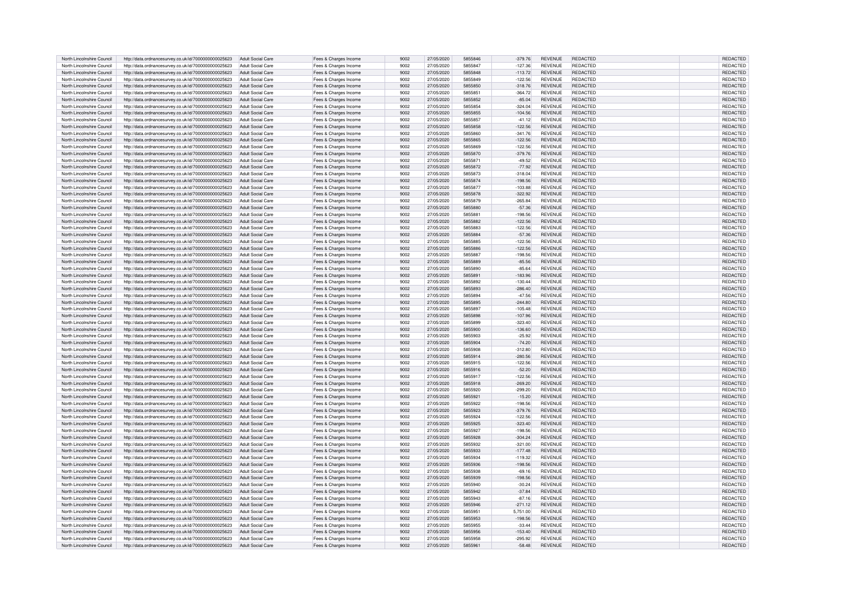|                            |                                                      |                          |                       |      |            | 5855846 |           |                |                 |                 |
|----------------------------|------------------------------------------------------|--------------------------|-----------------------|------|------------|---------|-----------|----------------|-----------------|-----------------|
| North Lincolnshire Council | http://data.ordnancesurvey.co.uk/id/7000000000025623 | Adult Social Care        | Fees & Charges Income | 9002 | 27/05/2020 |         | $-379.76$ | <b>REVENUE</b> | <b>REDACTED</b> | <b>REDACTED</b> |
| North Lincolnshire Council | http://data.ordnancesurvey.co.uk/id/7000000000025623 | Adult Social Care        | Fees & Charges Income | 9002 | 27/05/2020 | 5855847 | $-127.36$ | <b>REVENUE</b> | <b>REDACTED</b> | <b>REDACTED</b> |
| North Lincolnshire Council | http://data.ordnancesurvey.co.uk/id/7000000000025623 | Adult Social Care        | Fees & Charges Income | 9002 | 27/05/2020 | 5855848 | $-113.72$ | <b>REVENUE</b> | <b>REDACTED</b> | <b>REDACTED</b> |
| North Lincolnshire Council |                                                      | Adult Social Care        |                       | 9002 | 27/05/2020 | 5855849 | $-122.56$ | <b>REVENUE</b> | <b>REDACTED</b> | <b>REDACTE</b>  |
|                            | http://data.ordnancesurvey.co.uk/id/7000000000025623 |                          | Fees & Charges Income |      |            |         |           |                |                 |                 |
| North Lincolnshire Council | http://data.ordnancesurvey.co.uk/id/7000000000025623 | <b>Adult Social Care</b> | Fees & Charges Income | 9002 | 27/05/2020 | 5855850 | $-318.76$ | <b>REVENUE</b> | <b>REDACTED</b> | <b>REDACTED</b> |
| North Lincolnshire Council | http://data.ordnancesurvey.co.uk/id/7000000000025623 | <b>Adult Social Care</b> | Fees & Charges Income | 9002 | 27/05/2020 | 5855851 | $-364.72$ | <b>REVENUE</b> | <b>REDACTED</b> | <b>REDACTED</b> |
| North Lincolnshire Council | http://data.ordnancesurvey.co.uk/id/7000000000025623 | Adult Social Care        | Fees & Charges Income | 9002 | 27/05/2020 | 5855852 | $-85.04$  | <b>REVENUE</b> | <b>REDACTED</b> | REDACTED        |
|                            |                                                      |                          |                       |      |            |         |           |                |                 |                 |
| North Lincolnshire Council | http://data.ordnancesurvey.co.uk/id/7000000000025623 | <b>Adult Social Care</b> | Fees & Charges Income | 9002 | 27/05/2020 | 5855854 | $-324.04$ | <b>REVENUE</b> | <b>REDACTED</b> | <b>REDACTED</b> |
| North Lincolnshire Council | http://data.ordnancesurvey.co.uk/id/7000000000025623 | Adult Social Care        | Fees & Charges Income | 9002 | 27/05/2020 | 5855855 | $-104.56$ | <b>REVENUE</b> | <b>REDACTED</b> | <b>REDACTED</b> |
| North Lincolnshire Council | http://data.ordnancesurvey.co.uk/id/7000000000025623 | Adult Social Care        | Fees & Charges Income | 9002 | 27/05/2020 | 5855853 | $-41.12$  | <b>REVENUE</b> | <b>REDACTED</b> | <b>REDACTED</b> |
|                            |                                                      |                          |                       |      |            | 5855858 |           |                |                 |                 |
| North Lincolnshire Council | http://data.ordnancesurvey.co.uk/id/7000000000025623 | <b>Adult Social Care</b> | Fees & Charges Income | 9002 | 27/05/2020 |         | $-122.56$ | <b>REVENUE</b> | <b>REDACTED</b> | <b>REDACTED</b> |
| North Lincolnshire Council | http://data.ordnancesurvey.co.uk/id/7000000000025623 | Adult Social Care        | Fees & Charges Income | 9002 | 27/05/2020 | 5855860 | $-341.76$ | <b>REVENUE</b> | <b>REDACTED</b> | <b>REDACTED</b> |
| North Lincolnshire Council | http://data.ordnancesurvey.co.uk/id/7000000000025623 | <b>Adult Social Care</b> | Fees & Charges Income | 9002 | 27/05/2020 | 5855865 | $-122.56$ | <b>REVENUE</b> | <b>REDACTED</b> | REDACTED        |
|                            |                                                      |                          |                       |      |            | 5855869 |           |                |                 |                 |
| North Lincolnshire Council | http://data.ordnancesurvey.co.uk/id/7000000000025623 | Adult Social Care        | Fees & Charges Income | 9002 | 27/05/2020 |         | $-122.56$ | <b>REVENUE</b> | <b>REDACTED</b> | REDACTED        |
| North Lincolnshire Council | http://data.ordnancesurvey.co.uk/id/7000000000025623 | <b>Adult Social Care</b> | Fees & Charges Income | 9002 | 27/05/2020 | 5855870 | $-379.76$ | <b>REVENUE</b> | <b>REDACTED</b> | <b>REDACTED</b> |
| North Lincolnshire Council | http://data.ordnancesurvey.co.uk/id/7000000000025623 | Adult Social Care        | Fees & Charges Income | 9002 | 27/05/2020 | 585587  | $-49.52$  | <b>REVENUE</b> | <b>REDACTED</b> | <b>REDACTED</b> |
| North Lincolnshire Council | http://data.ordnancesurvey.co.uk/id/7000000000025623 | <b>Adult Social Care</b> | Fees & Charges Income | 9002 | 27/05/2020 | 5855872 | $-77.92$  | <b>REVENUE</b> | <b>REDACTED</b> | REDACTED        |
|                            |                                                      |                          |                       |      |            |         |           |                |                 |                 |
| North Lincolnshire Council | http://data.ordnancesurvey.co.uk/id/7000000000025623 | <b>Adult Social Care</b> | Fees & Charges Income | 9002 | 27/05/2020 | 5855873 | $-318.04$ | <b>REVENUE</b> | <b>REDACTED</b> | <b>REDACTED</b> |
| North Lincolnshire Council | http://data.ordnancesurvey.co.uk/id/7000000000025623 | Adult Social Care        | Fees & Charges Income | 9002 | 27/05/2020 | 5855874 | $-198.56$ | <b>REVENUE</b> | <b>REDACTED</b> | <b>REDACTED</b> |
| North Lincolnshire Council | http://data.ordnancesurvey.co.uk/id/7000000000025623 | Adult Social Care        | Fees & Charges Income | 9002 | 27/05/2020 | 5855877 | $-103.88$ | <b>REVENUE</b> | <b>REDACTED</b> | <b>REDACTED</b> |
|                            |                                                      |                          |                       |      |            |         |           |                |                 |                 |
| North Lincolnshire Council | http://data.ordnancesurvey.co.uk/id/7000000000025623 | Adult Social Care        | Fees & Charges Income | 9002 | 27/05/2020 | 5855878 | $-322.92$ | <b>REVENUE</b> | <b>REDACTED</b> | <b>REDACTED</b> |
| North Lincolnshire Council | http://data.ordnancesurvey.co.uk/id/7000000000025623 | Adult Social Care        | Fees & Charges Income | 9002 | 27/05/2020 | 5855879 | $-265.84$ | <b>REVENUE</b> | <b>REDACTED</b> | <b>REDACTED</b> |
| North Lincolnshire Council | http://data.ordnancesurvey.co.uk/id/7000000000025623 | Adult Social Care        | Fees & Charges Income | 9002 | 27/05/2020 | 5855880 | $-57.36$  | <b>REVENUE</b> | <b>REDACTED</b> | <b>REDACTED</b> |
|                            |                                                      |                          |                       | 9002 |            | 5855881 |           | <b>REVENUE</b> |                 |                 |
| North Lincolnshire Council | http://data.ordnancesurvey.co.uk/id/7000000000025623 | Adult Social Care        | Fees & Charges Income |      | 27/05/2020 |         | $-198.56$ |                | <b>REDACTED</b> | <b>REDACTED</b> |
| North Lincolnshire Council | http://data.ordnancesurvey.co.uk/id/7000000000025623 | Adult Social Care        | Fees & Charges Income | 9002 | 27/05/2020 | 5855882 | $-122.56$ | <b>REVENUE</b> | <b>REDACTED</b> | <b>REDACTED</b> |
| North Lincolnshire Council | http://data.ordnancesurvey.co.uk/id/7000000000025623 | Adult Social Care        | Fees & Charges Income | 9002 | 27/05/2020 | 5855883 | $-122.56$ | <b>REVENUE</b> | <b>REDACTED</b> | <b>REDACTED</b> |
| North Lincolnshire Council |                                                      | Adult Social Care        |                       | 9002 | 27/05/2020 | 5855884 | $-57.36$  | <b>REVENUE</b> | <b>REDACTED</b> |                 |
|                            | http://data.ordnancesurvey.co.uk/id/7000000000025623 |                          | Fees & Charges Income |      |            |         |           |                |                 | <b>REDACTED</b> |
| North Lincolnshire Council | http://data.ordnancesurvey.co.uk/id/7000000000025623 | <b>Adult Social Care</b> | Fees & Charges Income | 9002 | 27/05/2020 | 5855885 | $-122.56$ | REVENUE        | <b>REDACTED</b> | REDACTED        |
| North Lincolnshire Council | http://data.ordnancesurvey.co.uk/id/7000000000025623 | Adult Social Care        | Fees & Charges Income | 9002 | 27/05/2020 | 5855886 | $-122.56$ | <b>REVENUE</b> | <b>REDACTED</b> | REDACTED        |
| North Lincolnshire Council | http://data.ordnancesurvey.co.uk/id/7000000000025623 | Adult Social Care        | Fees & Charges Income | 9002 | 27/05/2020 | 5855887 | $-198.56$ | <b>REVENUE</b> | <b>REDACTED</b> | REDACTED        |
|                            |                                                      |                          |                       |      |            |         |           |                |                 |                 |
| North Lincolnshire Council | http://data.ordnancesurvey.co.uk/id/7000000000025623 | <b>Adult Social Care</b> | Fees & Charges Income | 9002 | 27/05/2020 | 5855889 | $-85.56$  | <b>REVENUE</b> | <b>REDACTED</b> | <b>REDACTED</b> |
| North Lincolnshire Council | http://data.ordnancesurvey.co.uk/id/7000000000025623 | <b>Adult Social Care</b> | Fees & Charges Income | 9002 | 27/05/2020 | 5855890 | $-85.64$  | <b>REVENUE</b> | <b>REDACTED</b> | REDACTED        |
| North Lincolnshire Council | http://data.ordnancesurvey.co.uk/id/7000000000025623 | <b>Adult Social Care</b> | Fees & Charges Income | 9002 | 27/05/2020 | 5855891 | $-183.96$ | <b>REVENUE</b> | <b>REDACTED</b> | REDACTE         |
|                            |                                                      |                          |                       |      |            |         |           |                |                 |                 |
| North Lincolnshire Council | http://data.ordnancesurvey.co.uk/id/7000000000025623 | Adult Social Care        | Fees & Charges Income | 9002 | 27/05/2020 | 5855892 | $-130.44$ | <b>REVENUE</b> | <b>REDACTED</b> | REDACTED        |
| North Lincolnshire Council | http://data.ordnancesurvey.co.uk/id/7000000000025623 | <b>Adult Social Care</b> | Fees & Charges Income | 9002 | 27/05/2020 | 5855893 | $-286.40$ | <b>REVENUE</b> | <b>REDACTED</b> | REDACTED        |
| North Lincolnshire Council | http://data.ordnancesurvey.co.uk/id/7000000000025623 | <b>Adult Social Care</b> | Fees & Charges Income | 9002 | 27/05/2020 | 5855894 | $-47.56$  | <b>REVENUE</b> | <b>REDACTED</b> | REDACTED        |
|                            |                                                      |                          |                       |      |            |         |           |                |                 |                 |
| North Lincolnshire Council | http://data.ordnancesurvey.co.uk/id/7000000000025623 | <b>Adult Social Care</b> | Fees & Charges Income | 9002 | 27/05/2020 | 5855895 | $-244.80$ | <b>REVENUE</b> | <b>REDACTED</b> | REDACTED        |
| North Lincolnshire Council | http://data.ordnancesurvey.co.uk/id/7000000000025623 | <b>Adult Social Care</b> | Fees & Charges Income | 9002 | 27/05/2020 | 5855897 | $-105.48$ | <b>REVENUE</b> | <b>REDACTED</b> | <b>REDACTED</b> |
| North Lincolnshire Council | http://data.ordnancesurvey.co.uk/id/7000000000025623 | Adult Social Care        | Fees & Charges Income | 9002 | 27/05/2020 | 5855898 | $-107.96$ | <b>REVENUE</b> | <b>REDACTED</b> | REDACTED        |
| North Lincolnshire Council | http://data.ordnancesurvey.co.uk/id/7000000000025623 | <b>Adult Social Care</b> | Fees & Charges Income | 9002 | 27/05/2020 | 5855899 | $-323.40$ | <b>REVENUE</b> | <b>REDACTED</b> | REDACTED        |
|                            |                                                      |                          |                       |      |            |         |           |                |                 |                 |
| North Lincolnshire Council | http://data.ordnancesurvey.co.uk/id/7000000000025623 | Adult Social Care        | Fees & Charges Income | 9002 | 27/05/2020 | 5855900 | $-136.60$ | <b>REVENUE</b> | <b>REDACTED</b> | <b>REDACTED</b> |
| North Lincolnshire Council | http://data.ordnancesurvev.co.uk/id/7000000000025623 | Adult Social Care        | Fees & Charges Income | 9002 | 27/05/2020 | 5855903 | $-25.92$  | <b>REVENUE</b> | <b>REDACTED</b> | <b>REDACTED</b> |
| North Lincolnshire Council | http://data.ordnancesurvey.co.uk/id/7000000000025623 | Adult Social Care        |                       | 9002 | 27/05/2020 | 5855904 | $-74.20$  | <b>REVENUE</b> | <b>REDACTED</b> | <b>REDACTE</b>  |
|                            |                                                      |                          | Fees & Charges Income |      |            |         |           |                |                 |                 |
| North Lincolnshire Council | http://data.ordnancesurvey.co.uk/id/7000000000025623 | <b>Adult Social Care</b> | Fees & Charges Income | 9002 | 27/05/2020 | 5855908 | $-312.80$ | <b>REVENUE</b> | <b>REDACTED</b> | <b>REDACTED</b> |
| North Lincolnshire Council | http://data.ordnancesurvey.co.uk/id/7000000000025623 | Adult Social Care        | Fees & Charges Income | 9002 | 27/05/2020 | 5855914 | $-280.56$ | <b>REVENUE</b> | <b>REDACTED</b> | <b>REDACTE</b>  |
| North Lincolnshire Council | http://data.ordnancesurvey.co.uk/id/7000000000025623 | Adult Social Care        | Fees & Charges Income | 9002 | 27/05/2020 | 5855915 | $-122.56$ | <b>REVENUE</b> | <b>REDACTED</b> | <b>REDACTE</b>  |
|                            |                                                      |                          |                       |      |            |         |           |                |                 |                 |
| North Lincolnshire Council | http://data.ordnancesurvey.co.uk/id/7000000000025623 | <b>Adult Social Care</b> | Fees & Charges Income | 9002 | 27/05/2020 | 5855916 | $-52.20$  | <b>REVENUE</b> | <b>REDACTED</b> | <b>REDACTEI</b> |
| North Lincolnshire Council | http://data.ordnancesurvev.co.uk/id/7000000000025623 | <b>Adult Social Care</b> | Fees & Charges Income | 9002 | 27/05/2020 | 5855917 | $-122.56$ | <b>REVENUE</b> | <b>REDACTED</b> | REDACTEI        |
| North Lincolnshire Council | http://data.ordnancesurvey.co.uk/id/7000000000025623 | Adult Social Care        | Fees & Charges Income | 9002 | 27/05/2020 | 5855918 | $-269.20$ | <b>REVENUE</b> | <b>REDACTED</b> | <b>REDACTEI</b> |
| North Lincolnshire Council | http://data.ordnancesurvey.co.uk/id/7000000000025623 | Adult Social Care        | Fees & Charges Income | 9002 | 27/05/2020 | 5855920 | $-299.20$ | <b>REVENUE</b> | <b>REDACTED</b> | <b>REDACTE</b>  |
|                            |                                                      |                          |                       |      |            |         |           |                |                 |                 |
| North Lincolnshire Council | http://data.ordnancesurvey.co.uk/id/7000000000025623 | Adult Social Care        | Fees & Charges Income | 9002 | 27/05/2020 | 5855921 | $-15.20$  | <b>REVENUE</b> | <b>REDACTED</b> | REDACTED        |
| North Lincolnshire Council | http://data.ordnancesurvey.co.uk/id/7000000000025623 | <b>Adult Social Care</b> | Fees & Charges Income | 9002 | 27/05/2020 | 5855922 | $-198.56$ | <b>REVENUE</b> | <b>REDACTED</b> | <b>REDACTED</b> |
| North Lincolnshire Council | http://data.ordnancesurvey.co.uk/id/7000000000025623 | Adult Social Care        | Fees & Charges Income | 9002 | 27/05/2020 | 5855923 | $-379.76$ | <b>REVENUE</b> | <b>REDACTED</b> | <b>REDACTED</b> |
|                            |                                                      |                          |                       |      |            |         |           |                |                 |                 |
| North Lincolnshire Council | http://data.ordnancesurvey.co.uk/id/7000000000025623 | Adult Social Care        | Fees & Charges Income | 9002 | 27/05/2020 | 5855924 | $-122.56$ | <b>REVENUE</b> | <b>REDACTED</b> | REDACTED        |
| North Lincolnshire Council | http://data.ordnancesurvey.co.uk/id/7000000000025623 | Adult Social Care        | Fees & Charges Income | 9002 | 27/05/2020 | 5855925 | $-323.40$ | <b>REVENUE</b> | <b>REDACTED</b> | <b>REDACTED</b> |
| North Lincolnshire Council | http://data.ordnancesurvey.co.uk/id/7000000000025623 | <b>Adult Social Care</b> | Fees & Charges Income | 9002 | 27/05/2020 | 5855927 | $-198.56$ | REVENUE        | <b>REDACTED</b> | <b>REDACTED</b> |
| North Lincolnshire Council |                                                      | <b>Adult Social Care</b> |                       | 9002 | 27/05/2020 | 5855928 | $-304.24$ | <b>REVENUE</b> | <b>REDACTED</b> | REDACTED        |
|                            | http://data.ordnancesurvey.co.uk/id/7000000000025623 |                          | Fees & Charges Income |      |            |         |           |                |                 |                 |
| North Lincolnshire Council | http://data.ordnancesurvey.co.uk/id/7000000000025623 | <b>Adult Social Care</b> | Fees & Charges Income | 9002 | 27/05/2020 | 5855932 | $-321.00$ | <b>REVENUE</b> | <b>REDACTED</b> | REDACTED        |
| North Lincolnshire Council | http://data.ordnancesurvey.co.uk/id/7000000000025623 | <b>Adult Social Care</b> | Fees & Charges Income | 9002 | 27/05/2020 | 5855933 | $-177.48$ | <b>REVENUE</b> | <b>REDACTED</b> | REDACTED        |
| North Lincolnshire Council | http://data.ordnancesurvey.co.uk/id/7000000000025623 | <b>Adult Social Care</b> | Fees & Charges Income | 9002 | 27/05/2020 | 5855934 | $-119.32$ | <b>REVENUE</b> | <b>REDACTED</b> | REDACTED        |
|                            |                                                      |                          |                       |      |            |         |           |                |                 |                 |
| North Lincolnshire Council | http://data.ordnancesurvey.co.uk/id/7000000000025623 | Adult Social Care        | Fees & Charges Income | 9002 | 27/05/2020 | 5855936 | $-198.56$ | <b>REVENUE</b> | <b>REDACTED</b> | <b>REDACTED</b> |
| North Lincolnshire Council | http://data.ordnancesurvey.co.uk/id/7000000000025623 | Adult Social Care        | Fees & Charges Income | 9002 | 27/05/2020 | 5855938 | $-69.16$  | <b>REVENUE</b> | <b>REDACTED</b> | <b>REDACTED</b> |
| North Lincolnshire Council | http://data.ordnancesurvey.co.uk/id/7000000000025623 | <b>Adult Social Care</b> | Fees & Charges Income | 9002 | 27/05/2020 | 5855939 | $-198.56$ | <b>REVENUE</b> | <b>REDACTED</b> | REDACTED        |
| North Lincolnshire Council | http://data.ordnancesurvey.co.uk/id/7000000000025623 | <b>Adult Social Care</b> | Fees & Charges Income | 9002 | 27/05/2020 | 5855940 | $-30.24$  | <b>REVENUE</b> | <b>REDACTED</b> | REDACTED        |
|                            |                                                      |                          |                       |      |            |         |           |                |                 |                 |
| North Lincolnshire Council | http://data.ordnancesurvey.co.uk/id/7000000000025623 | Adult Social Care        | Fees & Charges Income | 9002 | 27/05/2020 | 5855942 | $-37.84$  | <b>REVENUE</b> | <b>REDACTED</b> | <b>REDACTED</b> |
| North Lincolnshire Council | http://data.ordnancesurvey.co.uk/id/7000000000025623 | Adult Social Care        | Fees & Charges Income | 9002 | 27/05/2020 | 5855943 | $-87.16$  | <b>REVENUE</b> | <b>REDACTED</b> | <b>REDACTED</b> |
| North Lincolnshire Council | http://data.ordnancesurvey.co.uk/id/7000000000025623 | Adult Social Care        | Fees & Charges Income | 9002 | 27/05/2020 | 5855946 | $-271.12$ | <b>REVENUE</b> | <b>REDACTED</b> | REDACTED        |
|                            |                                                      |                          |                       |      |            |         |           |                |                 |                 |
| North Lincolnshire Council | http://data.ordnancesurvey.co.uk/id/7000000000025623 | Adult Social Care        | Fees & Charges Income | 9002 | 27/05/2020 | 5855951 | 5,751.00  | <b>REVENUE</b> | <b>REDACTED</b> | <b>REDACTED</b> |
| North Lincolnshire Council | http://data.ordnancesurvey.co.uk/id/7000000000025623 | Adult Social Care        | Fees & Charges Income | 9002 | 27/05/2020 | 5855953 | $-198.56$ | <b>REVENUE</b> | <b>REDACTED</b> | <b>REDACTED</b> |
| North Lincolnshire Council | http://data.ordnancesurvey.co.uk/id/7000000000025623 | Adult Social Care        | Fees & Charges Income | 9002 | 27/05/2020 | 5855955 | $-33.44$  | <b>REVENUE</b> | <b>REDACTED</b> | <b>REDACTED</b> |
|                            |                                                      |                          |                       |      |            |         |           |                |                 |                 |
| North Lincolnshire Council | http://data.ordnancesurvey.co.uk/id/7000000000025623 | Adult Social Care        | Fees & Charges Income | 9002 | 27/05/2020 | 5855956 | $-153.40$ | <b>REVENUE</b> | <b>REDACTED</b> | <b>REDACTED</b> |
| North Lincolnshire Council | http://data.ordnancesurvey.co.uk/id/7000000000025623 | Adult Social Care        | Fees & Charges Income | 9002 | 27/05/2020 | 5855958 | $-295.92$ | <b>REVENUE</b> | <b>REDACTED</b> | REDACTED        |
| North Lincolnshire Council | http://data.ordnancesurvey.co.uk/id/7000000000025623 | Adult Social Care        | Fees & Charges Income | 9002 | 27/05/2020 | 5855961 | $-58.48$  | <b>REVENUE</b> | <b>REDACTED</b> | REDACTED        |
|                            |                                                      |                          |                       |      |            |         |           |                |                 |                 |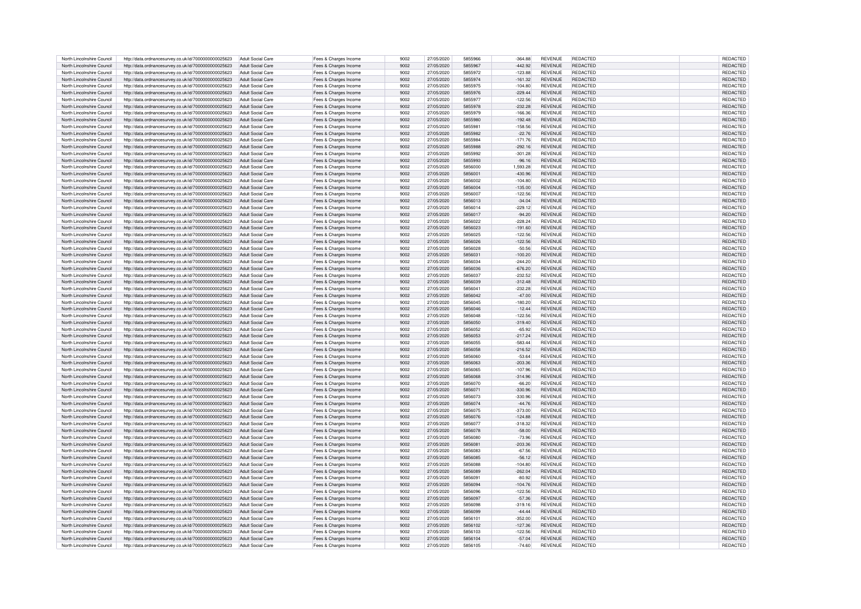| North Lincolnshire Council | http://data.ordnancesurvey.co.uk/id/7000000000025623 | Adult Social Care        | Fees & Charges Income | 9002 | 27/05/2020 | 5855966        | $-364.88$ | <b>REVENUE</b> | REDACTED        | <b>REDACTED</b> |  |
|----------------------------|------------------------------------------------------|--------------------------|-----------------------|------|------------|----------------|-----------|----------------|-----------------|-----------------|--|
|                            |                                                      |                          |                       |      |            |                |           |                |                 |                 |  |
| North Lincolnshire Council | http://data.ordnancesurvey.co.uk/id/7000000000025623 | Adult Social Care        | Fees & Charges Income | 9002 | 27/05/2020 | 5855967        | $-442.92$ | <b>REVENUE</b> | REDACTED        | <b>REDACTED</b> |  |
| North Lincolnshire Council | http://data.ordnancesurvey.co.uk/id/7000000000025623 | Adult Social Care        | Fees & Charges Income | 9002 | 27/05/2020 | 5855972        | $-123.88$ | <b>REVENUE</b> | <b>REDACTED</b> | <b>REDACTE</b>  |  |
| North Lincolnshire Council | http://data.ordnancesurvey.co.uk/id/7000000000025623 | Adult Social Care        | Fees & Charges Income | 9002 | 27/05/2020 | 5855974        | $-161.32$ | <b>REVENUE</b> | <b>REDACTED</b> | <b>REDACTE</b>  |  |
|                            |                                                      |                          |                       |      |            |                |           |                |                 |                 |  |
| North Lincolnshire Council | http://data.ordnancesurvey.co.uk/id/7000000000025623 | <b>Adult Social Care</b> | Fees & Charges Income | 9002 | 27/05/2020 | 5855975        | $-104.80$ | REVENUE        | REDACTED        | <b>REDACTED</b> |  |
| North Lincolnshire Council | http://data.ordnancesurvey.co.uk/id/7000000000025623 | Adult Social Care        | Fees & Charges Income | 9002 | 27/05/2020 | 5855976        | $-229.44$ | <b>REVENUE</b> | REDACTED        | <b>REDACTED</b> |  |
| North Lincolnshire Council | http://data.ordnancesurvey.co.uk/id/7000000000025623 | Adult Social Care        | Fees & Charges Income | 9002 | 27/05/2020 | 5855977        | $-122.56$ | <b>REVENUE</b> | REDACTED        | <b>REDACTED</b> |  |
| North Lincolnshire Council |                                                      | Adult Social Care        |                       | 9002 | 27/05/2020 | 5855978        | $-232.28$ | <b>REVENUE</b> | <b>REDACTED</b> | <b>REDACTED</b> |  |
|                            | http://data.ordnancesurvey.co.uk/id/7000000000025623 |                          | Fees & Charges Income |      |            |                |           |                |                 |                 |  |
| North Lincolnshire Council | http://data.ordnancesurvey.co.uk/id/7000000000025623 | Adult Social Care        | Fees & Charges Income | 9002 | 27/05/2020 | 5855979        | $-166.36$ | <b>REVENUE</b> | <b>REDACTED</b> | <b>REDACTED</b> |  |
| North Lincolnshire Council | http://data.ordnancesurvey.co.uk/id/7000000000025623 | <b>Adult Social Care</b> | Fees & Charges Income | 9002 | 27/05/2020 | 5855980        | $-192.48$ | <b>REVENUE</b> | <b>REDACTED</b> | <b>REDACTED</b> |  |
| North Lincolnshire Council | http://data.ordnancesurvey.co.uk/id/7000000000025623 | Adult Social Care        | Fees & Charges Income | 9002 | 27/05/2020 | <b>5855981</b> | $-158.56$ | <b>REVENUE</b> | <b>REDACTED</b> | <b>REDACTED</b> |  |
|                            |                                                      |                          |                       |      |            |                |           |                |                 |                 |  |
| North Lincolnshire Council | http://data.ordnancesurvey.co.uk/id/7000000000025623 | Adult Social Care        | Fees & Charges Income | 9002 | 27/05/2020 | 5855982        | $-22.76$  | <b>REVENUE</b> | <b>REDACTED</b> | <b>REDACTED</b> |  |
| North Lincolnshire Council | http://data.ordnancesurvey.co.uk/id/7000000000025623 | Adult Social Care        | Fees & Charges Income | 9002 | 27/05/2020 | 5855984        | $-171.76$ | REVENUE        | REDACTED        | REDACTED        |  |
| North Lincolnshire Council | http://data.ordnancesurvey.co.uk/id/7000000000025623 | <b>Adult Social Care</b> | Fees & Charges Income | 9002 | 27/05/2020 | 5855988        | $-292.16$ | <b>REVENUE</b> | REDACTED        | <b>REDACTED</b> |  |
| North Lincolnshire Council | http://data.ordnancesurvey.co.uk/id/7000000000025623 | Adult Social Care        | Fees & Charges Income | 9002 | 27/05/2020 | 5855992        | 301.28    | <b>REVENUE</b> | <b>REDACTED</b> | <b>REDACTED</b> |  |
|                            |                                                      |                          |                       |      |            |                |           |                |                 |                 |  |
| North Lincolnshire Council | http://data.ordnancesurvey.co.uk/id/7000000000025623 | Adult Social Care        | Fees & Charges Income | 9002 | 27/05/2020 | 5855993        | $-96.16$  | <b>REVENUE</b> | <b>REDACTED</b> | <b>REDACTED</b> |  |
| North Lincolnshire Council | http://data.ordnancesurvey.co.uk/id/7000000000025623 | <b>Adult Social Care</b> | Fees & Charges Income | 9002 | 27/05/2020 | 5856000        | 1,593.28  | <b>REVENUE</b> | REDACTED        | REDACTED        |  |
| North Lincolnshire Council | http://data.ordnancesurvey.co.uk/id/7000000000025623 | Adult Social Care        | Fees & Charges Income | 9002 | 27/05/2020 | 585600         | $-430.96$ | <b>REVENUE</b> | REDACTED        | <b>REDACTED</b> |  |
| North Lincolnshire Council |                                                      | Adult Social Care        |                       | 9002 | 27/05/2020 | 5856002        | $-104.80$ | <b>REVENUE</b> | REDACTED        | REDACTED        |  |
|                            | http://data.ordnancesurvey.co.uk/id/7000000000025623 |                          | Fees & Charges Income |      |            |                |           |                |                 |                 |  |
| North Lincolnshire Council | http://data.ordnancesurvey.co.uk/id/7000000000025623 | Adult Social Care        | Fees & Charges Income | 9002 | 27/05/2020 | 5856004        | $-135.00$ | <b>REVENUE</b> | <b>REDACTED</b> | REDACTED        |  |
| North Lincolnshire Council | http://data.ordnancesurvey.co.uk/id/7000000000025623 | Adult Social Care        | Fees & Charges Income | 9002 | 27/05/2020 | 5856007        | $-122.56$ | <b>REVENUE</b> | <b>REDACTED</b> | <b>REDACTED</b> |  |
| North Lincolnshire Council | http://data.ordnancesurvey.co.uk/id/7000000000025623 | Adult Social Care        | Fees & Charges Income | 9002 | 27/05/2020 | 5856013        | $-34.04$  | <b>REVENUE</b> | REDACTED        | REDACTED        |  |
|                            |                                                      |                          |                       |      |            |                |           |                |                 |                 |  |
| North Lincolnshire Council | http://data.ordnancesurvey.co.uk/id/7000000000025623 | Adult Social Care        | Fees & Charges Income | 9002 | 27/05/2020 | 5856014        | $-229.12$ | <b>REVENUE</b> | REDACTED        | <b>REDACTED</b> |  |
| North Lincolnshire Council | http://data.ordnancesurvey.co.uk/id/7000000000025623 | <b>Adult Social Care</b> | Fees & Charges Income | 9002 | 27/05/2020 | 5856017        | $-94.20$  | REVENUE        | REDACTED        | REDACTED        |  |
| North Lincolnshire Council | http://data.ordnancesurvey.co.uk/id/7000000000025623 | Adult Social Care        | Fees & Charges Income | 9002 | 27/05/2020 | 5856022        | $-228.24$ | <b>REVENUE</b> | REDACTED        | <b>REDACTED</b> |  |
| North Lincolnshire Council | http://data.ordnancesurvey.co.uk/id/7000000000025623 | Adult Social Care        | Fees & Charges Income | 9002 | 27/05/2020 | 5856023        | $-191.60$ | <b>REVENUE</b> | <b>REDACTED</b> | <b>REDACTED</b> |  |
|                            |                                                      |                          |                       |      |            |                |           |                |                 |                 |  |
| North Lincolnshire Council | http://data.ordnancesurvey.co.uk/id/7000000000025623 | Adult Social Care        | Fees & Charges Income | 9002 | 27/05/2020 | 5856025        | $-122.56$ | <b>REVENUE</b> | <b>REDACTED</b> | <b>REDACTED</b> |  |
| North Lincolnshire Council | http://data.ordnancesurvey.co.uk/id/7000000000025623 | Adult Social Care        | Fees & Charges Income | 9002 | 27/05/2020 | 5856026        | $-122.56$ | <b>REVENUE</b> | REDACTED        | REDACTED        |  |
| North Lincolnshire Council | http://data.ordnancesurvey.co.uk/id/7000000000025623 | Adult Social Care        | Fees & Charges Income | 9002 | 27/05/2020 | 5856028        | $-50.56$  | <b>REVENUE</b> | REDACTED        | REDACTED        |  |
| North Lincolnshire Council | http://data.ordnancesurvey.co.uk/id/7000000000025623 | Adult Social Care        | Fees & Charges Income | 9002 | 27/05/2020 | 5856031        | $-100.20$ | <b>REVENUE</b> | <b>REDACTED</b> | REDACTED        |  |
|                            |                                                      |                          |                       |      |            |                |           |                |                 |                 |  |
| North Lincolnshire Council | http://data.ordnancesurvey.co.uk/id/7000000000025623 | Adult Social Care        | Fees & Charges Income | 9002 | 27/05/2020 | 5856034        | $-244.20$ | <b>REVENUE</b> | <b>REDACTED</b> | <b>REDACTED</b> |  |
| North Lincolnshire Council | http://data.ordnancesurvey.co.uk/id/7000000000025623 | <b>Adult Social Care</b> | Fees & Charges Income | 9002 | 27/05/2020 | 5856036        | $-676.20$ | <b>REVENUE</b> | <b>REDACTED</b> | REDACTED        |  |
| North Lincolnshire Council | http://data.ordnancesurvey.co.uk/id/7000000000025623 | Adult Social Care        | Fees & Charges Income | 9002 | 27/05/2020 | 5856037        | $-232.52$ | <b>REVENUE</b> | REDACTED        | <b>REDACTED</b> |  |
| North Lincolnshire Council | http://data.ordnancesurvey.co.uk/id/7000000000025623 | Adult Social Care        | Fees & Charges Income | 9002 | 27/05/2020 | 5856039        | $-312.48$ | <b>REVENUE</b> | <b>REDACTED</b> | REDACTED        |  |
|                            |                                                      |                          |                       |      |            |                |           |                |                 |                 |  |
| North Lincolnshire Council | http://data.ordnancesurvey.co.uk/id/7000000000025623 | Adult Social Care        | Fees & Charges Income | 9002 | 27/05/2020 | 5856041        | 232.28    | <b>REVENUE</b> | REDACTED        | REDACTED        |  |
| North Lincolnshire Council | http://data.ordnancesurvey.co.uk/id/7000000000025623 | <b>Adult Social Care</b> | Fees & Charges Income | 9002 | 27/05/2020 | 5856042        | $-47.00$  | <b>REVENUE</b> | <b>REDACTED</b> | <b>REDACTED</b> |  |
| North Lincolnshire Council | http://data.ordnancesurvey.co.uk/id/7000000000025623 | Adult Social Care        | Fees & Charges Income | 9002 | 27/05/2020 | 5856045        | $-180.20$ | <b>REVENUE</b> | REDACTED        | REDACTE         |  |
| North Lincolnshire Council | http://data.ordnancesurvey.co.uk/id/7000000000025623 | <b>Adult Social Care</b> | Fees & Charges Income | 9002 | 27/05/2020 | 5856046        | $-12.44$  | <b>REVENUE</b> | <b>REDACTED</b> | <b>REDACTED</b> |  |
|                            |                                                      |                          |                       |      |            |                |           |                |                 |                 |  |
| North Lincolnshire Council | http://data.ordnancesurvey.co.uk/id/7000000000025623 | Adult Social Care        | Fees & Charges Income | 9002 | 27/05/2020 | 5856048        | $-122.56$ | <b>REVENUE</b> | <b>REDACTED</b> | <b>REDACTED</b> |  |
| North Lincolnshire Council | http://data.ordnancesurvey.co.uk/id/7000000000025623 | Adult Social Care        | Fees & Charges Income | 9002 | 27/05/2020 | 5856050        | $-319.40$ | <b>REVENUE</b> | REDACTED        | REDACTED        |  |
| North Lincolnshire Council | http://data.ordnancesurvey.co.uk/id/7000000000025623 | Adult Social Care        | Fees & Charges Income | 9002 | 27/05/2020 | 5856052        | $-65.92$  | <b>REVENUE</b> | REDACTED        | <b>REDACTED</b> |  |
| North Lincolnshire Council | http://data.ordnancesurvey.co.uk/id/7000000000025623 | Adult Social Care        |                       | 9002 | 27/05/2020 | 5856053        | $-217.24$ | <b>REVENUE</b> | <b>REDACTED</b> | REDACTED        |  |
|                            |                                                      |                          | Fees & Charges Income |      |            |                |           |                |                 |                 |  |
| North Lincolnshire Council | http://data.ordnancesurvey.co.uk/id/7000000000025623 | Adult Social Care        | Fees & Charges Income | 9002 | 27/05/2020 | 5856055        | $-583.44$ | <b>REVENUE</b> | <b>REDACTED</b> | <b>REDACTE</b>  |  |
| North Lincolnshire Council | http://data.ordnancesurvey.co.uk/id/7000000000025623 | Adult Social Care        | Fees & Charges Income | 9002 | 27/05/2020 | 5856058        | $-216.52$ | <b>REVENUE</b> | <b>REDACTED</b> | <b>REDACTEI</b> |  |
| North Lincolnshire Council | http://data.ordnancesurvey.co.uk/id/7000000000025623 | Adult Social Care        | Fees & Charges Income | 9002 | 27/05/2020 | 5856060        | $-53.64$  | <b>REVENUE</b> | REDACTED        | <b>REDACTE</b>  |  |
| North Lincolnshire Council | http://data.ordnancesurvey.co.uk/id/7000000000025623 | <b>Adult Social Care</b> | Fees & Charges Income | 9002 | 27/05/2020 | 5856063        | $-203.36$ | <b>REVENUE</b> | REDACTED        | REDACTE         |  |
|                            |                                                      |                          |                       |      |            |                |           |                |                 |                 |  |
| North Lincolnshire Council | http://data.ordnancesurvey.co.uk/id/7000000000025623 | Adult Social Care        | Fees & Charges Income | 9002 | 27/05/2020 | 5856065        | $-107.96$ | <b>REVENUE</b> | REDACTED        | <b>REDACTEI</b> |  |
| North Lincolnshire Council | http://data.ordnancesurvey.co.uk/id/7000000000025623 | Adult Social Care        | Fees & Charges Income | 9002 | 27/05/2020 | 5856068        | $-314.96$ | <b>REVENUE</b> | <b>REDACTED</b> | REDACTE         |  |
| North Lincolnshire Council | http://data.ordnancesurvey.co.uk/id/7000000000025623 | Adult Social Care        | Fees & Charges Income | 9002 | 27/05/2020 | 5856070        | $-66.20$  | REVENUE        | REDACTED        | <b>REDACTE</b>  |  |
| North Lincolnshire Council | http://data.ordnancesurvey.co.uk/id/7000000000025623 | Adult Social Care        | Fees & Charges Income | 9002 | 27/05/2020 | 585607         | $-330.96$ | <b>REVENUE</b> | <b>REDACTED</b> | <b>REDACTE</b>  |  |
|                            |                                                      |                          |                       |      |            |                |           |                |                 |                 |  |
| North Lincolnshire Council | http://data.ordnancesurvey.co.uk/id/7000000000025623 | Adult Social Care        | Fees & Charges Income | 9002 | 27/05/2020 | 5856073        | 330.96    | <b>REVENUE</b> | REDACTED        | REDACTED        |  |
| North Lincolnshire Council | http://data.ordnancesurvey.co.uk/id/7000000000025623 | Adult Social Care        | Fees & Charges Income | 9002 | 27/05/2020 | 5856074        | $-44.76$  | <b>REVENUE</b> | REDACTED        | <b>REDACTED</b> |  |
| North Lincolnshire Council | http://data.ordnancesurvey.co.uk/id/7000000000025623 | Adult Social Care        | Fees & Charges Income | 9002 | 27/05/2020 | 5856075        | $-373.00$ | <b>REVENUE</b> | <b>REDACTED</b> | <b>REDACTED</b> |  |
| North Lincolnshire Council | http://data.ordnancesurvey.co.uk/id/7000000000025623 | Adult Social Care        |                       | 9002 | 27/05/2020 | 5856076        | $-124.88$ | <b>REVENUE</b> | <b>REDACTED</b> | <b>REDACTED</b> |  |
|                            |                                                      |                          | Fees & Charges Income |      |            |                |           |                |                 |                 |  |
| North Lincolnshire Council | http://data.ordnancesurvey.co.uk/id/7000000000025623 | Adult Social Care        | Fees & Charges Income | 9002 | 27/05/2020 | 5856077        | $-318.32$ | <b>REVENUE</b> | <b>REDACTED</b> | <b>REDACTED</b> |  |
| North Lincolnshire Council | http://data.ordnancesurvey.co.uk/id/7000000000025623 | Adult Social Care        | Fees & Charges Income | 9002 | 27/05/2020 | 5856078        | $-58.00$  | <b>REVENUE</b> | <b>REDACTED</b> | REDACTED        |  |
| North Lincolnshire Council | http://data.ordnancesurvey.co.uk/id/7000000000025623 | Adult Social Care        | Fees & Charges Income | 9002 | 27/05/2020 | 5856080        | $-73.96$  | <b>REVENUE</b> | REDACTED        | <b>REDACTED</b> |  |
| North Lincolnshire Council | http://data.ordnancesurvey.co.uk/id/7000000000025623 | Adult Social Care        | Fees & Charges Income | 9002 | 27/05/2020 | 5856081        | 203.36    | <b>REVENUE</b> | REDACTED        | REDACTED        |  |
|                            |                                                      |                          |                       |      |            |                |           |                |                 |                 |  |
| North Lincolnshire Council | http://data.ordnancesurvey.co.uk/id/7000000000025623 | Adult Social Care        | Fees & Charges Income | 9002 | 27/05/2020 | 5856083        | $-67.56$  | <b>REVENUE</b> | REDACTED        | <b>REDACTED</b> |  |
| North Lincolnshire Council | http://data.ordnancesurvey.co.uk/id/7000000000025623 | Adult Social Care        | Fees & Charges Income | 9002 | 27/05/2020 | 5856085        | $-56.12$  | <b>REVENUE</b> | <b>REDACTED</b> | REDACTED        |  |
| North Lincolnshire Council | http://data.ordnancesurvey.co.uk/id/7000000000025623 | <b>Adult Social Care</b> | Fees & Charges Income | 9002 | 27/05/2020 | 5856088        | $-104.80$ | <b>REVENUE</b> | <b>REDACTED</b> | <b>REDACTED</b> |  |
| North Lincolnshire Council | http://data.ordnancesurvey.co.uk/id/7000000000025623 | Adult Social Care        | Fees & Charges Income | 9002 | 27/05/2020 | 5856089        | $-262.04$ | <b>REVENUE</b> | <b>REDACTED</b> | <b>REDACTED</b> |  |
|                            |                                                      |                          |                       |      |            |                |           |                |                 |                 |  |
| North Lincolnshire Council | http://data.ordnancesurvev.co.uk/id/7000000000025623 | Adult Social Care        | Fees & Charges Income | 9002 | 27/05/2020 | 5856091        | $-80.92$  | <b>REVENUE</b> | REDACTED        | <b>REDACTED</b> |  |
| North Lincolnshire Council | http://data.ordnancesurvey.co.uk/id/7000000000025623 | <b>Adult Social Care</b> | Fees & Charges Income | 9002 | 27/05/2020 | 5856094        | $-104.76$ | <b>REVENUE</b> | REDACTED        | <b>REDACTED</b> |  |
| North Lincolnshire Council | http://data.ordnancesurvey.co.uk/id/7000000000025623 | Adult Social Care        | Fees & Charges Income | 9002 | 27/05/2020 | 5856096        | $-122.56$ | <b>REVENUE</b> | <b>REDACTED</b> | <b>REDACTED</b> |  |
| North Lincolnshire Council | http://data.ordnancesurvey.co.uk/id/7000000000025623 | Adult Social Care        | Fees & Charges Income | 9002 | 27/05/2020 | 5856097        | $-57.36$  | <b>REVENUE</b> | REDACTED        | <b>REDACTED</b> |  |
|                            |                                                      |                          |                       |      |            |                |           |                |                 |                 |  |
| North Lincolnshire Council | http://data.ordnancesurvey.co.uk/id/7000000000025623 | Adult Social Care        | Fees & Charges Income | 9002 | 27/05/2020 | 5856098        | $-319.16$ | <b>REVENUE</b> | <b>REDACTED</b> | <b>REDACTED</b> |  |
| North Lincolnshire Council | http://data.ordnancesurvey.co.uk/id/7000000000025623 | <b>Adult Social Care</b> | Fees & Charges Income | 9002 | 27/05/2020 | 5856099        | $-44.44$  | <b>REVENUE</b> | <b>REDACTED</b> | <b>REDACTED</b> |  |
| North Lincolnshire Council | http://data.ordnancesurvey.co.uk/id/7000000000025623 | Adult Social Care        | Fees & Charges Income | 9002 | 27/05/2020 | 5856101        | $-352.00$ | <b>REVENUE</b> | REDACTED        | <b>REDACTED</b> |  |
| North Lincolnshire Council | http://data.ordnancesurvey.co.uk/id/7000000000025623 | Adult Social Care        | Fees & Charges Income | 9002 | 27/05/2020 | 5856102        | $-127.36$ | <b>REVENUE</b> | REDACTED        | <b>REDACTED</b> |  |
| North Lincolnshire Council |                                                      | Adult Social Care        |                       | 9002 | 27/05/2020 | 5856103        | $-122.56$ | <b>REVENUE</b> | <b>REDACTED</b> | <b>REDACTED</b> |  |
|                            | http://data.ordnancesurvey.co.uk/id/7000000000025623 |                          | Fees & Charges Income |      |            |                |           |                |                 |                 |  |
| North Lincolnshire Council | http://data.ordnancesurvey.co.uk/id/7000000000025623 | Adult Social Care        | Fees & Charges Income | 9002 | 27/05/2020 | 5856104        | $-57.04$  | <b>REVENUE</b> | <b>REDACTED</b> | REDACTED        |  |
| North Lincolnshire Council | http://data.ordnancesurvey.co.uk/id/7000000000025623 | Adult Social Care        | Fees & Charges Income | 9002 | 27/05/2020 | 5856105        | $-74.60$  | <b>REVENUE</b> | <b>REDACTED</b> | REDACTED        |  |
|                            |                                                      |                          |                       |      |            |                |           |                |                 |                 |  |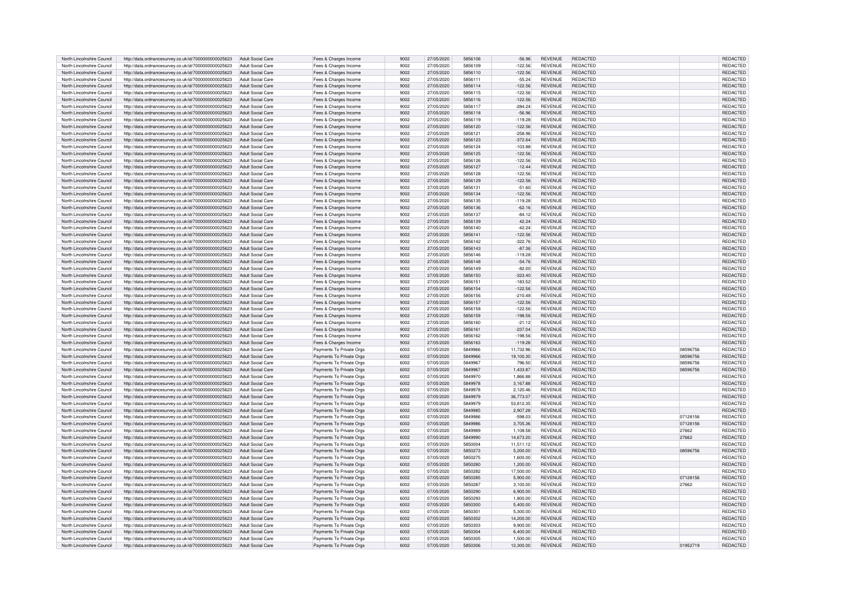| North Lincolnshire Council | http://data.ordnancesurvey.co.uk/id/7000000000025623 | <b>Adult Social Care</b> | Fees & Charges Income    | 9002 | 27/05/2020 | 5856106 | $-56.96$  | <b>REVENUE</b> | REDACTED        |          | REDACTED        |
|----------------------------|------------------------------------------------------|--------------------------|--------------------------|------|------------|---------|-----------|----------------|-----------------|----------|-----------------|
| North Lincolnshire Council | http://data.ordnancesurvey.co.uk/id/7000000000025623 | Adult Social Care        | Fees & Charges Income    | 9002 | 27/05/2020 | 5856109 | $-122.56$ | <b>REVENUE</b> | <b>REDACTED</b> |          | REDACTED        |
| North Lincolnshire Council | http://data.ordnancesurvey.co.uk/id/7000000000025623 | Adult Social Care        | Fees & Charges Income    | 9002 | 27/05/2020 | 5856110 | $-122.56$ | <b>REVENUE</b> | REDACTED        |          | REDACTED        |
| North Lincolnshire Council | http://data.ordnancesurvey.co.uk/id/7000000000025623 | Adult Social Care        | Fees & Charges Income    | 9002 | 27/05/2020 | 5856111 | $-55.24$  | <b>REVENUE</b> | <b>REDACTED</b> |          | <b>REDACTED</b> |
| North Lincolnshire Council |                                                      | Adult Social Care        |                          | 9002 | 27/05/2020 | 5856114 | $-122.56$ | <b>REVENUE</b> | REDACTED        |          | REDACTEI        |
|                            | http://data.ordnancesurvey.co.uk/id/7000000000025623 |                          | Fees & Charges Income    |      |            |         |           |                |                 |          |                 |
| North Lincolnshire Council | http://data.ordnancesurvey.co.uk/id/7000000000025623 | Adult Social Care        | Fees & Charges Income    | 9002 | 27/05/2020 | 5856115 | $-122.56$ | <b>REVENUE</b> | REDACTED        |          | REDACTE         |
| North Lincolnshire Council | http://data.ordnancesurvey.co.uk/id/7000000000025623 | Adult Social Care        | Fees & Charges Income    | 9002 | 27/05/2020 | 5856116 | $-122.56$ | <b>REVENUE</b> | <b>REDACTED</b> |          | <b>REDACTE</b>  |
| North Lincolnshire Council | http://data.ordnancesurvey.co.uk/id/7000000000025623 | Adult Social Care        | Fees & Charges Income    | 9002 | 27/05/2020 | 5856117 | 284.24    | <b>REVENUE</b> | REDACTED        |          | REDACTED        |
| North Lincolnshire Council | http://data.ordnancesurvey.co.uk/id/7000000000025623 | Adult Social Care        | Fees & Charges Income    | 9002 | 27/05/2020 | 5856118 | $-56.96$  | <b>REVENUE</b> | REDACTED        |          | REDACTED        |
| North Lincolnshire Council | http://data.ordnancesurvey.co.uk/id/7000000000025623 | Adult Social Care        | Fees & Charges Income    | 9002 | 27/05/2020 | 5856119 | $-119.28$ | <b>REVENUE</b> | <b>REDACTED</b> |          | <b>REDACTED</b> |
| North Lincolnshire Council | http://data.ordnancesurvey.co.uk/id/7000000000025623 | Adult Social Care        | Fees & Charges Income    | 9002 | 27/05/2020 | 5856120 | $-122.56$ | <b>REVENUE</b> | <b>REDACTED</b> |          | <b>REDACTED</b> |
| North Lincolnshire Council | http://data.ordnancesurvey.co.uk/id/7000000000025623 | Adult Social Care        | Fees & Charges Income    | 9002 | 27/05/2020 | 585612  | $-258.96$ | <b>REVENUE</b> | <b>REDACTED</b> |          | <b>REDACTED</b> |
| North Lincolnshire Council |                                                      | <b>Adult Social Care</b> |                          | 9002 | 27/05/2020 | 5856123 |           | <b>REVENUE</b> | <b>REDACTED</b> |          | <b>REDACTED</b> |
|                            | http://data.ordnancesurvey.co.uk/id/7000000000025623 |                          | Fees & Charges Income    |      |            |         | $-372.64$ |                |                 |          |                 |
| North Lincolnshire Council | http://data.ordnancesurvey.co.uk/id/7000000000025623 | Adult Social Care        | Fees & Charges Income    | 9002 | 27/05/2020 | 5856124 | 103.88    | <b>REVENUE</b> | REDACTED        |          | REDACTE         |
| North Lincolnshire Council | http://data.ordnancesurvey.co.uk/id/7000000000025623 | <b>Adult Social Care</b> | Fees & Charges Income    | 9002 | 27/05/2020 | 5856125 | $-122.56$ | <b>REVENUE</b> | REDACTED        |          | REDACTED        |
| North Lincolnshire Council | http://data.ordnancesurvey.co.uk/id/7000000000025623 | Adult Social Care        | Fees & Charges Income    | 9002 | 27/05/2020 | 5856126 | 122.56    | REVENUE        | REDACTED        |          | REDACTED        |
| North Lincolnshire Council | http://data.ordnancesurvey.co.uk/id/7000000000025623 | Adult Social Care        | Fees & Charges Income    | 9002 | 27/05/2020 | 5856127 | $-12.44$  | <b>REVENUE</b> | <b>REDACTED</b> |          | <b>REDACTED</b> |
| North Lincolnshire Council | http://data.ordnancesurvey.co.uk/id/7000000000025623 | <b>Adult Social Care</b> | Fees & Charges Income    | 9002 | 27/05/2020 | 5856128 | 122.56    | REVENUE        | REDACTED        |          | REDACTED        |
| North Lincolnshire Council | http://data.ordnancesurvey.co.uk/id/7000000000025623 | Adult Social Care        | Fees & Charges Income    | 9002 | 27/05/2020 | 5856129 | $-122.56$ | <b>REVENUE</b> | REDACTED        |          | REDACTED        |
| North Lincolnshire Council | http://data.ordnancesurvey.co.uk/id/7000000000025623 | Adult Social Care        | Fees & Charges Income    | 9002 | 27/05/2020 | 5856131 | $-51.60$  | <b>REVENUE</b> | REDACTED        |          | <b>REDACTED</b> |
| North Lincolnshire Council |                                                      | Adult Social Care        |                          | 9002 | 27/05/2020 | 5856134 | $-122.56$ | <b>REVENUE</b> | <b>REDACTED</b> |          | <b>REDACTED</b> |
|                            | http://data.ordnancesurvey.co.uk/id/7000000000025623 |                          | Fees & Charges Income    | 9002 | 27/05/2020 | 5856135 |           | <b>REVENUE</b> | <b>REDACTED</b> |          |                 |
| North Lincolnshire Council | http://data.ordnancesurvey.co.uk/id/7000000000025623 | Adult Social Care        | Fees & Charges Income    |      |            |         | $-119.28$ |                |                 |          | <b>REDACTED</b> |
| North Lincolnshire Council | http://data.ordnancesurvey.co.uk/id/7000000000025623 | Adult Social Care        | Fees & Charges Income    | 9002 | 27/05/2020 | 5856136 | $-62.16$  | <b>REVENUE</b> | <b>REDACTED</b> |          | <b>REDACTED</b> |
| North Lincolnshire Council | http://data.ordnancesurvey.co.uk/id/7000000000025623 | Adult Social Care        | Fees & Charges Income    | 9002 | 27/05/2020 | 5856137 | $-84.12$  | <b>REVENUE</b> | <b>REDACTED</b> |          | REDACTED        |
| North Lincolnshire Council | http://data.ordnancesurvey.co.uk/id/7000000000025623 | <b>Adult Social Care</b> | Fees & Charges Income    | 9002 | 27/05/2020 | 5856139 | 42.24     | REVENUE        | REDACTED        |          | REDACTED        |
| North Lincolnshire Council | http://data.ordnancesurvey.co.uk/id/7000000000025623 | Adult Social Care        | Fees & Charges Income    | 9002 | 27/05/2020 | 5856140 | $-42.24$  | <b>REVENUE</b> | REDACTED        |          | <b>REDACTED</b> |
| North Lincolnshire Council | http://data.ordnancesurvey.co.uk/id/7000000000025623 | Adult Social Care        | Fees & Charges Income    | 9002 | 27/05/2020 | 5856141 | $-122.56$ | <b>REVENUE</b> | REDACTED        |          | REDACTED        |
| North Lincolnshire Council | http://data.ordnancesurvey.co.uk/id/7000000000025623 | Adult Social Care        | Fees & Charges Income    | 9002 | 27/05/2020 | 5856142 | 322.76    | REVENUE        | <b>REDACTED</b> |          | <b>REDACTED</b> |
| North Lincolnshire Council | http://data.ordnancesurvey.co.uk/id/7000000000025623 | Adult Social Care        | Fees & Charges Income    | 9002 | 27/05/2020 | 5856143 | $-87.36$  | <b>REVENUE</b> | <b>REDACTED</b> |          | REDACTED        |
| North Lincolnshire Council | http://data.ordnancesurvey.co.uk/id/7000000000025623 | Adult Social Care        | Fees & Charges Income    | 9002 | 27/05/2020 | 5856146 | $-119.28$ | <b>REVENUE</b> | REDACTED        |          | REDACTED        |
|                            |                                                      |                          |                          |      |            |         |           |                |                 |          |                 |
| North Lincolnshire Council | http://data.ordnancesurvey.co.uk/id/7000000000025623 | Adult Social Care        | Fees & Charges Income    | 9002 | 27/05/2020 | 5856148 | $-54.76$  | <b>REVENUE</b> | <b>REDACTED</b> |          | <b>REDACTED</b> |
| North Lincolnshire Council | http://data.ordnancesurvey.co.uk/id/7000000000025623 | Adult Social Care        | Fees & Charges Income    | 9002 | 27/05/2020 | 5856149 | $-82.00$  | <b>REVENUE</b> | <b>REDACTED</b> |          | REDACTED        |
| North Lincolnshire Council | http://data.ordnancesurvey.co.uk/id/7000000000025623 | Adult Social Care        | Fees & Charges Income    | 9002 | 27/05/2020 | 5856150 | $-323.40$ | <b>REVENUE</b> | <b>REDACTED</b> |          | <b>REDACTED</b> |
| North Lincolnshire Council | http://data.ordnancesurvey.co.uk/id/7000000000025623 | Adult Social Care        | Fees & Charges Income    | 9002 | 27/05/2020 | 5856151 | $-183.52$ | <b>REVENUE</b> | <b>REDACTED</b> |          | REDACTED        |
| North Lincolnshire Council | http://data.ordnancesurvey.co.uk/id/7000000000025623 | Adult Social Care        | Fees & Charges Income    | 9002 | 27/05/2020 | 5856154 | $-122.56$ | <b>REVENUE</b> | <b>REDACTED</b> |          | REDACTE         |
| North Lincolnshire Council | http://data.ordnancesurvey.co.uk/id/7000000000025623 | Adult Social Care        | Fees & Charges Income    | 9002 | 27/05/2020 | 5856156 | $-210.48$ | <b>REVENUE</b> | REDACTED        |          | <b>REDACTED</b> |
| North Lincolnshire Council | http://data.ordnancesurvey.co.uk/id/7000000000025623 | Adult Social Care        | Fees & Charges Income    | 9002 | 27/05/2020 | 5856157 | $-122.56$ | <b>REVENUE</b> | REDACTED        |          | REDACTED        |
| North Lincolnshire Council | http://data.ordnancesurvey.co.uk/id/7000000000025623 | Adult Social Care        | Fees & Charges Income    | 9002 | 27/05/2020 | 5856158 | $-122.56$ | <b>REVENUE</b> | REDACTED        |          | REDACTE         |
|                            |                                                      |                          |                          |      |            |         |           |                |                 |          |                 |
| North Lincolnshire Council | http://data.ordnancesurvey.co.uk/id/7000000000025623 | Adult Social Care        | Fees & Charges Income    | 9002 | 27/05/2020 | 5856159 | $-198.56$ | <b>REVENUE</b> | <b>REDACTED</b> |          | REDACTED        |
| North Lincolnshire Council | http://data.ordnancesurvey.co.uk/id/7000000000025623 | Adult Social Care        | Fees & Charges Income    | 9002 | 27/05/2020 | 5856160 | $-21.12$  | <b>REVENUE</b> | REDACTED        |          | <b>REDACTED</b> |
| North Lincolnshire Council | http://data.ordnancesurvey.co.uk/id/7000000000025623 | Adult Social Care        | Fees & Charges Income    | 9002 | 27/05/2020 | 5856161 | $-237.04$ | <b>REVENUE</b> | REDACTED        |          | REDACTED        |
| North Lincolnshire Council | http://data.ordnancesurvey.co.uk/id/7000000000025623 | Adult Social Care        | Fees & Charges Income    | 9002 | 27/05/2020 | 5856162 | $-198.56$ | REVENUE        | REDACTED        |          | REDACTED        |
| North Lincolnshire Council | http://data.ordnancesurvey.co.uk/id/7000000000025623 | Adult Social Care        | Fees & Charges Income    | 9002 | 27/05/2020 | 5856163 | $-119.28$ | <b>REVENUE</b> | <b>REDACTED</b> |          | <b>REDACTED</b> |
| North Lincolnshire Council | http://data.ordnancesurvey.co.uk/id/7000000000025623 | Adult Social Care        | Payments To Private Orgs | 6002 | 07/05/2020 | 5849966 | 11.732.96 | <b>REVENUE</b> | <b>REDACTED</b> | 08596756 | <b>REDACTED</b> |
| North Lincolnshire Council | http://data.ordnancesurvey.co.uk/id/7000000000025623 | Adult Social Care        | Payments To Private Orgs | 6002 | 07/05/2020 | 5849966 | 19,100.30 | <b>REVENUE</b> | <b>REDACTED</b> | 08596756 | <b>REDACTED</b> |
| North Lincolnshire Council | http://data.ordnancesurvey.co.uk/id/7000000000025623 | Adult Social Care        | Payments To Private Orgs | 6002 | 07/05/2020 | 5849967 | 796.50    | <b>REVENUE</b> | <b>REDACTED</b> | 08596756 | REDACTED        |
| North Lincolnshire Council |                                                      | Adult Social Care        |                          | 6002 | 07/05/2020 | 5849967 |           | <b>REVENUE</b> | <b>REDACTED</b> |          |                 |
|                            | http://data.ordnancesurvey.co.uk/id/7000000000025623 |                          | Payments To Private Orgs |      |            |         | 1,433.87  |                |                 | 08596756 | REDACTED        |
| North Lincolnshire Council | http://data.ordnancesurvev.co.uk/id/7000000000025623 | Adult Social Care        | Payments To Private Orgs | 6002 | 07/05/2020 | 5849970 | 1.866.88  | <b>REVENUE</b> | REDACTED        |          | <b>REDACTEI</b> |
| North Lincolnshire Council | http://data.ordnancesurvey.co.uk/id/7000000000025623 | Adult Social Care        | Payments To Private Orgs | 6002 | 07/05/2020 | 5849978 | 3.167.88  | <b>REVENUE</b> | REDACTED        |          | <b>REDACTED</b> |
| North Lincolnshire Council | http://data.ordnancesurvey.co.uk/id/7000000000025623 | Adult Social Care        | Payments To Private Orgs | 6002 | 07/05/2020 | 5849978 | 2,120.46  | <b>REVENUE</b> | <b>REDACTED</b> |          | <b>REDACTE</b>  |
| North Lincolnshire Council | http://data.ordnancesurvey.co.uk/id/7000000000025623 | <b>Adult Social Care</b> | Payments To Private Orgs | 6002 | 07/05/2020 | 5849979 | 36,773.07 | <b>REVENUE</b> | REDACTED        |          | <b>REDACTED</b> |
| North Lincolnshire Council | http://data.ordnancesurvey.co.uk/id/7000000000025623 | Adult Social Care        | Payments To Private Orgs | 6002 | 07/05/2020 | 5849979 | 53,812.35 | REVENUE        | <b>REDACTED</b> |          | <b>REDACTE</b>  |
| North Lincolnshire Council | http://data.ordnancesurvey.co.uk/id/7000000000025623 | Adult Social Care        | Payments To Private Orgs | 6002 | 07/05/2020 | 5849985 | 2.907.28  | <b>REVENUE</b> | REDACTED        |          | <b>REDACTED</b> |
| North Lincolnshire Council | http://data.ordnancesurvey.co.uk/id/7000000000025623 | Adult Social Care        | Payments To Private Orgs | 6002 | 07/05/2020 | 5849986 | $-598.03$ | <b>REVENUE</b> | REDACTED        | 07128156 | <b>REDACTED</b> |
| North Lincolnshire Council | http://data.ordnancesurvey.co.uk/id/7000000000025623 | Adult Social Care        | Payments To Private Orgs | 6002 | 07/05/2020 | 5849986 | 3.705.36  | <b>REVENUE</b> | <b>REDACTED</b> | 07128156 | REDACTED        |
|                            |                                                      |                          |                          | 6002 | 07/05/2020 | 5849989 |           | <b>REVENUE</b> | <b>REDACTED</b> | 27662    | <b>REDACTED</b> |
| North Lincolnshire Council | http://data.ordnancesurvey.co.uk/id/7000000000025623 | Adult Social Care        | Payments To Private Orgs | 6002 | 07/05/2020 | 5849990 | 1.108.58  | <b>REVENUE</b> | <b>REDACTED</b> |          |                 |
| North Lincolnshire Council | http://data.ordnancesurvey.co.uk/id/7000000000025623 | Adult Social Care        | Payments To Private Orgs |      |            |         | 14.673.20 |                |                 | 27662    | REDACTED        |
| North Lincolnshire Council | http://data.ordnancesurvey.co.uk/id/7000000000025623 | Adult Social Care        | Payments To Private Orgs | 6002 | 07/05/2020 | 5850004 | 11,511.12 | <b>REVENUE</b> | REDACTED        |          | REDACTED        |
| North Lincolnshire Council | http://data.ordnancesurvey.co.uk/id/7000000000025623 | Adult Social Care        | Payments To Private Orgs | 6002 | 07/05/2020 | 5850273 | 5,200.00  | <b>REVENUE</b> | <b>REDACTED</b> | 08596756 | REDACTED        |
| North Lincolnshire Council | http://data.ordnancesurvev.co.uk/id/7000000000025623 | Adult Social Care        | Payments To Private Orgs | 6002 | 07/05/2020 | 5850275 | 1.600.00  | REVENUE        | REDACTED        |          | REDACTED        |
| North Lincolnshire Council | http://data.ordnancesurvey.co.uk/id/7000000000025623 | Adult Social Care        | Payments To Private Orgs | 6002 | 07/05/2020 | 5850280 | 1,200.00  | <b>REVENUE</b> | <b>REDACTED</b> |          | <b>REDACTED</b> |
| North Lincolnshire Council | http://data.ordnancesurvey.co.uk/id/7000000000025623 | Adult Social Care        | Payments To Private Orgs | 6002 | 07/05/2020 | 5850282 | 17,500.00 | <b>REVENUE</b> | <b>REDACTED</b> |          | <b>REDACTEI</b> |
| North Lincolnshire Council | http://data.ordnancesurvey.co.uk/id/7000000000025623 | <b>Adult Social Care</b> | Payments To Private Orgs | 6002 | 07/05/2020 | 5850285 | 5,900.00  | <b>REVENUE</b> | REDACTED        | 07128156 | REDACTED        |
| North Lincolnshire Council | http://data.ordnancesurvey.co.uk/id/7000000000025623 | Adult Social Care        | Payments To Private Orgs | 6002 | 07/05/2020 | 5850287 | 3,100.00  | REVENUE        | REDACTED        | 27662    | REDACTED        |
| North Lincolnshire Council |                                                      | Adult Social Care        |                          | 6002 | 07/05/2020 | 5850290 | 6.900.00  | <b>REVENUE</b> | REDACTED        |          | <b>REDACTED</b> |
|                            | http://data.ordnancesurvey.co.uk/id/7000000000025623 |                          | Payments To Private Orgs |      |            |         |           |                |                 |          |                 |
| North Lincolnshire Council | http://data.ordnancesurvey.co.uk/id/7000000000025623 | Adult Social Care        | Payments To Private Orgs | 6002 | 07/05/2020 | 5850293 | 1.800.00  | <b>REVENUE</b> | <b>REDACTED</b> |          | <b>REDACTED</b> |
| North Lincolnshire Council | http://data.ordnancesurvey.co.uk/id/7000000000025623 | Adult Social Care        | Payments To Private Orgs | 6002 | 07/05/2020 | 5850300 | 5,400.00  | <b>REVENUE</b> | <b>REDACTED</b> |          | REDACTED        |
| North Lincolnshire Council | http://data.ordnancesurvey.co.uk/id/7000000000025623 | Adult Social Care        | Payments To Private Orgs | 6002 | 07/05/2020 | 5850301 | 5.300.00  | <b>REVENUE</b> | REDACTED        |          | <b>REDACTED</b> |
| North Lincolnshire Council | http://data.ordnancesurvey.co.uk/id/7000000000025623 | Adult Social Care        | Payments To Private Orgs | 6002 | 07/05/2020 | 5850302 | 14,200.00 | <b>REVENUE</b> | <b>REDACTED</b> |          | REDACTED        |
| North Lincolnshire Council | http://data.ordnancesurvey.co.uk/id/7000000000025623 | Adult Social Care        | Payments To Private Orgs | 6002 | 07/05/2020 | 5850303 | 9,900.00  | REVENUE        | REDACTED        |          | REDACTED        |
| North Lincolnshire Council | http://data.ordnancesurvey.co.uk/id/7000000000025623 | Adult Social Care        | Payments To Private Orgs | 6002 | 07/05/2020 | 5850304 | 6.400.00  | <b>REVENUE</b> | <b>REDACTED</b> |          | REDACTED        |
| North Lincolnshire Council | http://data.ordnancesurvey.co.uk/id/7000000000025623 | Adult Social Care        | Payments To Private Oras | 6002 | 07/05/2020 | 5850305 | 1,500.00  | <b>REVENUE</b> | REDACTED        |          | REDACTED        |
| North Lincolnshire Council | http://data.ordnancesurvey.co.uk/id/7000000000025623 | Adult Social Care        | Payments To Private Orgs | 6002 | 07/05/2020 | 5850306 | 12,300.00 | <b>REVENUE</b> | <b>REDACTED</b> | 01952719 | REDACTED        |
|                            |                                                      |                          |                          |      |            |         |           |                |                 |          |                 |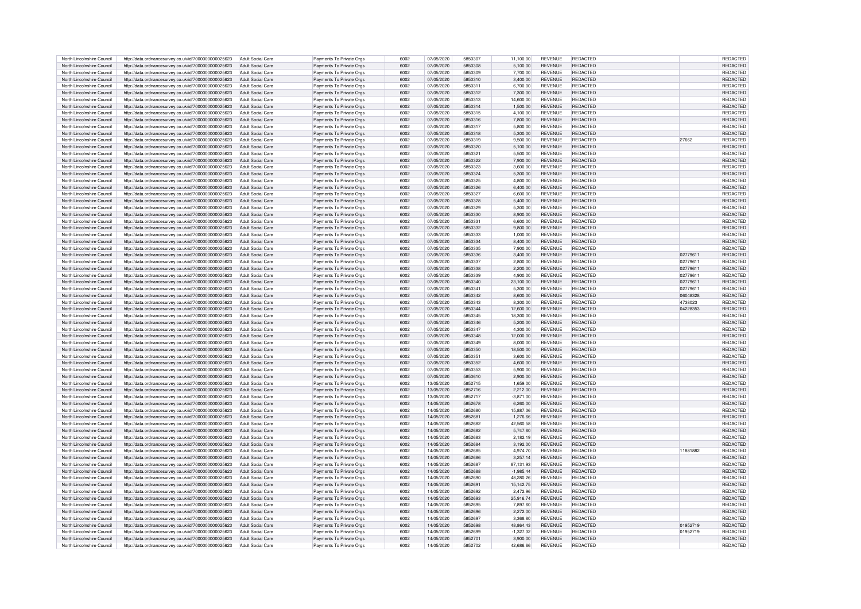|                            | http://data.ordnancesurvey.co.uk/id/7000000000025623 | Adult Social Care        | Payments To Private Orgs | 6002 | 07/05/2020 | 5850307        | 11,100.00   | <b>REVENUE</b> | REDACTED        |          | <b>REDACTED</b> |
|----------------------------|------------------------------------------------------|--------------------------|--------------------------|------|------------|----------------|-------------|----------------|-----------------|----------|-----------------|
| North Lincolnshire Council |                                                      |                          |                          |      |            |                |             |                |                 |          |                 |
| North Lincolnshire Council | http://data.ordnancesurvey.co.uk/id/7000000000025623 | Adult Social Care        | Payments To Private Orgs | 6002 | 07/05/2020 | 5850308        | 5,100.00    | <b>REVENUE</b> | REDACTED        |          | REDACTED        |
| North Lincolnshire Council | http://data.ordnancesurvey.co.uk/id/7000000000025623 | Adult Social Care        | Payments To Private Orgs | 6002 | 07/05/2020 | 5850309        | 7,700.00    | <b>REVENUE</b> | <b>REDACTED</b> |          | <b>REDACTE</b>  |
| North Lincolnshire Council | http://data.ordnancesurvey.co.uk/id/7000000000025623 | Adult Social Care        | Payments To Private Orgs | 6002 | 07/05/2020 | 5850310        | 3,400.00    | <b>REVENUE</b> | <b>REDACTED</b> |          | <b>REDACTED</b> |
| North Lincolnshire Council | http://data.ordnancesurvey.co.uk/id/7000000000025623 | <b>Adult Social Care</b> | Payments To Private Orgs | 6002 | 07/05/2020 | 585031         | 6,700.00    | REVENUE        | REDACTED        |          | <b>REDACTED</b> |
| North Lincolnshire Council | http://data.ordnancesurvey.co.uk/id/7000000000025623 | Adult Social Care        | Payments To Private Orgs | 6002 | 07/05/2020 | 5850312        | 7,300.00    | <b>REVENUE</b> | REDACTED        |          | <b>REDACTED</b> |
|                            |                                                      |                          |                          |      |            |                |             |                |                 |          |                 |
| North Lincolnshire Council | http://data.ordnancesurvey.co.uk/id/7000000000025623 | Adult Social Care        | Payments To Private Orgs | 6002 | 07/05/2020 | 5850313        | 14.600.00   | <b>REVENUE</b> | <b>REDACTED</b> |          | <b>REDACTED</b> |
| North Lincolnshire Council | http://data.ordnancesurvey.co.uk/id/7000000000025623 | Adult Social Care        | Payments To Private Orgs | 6002 | 07/05/2020 | 5850314        | 1,500.00    | <b>REVENUE</b> | <b>REDACTED</b> |          | REDACTED        |
| North Lincolnshire Council | http://data.ordnancesurvey.co.uk/id/7000000000025623 | Adult Social Care        | Payments To Private Orgs | 6002 | 07/05/2020 | 5850315        | 4.100.00    | <b>REVENUE</b> | <b>REDACTED</b> |          | <b>REDACTED</b> |
| North Lincolnshire Council |                                                      | Adult Social Care        |                          | 6002 | 07/05/2020 | 5850316        | 7,800.00    | <b>REVENUE</b> | <b>REDACTED</b> |          | <b>REDACTED</b> |
|                            | http://data.ordnancesurvey.co.uk/id/7000000000025623 |                          | Payments To Private Orgs |      |            |                |             |                |                 |          |                 |
| North Lincolnshire Council | http://data.ordnancesurvey.co.uk/id/7000000000025623 | Adult Social Care        | Payments To Private Orgs | 6002 | 07/05/2020 | 5850317        | 5,800.00    | <b>REVENUE</b> | <b>REDACTED</b> |          | <b>REDACTED</b> |
| North Lincolnshire Council | http://data.ordnancesurvey.co.uk/id/7000000000025623 | <b>Adult Social Care</b> | Payments To Private Orgs | 6002 | 07/05/2020 | 5850318        | 5,300.00    | <b>REVENUE</b> | <b>REDACTED</b> |          | <b>REDACTED</b> |
| North Lincolnshire Council | http://data.ordnancesurvey.co.uk/id/7000000000025623 | Adult Social Care        | Payments To Private Orgs | 6002 | 07/05/2020 | 5850319        | 9.500.00    | <b>REVENUE</b> | REDACTED        | 27662    | <b>REDACTED</b> |
| North Lincolnshire Council | http://data.ordnancesurvey.co.uk/id/7000000000025623 | Adult Social Care        | Payments To Private Orgs | 6002 | 07/05/2020 | 5850320        | 5.100.00    | <b>REVENUE</b> | REDACTED        |          | <b>REDACTED</b> |
|                            |                                                      |                          |                          |      |            |                |             |                |                 |          |                 |
| North Lincolnshire Council | http://data.ordnancesurvey.co.uk/id/7000000000025623 | Adult Social Care        | Payments To Private Orgs | 6002 | 07/05/2020 | 5850321        | 5.500.00    | <b>REVENUE</b> | <b>REDACTED</b> |          | <b>REDACTED</b> |
| North Lincolnshire Council | http://data.ordnancesurvey.co.uk/id/7000000000025623 | Adult Social Care        | Payments To Private Orgs | 6002 | 07/05/2020 | 5850322        | 7.900.00    | <b>REVENUE</b> | <b>REDACTED</b> |          | <b>REDACTED</b> |
| North Lincolnshire Council | http://data.ordnancesurvey.co.uk/id/7000000000025623 | Adult Social Care        | Payments To Private Orgs | 6002 | 07/05/2020 | 5850323        | 3,600.00    | <b>REVENUE</b> | REDACTED        |          | REDACTED        |
| North Lincolnshire Council | http://data.ordnancesurvey.co.uk/id/7000000000025623 | Adult Social Care        | Payments To Private Orgs | 6002 | 07/05/2020 | 5850324        | 5.300.00    | <b>REVENUE</b> | REDACTED        |          | <b>REDACTED</b> |
| North Lincolnshire Council |                                                      | Adult Social Care        |                          | 6002 | 07/05/2020 | 5850325        | 4.800.00    | <b>REVENUE</b> | REDACTED        |          | REDACTED        |
|                            | http://data.ordnancesurvey.co.uk/id/7000000000025623 |                          | Payments To Private Orgs |      |            |                |             |                |                 |          |                 |
| North Lincolnshire Council | http://data.ordnancesurvey.co.uk/id/7000000000025623 | Adult Social Care        | Payments To Private Orgs | 6002 | 07/05/2020 | 5850326        | 6.400.00    | <b>REVENUE</b> | <b>REDACTED</b> |          | REDACTED        |
| North Lincolnshire Council | http://data.ordnancesurvey.co.uk/id/7000000000025623 | Adult Social Care        | Payments To Private Orgs | 6002 | 07/05/2020 | 5850327        | 6.600.00    | REVENUE        | <b>REDACTED</b> |          | <b>REDACTED</b> |
| North Lincolnshire Council | http://data.ordnancesurvey.co.uk/id/7000000000025623 | Adult Social Care        | Payments To Private Orgs | 6002 | 07/05/2020 | 5850328        | 5,400.00    | <b>REVENUE</b> | REDACTED        |          | REDACTED        |
|                            |                                                      |                          |                          |      |            |                |             |                |                 |          |                 |
| North Lincolnshire Council | http://data.ordnancesurvey.co.uk/id/7000000000025623 | Adult Social Care        | Payments To Private Orgs | 6002 | 07/05/2020 | 5850329        | 5,300.00    | <b>REVENUE</b> | REDACTED        |          | <b>REDACTED</b> |
| North Lincolnshire Council | http://data.ordnancesurvey.co.uk/id/7000000000025623 | <b>Adult Social Care</b> | Payments To Private Orgs | 6002 | 07/05/2020 | 5850330        | 8,900.00    | REVENUE        | REDACTED        |          | REDACTED        |
| North Lincolnshire Council | http://data.ordnancesurvey.co.uk/id/7000000000025623 | Adult Social Care        | Payments To Private Orgs | 6002 | 07/05/2020 | 585033         | 6.600.00    | <b>REVENUE</b> | REDACTED        |          | <b>REDACTED</b> |
| North Lincolnshire Council | http://data.ordnancesurvey.co.uk/id/7000000000025623 | Adult Social Care        | Payments To Private Orgs | 6002 | 07/05/2020 | 5850332        | 9,800.00    | <b>REVENUE</b> | REDACTED        |          | REDACTED        |
| North Lincolnshire Council | http://data.ordnancesurvey.co.uk/id/7000000000025623 | Adult Social Care        | Payments To Private Orgs | 6002 | 07/05/2020 | 5850333        | 1,000.00    | <b>REVENUE</b> | <b>REDACTED</b> |          | <b>REDACTED</b> |
|                            |                                                      |                          |                          |      |            |                |             |                |                 |          |                 |
| North Lincolnshire Council | http://data.ordnancesurvey.co.uk/id/7000000000025623 | Adult Social Care        | Payments To Private Orgs | 6002 | 07/05/2020 | 5850334        | 8,400.00    | <b>REVENUE</b> | REDACTED        |          | REDACTED        |
| North Lincolnshire Council | http://data.ordnancesurvey.co.uk/id/7000000000025623 | Adult Social Care        | Payments To Private Orgs | 6002 | 07/05/2020 | 5850335        | 7,900.00    | REVENUE        | REDACTED        |          | REDACTED        |
| North Lincolnshire Council | http://data.ordnancesurvey.co.uk/id/7000000000025623 | Adult Social Care        | Payments To Private Orgs | 6002 | 07/05/2020 | 5850336        | 3.400.00    | <b>REVENUE</b> | <b>REDACTED</b> | 02779611 | REDACTED        |
| North Lincolnshire Council | http://data.ordnancesurvey.co.uk/id/7000000000025623 | Adult Social Care        | Payments To Private Orgs | 6002 | 07/05/2020 | 5850333        | 2,800.00    | <b>REVENUE</b> | <b>REDACTED</b> | 02779611 | REDACTED        |
|                            |                                                      |                          |                          |      |            |                |             |                |                 |          |                 |
| North Lincolnshire Council | http://data.ordnancesurvey.co.uk/id/7000000000025623 | <b>Adult Social Care</b> | Payments To Private Orgs | 6002 | 07/05/2020 | 5850338        | 2,200.00    | <b>REVENUE</b> | REDACTED        | 02779611 | REDACTED        |
| North Lincolnshire Council | http://data.ordnancesurvey.co.uk/id/7000000000025623 | Adult Social Care        | Payments To Private Orgs | 6002 | 07/05/2020 | 5850339        | 4.900.00    | <b>REVENUE</b> | REDACTED        | 02779611 | REDACTED        |
| North Lincolnshire Council | http://data.ordnancesurvey.co.uk/id/7000000000025623 | <b>Adult Social Care</b> | Payments To Private Orgs | 6002 | 07/05/2020 | 5850340        | 23,100.00   | <b>REVENUE</b> | <b>REDACTED</b> | 02779611 | REDACTED        |
| North Lincolnshire Council | http://data.ordnancesurvey.co.uk/id/7000000000025623 | Adult Social Care        | Payments To Private Orgs | 6002 | 07/05/2020 | 5850341        | 5,300.00    | <b>REVENUE</b> | REDACTED        | 02779611 | REDACTED        |
|                            |                                                      |                          |                          |      |            |                |             |                |                 |          |                 |
| North Lincolnshire Council | http://data.ordnancesurvey.co.uk/id/7000000000025623 | <b>Adult Social Care</b> | Payments To Private Orgs | 6002 | 07/05/2020 | 5850342        | 8.600.00    | <b>REVENUE</b> | REDACTED        | 06048328 | <b>REDACTED</b> |
| North Lincolnshire Council | http://data.ordnancesurvey.co.uk/id/7000000000025623 | Adult Social Care        | Payments To Private Orgs | 6002 | 07/05/2020 | 5850343        | 8,300.00    | <b>REVENUE</b> | REDACTED        | 4738023  | <b>REDACTED</b> |
| North Lincolnshire Council | http://data.ordnancesurvey.co.uk/id/7000000000025623 | Adult Social Care        | Payments To Private Orgs | 6002 | 07/05/2020 | 5850344        | 12,600.00   | <b>REVENUE</b> | <b>REDACTED</b> | 04228353 | <b>REDACTED</b> |
| North Lincolnshire Council | http://data.ordnancesurvey.co.uk/id/7000000000025623 | <b>Adult Social Care</b> | Payments To Private Orgs | 6002 | 07/05/2020 | 5850345        | 18,300.00   | <b>REVENUE</b> | <b>REDACTED</b> |          | REDACTED        |
| North Lincolnshire Council | http://data.ordnancesurvey.co.uk/id/7000000000025623 | Adult Social Care        | Payments To Private Orgs | 6002 | 07/05/2020 | 5850346        | 5,200.00    | <b>REVENUE</b> | REDACTED        |          | REDACTED        |
|                            |                                                      |                          |                          |      |            |                |             |                |                 |          |                 |
| North Lincolnshire Council | http://data.ordnancesurvey.co.uk/id/7000000000025623 | Adult Social Care        | Payments To Private Orgs | 6002 | 07/05/2020 | 5850347        | 4,300.00    | <b>REVENUE</b> | <b>REDACTED</b> |          | <b>REDACTED</b> |
| North Lincolnshire Council | http://data.ordnancesurvey.co.uk/id/7000000000025623 | Adult Social Care        | Payments To Private Orgs | 6002 | 07/05/2020 | 5850348        | 12,000.00   | <b>REVENUE</b> | <b>REDACTED</b> |          | REDACTED        |
| North Lincolnshire Council | http://data.ordnancesurvey.co.uk/id/7000000000025623 | Adult Social Care        | Payments To Private Orgs | 6002 | 07/05/2020 | 5850349        | 8,000.00    | <b>REVENUE</b> | <b>REDACTED</b> |          | <b>REDACTED</b> |
| North Lincolnshire Council | http://data.ordnancesurvey.co.uk/id/7000000000025623 | <b>Adult Social Care</b> | Payments To Private Orgs | 6002 | 07/05/2020 | 5850350        | 18,500.00   | <b>REVENUE</b> | REDACTED        |          | <b>REDACTED</b> |
|                            |                                                      |                          |                          |      |            |                |             |                |                 |          |                 |
| North Lincolnshire Council |                                                      |                          |                          |      |            |                |             |                | REDACTED        |          |                 |
|                            | http://data.ordnancesurvey.co.uk/id/7000000000025623 | Adult Social Care        | Payments To Private Orgs | 6002 | 07/05/2020 | 5850351        | 3,600.00    | <b>REVENUE</b> |                 |          | <b>REDACTED</b> |
| North Lincolnshire Council | http://data.ordnancesurvey.co.uk/id/7000000000025623 | Adult Social Care        | Payments To Private Orgs | 6002 | 07/05/2020 | 5850352        | 4.600.00    | <b>REVENUE</b> | REDACTED        |          | <b>REDACTE</b>  |
|                            |                                                      | Adult Social Care        |                          | 6002 | 07/05/2020 | 5850353        |             | <b>REVENUE</b> |                 |          |                 |
| North Lincolnshire Council | http://data.ordnancesurvey.co.uk/id/7000000000025623 |                          | Payments To Private Orgs |      |            |                | 5,900.00    |                | REDACTED        |          | <b>REDACTEI</b> |
| North Lincolnshire Council | http://data.ordnancesurvey.co.uk/id/7000000000025623 | Adult Social Care        | Payments To Private Orgs | 6002 | 07/05/2020 | 5850610        | 2,900.00    | <b>REVENUE</b> | REDACTED        |          | <b>REDACTE</b>  |
| North Lincolnshire Council | http://data.ordnancesurvey.co.uk/id/7000000000025623 | Adult Social Care        | Payments To Private Oras | 6002 | 13/05/2020 | 5852715        | 1.659.00    | <b>REVENUE</b> | REDACTED        |          | <b>REDACTE</b>  |
| North Lincolnshire Council | http://data.ordnancesurvey.co.uk/id/7000000000025623 | Adult Social Care        | Payments To Private Orgs | 6002 | 13/05/2020 | 5852716        | 2,212.00    | <b>REVENUE</b> | <b>REDACTED</b> |          | <b>REDACTED</b> |
| North Lincolnshire Council | http://data.ordnancesurvey.co.uk/id/7000000000025623 | Adult Social Care        | Payments To Private Orgs | 6002 | 13/05/2020 | 5852717        | $-3.871.00$ | <b>REVENUE</b> | REDACTED        |          | REDACTED        |
| North Lincolnshire Council | http://data.ordnancesurvey.co.uk/id/7000000000025623 | Adult Social Care        | Payments To Private Orgs |      |            |                |             |                |                 |          |                 |
|                            |                                                      |                          |                          | 6002 | 14/05/2020 | 5852678        | 6,260.00    | <b>REVENUE</b> | REDACTED        |          | REDACTED        |
| North Lincolnshire Council | http://data.ordnancesurvey.co.uk/id/7000000000025623 | Adult Social Care        | Payments To Private Orgs | 6002 | 14/05/2020 | 5852680        | 15,887.36   | <b>REVENUE</b> | <b>REDACTED</b> |          | <b>REDACTED</b> |
| North Lincolnshire Council | http://data.ordnancesurvey.co.uk/id/7000000000025623 | Adult Social Care        | Payments To Private Orgs | 6002 | 14/05/2020 | 5852681        | 1.276.66    | <b>REVENUE</b> | <b>REDACTED</b> |          | REDACTED        |
| North Lincolnshire Council | http://data.ordnancesurvey.co.uk/id/7000000000025623 | Adult Social Care        | Payments To Private Orgs | 6002 | 14/05/2020 | 5852683        | 42,560.58   | <b>REVENUE</b> | <b>REDACTED</b> |          | <b>REDACTED</b> |
| North Lincolnshire Council |                                                      | <b>Adult Social Care</b> |                          | 6002 | 14/05/2020 | 5852682        |             | <b>REVENUE</b> | REDACTED        |          | REDACTE         |
|                            | http://data.ordnancesurvey.co.uk/id/7000000000025623 |                          | Payments To Private Orgs |      |            |                | 5,747.60    |                |                 |          |                 |
| North Lincolnshire Council | http://data.ordnancesurvey.co.uk/id/7000000000025623 | Adult Social Care        | Payments To Private Orgs | 6002 | 14/05/2020 | <b>5852683</b> | 2.182.19    | <b>REVENUE</b> | REDACTED        |          | REDACTED        |
| North Lincolnshire Council | http://data.ordnancesurvey.co.uk/id/7000000000025623 | <b>Adult Social Care</b> | Payments To Private Orgs | 6002 | 14/05/2020 | 5852684        | 3,192.00    | <b>REVENUE</b> | REDACTED        |          | REDACTED        |
| North Lincolnshire Council | http://data.ordnancesurvey.co.uk/id/7000000000025623 | Adult Social Care        | Payments To Private Orgs | 6002 | 14/05/2020 | 5852685        | 4,974.70    | <b>REVENUE</b> | REDACTED        | 11881882 | REDACTED        |
| North Lincolnshire Council | http://data.ordnancesurvey.co.uk/id/7000000000025623 | <b>Adult Social Care</b> | Payments To Private Orgs | 6002 | 14/05/2020 | 5852686        | 3.257.14    | <b>REVENUE</b> | REDACTED        |          | REDACTED        |
|                            |                                                      |                          |                          |      |            |                |             |                |                 |          |                 |
| North Lincolnshire Council | http://data.ordnancesurvey.co.uk/id/7000000000025623 | <b>Adult Social Care</b> | Payments To Private Orgs | 6002 | 14/05/2020 | 585268         | 87,131.93   | <b>REVENUE</b> | <b>REDACTED</b> |          | <b>REDACTED</b> |
| North Lincolnshire Council | http://data.ordnancesurvey.co.uk/id/7000000000025623 | Adult Social Care        | Payments To Private Orgs | 6002 | 14/05/2020 | 5852688        | $-1,985.44$ | <b>REVENUE</b> | <b>REDACTED</b> |          | REDACTED        |
| North Lincolnshire Council | http://data.ordnancesurvev.co.uk/id/7000000000025623 | Adult Social Care        | Payments To Private Orgs | 6002 | 14/05/2020 | 5852690        | 48.280.26   | <b>REVENUE</b> | REDACTED        |          | REDACTED        |
| North Lincolnshire Council | http://data.ordnancesurvey.co.uk/id/7000000000025623 | Adult Social Care        | Payments To Private Orgs | 6002 | 14/05/2020 | 5852691        | 15, 142. 75 | <b>REVENUE</b> | REDACTED        |          | REDACTED        |
| North Lincolnshire Council |                                                      | Adult Social Care        |                          | 6002 | 14/05/2020 | 5852692        |             | <b>REVENUE</b> | <b>REDACTED</b> |          | <b>REDACTED</b> |
|                            | http://data.ordnancesurvey.co.uk/id/7000000000025623 |                          | Payments To Private Orgs |      |            |                | 2,472.96    |                |                 |          |                 |
| North Lincolnshire Council | http://data.ordnancesurvey.co.uk/id/7000000000025623 | Adult Social Care        | Payments To Private Orgs | 6002 | 14/05/2020 | 5852693        | 25,916.74   | <b>REVENUE</b> | <b>REDACTED</b> |          | <b>REDACTED</b> |
| North Lincolnshire Council | http://data.ordnancesurvey.co.uk/id/7000000000025623 | Adult Social Care        | Payments To Private Orgs | 6002 | 14/05/2020 | 5852695        | 7,897.60    | <b>REVENUE</b> | <b>REDACTED</b> |          | <b>REDACTED</b> |
| North Lincolnshire Council | http://data.ordnancesurvey.co.uk/id/7000000000025623 | <b>Adult Social Care</b> | Payments To Private Orgs | 6002 | 14/05/2020 | 5852696        | 2,272.00    | <b>REVENUE</b> | REDACTED        |          | <b>REDACTED</b> |
| North Lincolnshire Council |                                                      | Adult Social Care        |                          | 6002 | 14/05/2020 | 5852697        | 3,368.80    | <b>REVENUE</b> | REDACTED        |          | <b>REDACTED</b> |
|                            | http://data.ordnancesurvey.co.uk/id/7000000000025623 |                          | Payments To Private Orgs |      |            |                |             |                |                 |          |                 |
| North Lincolnshire Council | http://data.ordnancesurvey.co.uk/id/7000000000025623 | Adult Social Care        | Payments To Private Orgs | 6002 | 14/05/2020 | 5852698        | 48,864.43   | <b>REVENUE</b> | REDACTED        | 01952719 | REDACTED        |
| North Lincolnshire Council | http://data.ordnancesurvey.co.uk/id/7000000000025623 | Adult Social Care        | Payments To Private Orgs | 6002 | 14/05/2020 | 5852699        | $-1.327.32$ | REVENUE        | <b>REDACTED</b> | 01952719 | <b>REDACTED</b> |
| North Lincolnshire Council | http://data.ordnancesurvey.co.uk/id/7000000000025623 | Adult Social Care        | Payments To Private Orgs | 6002 | 14/05/2020 | 585270         | 3.900.00    | <b>REVENUE</b> | REDACTED        |          | REDACTED        |
| North Lincolnshire Council | http://data.ordnancesurvey.co.uk/id/7000000000025623 | Adult Social Care        | Payments To Private Orgs | 6002 | 14/05/2020 | 5852702        | 42,686.66   | <b>REVENUE</b> | <b>REDACTED</b> |          | REDACTED        |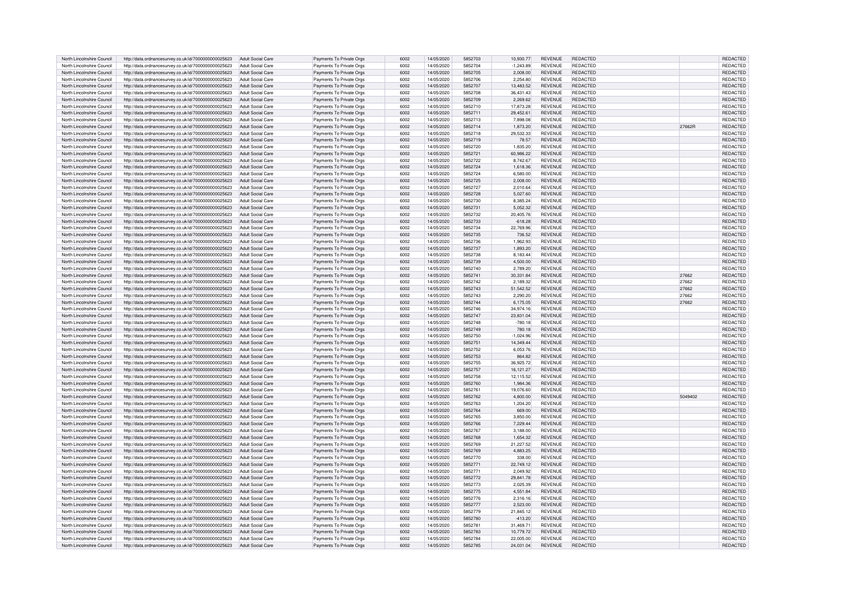| North Lincolnshire Council | http://data.ordnancesurvey.co.uk/id/7000000000025623 | <b>Adult Social Care</b> | Payments To Private Orgs | 6002 | 14/05/2020 | 5852703 | 10.930.77   | <b>REVENUE</b> | REDACTED        |         | <b>REDACTED</b> |
|----------------------------|------------------------------------------------------|--------------------------|--------------------------|------|------------|---------|-------------|----------------|-----------------|---------|-----------------|
|                            |                                                      |                          |                          |      |            |         |             |                |                 |         |                 |
| North Lincolnshire Council | http://data.ordnancesurvey.co.uk/id/7000000000025623 | Adult Social Care        | Payments To Private Orgs | 6002 | 14/05/2020 | 5852704 | $-1,243.89$ | <b>REVENUE</b> | REDACTED        |         | REDACTED        |
| North Lincolnshire Council | http://data.ordnancesurvey.co.uk/id/7000000000025623 | Adult Social Care        | Payments To Private Orgs | 6002 | 14/05/2020 | 5852705 | 2,008.00    | <b>REVENUE</b> | <b>REDACTED</b> |         | REDACTED        |
| North Lincolnshire Council | http://data.ordnancesurvey.co.uk/id/7000000000025623 | Adult Social Care        | Payments To Private Orgs | 6002 | 14/05/2020 | 5852706 | 2.254.80    | <b>REVENUE</b> | <b>REDACTED</b> |         | <b>REDACTE</b>  |
|                            |                                                      |                          |                          |      |            |         |             |                |                 |         |                 |
| North Lincolnshire Council | http://data.ordnancesurvey.co.uk/id/7000000000025623 | Adult Social Care        | Payments To Private Orgs | 6002 | 14/05/2020 | 5852707 | 13,483.52   | <b>REVENUE</b> | REDACTED        |         | REDACTED        |
| North Lincolnshire Council | http://data.ordnancesurvey.co.uk/id/7000000000025623 | Adult Social Care        | Payments To Private Orgs | 6002 | 14/05/2020 | 5852708 | 36,431.43   | <b>REVENUE</b> | REDACTED        |         | <b>REDACTED</b> |
| North Lincolnshire Council | http://data.ordnancesurvey.co.uk/id/7000000000025623 | Adult Social Care        | Payments To Private Orgs | 6002 | 14/05/2020 | 5852709 | 2.269.62    | <b>REVENUE</b> | REDACTED        |         | <b>REDACTED</b> |
|                            |                                                      |                          |                          |      |            |         |             |                |                 |         |                 |
| North Lincolnshire Council | http://data.ordnancesurvey.co.uk/id/7000000000025623 | Adult Social Care        | Payments To Private Orgs | 6002 | 14/05/2020 | 5852710 | 17,873.28   | <b>REVENUE</b> | <b>REDACTED</b> |         | <b>REDACTED</b> |
| North Lincolnshire Council | http://data.ordnancesurvey.co.uk/id/7000000000025623 | Adult Social Care        | Payments To Private Orgs | 6002 | 14/05/2020 | 5852711 | 29.452.61   | <b>REVENUE</b> | <b>REDACTED</b> |         | <b>REDACTED</b> |
|                            |                                                      |                          |                          |      |            |         |             |                |                 |         |                 |
| North Lincolnshire Council | http://data.ordnancesurvey.co.uk/id/7000000000025623 | Adult Social Care        | Payments To Private Orgs | 6002 | 14/05/2020 | 5852713 | 7.898.08    | <b>REVENUE</b> | <b>REDACTED</b> |         | <b>REDACTED</b> |
| North Lincolnshire Council | http://data.ordnancesurvey.co.uk/id/7000000000025623 | Adult Social Care        | Payments To Private Orgs | 6002 | 14/05/2020 | 5852714 | 1,873.20    | <b>REVENUE</b> | <b>REDACTED</b> | 27662R  | <b>REDACTED</b> |
| North Lincolnshire Council | http://data.ordnancesurvey.co.uk/id/7000000000025623 | Adult Social Care        | Payments To Private Orgs | 6002 | 14/05/2020 | 5852718 | 29,532.33   | <b>REVENUE</b> | <b>REDACTED</b> |         | <b>REDACTED</b> |
|                            |                                                      |                          |                          |      |            |         |             |                |                 |         |                 |
| North Lincolnshire Council | http://data.ordnancesurvey.co.uk/id/7000000000025623 | <b>Adult Social Care</b> | Payments To Private Orgs | 6002 | 14/05/2020 | 5852719 | 78.57       | <b>REVENUE</b> | REDACTED        |         | <b>REDACTED</b> |
| North Lincolnshire Council | http://data.ordnancesurvey.co.uk/id/7000000000025623 | Adult Social Care        | Payments To Private Orgs | 6002 | 14/05/2020 | 5852720 | 1.835.20    | <b>REVENUE</b> | REDACTED        |         | REDACTED        |
| North Lincolnshire Council | http://data.ordnancesurvey.co.uk/id/7000000000025623 | Adult Social Care        | Payments To Private Orgs | 6002 | 14/05/2020 | 585272  | 60.986.22   | <b>REVENUE</b> | <b>REDACTED</b> |         | <b>REDACTED</b> |
|                            |                                                      |                          |                          |      |            |         |             |                |                 |         |                 |
| North Lincolnshire Council | http://data.ordnancesurvey.co.uk/id/7000000000025623 | Adult Social Care        | Payments To Private Orgs | 6002 | 14/05/2020 | 5852722 | 8.742.67    | <b>REVENUE</b> | <b>REDACTED</b> |         | <b>REDACTED</b> |
| North Lincolnshire Council | http://data.ordnancesurvey.co.uk/id/7000000000025623 | Adult Social Care        | Payments To Private Orgs | 6002 | 14/05/2020 | 5852724 | 1,618.36    | <b>REVENUE</b> | REDACTED        |         | REDACTED        |
| North Lincolnshire Council | http://data.ordnancesurvey.co.uk/id/7000000000025623 | Adult Social Care        | Payments To Private Orgs | 6002 | 14/05/2020 | 5852724 | 6.580.00    | <b>REVENUE</b> | REDACTED        |         | <b>REDACTED</b> |
|                            |                                                      |                          |                          |      |            |         |             |                |                 |         |                 |
| North Lincolnshire Council | http://data.ordnancesurvey.co.uk/id/7000000000025623 | Adult Social Care        | Payments To Private Orgs | 6002 | 14/05/2020 | 5852725 | 2.008.00    | <b>REVENUE</b> | REDACTED        |         | <b>REDACTED</b> |
| North Lincolnshire Council | http://data.ordnancesurvey.co.uk/id/7000000000025623 | Adult Social Care        | Payments To Private Orgs | cona | 14/05/2020 | 5852727 | 2.010.64    | <b>REVENUE</b> | <b>REDACTED</b> |         | <b>REDACTED</b> |
|                            |                                                      |                          |                          | 6002 | 14/05/2020 | 5852728 |             | <b>REVENUE</b> | REDACTED        |         | <b>REDACTED</b> |
| North Lincolnshire Council | http://data.ordnancesurvey.co.uk/id/7000000000025623 | <b>Adult Social Care</b> | Payments To Private Orgs |      |            |         | 5,027.60    |                |                 |         |                 |
| North Lincolnshire Council | http://data.ordnancesurvey.co.uk/id/7000000000025623 | Adult Social Care        | Payments To Private Orgs | 6002 | 14/05/2020 | 5852730 | 8.385.24    | <b>REVENUE</b> | REDACTED        |         | <b>REDACTED</b> |
| North Lincolnshire Council | http://data.ordnancesurvey.co.uk/id/7000000000025623 | <b>Adult Social Care</b> | Payments To Private Orgs | 6002 | 14/05/2020 | 5852731 | 5,052.32    | <b>REVENUE</b> | REDACTED        |         | <b>REDACTED</b> |
|                            |                                                      |                          |                          | 6002 |            | 5852732 |             |                |                 |         |                 |
| North Lincolnshire Council | http://data.ordnancesurvey.co.uk/id/7000000000025623 | Adult Social Care        | Payments To Private Orgs |      | 14/05/2020 |         | 20,405.76   | REVENUE        | REDACTED        |         | REDACTED        |
| North Lincolnshire Council | http://data.ordnancesurvey.co.uk/id/7000000000025623 | Adult Social Care        | Payments To Private Orgs | 6002 | 14/05/2020 | 5852733 | $-618.28$   | <b>REVENUE</b> | REDACTED        |         | <b>REDACTED</b> |
| North Lincolnshire Council | http://data.ordnancesurvey.co.uk/id/7000000000025623 | Adult Social Care        | Payments To Private Orgs | 6002 | 14/05/2020 | 5852734 | 22,769.96   | REVENUE        | <b>REDACTED</b> |         | <b>REDACTED</b> |
|                            |                                                      |                          |                          |      |            |         |             |                |                 |         |                 |
| North Lincolnshire Council | http://data.ordnancesurvey.co.uk/id/7000000000025623 | Adult Social Care        | Payments To Private Orgs | 6002 | 14/05/2020 | 5852735 | 736.52      | <b>REVENUE</b> | <b>REDACTED</b> |         | REDACTED        |
| North Lincolnshire Council | http://data.ordnancesurvey.co.uk/id/7000000000025623 | Adult Social Care        | Payments To Private Orgs | 6002 | 14/05/2020 | 5852736 | 1.962.93    | REVENUE        | REDACTED        |         | REDACTED        |
| North Lincolnshire Council | http://data.ordnancesurvey.co.uk/id/7000000000025623 | Adult Social Care        | Payments To Private Orgs | 6002 | 14/05/2020 | 5852737 | 1,893.20    | <b>REVENUE</b> | REDACTED        |         | REDACTED        |
|                            |                                                      |                          |                          |      |            |         |             |                |                 |         |                 |
| North Lincolnshire Council | http://data.ordnancesurvey.co.uk/id/7000000000025623 | Adult Social Care        | Payments To Private Orgs | 6002 | 14/05/2020 | 5852738 | 8.183.44    | <b>REVENUE</b> | <b>REDACTED</b> |         | <b>REDACTED</b> |
| North Lincolnshire Council | http://data.ordnancesurvey.co.uk/id/7000000000025623 | <b>Adult Social Care</b> | Payments To Private Orgs | 6002 | 14/05/2020 | 5852739 | 4,500.00    | <b>REVENUE</b> | <b>REDACTED</b> |         | REDACTED        |
| North Lincolnshire Council |                                                      |                          |                          | 6002 | 14/05/2020 | 5852740 | 2,789.20    | <b>REVENUF</b> | <b>REDACTED</b> |         | REDACTED        |
|                            | http://data.ordnancesurvey.co.uk/id/7000000000025623 | Adult Social Care        | Payments To Private Orgs |      |            |         |             |                |                 |         |                 |
| North Lincolnshire Council | http://data.ordnancesurvey.co.uk/id/7000000000025623 | Adult Social Care        | Payments To Private Orgs | 6002 | 14/05/2020 | 585274  | 30.331.84   | <b>REVENUE</b> | REDACTED        | 27662   | REDACTED        |
| North Lincolnshire Council | http://data.ordnancesurvey.co.uk/id/7000000000025623 | Adult Social Care        | Payments To Private Orgs | 6002 | 14/05/2020 | 5852742 | 2.189.32    | <b>REVENUE</b> | <b>REDACTED</b> | 27662   | REDACTED        |
|                            |                                                      |                          |                          |      |            | 5852743 |             |                | <b>REDACTED</b> |         |                 |
| North Lincolnshire Council | http://data.ordnancesurvey.co.uk/id/7000000000025623 | Adult Social Care        | Payments To Private Orgs | 6002 | 14/05/2020 |         | 51,542.52   | <b>REVENUE</b> |                 | 27662   | REDACTED        |
| North Lincolnshire Council | http://data.ordnancesurvey.co.uk/id/7000000000025623 | Adult Social Care        | Payments To Private Oras | 6002 | 14/05/2020 | 5852743 | 2,290.20    | <b>REVENUE</b> | REDACTED        | 27662   | <b>REDACTED</b> |
| North Lincolnshire Council | http://data.ordnancesurvey.co.uk/id/7000000000025623 | <b>Adult Social Care</b> | Payments To Private Oras | 6002 | 14/05/2020 | 5852744 | 6.175.05    | <b>REVENUE</b> | REDACTED        | 27662   | REDACTED        |
|                            |                                                      |                          |                          |      |            |         |             |                |                 |         |                 |
| North Lincolnshire Council | http://data.ordnancesurvey.co.uk/id/7000000000025623 | <b>Adult Social Care</b> | Payments To Private Orgs | 6002 | 14/05/2020 | 5852746 | 34.974.16   | <b>REVENUE</b> | <b>REDACTED</b> |         | <b>REDACTED</b> |
| North Lincolnshire Council | http://data.ordnancesurvey.co.uk/id/7000000000025623 | Adult Social Care        | Payments To Private Orgs | 6002 | 14/05/2020 | 5852747 | 23,831.04   | <b>REVENUE</b> | <b>REDACTED</b> |         | REDACTED        |
| North Lincolnshire Council | http://data.ordnancesurvey.co.uk/id/7000000000025623 | Adult Social Care        | Payments To Private Orgs | 6002 | 14/05/2020 | 5852748 | $-780.18$   | REVENUE        | REDACTED        |         | REDACTED        |
|                            |                                                      |                          |                          |      |            |         |             |                |                 |         |                 |
| North Lincolnshire Council | http://data.ordnancesurvey.co.uk/id/7000000000025623 | Adult Social Care        | Payments To Private Orgs | 6002 | 14/05/2020 | 5852749 | 780.18      | <b>REVENUE</b> | <b>REDACTED</b> |         | <b>REDACTED</b> |
| North Lincolnshire Council | http://data.ordnancesurvey.co.uk/id/7000000000025623 | Adult Social Care        | Payments To Private Orgs | 6002 | 14/05/2020 | 5852750 | $-1.024.96$ | <b>REVENUE</b> | <b>REDACTED</b> |         | <b>REDACTED</b> |
| North Lincolnshire Council |                                                      | Adult Social Care        | Payments To Private Orgs | 6002 | 14/05/2020 | 5852751 | 14.349.44   | <b>REVENUE</b> | <b>REDACTED</b> |         | <b>REDACTED</b> |
|                            | http://data.ordnancesurvey.co.uk/id/7000000000025623 |                          |                          |      |            |         |             |                |                 |         |                 |
| North Lincolnshire Council | http://data.ordnancesurvey.co.uk/id/7000000000025623 | Adult Social Care        | Payments To Private Orgs | 6002 | 14/05/2020 | 5852752 | 6,053.76    | <b>REVENUE</b> | <b>REDACTED</b> |         | <b>REDACTED</b> |
| North Lincolnshire Council | http://data.ordnancesurvey.co.uk/id/7000000000025623 | Adult Social Care        | Payments To Private Orgs | 6002 | 14/05/2020 | 5852753 | 864.82      | <b>REVENUE</b> | REDACTED        |         | <b>REDACTED</b> |
|                            |                                                      |                          |                          |      |            |         |             |                |                 |         |                 |
| North Lincolnshire Council | http://data.ordnancesurvey.co.uk/id/7000000000025623 | Adult Social Care        | Payments To Private Orgs | 6002 | 14/05/2020 | 5852755 | 36,925.72   | REVENUE        | REDACTED        |         | <b>REDACTE</b>  |
| North Lincolnshire Council | http://data.ordnancesurvey.co.uk/id/7000000000025623 | Adult Social Care        | Payments To Private Orgs | 6002 | 14/05/2020 | 5852757 | 16, 121.27  | <b>REVENUE</b> | REDACTED        |         | <b>REDACTEI</b> |
| North Lincolnshire Council | http://data.ordnancesurvey.co.uk/id/7000000000025623 | Adult Social Care        | Payments To Private Orgs | 6002 | 14/05/2020 | 5852758 | 12.115.52   | REVENUE        | REDACTED        |         | REDACTE         |
|                            |                                                      |                          |                          |      |            |         |             |                |                 |         |                 |
| North Lincolnshire Council | http://data.ordnancesurvey.co.uk/id/7000000000025623 | Adult Social Care        | Payments To Private Oras | 6002 | 14/05/2020 | 5852760 | 1.984.36    | <b>REVENUE</b> | REDACTED        |         | <b>REDACTE</b>  |
| North Lincolnshire Council | http://data.ordnancesurvey.co.uk/id/7000000000025623 | Adult Social Care        | Payments To Private Orgs | 6002 | 14/05/2020 | 5852761 | 19,076.60   | REVENUE        | <b>REDACTED</b> |         | <b>REDACTE</b>  |
| North Lincolnshire Council | http://data.ordnancesurvey.co.uk/id/7000000000025623 | Adult Social Care        | Payments To Private Orgs | 6002 | 14/05/2020 | 5852762 | 4.800.00    | <b>REVENUE</b> | REDACTED        | 5049402 | REDACTED        |
|                            |                                                      |                          |                          |      |            |         |             |                |                 |         |                 |
| North Lincolnshire Council | http://data.ordnancesurvey.co.uk/id/7000000000025623 | Adult Social Care        | Payments To Private Oras | 6002 | 14/05/2020 | 5852763 | 1,204.20    | <b>REVENUE</b> | REDACTED        |         | <b>REDACTED</b> |
| North Lincolnshire Council | http://data.ordnancesurvey.co.uk/id/7000000000025623 | Adult Social Care        | Payments To Private Orgs | 6002 | 14/05/2020 | 5852764 | 669.00      | <b>REVENUE</b> | <b>REDACTED</b> |         | <b>REDACTED</b> |
| North Lincolnshire Council | http://data.ordnancesurvey.co.uk/id/7000000000025623 | Adult Social Care        | Payments To Private Orgs | 6002 | 14/05/2020 | 5852765 | 3.850.00    | <b>REVENUE</b> | REDACTED        |         | <b>REDACTED</b> |
|                            |                                                      |                          |                          |      |            |         |             |                |                 |         |                 |
| North Lincolnshire Council | http://data.ordnancesurvey.co.uk/id/7000000000025623 | Adult Social Care        | Payments To Private Orgs | 6002 | 14/05/2020 | 5852766 | 7.229.44    | <b>REVENUE</b> | <b>REDACTED</b> |         | <b>REDACTED</b> |
| North Lincolnshire Council | http://data.ordnancesurvey.co.uk/id/7000000000025623 | Adult Social Care        | Payments To Private Orgs | 6002 | 14/05/2020 | 5852767 | 3.188.00    | <b>REVENUE</b> | REDACTED        |         | REDACTE         |
| North Lincolnshire Council | http://data.ordnancesurvey.co.uk/id/7000000000025623 | Adult Social Care        | Payments To Private Orgs | 6002 | 14/05/2020 | 5852768 | 1.654.32    | <b>REVENUE</b> | REDACTED        |         | REDACTED        |
|                            |                                                      |                          |                          |      |            |         |             |                |                 |         |                 |
| North Lincolnshire Council | http://data.ordnancesurvey.co.uk/id/7000000000025623 | Adult Social Care        | Payments To Private Orgs | 6002 | 14/05/2020 | 5852769 | 21,227.52   | REVENUE        | REDACTED        |         | REDACTED        |
| North Lincolnshire Council | http://data.ordnancesurvey.co.uk/id/7000000000025623 | Adult Social Care        | Payments To Private Orgs | 6002 | 14/05/2020 | 5852769 | 4,883.25    | <b>REVENUE</b> | REDACTED        |         | REDACTED        |
| North Lincolnshire Council |                                                      | Adult Social Care        |                          | 6002 | 14/05/2020 | 5852770 | 338.00      | <b>REVENUE</b> | REDACTED        |         | <b>REDACTED</b> |
|                            | http://data.ordnancesurvey.co.uk/id/7000000000025623 |                          | Payments To Private Orgs |      |            |         |             |                |                 |         |                 |
| North Lincolnshire Council | http://data.ordnancesurvey.co.uk/id/7000000000025623 | <b>Adult Social Care</b> | Payments To Private Orgs | 6002 | 14/05/2020 | 585277  | 22,749.12   | <b>REVENUE</b> | <b>REDACTED</b> |         | <b>REDACTED</b> |
| North Lincolnshire Council | http://data.ordnancesurvey.co.uk/id/7000000000025623 | <b>Adult Social Care</b> | Payments To Private Orgs | 6002 | 14/05/2020 | 585277  | 2,049.92    | <b>REVENUE</b> | <b>REDACTED</b> |         | REDACTED        |
|                            |                                                      |                          |                          |      |            |         |             |                |                 |         |                 |
| North Lincolnshire Council | http://data.ordnancesurvey.co.uk/id/7000000000025623 | Adult Social Care        | Payments To Private Orgs | 6002 | 14/05/2020 | 5852772 | 29.841.78   | <b>REVENUE</b> | REDACTED        |         | <b>REDACTED</b> |
| North Lincolnshire Council | http://data.ordnancesurvey.co.uk/id/7000000000025623 | Adult Social Care        | Payments To Private Orgs | 6002 | 14/05/2020 | 5852773 | 2,025.39    | REVENUE        | REDACTED        |         | REDACTED        |
| North Lincolnshire Council | http://data.ordnancesurvey.co.uk/id/7000000000025623 | Adult Social Care        | Payments To Private Orgs | 6002 | 14/05/2020 | 5852775 | 4.551.84    | <b>REVENUE</b> | <b>REDACTED</b> |         | <b>REDACTED</b> |
|                            |                                                      |                          |                          |      |            |         |             |                |                 |         |                 |
| North Lincolnshire Council | http://data.ordnancesurvey.co.uk/id/7000000000025623 | Adult Social Care        | Payments To Private Orgs | 6002 | 14/05/2020 | 5852776 | 2.316.16    | <b>REVENUE</b> | <b>REDACTED</b> |         | <b>REDACTED</b> |
| North Lincolnshire Council | http://data.ordnancesurvey.co.uk/id/7000000000025623 | <b>Adult Social Care</b> | Payments To Private Orgs | 6002 | 14/05/2020 | 5852777 | 2.523.00    | <b>REVENUE</b> | <b>REDACTED</b> |         | REDACTED        |
| North Lincolnshire Council | http://data.ordnancesurvey.co.uk/id/7000000000025623 | Adult Social Care        | Payments To Private Orgs | 6002 | 14/05/2020 | 5852779 | 21,845.12   | <b>REVENUE</b> | REDACTED        |         | <b>REDACTED</b> |
|                            |                                                      |                          |                          |      |            |         |             |                |                 |         |                 |
| North Lincolnshire Council | http://data.ordnancesurvey.co.uk/id/7000000000025623 | <b>Adult Social Care</b> | Payments To Private Orgs | 6002 | 14/05/2020 | 5852780 | $-413.20$   | <b>REVENUE</b> | REDACTED        |         | <b>REDACTED</b> |
| North Lincolnshire Council | http://data.ordnancesurvey.co.uk/id/7000000000025623 | Adult Social Care        | Payments To Private Orgs | 6002 | 14/05/2020 | 585278  | 31,469.71   | REVENUE        | REDACTED        |         | REDACTED        |
| North Lincolnshire Council |                                                      | Adult Social Care        |                          | 6002 | 14/05/2020 | 5852783 | 10.779.72   | <b>REVENUE</b> | <b>REDACTED</b> |         | <b>REDACTED</b> |
|                            | http://data.ordnancesurvey.co.uk/id/7000000000025623 |                          | Payments To Private Orgs |      |            |         |             |                |                 |         |                 |
| North Lincolnshire Council | http://data.ordnancesurvey.co.uk/id/7000000000025623 | Adult Social Care        | Payments To Private Oras | 6002 | 14/05/2020 | 5852784 | 22.005.00   | <b>REVENUE</b> | REDACTED        |         | REDACTED        |
| North Lincolnshire Council | http://data.ordnancesurvey.co.uk/id/7000000000025623 | Adult Social Care        | Payments To Private Orgs | 6002 | 14/05/2020 | 5852785 | 24,031.04   | <b>REVENUE</b> | <b>REDACTED</b> |         | REDACTED        |
|                            |                                                      |                          |                          |      |            |         |             |                |                 |         |                 |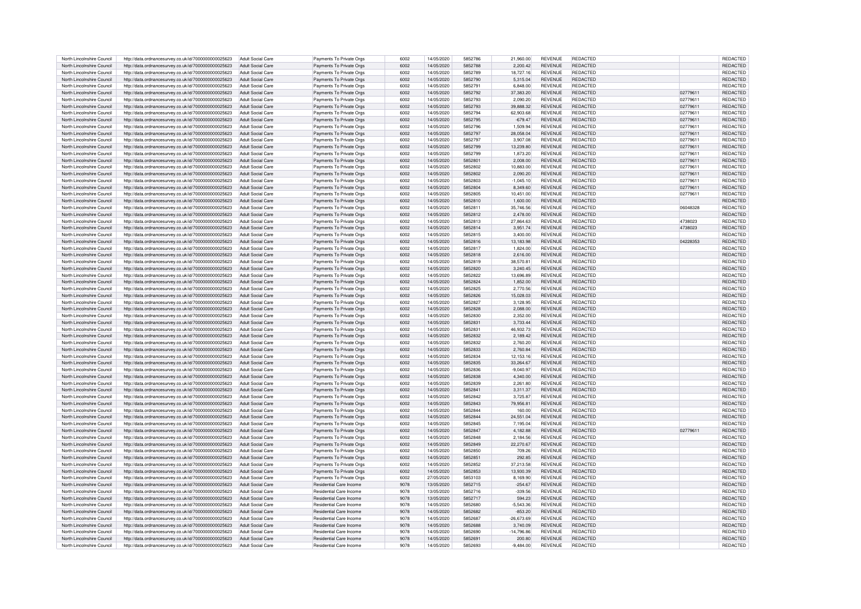| North Lincolnshire Council | http://data.ordnancesurvey.co.uk/id/7000000000025623 | Adult Social Care        | Payments To Private Orgs       | 6002 | 14/05/2020 | 5852786 | 21,960.00    | <b>REVENUE</b> | REDACTED        |          | <b>REDACTED</b> |
|----------------------------|------------------------------------------------------|--------------------------|--------------------------------|------|------------|---------|--------------|----------------|-----------------|----------|-----------------|
|                            |                                                      |                          |                                |      |            |         |              |                |                 |          |                 |
| North Lincolnshire Council | http://data.ordnancesurvey.co.uk/id/7000000000025623 | Adult Social Care        | Payments To Private Orgs       | 6002 | 14/05/2020 | 5852788 | 2,200.42     | <b>REVENUE</b> | REDACTED        |          | REDACTED        |
| North Lincolnshire Council | http://data.ordnancesurvey.co.uk/id/7000000000025623 | Adult Social Care        | Payments To Private Orgs       | 6002 | 14/05/2020 | 5852789 | 18,727.16    | REVENUE        | <b>REDACTED</b> |          | <b>REDACTE</b>  |
| North Lincolnshire Council | http://data.ordnancesurvey.co.uk/id/7000000000025623 | Adult Social Care        | Payments To Private Orgs       | 6002 | 14/05/2020 | 5852790 | 5.315.04     | <b>REVENUE</b> | <b>REDACTED</b> |          | <b>REDACTED</b> |
| North Lincolnshire Council | http://data.ordnancesurvey.co.uk/id/7000000000025623 | <b>Adult Social Care</b> | Payments To Private Orgs       | 6002 | 14/05/2020 | 5852791 | 6,848.00     | REVENUE        | REDACTED        |          | <b>REDACTED</b> |
| North Lincolnshire Council | http://data.ordnancesurvey.co.uk/id/7000000000025623 | Adult Social Care        | Payments To Private Orgs       | 6002 | 14/05/2020 | 5852792 | 37,383.20    | <b>REVENUE</b> | REDACTED        | 02779611 | <b>REDACTED</b> |
|                            |                                                      |                          |                                |      |            |         |              |                |                 |          |                 |
| North Lincolnshire Council | http://data.ordnancesurvey.co.uk/id/7000000000025623 | Adult Social Care        | Payments To Private Orgs       | 6002 | 14/05/2020 | 5852793 | 2.090.20     | <b>REVENUE</b> | <b>REDACTED</b> | 02779611 | <b>REDACTED</b> |
| North Lincolnshire Council | http://data.ordnancesurvey.co.uk/id/7000000000025623 | Adult Social Care        | Payments To Private Orgs       | 6002 | 14/05/2020 | 5852793 | 39,888.32    | <b>REVENUE</b> | <b>REDACTED</b> | 02779611 | <b>REDACTED</b> |
| North Lincolnshire Council | http://data.ordnancesurvey.co.uk/id/7000000000025623 | Adult Social Care        | Payments To Private Orgs       | 6002 | 14/05/2020 | 5852794 | 62.903.68    | <b>REVENUE</b> | <b>REDACTED</b> | 02779611 | <b>REDACTED</b> |
| North Lincolnshire Council |                                                      | Adult Social Care        |                                | 6002 | 14/05/2020 | 5852795 | $-679.47$    | <b>REVENUE</b> | <b>REDACTED</b> | 02779611 | <b>REDACTED</b> |
|                            | http://data.ordnancesurvey.co.uk/id/7000000000025623 |                          | Payments To Private Orgs       |      |            |         |              |                |                 |          |                 |
| North Lincolnshire Council | http://data.ordnancesurvey.co.uk/id/7000000000025623 | Adult Social Care        | Payments To Private Orgs       | 6002 | 14/05/2020 | 5852796 | 1.509.94     | <b>REVENUE</b> | <b>REDACTED</b> | 02779611 | <b>REDACTED</b> |
| North Lincolnshire Council | http://data.ordnancesurvey.co.uk/id/7000000000025623 | Adult Social Care        | Payments To Private Orgs       | 6002 | 14/05/2020 | 5852797 | 28.058.04    | <b>REVENUE</b> | <b>REDACTED</b> | 02779611 | <b>REDACTED</b> |
| North Lincolnshire Council | http://data.ordnancesurvey.co.uk/id/7000000000025623 | Adult Social Care        | Payments To Private Orgs       | 6002 | 14/05/2020 | 5852797 | 3.907.08     | <b>REVENUE</b> | REDACTED        | 02779611 | REDACTED        |
| North Lincolnshire Council | http://data.ordnancesurvey.co.uk/id/7000000000025623 | Adult Social Care        | Payments To Private Orgs       | 6002 | 14/05/2020 | 5852799 | 13.239.80    | <b>REVENUE</b> | REDACTED        | 02779611 | REDACTED        |
|                            |                                                      |                          |                                |      |            |         |              |                |                 |          |                 |
| North Lincolnshire Council | http://data.ordnancesurvey.co.uk/id/7000000000025623 | Adult Social Care        | Payments To Private Orgs       | 6002 | 14/05/2020 | 5852799 | 1.873.20     | <b>REVENUE</b> | <b>REDACTED</b> | 02779611 | <b>REDACTED</b> |
| North Lincolnshire Council | http://data.ordnancesurvey.co.uk/id/7000000000025623 | Adult Social Care        | Payments To Private Orgs       | 6002 | 14/05/2020 | 585280  | 2.008.00     | <b>REVENUE</b> | <b>REDACTED</b> | 02779611 | <b>REDACTED</b> |
| North Lincolnshire Council | http://data.ordnancesurvey.co.uk/id/7000000000025623 | Adult Social Care        | Payments To Private Orgs       | 6002 | 14/05/2020 | 5852802 | 10,883.00    | <b>REVENUE</b> | REDACTED        | 02779611 | REDACTED        |
| North Lincolnshire Council | http://data.ordnancesurvey.co.uk/id/7000000000025623 | Adult Social Care        | Payments To Private Orgs       | 6002 | 14/05/2020 | 5852802 | 2.090.20     | <b>REVENUE</b> | REDACTED        | 02779611 | <b>REDACTED</b> |
| North Lincolnshire Council |                                                      | Adult Social Care        |                                | 6002 | 14/05/2020 | 5852803 | $-1.045.10$  | <b>REVENUE</b> | REDACTED        | 02779611 | REDACTED        |
|                            | http://data.ordnancesurvey.co.uk/id/7000000000025623 |                          | Payments To Private Orgs       |      |            |         |              |                |                 |          |                 |
| North Lincolnshire Council | http://data.ordnancesurvey.co.uk/id/7000000000025623 | Adult Social Care        | Payments To Private Orgs       | 6002 | 14/05/2020 | 5852804 | 8.349.60     | <b>REVENUE</b> | <b>REDACTED</b> | 02779611 | REDACTED        |
| North Lincolnshire Council | http://data.ordnancesurvey.co.uk/id/7000000000025623 | Adult Social Care        | Payments To Private Orgs       | 6002 | 14/05/2020 | 5852805 | 10,451.00    | <b>REVENUE</b> | <b>REDACTED</b> | 02779611 | REDACTED        |
| North Lincolnshire Council | http://data.ordnancesurvey.co.uk/id/7000000000025623 | Adult Social Care        | Payments To Private Orgs       | 6002 | 14/05/2020 | 5852810 | 1,600.00     | <b>REVENUE</b> | REDACTED        |          | REDACTED        |
|                            |                                                      |                          |                                |      |            |         |              |                |                 |          |                 |
| North Lincolnshire Council | http://data.ordnancesurvey.co.uk/id/7000000000025623 | Adult Social Care        | Payments To Private Orgs       | 6002 | 14/05/2020 | 5852811 | 35,746.56    | <b>REVENUE</b> | REDACTED        | 06048328 | REDACTED        |
| North Lincolnshire Council | http://data.ordnancesurvey.co.uk/id/7000000000025623 | <b>Adult Social Care</b> | Payments To Private Orgs       | 6002 | 14/05/2020 | 5852812 | 2,478.00     | REVENUE        | REDACTED        |          | REDACTED        |
| North Lincolnshire Council | http://data.ordnancesurvey.co.uk/id/7000000000025623 | Adult Social Care        | Payments To Private Orgs       | 6002 | 14/05/2020 | 5852813 | 27.864.63    | <b>REVENUE</b> | REDACTED        | 4738023  | REDACTED        |
| North Lincolnshire Council | http://data.ordnancesurvey.co.uk/id/7000000000025623 | Adult Social Care        | Payments To Private Orgs       | 6002 | 14/05/2020 | 5852814 | 3,951.74     | <b>REVENUE</b> | <b>REDACTED</b> | 4738023  | <b>REDACTED</b> |
| North Lincolnshire Council | http://data.ordnancesurvey.co.uk/id/7000000000025623 | Adult Social Care        | Payments To Private Orgs       | 6002 | 14/05/2020 | 5852815 | 3,400.00     | <b>REVENUE</b> | <b>REDACTED</b> |          | <b>REDACTED</b> |
|                            |                                                      |                          |                                |      |            |         |              |                |                 |          |                 |
| North Lincolnshire Council | http://data.ordnancesurvey.co.uk/id/7000000000025623 | Adult Social Care        | Payments To Private Orgs       | 6002 | 14/05/2020 | 5852816 | 13,183.98    | <b>REVENUE</b> | REDACTED        | 04228353 | REDACTED        |
| North Lincolnshire Council | http://data.ordnancesurvey.co.uk/id/7000000000025623 | Adult Social Care        | Payments To Private Orgs       | 6002 | 14/05/2020 | 5852817 | 1,824.00     | REVENUE        | REDACTED        |          | REDACTED        |
| North Lincolnshire Council | http://data.ordnancesurvey.co.uk/id/7000000000025623 | Adult Social Care        | Payments To Private Orgs       | 6002 | 14/05/2020 | 5852818 | 2,616.00     | <b>REVENUE</b> | <b>REDACTED</b> |          | <b>REDACTED</b> |
| North Lincolnshire Council | http://data.ordnancesurvey.co.uk/id/7000000000025623 | Adult Social Care        | Payments To Private Orgs       | 6002 | 14/05/2020 | 5852819 | 38,570.81    | <b>REVENUE</b> | <b>REDACTED</b> |          | <b>REDACTED</b> |
|                            |                                                      |                          |                                |      |            | 5852820 |              |                | <b>REDACTED</b> |          |                 |
| North Lincolnshire Council | http://data.ordnancesurvey.co.uk/id/7000000000025623 | Adult Social Care        | Payments To Private Orgs       | 6002 | 14/05/2020 |         | 3.240.45     | <b>REVENUE</b> |                 |          | <b>REDACTED</b> |
| North Lincolnshire Council | http://data.ordnancesurvey.co.uk/id/7000000000025623 | Adult Social Care        | Payments To Private Orgs       | 6002 | 14/05/2020 | 5852822 | 13.696.89    | <b>REVENUE</b> | REDACTED        |          | <b>REDACTED</b> |
| North Lincolnshire Council | http://data.ordnancesurvey.co.uk/id/7000000000025623 | <b>Adult Social Care</b> | Payments To Private Orgs       | 6002 | 14/05/2020 | 5852824 | 1.852.00     | <b>REVENUE</b> | <b>REDACTED</b> |          | REDACTED        |
| North Lincolnshire Council | http://data.ordnancesurvey.co.uk/id/7000000000025623 | Adult Social Care        | Payments To Private Orgs       | 6002 | 14/05/2020 | 5852825 | 2,770.56     | <b>REVENUE</b> | REDACTED        |          | REDACTED        |
|                            |                                                      |                          |                                |      |            |         |              |                |                 |          |                 |
| North Lincolnshire Council | http://data.ordnancesurvey.co.uk/id/7000000000025623 | <b>Adult Social Care</b> | Payments To Private Orgs       | 6002 | 14/05/2020 | 5852826 | 15.028.03    | <b>REVENUE</b> | REDACTED        |          | <b>REDACTED</b> |
| North Lincolnshire Council | http://data.ordnancesurvey.co.uk/id/7000000000025623 | Adult Social Care        | Payments To Private Orgs       | 6002 | 14/05/2020 | 5852827 | 3.128.95     | <b>REVENUE</b> | REDACTED        |          | REDACTE         |
| North Lincolnshire Council | http://data.ordnancesurvey.co.uk/id/7000000000025623 | Adult Social Care        | Payments To Private Orgs       | 6002 | 14/05/2020 | 5852828 | 2,088.00     | <b>REVENUE</b> | <b>REDACTED</b> |          | <b>REDACTED</b> |
| North Lincolnshire Council | http://data.ordnancesurvey.co.uk/id/7000000000025623 | <b>Adult Social Care</b> | Payments To Private Orgs       | 6002 | 14/05/2020 | 5852830 | 2,352.00     | <b>REVENUE</b> | <b>REDACTED</b> |          | REDACTED        |
| North Lincolnshire Council | http://data.ordnancesurvey.co.uk/id/7000000000025623 | Adult Social Care        | Payments To Private Orgs       | 6002 | 14/05/2020 | 5852831 | 3,733.44     | <b>REVENUE</b> | REDACTED        |          | REDACTED        |
|                            |                                                      |                          |                                |      |            |         |              |                |                 |          |                 |
| North Lincolnshire Council | http://data.ordnancesurvey.co.uk/id/7000000000025623 | Adult Social Care        | Payments To Private Orgs       | 6002 | 14/05/2020 | 5852831 | 46,932.73    | <b>REVENUE</b> | <b>REDACTED</b> |          | <b>REDACTED</b> |
| North Lincolnshire Council | http://data.ordnancesurvey.co.uk/id/7000000000025623 | Adult Social Care        | Payments To Private Orgs       | 6002 | 14/05/2020 | 5852832 | 2,189.42     | <b>REVENUE</b> | <b>REDACTED</b> |          | REDACTED        |
| North Lincolnshire Council | http://data.ordnancesurvey.co.uk/id/7000000000025623 | Adult Social Care        | Payments To Private Orgs       | 6002 | 14/05/2020 | 5852833 | 2,760.20     | <b>REVENUE</b> | <b>REDACTED</b> |          | <b>REDACTED</b> |
| North Lincolnshire Council | http://data.ordnancesurvey.co.uk/id/7000000000025623 | <b>Adult Social Care</b> | Payments To Private Orgs       | 6002 | 14/05/2020 | 5852833 | 2,760.84     | <b>REVENUE</b> | REDACTED        |          | <b>REDACTED</b> |
|                            |                                                      |                          |                                |      |            |         |              |                |                 |          |                 |
| North Lincolnshire Council | http://data.ordnancesurvey.co.uk/id/7000000000025623 | Adult Social Care        | Payments To Private Orgs       | 6002 | 14/05/2020 | 5852834 | 12,153.16    | <b>REVENUE</b> | REDACTED        |          | <b>REDACTED</b> |
| North Lincolnshire Council | http://data.ordnancesurvey.co.uk/id/7000000000025623 | Adult Social Care        | Payments To Private Orgs       | 6002 | 14/05/2020 | 5852835 | 33,264.67    | <b>REVENUE</b> | REDACTED        |          | <b>REDACTE</b>  |
| North Lincolnshire Council | http://data.ordnancesurvey.co.uk/id/7000000000025623 | Adult Social Care        | Payments To Private Orgs       | 6002 | 14/05/2020 | 5852836 | $-9,040.97$  | REVENUE        | REDACTED        |          | <b>REDACTEI</b> |
| North Lincolnshire Council | http://data.ordnancesurvey.co.uk/id/7000000000025623 | Adult Social Care        | Payments To Private Orgs       | 6002 | 14/05/2020 | 5852838 | 4.340.00     | <b>REVENUE</b> | REDACTED        |          | REDACTE         |
|                            |                                                      |                          |                                |      |            |         |              |                |                 |          |                 |
| North Lincolnshire Council | http://data.ordnancesurvey.co.uk/id/7000000000025623 | Adult Social Care        | Payments To Private Oras       | 6002 | 14/05/2020 | 5852839 | 2.261.80     | <b>REVENUE</b> | REDACTED        |          | REDACTE         |
| North Lincolnshire Council | http://data.ordnancesurvey.co.uk/id/7000000000025623 | Adult Social Care        | Payments To Private Orgs       | 6002 | 14/05/2020 | 5852841 | 3,311.37     | <b>REVENUE</b> | <b>REDACTED</b> |          | <b>REDACTED</b> |
| North Lincolnshire Council | http://data.ordnancesurvey.co.uk/id/7000000000025623 | Adult Social Care        | Payments To Private Orgs       | 6002 | 14/05/2020 | 5852842 | 3.725.87     | <b>REVENUE</b> | REDACTED        |          | REDACTED        |
| North Lincolnshire Council | http://data.ordnancesurvey.co.uk/id/7000000000025623 | Adult Social Care        | Payments To Private Orgs       | 6002 | 14/05/2020 | 5852843 | 79,956.81    | <b>REVENUE</b> | REDACTED        |          | REDACTED        |
| North Lincolnshire Council | http://data.ordnancesurvey.co.uk/id/7000000000025623 | Adult Social Care        | Payments To Private Orgs       | 6002 | 14/05/2020 | 5852844 | 160.00       | <b>REVENUE</b> | <b>REDACTED</b> |          | <b>REDACTED</b> |
| North Lincolnshire Council |                                                      | Adult Social Care        |                                | 6002 | 14/05/2020 | 5852844 |              | <b>REVENUE</b> | <b>REDACTED</b> |          | REDACTED        |
|                            | http://data.ordnancesurvey.co.uk/id/7000000000025623 |                          | Payments To Private Orgs       |      |            |         | 24,551.04    |                |                 |          |                 |
| North Lincolnshire Council | http://data.ordnancesurvey.co.uk/id/7000000000025623 | Adult Social Care        | Payments To Private Orgs       | 6002 | 14/05/2020 | 5852845 | 7,195.04     | <b>REVENUE</b> | <b>REDACTED</b> |          | <b>REDACTED</b> |
| North Lincolnshire Council | http://data.ordnancesurvey.co.uk/id/7000000000025623 | <b>Adult Social Care</b> | Payments To Private Orgs       | 6002 | 14/05/2020 | 5852847 | 4.182.88     | <b>REVENUE</b> | REDACTED        | 02779611 | REDACTE         |
| North Lincolnshire Council | http://data.ordnancesurvey.co.uk/id/7000000000025623 | Adult Social Care        | Payments To Private Orgs       | 6002 | 14/05/2020 | 5852848 | 2.184.56     | <b>REVENUE</b> | <b>REDACTED</b> |          | REDACTED        |
|                            |                                                      |                          |                                |      |            |         |              |                |                 |          |                 |
| North Lincolnshire Council | http://data.ordnancesurvey.co.uk/id/7000000000025623 | <b>Adult Social Care</b> | Payments To Private Orgs       | 6002 | 14/05/2020 | 5852849 | 22,270.67    | <b>REVENUE</b> | REDACTED        |          | REDACTED        |
| North Lincolnshire Council | http://data.ordnancesurvey.co.uk/id/7000000000025623 | Adult Social Care        | Payments To Private Orgs       | 6002 | 14/05/2020 | 5852850 | 709.26       | <b>REVENUE</b> | REDACTED        |          | REDACTED        |
| North Lincolnshire Council | http://data.ordnancesurvey.co.uk/id/7000000000025623 | <b>Adult Social Care</b> | Payments To Private Orgs       | 6002 | 14/05/2020 | 585285  | 292.85       | <b>REVENUE</b> | REDACTED        |          | <b>REDACTED</b> |
| North Lincolnshire Council | http://data.ordnancesurvey.co.uk/id/7000000000025623 | <b>Adult Social Care</b> | Payments To Private Orgs       | 6002 | 14/05/2020 | 5852852 | 37.213.58    | <b>REVENUE</b> | <b>REDACTED</b> |          | <b>REDACTED</b> |
| North Lincolnshire Council | http://data.ordnancesurvey.co.uk/id/7000000000025623 | Adult Social Care        | Payments To Private Orgs       | 6002 | 14/05/2020 | 5852853 | 13.930.39    | <b>REVENUE</b> | <b>REDACTED</b> |          | REDACTED        |
|                            |                                                      |                          |                                |      |            |         |              |                |                 |          |                 |
| North Lincolnshire Council | http://data.ordnancesurvev.co.uk/id/7000000000025623 | Adult Social Care        | Payments To Private Orgs       | 6002 | 27/05/2020 | 5853103 | 8.169.90     | <b>REVENUE</b> | REDACTED        |          | REDACTED        |
| North Lincolnshire Council | http://data.ordnancesurvey.co.uk/id/7000000000025623 | Adult Social Care        | Residential Care Income        | 9078 | 13/05/2020 | 5852715 | $-254.67$    | <b>REVENUE</b> | REDACTED        |          | REDACTED        |
| North Lincolnshire Council | http://data.ordnancesurvey.co.uk/id/7000000000025623 | Adult Social Care        | <b>Residential Care Income</b> | 9078 | 13/05/2020 | 5852716 | $-339.56$    | <b>REVENUE</b> | <b>REDACTED</b> |          | <b>REDACTED</b> |
| North Lincolnshire Council | http://data.ordnancesurvey.co.uk/id/7000000000025623 | <b>Adult Social Care</b> | Residential Care Income        | 9078 | 13/05/2020 | 5852717 | 594.23       | <b>REVENUE</b> | <b>REDACTED</b> |          | <b>REDACTED</b> |
|                            |                                                      |                          |                                |      |            |         |              |                |                 |          |                 |
| North Lincolnshire Council | http://data.ordnancesurvey.co.uk/id/7000000000025623 | Adult Social Care        | Residential Care Income        | 9078 | 14/05/2020 | 5852680 | $-5.543.36$  | <b>REVENUE</b> | <b>REDACTED</b> |          | REDACTED        |
| North Lincolnshire Council | http://data.ordnancesurvey.co.uk/id/7000000000025623 | <b>Adult Social Care</b> | Residential Care Income        | 9078 | 14/05/2020 | 5852682 | $-853.20$    | <b>REVENUE</b> | REDACTED        |          | <b>REDACTED</b> |
| North Lincolnshire Council | http://data.ordnancesurvey.co.uk/id/7000000000025623 | Adult Social Care        | Residential Care Income        | 9078 | 14/05/2020 | 5852687 | $-26.673.69$ | <b>REVENUE</b> | REDACTED        |          | <b>REDACTED</b> |
| North Lincolnshire Council | http://data.ordnancesurvey.co.uk/id/7000000000025623 | Adult Social Care        | Residential Care Income        | 9078 | 14/05/2020 | 5852688 | 3,740.09     | <b>REVENUE</b> | REDACTED        |          | REDACTED        |
| North Lincolnshire Council |                                                      | Adult Social Care        | <b>Residential Care Income</b> | 9078 | 14/05/2020 | 5852690 | $-14.796.86$ | REVENUE        | <b>REDACTED</b> |          | <b>REDACTED</b> |
|                            | http://data.ordnancesurvey.co.uk/id/7000000000025623 |                          |                                |      |            |         |              |                |                 |          |                 |
| North Lincolnshire Council | http://data.ordnancesurvey.co.uk/id/7000000000025623 | Adult Social Care        | Residential Care Income        | 9078 | 14/05/2020 | 585269  | 200.80       | <b>REVENUE</b> | REDACTED        |          | REDACTED        |
| North Lincolnshire Council | http://data.ordnancesurvey.co.uk/id/7000000000025623 | Adult Social Care        | Residential Care Income        | 9078 | 14/05/2020 | 5852693 | $-9,484.00$  | <b>REVENUE</b> | <b>REDACTED</b> |          | REDACTED        |
|                            |                                                      |                          |                                |      |            |         |              |                |                 |          |                 |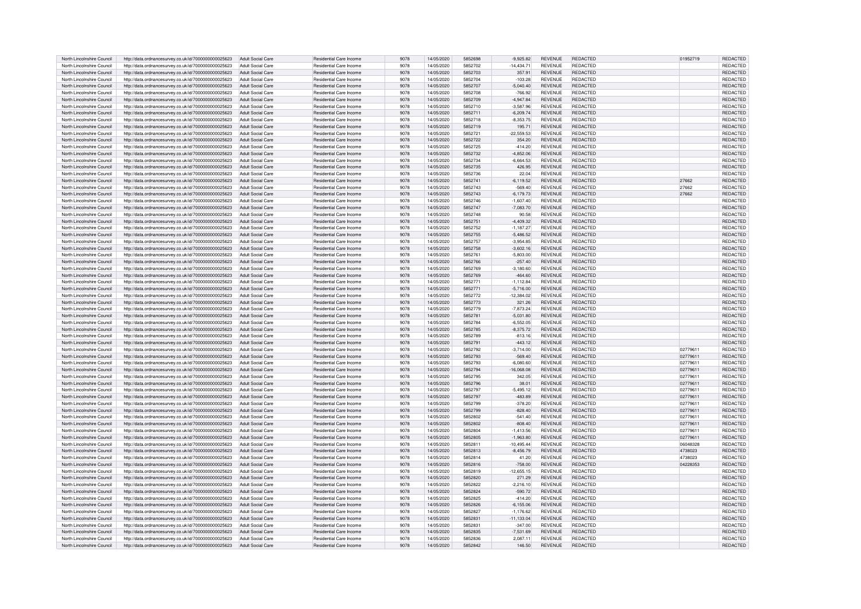|                            |                                                      |                          |                                | 9078 |            | 5852698 |              | <b>REVENUE</b> | REDACTED        |          | REDACTED        |
|----------------------------|------------------------------------------------------|--------------------------|--------------------------------|------|------------|---------|--------------|----------------|-----------------|----------|-----------------|
| North Lincolnshire Council | http://data.ordnancesurvey.co.uk/id/7000000000025623 | <b>Adult Social Care</b> | Residential Care Income        |      | 14/05/2020 |         | $-9,925.82$  |                |                 | 01952719 |                 |
| North Lincolnshire Council | http://data.ordnancesurvey.co.uk/id/7000000000025623 | Adult Social Care        | Residential Care Income        | 9078 | 14/05/2020 | 5852702 | $-14,434.71$ | <b>REVENUE</b> | REDACTED        |          | <b>REDACTEI</b> |
| North Lincolnshire Council | http://data.ordnancesurvey.co.uk/id/7000000000025623 | Adult Social Care        | Residential Care Income        | 9078 | 14/05/2020 | 5852703 | 357.91       | <b>REVENUE</b> | <b>REDACTED</b> |          | <b>REDACTED</b> |
| North Lincolnshire Council |                                                      | Adult Social Care        | <b>Besidential Care Income</b> | 9078 | 14/05/2020 | 5852704 | $-103.28$    | <b>REVENUE</b> | <b>REDACTED</b> |          | <b>REDACTEI</b> |
|                            | http://data.ordnancesurvey.co.uk/id/7000000000025623 |                          |                                |      |            |         |              |                |                 |          |                 |
| North Lincolnshire Council | http://data.ordnancesurvey.co.uk/id/7000000000025623 | Adult Social Care        | Residential Care Income        | 9078 | 14/05/2020 | 5852707 | $-5,040.40$  | <b>REVENUE</b> | <b>REDACTED</b> |          | <b>REDACTED</b> |
| North Lincolnshire Council | http://data.ordnancesurvey.co.uk/id/7000000000025623 | <b>Adult Social Care</b> | Residential Care Income        | 9078 | 14/05/2020 | 5852708 | $-766.92$    | <b>REVENUE</b> | REDACTED        |          | <b>REDACTE</b>  |
| North Lincolnshire Council | http://data.ordnancesurvey.co.uk/id/7000000000025623 | Adult Social Care        | <b>Besidential Care Income</b> | 9078 | 14/05/2020 | 5852709 | $-4.947.84$  | <b>REVENUE</b> | REDACTED        |          | <b>REDACTED</b> |
|                            |                                                      |                          |                                |      |            |         |              |                |                 |          |                 |
| North Lincolnshire Council | http://data.ordnancesurvey.co.uk/id/7000000000025623 | Adult Social Care        | Residential Care Income        | 9078 | 14/05/2020 | 5852710 | $-3,587.96$  | <b>REVENUE</b> | <b>REDACTED</b> |          | <b>REDACTED</b> |
| North Lincolnshire Council | http://data.ordnancesurvey.co.uk/id/7000000000025623 | <b>Adult Social Care</b> | <b>Besidential Care Income</b> | 9078 | 14/05/2020 | 5852711 | $-6,209.74$  | <b>REVENUE</b> | <b>REDACTED</b> |          | <b>REDACTED</b> |
| North Lincolnshire Council | http://data.ordnancesurvey.co.uk/id/7000000000025623 | Adult Social Care        | <b>Besidential Care Income</b> | 9078 | 14/05/2020 | 5852718 | $-8.353.75$  | <b>REVENUE</b> | <b>REDACTED</b> |          | <b>REDACTED</b> |
| North Lincolnshire Council |                                                      |                          | <b>Besidential Care Income</b> | 9078 | 14/05/2020 | 5852719 | 195.71       | <b>REVENUE</b> | <b>REDACTED</b> |          | <b>REDACTED</b> |
|                            | http://data.ordnancesurvey.co.uk/id/7000000000025623 | Adult Social Care        |                                |      |            |         |              |                |                 |          |                 |
| North Lincolnshire Council | http://data.ordnancesurvey.co.uk/id/7000000000025623 | Adult Social Care        | <b>Besidential Care Income</b> | 9078 | 14/05/2020 | 5852721 | $-22,559.53$ | <b>REVENUE</b> | <b>REDACTED</b> |          | REDACTED        |
| North Lincolnshire Council | http://data.ordnancesurvey.co.uk/id/7000000000025623 | <b>Adult Social Care</b> | Residential Care Income        | 9078 | 14/05/2020 | 5852722 | 354.20       | <b>REVENUE</b> | <b>REDACTED</b> |          | REDACTED        |
| North Lincolnshire Council | http://data.ordnancesurvey.co.uk/id/7000000000025623 | Adult Social Care        | Residential Care Income        | 9078 | 14/05/2020 | 5852725 | $-414.20$    | <b>REVENUE</b> | REDACTED        |          | REDACTED        |
|                            |                                                      |                          |                                |      |            |         |              |                |                 |          |                 |
| North Lincolnshire Council | http://data.ordnancesurvey.co.uk/id/7000000000025623 | Adult Social Care        | <b>Besidential Care Income</b> | 9078 | 14/05/2020 | 5852732 | $-4.852.06$  | <b>REVENUE</b> | <b>REDACTED</b> |          | <b>REDACTED</b> |
| North Lincolnshire Council | http://data.ordnancesurvey.co.uk/id/7000000000025623 | Adult Social Care        | <b>Besidential Care Income</b> | 9078 | 14/05/2020 | 5852734 | $-6.664.53$  | <b>REVENUE</b> | <b>REDACTED</b> |          | REDACTED        |
| North Lincolnshire Council | http://data.ordnancesurvey.co.uk/id/7000000000025623 | <b>Adult Social Care</b> | Residential Care Income        | 9078 | 14/05/2020 | 5852735 | 426.95       | <b>REVENUE</b> | <b>REDACTED</b> |          | REDACTED        |
| North Lincolnshire Council | http://data.ordnancesurvey.co.uk/id/7000000000025623 | Adult Social Care        | <b>Besidential Care Income</b> | 9078 | 14/05/2020 | 5852736 | 22.04        | <b>REVENUE</b> | <b>REDACTED</b> |          | REDACTED        |
|                            |                                                      |                          |                                |      |            |         |              |                |                 |          |                 |
| North Lincolnshire Council | http://data.ordnancesurvey.co.uk/id/7000000000025623 | Adult Social Care        | Residential Care Income        | 9078 | 14/05/2020 | 585274  | $-6.119.52$  | <b>REVENUE</b> | REDACTED        | 27662    | REDACTED        |
| North Lincolnshire Council | http://data.ordnancesurvey.co.uk/id/7000000000025623 | Adult Social Care        | Residential Care Income        | 9078 | 14/05/2020 | 5852743 | $-569.40$    | <b>REVENUE</b> | <b>REDACTED</b> | 27662    | REDACTED        |
| North Lincolnshire Council | http://data.ordnancesurvey.co.uk/id/7000000000025623 | Adult Social Care        | Residential Care Income        | 9078 | 14/05/2020 | 5852743 | $-6,179.73$  | <b>REVENUE</b> | <b>REDACTED</b> | 27662    | <b>REDACTED</b> |
|                            |                                                      |                          | <b>Besidential Care Income</b> | 9078 | 14/05/2020 | 5852746 |              |                | <b>REDACTED</b> |          |                 |
| North Lincolnshire Council | http://data.ordnancesurvey.co.uk/id/7000000000025623 | Adult Social Care        |                                |      |            |         | $-1.607.40$  | <b>REVENUE</b> |                 |          | <b>REDACTED</b> |
| North Lincolnshire Council | http://data.ordnancesurvey.co.uk/id/7000000000025623 | <b>Adult Social Care</b> | Residential Care Income        | 9078 | 14/05/2020 | 5852747 | $-7,083.70$  | <b>REVENUE</b> | <b>REDACTED</b> |          | <b>REDACTED</b> |
| North Lincolnshire Council | http://data.ordnancesurvey.co.uk/id/7000000000025623 | <b>Adult Social Care</b> | <b>Besidential Care Income</b> | 9078 | 14/05/2020 | 5852748 | 90.58        | <b>REVENUE</b> | <b>REDACTED</b> |          | REDACTED        |
| North Lincolnshire Council | http://data.ordnancesurvey.co.uk/id/7000000000025623 | Adult Social Care        | Residential Care Income        | 9078 | 14/05/2020 | 585275  | $-4,409.32$  | <b>REVENUE</b> | <b>REDACTED</b> |          | REDACTED        |
|                            |                                                      |                          |                                |      |            |         |              |                |                 |          |                 |
| North Lincolnshire Council | http://data.ordnancesurvey.co.uk/id/7000000000025623 | Adult Social Care        | <b>Besidential Care Income</b> | 9078 | 14/05/2020 | 5852752 | $-1,187.27$  | <b>REVENUE</b> | <b>REDACTED</b> |          | REDACTED        |
| North Lincolnshire Council | http://data.ordnancesurvey.co.uk/id/7000000000025623 | Adult Social Care        | <b>Besidential Care Income</b> | 9078 | 14/05/2020 | 5852755 | $-5,486.52$  | <b>REVENUE</b> | <b>REDACTED</b> |          | REDACTED        |
| North Lincolnshire Council | http://data.ordnancesurvey.co.uk/id/7000000000025623 | Adult Social Care        | Residential Care Income        | 9078 | 14/05/2020 | 5852757 | $-3,954.85$  | REVENUE        | <b>REDACTED</b> |          | REDACTED        |
| North Lincolnshire Council | http://data.ordnancesurvey.co.uk/id/7000000000025623 | Adult Social Care        | Residential Care Income        | 9078 | 14/05/2020 | 5852758 | $-3,602.16$  | <b>REVENUE</b> | <b>REDACTED</b> |          | REDACTED        |
|                            |                                                      |                          |                                |      |            |         |              |                |                 |          |                 |
| North Lincolnshire Council | http://data.ordnancesurvey.co.uk/id/7000000000025623 | Adult Social Care        | <b>Besidential Care Income</b> | 9078 | 14/05/2020 | 5852761 | $-5.803.00$  | <b>REVENUE</b> | <b>REDACTED</b> |          | <b>REDACTED</b> |
| North Lincolnshire Council | http://data.ordnancesurvey.co.uk/id/7000000000025623 | <b>Adult Social Care</b> | <b>Besidential Care Income</b> | 9078 | 14/05/2020 | 5852766 | $-257.40$    | <b>REVENUE</b> | <b>REDACTED</b> |          | <b>REDACTED</b> |
| North Lincolnshire Council | http://data.ordnancesurvey.co.uk/id/7000000000025623 | Adult Social Care        | Residential Care Income        | 9078 | 14/05/2020 | 5852769 | $-3.180.60$  | <b>REVENUE</b> | REDACTED        |          | <b>REDACTED</b> |
|                            |                                                      |                          |                                |      |            |         |              |                |                 |          |                 |
| North Lincolnshire Council | http://data.ordnancesurvey.co.uk/id/7000000000025623 | Adult Social Care        | Residential Care Income        | 9078 | 14/05/2020 | 5852769 | $-464.60$    | <b>REVENUE</b> | <b>REDACTED</b> |          | REDACTED        |
| North Lincolnshire Council | http://data.ordnancesurvey.co.uk/id/7000000000025623 | Adult Social Care        | Residential Care Income        | 9078 | 14/05/2020 | 5852771 | $-1,112.84$  | <b>REVENUE</b> | REDACTED        |          | <b>REDACTED</b> |
| North Lincolnshire Council | http://data.ordnancesurvey.co.uk/id/7000000000025623 | Adult Social Care        | Residential Care Income        | 9078 | 14/05/2020 | 5852771 | $-5,716.00$  | <b>REVENUE</b> | <b>REDACTED</b> |          | <b>REDACTED</b> |
| North Lincolnshire Council | http://data.ordnancesurvey.co.uk/id/7000000000025623 | Adult Social Care        | Residential Care Income        | 9078 | 14/05/2020 | 5852772 | $-12.384.02$ | <b>REVENUE</b> | REDACTED        |          | <b>REDACTED</b> |
|                            |                                                      |                          |                                |      |            |         |              |                |                 |          |                 |
| North Lincolnshire Council | http://data.ordnancesurvey.co.uk/id/7000000000025623 | <b>Adult Social Care</b> | Residential Care Income        | 9078 | 14/05/2020 | 5852773 | 321.26       | <b>REVENUE</b> | <b>REDACTED</b> |          | REDACTED        |
| North Lincolnshire Council | http://data.ordnancesurvey.co.uk/id/7000000000025623 | Adult Social Care        | <b>Besidential Care Income</b> | 9078 | 14/05/2020 | 5852779 | $-7,873.24$  | <b>REVENUE</b> | <b>REDACTED</b> |          | REDACTED        |
| North Lincolnshire Council | http://data.ordnancesurvey.co.uk/id/7000000000025623 | Adult Social Care        | <b>Besidential Care Income</b> | 9078 | 14/05/2020 | 5852781 | $-5,031.80$  | <b>REVENUE</b> | <b>REDACTED</b> |          | REDACTED        |
| North Lincolnshire Council | http://data.ordnancesurvey.co.uk/id/7000000000025623 | <b>Adult Social Care</b> | Residential Care Income        | 9078 | 14/05/2020 | 5852784 | $-6,552.05$  | <b>REVENUE</b> | <b>REDACTED</b> |          | REDACTED        |
| North Lincolnshire Council |                                                      |                          | <b>Besidential Care Income</b> | 9078 | 14/05/2020 | 5852785 |              | <b>REVENUE</b> | <b>REDACTED</b> |          |                 |
|                            | http://data.ordnancesurvey.co.uk/id/7000000000025623 | <b>Adult Social Care</b> |                                |      |            |         | $-8,375.72$  |                |                 |          | REDACTED        |
| North Lincolnshire Council | http://data.ordnancesurvey.co.uk/id/7000000000025623 | Adult Social Care        | <b>Besidential Care Income</b> | 9078 | 14/05/2020 | 5852789 | $-813.16$    | <b>REVENUE</b> | <b>REDACTED</b> |          | <b>REDACTED</b> |
| North Lincolnshire Council | http://data.ordnancesurvey.co.uk/id/7000000000025623 | Adult Social Care        | <b>Besidential Care Income</b> | 9078 | 14/05/2020 | 5852791 | $-443.12$    | <b>REVENUE</b> | <b>REDACTED</b> |          | <b>REDACTED</b> |
| North Lincolnshire Council | http://data.ordnancesurvey.co.uk/id/7000000000025623 | Adult Social Care        | Residential Care Income        | 9078 | 14/05/2020 | 5852792 | $-3,714.00$  | <b>REVENUE</b> | <b>REDACTED</b> | 02779611 | REDACTED        |
|                            |                                                      |                          |                                |      |            | 5852793 |              | <b>REVENUE</b> | <b>REDACTED</b> |          |                 |
| North Lincolnshire Council | http://data.ordnancesurvey.co.uk/id/7000000000025623 | Adult Social Care        | Residential Care Income        | 9078 | 14/05/2020 |         | $-569.40$    |                |                 | 02779611 | REDACTED        |
| North Lincolnshire Council | http://data.ordnancesurvey.co.uk/id/7000000000025623 | Adult Social Care        | Residential Care Income        | 9078 | 14/05/2020 | 5852793 | $-6,080.60$  | <b>REVENUE</b> | <b>REDACTED</b> | 02779611 | <b>REDACTEI</b> |
| North Lincolnshire Council | http://data.ordnancesurvey.co.uk/id/7000000000025623 | <b>Adult Social Care</b> | Residential Care Income        | 9078 | 14/05/2020 | 5852794 | $-16,068.08$ | <b>REVENUE</b> | <b>REDACTED</b> | 02779611 | <b>REDACTEI</b> |
| North Lincolnshire Council | http://data.ordnancesurvey.co.uk/id/7000000000025623 | Adult Social Care        | Residential Care Income        | 9078 | 14/05/2020 | 5852795 | 342.05       | <b>REVENUE</b> | <b>REDACTED</b> | 02779611 | <b>REDACTE</b>  |
|                            |                                                      |                          |                                |      |            |         |              |                |                 |          |                 |
| North Lincolnshire Council | http://data.ordnancesurvey.co.uk/id/7000000000025623 | Adult Social Care        | Residential Care Income        | 9078 | 14/05/2020 | 5852796 | 38.01        | <b>REVENUE</b> | <b>REDACTED</b> | 02779611 | <b>REDACTE</b>  |
| North Lincolnshire Council | http://data.ordnancesurvey.co.uk/id/7000000000025623 | Adult Social Care        | Residential Care Income        | 9078 | 14/05/2020 | 5852797 | $-5,495.12$  | <b>REVENUE</b> | <b>REDACTED</b> | 02779611 | <b>REDACTEI</b> |
| North Lincolnshire Council | http://data.ordnancesurvey.co.uk/id/7000000000025623 | Adult Social Care        | <b>Besidential Care Income</b> | 9078 | 14/05/2020 | 5852797 | $-483.89$    | <b>REVENUE</b> | <b>REDACTED</b> | 02779611 | REDACTED        |
| North Lincolnshire Council | http://data.ordnancesurvey.co.uk/id/7000000000025623 | Adult Social Care        | Residential Care Income        | 9078 | 14/05/2020 | 5852799 | $-378.20$    | REVENUE        | <b>REDACTED</b> | 02779611 | REDACTED        |
|                            |                                                      |                          |                                |      |            |         |              |                |                 |          |                 |
| North Lincolnshire Council | http://data.ordnancesurvey.co.uk/id/7000000000025623 | Adult Social Care        | <b>Besidential Care Income</b> | 9078 | 14/05/2020 | 5852799 | $-828.40$    | <b>REVENUE</b> | <b>REDACTED</b> | 02779611 | <b>REDACTED</b> |
| North Lincolnshire Council | http://data.ordnancesurvey.co.uk/id/7000000000025623 | Adult Social Care        | <b>Besidential Care Income</b> | 9078 | 14/05/2020 | 5852802 | $-541.40$    | <b>REVENUE</b> | <b>REDACTED</b> | 02779611 | <b>REDACTED</b> |
| North Lincolnshire Council | http://data.ordnancesurvey.co.uk/id/7000000000025623 | Adult Social Care        | <b>Besidential Care Income</b> | 9078 | 14/05/2020 | 5852802 | $-808.40$    | <b>REVENUE</b> | <b>REDACTED</b> | 02779611 | <b>REDACTED</b> |
| North Lincolnshire Council |                                                      | <b>Adult Social Care</b> | Residential Care Income        | 9078 | 14/05/2020 | 5852804 |              | <b>REVENUE</b> | REDACTED        | 02779611 | REDACTED        |
|                            | http://data.ordnancesurvey.co.uk/id/7000000000025623 |                          |                                |      |            |         | $-1,413.56$  |                |                 |          |                 |
| North Lincolnshire Council | http://data.ordnancesurvey.co.uk/id/7000000000025623 | Adult Social Care        | <b>Besidential Care Income</b> | 9078 | 14/05/2020 | 5852805 | $-1.963.80$  | <b>REVENUE</b> | <b>REDACTED</b> | 02779611 | <b>REDACTED</b> |
| North Lincolnshire Council | http://data.ordnancesurvey.co.uk/id/7000000000025623 | <b>Adult Social Care</b> | Residential Care Income        | 9078 | 14/05/2020 | 5852811 | 10,495.44    | <b>REVENUE</b> | <b>REDACTED</b> | 06048328 | REDACTED        |
| North Lincolnshire Council | http://data.ordnancesurvey.co.uk/id/7000000000025623 | Adult Social Care        | <b>Besidential Care Income</b> | 9078 | 14/05/2020 | 5852813 | $-8,456.79$  | <b>REVENUE</b> | <b>REDACTED</b> | 4738023  | <b>REDACTED</b> |
| North Lincolnshire Council | http://data.ordnancesurvey.co.uk/id/7000000000025623 | Adult Social Care        | Residential Care Income        | 9078 | 14/05/2020 | 5852814 | 41.20        | <b>REVENUE</b> | REDACTED        | 4738023  | REDACTED        |
|                            |                                                      |                          |                                |      |            |         |              |                |                 |          |                 |
| North Lincolnshire Council | http://data.ordnancesurvey.co.uk/id/7000000000025623 | Adult Social Care        | Residential Care Income        | 9078 | 14/05/2020 | 5852816 | $-758.00$    | <b>REVENUE</b> | <b>REDACTED</b> | 04228353 | REDACTED        |
| North Lincolnshire Council | http://data.ordnancesurvey.co.uk/id/7000000000025623 | Adult Social Care        | <b>Besidential Care Income</b> | 9078 | 14/05/2020 | 5852819 | $-12.655.15$ | <b>REVENUE</b> | <b>REDACTED</b> |          | <b>REDACTED</b> |
| North Lincolnshire Council | http://data.ordnancesurvey.co.uk/id/7000000000025623 | Adult Social Care        | Residential Care Income        | 9078 | 14/05/2020 | 5852820 | 271.29       | <b>REVENUE</b> | <b>REDACTED</b> |          | REDACTED        |
|                            |                                                      |                          |                                |      |            | 5852822 |              |                |                 |          |                 |
| North Lincolnshire Council | http://data.ordnancesurvey.co.uk/id/7000000000025623 | Adult Social Care        | Residential Care Income        | 9078 | 14/05/2020 |         | $-2,216.10$  | <b>REVENUE</b> | <b>REDACTED</b> |          | REDACTED        |
| North Lincolnshire Council | http://data.ordnancesurvey.co.uk/id/7000000000025623 | Adult Social Care        | <b>Besidential Care Income</b> | 9078 | 14/05/2020 | 5852824 | $-590.72$    | <b>REVENUE</b> | <b>REDACTED</b> |          | <b>REDACTEI</b> |
| North Lincolnshire Council | http://data.ordnancesurvey.co.uk/id/7000000000025623 | Adult Social Care        | <b>Besidential Care Income</b> | 9078 | 14/05/2020 | 5852825 | $-414.20$    | <b>REVENUE</b> | <b>REDACTED</b> |          | REDACTED        |
| North Lincolnshire Council | http://data.ordnancesurvey.co.uk/id/7000000000025623 | Adult Social Care        | <b>Besidential Care Income</b> | 9078 | 14/05/2020 | 5852826 | $-6,155.06$  | <b>REVENUE</b> | REDACTED        |          | REDACTED        |
|                            |                                                      |                          |                                |      |            | 5852827 |              |                |                 |          |                 |
| North Lincolnshire Council | http://data.ordnancesurvey.co.uk/id/7000000000025623 | Adult Social Care        | Residential Care Income        | 9078 | 14/05/2020 |         | $-1,176.62$  | <b>REVENUE</b> | REDACTED        |          | <b>REDACTEI</b> |
| North Lincolnshire Council | http://data.ordnancesurvey.co.uk/id/7000000000025623 | Adult Social Care        | Residential Care Income        | 9078 | 14/05/2020 | 585283  | $-11,133.04$ | <b>REVENUE</b> | <b>REDACTED</b> |          | <b>REDACTED</b> |
| North Lincolnshire Council | http://data.ordnancesurvey.co.uk/id/7000000000025623 | Adult Social Care        | Residential Care Income        | 9078 | 14/05/2020 | 585283  | $-347.00$    | REVENUE        | <b>REDACTED</b> |          | <b>REDACTE</b>  |
| North Lincolnshire Council | http://data.ordnancesurvey.co.uk/id/7000000000025623 | Adult Social Care        | <b>Besidential Care Income</b> | 9078 | 14/05/2020 | 5852835 | $-7.531.69$  | <b>REVENUE</b> | <b>REDACTED</b> |          | <b>REDACTED</b> |
| North Lincolnshire Council | http://data.ordnancesurvey.co.uk/id/7000000000025623 | Adult Social Care        | Residential Care Income        | 9078 | 14/05/2020 | 5852836 | 2.087.11     | <b>REVENUE</b> | <b>REDACTED</b> |          | REDACTED        |
|                            |                                                      |                          |                                |      |            |         |              |                |                 |          |                 |
| North Lincolnshire Council | http://data.ordnancesurvey.co.uk/id/7000000000025623 | Adult Social Care        | Residential Care Income        | 9078 | 14/05/2020 | 5852842 | 146.50       | <b>REVENUE</b> | <b>REDACTED</b> |          | <b>REDACTED</b> |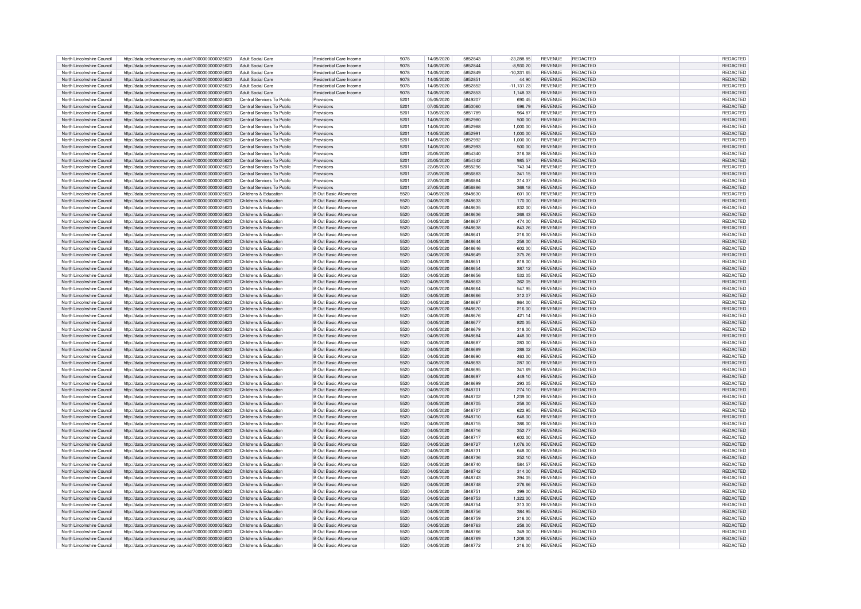| North Lincolnshire Council | http://data.ordnancesurvey.co.uk/id/7000000000025623 | Adult Social Care          | Residential Care Income        | 9078 | 14/05/2020 | 5852843 | $-23.288.85$ | <b>REVENUE</b> | REDACTED        | REDACTED        |
|----------------------------|------------------------------------------------------|----------------------------|--------------------------------|------|------------|---------|--------------|----------------|-----------------|-----------------|
|                            |                                                      |                            |                                |      |            |         |              |                |                 |                 |
| North Lincolnshire Council | http://data.ordnancesurvey.co.uk/id/7000000000025623 | Adult Social Care          | Residential Care Income        | 9078 | 14/05/2020 | 5852844 | $-8,930.20$  | <b>REVENUE</b> | REDACTED        | REDACTED        |
| North Lincolnshire Council | http://data.ordnancesurvey.co.uk/id/7000000000025623 | Adult Social Care          | Residential Care Income        | 9078 | 14/05/2020 | 5852849 | $-10,331.65$ | <b>REVENUE</b> | <b>REDACTED</b> | <b>REDACTED</b> |
| North Lincolnshire Council | http://data.ordnancesurvey.co.uk/id/7000000000025623 | Adult Social Care          | <b>Besidential Care Income</b> | 9078 | 14/05/2020 | 5852851 | 44.90        | <b>REVENUE</b> | <b>REDACTED</b> | <b>REDACTED</b> |
|                            |                                                      |                            |                                |      |            |         |              |                |                 |                 |
| North Lincolnshire Council | http://data.ordnancesurvey.co.uk/id/7000000000025623 | <b>Adult Social Care</b>   | Residential Care Income        | 9078 | 14/05/2020 | 5852852 | $-11,131.23$ | REVENUE        | REDACTED        | <b>REDACTED</b> |
| North Lincolnshire Council | http://data.ordnancesurvey.co.uk/id/7000000000025623 | Adult Social Care          | <b>Besidential Care Income</b> | 9078 | 14/05/2020 | 5852853 | 1,148.33     | <b>REVENUE</b> | REDACTED        | <b>REDACTED</b> |
| North Lincolnshire Council | http://data.ordnancesurvey.co.uk/id/7000000000025623 | Central Services To Public | Provisions                     | 5201 | 05/05/2020 | 5849207 | 690.45       | <b>REVENUE</b> | <b>REDACTED</b> | REDACTED        |
|                            |                                                      |                            |                                |      |            |         |              |                |                 |                 |
| North Lincolnshire Council | http://data.ordnancesurvey.co.uk/id/7000000000025623 | Central Services To Public | Provisions                     | 5201 | 07/05/2020 | 5850060 | 596.79       | <b>REVENUE</b> | <b>REDACTED</b> | REDACTED        |
| North Lincolnshire Council | http://data.ordnancesurvey.co.uk/id/7000000000025623 | Central Services To Public | Provisions                     | 5201 | 13/05/2020 | 5851789 | 964.87       | <b>REVENUE</b> | <b>REDACTED</b> | <b>REDACTED</b> |
|                            |                                                      |                            |                                |      |            |         |              |                |                 |                 |
| North Lincolnshire Council | http://data.ordnancesurvey.co.uk/id/7000000000025623 | Central Services To Public | Provisions                     | 5201 | 14/05/2020 | 5852980 | 500.00       | REVENUE        | <b>REDACTED</b> | <b>REDACTED</b> |
| North Lincolnshire Council | http://data.ordnancesurvey.co.uk/id/7000000000025623 | Central Services To Public | Provisions                     | 5201 | 14/05/2020 | 5852988 | 1.000.00     | <b>REVENUE</b> | <b>REDACTED</b> | <b>REDACTED</b> |
| North Lincolnshire Council | http://data.ordnancesurvey.co.uk/id/7000000000025623 | Central Services To Public | Provisions                     | 5201 | 14/05/2020 | 5852991 | 1,000.00     | <b>REVENUE</b> | <b>REDACTED</b> | <b>REDACTED</b> |
|                            |                                                      |                            |                                |      |            |         |              |                |                 |                 |
| North Lincolnshire Council | http://data.ordnancesurvey.co.uk/id/7000000000025623 | Central Services To Public | Provisions                     | 5201 | 14/05/2020 | 5852992 | 000.00       | REVENUE        | <b>REDACTED</b> | REDACTED        |
| North Lincolnshire Council | http://data.ordnancesurvey.co.uk/id/7000000000025623 | Central Services To Public | Provisions                     | 5201 | 14/05/2020 | 5852993 | 500.00       | <b>REVENUE</b> | <b>REDACTED</b> | REDACTED        |
| North Lincolnshire Council | http://data.ordnancesurvey.co.uk/id/7000000000025623 | Central Services To Public | Provisions                     | 5201 | 20/05/2020 | 5854340 | 316.38       | <b>REVENUE</b> | <b>REDACTED</b> | <b>REDACTED</b> |
|                            |                                                      |                            |                                |      |            |         |              |                |                 |                 |
| North Lincolnshire Council | http://data.ordnancesurvey.co.uk/id/7000000000025623 | Central Services To Public | Provisions                     | 5201 | 20/05/2020 | 5854342 | 985.57       | <b>REVENUE</b> | <b>REDACTED</b> | <b>REDACTED</b> |
| North Lincolnshire Council | http://data.ordnancesurvey.co.uk/id/7000000000025623 | Central Services To Public | Provisions                     | 5201 | 22/05/2020 | 5855296 | 743.34       | <b>REVENUE</b> | <b>REDACTED</b> | REDACTED        |
| North Lincolnshire Council | http://data.ordnancesurvey.co.uk/id/7000000000025623 | Central Services To Public | Provisions                     | 5201 | 27/05/2020 | 5856883 | 341.15       | <b>REVENUE</b> | <b>REDACTED</b> | REDACTED        |
|                            |                                                      |                            |                                |      |            |         |              |                |                 |                 |
| North Lincolnshire Council | http://data.ordnancesurvey.co.uk/id/7000000000025623 | Central Services To Public | Provisions                     | 5201 | 27/05/2020 | 5856884 | 314.37       | <b>REVENUE</b> | <b>REDACTED</b> | REDACTED        |
| North Lincolnshire Council | http://data.ordnancesurvey.co.uk/id/7000000000025623 | Central Services To Public | Provisions                     | 5201 | 27/05/2020 | 5856886 | 368.18       | <b>REVENUE</b> | <b>REDACTED</b> | REDACTED        |
|                            |                                                      |                            |                                |      |            |         |              |                |                 |                 |
| North Lincolnshire Council | http://data.ordnancesurvey.co.uk/id/7000000000025623 | Childrens & Education      | <b>B Out Basic Allowance</b>   | 5520 | 04/05/2020 | 5848630 | 601.00       | REVENUE        | <b>REDACTED</b> | <b>REDACTED</b> |
| North Lincolnshire Council | http://data.ordnancesurvey.co.uk/id/7000000000025623 | Childrens & Education      | <b>B Out Basic Allowance</b>   | 5520 | 04/05/2020 | 5848633 | 170.00       | <b>REVENUE</b> | <b>REDACTED</b> | REDACTED        |
| North Lincolnshire Council | http://data.ordnancesurvey.co.uk/id/7000000000025623 | Childrens & Education      | <b>B Out Basic Allowance</b>   | 5520 | 04/05/2020 | 5848635 | 832.00       | <b>REVENUE</b> | <b>REDACTED</b> | <b>REDACTED</b> |
|                            |                                                      |                            |                                |      |            |         |              |                |                 |                 |
| North Lincolnshire Council | http://data.ordnancesurvey.co.uk/id/7000000000025623 | Childrens & Education      | <b>B Out Basic Allowance</b>   | 5520 | 04/05/2020 | 5848636 | 268.43       | REVENUE        | <b>REDACTED</b> | REDACTED        |
| North Lincolnshire Council | http://data.ordnancesurvey.co.uk/id/7000000000025623 | Childrens & Education      | B Out Basic Allowance          | 5520 | 04/05/2020 | 5848637 | 474.00       | <b>REVENUE</b> | <b>REDACTED</b> | REDACTED        |
| North Lincolnshire Council | http://data.ordnancesurvey.co.uk/id/7000000000025623 | Childrens & Education      | <b>B Out Basic Allowance</b>   | 5520 | 04/05/2020 | 5848638 | 843.26       | <b>REVENUE</b> | <b>REDACTED</b> | REDACTED        |
|                            |                                                      |                            |                                |      |            |         |              |                |                 |                 |
| North Lincolnshire Council | http://data.ordnancesurvey.co.uk/id/7000000000025623 | Childrens & Education      | <b>B Out Basic Allowance</b>   | 5520 | 04/05/2020 | 5848641 | 216.00       | <b>REVENUE</b> | <b>REDACTED</b> | <b>REDACTED</b> |
| North Lincolnshire Council | http://data.ordnancesurvey.co.uk/id/7000000000025623 | Childrens & Education      | <b>B Out Basic Allowance</b>   | 5520 | 04/05/2020 | 5848644 | 258.00       | <b>REVENUE</b> | <b>REDACTED</b> | REDACTED        |
| North Lincolnshire Council | http://data.ordnancesurvey.co.uk/id/7000000000025623 | Childrens & Education      | <b>B Out Basic Allowance</b>   | 5520 | 04/05/2020 | 5848646 | 602.00       | REVENUE        | <b>REDACTED</b> | REDACTED        |
|                            |                                                      |                            |                                |      |            |         |              |                |                 |                 |
| North Lincolnshire Council | http://data.ordnancesurvey.co.uk/id/7000000000025623 | Childrens & Education      | B Out Basic Allowance          | 5520 | 04/05/2020 | 5848649 | 375.26       | <b>REVENUE</b> | <b>REDACTED</b> | REDACTED        |
| North Lincolnshire Council | http://data.ordnancesurvey.co.uk/id/7000000000025623 | Childrens & Education      | B Out Basic Allowance          | 5520 | 04/05/2020 | 5848651 | 818.00       | <b>REVENUE</b> | <b>REDACTED</b> | REDACTED        |
|                            |                                                      |                            |                                | 5520 |            |         |              |                |                 |                 |
| North Lincolnshire Council | http://data.ordnancesurvey.co.uk/id/7000000000025623 | Childrens & Education      | <b>B Out Basic Allowance</b>   |      | 04/05/2020 | 5848654 | 387.12       | <b>REVENUE</b> | <b>REDACTED</b> | REDACTED        |
| North Lincolnshire Council | http://data.ordnancesurvey.co.uk/id/7000000000025623 | Childrens & Education      | B Out Basic Allowance          | 5520 | 04/05/2020 | 5848656 | 532.05       | <b>REVENUE</b> | <b>REDACTED</b> | REDACTED        |
| North Lincolnshire Council | http://data.ordnancesurvey.co.uk/id/7000000000025623 | Childrens & Education      | <b>B Out Basic Allowance</b>   | 5520 | 04/05/2020 | 5848663 | 362.05       | <b>REVENUE</b> | <b>REDACTED</b> | REDACTED        |
|                            |                                                      |                            |                                |      |            |         |              |                |                 |                 |
| North Lincolnshire Council | http://data.ordnancesurvey.co.uk/id/7000000000025623 | Childrens & Education      | <b>B Out Basic Allowance</b>   | 5520 | 04/05/2020 | 5848664 | 547.95       | <b>REVENUE</b> | <b>REDACTED</b> | REDACTED        |
| North Lincolnshire Council | http://data.ordnancesurvey.co.uk/id/7000000000025623 | Childrens & Education      | <b>B Out Basic Allowance</b>   | 5520 | 04/05/2020 | 5848666 | 312.07       | <b>REVENUE</b> | <b>REDACTED</b> | <b>REDACTED</b> |
| North Lincolnshire Council | http://data.ordnancesurvey.co.uk/id/7000000000025623 | Childrens & Education      | B Out Basic Allowance          | 5520 | 04/05/2020 | 5848667 | 864.00       | <b>REVENUE</b> | <b>REDACTED</b> | REDACTED        |
|                            |                                                      |                            |                                |      |            |         |              |                |                 |                 |
| North Lincolnshire Council | http://data.ordnancesurvey.co.uk/id/7000000000025623 | Childrens & Education      | <b>B Out Basic Allowance</b>   | 5520 | 04/05/2020 | 5848670 | 216.00       | <b>REVENUE</b> | <b>REDACTED</b> | <b>REDACTED</b> |
| North Lincolnshire Council | http://data.ordnancesurvey.co.uk/id/7000000000025623 | Childrens & Education      | <b>B Out Basic Allowance</b>   | 5520 | 04/05/2020 | 5848676 | 421.14       | <b>REVENUE</b> | <b>REDACTED</b> | REDACTED        |
|                            |                                                      |                            |                                |      |            |         |              |                |                 |                 |
| North Lincolnshire Council | http://data.ordnancesurvey.co.uk/id/7000000000025623 | Childrens & Education      | <b>B Out Basic Allowance</b>   | 5520 | 04/05/2020 | 5848677 | 820.35       | <b>REVENUE</b> | <b>REDACTED</b> | REDACTED        |
| North Lincolnshire Council | http://data.ordnancesurvey.co.uk/id/7000000000025623 | Childrens & Education      | B Out Basic Allowance          | 5520 | 04/05/2020 | 5848679 | 318.00       | <b>REVENUE</b> | <b>REDACTED</b> | <b>REDACTED</b> |
| North Lincolnshire Council | http://data.ordnancesurvey.co.uk/id/7000000000025623 | Childrens & Education      | B Out Basic Allowance          | 5520 | 04/05/2020 | 5848684 | 448.00       | <b>REVENUE</b> | <b>REDACTED</b> | REDACTED        |
|                            |                                                      |                            |                                |      |            |         |              |                |                 |                 |
| North Lincolnshire Council | http://data.ordnancesurvey.co.uk/id/7000000000025623 | Childrens & Education      | B Out Basic Allowance          | 5520 | 04/05/2020 | 5848687 | 283.00       | <b>REVENUE</b> | <b>REDACTED</b> | <b>REDACTED</b> |
| North Lincolnshire Council | http://data.ordnancesurvey.co.uk/id/7000000000025623 | Childrens & Education      | <b>B Out Basic Allowance</b>   | 5520 | 04/05/2020 | 5848689 | 288.02       | <b>REVENUE</b> | <b>REDACTED</b> | REDACTED        |
| North Lincolnshire Council | http://data.ordnancesurvey.co.uk/id/7000000000025623 | Childrens & Education      | B Out Basic Allowance          | 5520 | 04/05/2020 | 5848690 | 463.00       | <b>REVENUE</b> | <b>REDACTED</b> | REDACTED        |
|                            |                                                      |                            |                                |      |            |         |              |                |                 |                 |
| North Lincolnshire Council | http://data.ordnancesurvey.co.uk/id/7000000000025623 | Childrens & Education      | <b>B Out Basic Allowance</b>   | 5520 | 04/05/2020 | 5848693 | 287.00       | <b>REVENUE</b> | <b>REDACTED</b> | REDACTEI        |
| North Lincolnshire Council | http://data.ordnancesurvey.co.uk/id/7000000000025623 | Childrens & Education      | <b>B Out Basic Allowance</b>   | 5520 | 04/05/2020 | 5848695 | 341.69       | <b>REVENUE</b> | <b>REDACTED</b> | <b>REDACTED</b> |
|                            |                                                      |                            |                                |      |            |         |              |                |                 |                 |
| North Lincolnshire Council | http://data.ordnancesurvey.co.uk/id/7000000000025623 | Childrens & Education      | <b>B Out Basic Allowance</b>   | 5520 | 04/05/2020 | 5848697 | 449.10       | <b>REVENUE</b> | <b>REDACTED</b> | REDACTEI        |
| North Lincolnshire Council | http://data.ordnancesurvey.co.uk/id/7000000000025623 | Childrens & Education      | B Out Basic Allowance          | 5520 | 04/05/2020 | 5848699 | 293.05       | <b>REVENUE</b> | <b>REDACTED</b> | REDACTED        |
| North Lincolnshire Council | http://data.ordnancesurvey.co.uk/id/7000000000025623 | Childrens & Education      | <b>B Out Basic Allowance</b>   | 5520 | 04/05/2020 | 584870  | 274.10       | <b>REVENUE</b> | <b>REDACTED</b> | <b>REDACTED</b> |
|                            |                                                      |                            |                                |      |            |         |              |                |                 |                 |
| North Lincolnshire Council | http://data.ordnancesurvey.co.uk/id/7000000000025623 | Childrens & Education      | B Out Basic Allowance          | 5520 | 04/05/2020 | 5848702 | 1.239.00     | <b>REVENUE</b> | <b>REDACTED</b> | REDACTED        |
| North Lincolnshire Council | http://data.ordnancesurvey.co.uk/id/7000000000025623 | Childrens & Education      | <b>B Out Basic Allowance</b>   | 5520 | 04/05/2020 | 5848705 | 258.00       | <b>REVENUE</b> | <b>REDACTED</b> | REDACTED        |
| North Lincolnshire Council | http://data.ordnancesurvey.co.uk/id/7000000000025623 | Childrens & Education      | B Out Basic Allowance          | 5520 | 04/05/2020 | 5848707 | 622.95       | <b>REVENUE</b> | <b>REDACTED</b> | <b>REDACTED</b> |
|                            |                                                      |                            |                                |      |            |         |              |                |                 |                 |
| North Lincolnshire Council | http://data.ordnancesurvey.co.uk/id/7000000000025623 | Childrens & Education      | B Out Basic Allowance          | 5520 | 04/05/2020 | 5848710 | 648.00       | <b>REVENUE</b> | <b>REDACTED</b> | REDACTED        |
| North Lincolnshire Council | http://data.ordnancesurvey.co.uk/id/7000000000025623 | Childrens & Education      | B Out Basic Allowance          | 5520 | 04/05/2020 | 5848715 | 386.00       | <b>REVENUE</b> | <b>REDACTED</b> | <b>REDACTED</b> |
| North Lincolnshire Council | http://data.ordnancesurvey.co.uk/id/7000000000025623 | Childrens & Education      | <b>B Out Basic Allowance</b>   | 5520 | 04/05/2020 | 5848716 | 352.77       | <b>REVENUE</b> | <b>REDACTED</b> | REDACTE         |
|                            |                                                      |                            |                                |      |            |         |              |                |                 |                 |
| North Lincolnshire Council | http://data.ordnancesurvey.co.uk/id/7000000000025623 | Childrens & Education      | B Out Basic Allowance          | 5520 | 04/05/2020 | 5848717 | 602.00       | <b>REVENUE</b> | <b>REDACTED</b> | REDACTED        |
| North Lincolnshire Council | http://data.ordnancesurvey.co.uk/id/7000000000025623 | Childrens & Education      | <b>B Out Basic Allowance</b>   | 5520 | 04/05/2020 | 5848727 | 1,076.00     | <b>REVENUE</b> | <b>REDACTED</b> | REDACTED        |
| North Lincolnshire Council | http://data.ordnancesurvey.co.uk/id/7000000000025623 | Childrens & Education      | <b>B Out Basic Allowance</b>   | 5520 | 04/05/2020 | 5848731 | 648.00       | <b>REVENUE</b> | <b>REDACTED</b> | REDACTED        |
|                            |                                                      |                            |                                |      |            |         |              |                |                 |                 |
| North Lincolnshire Council | http://data.ordnancesurvey.co.uk/id/7000000000025623 | Childrens & Education      | <b>B Out Basic Allowance</b>   | 5520 | 04/05/2020 | 5848736 | 252.10       | <b>REVENUE</b> | <b>REDACTED</b> | <b>REDACTED</b> |
| North Lincolnshire Council | http://data.ordnancesurvey.co.uk/id/7000000000025623 | Childrens & Education      | <b>B Out Basic Allowance</b>   | 5520 | 04/05/2020 | 5848740 | 584.57       | <b>REVENUE</b> | <b>REDACTED</b> | <b>REDACTED</b> |
| North Lincolnshire Council | http://data.ordnancesurvey.co.uk/id/7000000000025623 | Childrens & Education      | <b>B Out Basic Allowance</b>   | 5520 | 04/05/2020 | 5848742 | 314.00       | <b>REVENUE</b> | <b>REDACTED</b> | REDACTED        |
|                            |                                                      |                            |                                |      |            |         |              |                |                 |                 |
| North Lincolnshire Council | http://data.ordnancesurvev.co.uk/id/7000000000025623 | Childrens & Education      | B Out Basic Allowance          | 5520 | 04/05/2020 | 5848743 | 394.05       | <b>REVENUE</b> | <b>REDACTED</b> | REDACTED        |
| North Lincolnshire Council | http://data.ordnancesurvey.co.uk/id/7000000000025623 | Childrens & Education      | <b>B Out Basic Allowance</b>   | 5520 | 04/05/2020 | 5848748 | 276.66       | <b>REVENUE</b> | <b>REDACTED</b> | REDACTED        |
|                            |                                                      |                            |                                |      |            |         |              |                |                 |                 |
| North Lincolnshire Council | http://data.ordnancesurvey.co.uk/id/7000000000025623 | Childrens & Education      | B Out Basic Allowance          | 5520 | 04/05/2020 | 5848751 | 399.00       | <b>REVENUE</b> | <b>REDACTED</b> | <b>REDACTED</b> |
| North Lincolnshire Council | http://data.ordnancesurvey.co.uk/id/7000000000025623 | Childrens & Education      | <b>B Out Basic Allowance</b>   | 5520 | 04/05/2020 | 5848753 | 1,322.00     | <b>REVENUE</b> | <b>REDACTED</b> | REDACTED        |
| North Lincolnshire Council | http://data.ordnancesurvey.co.uk/id/7000000000025623 | Childrens & Education      | B Out Basic Allowance          | 5520 | 04/05/2020 | 5848754 | 313.00       | <b>REVENUE</b> | REDACTED        | REDACTED        |
|                            |                                                      |                            |                                |      |            |         |              |                |                 |                 |
| North Lincolnshire Council | http://data.ordnancesurvey.co.uk/id/7000000000025623 | Childrens & Education      | <b>B Out Basic Allowance</b>   | 5520 | 04/05/2020 | 5848756 | 384.95       | <b>REVENUE</b> | <b>REDACTED</b> | <b>REDACTED</b> |
| North Lincolnshire Council | http://data.ordnancesurvey.co.uk/id/7000000000025623 | Childrens & Education      | B Out Basic Allowance          | 5520 | 04/05/2020 | 5848759 | 216.00       | <b>REVENUE</b> | <b>REDACTED</b> | <b>REDACTED</b> |
| North Lincolnshire Council | http://data.ordnancesurvey.co.uk/id/7000000000025623 | Childrens & Education      | <b>B Out Basic Allowance</b>   | 5520 | 04/05/2020 | 5848763 | 258.00       | <b>REVENUE</b> | <b>REDACTED</b> | REDACTED        |
|                            |                                                      |                            |                                |      |            |         |              |                |                 |                 |
| North Lincolnshire Council | http://data.ordnancesurvey.co.uk/id/7000000000025623 | Childrens & Education      | B Out Basic Allowance          | 5520 | 04/05/2020 | 5848766 | 349.00       | <b>REVENUE</b> | <b>REDACTED</b> | <b>REDACTED</b> |
| North Lincolnshire Council | http://data.ordnancesurvey.co.uk/id/7000000000025623 | Childrens & Education      | <b>B Out Basic Allowance</b>   | 5520 | 04/05/2020 | 5848769 | 1.208.00     | <b>REVENUE</b> | <b>REDACTED</b> | REDACTED        |
| North Lincolnshire Council | http://data.ordnancesurvey.co.uk/id/7000000000025623 | Childrens & Education      | <b>B Out Basic Allowance</b>   | 5520 | 04/05/2020 | 5848772 |              |                | <b>REDACTED</b> |                 |
|                            |                                                      |                            |                                |      |            |         | 216.00       | <b>REVENUE</b> |                 | REDACTED        |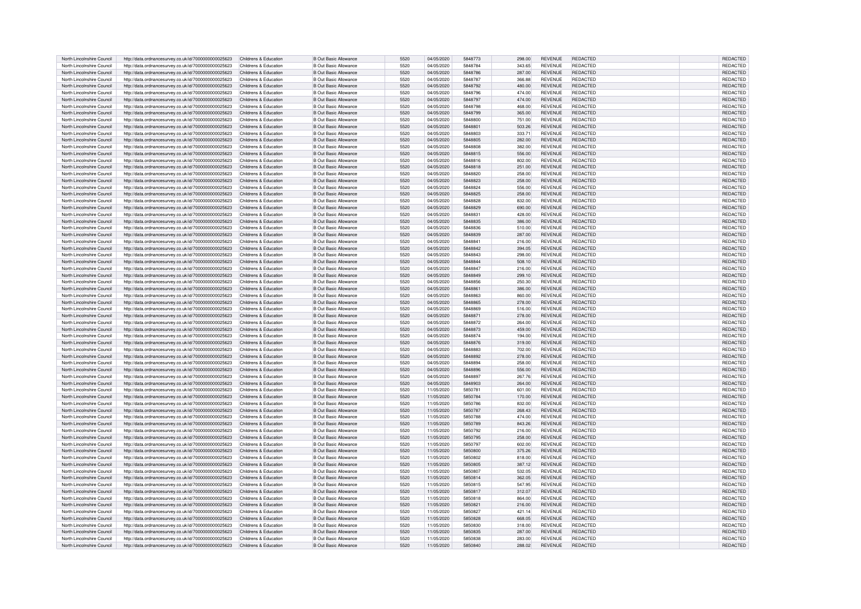| North Lincolnshire Council | http://data.ordnancesurvey.co.uk/id/7000000000025623                                                         | Childrens & Education | <b>B Out Basic Allowance</b> | 5520 | 04/05/2020 | 5848773        | 298.00 | <b>REVENUE</b> | REDACTED        | <b>REDACTED</b>      |
|----------------------------|--------------------------------------------------------------------------------------------------------------|-----------------------|------------------------------|------|------------|----------------|--------|----------------|-----------------|----------------------|
| North Lincolnshire Council | http://data.ordnancesurvey.co.uk/id/7000000000025623                                                         | Childrens & Education | B Out Basic Allowance        | 5520 | 04/05/2020 | 5848784        | 343.65 | REVENUE        | REDACTED        | REDACTED             |
| North Lincolnshire Council | http://data.ordnancesurvey.co.uk/id/7000000000025623                                                         | Childrens & Education | <b>B Out Basic Allowance</b> | 5520 | 04/05/2020 | 5848786        | 287.00 | <b>REVENUE</b> | <b>REDACTED</b> | REDACTED             |
| North Lincolnshire Council |                                                                                                              | Childrens & Education |                              | 5520 | 04/05/2020 | 5848787        | 366.88 | <b>REVENUE</b> | <b>REDACTED</b> | <b>REDACTE</b>       |
|                            | http://data.ordnancesurvey.co.uk/id/7000000000025623                                                         |                       | <b>B Out Basic Allowance</b> |      |            |                |        |                |                 |                      |
| North Lincolnshire Council | http://data.ordnancesurvey.co.uk/id/7000000000025623                                                         | Childrens & Education | <b>B Out Basic Allowance</b> | 5520 | 04/05/2020 | 5848792        | 480.00 | <b>REVENUE</b> | REDACTED        | REDACTED             |
| North Lincolnshire Council | http://data.ordnancesurvey.co.uk/id/7000000000025623                                                         | Childrens & Education | <b>B Out Basic Allowance</b> | 5520 | 04/05/2020 | 5848796        | 474.00 | REVENUE        | REDACTED        | <b>REDACTED</b>      |
| North Lincolnshire Council | http://data.ordnancesurvey.co.uk/id/7000000000025623                                                         | Childrens & Education | <b>B Out Basic Allowance</b> | 5520 | 04/05/2020 | 5848797        | 474.00 | <b>REVENUE</b> | REDACTED        | REDACTED             |
|                            |                                                                                                              |                       |                              |      |            |                |        |                |                 |                      |
| North Lincolnshire Council | http://data.ordnancesurvey.co.uk/id/7000000000025623                                                         | Childrens & Education | B Out Basic Allowance        | 5520 | 04/05/2020 | 5848798        | 468.00 | REVENUE        | <b>REDACTED</b> | REDACTED             |
| North Lincolnshire Council | http://data.ordnancesurvey.co.uk/id/7000000000025623                                                         | Childrens & Education | <b>B Out Basic Allowance</b> | 5520 | 04/05/2020 | 5848799        | 365.00 | <b>REVENUE</b> | <b>REDACTED</b> | REDACTED             |
| North Lincolnshire Council | http://data.ordnancesurvey.co.uk/id/7000000000025623                                                         | Childrens & Education | B Out Basic Allowance        | 5520 | 04/05/2020 | 5848800        | 751.00 | REVENUE        | <b>REDACTED</b> | <b>REDACTED</b>      |
|                            |                                                                                                              |                       |                              |      |            |                |        |                |                 |                      |
| North Lincolnshire Council | http://data.ordnancesurvey.co.uk/id/7000000000025623                                                         | Childrens & Education | B Out Basic Allowance        | 5520 | 04/05/2020 | 584880         | 503.26 | REVENUE        | <b>REDACTED</b> | <b>REDACTED</b>      |
| North Lincolnshire Council | http://data.ordnancesurvey.co.uk/id/7000000000025623                                                         | Childrens & Education | <b>B Out Basic Allowance</b> | 5520 | 04/05/2020 | 5848803        | 333.71 | <b>REVENUE</b> | <b>REDACTED</b> | <b>REDACTED</b>      |
| North Lincolnshire Council | http://data.ordnancesurvey.co.uk/id/7000000000025623                                                         | Childrens & Education | <b>B Out Basic Allowance</b> | 5520 | 04/05/2020 | 5848805        | 282.00 | <b>REVENUE</b> | <b>REDACTED</b> | REDACTED             |
|                            |                                                                                                              |                       |                              |      |            |                |        |                |                 |                      |
| North Lincolnshire Council | http://data.ordnancesurvey.co.uk/id/7000000000025623                                                         | Childrens & Education | <b>B Out Basic Allowance</b> | 5520 | 04/05/2020 | 5848808        | 382.00 | <b>REVENUE</b> | REDACTED        | REDACTED             |
| North Lincolnshire Council | http://data.ordnancesurvey.co.uk/id/7000000000025623                                                         | Childrens & Education | B Out Basic Allowance        | 5520 | 04/05/2020 | 5848815        | 556.00 | <b>REVENUE</b> | <b>REDACTED</b> | <b>REDACTED</b>      |
| North Lincolnshire Council | http://data.ordnancesurvey.co.uk/id/7000000000025623                                                         | Childrens & Education | B Out Basic Allowance        | 5520 | 04/05/2020 | 5848816        | 802.00 | <b>REVENUE</b> | <b>REDACTED</b> | <b>REDACTED</b>      |
| North Lincolnshire Council | http://data.ordnancesurvey.co.uk/id/7000000000025623                                                         | Childrens & Education | <b>B Out Basic Allowance</b> | 5520 | 04/05/2020 | 5848818        | 251.00 | <b>REVENUE</b> | <b>REDACTED</b> | REDACTED             |
|                            |                                                                                                              |                       |                              |      |            |                |        |                |                 |                      |
| North Lincolnshire Council | http://data.ordnancesurvey.co.uk/id/7000000000025623                                                         | Childrens & Education | <b>B Out Basic Allowance</b> | 5520 | 04/05/2020 | 5848820        | 258.00 | <b>REVENUE</b> | REDACTED        | <b>REDACTED</b>      |
| North Lincolnshire Council | http://data.ordnancesurvey.co.uk/id/7000000000025623                                                         | Childrens & Education | <b>B Out Basic Allowance</b> | 5520 | 04/05/2020 | 5848823        | 258.00 | <b>REVENUE</b> | REDACTED        | <b>REDACTED</b>      |
| North Lincolnshire Council | http://data.ordnancesurvey.co.uk/id/7000000000025623                                                         | Childrens & Education | <b>B Out Basic Allowance</b> | 5520 | 04/05/2020 | 5848824        | 556.00 | <b>REVENUE</b> | <b>REDACTED</b> | REDACTED             |
|                            |                                                                                                              |                       |                              |      |            |                |        |                |                 |                      |
| North Lincolnshire Council | http://data.ordnancesurvey.co.uk/id/7000000000025623                                                         | Childrens & Education | <b>B Out Basic Allowance</b> | 5520 | 04/05/2020 | 5848825        | 258.00 | <b>REVENUE</b> | REDACTED        | REDACTED             |
| North Lincolnshire Council | http://data.ordnancesurvey.co.uk/id/7000000000025623                                                         | Childrens & Education | B Out Basic Allowance        | 5520 | 04/05/2020 | 5848828        | 832.00 | <b>REVENUE</b> | <b>REDACTED</b> | REDACTED             |
| North Lincolnshire Council | http://data.ordnancesurvey.co.uk/id/7000000000025623                                                         | Childrens & Education | <b>B Out Basic Allowance</b> | 5520 | 04/05/2020 | 5848829        | 690.00 | <b>REVENUE</b> | <b>REDACTED</b> | <b>REDACTED</b>      |
| North Lincolnshire Council | http://data.ordnancesurvey.co.uk/id/7000000000025623                                                         | Childrens & Education | <b>B Out Basic Allowance</b> | 5520 | 04/05/2020 | 5848831        | 428.00 | REVENUE        | REDACTED        | REDACTED             |
|                            |                                                                                                              |                       |                              |      |            |                |        |                |                 |                      |
| North Lincolnshire Council | http://data.ordnancesurvey.co.uk/id/7000000000025623                                                         | Childrens & Education | <b>B Out Basic Allowance</b> | 5520 | 04/05/2020 | 5848835        | 386.00 | <b>REVENUE</b> | <b>REDACTED</b> | REDACTED             |
| North Lincolnshire Council | http://data.ordnancesurvey.co.uk/id/7000000000025623                                                         | Childrens & Education | <b>B Out Basic Allowance</b> | 5520 | 04/05/2020 | 5848836        | 510.00 | <b>REVENUE</b> | <b>REDACTED</b> | <b>REDACTED</b>      |
| North Lincolnshire Council | http://data.ordnancesurvey.co.uk/id/7000000000025623                                                         | Childrens & Education | <b>B Out Basic Allowance</b> | 5520 | 04/05/2020 | 5848839        | 287.00 | <b>REVENUE</b> | <b>REDACTED</b> | REDACTED             |
|                            |                                                                                                              |                       |                              |      |            |                |        |                |                 |                      |
| North Lincolnshire Council | http://data.ordnancesurvey.co.uk/id/7000000000025623                                                         | Childrens & Education | <b>B Out Basic Allowance</b> | 5520 | 04/05/2020 | 5848841        | 216.00 | REVENUE        | REDACTED        | REDACTED             |
| North Lincolnshire Council | http://data.ordnancesurvey.co.uk/id/7000000000025623                                                         | Childrens & Education | <b>B Out Basic Allowance</b> | 5520 | 04/05/2020 | 5848842        | 394.05 | <b>REVENUE</b> | <b>REDACTED</b> | REDACTED             |
| North Lincolnshire Council | http://data.ordnancesurvey.co.uk/id/7000000000025623                                                         | Childrens & Education | B Out Basic Allowance        | 5520 | 04/05/2020 | 5848843        | 298.00 | <b>REVENUE</b> | <b>REDACTED</b> | REDACTED             |
| North Lincolnshire Council |                                                                                                              |                       |                              | 5520 |            | 5848844        |        |                | <b>REDACTED</b> |                      |
|                            | http://data.ordnancesurvey.co.uk/id/7000000000025623                                                         | Childrens & Education | B Out Basic Allowance        |      | 04/05/2020 |                | 508.10 | REVENUE        |                 | REDACTED             |
| North Lincolnshire Council | http://data.ordnancesurvey.co.uk/id/7000000000025623                                                         | Childrens & Education | B Out Basic Allowance        | 5520 | 04/05/2020 | 5848847        | 216.00 | <b>REVENUE</b> | <b>REDACTED</b> | REDACTED             |
| North Lincolnshire Council | http://data.ordnancesurvey.co.uk/id/7000000000025623                                                         | Childrens & Education | B Out Basic Allowance        | 5520 | 04/05/2020 | 5848849        | 299.10 | <b>REVENUE</b> | <b>REDACTED</b> | REDACTED             |
| North Lincolnshire Council | http://data.ordnancesurvey.co.uk/id/7000000000025623                                                         | Childrens & Education | B Out Basic Allowance        | 5520 | 04/05/2020 | 5848856        | 250.30 | <b>REVENUE</b> | <b>REDACTED</b> | REDACTED             |
|                            |                                                                                                              |                       |                              |      |            |                |        |                |                 |                      |
| North Lincolnshire Council | http://data.ordnancesurvey.co.uk/id/7000000000025623                                                         | Childrens & Education | <b>B Out Basic Allowance</b> | 5520 | 04/05/2020 | 5848861        | 386.00 | <b>REVENUE</b> | <b>REDACTED</b> | REDACTED             |
| North Lincolnshire Council | http://data.ordnancesurvey.co.uk/id/7000000000025623                                                         | Childrens & Education | B Out Basic Allowance        | 5520 | 04/05/2020 | 5848863        | 860.00 | <b>REVENUE</b> | <b>REDACTED</b> | REDACTED             |
| North Lincolnshire Council | http://data.ordnancesurvey.co.uk/id/7000000000025623                                                         | Childrens & Education | B Out Basic Allowance        | 5520 | 04/05/2020 | 5848865        | 278.00 | <b>REVENUE</b> | <b>REDACTED</b> | REDACTED             |
|                            |                                                                                                              |                       |                              |      |            |                |        |                |                 |                      |
| North Lincolnshire Council | http://data.ordnancesurvey.co.uk/id/7000000000025623                                                         | Childrens & Education | <b>B Out Basic Allowance</b> | 5520 | 04/05/2020 | 5848869        | 516.00 | <b>REVENUE</b> | <b>REDACTED</b> | <b>REDACTED</b>      |
| North Lincolnshire Council | http://data.ordnancesurvey.co.uk/id/7000000000025623                                                         | Childrens & Education | <b>B Out Basic Allowance</b> | 5520 | 04/05/2020 | 584887         | 278.00 | <b>REVENUE</b> | <b>REDACTED</b> | REDACTED             |
| North Lincolnshire Council | http://data.ordnancesurvey.co.uk/id/7000000000025623                                                         | Childrens & Education | <b>B Out Basic Allowance</b> | 5520 | 04/05/2020 | 5848872        | 264.00 | REVENUE        | <b>REDACTED</b> | REDACTED             |
| North Lincolnshire Council |                                                                                                              | Childrens & Education | B Out Basic Allowance        | 5520 |            | 5848873        |        | <b>REVENUE</b> | <b>REDACTED</b> |                      |
|                            | http://data.ordnancesurvey.co.uk/id/7000000000025623                                                         |                       |                              |      | 04/05/2020 |                | 459.00 |                |                 | REDACTED             |
| North Lincolnshire Council | http://data.ordnancesurvey.co.uk/id/7000000000025623                                                         | Childrens & Education | B Out Basic Allowance        | 5520 | 04/05/2020 | 5848874        | 194.00 | <b>REVENUE</b> | <b>REDACTED</b> | REDACTED             |
| North Lincolnshire Council | http://data.ordnancesurvey.co.uk/id/7000000000025623                                                         | Childrens & Education | B Out Basic Allowance        | 5520 | 04/05/2020 | 5848876        | 319.00 | <b>REVENUE</b> | <b>REDACTED</b> | <b>REDACTED</b>      |
| North Lincolnshire Council | http://data.ordnancesurvey.co.uk/id/7000000000025623                                                         | Childrens & Education | B Out Basic Allowance        | 5520 | 04/05/2020 | <b>5848883</b> | 702.00 | <b>REVENUE</b> | <b>REDACTED</b> | <b>REDACTED</b>      |
|                            |                                                                                                              |                       |                              |      |            |                |        |                |                 |                      |
| North Lincolnshire Council | http://data.ordnancesurvey.co.uk/id/7000000000025623                                                         | Childrens & Education | B Out Basic Allowance        | 5520 | 04/05/2020 | 5848892        | 278.00 | <b>REVENUE</b> | <b>REDACTED</b> | <b>REDACTED</b>      |
| North Lincolnshire Council | http://data.ordnancesurvey.co.uk/id/7000000000025623                                                         | Childrens & Education | <b>B Out Basic Allowance</b> | 5520 | 04/05/2020 | 5848894        | 258.00 | <b>REVENUE</b> | REDACTED        | <b>REDACTED</b>      |
| North Lincolnshire Council | http://data.ordnancesurvey.co.uk/id/7000000000025623                                                         | Childrens & Education | <b>B Out Basic Allowance</b> | 5520 | 04/05/2020 | 5848896        | 556.00 | <b>REVENUE</b> | <b>REDACTED</b> | <b>REDACTED</b>      |
|                            |                                                                                                              |                       |                              |      |            |                |        |                |                 |                      |
| North Lincolnshire Council | http://data.ordnancesurvey.co.uk/id/7000000000025623                                                         | Childrens & Education | B Out Basic Allowance        | 5520 | 04/05/2020 | 5848897        | 267.76 | <b>REVENUE</b> | <b>REDACTED</b> | REDACTED             |
| North Lincolnshire Council | http://data.ordnancesurvey.co.uk/id/7000000000025623                                                         | Childrens & Education | B Out Basic Allowance        | 5520 | 04/05/2020 | 5848903        | 264.00 | <b>REVENUE</b> | <b>REDACTED</b> | REDACTED             |
| North Lincolnshire Council | http://data.ordnancesurvey.co.uk/id/7000000000025623                                                         | Childrens & Education | <b>B Out Basic Allowance</b> | 5520 | 11/05/2020 | 585078         | 601.00 | <b>REVENUE</b> | <b>REDACTED</b> | <b>REDACTED</b>      |
| North Lincolnshire Council | http://data.ordnancesurvey.co.uk/id/7000000000025623                                                         | Childrens & Education | B Out Basic Allowance        | 5520 | 11/05/2020 | 5850784        | 170.00 | <b>REVENUE</b> | REDACTED        | REDACTED             |
|                            |                                                                                                              |                       |                              |      |            |                |        |                |                 |                      |
| North Lincolnshire Council | http://data.ordnancesurvey.co.uk/id/7000000000025623                                                         | Childrens & Education | B Out Basic Allowance        | 5520 | 11/05/2020 | 5850786        | 832.00 | REVENUE        | REDACTED        | <b>REDACTED</b>      |
| North Lincolnshire Council | http://data.ordnancesurvey.co.uk/id/7000000000025623                                                         | Childrens & Education | <b>B Out Basic Allowance</b> | 5520 | 11/05/2020 | 5850787        | 268.43 | <b>REVENUE</b> | <b>REDACTED</b> | <b>REDACTED</b>      |
| North Lincolnshire Council | http://data.ordnancesurvey.co.uk/id/7000000000025623                                                         | Childrens & Education | B Out Basic Allowance        | 5520 | 11/05/2020 | 5850788        | 474.00 | <b>REVENUE</b> | REDACTED        | REDACTED             |
| North Lincolnshire Council |                                                                                                              |                       | B Out Basic Allowance        | 5520 | 11/05/2020 | 5850789        |        | <b>REVENUE</b> | <b>REDACTED</b> | <b>REDACTED</b>      |
|                            | http://data.ordnancesurvey.co.uk/id/7000000000025623                                                         | Childrens & Education |                              |      |            |                | 843.26 |                |                 |                      |
| North Lincolnshire Council | http://data.ordnancesurvey.co.uk/id/7000000000025623                                                         | Childrens & Education | B Out Basic Allowance        | 5520 | 11/05/2020 | 5850792        | 216.00 | <b>REVENUE</b> | <b>REDACTED</b> | REDACTE              |
| North Lincolnshire Council | http://data.ordnancesurvey.co.uk/id/7000000000025623                                                         | Childrens & Education | B Out Basic Allowance        | 5520 | 11/05/2020 | 5850795        | 258.00 | <b>REVENUE</b> | <b>REDACTED</b> | REDACTED             |
| North Lincolnshire Council | http://data.ordnancesurvey.co.uk/id/7000000000025623                                                         | Childrens & Education | <b>B Out Basic Allowance</b> | 5520 | 11/05/2020 | 5850797        | 602.00 | REVENUE        | <b>REDACTED</b> | REDACTED             |
|                            |                                                                                                              |                       |                              |      |            |                |        |                |                 |                      |
| North Lincolnshire Council | http://data.ordnancesurvey.co.uk/id/7000000000025623                                                         | Childrens & Education | <b>B Out Basic Allowance</b> | 5520 | 11/05/2020 | 5850800        | 375.26 | <b>REVENUE</b> | <b>REDACTED</b> | REDACTED             |
| North Lincolnshire Council | http://data.ordnancesurvey.co.uk/id/7000000000025623                                                         | Childrens & Education | B Out Basic Allowance        | 5520 | 11/05/2020 | 5850802        | 818.00 | <b>REVENUE</b> | <b>REDACTED</b> | REDACTED             |
| North Lincolnshire Council | http://data.ordnancesurvey.co.uk/id/7000000000025623                                                         | Childrens & Education | <b>B Out Basic Allowance</b> | 5520 | 11/05/2020 | 5850805        | 387.12 | <b>REVENUE</b> | <b>REDACTED</b> | <b>REDACTED</b>      |
| North Lincolnshire Council | http://data.ordnancesurvey.co.uk/id/7000000000025623                                                         | Childrens & Education | <b>B Out Basic Allowance</b> | 5520 | 11/05/2020 | 5850807        | 532.05 | <b>REVENUE</b> | <b>REDACTED</b> | REDACTED             |
|                            |                                                                                                              |                       |                              |      |            |                |        |                |                 |                      |
| North Lincolnshire Council | http://data.ordnancesurvey.co.uk/id/7000000000025623                                                         | Childrens & Education | <b>B Out Basic Allowance</b> | 5520 | 11/05/2020 | 5850814        | 362.05 | <b>REVENUE</b> | REDACTED        | <b>REDACTED</b>      |
| North Lincolnshire Council | http://data.ordnancesurvey.co.uk/id/7000000000025623                                                         | Childrens & Education | <b>B Out Basic Allowance</b> | 5520 | 11/05/2020 | 5850815        | 547.95 | <b>REVENUE</b> | REDACTED        | REDACTED             |
| North Lincolnshire Council | http://data.ordnancesurvey.co.uk/id/7000000000025623                                                         | Childrens & Education | B Out Basic Allowance        | 5520 | 11/05/2020 | 5850817        | 312.07 | <b>REVENUE</b> | <b>REDACTED</b> | <b>REDACTED</b>      |
|                            |                                                                                                              |                       |                              |      |            |                |        |                |                 |                      |
| North Lincolnshire Council | http://data.ordnancesurvey.co.uk/id/7000000000025623                                                         | Childrens & Education | <b>B Out Basic Allowance</b> | 5520 | 11/05/2020 | 5850818        | 864.00 | <b>REVENUE</b> | REDACTED        | REDACTED             |
| North Lincolnshire Council | http://data.ordnancesurvey.co.uk/id/7000000000025623                                                         | Childrens & Education | <b>B Out Basic Allowance</b> | 5520 | 11/05/2020 | 585082         | 216.00 | <b>REVENUE</b> | REDACTED        | REDACTED             |
|                            |                                                                                                              |                       |                              |      | 11/05/2020 | 5850827        | 421.14 | <b>REVENUE</b> | <b>REDACTED</b> | REDACTED             |
|                            |                                                                                                              | Childrens & Education |                              | 5520 |            |                |        |                |                 |                      |
| North Lincolnshire Council | http://data.ordnancesurvey.co.uk/id/7000000000025623                                                         |                       | <b>B Out Basic Allowance</b> |      |            |                |        |                |                 |                      |
| North Lincolnshire Council | http://data.ordnancesurvey.co.uk/id/7000000000025623                                                         | Childrens & Education | <b>B Out Basic Allowance</b> | 5520 | 11/05/2020 | 5850828        | 668.05 | <b>REVENUE</b> | <b>REDACTED</b> | REDACTED             |
| North Lincolnshire Council | http://data.ordnancesurvey.co.uk/id/7000000000025623                                                         | Childrens & Education | <b>B Out Basic Allowance</b> | 5520 | 11/05/2020 | 5850830        | 318.00 | <b>REVENUE</b> | REDACTED        | REDACTED             |
| North Lincolnshire Council | http://data.ordnancesurvey.co.uk/id/7000000000025623                                                         | Childrens & Education | B Out Basic Allowance        | 5520 | 11/05/2020 | 5850835        | 287.00 | <b>REVENUE</b> | <b>REDACTED</b> | REDACTED             |
| North Lincolnshire Council |                                                                                                              | Childrens & Education | B Out Basic Allowance        | 5520 | 11/05/2020 | 5850838        | 283.00 | <b>REVENUE</b> | <b>REDACTED</b> |                      |
| North Lincolnshire Council | http://data.ordnancesurvey.co.uk/id/7000000000025623<br>http://data.ordnancesurvey.co.uk/id/7000000000025623 | Childrens & Education | <b>B Out Basic Allowance</b> | 5520 | 11/05/2020 | 5850840        | 288.02 | <b>REVENUE</b> | <b>REDACTED</b> | REDACTED<br>REDACTED |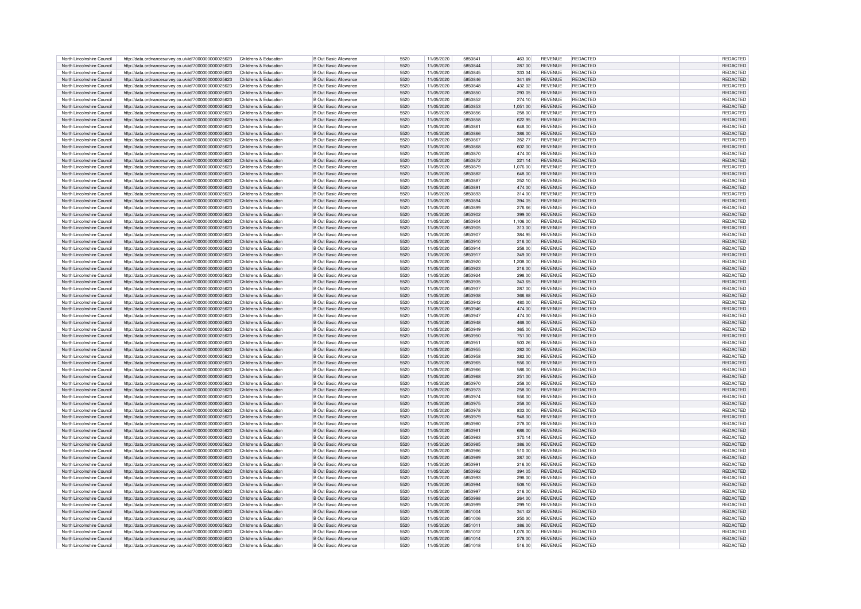| North Lincolnshire Council | http://data.ordnancesurvey.co.uk/id/7000000000025623 | Childrens & Education | <b>B Out Basic Allowance</b> | 5520 | 11/05/2020 | 585084  | 463.00   | <b>REVENUE</b> | REDACTED        | REDACTED        |
|----------------------------|------------------------------------------------------|-----------------------|------------------------------|------|------------|---------|----------|----------------|-----------------|-----------------|
|                            |                                                      |                       |                              |      |            |         |          |                |                 |                 |
| North Lincolnshire Council | http://data.ordnancesurvey.co.uk/id/7000000000025623 | Childrens & Education | B Out Basic Allowance        | 5520 | 11/05/2020 | 5850844 | 287.00   | <b>REVENUE</b> | <b>REDACTED</b> | REDACTED        |
| North Lincolnshire Council | http://data.ordnancesurvey.co.uk/id/7000000000025623 | Childrens & Education | <b>B Out Basic Allowance</b> | 5520 | 11/05/2020 | 5850845 | 333.34   | <b>REVENUE</b> | <b>REDACTED</b> | <b>REDACTED</b> |
| North Lincolnshire Council | http://data.ordnancesurvey.co.uk/id/7000000000025623 | Childrens & Education | <b>B Out Basic Allowance</b> | 5520 | 11/05/2020 | 5850846 | 341.69   | <b>REVENUE</b> | <b>REDACTED</b> | <b>REDACTED</b> |
| North Lincolnshire Council | http://data.ordnancesurvey.co.uk/id/7000000000025623 | Childrens & Education | <b>B Out Basic Allowance</b> | 5520 | 11/05/2020 | 5850848 | 432.02   | <b>REVENUE</b> | REDACTED        | <b>REDACTED</b> |
|                            |                                                      |                       |                              |      |            |         |          |                |                 |                 |
| North Lincolnshire Council | http://data.ordnancesurvey.co.uk/id/7000000000025623 | Childrens & Education | <b>B Out Basic Allowance</b> | 5520 | 11/05/2020 | 5850850 | 293.05   | <b>REVENUE</b> | <b>REDACTED</b> | <b>REDACTED</b> |
| North Lincolnshire Council | http://data.ordnancesurvey.co.uk/id/7000000000025623 | Childrens & Education | B Out Basic Allowance        | 5520 | 11/05/2020 | 5850852 | 274.10   | <b>REVENUE</b> | <b>REDACTED</b> | REDACTED        |
| North Lincolnshire Council | http://data.ordnancesurvey.co.uk/id/7000000000025623 | Childrens & Education | B Out Basic Allowance        | 5520 | 11/05/2020 | 5850853 | 1,051.00 | <b>REVENUE</b> | <b>REDACTED</b> | <b>REDACTED</b> |
| North Lincolnshire Council |                                                      |                       |                              | 5520 |            | 5850856 |          | <b>REVENUE</b> | <b>REDACTED</b> |                 |
|                            | http://data.ordnancesurvey.co.uk/id/7000000000025623 | Childrens & Education | B Out Basic Allowance        |      | 11/05/2020 |         | 258.00   |                |                 | REDACTED        |
| North Lincolnshire Council | http://data.ordnancesurvey.co.uk/id/7000000000025623 | Childrens & Education | <b>B Out Basic Allowance</b> | 5520 | 11/05/2020 | 5850858 | 622.95   | REVENUE        | <b>REDACTED</b> | <b>REDACTED</b> |
| North Lincolnshire Council | http://data.ordnancesurvey.co.uk/id/7000000000025623 | Childrens & Education | B Out Basic Allowance        | 5520 | 11/05/2020 | 5850861 | 648.00   | <b>REVENUE</b> | <b>REDACTED</b> | <b>REDACTED</b> |
| North Lincolnshire Council | http://data.ordnancesurvey.co.uk/id/7000000000025623 | Childrens & Education | <b>B Out Basic Allowance</b> | 5520 | 11/05/2020 | 5850866 | 386.00   | <b>REVENUE</b> | <b>REDACTED</b> | <b>REDACTED</b> |
|                            |                                                      |                       |                              |      |            |         |          |                |                 |                 |
| North Lincolnshire Council | http://data.ordnancesurvey.co.uk/id/7000000000025623 | Childrens & Education | B Out Basic Allowance        | 5520 | 11/05/2020 | 5850867 | 352.77   | <b>REVENUE</b> | REDACTED        | REDACTED        |
| North Lincolnshire Council | http://data.ordnancesurvey.co.uk/id/7000000000025623 | Childrens & Education | <b>B Out Basic Allowance</b> | 5520 | 11/05/2020 | 5850868 | 602.00   | <b>REVENUE</b> | <b>REDACTED</b> | REDACTED        |
| North Lincolnshire Council | http://data.ordnancesurvey.co.uk/id/7000000000025623 | Childrens & Education | B Out Basic Allowance        | 5520 | 11/05/2020 | 5850870 | 474.00   | <b>REVENUE</b> | <b>REDACTED</b> | <b>REDACTED</b> |
| North Lincolnshire Council | http://data.ordnancesurvey.co.uk/id/7000000000025623 | Childrens & Education | B Out Basic Allowance        | 5520 | 11/05/2020 | 5850872 | 221.14   | <b>REVENUE</b> | <b>REDACTED</b> | <b>REDACTED</b> |
| North Lincolnshire Council | http://data.ordnancesurvey.co.uk/id/7000000000025623 | Childrens & Education | <b>B Out Basic Allowance</b> | 5520 | 11/05/2020 | 5850879 | 1,076.00 | <b>REVENUE</b> | REDACTED        | REDACTED        |
| North Lincolnshire Council |                                                      | Childrens & Education | B Out Basic Allowance        | 5520 | 11/05/2020 | 5850882 | 648.00   | <b>REVENUE</b> | <b>REDACTED</b> | <b>REDACTED</b> |
|                            | http://data.ordnancesurvey.co.uk/id/7000000000025623 |                       |                              |      |            |         |          |                |                 |                 |
| North Lincolnshire Council | http://data.ordnancesurvey.co.uk/id/7000000000025623 | Childrens & Education | <b>B Out Basic Allowance</b> | 5520 | 11/05/2020 | 5850887 | 252.10   | <b>REVENUE</b> | REDACTED        | REDACTED        |
| North Lincolnshire Council | http://data.ordnancesurvey.co.uk/id/7000000000025623 | Childrens & Education | <b>B Out Basic Allowance</b> | 5520 | 11/05/2020 | 5850891 | 474.00   | <b>REVENUE</b> | <b>REDACTED</b> | REDACTED        |
| North Lincolnshire Council | http://data.ordnancesurvey.co.uk/id/7000000000025623 | Childrens & Education | B Out Basic Allowance        | 5520 | 11/05/2020 | 5850893 | 314.00   | <b>REVENUE</b> | REDACTED        | REDACTED        |
|                            |                                                      | Childrens & Education | <b>B Out Basic Allowance</b> | 5520 | 11/05/2020 | 5850894 | 394.05   | <b>REVENUE</b> | <b>REDACTED</b> | REDACTED        |
| North Lincolnshire Council | http://data.ordnancesurvey.co.uk/id/7000000000025623 |                       |                              |      |            |         |          |                |                 |                 |
| North Lincolnshire Council | http://data.ordnancesurvey.co.uk/id/7000000000025623 | Childrens & Education | <b>B Out Basic Allowance</b> | 5520 | 11/05/2020 | 5850899 | 276.66   | <b>REVENUE</b> | <b>REDACTED</b> | REDACTED        |
| North Lincolnshire Council | http://data.ordnancesurvey.co.uk/id/7000000000025623 | Childrens & Education | <b>B Out Basic Allowance</b> | 5520 | 11/05/2020 | 5850902 | 399.00   | REVENUE        | <b>REDACTED</b> | REDACTED        |
| North Lincolnshire Council | http://data.ordnancesurvey.co.uk/id/7000000000025623 | Childrens & Education | B Out Basic Allowance        | 5520 | 11/05/2020 | 5850904 | 1,106.00 | <b>REVENUE</b> | <b>REDACTED</b> | REDACTED        |
| North Lincolnshire Council | http://data.ordnancesurvey.co.uk/id/7000000000025623 | Childrens & Education | <b>B Out Basic Allowance</b> | 5520 | 11/05/2020 | 5850905 | 313.00   | <b>REVENUE</b> | <b>REDACTED</b> | REDACTED        |
|                            |                                                      |                       |                              |      |            |         |          |                |                 |                 |
| North Lincolnshire Council | http://data.ordnancesurvey.co.uk/id/7000000000025623 | Childrens & Education | <b>B Out Basic Allowance</b> | 5520 | 11/05/2020 | 5850907 | 384.95   | <b>REVENUE</b> | <b>REDACTED</b> | <b>REDACTED</b> |
| North Lincolnshire Council | http://data.ordnancesurvey.co.uk/id/7000000000025623 | Childrens & Education | <b>B Out Basic Allowance</b> | 5520 | 11/05/2020 | 5850910 | 216.00   | <b>REVENUE</b> | <b>REDACTED</b> | REDACTED        |
| North Lincolnshire Council | http://data.ordnancesurvey.co.uk/id/7000000000025623 | Childrens & Education | <b>B Out Basic Allowance</b> | 5520 | 11/05/2020 | 5850914 | 258.00   | REVENUE        | <b>REDACTED</b> | REDACTED        |
| North Lincolnshire Council | http://data.ordnancesurvey.co.uk/id/7000000000025623 | Childrens & Education | <b>B Out Basic Allowance</b> | 5520 | 11/05/2020 | 5850917 | 349.00   | <b>REVENUE</b> | <b>REDACTED</b> | REDACTED        |
| North Lincolnshire Council |                                                      | Childrens & Education | B Out Basic Allowance        | 5520 |            | 5850920 |          | REVENUE        | <b>REDACTED</b> |                 |
|                            | http://data.ordnancesurvey.co.uk/id/7000000000025623 |                       |                              |      | 11/05/2020 |         | 1.208.00 |                |                 | REDACTED        |
| North Lincolnshire Council | http://data.ordnancesurvey.co.uk/id/7000000000025623 | Childrens & Education | <b>B Out Basic Allowance</b> | 5520 | 11/05/2020 | 5850923 | 216.00   | <b>REVENUE</b> | <b>REDACTED</b> | REDACTED        |
| North Lincolnshire Council | http://data.ordnancesurvey.co.uk/id/7000000000025623 | Childrens & Education | B Out Basic Allowance        | 5520 | 11/05/2020 | 5850924 | 298.00   | <b>REVENUE</b> | <b>REDACTED</b> | REDACTED        |
| North Lincolnshire Council | http://data.ordnancesurvey.co.uk/id/7000000000025623 | Childrens & Education | B Out Basic Allowance        | 5520 | 11/05/2020 | 5850935 | 343.65   | <b>REVENUE</b> | <b>REDACTED</b> | REDACTED        |
| North Lincolnshire Council | http://data.ordnancesurvey.co.uk/id/7000000000025623 | Childrens & Education | <b>B Out Basic Allowance</b> | 5520 | 11/05/2020 | 5850937 | 287.00   | <b>REVENUE</b> | <b>REDACTED</b> | REDACTED        |
|                            |                                                      |                       |                              |      |            |         |          |                |                 |                 |
| North Lincolnshire Council | http://data.ordnancesurvey.co.uk/id/7000000000025623 | Childrens & Education | B Out Basic Allowance        | 5520 | 11/05/2020 | 5850938 | 366,88   | <b>REVENUE</b> | <b>REDACTED</b> | REDACTED        |
| North Lincolnshire Council | http://data.ordnancesurvey.co.uk/id/7000000000025623 | Childrens & Education | B Out Basic Allowance        | 5520 | 11/05/2020 | 5850942 | 480.00   | <b>REVENUE</b> | <b>REDACTED</b> | REDACTED        |
| North Lincolnshire Council | http://data.ordnancesurvey.co.uk/id/7000000000025623 | Childrens & Education | <b>B Out Basic Allowance</b> | 5520 | 11/05/2020 | 5850946 | 474.00   | <b>REVENUE</b> | <b>REDACTED</b> | <b>REDACTED</b> |
| North Lincolnshire Council | http://data.ordnancesurvey.co.uk/id/7000000000025623 | Childrens & Education | <b>B Out Basic Allowance</b> | 5520 | 11/05/2020 | 5850947 | 474.00   | <b>REVENUE</b> | <b>REDACTED</b> | REDACTED        |
| North Lincolnshire Council | http://data.ordnancesurvey.co.uk/id/7000000000025623 | Childrens & Education | <b>B Out Basic Allowance</b> | 5520 | 11/05/2020 | 5850948 | 468.00   | <b>REVENUE</b> | <b>REDACTED</b> | REDACTED        |
|                            |                                                      |                       |                              |      |            |         |          |                |                 |                 |
| North Lincolnshire Council | http://data.ordnancesurvey.co.uk/id/7000000000025623 | Childrens & Education | B Out Basic Allowance        | 5520 | 11/05/2020 | 5850949 | 365.00   | <b>REVENUE</b> | <b>REDACTED</b> | REDACTED        |
| North Lincolnshire Council | http://data.ordnancesurvey.co.uk/id/7000000000025623 | Childrens & Education | B Out Basic Allowance        | 5520 | 11/05/2020 | 5850950 | 751.00   | <b>REVENUE</b> | <b>REDACTED</b> | <b>REDACTED</b> |
| North Lincolnshire Council | http://data.ordnancesurvey.co.uk/id/7000000000025623 | Childrens & Education | B Out Basic Allowance        | 5520 | 11/05/2020 | 5850951 | 503.26   | <b>REVENUE</b> | <b>REDACTED</b> | <b>REDACTED</b> |
| North Lincolnshire Council | http://data.ordnancesurvey.co.uk/id/7000000000025623 | Childrens & Education | <b>B Out Basic Allowance</b> | 5520 | 11/05/2020 | 5850955 | 282.00   | <b>REVENUE</b> | <b>REDACTED</b> | <b>REDACTED</b> |
|                            |                                                      |                       |                              |      |            |         |          |                |                 |                 |
| North Lincolnshire Council | http://data.ordnancesurvey.co.uk/id/7000000000025623 | Childrens & Education | B Out Basic Allowance        | 5520 | 11/05/2020 | 5850958 | 382.00   | <b>REVENUE</b> | <b>REDACTED</b> | REDACTED        |
| North Lincolnshire Council | http://data.ordnancesurvey.co.uk/id/7000000000025623 | Childrens & Education | <b>B Out Basic Allowance</b> | 5520 | 11/05/2020 | 5850965 | 556.00   | <b>REVENUE</b> | <b>REDACTED</b> | <b>REDACTE</b>  |
| North Lincolnshire Council | http://data.ordnancesurvey.co.uk/id/7000000000025623 | Childrens & Education | <b>B Out Basic Allowance</b> | 5520 | 11/05/2020 | 5850966 | 586.00   | <b>REVENUE</b> | <b>REDACTED</b> | <b>REDACTED</b> |
| North Lincolnshire Council | http://data.ordnancesurvey.co.uk/id/7000000000025623 | Childrens & Education | <b>B Out Basic Allowance</b> | 5520 | 11/05/2020 | 5850968 | 251.00   | <b>REVENUE</b> | <b>REDACTED</b> | REDACTEI        |
| North Lincolnshire Council | http://data.ordnancesurvey.co.uk/id/7000000000025623 | Childrens & Education | B Out Basic Allowance        | 5520 | 11/05/2020 | 5850970 | 258.00   | <b>REVENUE</b> | <b>REDACTED</b> | REDACTED        |
|                            |                                                      |                       |                              |      |            |         |          |                |                 |                 |
| North Lincolnshire Council | http://data.ordnancesurvey.co.uk/id/7000000000025623 | Childrens & Education | <b>B Out Basic Allowance</b> | 5520 | 11/05/2020 | 5850973 | 258.00   | <b>REVENUE</b> | <b>REDACTED</b> | <b>REDACTED</b> |
| North Lincolnshire Council | http://data.ordnancesurvey.co.uk/id/7000000000025623 | Childrens & Education | B Out Basic Allowance        | 5520 | 11/05/2020 | 5850974 | 556.00   | <b>REVENUE</b> | REDACTED        | REDACTED        |
| North Lincolnshire Council | http://data.ordnancesurvey.co.uk/id/7000000000025623 | Childrens & Education | <b>B Out Basic Allowance</b> | 5520 | 11/05/2020 | 5850975 | 258.00   | <b>REVENUE</b> | <b>REDACTED</b> | REDACTED        |
| North Lincolnshire Council | http://data.ordnancesurvey.co.uk/id/7000000000025623 | Childrens & Education | B Out Basic Allowance        | 5520 | 11/05/2020 | 5850978 | 832.00   | <b>REVENUE</b> | <b>REDACTED</b> | <b>REDACTED</b> |
| North Lincolnshire Council | http://data.ordnancesurvey.co.uk/id/7000000000025623 | Childrens & Education | B Out Basic Allowance        | 5520 | 11/05/2020 | 5850979 | 948.00   | <b>REVENUE</b> | <b>REDACTED</b> | REDACTED        |
|                            |                                                      |                       |                              |      |            |         |          |                |                 |                 |
| North Lincolnshire Council | http://data.ordnancesurvey.co.uk/id/7000000000025623 | Childrens & Education | B Out Basic Allowance        | 5520 | 11/05/2020 | 5850980 | 278.00   | <b>REVENUE</b> | <b>REDACTED</b> | <b>REDACTED</b> |
| North Lincolnshire Council | http://data.ordnancesurvey.co.uk/id/7000000000025623 | Childrens & Education | B Out Basic Allowance        | 5520 | 11/05/2020 | 5850981 | 686.00   | <b>REVENUE</b> | <b>REDACTED</b> | REDACTE         |
| North Lincolnshire Council | http://data.ordnancesurvey.co.uk/id/7000000000025623 | Childrens & Education | B Out Basic Allowance        | 5520 | 11/05/2020 | 5850983 | 370.14   | <b>REVENUE</b> | <b>REDACTED</b> | REDACTED        |
| North Lincolnshire Council | http://data.ordnancesurvey.co.uk/id/7000000000025623 | Childrens & Education | <b>B Out Basic Allowance</b> | 5520 | 11/05/2020 | 5850985 | 386.00   | <b>REVENUE</b> | <b>REDACTED</b> | REDACTED        |
| North Lincolnshire Council | http://data.ordnancesurvey.co.uk/id/7000000000025623 | Childrens & Education | <b>B Out Basic Allowance</b> | 5520 | 11/05/2020 | 5850986 | 510.00   | <b>REVENUE</b> | <b>REDACTED</b> | REDACTED        |
|                            |                                                      |                       |                              |      |            |         |          |                |                 |                 |
| North Lincolnshire Council | http://data.ordnancesurvey.co.uk/id/7000000000025623 | Childrens & Education | B Out Basic Allowance        | 5520 | 11/05/2020 | 5850989 | 287.00   | <b>REVENUE</b> | <b>REDACTED</b> | REDACTED        |
| North Lincolnshire Council | http://data.ordnancesurvey.co.uk/id/7000000000025623 | Childrens & Education | <b>B Out Basic Allowance</b> | 5520 | 11/05/2020 | 5850991 | 216.00   | <b>REVENUE</b> | <b>REDACTED</b> | <b>REDACTED</b> |
| North Lincolnshire Council | http://data.ordnancesurvey.co.uk/id/7000000000025623 | Childrens & Education | <b>B Out Basic Allowance</b> | 5520 | 11/05/2020 | 5850992 | 394.05   | <b>REVENUE</b> | <b>REDACTED</b> | REDACTED        |
| North Lincolnshire Council | http://data.ordnancesurvey.co.uk/id/7000000000025623 | Childrens & Education | B Out Basic Allowance        | 5520 | 11/05/2020 | 5850993 | 298.00   | <b>REVENUE</b> | REDACTED        | REDACTED        |
| North Lincolnshire Council | http://data.ordnancesurvey.co.uk/id/7000000000025623 | Childrens & Education | <b>B Out Basic Allowance</b> | 5520 | 11/05/2020 | 5850994 | 508.10   | <b>REVENUE</b> | <b>REDACTED</b> | REDACTED        |
|                            |                                                      |                       |                              |      |            |         |          |                |                 |                 |
| North Lincolnshire Council | http://data.ordnancesurvey.co.uk/id/7000000000025623 | Childrens & Education | B Out Basic Allowance        | 5520 | 11/05/2020 | 5850997 | 216.00   | <b>REVENUE</b> | <b>REDACTED</b> | <b>REDACTED</b> |
| North Lincolnshire Council | http://data.ordnancesurvey.co.uk/id/7000000000025623 | Childrens & Education | <b>B Out Basic Allowance</b> | 5520 | 11/05/2020 | 5850998 | 264.00   | <b>REVENUE</b> | <b>REDACTED</b> | REDACTED        |
| North Lincolnshire Council | http://data.ordnancesurvey.co.uk/id/7000000000025623 | Childrens & Education | <b>B Out Basic Allowance</b> | 5520 | 11/05/2020 | 5850999 | 299.10   | <b>REVENUE</b> | <b>REDACTED</b> | REDACTED        |
| North Lincolnshire Council | http://data.ordnancesurvey.co.uk/id/7000000000025623 | Childrens & Education | <b>B Out Basic Allowance</b> | 5520 | 11/05/2020 | 5851004 | 341.42   | <b>REVENUE</b> | <b>REDACTED</b> | REDACTED        |
|                            |                                                      | Childrens & Education | B Out Basic Allowance        | 5520 | 11/05/2020 | 5851006 | 250.30   | <b>REVENUE</b> | <b>REDACTED</b> | <b>REDACTED</b> |
| North Lincolnshire Council | http://data.ordnancesurvey.co.uk/id/7000000000025623 |                       |                              |      |            |         |          |                |                 |                 |
| North Lincolnshire Council | http://data.ordnancesurvey.co.uk/id/7000000000025623 | Childrens & Education | <b>B Out Basic Allowance</b> | 5520 | 11/05/2020 | 5851011 | 386.00   | <b>REVENUE</b> | <b>REDACTED</b> | REDACTED        |
| North Lincolnshire Council | http://data.ordnancesurvey.co.uk/id/7000000000025623 | Childrens & Education | B Out Basic Allowance        | 5520 | 11/05/2020 | 5851012 | 1.076.00 | <b>REVENUE</b> | <b>REDACTED</b> | <b>REDACTED</b> |
| North Lincolnshire Council |                                                      |                       |                              |      |            | 5851014 | 278.00   | <b>REVENUE</b> | <b>REDACTED</b> | REDACTED        |
|                            | http://data.ordnancesurvey.co.uk/id/7000000000025623 | Childrens & Education | <b>B Out Basic Allowance</b> | 5520 | 11/05/2020 |         |          |                |                 |                 |
| North Lincolnshire Council | http://data.ordnancesurvey.co.uk/id/7000000000025623 | Childrens & Education | <b>B Out Basic Allowance</b> | 5520 | 11/05/2020 | 5851018 | 516.00   | <b>REVENUE</b> | <b>REDACTED</b> | REDACTED        |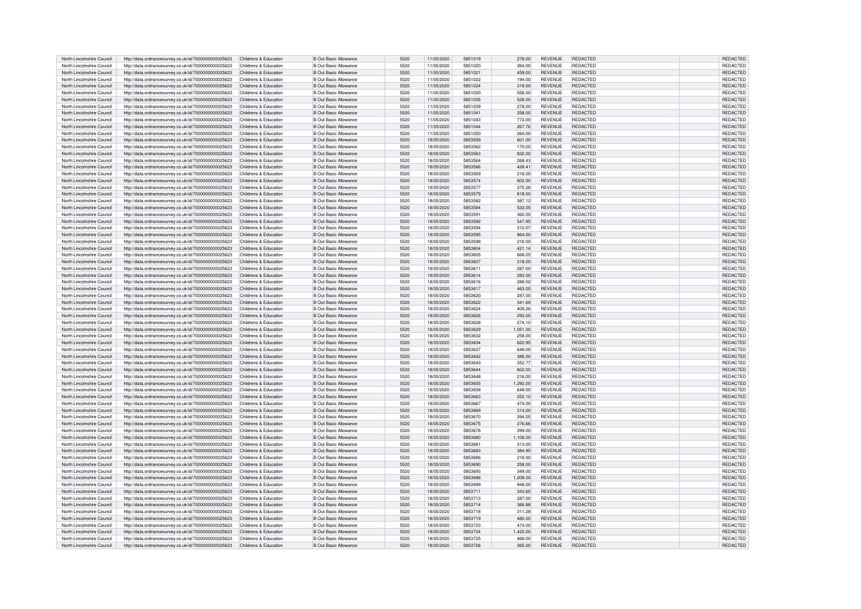| North Lincolnshire Council | http://data.ordnancesurvey.co.uk/id/7000000000025623 | Childrens & Education | B Out Basic Allowance        | 5520 | 11/05/2020 | 5851019 | 278.00   | <b>REVENUE</b> | REDACTED        | REDACTED        |
|----------------------------|------------------------------------------------------|-----------------------|------------------------------|------|------------|---------|----------|----------------|-----------------|-----------------|
| North Lincolnshire Council |                                                      | Childrens & Education | B Out Basic Allowance        | 5520 | 11/05/2020 | 5851020 | 264.00   | <b>REVENUE</b> | <b>REDACTED</b> | REDACTED        |
|                            | http://data.ordnancesurvey.co.uk/id/7000000000025623 |                       |                              |      |            |         |          |                |                 |                 |
| North Lincolnshire Council | http://data.ordnancesurvey.co.uk/id/7000000000025623 | Childrens & Education | <b>B Out Basic Allowance</b> | 5520 | 11/05/2020 | 5851021 | 459.00   | <b>REVENUE</b> | <b>REDACTED</b> | REDACTED        |
| North Lincolnshire Council | http://data.ordnancesurvey.co.uk/id/7000000000025623 | Childrens & Education | <b>B Out Basic Allowance</b> | 5520 | 11/05/2020 | 5851022 | 194.00   | <b>REVENUE</b> | <b>REDACTED</b> | REDACTED        |
| North Lincolnshire Council | http://data.ordnancesurvey.co.uk/id/7000000000025623 | Childrens & Education | <b>B Out Basic Allowance</b> | 5520 | 11/05/2020 | 5851024 | 319.00   | <b>REVENUE</b> | <b>REDACTED</b> | REDACTED        |
| North Lincolnshire Council | http://data.ordnancesurvey.co.uk/id/7000000000025623 | Childrens & Education | B Out Basic Allowance        | 5520 | 11/05/2020 | 5851030 | 556.00   | <b>REVENUE</b> | <b>REDACTED</b> | REDACTED        |
|                            |                                                      |                       |                              |      |            |         |          |                |                 |                 |
| North Lincolnshire Council | http://data.ordnancesurvey.co.uk/id/7000000000025623 | Childrens & Education | <b>B Out Basic Allowance</b> | 5520 | 11/05/2020 | 5851035 | 528.00   | <b>REVENUE</b> | <b>REDACTED</b> | <b>REDACTED</b> |
| North Lincolnshire Council | http://data.ordnancesurvey.co.uk/id/7000000000025623 | Childrens & Education | B Out Basic Allowance        | 5520 | 11/05/2020 | 5851039 | 278.00   | <b>REVENUE</b> | REDACTED        | REDACTED        |
| North Lincolnshire Council | http://data.ordnancesurvey.co.uk/id/7000000000025623 | Childrens & Education | B Out Basic Allowance        | 5520 | 11/05/2020 | 5851041 | 258.00   | <b>REVENUE</b> | <b>REDACTED</b> | REDACTED        |
| North Lincolnshire Council | http://data.ordnancesurvey.co.uk/id/7000000000025623 | Childrens & Education | B Out Basic Allowance        | 5520 | 11/05/2020 | 5851043 | 772.00   | <b>REVENUE</b> | <b>REDACTED</b> | <b>REDACTED</b> |
|                            |                                                      |                       |                              |      |            |         |          |                |                 |                 |
| North Lincolnshire Council | http://data.ordnancesurvey.co.uk/id/7000000000025623 | Childrens & Education | <b>B Out Basic Allowance</b> | 5520 | 11/05/2020 | 5851044 | 267.76   | <b>REVENUE</b> | <b>REDACTED</b> | <b>REDACTED</b> |
| North Lincolnshire Council | http://data.ordnancesurvey.co.uk/id/7000000000025623 | Childrens & Education | B Out Basic Allowance        | 5520 | 11/05/2020 | 5851050 | 264.00   | REVENUE        | <b>REDACTED</b> | <b>REDACTED</b> |
| North Lincolnshire Council | http://data.ordnancesurvey.co.uk/id/7000000000025623 | Childrens & Education | <b>B Out Basic Allowance</b> | 5520 | 18/05/2020 | 5853559 | 601.00   | <b>REVENUE</b> | <b>REDACTED</b> | REDACTE         |
| North Lincolnshire Council | http://data.ordnancesurvey.co.uk/id/7000000000025623 | Childrens & Education | <b>B Out Basic Allowance</b> | 5520 | 18/05/2020 | 5853562 | 170.00   | REVENUE        | <b>REDACTED</b> | REDACTED        |
|                            |                                                      |                       |                              |      |            |         |          |                |                 |                 |
| North Lincolnshire Council | http://data.ordnancesurvey.co.uk/id/7000000000025623 | Childrens & Education | <b>B Out Basic Allowance</b> | 5520 | 18/05/2020 | 5853563 | 832.00   | <b>REVENUE</b> | <b>REDACTED</b> | REDACTED        |
| North Lincolnshire Council | http://data.ordnancesurvey.co.uk/id/7000000000025623 | Childrens & Education | <b>B Out Basic Allowance</b> | 5520 | 18/05/2020 | 5853564 | 268.43   | <b>REVENUE</b> | <b>REDACTED</b> | REDACTED        |
| North Lincolnshire Council | http://data.ordnancesurvey.co.uk/id/7000000000025623 | Childrens & Education | B Out Basic Allowance        | 5520 | 18/05/2020 | 5853566 | 428.41   | <b>REVENUE</b> | <b>REDACTED</b> | <b>REDACTED</b> |
| North Lincolnshire Council | http://data.ordnancesurvey.co.uk/id/7000000000025623 | Childrens & Education | <b>B Out Basic Allowance</b> | 5520 | 18/05/2020 | 5853569 | 216.00   | <b>REVENUE</b> | REDACTED        | REDACTED        |
| North Lincolnshire Council | http://data.ordnancesurvey.co.uk/id/7000000000025623 | Childrens & Education | <b>B Out Basic Allowance</b> | 5520 | 18/05/2020 | 5853574 | 602.00   | <b>REVENUE</b> | <b>REDACTED</b> | REDACTED        |
|                            |                                                      |                       |                              |      |            |         |          |                |                 |                 |
| North Lincolnshire Council | http://data.ordnancesurvey.co.uk/id/7000000000025623 | Childrens & Education | <b>B Out Basic Allowance</b> | 5520 | 18/05/2020 | 5853577 | 375.26   | <b>REVENUE</b> | <b>REDACTED</b> | <b>REDACTED</b> |
| North Lincolnshire Council | http://data.ordnancesurvey.co.uk/id/7000000000025623 | Childrens & Education | <b>B Out Basic Allowance</b> | 5520 | 18/05/2020 | 5853579 | 818.00   | <b>REVENUE</b> | <b>REDACTED</b> | REDACTED        |
| North Lincolnshire Council | http://data.ordnancesurvey.co.uk/id/7000000000025623 | Childrens & Education | <b>B Out Basic Allowance</b> | 5520 | 18/05/2020 | 5853582 | 387.12   | <b>REVENUE</b> | <b>REDACTED</b> | REDACTED        |
| North Lincolnshire Council |                                                      |                       | <b>B Out Basic Allowance</b> | 5520 | 18/05/2020 | 5853584 | 532.05   | <b>REVENUE</b> | <b>REDACTED</b> | REDACTED        |
|                            | http://data.ordnancesurvey.co.uk/id/7000000000025623 | Childrens & Education |                              |      |            |         |          |                |                 |                 |
| North Lincolnshire Council | http://data.ordnancesurvey.co.uk/id/7000000000025623 | Childrens & Education | <b>B Out Basic Allowance</b> | 5520 | 18/05/2020 | 5853591 | 362.05   | <b>REVENUE</b> | <b>REDACTED</b> | REDACTED        |
| North Lincolnshire Council | http://data.ordnancesurvey.co.uk/id/7000000000025623 | Childrens & Education | <b>B Out Basic Allowance</b> | 5520 | 18/05/2020 | 5853592 | 547.95   | REVENUE        | REDACTED        | REDACTED        |
| North Lincolnshire Council | http://data.ordnancesurvey.co.uk/id/7000000000025623 | Childrens & Education | B Out Basic Allowance        | 5520 | 18/05/2020 | 5853594 | 312.07   | <b>REVENUE</b> | <b>REDACTED</b> | REDACTED        |
| North Lincolnshire Council | http://data.ordnancesurvey.co.uk/id/7000000000025623 | Childrens & Education | <b>B Out Basic Allowance</b> | 5520 | 18/05/2020 | 5853595 | 864.00   | <b>REVENUE</b> | <b>REDACTED</b> | REDACTED        |
|                            |                                                      |                       |                              |      |            |         |          |                |                 |                 |
| North Lincolnshire Council | http://data.ordnancesurvey.co.uk/id/7000000000025623 | Childrens & Education | <b>B Out Basic Allowance</b> | 5520 | 18/05/2020 | 5853598 | 216.00   | <b>REVENUE</b> | <b>REDACTED</b> | <b>REDACTED</b> |
| North Lincolnshire Council | http://data.ordnancesurvey.co.uk/id/7000000000025623 | Childrens & Education | <b>B Out Basic Allowance</b> | 5520 | 18/05/2020 | 5853604 | 421.14   | <b>REVENUE</b> | <b>REDACTED</b> | REDACTED        |
| North Lincolnshire Council | http://data.ordnancesurvey.co.uk/id/7000000000025623 | Childrens & Education | <b>B Out Basic Allowance</b> | 5520 | 18/05/2020 | 5853605 | 668.05   | <b>REVENUE</b> | REDACTED        | REDACTED        |
| North Lincolnshire Council | http://data.ordnancesurvey.co.uk/id/7000000000025623 | Childrens & Education | <b>B Out Basic Allowance</b> | 5520 | 18/05/2020 | 5853607 | 318.00   | <b>REVENUE</b> | <b>REDACTED</b> | REDACTED        |
| North Lincolnshire Council |                                                      | Childrens & Education | B Out Basic Allowance        | 5520 |            | 5853611 |          | <b>REVENUE</b> | <b>REDACTED</b> |                 |
|                            | http://data.ordnancesurvey.co.uk/id/7000000000025623 |                       |                              |      | 18/05/2020 |         | 287.00   |                |                 | REDACTED        |
| North Lincolnshire Council | http://data.ordnancesurvey.co.uk/id/7000000000025623 | Childrens & Education | B Out Basic Allowance        | 5520 | 18/05/2020 | 5853614 | 283.00   | <b>REVENUE</b> | <b>REDACTED</b> | <b>REDACTED</b> |
| North Lincolnshire Council | http://data.ordnancesurvey.co.uk/id/7000000000025623 | Childrens & Education | B Out Basic Allowance        | 5520 | 18/05/2020 | 5853616 | 288.02   | <b>REVENUE</b> | <b>REDACTED</b> | REDACTED        |
| North Lincolnshire Council | http://data.ordnancesurvey.co.uk/id/7000000000025623 | Childrens & Education | <b>B Out Basic Allowance</b> | 5520 | 18/05/2020 | 5853617 | 463.00   | <b>REVENUE</b> | <b>REDACTED</b> | REDACTED        |
|                            |                                                      |                       |                              |      |            |         |          |                |                 |                 |
| North Lincolnshire Council | http://data.ordnancesurvey.co.uk/id/7000000000025623 | Childrens & Education | <b>B Out Basic Allowance</b> | 5520 | 18/05/2020 | 5853620 | 287.00   | <b>REVENUE</b> | REDACTED        | REDACTED        |
| North Lincolnshire Council | http://data.ordnancesurvey.co.uk/id/7000000000025623 | Childrens & Education | <b>B Out Basic Allowance</b> | 5520 | 18/05/2020 | 5853622 | 341.69   | <b>REVENUE</b> | <b>REDACTED</b> | REDACTED        |
| North Lincolnshire Council | http://data.ordnancesurvey.co.uk/id/7000000000025623 | Childrens & Education | B Out Basic Allowance        | 5520 | 18/05/2020 | 5853624 | 409.26   | <b>REVENUE</b> | <b>REDACTED</b> | REDACTED        |
| North Lincolnshire Council | http://data.ordnancesurvey.co.uk/id/7000000000025623 | Childrens & Education | B Out Basic Allowance        | 5520 | 18/05/2020 | 5853626 | 293.05   | <b>REVENUE</b> | <b>REDACTED</b> | <b>REDACTED</b> |
| North Lincolnshire Council | http://data.ordnancesurvey.co.uk/id/7000000000025623 | Childrens & Education | <b>B Out Basic Allowance</b> | 5520 | 18/05/2020 | 5853628 | 274.10   | <b>REVENUE</b> | REDACTED        | REDACTED        |
|                            |                                                      |                       |                              |      |            |         |          |                |                 |                 |
| North Lincolnshire Council | http://data.ordnancesurvey.co.uk/id/7000000000025623 | Childrens & Education | <b>B Out Basic Allowance</b> | 5520 | 18/05/2020 | 5853629 | 1,051.00 | <b>REVENUE</b> | <b>REDACTED</b> | <b>REDACTED</b> |
| North Lincolnshire Council | http://data.ordnancesurvey.co.uk/id/7000000000025623 | Childrens & Education | <b>B Out Basic Allowance</b> | 5520 | 18/05/2020 | 5853632 | 258.00   | <b>REVENUE</b> | REDACTED        | REDACTED        |
| North Lincolnshire Council | http://data.ordnancesurvey.co.uk/id/7000000000025623 | Childrens & Education | <b>B Out Basic Allowance</b> | 5520 | 18/05/2020 | 5853634 | 622.95   | <b>REVENUE</b> | <b>REDACTED</b> | REDACTED        |
| North Lincolnshire Council | http://data.ordnancesurvey.co.uk/id/7000000000025623 | Childrens & Education | B Out Basic Allowance        | 5520 | 18/05/2020 | 5853637 | 648.00   | <b>REVENUE</b> | <b>REDACTED</b> | REDACTED        |
|                            |                                                      |                       |                              |      |            | 5853642 |          |                |                 |                 |
| North Lincolnshire Council | http://data.ordnancesurvey.co.uk/id/7000000000025623 | Childrens & Education | <b>B Out Basic Allowance</b> | 5520 | 18/05/2020 |         | 386.00   | <b>REVENUE</b> | <b>REDACTED</b> | REDACTED        |
| North Lincolnshire Council | http://data.ordnancesurvey.co.uk/id/7000000000025623 | Childrens & Education | <b>B Out Basic Allowance</b> | 5520 | 18/05/2020 | 5853643 | 352.77   | <b>REVENUE</b> | REDACTED        | <b>REDACTED</b> |
| North Lincolnshire Council | http://data.ordnancesurvey.co.uk/id/7000000000025623 | Childrens & Education | <b>B Out Basic Allowance</b> | 5520 | 18/05/2020 | 5853644 | 602.00   | <b>REVENUE</b> | <b>REDACTED</b> | REDACTED        |
| North Lincolnshire Council | http://data.ordnancesurvey.co.uk/id/7000000000025623 | Childrens & Education | <b>B Out Basic Allowance</b> | 5520 | 18/05/2020 | 5853648 | 216.00   | <b>REVENUE</b> | REDACTED        | REDACTED        |
| North Lincolnshire Council | http://data.ordnancesurvey.co.uk/id/7000000000025623 | Childrens & Education | B Out Basic Allowance        | 5520 | 18/05/2020 | 5853655 | 1.292.00 | <b>REVENUE</b> | <b>REDACTED</b> | REDACTED        |
|                            |                                                      |                       |                              |      |            |         |          |                |                 |                 |
| North Lincolnshire Council | http://data.ordnancesurvey.co.uk/id/7000000000025623 | Childrens & Education | <b>B Out Basic Allowance</b> | 5520 | 18/05/2020 | 5853658 | 648.00   | <b>REVENUE</b> | <b>REDACTED</b> | <b>REDACTE</b>  |
| North Lincolnshire Council | http://data.ordnancesurvey.co.uk/id/7000000000025623 | Childrens & Education | <b>B Out Basic Allowance</b> | 5520 | 18/05/2020 | 5853663 | 252.10   | <b>REVENUE</b> | <b>REDACTED</b> | REDACTED        |
| North Lincolnshire Council | http://data.ordnancesurvey.co.uk/id/7000000000025623 | Childrens & Education | <b>B Out Basic Allowance</b> | 5520 | 18/05/2020 | 5853667 | 474.00   | <b>REVENUE</b> | <b>REDACTED</b> | <b>REDACTED</b> |
| North Lincolnshire Council | http://data.ordnancesurvey.co.uk/id/7000000000025623 | Childrens & Education | B Out Basic Allowance        | 5520 | 18/05/2020 | 5853669 | 314.00   | <b>REVENUE</b> | <b>REDACTED</b> | REDACTED        |
| North Lincolnshire Council | http://data.ordnancesurvey.co.uk/id/7000000000025623 | Childrens & Education | B Out Basic Allowance        | 5520 | 18/05/2020 | 5853670 | 394.05   | <b>REVENUE</b> | REDACTED        | REDACTED        |
|                            |                                                      |                       |                              |      |            |         |          |                |                 |                 |
| North Lincolnshire Council | http://data.ordnancesurvey.co.uk/id/7000000000025623 | Childrens & Education | B Out Basic Allowance        | 5520 | 18/05/2020 | 5853675 | 276.66   | <b>REVENUE</b> | <b>REDACTED</b> | REDACTED        |
| North Lincolnshire Council | http://data.ordnancesurvey.co.uk/id/7000000000025623 | Childrens & Education | B Out Basic Allowance        | 5520 | 18/05/2020 | 5853678 | 399.00   | REVENUE        | <b>REDACTED</b> | <b>REDACTED</b> |
| North Lincolnshire Council | http://data.ordnancesurvey.co.uk/id/7000000000025623 | Childrens & Education | B Out Basic Allowance        | 5520 | 18/05/2020 | 5853680 | 1,106.00 | REVENUE        | <b>REDACTED</b> | <b>REDACTED</b> |
|                            |                                                      |                       |                              |      |            |         |          |                |                 |                 |
| North Lincolnshire Council | http://data.ordnancesurvey.co.uk/id/7000000000025623 | Childrens & Education | <b>B Out Basic Allowance</b> | 5520 | 18/05/2020 | 5853681 | 313.00   | <b>REVENUE</b> | <b>REDACTED</b> | REDACTED        |
| North Lincolnshire Council | http://data.ordnancesurvey.co.uk/id/7000000000025623 | Childrens & Education | <b>B Out Basic Allowance</b> | 5520 | 18/05/2020 | 5853683 | 384.95   | REVENUE        | <b>REDACTED</b> | REDACTED        |
| North Lincolnshire Council | http://data.ordnancesurvey.co.uk/id/7000000000025623 | Childrens & Education | B Out Basic Allowance        | 5520 | 18/05/2020 | 5853686 | 216.00   | <b>REVENUE</b> | REDACTED        | REDACTED        |
| North Lincolnshire Council | http://data.ordnancesurvey.co.uk/id/7000000000025623 | Childrens & Education | <b>B Out Basic Allowance</b> | 5520 | 18/05/2020 | 5853690 | 258.00   | <b>REVENUE</b> | <b>REDACTED</b> | <b>REDACTED</b> |
| North Lincolnshire Council | http://data.ordnancesurvey.co.uk/id/7000000000025623 | Childrens & Education | <b>B Out Basic Allowance</b> | 5520 | 18/05/2020 | 5853693 | 349.00   | <b>REVENUE</b> | <b>REDACTED</b> | REDACTED        |
|                            |                                                      |                       |                              |      |            |         |          |                |                 |                 |
| North Lincolnshire Council | http://data.ordnancesurvey.co.uk/id/7000000000025623 | Childrens & Education | <b>B Out Basic Allowance</b> | 5520 | 18/05/2020 | 5853696 | 1,208.00 | <b>REVENUE</b> | <b>REDACTED</b> | REDACTED        |
| North Lincolnshire Council | http://data.ordnancesurvey.co.uk/id/7000000000025623 | Childrens & Education | <b>B Out Basic Allowance</b> | 5520 | 18/05/2020 | 5853699 | 948.00   | <b>REVENUE</b> | REDACTED        | REDACTED        |
| North Lincolnshire Council | http://data.ordnancesurvey.co.uk/id/7000000000025623 | Childrens & Education | B Out Basic Allowance        | 5520 | 18/05/2020 | 5853711 | 343.65   | <b>REVENUE</b> | <b>REDACTED</b> | <b>REDACTED</b> |
| North Lincolnshire Council | http://data.ordnancesurvey.co.uk/id/7000000000025623 | Childrens & Education | <b>B Out Basic Allowance</b> | 5520 | 18/05/2020 | 5853713 | 287.00   | <b>REVENUE</b> | <b>REDACTED</b> | REDACTED        |
|                            |                                                      | Childrens & Education |                              | 5520 | 18/05/2020 | 5853714 |          |                |                 |                 |
| North Lincolnshire Council | http://data.ordnancesurvey.co.uk/id/7000000000025623 |                       | <b>B Out Basic Allowance</b> |      |            |         | 366.88   | <b>REVENUE</b> | <b>REDACTED</b> | REDACTED        |
| North Lincolnshire Council | http://data.ordnancesurvey.co.uk/id/7000000000025623 | Childrens & Education | <b>B Out Basic Allowance</b> | 5520 | 18/05/2020 | 5853718 | 311.28   | <b>REVENUE</b> | <b>REDACTED</b> | <b>REDACTED</b> |
| North Lincolnshire Council | http://data.ordnancesurvey.co.uk/id/7000000000025623 | Childrens & Education | <b>B Out Basic Allowance</b> | 5520 | 18/05/2020 | 5853719 | 480.00   | <b>REVENUE</b> | <b>REDACTED</b> | REDACTED        |
| North Lincolnshire Council | http://data.ordnancesurvey.co.uk/id/7000000000025623 | Childrens & Education | <b>B Out Basic Allowance</b> | 5520 | 18/05/2020 | 5853723 | 474.00   | <b>REVENUE</b> | REDACTED        | REDACTED        |
| North Lincolnshire Council | http://data.ordnancesurvey.co.uk/id/7000000000025623 | Childrens & Education | B Out Basic Allowance        | 5520 | 18/05/2020 | 5853724 | 1.422.00 | <b>REVENUE</b> | <b>REDACTED</b> | REDACTED        |
|                            |                                                      |                       |                              |      |            |         |          |                |                 |                 |
| North Lincolnshire Council | http://data.ordnancesurvey.co.uk/id/7000000000025623 | Childrens & Education | B Out Basic Allowance        | 5520 | 18/05/2020 | 5853725 | 468.00   | <b>REVENUE</b> | <b>REDACTED</b> | REDACTED        |
| North Lincolnshire Council | http://data.ordnancesurvey.co.uk/id/7000000000025623 | Childrens & Education | <b>B Out Basic Allowance</b> | 5520 | 18/05/2020 | 5853726 | 365.00   | <b>REVENUE</b> | <b>REDACTED</b> | REDACTED        |
|                            |                                                      |                       |                              |      |            |         |          |                |                 |                 |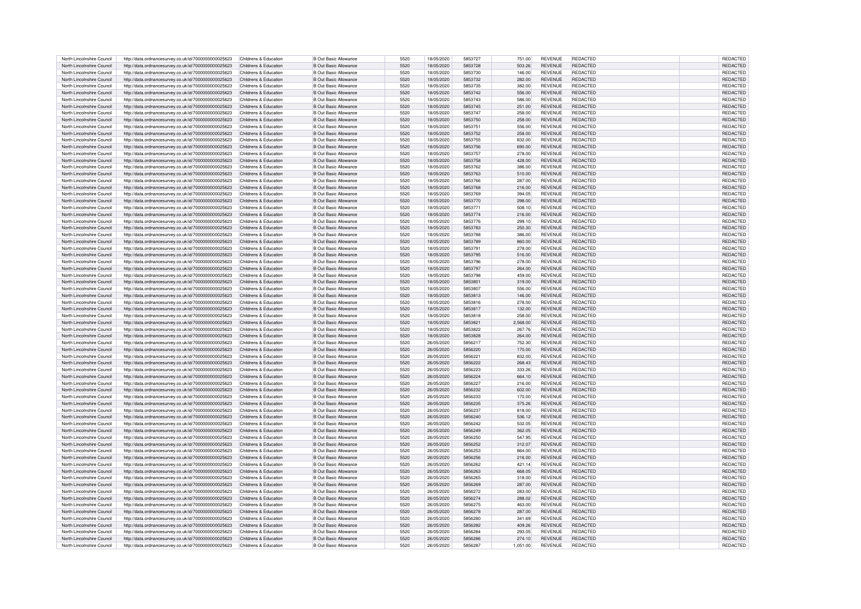| North Lincolnshire Council | http://data.ordnancesurvey.co.uk/id/7000000000025623 | Childrens & Education | <b>B Out Basic Allowance</b> | 5520 | 18/05/2020 | 5853727 | 751.00   | <b>REVENUE</b> | REDACTED        | REDACTED        |
|----------------------------|------------------------------------------------------|-----------------------|------------------------------|------|------------|---------|----------|----------------|-----------------|-----------------|
|                            |                                                      |                       |                              |      |            |         |          |                |                 |                 |
| North Lincolnshire Council | http://data.ordnancesurvev.co.uk/id/7000000000025623 | Childrens & Education | <b>B Out Basic Allowance</b> | 5520 | 18/05/2020 | 5853728 | 503.26   | <b>REVENUE</b> | REDACTED        | REDACTED        |
| North Lincolnshire Council | http://data.ordnancesurvey.co.uk/id/7000000000025623 | Childrens & Education | <b>B Out Basic Allowance</b> | 5520 | 18/05/2020 | 5853730 | 146.00   | <b>REVENUE</b> | <b>REDACTED</b> | <b>REDACTED</b> |
| North Lincolnshire Council | http://data.ordnancesurvey.co.uk/id/7000000000025623 | Childrens & Education | <b>B Out Basic Allowance</b> | 5520 | 18/05/2020 | 5853732 | 282.00   | <b>REVENUE</b> | <b>REDACTED</b> | <b>REDACTED</b> |
| North Lincolnshire Council | http://data.ordnancesurvey.co.uk/id/7000000000025623 | Childrens & Education | <b>B Out Basic Allowance</b> | 5520 | 18/05/2020 | 5853735 | 382.00   | REVENUE        | REDACTED        | <b>REDACTED</b> |
| North Lincolnshire Council | http://data.ordnancesurvey.co.uk/id/7000000000025623 | Childrens & Education | <b>B Out Basic Allowance</b> | 5520 | 18/05/2020 | 5853742 | 556.00   | <b>REVENUE</b> | <b>REDACTED</b> | REDACTED        |
|                            |                                                      |                       |                              |      |            |         |          |                |                 |                 |
| North Lincolnshire Council | http://data.ordnancesurvey.co.uk/id/7000000000025623 | Childrens & Education | <b>B Out Basic Allowance</b> | 5520 | 18/05/2020 | 5853743 | 586.00   | <b>REVENUE</b> | REDACTED        | REDACTED        |
| North Lincolnshire Council | http://data.ordnancesurvey.co.uk/id/7000000000025623 | Childrens & Education | B Out Basic Allowance        | 5520 | 18/05/2020 | 5853745 | 251.00   | <b>REVENUE</b> | <b>REDACTED</b> | REDACTED        |
| North Lincolnshire Council | http://data.ordnancesurvey.co.uk/id/7000000000025623 | Childrens & Education | B Out Basic Allowance        | 5520 | 18/05/2020 | 5853747 | 258.00   | <b>REVENUE</b> | <b>REDACTED</b> | REDACTED        |
| North Lincolnshire Council | http://data.ordnancesurvey.co.uk/id/7000000000025623 | Childrens & Education | <b>B Out Basic Allowance</b> | 5520 | 18/05/2020 | 5853750 | 258.00   | <b>REVENUE</b> | <b>REDACTED</b> | <b>REDACTED</b> |
|                            |                                                      |                       |                              | 5520 |            |         |          | <b>REVENUE</b> | <b>REDACTED</b> | <b>REDACTED</b> |
| North Lincolnshire Council | http://data.ordnancesurvey.co.uk/id/7000000000025623 | Childrens & Education | B Out Basic Allowance        |      | 18/05/2020 | 5853751 | 556.00   |                |                 |                 |
| North Lincolnshire Council | http://data.ordnancesurvey.co.uk/id/7000000000025623 | Childrens & Education | <b>B Out Basic Allowance</b> | 5520 | 18/05/2020 | 5853752 | 258.00   | <b>REVENUE</b> | <b>REDACTED</b> | <b>REDACTED</b> |
| North Lincolnshire Council | http://data.ordnancesurvey.co.uk/id/7000000000025623 | Childrens & Education | B Out Basic Allowance        | 5520 | 18/05/2020 | 5853755 | 832.00   | <b>REVENUE</b> | <b>REDACTED</b> | REDACTED        |
| North Lincolnshire Council | http://data.ordnancesurvey.co.uk/id/7000000000025623 | Childrens & Education | <b>B Out Basic Allowance</b> | 5520 | 18/05/2020 | 5853756 | 690.00   | <b>REVENUE</b> | REDACTED        | REDACTED        |
| North Lincolnshire Council | http://data.ordnancesurvey.co.uk/id/7000000000025623 | Childrens & Education | <b>B Out Basic Allowance</b> | 5520 | 18/05/2020 | 5853757 | 278.00   | <b>REVENUE</b> | <b>REDACTED</b> | <b>REDACTED</b> |
|                            |                                                      |                       |                              |      |            |         |          |                |                 |                 |
| North Lincolnshire Council | http://data.ordnancesurvey.co.uk/id/7000000000025623 | Childrens & Education | B Out Basic Allowance        | 5520 | 18/05/2020 | 5853758 | 428.00   | <b>REVENUE</b> | <b>REDACTED</b> | <b>REDACTED</b> |
| North Lincolnshire Council | http://data.ordnancesurvey.co.uk/id/7000000000025623 | Childrens & Education | <b>B Out Basic Allowance</b> | 5520 | 18/05/2020 | 5853762 | 386.00   | <b>REVENUE</b> | <b>REDACTED</b> | REDACTED        |
| North Lincolnshire Council | http://data.ordnancesurvey.co.uk/id/7000000000025623 | Childrens & Education | B Out Basic Allowance        | 5520 | 18/05/2020 | 5853763 | 510.00   | <b>REVENUE</b> | <b>REDACTED</b> | REDACTED        |
| North Lincolnshire Council | http://data.ordnancesurvey.co.uk/id/7000000000025623 | Childrens & Education | <b>B Out Basic Allowance</b> | 5520 | 18/05/2020 | 5853766 | 287.00   | <b>REVENUE</b> | REDACTED        | REDACTED        |
|                            |                                                      |                       |                              | 5520 | 18/05/2020 | 5853768 |          | <b>REVENUE</b> | <b>REDACTED</b> |                 |
| North Lincolnshire Council | http://data.ordnancesurvey.co.uk/id/7000000000025623 | Childrens & Education | B Out Basic Allowance        |      |            |         | 216.00   |                |                 | REDACTED        |
| North Lincolnshire Council | http://data.ordnancesurvey.co.uk/id/7000000000025623 | Childrens & Education | B Out Basic Allowance        | 5520 | 18/05/2020 | 5853769 | 394.05   | <b>REVENUE</b> | <b>REDACTED</b> | REDACTED        |
| North Lincolnshire Council | http://data.ordnancesurvey.co.uk/id/7000000000025623 | Childrens & Education | <b>B Out Basic Allowance</b> | 5520 | 18/05/2020 | 5853770 | 298.00   | <b>REVENUE</b> | <b>REDACTED</b> | REDACTED        |
| North Lincolnshire Council | http://data.ordnancesurvey.co.uk/id/7000000000025623 | Childrens & Education | <b>B Out Basic Allowance</b> | 5520 | 18/05/2020 | 5853771 | 508.10   | <b>REVENUE</b> | <b>REDACTED</b> | REDACTED        |
| North Lincolnshire Council | http://data.ordnancesurvey.co.uk/id/7000000000025623 | Childrens & Education | <b>B Out Basic Allowance</b> | 5520 | 18/05/2020 | 5853774 | 216.00   | REVENUE        | <b>REDACTED</b> | REDACTED        |
|                            |                                                      |                       |                              |      |            |         |          |                |                 |                 |
| North Lincolnshire Council | http://data.ordnancesurvev.co.uk/id/7000000000025623 | Childrens & Education | B Out Basic Allowance        | 5520 | 18/05/2020 | 5853776 | 299.10   | <b>REVENUE</b> | <b>REDACTED</b> | REDACTED        |
| North Lincolnshire Council | http://data.ordnancesurvey.co.uk/id/7000000000025623 | Childrens & Education | <b>B Out Basic Allowance</b> | 5520 | 18/05/2020 | 5853783 | 250.30   | <b>REVENUE</b> | <b>REDACTED</b> | REDACTED        |
| North Lincolnshire Council | http://data.ordnancesurvey.co.uk/id/7000000000025623 | Childrens & Education | <b>B Out Basic Allowance</b> | 5520 | 18/05/2020 | 5853788 | 386.00   | <b>REVENUE</b> | <b>REDACTED</b> | <b>REDACTED</b> |
| North Lincolnshire Council | http://data.ordnancesurvey.co.uk/id/7000000000025623 | Childrens & Education | <b>B Out Basic Allowance</b> | 5520 | 18/05/2020 | 5853789 | 860.00   | <b>REVENUE</b> | <b>REDACTED</b> | REDACTED        |
|                            |                                                      |                       |                              |      |            |         |          |                |                 |                 |
| North Lincolnshire Council | http://data.ordnancesurvey.co.uk/id/7000000000025623 | Childrens & Education | <b>B Out Basic Allowance</b> | 5520 | 18/05/2020 | 5853791 | 278.00   | REVENUE        | <b>REDACTED</b> | REDACTED        |
| North Lincolnshire Council | http://data.ordnancesurvey.co.uk/id/7000000000025623 | Childrens & Education | <b>B</b> Out Basic Allowance | 5520 | 18/05/2020 | 5853795 | 516.00   | <b>REVENUE</b> | <b>REDACTED</b> | REDACTED        |
| North Lincolnshire Council | http://data.ordnancesurvey.co.uk/id/7000000000025623 | Childrens & Education | B Out Basic Allowance        | 5520 | 18/05/2020 | 5853796 | 278.00   | <b>REVENUE</b> | <b>REDACTED</b> | REDACTED        |
| North Lincolnshire Council | http://data.ordnancesurvey.co.uk/id/7000000000025623 | Childrens & Education | <b>B Out Basic Allowance</b> | 5520 | 18/05/2020 | 5853797 | 264.00   | <b>REVENUE</b> | <b>REDACTED</b> | REDACTED        |
| North Lincolnshire Council |                                                      | Childrens & Education | B Out Basic Allowance        | 5520 |            | 5853798 | 459.00   | <b>REVENUE</b> | <b>REDACTED</b> |                 |
|                            | http://data.ordnancesurvey.co.uk/id/7000000000025623 |                       |                              |      | 18/05/2020 |         |          |                |                 | REDACTED        |
| North Lincolnshire Council | http://data.ordnancesurvey.co.uk/id/7000000000025623 | Childrens & Education | <b>B Out Basic Allowance</b> | 5520 | 18/05/2020 | 5853801 | 319.00   | <b>REVENUE</b> | <b>REDACTED</b> | REDACTED        |
| North Lincolnshire Council | http://data.ordnancesurvey.co.uk/id/7000000000025623 | Childrens & Education | <b>B Out Basic Allowance</b> | 5520 | 18/05/2020 | 5853807 | 556.00   | <b>REVENUE</b> | <b>REDACTED</b> | REDACTED        |
| North Lincolnshire Council | http://data.ordnancesurvey.co.uk/id/7000000000025623 | Childrens & Education | <b>B Out Basic Allowance</b> | 5520 | 18/05/2020 | 5853813 | 146.00   | <b>REVENUE</b> | <b>REDACTED</b> | REDACTED        |
| North Lincolnshire Council | http://data.ordnancesurvey.co.uk/id/7000000000025623 | Childrens & Education | B Out Basic Allowance        | 5520 | 18/05/2020 | 5853816 | 278.00   | <b>REVENUE</b> | <b>REDACTED</b> | REDACTED        |
|                            |                                                      |                       |                              | 5520 | 18/05/2020 | 5853817 |          | <b>REVENUE</b> | <b>REDACTED</b> |                 |
| North Lincolnshire Council | http://data.ordnancesurvey.co.uk/id/7000000000025623 | Childrens & Education | <b>B Out Basic Allowance</b> |      |            |         | 132.00   |                |                 | REDACTED        |
| North Lincolnshire Council | http://data.ordnancesurvey.co.uk/id/7000000000025623 | Childrens & Education | <b>B Out Basic Allowance</b> | 5520 | 18/05/2020 | 5853818 | 258.00   | <b>REVENUE</b> | <b>REDACTED</b> | REDACTED        |
| North Lincolnshire Council | http://data.ordnancesurvev.co.uk/id/7000000000025623 | Childrens & Education | <b>B Out Basic Allowance</b> | 5520 | 18/05/2020 | 5853821 | 2,568.00 | <b>REVENUE</b> | <b>REDACTED</b> | REDACTED        |
| North Lincolnshire Council | http://data.ordnancesurvev.co.uk/id/7000000000025623 | Childrens & Education | B Out Basic Allowance        | 5520 | 18/05/2020 | 5853822 | 267.76   | <b>REVENUE</b> | <b>REDACTED</b> | REDACTED        |
| North Lincolnshire Council | http://data.ordnancesurvev.co.uk/id/7000000000025623 | Childrens & Education | B Out Basic Allowance        | 5520 | 18/05/2020 | 5853828 | 264.00   | <b>REVENUE</b> | <b>REDACTED</b> | <b>REDACTED</b> |
|                            |                                                      |                       |                              |      |            |         |          |                |                 |                 |
| North Lincolnshire Council | http://data.ordnancesurvey.co.uk/id/7000000000025623 | Childrens & Education | B Out Basic Allowance        | 5520 | 26/05/2020 | 5856213 | 752.30   | <b>REVENUE</b> | <b>REDACTED</b> | <b>REDACTED</b> |
| North Lincolnshire Council | http://data.ordnancesurvey.co.uk/id/7000000000025623 | Childrens & Education | <b>B Out Basic Allowance</b> | 5520 | 26/05/2020 | 5856220 | 170.00   | <b>REVENUE</b> | <b>REDACTED</b> | REDACTED        |
| North Lincolnshire Council | http://data.ordnancesurvey.co.uk/id/7000000000025623 | Childrens & Education | B Out Basic Allowance        | 5520 | 26/05/2020 | 585622  | 832.00   | <b>REVENUE</b> | <b>REDACTED</b> | REDACTE         |
| North Lincolnshire Council | http://data.ordnancesurvey.co.uk/id/7000000000025623 | Childrens & Education | <b>B Out Basic Allowance</b> | 5520 | 26/05/2020 | 5856222 | 268.43   | <b>REVENUE</b> | <b>REDACTED</b> | REDACTED        |
|                            |                                                      |                       |                              | 5520 |            | 5856223 |          | <b>REVENUE</b> | <b>REDACTED</b> |                 |
| North Lincolnshire Council | http://data.ordnancesurvey.co.uk/id/7000000000025623 | Childrens & Education | <b>B Out Basic Allowance</b> |      | 26/05/2020 |         | 333.26   |                |                 | <b>REDACTED</b> |
| North Lincolnshire Council | http://data.ordnancesurvey.co.uk/id/7000000000025623 | Childrens & Education | <b>B Out Basic Allowance</b> | 5520 | 26/05/2020 | 5856224 | 664.10   | <b>REVENUE</b> | <b>REDACTED</b> | REDACTED        |
| North Lincolnshire Council | http://data.ordnancesurvev.co.uk/id/7000000000025623 | Childrens & Education | B Out Basic Allowance        | 5520 | 26/05/2020 | 5856227 | 216.00   | <b>REVENUE</b> | <b>REDACTED</b> | REDACTED        |
| North Lincolnshire Council | http://data.ordnancesurvey.co.uk/id/7000000000025623 | Childrens & Education | <b>B Out Basic Allowance</b> | 5520 | 26/05/2020 | 5856232 | 602.00   | <b>REVENUE</b> | <b>REDACTED</b> | <b>REDACTED</b> |
| North Lincolnshire Council | http://data.ordnancesurvey.co.uk/id/7000000000025623 | Childrens & Education | B Out Basic Allowance        | 5520 | 26/05/2020 | 5856233 | 170.00   | <b>REVENUE</b> | <b>REDACTED</b> | REDACTED        |
|                            |                                                      |                       |                              |      |            |         |          |                |                 |                 |
| North Lincolnshire Council | http://data.ordnancesurvey.co.uk/id/7000000000025623 | Childrens & Education | <b>B Out Basic Allowance</b> | 5520 | 26/05/2020 | 5856235 | 375.26   | <b>REVENUE</b> | <b>REDACTED</b> | REDACTED        |
| North Lincolnshire Council | http://data.ordnancesurvey.co.uk/id/7000000000025623 | Childrens & Education | B Out Basic Allowance        | 5520 | 26/05/2020 | 5856237 | 818.00   | <b>REVENUE</b> | <b>REDACTED</b> | <b>REDACTED</b> |
| North Lincolnshire Council | http://data.ordnancesurvey.co.uk/id/7000000000025623 | Childrens & Education | B Out Basic Allowance        | 5520 | 26/05/2020 | 5856240 | 536.12   | <b>REVENUE</b> | <b>REDACTED</b> | REDACTED        |
| North Lincolnshire Council | http://data.ordnancesurvey.co.uk/id/7000000000025623 | Childrens & Education | B Out Basic Allowance        | 5520 | 26/05/2020 | 5856242 | 532.05   | <b>REVENUE</b> | <b>REDACTED</b> | <b>REDACTED</b> |
| North Lincolnshire Council | http://data.ordnancesurvey.co.uk/id/7000000000025623 | Childrens & Education | <b>B Out Basic Allowance</b> | 5520 | 26/05/2020 | 5856249 | 362.05   | <b>REVENUE</b> | <b>REDACTED</b> | REDACTE         |
|                            |                                                      |                       |                              |      |            |         |          |                |                 |                 |
| North Lincolnshire Council | http://data.ordnancesurvey.co.uk/id/7000000000025623 | Childrens & Education | B Out Basic Allowance        | 5520 | 26/05/2020 | 5856250 | 547.95   | <b>REVENUE</b> | <b>REDACTED</b> | REDACTE         |
| North Lincolnshire Council | http://data.ordnancesurvey.co.uk/id/7000000000025623 | Childrens & Education | <b>B Out Basic Allowance</b> | 5520 | 26/05/2020 | 5856252 | 312.07   | <b>REVENUE</b> | <b>REDACTED</b> | REDACTED        |
| North Lincolnshire Council | http://data.ordnancesurvey.co.uk/id/7000000000025623 | Childrens & Education | <b>B Out Basic Allowance</b> | 5520 | 26/05/2020 | 5856253 | 864.00   | <b>REVENUE</b> | <b>REDACTED</b> | REDACTED        |
| North Lincolnshire Council | http://data.ordnancesurvey.co.uk/id/7000000000025623 | Childrens & Education | <b>B Out Basic Allowance</b> | 5520 | 26/05/2020 | 5856256 | 216.00   | <b>REVENUE</b> | <b>REDACTED</b> | REDACTED        |
| North Lincolnshire Council | http://data.ordnancesurvey.co.uk/id/7000000000025623 | Childrens & Education | <b>B Out Basic Allowance</b> | 5520 | 26/05/2020 | 5856262 | 421.14   | <b>REVENUE</b> | <b>REDACTED</b> | REDACTED        |
|                            |                                                      |                       |                              |      |            |         |          |                |                 |                 |
| North Lincolnshire Council | http://data.ordnancesurvey.co.uk/id/7000000000025623 | Childrens & Education | <b>B Out Basic Allowance</b> | 5520 | 26/05/2020 | 5856263 | 668.05   | <b>REVENUE</b> | <b>REDACTED</b> | REDACTED        |
| North Lincolnshire Council | http://data.ordnancesurvey.co.uk/id/7000000000025623 | Childrens & Education | B Out Basic Allowance        | 5520 | 26/05/2020 | 5856265 | 318.00   | <b>REVENUE</b> | <b>REDACTED</b> | REDACTED        |
| North Lincolnshire Council | http://data.ordnancesurvey.co.uk/id/7000000000025623 | Childrens & Education | <b>B Out Basic Allowance</b> | 5520 | 26/05/2020 | 5856269 | 287.00   | <b>REVENUE</b> | <b>REDACTED</b> | REDACTED        |
| North Lincolnshire Council | http://data.ordnancesurvey.co.uk/id/7000000000025623 | Childrens & Education | B Out Basic Allowance        | 5520 | 26/05/2020 | 5856272 | 283.00   | <b>REVENUE</b> | <b>REDACTED</b> | <b>REDACTED</b> |
|                            |                                                      |                       |                              | 5520 | 26/05/2020 | 5856274 |          | <b>REVENUE</b> | <b>REDACTED</b> |                 |
| North Lincolnshire Council | http://data.ordnancesurvey.co.uk/id/7000000000025623 | Childrens & Education | <b>B Out Basic Allowance</b> |      |            |         | 288.02   |                |                 | REDACTED        |
| North Lincolnshire Council | http://data.ordnancesurvey.co.uk/id/7000000000025623 | Childrens & Education | B Out Basic Allowance        | 5520 | 26/05/2020 | 5856275 | 463.00   | <b>REVENUE</b> | <b>REDACTED</b> | REDACTED        |
| North Lincolnshire Council | http://data.ordnancesurvey.co.uk/id/7000000000025623 | Childrens & Education | <b>B Out Basic Allowance</b> | 5520 | 26/05/2020 | 5856278 | 287.00   | <b>REVENUE</b> | <b>REDACTED</b> | REDACTED        |
| North Lincolnshire Council | http://data.ordnancesurvey.co.uk/id/7000000000025623 | Childrens & Education | B Out Basic Allowance        | 5520 | 26/05/2020 | 5856280 | 341.69   | <b>REVENUE</b> | <b>REDACTED</b> | <b>REDACTED</b> |
| North Lincolnshire Council | http://data.ordnancesurvey.co.uk/id/7000000000025623 | Childrens & Education | <b>B Out Basic Allowance</b> | 5520 | 26/05/2020 | 5856282 | 409.26   | <b>REVENUE</b> | <b>REDACTED</b> | REDACTED        |
| North Lincolnshire Council |                                                      | Childrens & Education | B Out Basic Allowance        | 5520 | 26/05/2020 | 5856284 | 293.05   | <b>REVENUE</b> | <b>REDACTED</b> | <b>REDACTED</b> |
|                            | http://data.ordnancesurvey.co.uk/id/7000000000025623 |                       |                              |      |            |         |          |                |                 |                 |
| North Lincolnshire Council | http://data.ordnancesurvey.co.uk/id/7000000000025623 | Childrens & Education | <b>B Out Basic Allowance</b> | 5520 | 26/05/2020 | 5856286 | 274.10   | <b>REVENUE</b> | <b>REDACTED</b> | REDACTED        |
| North Lincolnshire Council | http://data.ordnancesurvey.co.uk/id/7000000000025623 | Childrens & Education | <b>B Out Basic Allowance</b> | 5520 | 26/05/2020 | 5856287 | 1,051.00 | REVENUE        | <b>REDACTED</b> | REDACTED        |
|                            |                                                      |                       |                              |      |            |         |          |                |                 |                 |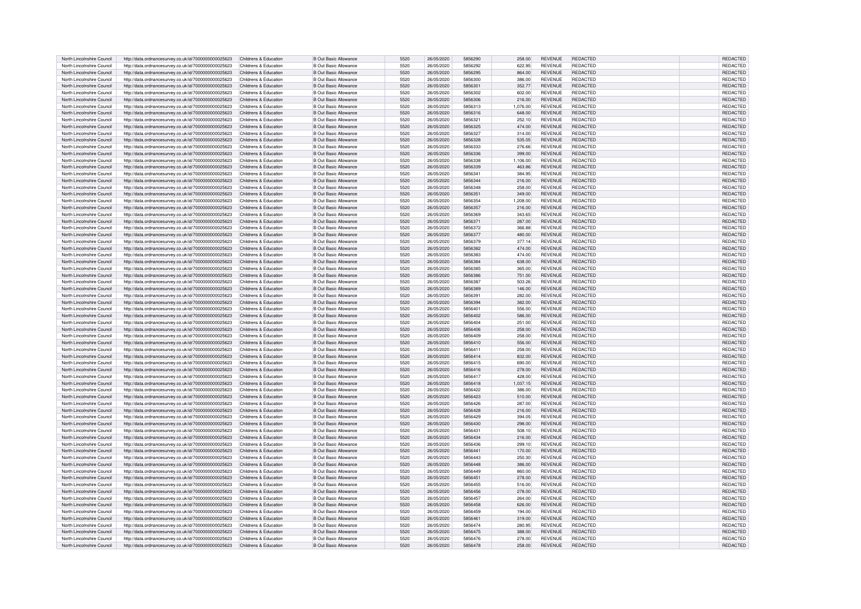| North Lincolnshire Council | http://data.ordnancesurvey.co.uk/id/7000000000025623 | Childrens & Education | B Out Basic Allowance        | 5520 | 26/05/2020 | 5856290 | 258.00   | <b>REVENUE</b> | REDACTED        | REDACTED        |
|----------------------------|------------------------------------------------------|-----------------------|------------------------------|------|------------|---------|----------|----------------|-----------------|-----------------|
| North Lincolnshire Council | http://data.ordnancesurvey.co.uk/id/7000000000025623 | Childrens & Education | B Out Basic Allowance        | 5520 | 26/05/2020 | 5856292 | 622.95   | <b>REVENUE</b> | <b>REDACTED</b> | REDACTED        |
|                            |                                                      |                       |                              |      |            |         |          |                |                 |                 |
| North Lincolnshire Council | http://data.ordnancesurvey.co.uk/id/7000000000025623 | Childrens & Education | <b>B Out Basic Allowance</b> | 5520 | 26/05/2020 | 5856295 | 864.00   | <b>REVENUE</b> | <b>REDACTED</b> | REDACTED        |
| North Lincolnshire Council | http://data.ordnancesurvey.co.uk/id/7000000000025623 | Childrens & Education | <b>B Out Basic Allowance</b> | 5520 | 26/05/2020 | 5856300 | 386.00   | <b>REVENUE</b> | <b>REDACTED</b> | REDACTED        |
| North Lincolnshire Council | http://data.ordnancesurvey.co.uk/id/7000000000025623 | Childrens & Education | <b>B Out Basic Allowance</b> | 5520 | 26/05/2020 | 585630  | 352.77   | <b>REVENUE</b> | REDACTED        | REDACTED        |
| North Lincolnshire Council | http://data.ordnancesurvey.co.uk/id/7000000000025623 | Childrens & Education | B Out Basic Allowance        | 5520 | 26/05/2020 | 5856302 | 602.00   | <b>REVENUE</b> | <b>REDACTED</b> | REDACTED        |
| North Lincolnshire Council | http://data.ordnancesurvey.co.uk/id/7000000000025623 | Childrens & Education | <b>B Out Basic Allowance</b> | 5520 | 26/05/2020 | 5856306 | 216.00   | <b>REVENUE</b> | <b>REDACTED</b> | <b>REDACTED</b> |
| North Lincolnshire Council | http://data.ordnancesurvey.co.uk/id/7000000000025623 | Childrens & Education | B Out Basic Allowance        | 5520 | 26/05/2020 | 5856313 | 1.076.00 | <b>REVENUE</b> | REDACTED        | REDACTED        |
| North Lincolnshire Council | http://data.ordnancesurvey.co.uk/id/7000000000025623 | Childrens & Education | B Out Basic Allowance        | 5520 | 26/05/2020 | 5856316 | 648.00   | <b>REVENUE</b> | REDACTED        | REDACTED        |
| North Lincolnshire Council | http://data.ordnancesurvey.co.uk/id/7000000000025623 | Childrens & Education | B Out Basic Allowance        | 5520 | 26/05/2020 | 585632  | 252.10   | <b>REVENUE</b> | <b>REDACTED</b> | <b>REDACTED</b> |
|                            |                                                      |                       |                              |      |            |         |          |                |                 |                 |
| North Lincolnshire Council | http://data.ordnancesurvey.co.uk/id/7000000000025623 | Childrens & Education | <b>B Out Basic Allowance</b> | 5520 | 26/05/2020 | 5856325 | 474.00   | <b>REVENUE</b> | <b>REDACTED</b> | <b>REDACTED</b> |
| North Lincolnshire Council | http://data.ordnancesurvey.co.uk/id/7000000000025623 | Childrens & Education | B Out Basic Allowance        | 5520 | 26/05/2020 | 5856327 | 314.00   | <b>REVENUE</b> | <b>REDACTED</b> | <b>REDACTED</b> |
| North Lincolnshire Council | http://data.ordnancesurvey.co.uk/id/7000000000025623 | Childrens & Education | <b>B Out Basic Allowance</b> | 5520 | 26/05/2020 | 5856328 | 535.05   | <b>REVENUE</b> | <b>REDACTED</b> | REDACTE         |
| North Lincolnshire Council | http://data.ordnancesurvey.co.uk/id/7000000000025623 | Childrens & Education | <b>B Out Basic Allowance</b> | 5520 | 26/05/2020 | 5856333 | 276.66   | REVENUE        | <b>REDACTED</b> | REDACTED        |
| North Lincolnshire Council | http://data.ordnancesurvey.co.uk/id/7000000000025623 | Childrens & Education | <b>B Out Basic Allowance</b> | 5520 | 26/05/2020 | 5856336 | 399.00   | <b>REVENUE</b> | <b>REDACTED</b> | REDACTED        |
| North Lincolnshire Council | http://data.ordnancesurvey.co.uk/id/7000000000025623 | Childrens & Education | <b>B Out Basic Allowance</b> | 5520 | 26/05/2020 | 5856338 | 1.106.00 | <b>REVENUE</b> | <b>REDACTED</b> | REDACTED        |
|                            |                                                      |                       |                              |      |            |         |          |                |                 |                 |
| North Lincolnshire Council | http://data.ordnancesurvey.co.uk/id/7000000000025623 | Childrens & Education | B Out Basic Allowance        | 5520 | 26/05/2020 | 5856339 | 463.86   | <b>REVENUE</b> | <b>REDACTED</b> | <b>REDACTED</b> |
| North Lincolnshire Council | http://data.ordnancesurvey.co.uk/id/7000000000025623 | Childrens & Education | <b>B Out Basic Allowance</b> | 5520 | 26/05/2020 | 585634  | 384.95   | <b>REVENUE</b> | REDACTED        | REDACTED        |
| North Lincolnshire Council | http://data.ordnancesurvey.co.uk/id/7000000000025623 | Childrens & Education | <b>B Out Basic Allowance</b> | 5520 | 26/05/2020 | 5856344 | 216.00   | <b>REVENUE</b> | <b>REDACTED</b> | REDACTED        |
| North Lincolnshire Council | http://data.ordnancesurvey.co.uk/id/7000000000025623 | Childrens & Education | <b>B Out Basic Allowance</b> | 5520 | 26/05/2020 | 5856348 | 258.00   | <b>REVENUE</b> | <b>REDACTED</b> | <b>REDACTED</b> |
| North Lincolnshire Council | http://data.ordnancesurvey.co.uk/id/7000000000025623 | Childrens & Education | <b>B Out Basic Allowance</b> | 5520 | 26/05/2020 | 5856351 | 349.00   | <b>REVENUE</b> | <b>REDACTED</b> | REDACTED        |
| North Lincolnshire Council | http://data.ordnancesurvey.co.uk/id/7000000000025623 | Childrens & Education | <b>B Out Basic Allowance</b> | 5520 | 26/05/2020 | 5856354 | 1,208.00 | <b>REVENUE</b> | <b>REDACTED</b> | REDACTED        |
| North Lincolnshire Council |                                                      |                       | <b>B Out Basic Allowance</b> | 5520 | 26/05/2020 | 5856357 |          | <b>REVENUE</b> | <b>REDACTED</b> | REDACTED        |
|                            | http://data.ordnancesurvey.co.uk/id/7000000000025623 | Childrens & Education |                              |      |            |         | 216.00   |                |                 |                 |
| North Lincolnshire Council | http://data.ordnancesurvey.co.uk/id/7000000000025623 | Childrens & Education | <b>B Out Basic Allowance</b> | 5520 | 26/05/2020 | 5856369 | 343.65   | <b>REVENUE</b> | <b>REDACTED</b> | REDACTED        |
| North Lincolnshire Council | http://data.ordnancesurvey.co.uk/id/7000000000025623 | Childrens & Education | <b>B Out Basic Allowance</b> | 5520 | 26/05/2020 | 5856371 | 287.00   | REVENUE        | <b>REDACTED</b> | REDACTED        |
| North Lincolnshire Council | http://data.ordnancesurvey.co.uk/id/7000000000025623 | Childrens & Education | B Out Basic Allowance        | 5520 | 26/05/2020 | 5856372 | 366.88   | <b>REVENUE</b> | <b>REDACTED</b> | REDACTED        |
| North Lincolnshire Council | http://data.ordnancesurvey.co.uk/id/7000000000025623 | Childrens & Education | <b>B Out Basic Allowance</b> | 5520 | 26/05/2020 | 5856377 | 480.00   | <b>REVENUE</b> | <b>REDACTED</b> | REDACTED        |
| North Lincolnshire Council | http://data.ordnancesurvey.co.uk/id/7000000000025623 | Childrens & Education | <b>B Out Basic Allowance</b> | 5520 | 26/05/2020 | 5856379 | 377.14   | <b>REVENUE</b> | <b>REDACTED</b> | <b>REDACTED</b> |
| North Lincolnshire Council | http://data.ordnancesurvey.co.uk/id/7000000000025623 | Childrens & Education | <b>B Out Basic Allowance</b> | 5520 | 26/05/2020 | 5856382 | 474.00   | <b>REVENUE</b> | <b>REDACTED</b> | REDACTED        |
|                            |                                                      |                       |                              |      |            |         |          |                |                 |                 |
| North Lincolnshire Council | http://data.ordnancesurvey.co.uk/id/7000000000025623 | Childrens & Education | <b>B Out Basic Allowance</b> | 5520 | 26/05/2020 | 5856383 | 474.00   | REVENUE        | REDACTED        | REDACTED        |
| North Lincolnshire Council | http://data.ordnancesurvey.co.uk/id/7000000000025623 | Childrens & Education | <b>B Out Basic Allowance</b> | 5520 | 26/05/2020 | 5856384 | 638.00   | <b>REVENUE</b> | <b>REDACTED</b> | REDACTED        |
| North Lincolnshire Council | http://data.ordnancesurvey.co.uk/id/7000000000025623 | Childrens & Education | B Out Basic Allowance        | 5520 | 26/05/2020 | 5856385 | 365.00   | <b>REVENUE</b> | <b>REDACTED</b> | REDACTED        |
| North Lincolnshire Council | http://data.ordnancesurvey.co.uk/id/7000000000025623 | Childrens & Education | B Out Basic Allowance        | 5520 | 26/05/2020 | 5856386 | 751.00   | <b>REVENUE</b> | <b>REDACTED</b> | <b>REDACTED</b> |
| North Lincolnshire Council | http://data.ordnancesurvey.co.uk/id/7000000000025623 | Childrens & Education | B Out Basic Allowance        | 5520 | 26/05/2020 | 5856383 | 503.26   | <b>REVENUE</b> | <b>REDACTED</b> | REDACTED        |
| North Lincolnshire Council | http://data.ordnancesurvey.co.uk/id/7000000000025623 | Childrens & Education | <b>B Out Basic Allowance</b> | 5520 | 26/05/2020 | 5856389 | 146.00   | <b>REVENUE</b> | <b>REDACTED</b> | REDACTED        |
|                            |                                                      |                       |                              |      |            |         |          |                |                 |                 |
| North Lincolnshire Council | http://data.ordnancesurvey.co.uk/id/7000000000025623 | Childrens & Education | <b>B Out Basic Allowance</b> | 5520 | 26/05/2020 | 5856391 | 282.00   | REVENUE        | REDACTED        | REDACTED        |
| North Lincolnshire Council | http://data.ordnancesurvey.co.uk/id/7000000000025623 | Childrens & Education | <b>B Out Basic Allowance</b> | 5520 | 26/05/2020 | 5856394 | 382.00   | <b>REVENUE</b> | <b>REDACTED</b> | REDACTED        |
| North Lincolnshire Council | http://data.ordnancesurvey.co.uk/id/7000000000025623 | Childrens & Education | B Out Basic Allowance        | 5520 | 26/05/2020 | 585640  | 556.00   | <b>REVENUE</b> | <b>REDACTED</b> | REDACTED        |
| North Lincolnshire Council | http://data.ordnancesurvey.co.uk/id/7000000000025623 | Childrens & Education | B Out Basic Allowance        | 5520 | 26/05/2020 | 5856402 | 586.00   | <b>REVENUE</b> | <b>REDACTED</b> | REDACTED        |
| North Lincolnshire Council | http://data.ordnancesurvey.co.uk/id/7000000000025623 | Childrens & Education | <b>B Out Basic Allowance</b> | 5520 | 26/05/2020 | 5856404 | 251.00   | <b>REVENUE</b> | REDACTED        | REDACTED        |
| North Lincolnshire Council | http://data.ordnancesurvey.co.uk/id/7000000000025623 | Childrens & Education | <b>B</b> Out Basic Allowance | 5520 | 26/05/2020 | 5856406 | 258.00   | <b>REVENUE</b> | <b>REDACTED</b> | <b>REDACTED</b> |
| North Lincolnshire Council |                                                      | Childrens & Education | <b>B Out Basic Allowance</b> | 5520 | 26/05/2020 | 5856409 | 258.00   | REVENUE        | REDACTED        | REDACTED        |
|                            | http://data.ordnancesurvey.co.uk/id/7000000000025623 |                       |                              |      |            |         |          |                |                 |                 |
| North Lincolnshire Council | http://data.ordnancesurvey.co.uk/id/7000000000025623 | Childrens & Education | <b>B Out Basic Allowance</b> | 5520 | 26/05/2020 | 5856410 | 556.00   | <b>REVENUE</b> | <b>REDACTED</b> | REDACTED        |
| North Lincolnshire Council | http://data.ordnancesurvey.co.uk/id/7000000000025623 | Childrens & Education | B Out Basic Allowance        | 5520 | 26/05/2020 | 5856411 | 258.00   | <b>REVENUE</b> | <b>REDACTED</b> | REDACTED        |
| North Lincolnshire Council | http://data.ordnancesurvey.co.uk/id/7000000000025623 | Childrens & Education | <b>B Out Basic Allowance</b> | 5520 | 26/05/2020 | 5856414 | 832.00   | <b>REVENUE</b> | <b>REDACTED</b> | REDACTED        |
| North Lincolnshire Council | http://data.ordnancesurvey.co.uk/id/7000000000025623 | Childrens & Education | <b>B Out Basic Allowance</b> | 5520 | 26/05/2020 | 5856415 | 690.00   | <b>REVENUE</b> | REDACTED        | <b>REDACTED</b> |
| North Lincolnshire Council | http://data.ordnancesurvey.co.uk/id/7000000000025623 | Childrens & Education | <b>B Out Basic Allowance</b> | 5520 | 26/05/2020 | 5856416 | 278.00   | <b>REVENUE</b> | <b>REDACTED</b> | REDACTED        |
| North Lincolnshire Council | http://data.ordnancesurvey.co.uk/id/7000000000025623 | Childrens & Education | <b>B Out Basic Allowance</b> | 5520 | 26/05/2020 | 5856417 | 428.00   | REVENUE        | REDACTED        | REDACTED        |
|                            |                                                      |                       |                              |      |            |         |          |                |                 |                 |
| North Lincolnshire Council | http://data.ordnancesurvey.co.uk/id/7000000000025623 | Childrens & Education | <b>B Out Basic Allowance</b> | 5520 | 26/05/2020 | 5856418 | 1,037.15 | <b>REVENUE</b> | <b>REDACTED</b> | REDACTED        |
| North Lincolnshire Council | http://data.ordnancesurvey.co.uk/id/7000000000025623 | Childrens & Education | <b>B Out Basic Allowance</b> | 5520 | 26/05/2020 | 5856422 | 386.00   | <b>REVENUE</b> | <b>REDACTED</b> | <b>REDACTE</b>  |
| North Lincolnshire Council | http://data.ordnancesurvey.co.uk/id/7000000000025623 | Childrens & Education | <b>B Out Basic Allowance</b> | 5520 | 26/05/2020 | 5856423 | 510.00   | <b>REVENUE</b> | REDACTED        | REDACTED        |
| North Lincolnshire Council | http://data.ordnancesurvey.co.uk/id/7000000000025623 | Childrens & Education | <b>B Out Basic Allowance</b> | 5520 | 26/05/2020 | 5856426 | 287.00   | <b>REVENUE</b> | <b>REDACTED</b> | <b>REDACTED</b> |
| North Lincolnshire Council | http://data.ordnancesurvey.co.uk/id/7000000000025623 | Childrens & Education | B Out Basic Allowance        | 5520 | 26/05/2020 | 5856428 | 216.00   | <b>REVENUE</b> | <b>REDACTED</b> | REDACTED        |
| North Lincolnshire Council | http://data.ordnancesurvey.co.uk/id/7000000000025623 | Childrens & Education | B Out Basic Allowance        | 5520 | 26/05/2020 | 5856429 | 394.05   | <b>REVENUE</b> | REDACTED        | REDACTED        |
| North Lincolnshire Council | http://data.ordnancesurvey.co.uk/id/7000000000025623 | Childrens & Education | <b>B Out Basic Allowance</b> | 5520 | 26/05/2020 | 5856430 | 298.00   | <b>REVENUE</b> | <b>REDACTED</b> | REDACTED        |
|                            |                                                      |                       |                              | 5520 | 26/05/2020 | 5856431 |          | REVENUE        | <b>REDACTED</b> | <b>REDACTED</b> |
| North Lincolnshire Council | http://data.ordnancesurvey.co.uk/id/7000000000025623 | Childrens & Education | B Out Basic Allowance        |      |            |         | 508.10   |                |                 |                 |
| North Lincolnshire Council | http://data.ordnancesurvey.co.uk/id/7000000000025623 | Childrens & Education | <b>B Out Basic Allowance</b> | 5520 | 26/05/2020 | 5856434 | 216.00   | REVENUE        | <b>REDACTED</b> | <b>REDACTED</b> |
| North Lincolnshire Council | http://data.ordnancesurvey.co.uk/id/7000000000025623 | Childrens & Education | <b>B Out Basic Allowance</b> | 5520 | 26/05/2020 | 5856436 | 299.10   | <b>REVENUE</b> | <b>REDACTED</b> | REDACTED        |
| North Lincolnshire Council | http://data.ordnancesurvey.co.uk/id/7000000000025623 | Childrens & Education | <b>B Out Basic Allowance</b> | 5520 | 26/05/2020 | 585644  | 170.00   | REVENUE        | <b>REDACTED</b> | REDACTED        |
| North Lincolnshire Council | http://data.ordnancesurvey.co.uk/id/7000000000025623 | Childrens & Education | B Out Basic Allowance        | 5520 | 26/05/2020 | 5856443 | 250.30   | <b>REVENUE</b> | REDACTED        | REDACTED        |
| North Lincolnshire Council | http://data.ordnancesurvey.co.uk/id/7000000000025623 | Childrens & Education | <b>B Out Basic Allowance</b> | 5520 | 26/05/2020 | 5856448 | 386.00   | <b>REVENUE</b> | <b>REDACTED</b> | <b>REDACTED</b> |
| North Lincolnshire Council | http://data.ordnancesurvey.co.uk/id/7000000000025623 | Childrens & Education | <b>B Out Basic Allowance</b> | 5520 | 26/05/2020 | 5856449 | 860.00   | <b>REVENUE</b> | <b>REDACTED</b> | REDACTED        |
|                            |                                                      |                       |                              |      |            |         |          |                |                 |                 |
| North Lincolnshire Council | http://data.ordnancesurvey.co.uk/id/7000000000025623 | Childrens & Education | <b>B Out Basic Allowance</b> | 5520 | 26/05/2020 | 5856451 | 278.00   | <b>REVENUE</b> | REDACTED        | REDACTED        |
| North Lincolnshire Council | http://data.ordnancesurvey.co.uk/id/7000000000025623 | Childrens & Education | <b>B Out Basic Allowance</b> | 5520 | 26/05/2020 | 5856455 | 516.00   | REVENUE        | REDACTED        | REDACTED        |
| North Lincolnshire Council | http://data.ordnancesurvey.co.uk/id/7000000000025623 | Childrens & Education | B Out Basic Allowance        | 5520 | 26/05/2020 | 5856456 | 278.00   | <b>REVENUE</b> | <b>REDACTED</b> | <b>REDACTED</b> |
| North Lincolnshire Council | http://data.ordnancesurvey.co.uk/id/7000000000025623 | Childrens & Education | <b>B Out Basic Allowance</b> | 5520 | 26/05/2020 | 5856453 | 264.00   | <b>REVENUE</b> | <b>REDACTED</b> | REDACTED        |
| North Lincolnshire Council | http://data.ordnancesurvey.co.uk/id/7000000000025623 | Childrens & Education | <b>B Out Basic Allowance</b> | 5520 | 26/05/2020 | 5856458 | 626.00   | <b>REVENUE</b> | <b>REDACTED</b> | REDACTED        |
| North Lincolnshire Council | http://data.ordnancesurvey.co.uk/id/7000000000025623 | Childrens & Education | <b>B Out Basic Allowance</b> | 5520 | 26/05/2020 | 5856459 | 194.00   | <b>REVENUE</b> | <b>REDACTED</b> | <b>REDACTED</b> |
| North Lincolnshire Council | http://data.ordnancesurvey.co.uk/id/7000000000025623 | Childrens & Education | <b>B Out Basic Allowance</b> | 5520 | 26/05/2020 | 585646  | 319.00   | <b>REVENUE</b> | <b>REDACTED</b> | REDACTED        |
|                            |                                                      |                       |                              |      |            |         |          |                |                 |                 |
| North Lincolnshire Council | http://data.ordnancesurvey.co.uk/id/7000000000025623 | Childrens & Education | <b>B Out Basic Allowance</b> | 5520 | 26/05/2020 | 5856474 | 280.95   | REVENUE        | REDACTED        | REDACTED        |
| North Lincolnshire Council | http://data.ordnancesurvey.co.uk/id/7000000000025623 | Childrens & Education | B Out Basic Allowance        | 5520 | 26/05/2020 | 5856475 | 388.00   | <b>REVENUE</b> | <b>REDACTED</b> | REDACTED        |
| North Lincolnshire Council | http://data.ordnancesurvey.co.uk/id/7000000000025623 | Childrens & Education | B Out Basic Allowance        | 5520 | 26/05/2020 | 5856476 | 278.00   | <b>REVENUE</b> | <b>REDACTED</b> | REDACTED        |
| North Lincolnshire Council | http://data.ordnancesurvey.co.uk/id/7000000000025623 | Childrens & Education | <b>B Out Basic Allowance</b> | 5520 | 26/05/2020 | 5856478 | 258.00   | <b>REVENUE</b> | <b>REDACTED</b> | REDACTED        |
|                            |                                                      |                       |                              |      |            |         |          |                |                 |                 |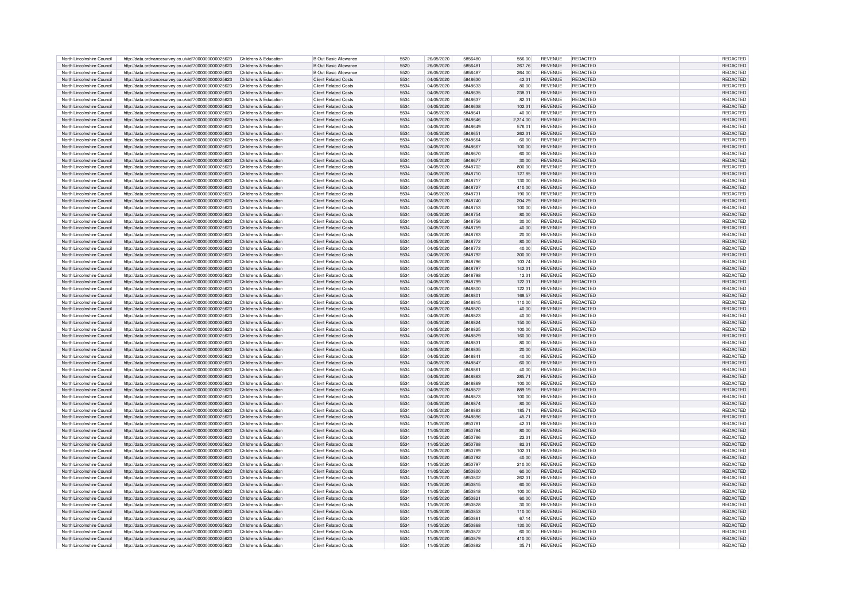| North Lincolnshire Council | http://data.ordnancesurvey.co.uk/id/7000000000025623                      | Childrens & Education | <b>B Out Basic Allowance</b> | 5520 | 26/05/2020 | 5856480        | 556.00   | <b>REVENUE</b> | REDACTED        | REDACTED        |
|----------------------------|---------------------------------------------------------------------------|-----------------------|------------------------------|------|------------|----------------|----------|----------------|-----------------|-----------------|
|                            |                                                                           |                       |                              |      |            |                |          |                |                 |                 |
| North Lincolnshire Council | http://data.ordnancesurvev.co.uk/id/7000000000025623                      | Childrens & Education | <b>B Out Basic Allowance</b> | 5520 | 26/05/2020 | 585648         | 267.76   | <b>REVENUE</b> | <b>REDACTED</b> | REDACTED        |
| North Lincolnshire Council | http://data.ordnancesurvey.co.uk/id/7000000000025623                      | Childrens & Education | <b>B Out Basic Allowance</b> | 5520 | 26/05/2020 | 5856487        | 264.00   | <b>REVENUE</b> | <b>REDACTED</b> | <b>REDACTED</b> |
| North Lincolnshire Council | http://data.ordnancesurvey.co.uk/id/7000000000025623                      | Childrens & Education | Client Related Costs         | 5534 | 04/05/2020 | 5848630        | 42.31    | <b>REVENUE</b> | <b>REDACTED</b> | <b>REDACTED</b> |
| North Lincolnshire Council | http://data.ordnancesurvey.co.uk/id/7000000000025623                      | Childrens & Education | <b>Client Related Costs</b>  | 5534 | 04/05/2020 | 5848633        | 80.00    | REVENUE        | <b>REDACTED</b> | <b>REDACTED</b> |
| North Lincolnshire Council | http://data.ordnancesurvey.co.uk/id/7000000000025623                      | Childrens & Education | <b>Client Related Costs</b>  | 5534 | 04/05/2020 | 5848635        | 238.31   | <b>REVENUE</b> | <b>REDACTED</b> | REDACTED        |
|                            |                                                                           |                       |                              |      |            |                |          |                |                 |                 |
| North Lincolnshire Council | http://data.ordnancesurvey.co.uk/id/7000000000025623                      | Childrens & Education | <b>Client Related Costs</b>  | 5534 | 04/05/2020 | 5848637        | 82.31    | <b>REVENUE</b> | REDACTED        | REDACTED        |
| North Lincolnshire Council | http://data.ordnancesurvey.co.uk/id/7000000000025623                      | Childrens & Education | <b>Client Related Costs</b>  | 5534 | 04/05/2020 | 5848638        | 102.31   | <b>REVENUE</b> | <b>REDACTED</b> | REDACTED        |
| North Lincolnshire Council | http://data.ordnancesurvev.co.uk/id/7000000000025623                      | Childrens & Education | Client Related Costs         | 5534 | 04/05/2020 | 5848641        | 40.00    | <b>REVENUE</b> | <b>REDACTED</b> | REDACTED        |
| North Lincolnshire Council | http://data.ordnancesurvey.co.uk/id/7000000000025623                      | Childrens & Education | Client Related Costs         | 5534 | 04/05/2020 | 5848646        | 2,314.00 | <b>REVENUE</b> | <b>REDACTED</b> | <b>REDACTED</b> |
|                            |                                                                           |                       |                              | 5534 |            |                |          | <b>REVENUE</b> | <b>REDACTED</b> | <b>REDACTED</b> |
| North Lincolnshire Council | http://data.ordnancesurvey.co.uk/id/7000000000025623                      | Childrens & Education | Client Related Costs         |      | 04/05/2020 | 5848649        | 576.01   |                |                 |                 |
| North Lincolnshire Council | http://data.ordnancesurvey.co.uk/id/7000000000025623                      | Childrens & Education | Client Related Costs         | 5534 | 04/05/2020 | 5848651        | 262.31   | <b>REVENUE</b> | <b>REDACTED</b> | <b>REDACTED</b> |
| North Lincolnshire Council | http://data.ordnancesurvey.co.uk/id/7000000000025623                      | Childrens & Education | <b>Client Related Costs</b>  | 5534 | 04/05/2020 | 5848664        | 60.00    | REVENUE        | <b>REDACTED</b> | REDACTED        |
| North Lincolnshire Council | http://data.ordnancesurvey.co.uk/id/7000000000025623                      | Childrens & Education | <b>Client Related Costs</b>  | 5534 | 04/05/2020 | 5848667        | 100.00   | <b>REVENUE</b> | REDACTED        | REDACTED        |
| North Lincolnshire Council |                                                                           | Childrens & Education | Client Related Costs         | 5534 | 04/05/2020 | 5848670        | 60.00    | <b>REVENUE</b> | <b>REDACTED</b> | <b>REDACTED</b> |
|                            | http://data.ordnancesurvey.co.uk/id/7000000000025623                      |                       |                              |      |            |                |          |                |                 |                 |
| North Lincolnshire Council | http://data.ordnancesurvey.co.uk/id/7000000000025623                      | Childrens & Education | Client Related Costs         | 5534 | 04/05/2020 | 5848677        | 30.00    | <b>REVENUE</b> | <b>REDACTED</b> | <b>REDACTED</b> |
| North Lincolnshire Council | http://data.ordnancesurvey.co.uk/id/7000000000025623                      | Childrens & Education | <b>Client Related Costs</b>  | 5534 | 04/05/2020 | 5848702        | 800.00   | <b>REVENUE</b> | <b>REDACTED</b> | REDACTED        |
| North Lincolnshire Council | http://data.ordnancesurvey.co.uk/id/7000000000025623                      | Childrens & Education | <b>Client Related Costs</b>  | 5534 | 04/05/2020 | 5848710        | 127.85   | <b>REVENUE</b> | <b>REDACTED</b> | REDACTED        |
| North Lincolnshire Council | http://data.ordnancesurvey.co.uk/id/7000000000025623                      | Childrens & Education | <b>Client Related Costs</b>  | 5534 | 04/05/2020 | 5848717        | 130.00   | <b>REVENUE</b> | REDACTED        | REDACTED        |
|                            |                                                                           |                       |                              | 5534 | 04/05/2020 | 5848727        |          | <b>REVENUE</b> | <b>REDACTED</b> | <b>REDACTED</b> |
| North Lincolnshire Council | http://data.ordnancesurvey.co.uk/id/7000000000025623                      | Childrens & Education | <b>Client Related Costs</b>  |      |            |                | 410.00   |                |                 |                 |
| North Lincolnshire Council | http://data.ordnancesurvey.co.uk/id/7000000000025623                      | Childrens & Education | <b>Client Related Costs</b>  | 5534 | 04/05/2020 | 5848731        | 190.00   | <b>REVENUE</b> | <b>REDACTED</b> | REDACTED        |
| North Lincolnshire Council | http://data.ordnancesurvey.co.uk/id/7000000000025623                      | Childrens & Education | <b>Client Related Costs</b>  | 5534 | 04/05/2020 | 5848740        | 204.29   | <b>REVENUE</b> | <b>REDACTED</b> | REDACTED        |
| North Lincolnshire Council | http://data.ordnancesurvey.co.uk/id/7000000000025623                      | Childrens & Education | <b>Client Related Costs</b>  | 5534 | 04/05/2020 | 5848753        | 100.00   | <b>REVENUE</b> | <b>REDACTED</b> | REDACTED        |
| North Lincolnshire Council | http://data.ordnancesurvey.co.uk/id/7000000000025623                      | Childrens & Education | <b>Client Related Costs</b>  | 5534 | 04/05/2020 | 5848754        | 80.00    | <b>REVENUE</b> | REDACTED        | REDACTED        |
|                            |                                                                           |                       |                              |      |            |                |          |                |                 |                 |
| North Lincolnshire Council | http://data.ordnancesurvev.co.uk/id/7000000000025623                      | Childrens & Education | <b>Client Related Costs</b>  | 5534 | 04/05/2020 | 5848756        | 30.00    | <b>REVENUE</b> | <b>REDACTED</b> | REDACTED        |
| North Lincolnshire Council | http://data.ordnancesurvey.co.uk/id/7000000000025623                      | Childrens & Education | <b>Client Related Costs</b>  | 5534 | 04/05/2020 | 5848759        | 40.00    | <b>REVENUE</b> | <b>REDACTED</b> | <b>REDACTED</b> |
| North Lincolnshire Council | http://data.ordnancesurvey.co.uk/id/7000000000025623                      | Childrens & Education | Client Related Costs         | 5534 | 04/05/2020 | 5848763        | 20.00    | <b>REVENUE</b> | <b>REDACTED</b> | <b>REDACTED</b> |
| North Lincolnshire Council | http://data.ordnancesurvey.co.uk/id/7000000000025623                      | Childrens & Education | <b>Client Related Costs</b>  | 5534 | 04/05/2020 | 5848772        | 80.00    | <b>REVENUE</b> | <b>REDACTED</b> | REDACTED        |
|                            |                                                                           |                       |                              |      |            |                |          |                |                 |                 |
| North Lincolnshire Council | http://data.ordnancesurvey.co.uk/id/7000000000025623                      | Childrens & Education | <b>Client Related Costs</b>  | 5534 | 04/05/2020 | 5848773        | 40.00    | <b>REVENUE</b> | <b>REDACTED</b> | REDACTED        |
| North Lincolnshire Council | http://data.ordnancesurvey.co.uk/id/7000000000025623                      | Childrens & Education | <b>Client Related Costs</b>  | 5534 | 04/05/2020 | 5848792        | 300.00   | <b>REVENUE</b> | <b>REDACTED</b> | REDACTED        |
| North Lincolnshire Council | http://data.ordnancesurvey.co.uk/id/7000000000025623                      | Childrens & Education | Client Related Costs         | 5534 | 04/05/2020 | 5848796        | 103.74   | <b>REVENUE</b> | <b>REDACTED</b> | REDACTED        |
| North Lincolnshire Council | http://data.ordnancesurvey.co.uk/id/7000000000025623                      | Childrens & Education | <b>Client Related Costs</b>  | 5534 | 04/05/2020 | 5848797        | 142.31   | <b>REVENUE</b> | <b>REDACTED</b> | REDACTED        |
|                            |                                                                           |                       |                              |      |            |                |          |                |                 |                 |
| North Lincolnshire Council | http://data.ordnancesurvey.co.uk/id/7000000000025623                      | Childrens & Education | <b>Client Related Costs</b>  | 5534 | 04/05/2020 | 5848798        | 12.31    | <b>REVENUE</b> | <b>REDACTED</b> | REDACTED        |
| North Lincolnshire Council | http://data.ordnancesurvey.co.uk/id/7000000000025623                      | Childrens & Education | <b>Client Related Costs</b>  | 5534 | 04/05/2020 | 5848799        | 122.31   | <b>REVENUE</b> | <b>REDACTED</b> | REDACTED        |
| North Lincolnshire Council | http://data.ordnancesurvey.co.uk/id/7000000000025623                      | Childrens & Education | <b>Client Related Costs</b>  | 5534 | 04/05/2020 | 5848800        | 122.31   | <b>REVENUE</b> | <b>REDACTED</b> | REDACTED        |
| North Lincolnshire Council | http://data.ordnancesurvey.co.uk/id/7000000000025623                      | Childrens & Education | <b>Client Related Costs</b>  | 5534 | 04/05/2020 | 584880         | 168.57   | <b>REVENUE</b> | <b>REDACTED</b> | <b>REDACTED</b> |
| North Lincolnshire Council | http://data.ordnancesurvey.co.uk/id/7000000000025623                      | Childrens & Education | <b>Client Related Costs</b>  | 5534 | 04/05/2020 | 5848815        | 110.00   | <b>REVENUE</b> | <b>REDACTED</b> | REDACTED        |
|                            |                                                                           |                       |                              |      |            |                |          |                |                 |                 |
| North Lincolnshire Council | http://data.ordnancesurvey.co.uk/id/7000000000025623                      | Childrens & Education | <b>Client Related Costs</b>  | 5534 | 04/05/2020 | 5848820        | 40.00    | <b>REVENUE</b> | <b>REDACTED</b> | REDACTED        |
| North Lincolnshire Council | http://data.ordnancesurvey.co.uk/id/7000000000025623                      | Childrens & Education | Client Related Costs         | 5534 | 04/05/2020 | 5848823        | 40.00    | <b>REVENUE</b> | <b>REDACTED</b> | REDACTED        |
| North Lincolnshire Council | http://data.ordnancesurvev.co.uk/id/7000000000025623                      | Childrens & Education | <b>Client Related Costs</b>  | 5534 | 04/05/2020 | 5848824        | 150.00   | <b>REVENUE</b> | <b>REDACTED</b> | REDACTED        |
| North Lincolnshire Council | http://data.ordnancesurvev.co.uk/id/7000000000025623                      | Childrens & Education | Client Related Costs         | 5534 | 04/05/2020 | 5848825        | 100.00   | <b>REVENUE</b> | <b>REDACTED</b> | REDACTED        |
| North Lincolnshire Council | http://data.ordnancesurvev.co.uk/id/7000000000025623                      | Childrens & Education | Client Related Costs         | 5534 | 04/05/2020 | 5848829        | 160.00   | <b>REVENUE</b> | <b>REDACTED</b> | <b>REDACTED</b> |
|                            |                                                                           |                       |                              |      |            |                |          |                |                 |                 |
| North Lincolnshire Council | http://data.ordnancesurvey.co.uk/id/7000000000025623                      | Childrens & Education | Client Related Costs         | 5534 | 04/05/2020 | <b>5848831</b> | 80.00    | <b>REVENUE</b> | <b>REDACTED</b> | <b>REDACTED</b> |
| North Lincolnshire Council | http://data.ordnancesurvey.co.uk/id/7000000000025623                      | Childrens & Education | Client Related Costs         | 5534 | 04/05/2020 | 5848835        | 20.00    | <b>REVENUE</b> | <b>REDACTED</b> | REDACTED        |
| North Lincolnshire Council | http://data.ordnancesurvey.co.uk/id/7000000000025623                      | Childrens & Education | Client Related Costs         | 5534 | 04/05/2020 | 5848841        | 40.00    | <b>REVENUE</b> | <b>REDACTED</b> | REDACTE         |
| North Lincolnshire Council | http://data.ordnancesurvey.co.uk/id/7000000000025623                      | Childrens & Education | <b>Client Related Costs</b>  | 5534 | 04/05/2020 | 5848847        | 60.00    | <b>REVENUE</b> | <b>REDACTED</b> | REDACTED        |
|                            |                                                                           |                       |                              |      |            |                |          |                |                 |                 |
| North Lincolnshire Council | http://data.ordnancesurvey.co.uk/id/7000000000025623                      | Childrens & Education | Client Related Costs         | 5534 | 04/05/2020 | 5848861        | 40.00    | <b>REVENUE</b> | <b>REDACTED</b> | <b>REDACTED</b> |
| North Lincolnshire Council | http://data.ordnancesurvey.co.uk/id/7000000000025623                      | Childrens & Education | <b>Client Related Costs</b>  | 5534 | 04/05/2020 | 5848863        | 285.71   | <b>REVENUE</b> | <b>REDACTED</b> | REDACTED        |
| North Lincolnshire Council | http://data.ordnancesurvev.co.uk/id/7000000000025623                      | Childrens & Education | <b>Client Related Costs</b>  | 5534 | 04/05/2020 | 5848869        | 100.00   | <b>REVENUE</b> | <b>REDACTED</b> | REDACTED        |
| North Lincolnshire Council | http://data.ordnancesurvey.co.uk/id/7000000000025623                      | Childrens & Education | <b>Client Related Costs</b>  | 5534 | 04/05/2020 | 5848872        | 889.19   | <b>REVENUE</b> | <b>REDACTED</b> | <b>REDACTED</b> |
|                            |                                                                           |                       |                              |      |            |                |          |                |                 |                 |
| North Lincolnshire Council | http://data.ordnancesurvey.co.uk/id/7000000000025623                      | Childrens & Education | <b>Client Related Costs</b>  | 5534 | 04/05/2020 | 5848873        | 100.00   | <b>REVENUE</b> | <b>REDACTED</b> | REDACTED        |
| North Lincolnshire Council | http://data.ordnancesurvey.co.uk/id/7000000000025623                      | Childrens & Education | <b>Client Related Costs</b>  | 5534 | 04/05/2020 | 5848874        | 80.00    | <b>REVENUE</b> | <b>REDACTED</b> | REDACTED        |
| North Lincolnshire Council | http://data.ordnancesurvey.co.uk/id/7000000000025623                      | Childrens & Education | Client Related Costs         | 5534 | 04/05/2020 | 5848883        | 185.71   | <b>REVENUE</b> | <b>REDACTED</b> | <b>REDACTED</b> |
| North Lincolnshire Council | http://data.ordnancesurvey.co.uk/id/7000000000025623                      | Childrens & Education | <b>Client Related Costs</b>  | 5534 | 04/05/2020 | 5848896        | 45.71    | <b>REVENUE</b> | <b>REDACTED</b> | REDACTED        |
| North Lincolnshire Council | http://data.ordnancesurvey.co.uk/id/7000000000025623                      | Childrens & Education | Client Related Costs         | 5534 | 11/05/2020 | 5850781        | 42.31    | <b>REVENUE</b> | <b>REDACTED</b> | <b>REDACTED</b> |
|                            |                                                                           |                       |                              |      |            |                |          |                |                 |                 |
| North Lincolnshire Council | http://data.ordnancesurvey.co.uk/id/7000000000025623                      | Childrens & Education | <b>Client Related Costs</b>  | 5534 | 11/05/2020 | 5850784        | 80.00    | <b>REVENUE</b> | <b>REDACTED</b> | REDACTE         |
| North Lincolnshire Council | http://data.ordnancesurvey.co.uk/id/7000000000025623                      | Childrens & Education | <b>Client Related Costs</b>  | 5534 | 11/05/2020 | 5850786        | 22.31    | <b>REVENUE</b> | <b>REDACTED</b> | REDACTE         |
| North Lincolnshire Council | http://data.ordnancesurvey.co.uk/id/7000000000025623                      | Childrens & Education | <b>Client Related Costs</b>  | 5534 | 11/05/2020 | 5850788        | 82.31    | <b>REVENUE</b> | <b>REDACTED</b> | REDACTED        |
| North Lincolnshire Council | http://data.ordnancesurvey.co.uk/id/7000000000025623                      | Childrens & Education | <b>Client Related Costs</b>  | 5534 | 11/05/2020 | 5850789        | 102.31   | <b>REVENUE</b> | <b>REDACTED</b> | REDACTED        |
| North Lincolnshire Council | http://data.ordnancesurvey.co.uk/id/7000000000025623                      | Childrens & Education | <b>Client Related Costs</b>  | 5534 | 11/05/2020 | 5850792        | 40.00    | <b>REVENUE</b> | <b>REDACTED</b> | <b>REDACTED</b> |
|                            |                                                                           |                       |                              |      |            |                |          |                |                 |                 |
| North Lincolnshire Council | http://data.ordnancesurvey.co.uk/id/7000000000025623                      | Childrens & Education | <b>Client Related Costs</b>  | 5534 | 11/05/2020 | 5850797        | 210.00   | <b>REVENUE</b> | <b>REDACTED</b> | <b>REDACTED</b> |
| North Lincolnshire Council | http://data.ordnancesurvey.co.uk/id/7000000000025623                      | Childrens & Education | <b>Client Related Costs</b>  | 5534 | 11/05/2020 | 5850800        | 60.00    | <b>REVENUE</b> | <b>REDACTED</b> | REDACTED        |
| North Lincolnshire Council | http://data.ordnancesurvey.co.uk/id/7000000000025623                      | Childrens & Education | <b>Client Related Costs</b>  | 5534 | 11/05/2020 | 5850802        | 262.31   | <b>REVENUE</b> | <b>REDACTED</b> | REDACTED        |
| North Lincolnshire Council | http://data.ordnancesurvey.co.uk/id/7000000000025623                      | Childrens & Education | <b>Client Related Costs</b>  | 5534 | 11/05/2020 | 5850815        | 60.00    | <b>REVENUE</b> | <b>REDACTED</b> | REDACTED        |
| North Lincolnshire Council |                                                                           | Childrens & Education | Client Related Costs         | 5534 | 11/05/2020 | 5850818        | 100.00   | <b>REVENUE</b> | <b>REDACTED</b> | <b>REDACTED</b> |
|                            | http://data.ordnancesurvey.co.uk/id/7000000000025623                      |                       |                              |      |            |                |          |                |                 |                 |
| North Lincolnshire Council | http://data.ordnancesurvey.co.uk/id/7000000000025623                      | Childrens & Education | Client Related Costs         | 5534 | 11/05/2020 | 585082         | 60.00    | <b>REVENUE</b> | <b>REDACTED</b> | REDACTED        |
| North Lincolnshire Council | http://data.ordnancesurvey.co.uk/id/7000000000025623                      | Childrens & Education | Client Related Costs         | 5534 | 11/05/2020 | 5850828        | 30.00    | <b>REVENUE</b> | <b>REDACTED</b> | REDACTED        |
| North Lincolnshire Council | http://data.ordnancesurvey.co.uk/id/7000000000025623                      | Childrens & Education | <b>Client Related Costs</b>  | 5534 | 11/05/2020 | 5850853        | 110.00   | <b>REVENUE</b> | <b>REDACTED</b> | <b>REDACTED</b> |
| North Lincolnshire Council | http://data.ordnancesurvey.co.uk/id/7000000000025623                      | Childrens & Education | <b>Client Related Costs</b>  | 5534 | 11/05/2020 | 5850861        | 67.14    | <b>REVENUE</b> | <b>REDACTED</b> | <b>REDACTED</b> |
|                            |                                                                           |                       |                              | 5534 |            |                |          |                |                 |                 |
| North Lincolnshire Council | http://data.ordnancesurvey.co.uk/id/7000000000025623                      | Childrens & Education | <b>Client Related Costs</b>  |      | 11/05/2020 | 5850868        | 130.00   | <b>REVENUE</b> | <b>REDACTED</b> | REDACTED        |
| North Lincolnshire Council | http://data.ordnancesurvey.co.uk/id/7000000000025623                      | Childrens & Education | Client Related Costs         | 5534 | 11/05/2020 | 5850872        | 60.00    | <b>REVENUE</b> | <b>REDACTED</b> | <b>REDACTED</b> |
| North Lincolnshire Council | http://data.ordnancesurvey.co.uk/id/700000000025623 Childrens & Education |                       | <b>Client Related Costs</b>  | 5534 | 11/05/2020 | 5850879        | 410.00   | <b>REVENUE</b> | <b>REDACTED</b> | REDACTED        |
| North Lincolnshire Council | http://data.ordnancesurvey.co.uk/id/7000000000025623                      | Childrens & Education | <b>Client Related Costs</b>  | 5534 | 11/05/2020 | 5850882        | 35.71    | REVENUE        | <b>REDACTED</b> | REDACTED        |
|                            |                                                                           |                       |                              |      |            |                |          |                |                 |                 |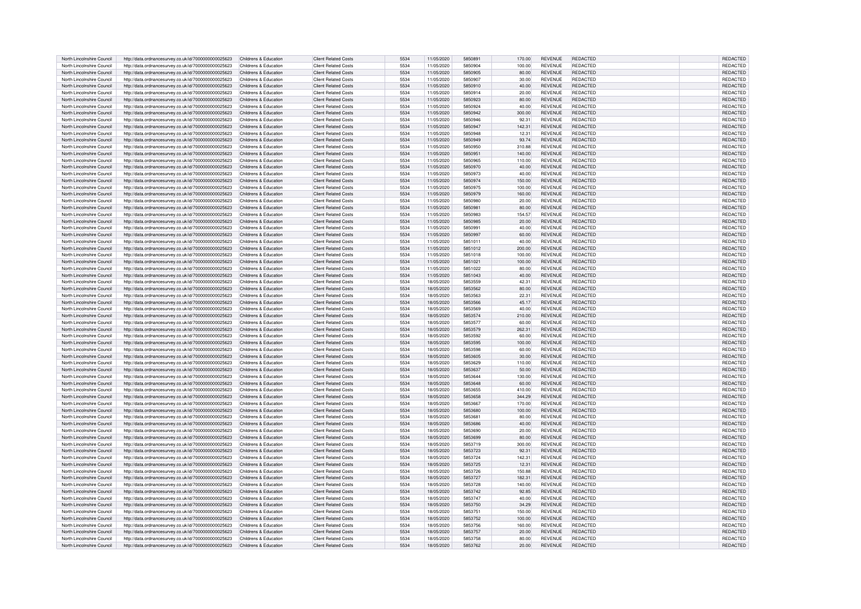|                            |                                                      | Childrens & Education | <b>Client Related Costs</b> | 5534 |            | 5850891 | 170.00 | <b>REVENUE</b> | REDACTED        | <b>REDACTED</b> |
|----------------------------|------------------------------------------------------|-----------------------|-----------------------------|------|------------|---------|--------|----------------|-----------------|-----------------|
| North Lincolnshire Council | http://data.ordnancesurvey.co.uk/id/7000000000025623 |                       |                             |      | 11/05/2020 |         |        |                |                 |                 |
| North Lincolnshire Council | http://data.ordnancesurvev.co.uk/id/7000000000025623 | Childrens & Education | <b>Client Related Costs</b> | 5534 | 11/05/2020 | 5850904 | 100.00 | REVENUE        | REDACTED        | REDACTED        |
| North Lincolnshire Council | http://data.ordnancesurvey.co.uk/id/7000000000025623 | Childrens & Education | <b>Client Related Costs</b> | 5534 | 11/05/2020 | 5850905 | 80.00  | <b>REVENUE</b> | <b>REDACTED</b> | REDACTED        |
| North Lincolnshire Council |                                                      | Childrens & Education | Client Related Costs        | 5534 | 11/05/2020 | 5850907 | 30.00  | <b>REVENUE</b> | <b>REDACTED</b> | <b>REDACTE</b>  |
|                            | http://data.ordnancesurvey.co.uk/id/7000000000025623 |                       |                             |      |            |         |        |                |                 |                 |
| North Lincolnshire Council | http://data.ordnancesurvey.co.uk/id/7000000000025623 | Childrens & Education | <b>Client Related Costs</b> | 5534 | 11/05/2020 | 5850910 | 40.00  | <b>REVENUE</b> | <b>REDACTED</b> | REDACTED        |
| North Lincolnshire Council | http://data.ordnancesurvey.co.uk/id/7000000000025623 | Childrens & Education | <b>Client Related Costs</b> | 5534 | 11/05/2020 | 5850914 | 20.00  | REVENUE        | REDACTED        | <b>REDACTED</b> |
| North Lincolnshire Council |                                                      | Childrens & Education | <b>Client Related Costs</b> | 5534 | 11/05/2020 | 5850923 | 80.00  | <b>REVENUE</b> | REDACTED        | REDACTED        |
|                            | http://data.ordnancesurvey.co.uk/id/7000000000025623 |                       |                             |      |            |         |        |                |                 |                 |
| North Lincolnshire Council | http://data.ordnancesurvey.co.uk/id/7000000000025623 | Childrens & Education | Client Related Costs        | 5534 | 11/05/2020 | 5850924 | 40.00  | REVENUE        | <b>REDACTED</b> | REDACTED        |
| North Lincolnshire Council | http://data.ordnancesurvey.co.uk/id/7000000000025623 | Childrens & Education | Client Related Costs        | 5534 | 11/05/2020 | 5850942 | 300.00 | <b>REVENUE</b> | <b>REDACTED</b> | REDACTED        |
|                            |                                                      |                       |                             |      |            |         |        |                |                 |                 |
| North Lincolnshire Council | http://data.ordnancesurvev.co.uk/id/7000000000025623 | Childrens & Education | Client Related Costs        | 5534 | 11/05/2020 | 5850946 | 92.31  | <b>REVENUE</b> | <b>REDACTED</b> | <b>REDACTED</b> |
| North Lincolnshire Council | http://data.ordnancesurvey.co.uk/id/7000000000025623 | Childrens & Education | Client Related Costs        | 5534 | 11/05/2020 | 5850947 | 142.31 | <b>REVENUE</b> | <b>REDACTED</b> | <b>REDACTED</b> |
| North Lincolnshire Council |                                                      |                       | Client Related Costs        | 5534 |            | 5850948 |        | <b>REVENUE</b> | <b>REDACTED</b> |                 |
|                            | http://data.ordnancesurvey.co.uk/id/7000000000025623 | Childrens & Education |                             |      | 11/05/2020 |         | 12.31  |                |                 | REDACTED        |
| North Lincolnshire Council | http://data.ordnancesurvey.co.uk/id/7000000000025623 | Childrens & Education | <b>Client Related Costs</b> | 5534 | 11/05/2020 | 5850949 | 93.74  | <b>REVENUE</b> | <b>REDACTED</b> | <b>REDACTED</b> |
| North Lincolnshire Council | http://data.ordnancesurvev.co.uk/id/7000000000025623 | Childrens & Education | <b>Client Related Costs</b> | 5534 | 11/05/2020 | 5850950 | 310.88 | <b>REVENUE</b> | <b>REDACTED</b> | REDACTED        |
|                            |                                                      |                       |                             |      |            |         |        |                |                 |                 |
| North Lincolnshire Council | http://data.ordnancesurvey.co.uk/id/7000000000025623 | Childrens & Education | Client Related Costs        | 5534 | 11/05/2020 | 5850951 | 140.00 | <b>REVENUE</b> | <b>REDACTED</b> | <b>REDACTED</b> |
| North Lincolnshire Council | http://data.ordnancesurvey.co.uk/id/7000000000025623 | Childrens & Education | Client Related Costs        | 5534 | 11/05/2020 | 5850965 | 110.00 | <b>REVENUE</b> | <b>REDACTED</b> | <b>REDACTED</b> |
| North Lincolnshire Council | http://data.ordnancesurvey.co.uk/id/7000000000025623 | Childrens & Education | <b>Client Related Costs</b> | 5534 | 11/05/2020 | 5850970 | 40.00  | <b>REVENUE</b> | <b>REDACTED</b> | REDACTED        |
|                            |                                                      |                       |                             |      |            |         |        |                |                 |                 |
| North Lincolnshire Council | http://data.ordnancesurvey.co.uk/id/7000000000025623 | Childrens & Education | <b>Client Related Costs</b> | 5534 | 11/05/2020 | 5850973 | 40.00  | <b>REVENUE</b> | REDACTED        | REDACTED        |
| North Lincolnshire Council | http://data.ordnancesurvey.co.uk/id/7000000000025623 | Childrens & Education | <b>Client Related Costs</b> | 5534 | 11/05/2020 | 5850974 | 150.00 | <b>REVENUE</b> | REDACTED        | <b>REDACTED</b> |
|                            |                                                      |                       |                             |      |            |         |        |                |                 |                 |
| North Lincolnshire Council | http://data.ordnancesurvey.co.uk/id/7000000000025623 | Childrens & Education | Client Related Costs        | 5534 | 11/05/2020 | 5850975 | 100.00 | <b>REVENUE</b> | <b>REDACTED</b> | <b>REDACTED</b> |
| North Lincolnshire Council | http://data.ordnancesurvey.co.uk/id/7000000000025623 | Childrens & Education | <b>Client Related Costs</b> | 5534 | 11/05/2020 | 5850979 | 160.00 | <b>REVENUE</b> | <b>REDACTED</b> | REDACTED        |
| North Lincolnshire Council | http://data.ordnancesurvey.co.uk/id/7000000000025623 | Childrens & Education | Client Related Costs        | 5534 | 11/05/2020 | 5850980 | 20.00  | <b>REVENUE</b> | <b>REDACTED</b> | REDACTED        |
|                            |                                                      |                       |                             |      |            |         |        |                |                 |                 |
| North Lincolnshire Council | http://data.ordnancesurvey.co.uk/id/7000000000025623 | Childrens & Education | <b>Client Related Costs</b> | 5534 | 11/05/2020 | 5850981 | 80.00  | <b>REVENUE</b> | <b>REDACTED</b> | REDACTED        |
| North Lincolnshire Council | http://data.ordnancesurvey.co.uk/id/7000000000025623 | Childrens & Education | <b>Client Related Costs</b> | 5534 | 11/05/2020 | 5850983 | 154.57 | <b>REVENUE</b> | <b>REDACTED</b> | REDACTED        |
|                            |                                                      |                       |                             |      |            |         |        |                |                 |                 |
| North Lincolnshire Council | http://data.ordnancesurvey.co.uk/id/7000000000025623 | Childrens & Education | <b>Client Related Costs</b> | 5534 | 11/05/2020 | 5850985 | 20.00  | <b>REVENUE</b> | <b>REDACTED</b> | REDACTED        |
| North Lincolnshire Council | http://data.ordnancesurvey.co.uk/id/7000000000025623 | Childrens & Education | <b>Client Related Costs</b> | 5534 | 11/05/2020 | 5850991 | 40.00  | <b>REVENUE</b> | <b>REDACTED</b> | <b>REDACTED</b> |
| North Lincolnshire Council | http://data.ordnancesurvey.co.uk/id/7000000000025623 | Childrens & Education | Client Related Costs        | 5534 | 11/05/2020 | 5850997 | 60.00  | <b>REVENUE</b> | <b>REDACTED</b> | REDACTED        |
|                            |                                                      |                       |                             |      |            |         |        |                |                 |                 |
| North Lincolnshire Council | http://data.ordnancesurvey.co.uk/id/7000000000025623 | Childrens & Education | <b>Client Related Costs</b> | 5534 | 11/05/2020 | 5851011 | 40.00  | REVENUE        | <b>REDACTED</b> | REDACTED        |
| North Lincolnshire Council | http://data.ordnancesurvey.co.uk/id/7000000000025623 | Childrens & Education | <b>Client Related Costs</b> | 5534 | 11/05/2020 | 5851012 | 200.00 | <b>REVENUE</b> | <b>REDACTED</b> | REDACTED        |
| North Lincolnshire Council |                                                      |                       | Client Related Costs        | 5534 |            | 5851018 |        | <b>REVENUE</b> | <b>REDACTED</b> | <b>REDACTED</b> |
|                            | http://data.ordnancesurvey.co.uk/id/7000000000025623 | Childrens & Education |                             |      | 11/05/2020 |         | 100.00 |                |                 |                 |
| North Lincolnshire Council | http://data.ordnancesurvey.co.uk/id/7000000000025623 | Childrens & Education | <b>Client Related Costs</b> | 5534 | 11/05/2020 | 5851021 | 100.00 | <b>REVENUE</b> | <b>REDACTED</b> | REDACTED        |
| North Lincolnshire Council | http://data.ordnancesurvey.co.uk/id/7000000000025623 | Childrens & Education | Client Related Costs        | 5534 | 11/05/2020 | 5851022 | 80.00  | <b>REVENUE</b> | <b>REDACTED</b> | REDACTED        |
|                            |                                                      |                       |                             |      |            |         |        |                |                 |                 |
| North Lincolnshire Council | http://data.ordnancesurvey.co.uk/id/7000000000025623 | Childrens & Education | <b>Client Related Costs</b> | 5534 | 11/05/2020 | 5851043 | 40.00  | <b>REVENUE</b> | <b>REDACTED</b> | <b>REDACTED</b> |
| North Lincolnshire Council | http://data.ordnancesurvey.co.uk/id/7000000000025623 | Childrens & Education | <b>Client Related Costs</b> | 5534 | 18/05/2020 | 5853559 | 42.31  | <b>REVENUE</b> | <b>REDACTED</b> | REDACTED        |
|                            |                                                      |                       |                             |      |            |         |        |                |                 |                 |
| North Lincolnshire Council | http://data.ordnancesurvey.co.uk/id/7000000000025623 | Childrens & Education | <b>Client Related Costs</b> | 5534 | 18/05/2020 | 5853562 | 80.00  | <b>REVENUE</b> | <b>REDACTED</b> | REDACTED        |
| North Lincolnshire Council | http://data.ordnancesurvey.co.uk/id/7000000000025623 | Childrens & Education | <b>Client Related Costs</b> | 5534 | 18/05/2020 | 5853563 | 22.31  | <b>REVENUE</b> | <b>REDACTED</b> | REDACTE         |
| North Lincolnshire Council | http://data.ordnancesurvey.co.uk/id/7000000000025623 | Childrens & Education | <b>Client Related Costs</b> | 5534 | 18/05/2020 | 5853566 | 45.17  | <b>REVENUE</b> | <b>REDACTED</b> | REDACTED        |
|                            |                                                      |                       |                             |      |            |         |        |                |                 |                 |
| North Lincolnshire Council | http://data.ordnancesurvey.co.uk/id/7000000000025623 | Childrens & Education | <b>Client Related Costs</b> | 5534 | 18/05/2020 | 5853569 | 40.00  | <b>REVENUE</b> | <b>REDACTED</b> | REDACTED        |
| North Lincolnshire Council | http://data.ordnancesurvey.co.uk/id/7000000000025623 | Childrens & Education | Client Related Costs        | 5534 | 18/05/2020 | 5853574 | 210.00 | <b>REVENUE</b> | <b>REDACTED</b> | REDACTED        |
|                            |                                                      |                       |                             | 5534 |            |         |        |                |                 |                 |
| North Lincolnshire Council | http://data.ordnancesurvev.co.uk/id/7000000000025623 | Childrens & Education | <b>Client Related Costs</b> |      | 18/05/2020 | 5853577 | 60.00  | <b>REVENUE</b> | <b>REDACTED</b> | REDACTED        |
| North Lincolnshire Council | http://data.ordnancesurvey.co.uk/id/7000000000025623 | Childrens & Education | Client Related Costs        | 5534 | 18/05/2020 | 5853579 | 262.31 | <b>REVENUE</b> | <b>REDACTED</b> | REDACTED        |
| North Lincolnshire Council | http://data.ordnancesurvev.co.uk/id/7000000000025623 | Childrens & Education | Client Related Costs        | 5534 | 18/05/2020 | 5853592 | 60.00  | <b>REVENUE</b> | <b>REDACTED</b> | <b>REDACTED</b> |
|                            |                                                      |                       |                             |      |            |         |        |                |                 |                 |
| North Lincolnshire Council | http://data.ordnancesurvey.co.uk/id/7000000000025623 | Childrens & Education | Client Related Costs        | 5534 | 18/05/2020 | 5853595 | 100.00 | <b>REVENUE</b> | <b>REDACTED</b> | REDACTED        |
| North Lincolnshire Council | http://data.ordnancesurvey.co.uk/id/7000000000025623 | Childrens & Education | Client Related Costs        | 5534 | 18/05/2020 | 5853598 | 60.00  | <b>REVENUE</b> | <b>REDACTED</b> | REDACTED        |
|                            |                                                      |                       | Client Related Costs        | 5534 |            | 5853605 |        | <b>REVENUE</b> | <b>REDACTED</b> |                 |
| North Lincolnshire Council | http://data.ordnancesurvey.co.uk/id/7000000000025623 | Childrens & Education |                             |      | 18/05/2020 |         | 30.00  |                |                 | REDACTE         |
| North Lincolnshire Council | http://data.ordnancesurvey.co.uk/id/7000000000025623 | Childrens & Education | <b>Client Related Costs</b> | 5534 | 18/05/2020 | 5853629 | 110.00 | <b>REVENUE</b> | <b>REDACTED</b> | REDACTED        |
| North Lincolnshire Council | http://data.ordnancesurvey.co.uk/id/7000000000025623 | Childrens & Education | <b>Client Related Costs</b> | 5534 | 18/05/2020 | 5853637 | 50.00  | <b>REVENUE</b> | <b>REDACTED</b> | REDACTED        |
|                            |                                                      |                       |                             |      |            |         |        |                |                 |                 |
| North Lincolnshire Council | http://data.ordnancesurvev.co.uk/id/7000000000025623 | Childrens & Education | <b>Client Related Costs</b> | 5534 | 18/05/2020 | 5853644 | 130.00 | <b>REVENUE</b> | <b>REDACTED</b> | REDACTED        |
| North Lincolnshire Council | http://data.ordnancesurvey.co.uk/id/7000000000025623 | Childrens & Education | <b>Client Related Costs</b> | 5534 | 18/05/2020 | 5853648 | 60.00  | <b>REVENUE</b> | <b>REDACTED</b> | REDACTED        |
| North Lincolnshire Council |                                                      | Childrens & Education | <b>Client Related Costs</b> | 5534 |            | 5853655 |        | <b>REVENUE</b> | <b>REDACTED</b> | <b>REDACTE</b>  |
|                            | http://data.ordnancesurvey.co.uk/id/7000000000025623 |                       |                             |      | 18/05/2020 |         | 410.00 |                |                 |                 |
| North Lincolnshire Council | http://data.ordnancesurvey.co.uk/id/7000000000025623 | Childrens & Education | <b>Client Related Costs</b> | 5534 | 18/05/2020 | 5853658 | 344.29 | <b>REVENUE</b> | <b>REDACTED</b> | REDACTED        |
| North Lincolnshire Council | http://data.ordnancesurvey.co.uk/id/7000000000025623 | Childrens & Education | <b>Client Related Costs</b> | 5534 | 18/05/2020 | 5853667 | 170.00 | <b>REVENUE</b> | <b>REDACTED</b> | <b>REDACTED</b> |
|                            |                                                      |                       |                             |      |            |         |        |                |                 |                 |
| North Lincolnshire Council | http://data.ordnancesurvey.co.uk/id/7000000000025623 | Childrens & Education | <b>Client Related Costs</b> | 5534 | 18/05/2020 | 5853680 | 100.00 | <b>REVENUE</b> | <b>REDACTED</b> | REDACTED        |
| North Lincolnshire Council | http://data.ordnancesurvey.co.uk/id/7000000000025623 | Childrens & Education | <b>Client Related Costs</b> | 5534 | 18/05/2020 | 5853681 | 80.00  | <b>REVENUE</b> | <b>REDACTED</b> | REDACTED        |
| North Lincolnshire Council | http://data.ordnancesurvey.co.uk/id/7000000000025623 | Childrens & Education | Client Related Costs        | 5534 | 18/05/2020 | 5853686 | 40.00  | <b>REVENUE</b> | <b>REDACTED</b> | <b>REDACTED</b> |
|                            |                                                      |                       |                             |      |            |         |        |                |                 |                 |
| North Lincolnshire Council | http://data.ordnancesurvey.co.uk/id/7000000000025623 | Childrens & Education | <b>Client Related Costs</b> | 5534 | 18/05/2020 | 5853690 | 20.00  | <b>REVENUE</b> | <b>REDACTED</b> | REDACTE         |
| North Lincolnshire Council | http://data.ordnancesurvey.co.uk/id/7000000000025623 | Childrens & Education | <b>Client Related Costs</b> | 5534 | 18/05/2020 | 5853699 | 80.00  | <b>REVENUE</b> | <b>REDACTED</b> | REDACTED        |
| North Lincolnshire Council | http://data.ordnancesurvey.co.uk/id/7000000000025623 | Childrens & Education | <b>Client Related Costs</b> | 5534 | 18/05/2020 | 5853719 | 300.00 | <b>REVENUE</b> | <b>REDACTED</b> | REDACTED        |
|                            |                                                      |                       |                             |      |            |         |        |                |                 |                 |
| North Lincolnshire Council | http://data.ordnancesurvey.co.uk/id/7000000000025623 | Childrens & Education | Client Related Costs        | 5534 | 18/05/2020 | 5853723 | 92.31  | <b>REVENUE</b> | <b>REDACTED</b> | REDACTED        |
| North Lincolnshire Council | http://data.ordnancesurvey.co.uk/id/7000000000025623 | Childrens & Education | <b>Client Related Costs</b> | 5534 | 18/05/2020 | 5853724 | 142.31 | <b>REVENUE</b> | <b>REDACTED</b> | <b>REDACTED</b> |
|                            |                                                      |                       |                             |      |            |         |        |                |                 |                 |
| North Lincolnshire Council | http://data.ordnancesurvey.co.uk/id/7000000000025623 | Childrens & Education | <b>Client Related Costs</b> | 5534 | 18/05/2020 | 5853725 | 12.31  | <b>REVENUE</b> | <b>REDACTED</b> | REDACTED        |
| North Lincolnshire Council | http://data.ordnancesurvey.co.uk/id/7000000000025623 | Childrens & Education | <b>Client Related Costs</b> | 5534 | 18/05/2020 | 5853726 | 150.88 | <b>REVENUE</b> | <b>REDACTED</b> | REDACTED        |
| North Lincolnshire Council | http://data.ordnancesurvey.co.uk/id/7000000000025623 | Childrens & Education | <b>Client Related Costs</b> | 5534 | 18/05/2020 | 5853727 | 182.31 | <b>REVENUE</b> | <b>REDACTED</b> | <b>REDACTED</b> |
|                            |                                                      |                       |                             |      |            |         |        |                |                 |                 |
| North Lincolnshire Council | http://data.ordnancesurvey.co.uk/id/7000000000025623 | Childrens & Education | <b>Client Related Costs</b> | 5534 | 18/05/2020 | 5853728 | 140.00 | <b>REVENUE</b> | <b>REDACTED</b> | REDACTED        |
| North Lincolnshire Council | http://data.ordnancesurvey.co.uk/id/7000000000025623 | Childrens & Education | <b>Client Related Costs</b> | 5534 | 18/05/2020 | 5853742 | 92.85  | <b>REVENUE</b> | <b>REDACTED</b> | <b>REDACTED</b> |
|                            |                                                      |                       |                             |      |            |         |        |                |                 |                 |
| North Lincolnshire Council | http://data.ordnancesurvey.co.uk/id/7000000000025623 | Childrens & Education | <b>Client Related Costs</b> | 5534 | 18/05/2020 | 5853747 | 40.00  | <b>REVENUE</b> | <b>REDACTED</b> | <b>REDACTED</b> |
| North Lincolnshire Council | http://data.ordnancesurvey.co.uk/id/7000000000025623 | Childrens & Education | Client Related Costs        | 5534 | 18/05/2020 | 5853750 | 34.29  | <b>REVENUE</b> | <b>REDACTED</b> | REDACTED        |
| North Lincolnshire Council | http://data.ordnancesurvey.co.uk/id/7000000000025623 | Childrens & Education | <b>Client Related Costs</b> | 5534 | 18/05/2020 | 585375  | 150.00 | <b>REVENUE</b> | <b>REDACTED</b> | <b>REDACTED</b> |
|                            |                                                      |                       |                             |      |            |         |        |                |                 |                 |
| North Lincolnshire Council | http://data.ordnancesurvey.co.uk/id/7000000000025623 | Childrens & Education | <b>Client Related Costs</b> | 5534 | 18/05/2020 | 5853752 | 100.00 | <b>REVENUE</b> | <b>REDACTED</b> | REDACTED        |
| North Lincolnshire Council | http://data.ordnancesurvey.co.uk/id/7000000000025623 | Childrens & Education | <b>Client Related Costs</b> | 5534 | 18/05/2020 | 5853756 | 160.00 | <b>REVENUE</b> | <b>REDACTED</b> | REDACTED        |
| North Lincolnshire Council |                                                      | Childrens & Education | Client Related Costs        | 5534 | 18/05/2020 | 5853757 | 20.00  | <b>REVENUE</b> | <b>REDACTED</b> |                 |
|                            | http://data.ordnancesurvey.co.uk/id/7000000000025623 |                       |                             |      |            |         |        |                |                 | REDACTED        |
| North Lincolnshire Council | http://data.ordnancesurvey.co.uk/id/7000000000025623 | Childrens & Education | <b>Client Related Costs</b> | 5534 | 18/05/2020 | 5853758 | 80.00  | <b>REVENUE</b> | <b>REDACTED</b> | REDACTED        |
|                            |                                                      | Childrens & Education | <b>Client Related Costs</b> | 5534 | 18/05/2020 | 5853762 | 20.00  | <b>REVENUE</b> | <b>REDACTED</b> | REDACTED        |
| North Lincolnshire Council | http://data.ordnancesurvey.co.uk/id/7000000000025623 |                       |                             |      |            |         |        |                |                 |                 |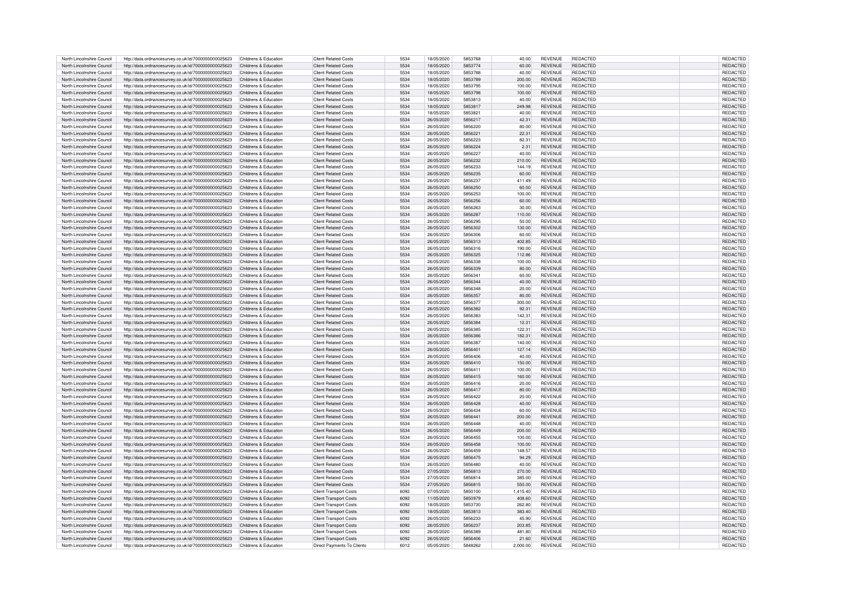| North Lincolnshire Council | http://data.ordnancesurvey.co.uk/id/7000000000025623 | Childrens & Education | <b>Client Related Costs</b>   | 5534 | 18/05/2020 | 5853768 | 40.00    | <b>REVENUE</b> | REDACTED        | REDACTED        |
|----------------------------|------------------------------------------------------|-----------------------|-------------------------------|------|------------|---------|----------|----------------|-----------------|-----------------|
|                            |                                                      |                       |                               |      |            |         |          |                |                 |                 |
| North Lincolnshire Council | http://data.ordnancesurvev.co.uk/id/7000000000025623 | Childrens & Education | <b>Client Related Costs</b>   | 5534 | 18/05/2020 | 5853774 | 60.00    | <b>REVENUE</b> | <b>REDACTED</b> | REDACTED        |
| North Lincolnshire Council | http://data.ordnancesurvey.co.uk/id/7000000000025623 | Childrens & Education | <b>Client Related Costs</b>   | 5534 | 18/05/2020 | 5853788 | 40.00    | <b>REVENUE</b> | <b>REDACTED</b> | <b>REDACTED</b> |
| North Lincolnshire Council | http://data.ordnancesurvey.co.uk/id/7000000000025623 | Childrens & Education | Client Related Costs          | 5534 | 18/05/2020 | 5853789 | 200.00   | <b>REVENUE</b> | <b>REDACTED</b> | <b>REDACTED</b> |
| North Lincolnshire Council | http://data.ordnancesurvey.co.uk/id/7000000000025623 | Childrens & Education | <b>Client Related Costs</b>   | 5534 | 18/05/2020 | 5853795 | 100.00   | <b>REVENUE</b> | REDACTED        | <b>REDACTED</b> |
| North Lincolnshire Council | http://data.ordnancesurvey.co.uk/id/7000000000025623 | Childrens & Education | <b>Client Related Costs</b>   | 5534 | 18/05/2020 | 5853798 | 100.00   | <b>REVENUE</b> | <b>REDACTED</b> | <b>REDACTED</b> |
|                            |                                                      |                       |                               |      |            |         |          |                |                 |                 |
| North Lincolnshire Council | http://data.ordnancesurvey.co.uk/id/7000000000025623 | Childrens & Education | <b>Client Related Costs</b>   | 5534 | 18/05/2020 | 5853813 | 40.00    | <b>REVENUE</b> | <b>REDACTED</b> | REDACTED        |
| North Lincolnshire Council | http://data.ordnancesurvey.co.uk/id/7000000000025623 | Childrens & Education | <b>Client Related Costs</b>   | 5534 | 18/05/2020 | 5853817 | 249.98   | <b>REVENUE</b> | <b>REDACTED</b> | REDACTED        |
| North Lincolnshire Council | http://data.ordnancesurvey.co.uk/id/7000000000025623 | Childrens & Education | Client Related Costs          | 5534 | 18/05/2020 | 5853821 | 40.00    | <b>REVENUE</b> | <b>REDACTED</b> | REDACTED        |
| North Lincolnshire Council | http://data.ordnancesurvey.co.uk/id/7000000000025623 | Childrens & Education | Client Related Costs          | 5534 | 26/05/2020 | 5856217 | 42.31    | <b>REVENUE</b> | <b>REDACTED</b> | <b>REDACTED</b> |
|                            |                                                      |                       |                               |      |            |         |          |                |                 |                 |
| North Lincolnshire Council | http://data.ordnancesurvey.co.uk/id/7000000000025623 | Childrens & Education | Client Related Costs          | 5534 | 26/05/2020 | 5856220 | 80.00    | <b>REVENUE</b> | <b>REDACTED</b> | <b>REDACTED</b> |
| North Lincolnshire Council | http://data.ordnancesurvey.co.uk/id/7000000000025623 | Childrens & Education | Client Related Costs          | 5534 | 26/05/2020 | 585622  | 22.31    | <b>REVENUE</b> | <b>REDACTED</b> | <b>REDACTED</b> |
| North Lincolnshire Council | http://data.ordnancesurvey.co.uk/id/7000000000025623 | Childrens & Education | <b>Client Related Costs</b>   | 5534 | 26/05/2020 | 5856223 | 82.31    | <b>REVENUE</b> | <b>REDACTED</b> | REDACTED        |
| North Lincolnshire Council | http://data.ordnancesurvey.co.uk/id/7000000000025623 | Childrens & Education | <b>Client Related Costs</b>   | 5534 | 26/05/2020 | 5856224 | 2.31     | <b>REVENUE</b> | REDACTED        | REDACTED        |
|                            |                                                      |                       |                               |      |            |         |          |                |                 |                 |
| North Lincolnshire Council | http://data.ordnancesurvey.co.uk/id/7000000000025623 | Childrens & Education | Client Related Costs          | 5534 | 26/05/2020 | 5856227 | 40.00    | <b>REVENUE</b> | <b>REDACTED</b> | <b>REDACTED</b> |
| North Lincolnshire Council | http://data.ordnancesurvey.co.uk/id/7000000000025623 | Childrens & Education | Client Related Costs          | 5534 | 26/05/2020 | 5856232 | 210.00   | <b>REVENUE</b> | <b>REDACTED</b> | <b>REDACTED</b> |
| North Lincolnshire Council | http://data.ordnancesurvey.co.uk/id/7000000000025623 | Childrens & Education | <b>Client Related Costs</b>   | 5534 | 26/05/2020 | 5856233 | 144.19   | <b>REVENUE</b> | <b>REDACTED</b> | REDACTED        |
| North Lincolnshire Council | http://data.ordnancesurvey.co.uk/id/7000000000025623 | Childrens & Education | <b>Client Related Costs</b>   | 5534 | 26/05/2020 | 5856235 | 60.00    | <b>REVENUE</b> | <b>REDACTED</b> | REDACTED        |
| North Lincolnshire Council |                                                      | Childrens & Education | <b>Client Related Costs</b>   | 5534 | 26/05/2020 | 5856237 | 411.49   | <b>REVENUE</b> | REDACTED        | REDACTED        |
|                            | http://data.ordnancesurvey.co.uk/id/7000000000025623 |                       |                               |      |            |         |          |                |                 |                 |
| North Lincolnshire Council | http://data.ordnancesurvey.co.uk/id/7000000000025623 | Childrens & Education | <b>Client Related Costs</b>   | 5534 | 26/05/2020 | 5856250 | 60.00    | <b>REVENUE</b> | <b>REDACTED</b> | <b>REDACTED</b> |
| North Lincolnshire Council | http://data.ordnancesurvey.co.uk/id/7000000000025623 | Childrens & Education | <b>Client Related Costs</b>   | 5534 | 26/05/2020 | 5856253 | 100.00   | <b>REVENUE</b> | <b>REDACTED</b> | REDACTED        |
| North Lincolnshire Council | http://data.ordnancesurvey.co.uk/id/7000000000025623 | Childrens & Education | <b>Client Related Costs</b>   | 5534 | 26/05/2020 | 5856256 | 60.00    | <b>REVENUE</b> | <b>REDACTED</b> | REDACTED        |
|                            |                                                      |                       |                               |      |            |         |          |                |                 |                 |
| North Lincolnshire Council | http://data.ordnancesurvey.co.uk/id/7000000000025623 | Childrens & Education | <b>Client Related Costs</b>   | 5534 | 26/05/2020 | 5856263 | 30.00    | <b>REVENUE</b> | <b>REDACTED</b> | REDACTED        |
| North Lincolnshire Council | http://data.ordnancesurvey.co.uk/id/7000000000025623 | Childrens & Education | <b>Client Related Costs</b>   | 5534 | 26/05/2020 | 5856287 | 110.00   | <b>REVENUE</b> | <b>REDACTED</b> | REDACTED        |
| North Lincolnshire Council | http://data.ordnancesurvev.co.uk/id/7000000000025623 | Childrens & Education | <b>Client Related Costs</b>   | 5534 | 26/05/2020 | 5856295 | 50.00    | <b>REVENUE</b> | <b>REDACTED</b> | REDACTED        |
| North Lincolnshire Council | http://data.ordnancesurvey.co.uk/id/7000000000025623 | Childrens & Education | <b>Client Related Costs</b>   | 5534 | 26/05/2020 | 5856302 | 130.00   | <b>REVENUE</b> | <b>REDACTED</b> | <b>REDACTED</b> |
| North Lincolnshire Council |                                                      | Childrens & Education | Client Related Costs          | 5534 |            | 5856306 |          | <b>REVENUE</b> | <b>REDACTED</b> |                 |
|                            | http://data.ordnancesurvey.co.uk/id/7000000000025623 |                       |                               |      | 26/05/2020 |         | 60.00    |                |                 | <b>REDACTED</b> |
| North Lincolnshire Council | http://data.ordnancesurvey.co.uk/id/7000000000025623 | Childrens & Education | <b>Client Related Costs</b>   | 5534 | 26/05/2020 | 5856313 | 402.85   | <b>REVENUE</b> | <b>REDACTED</b> | REDACTED        |
| North Lincolnshire Council | http://data.ordnancesurvey.co.uk/id/7000000000025623 | Childrens & Education | <b>Client Related Costs</b>   | 5534 | 26/05/2020 | 5856316 | 190.00   | <b>REVENUE</b> | <b>REDACTED</b> | REDACTED        |
| North Lincolnshire Council | http://data.ordnancesurvey.co.uk/id/7000000000025623 | Childrens & Education | <b>Client Related Costs</b>   | 5534 | 26/05/2020 | 5856325 | 112.86   | <b>REVENUE</b> | <b>REDACTED</b> | REDACTED        |
|                            |                                                      |                       | Client Related Costs          | 5534 |            | 5856338 |          | <b>REVENUE</b> | <b>REDACTED</b> | REDACTED        |
| North Lincolnshire Council | http://data.ordnancesurvey.co.uk/id/7000000000025623 | Childrens & Education |                               |      | 26/05/2020 |         | 100.00   |                |                 |                 |
| North Lincolnshire Council | http://data.ordnancesurvey.co.uk/id/7000000000025623 | Childrens & Education | <b>Client Related Costs</b>   | 5534 | 26/05/2020 | 5856339 | 80.00    | <b>REVENUE</b> | <b>REDACTED</b> | REDACTED        |
| North Lincolnshire Council | http://data.ordnancesurvey.co.uk/id/7000000000025623 | Childrens & Education | <b>Client Related Costs</b>   | 5534 | 26/05/2020 | 585634  | 60.00    | <b>REVENUE</b> | <b>REDACTED</b> | REDACTED        |
| North Lincolnshire Council | http://data.ordnancesurvey.co.uk/id/7000000000025623 | Childrens & Education | <b>Client Related Costs</b>   | 5534 | 26/05/2020 | 5856344 | 40.00    | <b>REVENUE</b> | <b>REDACTED</b> | REDACTED        |
| North Lincolnshire Council | http://data.ordnancesurvey.co.uk/id/7000000000025623 | Childrens & Education | <b>Client Related Costs</b>   | 5534 | 26/05/2020 | 5856348 | 20.00    | <b>REVENUE</b> | <b>REDACTED</b> | REDACTED        |
|                            |                                                      |                       |                               |      |            |         |          |                |                 |                 |
| North Lincolnshire Council | http://data.ordnancesurvey.co.uk/id/7000000000025623 | Childrens & Education | <b>Client Related Costs</b>   | 5534 | 26/05/2020 | 5856357 | 80.00    | <b>REVENUE</b> | <b>REDACTED</b> | <b>REDACTED</b> |
| North Lincolnshire Council | http://data.ordnancesurvey.co.uk/id/7000000000025623 | Childrens & Education | <b>Client Related Costs</b>   | 5534 | 26/05/2020 | 5856377 | 300.00   | <b>REVENUE</b> | <b>REDACTED</b> | REDACTED        |
| North Lincolnshire Council | http://data.ordnancesurvey.co.uk/id/7000000000025623 | Childrens & Education | <b>Client Related Costs</b>   | 5534 | 26/05/2020 | 5856382 | 92.31    | <b>REVENUE</b> | <b>REDACTED</b> | REDACTED        |
| North Lincolnshire Council | http://data.ordnancesurvey.co.uk/id/7000000000025623 | Childrens & Education | Client Related Costs          | 5534 | 26/05/2020 | 5856383 | 142.31   | <b>REVENUE</b> | <b>REDACTED</b> | REDACTED        |
|                            |                                                      |                       |                               |      |            |         |          |                |                 |                 |
| North Lincolnshire Council | http://data.ordnancesurvev.co.uk/id/7000000000025623 | Childrens & Education | <b>Client Related Costs</b>   | 5534 | 26/05/2020 | 5856384 | 12.31    | <b>REVENUE</b> | <b>REDACTED</b> | REDACTED        |
| North Lincolnshire Council | http://data.ordnancesurvev.co.uk/id/7000000000025623 | Childrens & Education | Client Related Costs          | 5534 | 26/05/2020 | 5856385 | 122.31   | <b>REVENUE</b> | <b>REDACTED</b> | REDACTED        |
| North Lincolnshire Council | http://data.ordnancesurvev.co.uk/id/7000000000025623 | Childrens & Education | Client Related Costs          | 5534 | 26/05/2020 | 5856386 | 182.31   | <b>REVENUE</b> | <b>REDACTED</b> | <b>REDACTED</b> |
| North Lincolnshire Council | http://data.ordnancesurvey.co.uk/id/7000000000025623 | Childrens & Education | Client Related Costs          | 5534 | 26/05/2020 | 5856383 | 140.00   | <b>REVENUE</b> | <b>REDACTED</b> | <b>REDACTED</b> |
|                            |                                                      |                       |                               |      |            |         |          | <b>REVENUE</b> | <b>REDACTED</b> |                 |
| North Lincolnshire Council | http://data.ordnancesurvey.co.uk/id/7000000000025623 | Childrens & Education | <b>Client Related Costs</b>   | 5534 | 26/05/2020 | 5856401 | 127.14   |                |                 | REDACTED        |
| North Lincolnshire Council | http://data.ordnancesurvey.co.uk/id/7000000000025623 | Childrens & Education | Client Related Costs          | 5534 | 26/05/2020 | 5856406 | 40.00    | <b>REVENUE</b> | <b>REDACTED</b> | REDACTE         |
| North Lincolnshire Council | http://data.ordnancesurvey.co.uk/id/7000000000025623 | Childrens & Education | <b>Client Related Costs</b>   | 5534 | 26/05/2020 | 5856410 | 150.00   | <b>REVENUE</b> | <b>REDACTED</b> | REDACTED        |
| North Lincolnshire Council | http://data.ordnancesurvey.co.uk/id/7000000000025623 | Childrens & Education | Client Related Costs          | 5534 | 26/05/2020 | 5856411 | 100.00   | <b>REVENUE</b> | <b>REDACTED</b> | <b>REDACTED</b> |
|                            |                                                      |                       |                               |      |            |         |          |                |                 |                 |
| North Lincolnshire Council | http://data.ordnancesurvey.co.uk/id/7000000000025623 | Childrens & Education | <b>Client Related Costs</b>   | 5534 | 26/05/2020 | 5856415 | 160.00   | <b>REVENUE</b> | <b>REDACTED</b> | REDACTEI        |
| North Lincolnshire Council | http://data.ordnancesurvev.co.uk/id/7000000000025623 | Childrens & Education | <b>Client Related Costs</b>   | 5534 | 26/05/2020 | 5856416 | 20.00    | REVENUE        | <b>REDACTED</b> | REDACTED        |
| North Lincolnshire Council | http://data.ordnancesurvey.co.uk/id/7000000000025623 | Childrens & Education | <b>Client Related Costs</b>   | 5534 | 26/05/2020 | 5856417 | 80.00    | <b>REVENUE</b> | <b>REDACTED</b> | <b>REDACTED</b> |
| North Lincolnshire Council | http://data.ordnancesurvey.co.uk/id/7000000000025623 | Childrens & Education | <b>Client Related Costs</b>   | 5534 | 26/05/2020 | 5856422 | 20.00    | <b>REVENUE</b> | <b>REDACTED</b> | REDACTED        |
| North Lincolnshire Council | http://data.ordnancesurvey.co.uk/id/7000000000025623 | Childrens & Education | <b>Client Related Costs</b>   | 5534 | 26/05/2020 | 5856428 | 40.00    | <b>REVENUE</b> | <b>REDACTED</b> | REDACTED        |
|                            |                                                      |                       |                               |      |            |         |          |                |                 |                 |
| North Lincolnshire Council | http://data.ordnancesurvey.co.uk/id/7000000000025623 | Childrens & Education | <b>Client Related Costs</b>   | 5534 | 26/05/2020 | 5856434 | 60.00    | <b>REVENUE</b> | <b>REDACTED</b> | <b>REDACTED</b> |
| North Lincolnshire Council | http://data.ordnancesurvey.co.uk/id/7000000000025623 | Childrens & Education | <b>Client Related Costs</b>   | 5534 | 26/05/2020 | 585644  | 200.00   | <b>REVENUE</b> | <b>REDACTED</b> | REDACTED        |
| North Lincolnshire Council | http://data.ordnancesurvey.co.uk/id/7000000000025623 | Childrens & Education | <b>Client Related Costs</b>   | 5534 | 26/05/2020 | 5856448 | 40.00    | <b>REVENUE</b> | <b>REDACTED</b> | <b>REDACTED</b> |
| North Lincolnshire Council | http://data.ordnancesurvey.co.uk/id/7000000000025623 | Childrens & Education | <b>Client Related Costs</b>   | 5534 | 26/05/2020 | 5856449 | 200.00   | <b>REVENUE</b> | <b>REDACTED</b> | REDACTE         |
|                            |                                                      |                       |                               |      |            |         |          |                |                 |                 |
| North Lincolnshire Council | http://data.ordnancesurvey.co.uk/id/7000000000025623 | Childrens & Education | <b>Client Related Costs</b>   | 5534 | 26/05/2020 | 5856455 | 100.00   | <b>REVENUE</b> | <b>REDACTED</b> | REDACTE         |
| North Lincolnshire Council | http://data.ordnancesurvey.co.uk/id/7000000000025623 | Childrens & Education | <b>Client Related Costs</b>   | 5534 | 26/05/2020 | 5856458 | 100.00   | <b>REVENUE</b> | <b>REDACTED</b> | REDACTED        |
| North Lincolnshire Council | http://data.ordnancesurvey.co.uk/id/7000000000025623 | Childrens & Education | <b>Client Related Costs</b>   | 5534 | 26/05/2020 | 5856459 | 148.57   | <b>REVENUE</b> | <b>REDACTED</b> | REDACTED        |
| North Lincolnshire Council | http://data.ordnancesurvey.co.uk/id/7000000000025623 | Childrens & Education | <b>Client Related Costs</b>   | 5534 | 26/05/2020 | 5856475 | 94.29    | <b>REVENUE</b> | <b>REDACTED</b> | <b>REDACTED</b> |
|                            |                                                      |                       |                               |      |            |         |          |                |                 |                 |
| North Lincolnshire Council | http://data.ordnancesurvey.co.uk/id/7000000000025623 | Childrens & Education | <b>Client Related Costs</b>   | 5534 | 26/05/2020 | 5856480 | 40.00    | <b>REVENUE</b> | <b>REDACTED</b> | REDACTED        |
| North Lincolnshire Council | http://data.ordnancesurvey.co.uk/id/7000000000025623 | Childrens & Education | <b>Client Related Costs</b>   | 5534 | 27/05/2020 | 5856813 | 270.00   | <b>REVENUE</b> | <b>REDACTED</b> | REDACTED        |
| North Lincolnshire Council | http://data.ordnancesurvey.co.uk/id/7000000000025623 | Childrens & Education | <b>Client Related Costs</b>   | 5534 | 27/05/2020 | 5856814 | 385.00   | <b>REVENUE</b> | <b>REDACTED</b> | REDACTED        |
| North Lincolnshire Council | http://data.ordnancesurvey.co.uk/id/7000000000025623 | Childrens & Education | <b>Client Related Costs</b>   | 5534 | 27/05/2020 | 5856815 | 550.00   | <b>REVENUE</b> | <b>REDACTED</b> | REDACTED        |
| North Lincolnshire Council |                                                      | Childrens & Education |                               | 6092 | 07/05/2020 | 5850100 | 1.415.40 | <b>REVENUE</b> | <b>REDACTED</b> | <b>REDACTED</b> |
|                            | http://data.ordnancesurvey.co.uk/id/7000000000025623 |                       | <b>Client Transport Costs</b> |      |            |         |          |                |                 |                 |
| North Lincolnshire Council | http://data.ordnancesurvey.co.uk/id/7000000000025623 | Childrens & Education | <b>Client Transport Costs</b> | 6092 | 11/05/2020 | 5850979 | 408.60   | <b>REVENUE</b> | <b>REDACTED</b> | REDACTED        |
| North Lincolnshire Council | http://data.ordnancesurvey.co.uk/id/7000000000025623 | Childrens & Education | <b>Client Transport Costs</b> | 6092 | 18/05/2020 | 5853730 | 262.80   | <b>REVENUE</b> | <b>REDACTED</b> | REDACTED        |
| North Lincolnshire Council | http://data.ordnancesurvey.co.uk/id/7000000000025623 | Childrens & Education | <b>Client Transport Costs</b> | 6092 | 18/05/2020 | 5853813 | 383.40   | <b>REVENUE</b> | <b>REDACTED</b> | <b>REDACTED</b> |
| North Lincolnshire Council | http://data.ordnancesurvey.co.uk/id/7000000000025623 | Childrens & Education | <b>Client Transport Costs</b> | 6092 | 26/05/2020 | 5856233 | 45.90    | <b>REVENUE</b> | <b>REDACTED</b> | <b>REDACTED</b> |
|                            | http://data.ordnancesurvey.co.uk/id/7000000000025623 | Childrens & Education |                               |      |            |         |          |                |                 |                 |
| North Lincolnshire Council |                                                      |                       | <b>Client Transport Costs</b> | 6092 | 26/05/2020 | 5856237 | 203.85   | <b>REVENUE</b> | <b>REDACTED</b> | REDACTED        |
|                            |                                                      |                       |                               |      |            |         |          |                |                 |                 |
| North Lincolnshire Council | http://data.ordnancesurvey.co.uk/id/7000000000025623 | Childrens & Education | Client Transport Costs        | 6092 | 26/05/2020 | 5856389 | 481.80   | <b>REVENUE</b> | <b>REDACTED</b> | <b>REDACTED</b> |
| North Lincolnshire Council | http://data.ordnancesurvey.co.uk/id/7000000000025623 | Childrens & Education | <b>Client Transport Costs</b> | 6092 | 26/05/2020 | 5856406 | 21.60    | <b>REVENUE</b> | <b>REDACTED</b> | REDACTED        |
| North Lincolnshire Council | http://data.ordnancesurvey.co.uk/id/7000000000025623 | Childrens & Education | Direct Payments To Clients    | 6012 | 05/05/2020 | 5848262 | 2,000.00 | <b>REVENUE</b> | <b>REDACTED</b> | REDACTED        |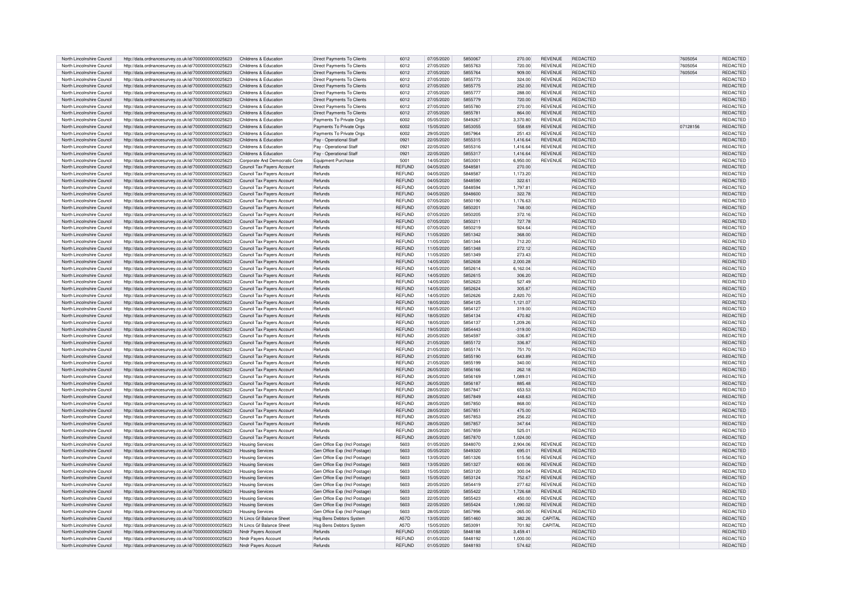| North Lincolnshire Council | http://data.ordnancesurvey.co.uk/id/7000000000025623 | Childrens & Education         | Direct Payments To Clients        | 6012          | 07/05/2020 | 5850067 | 270.00    | <b>REVENUE</b> | <b>REDACTED</b> | 7605054  | REDACTED        |
|----------------------------|------------------------------------------------------|-------------------------------|-----------------------------------|---------------|------------|---------|-----------|----------------|-----------------|----------|-----------------|
| North Lincolnshire Council | http://data.ordnancesurvey.co.uk/id/7000000000025623 | Childrens & Education         | Direct Payments To Clients        | 6012          | 27/05/2020 | 5855763 | 720.00    | REVENUE        | <b>REDACTED</b> | 7605054  | <b>REDACTED</b> |
|                            |                                                      |                               |                                   |               |            |         |           |                |                 |          |                 |
| North Lincolnshire Council | http://data.ordnancesurvey.co.uk/id/7000000000025623 | Childrens & Education         | Direct Payments To Clients        | 6012          | 27/05/2020 | 5855764 | 909.00    | <b>REVENUE</b> | REDACTED        | 7605054  | REDACTED        |
| North Lincolnshire Council | http://data.ordnancesurvev.co.uk/id/7000000000025623 | Childrens & Education         | <b>Direct Payments To Clients</b> | 6012          | 27/05/2020 | 5855773 | 324.00    | <b>REVENUE</b> | <b>REDACTED</b> |          | REDACTED        |
| North Lincolnshire Council | http://data.ordnancesurvey.co.uk/id/7000000000025623 | Childrens & Education         | Direct Payments To Clients        | 6012          | 27/05/2020 | 5855775 | 252.00    | <b>REVENUE</b> | <b>REDACTED</b> |          | <b>REDACTED</b> |
| North Lincolnshire Council | http://data.ordnancesurvey.co.uk/id/7000000000025623 | Childrens & Education         | Direct Payments To Clients        | 6012          | 27/05/2020 | 5855777 | 288.00    | <b>REVENUE</b> | <b>REDACTED</b> |          | <b>REDACTED</b> |
|                            |                                                      |                               |                                   | 6012          |            |         |           | <b>REVENUE</b> | <b>REDACTED</b> |          | <b>REDACTED</b> |
| North Lincolnshire Council | http://data.ordnancesurvey.co.uk/id/7000000000025623 | Childrens & Education         | Direct Payments To Clients        |               | 27/05/2020 | 5855779 | 720.00    |                |                 |          |                 |
| North Lincolnshire Council | http://data.ordnancesurvey.co.uk/id/7000000000025623 | Childrens & Education         | Direct Payments To Clients        | 6012          | 27/05/2020 | 5855780 | 270.00    | <b>REVENUE</b> | REDACTED        |          | REDACTE         |
| North Lincolnshire Council | http://data.ordnancesurvey.co.uk/id/7000000000025623 | Childrens & Education         | Direct Payments To Clients        | 6012          | 27/05/2020 | 585578  | 864.00    | <b>REVENUE</b> | <b>REDACTED</b> |          | <b>REDACTED</b> |
| North Lincolnshire Council | http://data.ordnancesurvey.co.uk/id/7000000000025623 | Childrens & Education         | Payments To Private Orgs          | 6002          | 05/05/2020 | 5849267 | 3,370.80  | <b>REVENUE</b> | <b>REDACTED</b> |          | REDACTED        |
| North Lincolnshire Council | http://data.ordnancesurvey.co.uk/id/7000000000025623 | Childrens & Education         | Payments To Private Orgs          | 6002          | 15/05/2020 | 5853055 | 558.69    | REVENUE        | REDACTED        | 07128156 | REDACTED        |
|                            |                                                      |                               |                                   |               |            |         |           |                |                 |          |                 |
| North Lincolnshire Council | http://data.ordnancesurvey.co.uk/id/7000000000025623 | Childrens & Education         | Payments To Private Orgs          | 6002          | 29/05/2020 | 5857964 | 251.43    | <b>REVENUE</b> | REDACTED        |          | <b>REDACTED</b> |
| North Lincolnshire Council | http://data.ordnancesurvey.co.uk/id/7000000000025623 | Childrens & Education         | Pay - Operational Staff           | 0921          | 22/05/2020 | 5855315 | 1,416.64  | <b>REVENUE</b> | <b>REDACTED</b> |          | REDACTED        |
| North Lincolnshire Council | http://data.ordnancesurvey.co.uk/id/7000000000025623 | Childrens & Education         | Pay - Operational Staff           | 0921          | 22/05/2020 | 5855316 | 1,416.64  | <b>REVENUE</b> | <b>REDACTED</b> |          | REDACTED        |
| North Lincolnshire Council | http://data.ordnancesurvey.co.uk/id/7000000000025623 | Childrens & Education         | Pay - Operational Staff           | 0921          | 22/05/2020 | 5855317 | 1.416.64  | <b>REVENUE</b> | <b>REDACTED</b> |          | REDACTED        |
| North Lincolnshire Council | http://data.ordnancesurvey.co.uk/id/7000000000025623 | Corporate And Democratic Core | Equipment Purchase                | 5001          | 14/05/2020 | 585300  | 6,950.00  | <b>REVENUE</b> | <b>REDACTED</b> |          | REDACTED        |
|                            |                                                      |                               |                                   |               |            |         |           |                |                 |          |                 |
| North Lincolnshire Council | http://data.ordnancesurvey.co.uk/id/7000000000025623 | Council Tax Payers Account    | Refunds                           | <b>REFUND</b> | 04/05/2020 | 584858  | 270.00    |                | <b>REDACTED</b> |          | <b>REDACTED</b> |
| North Lincolnshire Council | http://data.ordnancesurvey.co.uk/id/7000000000025623 | Council Tax Payers Account    | Refunds                           | REFUND        | 04/05/2020 | 584858  | 1,173.20  |                | REDACTED        |          | <b>REDACTED</b> |
| North Lincolnshire Council | http://data.ordnancesurvey.co.uk/id/7000000000025623 | Council Tax Payers Account    | Refunds                           | <b>REFUND</b> | 04/05/2020 | 5848590 | 322.61    |                | REDACTED        |          | REDACTED        |
| North Lincolnshire Council | http://data.ordnancesurvey.co.uk/id/7000000000025623 | Council Tax Payers Account    | Refunds                           | REFUND        | 04/05/2020 | 5848594 | 1,797.81  |                | <b>REDACTED</b> |          | REDACTED        |
| North Lincolnshire Council |                                                      | Council Tax Payers Account    | Refunds                           | <b>REFUND</b> | 04/05/2020 | 5848600 | 322.78    |                | <b>REDACTED</b> |          | <b>REDACTED</b> |
|                            | http://data.ordnancesurvey.co.uk/id/7000000000025623 |                               |                                   |               |            |         |           |                |                 |          |                 |
| North Lincolnshire Council | http://data.ordnancesurvey.co.uk/id/7000000000025623 | Council Tax Payers Account    | Refunds                           | <b>REFUND</b> | 07/05/2020 | 5850190 | 1,176.63  |                | <b>REDACTED</b> |          | REDACTED        |
| North Lincolnshire Council | http://data.ordnancesurvey.co.uk/id/7000000000025623 | Council Tax Payers Account    | Refunds                           | <b>REFUND</b> | 07/05/2020 | 585020  | 748.00    |                | <b>REDACTED</b> |          | <b>REDACTED</b> |
| North Lincolnshire Council | http://data.ordnancesurvey.co.uk/id/7000000000025623 | Council Tax Payers Account    | Refunds                           | REFUND        | 07/05/2020 | 5850205 | 372.16    |                | REDACTED        |          | REDACTED        |
| North Lincolnshire Council | http://data.ordnancesurvey.co.uk/id/7000000000025623 | Council Tax Payers Account    | Refunds                           | <b>REFUND</b> | 07/05/2020 | 5850211 | 727.78    |                | <b>REDACTED</b> |          | REDACTED        |
|                            |                                                      |                               |                                   |               |            |         |           |                |                 |          |                 |
| North Lincolnshire Council | http://data.ordnancesurvey.co.uk/id/7000000000025623 | Council Tax Pavers Account    | Refunds                           | <b>REFUND</b> | 07/05/2020 | 5850219 | 924.64    |                | <b>REDACTED</b> |          | REDACTED        |
| North Lincolnshire Council | http://data.ordnancesurvey.co.uk/id/7000000000025623 | Council Tax Pavers Account    | Refunds                           | <b>REFUND</b> | 11/05/2020 | 5851342 | 368.00    |                | REDACTED        |          | REDACTED        |
| North Lincolnshire Council | http://data.ordnancesurvey.co.uk/id/7000000000025623 | Council Tax Pavers Account    | Refunds                           | <b>REFUND</b> | 11/05/2020 | 5851344 | 712.20    |                | <b>REDACTED</b> |          | REDACTED        |
| North Lincolnshire Council | http://data.ordnancesurvey.co.uk/id/7000000000025623 | Council Tax Pavers Account    | Refunds                           | <b>REFUND</b> | 11/05/2020 | 5851348 | 272.12    |                | <b>REDACTED</b> |          | REDACTED        |
| North Lincolnshire Council | http://data.ordnancesurvey.co.uk/id/7000000000025623 | Council Tax Payers Account    | Refunds                           | <b>REFUND</b> | 11/05/2020 | 5851349 | 273.43    |                | <b>REDACTED</b> |          | <b>REDACTED</b> |
|                            |                                                      |                               |                                   |               |            |         |           |                |                 |          |                 |
| North Lincolnshire Council | http://data.ordnancesurvey.co.uk/id/7000000000025623 | Council Tax Payers Account    | Refunds                           | <b>REFUND</b> | 14/05/2020 | 5852608 | 2,000.28  |                | <b>REDACTED</b> |          | <b>REDACTED</b> |
| North Lincolnshire Council | http://data.ordnancesurvey.co.uk/id/7000000000025623 | Council Tax Payers Account    | Refunds                           | REFUND        | 14/05/2020 | 5852614 | 6,162.04  |                | REDACTED        |          | REDACTED        |
| North Lincolnshire Council | http://data.ordnancesurvey.co.uk/id/7000000000025623 | Council Tax Payers Account    | Refunds                           | <b>REFUND</b> | 14/05/2020 | 5852615 | 306.20    |                | <b>REDACTED</b> |          | REDACTED        |
| North Lincolnshire Council | http://data.ordnancesurvey.co.uk/id/7000000000025623 | Council Tax Payers Account    | Refunds                           | REFUND        | 14/05/2020 | 5852623 | 527.49    |                | REDACTED        |          | REDACTED        |
| North Lincolnshire Council |                                                      |                               | Refunds                           | <b>REFUND</b> | 14/05/2020 | 5852624 | 305.87    |                | <b>REDACTED</b> |          | <b>REDACTED</b> |
|                            | http://data.ordnancesurvey.co.uk/id/7000000000025623 | Council Tax Payers Account    |                                   |               |            |         |           |                |                 |          |                 |
| North Lincolnshire Council | http://data.ordnancesurvey.co.uk/id/7000000000025623 | Council Tax Payers Account    | <b>Refunds</b>                    | <b>REFUND</b> | 14/05/2020 | 5852626 | 2,820.70  |                | <b>REDACTED</b> |          | <b>REDACTED</b> |
| North Lincolnshire Council | http://data.ordnancesurvey.co.uk/id/7000000000025623 | Council Tax Payers Account    | Refunds                           | <b>REFUND</b> | 18/05/2020 | 5854125 | 1,121.07  |                | <b>REDACTED</b> |          | <b>REDACTED</b> |
| North Lincolnshire Council | http://data.ordnancesurvey.co.uk/id/7000000000025623 | Council Tax Payers Account    | Refunds                           | <b>REFUND</b> | 18/05/2020 | 5854127 | 319.00    |                | <b>REDACTED</b> |          | REDACTED        |
| North Lincolnshire Council | http://data.ordnancesurvey.co.uk/id/7000000000025623 | Council Tax Payers Account    | Refunds                           | <b>REFUND</b> | 18/05/2020 | 5854134 | 470.82    |                | <b>REDACTED</b> |          | REDACTED        |
| North Lincolnshire Council |                                                      | Council Tax Payers Account    | Refunds                           | <b>REFUND</b> | 18/05/2020 | 5854137 | 1.209.26  |                | <b>REDACTED</b> |          | <b>REDACTED</b> |
|                            | http://data.ordnancesurvey.co.uk/id/7000000000025623 |                               |                                   |               |            |         |           |                |                 |          |                 |
| North Lincolnshire Council | http://data.ordnancesurvey.co.uk/id/7000000000025623 | Council Tax Payers Account    | Refunds                           | <b>REFUND</b> | 19/05/2020 | 5854443 | $-319.00$ |                | REDACTED        |          | REDACTED        |
| North Lincolnshire Council | http://data.ordnancesurvey.co.uk/id/7000000000025623 | Council Tax Payers Account    | Refunds                           | <b>REFUND</b> | 20/05/2020 | 5854597 | $-336.87$ |                | <b>REDACTED</b> |          | REDACTED        |
| North Lincolnshire Council | http://data.ordnancesurvey.co.uk/id/7000000000025623 | Council Tax Payers Account    | Refunds                           | <b>REFUND</b> | 21/05/2020 | 5855172 | 336.87    |                | REDACTED        |          | REDACTED        |
| North Lincolnshire Council | http://data.ordnancesurvey.co.uk/id/7000000000025623 | Council Tax Payers Account    | Refunds                           | <b>REFUND</b> | 21/05/2020 | 5855174 | 751.70    |                | <b>REDACTED</b> |          | <b>REDACTED</b> |
|                            |                                                      |                               |                                   |               |            |         |           |                |                 |          |                 |
| North Lincolnshire Council | http://data.ordnancesurvey.co.uk/id/7000000000025623 | Council Tax Payers Account    | Refunds                           | <b>REFUND</b> | 21/05/2020 | 5855190 | 643.89    |                | REDACTED        |          | <b>REDACTED</b> |
| North Lincolnshire Council | http://data.ordnancesurvey.co.uk/id/7000000000025623 | Council Tax Pavers Accoun     | Refunds                           | <b>REFUND</b> | 21/05/2020 | 5855199 | 340.00    |                | REDACTED        |          | <b>REDACTED</b> |
| North Lincolnshire Council | http://data.ordnancesurvey.co.uk/id/7000000000025623 | Council Tax Payers Account    | Refunds                           | <b>REFUND</b> | 26/05/2020 | 5856166 | 262.18    |                | REDACTED        |          | REDACTED        |
| North Lincolnshire Council | http://data.ordnancesurvey.co.uk/id/7000000000025623 | Council Tax Payers Account    | Refunds                           | <b>REFUND</b> | 26/05/2020 | 5856169 | 1,089.01  |                | <b>REDACTED</b> |          | <b>REDACTE</b>  |
| North Lincolnshire Council | http://data.ordnancesurvey.co.uk/id/7000000000025623 | Council Tax Payers Account    | Refunds                           | <b>REFUND</b> | 26/05/2020 | 5856187 | 885.48    |                | REDACTED        |          | <b>REDACTED</b> |
|                            |                                                      |                               |                                   |               |            |         |           |                |                 |          |                 |
| North Lincolnshire Council | http://data.ordnancesurvey.co.uk/id/7000000000025623 | Council Tax Pavers Accoun     | Refunds                           | <b>REFUND</b> | 28/05/2020 | 5857847 | 653.53    |                | REDACTED        |          | <b>REDACTED</b> |
| North Lincolnshire Council | http://data.ordnancesurvey.co.uk/id/7000000000025623 | Council Tax Pavers Accoun     | Refunds                           | <b>REFUND</b> | 28/05/2020 | 5857849 | 448.63    |                | <b>REDACTED</b> |          | REDACTED        |
| North Lincolnshire Council | http://data.ordnancesurvey.co.uk/id/7000000000025623 | Council Tax Pavers Accoun     | Refunds                           | <b>REFUND</b> | 28/05/2020 | 5857850 | 868.00    |                | <b>REDACTED</b> |          | <b>REDACTED</b> |
| North Lincolnshire Council | http://data.ordnancesurvey.co.uk/id/7000000000025623 | Council Tax Payers Accoun     | Refunds                           | <b>REFUND</b> | 28/05/2020 | 585785  | 475.00    |                | REDACTED        |          | REDACTED        |
| North Lincolnshire Council | http://data.ordnancesurvey.co.uk/id/7000000000025623 | Council Tax Payers Accoun     | Refunds                           | <b>REFUND</b> | 28/05/2020 | 5857853 | 256.22    |                | REDACTED        |          | <b>REDACTED</b> |
|                            |                                                      |                               |                                   |               |            |         |           |                |                 |          |                 |
| North Lincolnshire Council | http://data.ordnancesurvey.co.uk/id/7000000000025623 | Council Tax Payers Account    | Refunds                           | <b>REFUND</b> | 28/05/2020 | 5857857 | 347.64    |                | REDACTED        |          | <b>REDACTED</b> |
| North Lincolnshire Council | http://data.ordnancesurvey.co.uk/id/7000000000025623 | Council Tax Payers Account    | Refunds                           | <b>REFUND</b> | 28/05/2020 | 5857859 | 525.01    |                | REDACTED        |          | <b>REDACTED</b> |
| North Lincolnshire Council | http://data.ordnancesurvey.co.uk/id/7000000000025623 | Council Tax Payers Account    | Refunds                           | <b>REFUND</b> | 28/05/2020 | 5857870 | 1,024.00  |                | <b>REDACTED</b> |          | REDACTED        |
| North Lincolnshire Council | http://data.ordnancesurvey.co.uk/id/7000000000025623 | <b>Housing Services</b>       | Gen Office Exp (Incl Postage      | 5603          | 01/05/2020 | 5848070 | 2.904.06  | <b>REVENUE</b> | REDACTED        |          | <b>REDACTED</b> |
| North Lincolnshire Council | http://data.ordnancesurvey.co.uk/id/7000000000025623 | <b>Housing Services</b>       | Gen Office Exp (Incl Postage      | 5603          | 05/05/2020 | 5849320 | 695.01    | <b>REVENUE</b> | <b>REDACTED</b> |          | REDACTED        |
|                            |                                                      |                               |                                   |               |            |         |           |                |                 |          |                 |
| North Lincolnshire Council | http://data.ordnancesurvey.co.uk/id/7000000000025623 | <b>Housing Services</b>       | Gen Office Exp (Incl Postage      | 5603          | 13/05/2020 | 5851326 | 515.56    | <b>REVENUE</b> | <b>REDACTED</b> |          | <b>REDACTED</b> |
| North Lincolnshire Council | http://data.ordnancesurvey.co.uk/id/7000000000025623 | <b>Housing Services</b>       | Gen Office Exp (Incl Postage      | 5603          | 13/05/2020 | 5851327 | 600.06    | <b>REVENUE</b> | <b>REDACTED</b> |          | REDACTED        |
| North Lincolnshire Council | http://data.ordnancesurvey.co.uk/id/7000000000025623 | <b>Housing Services</b>       | Gen Office Exp (Incl Postage      | 5603          | 15/05/2020 | 5853120 | 300.04    | <b>REVENUE</b> | <b>REDACTED</b> |          | REDACTED        |
| North Lincolnshire Council | http://data.ordnancesurvey.co.uk/id/7000000000025623 | <b>Housing Services</b>       | Gen Office Exp (Incl Postage)     | 5603          | 15/05/2020 | 5853124 | 752.67    | <b>REVENUE</b> | <b>REDACTED</b> |          | <b>REDACTED</b> |
| North Lincolnshire Council | http://data.ordnancesurvey.co.uk/id/7000000000025623 | <b>Housing Services</b>       | Gen Office Exp (Incl Postage)     | 5603          | 20/05/2020 | 5854419 | 277.62    | <b>REVENUE</b> | <b>REDACTED</b> |          | REDACTED        |
|                            |                                                      |                               |                                   |               |            |         |           |                |                 |          |                 |
| North Lincolnshire Council | http://data.ordnancesurvey.co.uk/id/7000000000025623 | <b>Housing Services</b>       | Gen Office Exp (Incl Postage)     | 5603          | 22/05/2020 | 5855422 | 1,726.68  | <b>REVENUE</b> | <b>REDACTED</b> |          | REDACTED        |
| North Lincolnshire Council | http://data.ordnancesurvey.co.uk/id/7000000000025623 | <b>Housing Services</b>       | Gen Office Exp (Incl Postage)     | 5603          | 22/05/2020 | 5855423 | 450.00    | <b>REVENUE</b> | <b>REDACTED</b> |          | REDACTED        |
| North Lincolnshire Council | http://data.ordnancesurvey.co.uk/id/7000000000025623 | <b>Housing Services</b>       | Gen Office Exp (Incl Postage)     | 5603          | 22/05/2020 | 5855424 | 1.090.02  | <b>REVENUE</b> | <b>REDACTED</b> |          | REDACTED        |
| North Lincolnshire Council | http://data.ordnancesurvey.co.uk/id/7000000000025623 | <b>Housing Services</b>       | Gen Office Exp (Incl Postage)     | 5603          | 28/05/2020 | 5857996 | $-265.00$ | <b>REVENUE</b> | <b>REDACTED</b> |          | REDACTED        |
| North Lincolnshire Council | http://data.ordnancesurvey.co.uk/id/7000000000025623 | N Lincs Gf Balance Sheet      | Hsg Bens Debtors System           | A57D          | 13/05/2020 | 5851460 | 382.26    | CAPITAL        | REDACTED        |          | <b>REDACTED</b> |
|                            |                                                      |                               |                                   |               |            |         |           |                |                 |          |                 |
| North Lincolnshire Council | http://data.ordnancesurvev.co.uk/id/7000000000025623 | N Lincs Gf Balance Sheet      | Hsg Bens Debtors System           | A57D          | 15/05/2020 | 585309  | 701.92    | CAPITAL        | REDACTED        |          | REDACTED        |
| North Lincolnshire Council | http://data.ordnancesurvey.co.uk/id/7000000000025623 | Nndr Pavers Account           | Refunds                           | <b>REFUND</b> | 01/05/2020 | 5848188 | 3.459.41  |                | <b>REDACTED</b> |          | <b>REDACTED</b> |
| North Lincolnshire Council | http://data.ordnancesurvey.co.uk/id/7000000000025623 | Nndr Pavers Account           | Refunds                           | REFUND        | 01/05/2020 | 5848192 | 1.000.00  |                | REDACTED        |          | REDACTED        |
| North Lincolnshire Council | http://data.ordnancesurvey.co.uk/id/7000000000025623 | Nndr Payers Account           | Refunds                           | <b>REFUND</b> | 01/05/2020 | 5848193 | 574.62    |                | REDACTED        |          | REDACTED        |
|                            |                                                      |                               |                                   |               |            |         |           |                |                 |          |                 |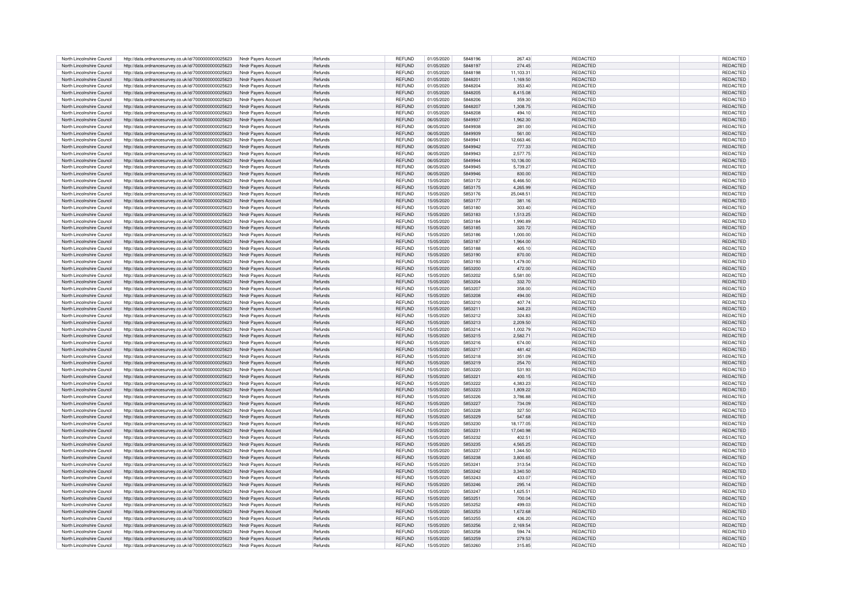| North Lincolnshire Council | http://data.ordnancesurvey.co.uk/id/7000000000025623                                                         | Nndr Payers Account                        | Refunds        | <b>REFUND</b> | 01/05/2020 | 5848196 | 267.43    | REDACTED        | REDACTED        |
|----------------------------|--------------------------------------------------------------------------------------------------------------|--------------------------------------------|----------------|---------------|------------|---------|-----------|-----------------|-----------------|
| North Lincolnshire Council |                                                                                                              |                                            | Refunds        | REFUND        | 01/05/2020 | 5848197 | 274.45    |                 | <b>REDACTED</b> |
|                            | http://data.ordnancesurvey.co.uk/id/7000000000025623                                                         | Nndr Payers Account                        |                |               |            |         |           | REDACTED        |                 |
| North Lincolnshire Council | http://data.ordnancesurvey.co.uk/id/7000000000025623                                                         | Nndr Payers Account                        | Refunds        | <b>REFUND</b> | 01/05/2020 | 5848198 | 11,103.31 | REDACTED        | REDACTED        |
| North Lincolnshire Council | http://data.ordnancesurvey.co.uk/id/7000000000025623                                                         | Nndr Pavers Account                        | Refunds        | <b>REFUND</b> | 01/05/2020 | 5848201 | 1,169.50  | REDACTED        | REDACTED        |
| North Lincolnshire Council | http://data.ordnancesurvey.co.uk/id/7000000000025623                                                         | Nndr Payers Account                        | Refunds        | <b>REFUND</b> | 01/05/2020 | 5848204 | 353.40    | REDACTED        | REDACTED        |
| North Lincolnshire Council | http://data.ordnancesurvey.co.uk/id/7000000000025623                                                         | Nndr Payers Account                        | Refunds        | <b>REFUND</b> | 01/05/2020 | 5848205 | 8.415.08  | REDACTED        | REDACTED        |
|                            |                                                                                                              |                                            |                |               |            |         |           |                 |                 |
| North Lincolnshire Council | http://data.ordnancesurvey.co.uk/id/7000000000025623                                                         | Nndr Pavers Account                        | Refunds        | <b>REFUND</b> | 01/05/2020 | 5848206 | 359.30    | REDACTED        | REDACTED        |
| North Lincolnshire Council | http://data.ordnancesurvey.co.uk/id/7000000000025623                                                         | Nndr Pavers Account                        | <b>Refunds</b> | <b>REFUND</b> | 01/05/2020 | 5848207 | 1.308.75  | REDACTED        | REDACTED        |
| North Lincolnshire Council | http://data.ordnancesurvey.co.uk/id/7000000000025623                                                         | Nndr Payers Account                        | <b>Refunds</b> | <b>REFUND</b> | 01/05/2020 | 5848208 | 494.10    | REDACTED        | REDACTED        |
| North Lincolnshire Council | http://data.ordnancesurvey.co.uk/id/7000000000025623                                                         | Nndr Payers Account                        | Refunds        | <b>REFUND</b> | 06/05/2020 | 5849937 | 1,962.30  | REDACTED        | REDACTED        |
|                            |                                                                                                              |                                            |                |               |            |         |           |                 |                 |
| North Lincolnshire Council | http://data.ordnancesurvey.co.uk/id/7000000000025623                                                         | Nndr Payers Account                        | Refunds        | REFUND        | 06/05/2020 | 5849938 | 281.00    | REDACTED        | REDACTED        |
| North Lincolnshire Council | http://data.ordnancesurvey.co.uk/id/7000000000025623                                                         | Nndr Payers Account                        | Refunds        | <b>REFUND</b> | 06/05/2020 | 5849939 | 561.00    | REDACTED        | REDACTED        |
| North Lincolnshire Council | http://data.ordnancesurvey.co.uk/id/7000000000025623                                                         | Nndr Payers Account                        | Refunds        | <b>REFUND</b> | 06/05/2020 | 5849941 | 12,663.46 | REDACTED        | REDACTED        |
| North Lincolnshire Council | http://data.ordnancesurvey.co.uk/id/7000000000025623                                                         | Nndr Payers Account                        | Refunds        | <b>REFUND</b> | 06/05/2020 | 5849942 | 777.33    | REDACTED        | REDACTED        |
|                            |                                                                                                              |                                            |                |               |            |         |           |                 |                 |
| North Lincolnshire Council | http://data.ordnancesurvey.co.uk/id/7000000000025623                                                         | Nndr Pavers Account                        | Refunds        | REFUND        | 06/05/2020 | 5849943 | 2,577.75  | <b>REDACTED</b> | REDACTED        |
| North Lincolnshire Council | http://data.ordnancesurvey.co.uk/id/7000000000025623                                                         | Nndr Pavers Account                        | Refunds        | <b>REFUND</b> | 06/05/2020 | 5849944 | 10,136.00 | REDACTED        | REDACTED        |
| North Lincolnshire Council | http://data.ordnancesurvey.co.uk/id/7000000000025623                                                         | Nndr Payers Account                        | <b>Refunds</b> | RFFUND        | 06/05/2020 | 5849945 | 5,739.27  | <b>REDACTED</b> | REDACTED        |
| North Lincolnshire Council | http://data.ordnancesurvey.co.uk/id/7000000000025623                                                         | Nndr Payers Account                        | Refunds        | <b>REFUND</b> | 06/05/2020 | 5849946 | 830.00    | REDACTED        | REDACTED        |
|                            |                                                                                                              |                                            |                |               |            |         |           |                 |                 |
| North Lincolnshire Council | http://data.ordnancesurvey.co.uk/id/7000000000025623                                                         | Nndr Payers Account                        | Refunds        | REFUND        | 15/05/2020 | 5853172 | 6,466.50  | <b>REDACTED</b> | REDACTED        |
| North Lincolnshire Council | http://data.ordnancesurvey.co.uk/id/7000000000025623                                                         | Nndr Payers Account                        | <b>Refunds</b> | <b>REFUND</b> | 15/05/2020 | 5853175 | 4.265.99  | REDACTED        | REDACTED        |
| North Lincolnshire Council | http://data.ordnancesurvey.co.uk/id/7000000000025623                                                         | Nndr Payers Account                        | Refunds        | REFUND        | 15/05/2020 | 5853176 | 25,048.51 | REDACTED        | REDACTED        |
| North Lincolnshire Council | http://data.ordnancesurvey.co.uk/id/7000000000025623                                                         | Nndr Payers Account                        | Refunds        | <b>REFUND</b> | 15/05/2020 | 5853177 | 381.16    | REDACTED        | REDACTED        |
|                            |                                                                                                              |                                            |                |               |            |         |           |                 |                 |
| North Lincolnshire Council | http://data.ordnancesurvey.co.uk/id/7000000000025623                                                         | Nndr Payers Account                        | Refunds        | REFUND        | 15/05/2020 | 5853180 | 303.40    | REDACTED        | REDACTED        |
| North Lincolnshire Council | http://data.ordnancesurvey.co.uk/id/7000000000025623                                                         | Nndr Payers Account                        | Refunds        | <b>REFUND</b> | 15/05/2020 | 5853183 | 1,513.25  | REDACTED        | REDACTED        |
| North Lincolnshire Council | http://data.ordnancesurvey.co.uk/id/7000000000025623                                                         | Nndr Payers Account                        | Refunds        | <b>REFUND</b> | 15/05/2020 | 5853184 | 1,990.89  | REDACTED        | REDACTED        |
| North Lincolnshire Council | http://data.ordnancesurvey.co.uk/id/7000000000025623                                                         | Nndr Payers Account                        | Refunds        | REFUND        | 15/05/2020 | 5853185 | 320.72    | <b>REDACTED</b> | REDACTED        |
|                            |                                                                                                              |                                            |                |               |            |         |           |                 |                 |
| North Lincolnshire Council | http://data.ordnancesurvey.co.uk/id/7000000000025623                                                         | Nndr Pavers Account                        | Refunds        | <b>REFUND</b> | 15/05/2020 | 5853186 | 1.000.00  | REDACTED        | REDACTED        |
| North Lincolnshire Council | http://data.ordnancesurvey.co.uk/id/7000000000025623                                                         | Nndr Payers Account                        | Refunds        | <b>REFUND</b> | 15/05/2020 | 5853187 | 1,964.00  | <b>REDACTED</b> | REDACTED        |
| North Lincolnshire Council | http://data.ordnancesurvey.co.uk/id/7000000000025623                                                         | Nndr Payers Account                        | Refunds        | REFUND        | 15/05/2020 | 5853188 | 405.10    | <b>REDACTED</b> | REDACTED        |
| North Lincolnshire Council | http://data.ordnancesurvey.co.uk/id/7000000000025623                                                         | Nndr Payers Account                        | Refunds        | <b>REFUND</b> | 15/05/2020 | 5853190 | 870.00    | REDACTED        | <b>REDACTED</b> |
|                            |                                                                                                              |                                            |                |               |            |         |           |                 |                 |
| North Lincolnshire Council | http://data.ordnancesurvey.co.uk/id/7000000000025623                                                         | Nndr Pavers Account                        | <b>Refunds</b> | REFUND        | 15/05/2020 | 5853193 | 1.479.00  | <b>REDACTED</b> | REDACTED        |
| North Lincolnshire Council | http://data.ordnancesurvey.co.uk/id/7000000000025623                                                         | Nndr Payers Account                        | <b>Refunds</b> | <b>REFUND</b> | 15/05/2020 | 5853200 | 472.00    | <b>REDACTED</b> | <b>REDACTED</b> |
| North Lincolnshire Council | http://data.ordnancesurvey.co.uk/id/7000000000025623                                                         | Nndr Payers Account                        | Refunds        | REFUND        | 15/05/2020 | 5853202 | 5,581.00  | <b>REDACTED</b> | REDACTED        |
| North Lincolnshire Council | http://data.ordnancesurvey.co.uk/id/7000000000025623                                                         | Nndr Payers Account                        | Refunds        | <b>REFUND</b> | 15/05/2020 | 5853204 | 332.70    | REDACTED        | REDACTED        |
|                            |                                                                                                              |                                            |                |               |            |         |           |                 |                 |
| North Lincolnshire Council | http://data.ordnancesurvey.co.uk/id/7000000000025623                                                         | Nndr Payers Account                        | Refunds        | <b>REFUND</b> | 15/05/2020 | 5853207 | 358.00    | REDACTED        | REDACTED        |
| North Lincolnshire Council | http://data.ordnancesurvey.co.uk/id/7000000000025623                                                         | Nndr Pavers Account                        | Refunds        | <b>REFUND</b> | 15/05/2020 | 5853208 | 494.00    | REDACTED        | REDACTED        |
| North Lincolnshire Council | http://data.ordnancesurvey.co.uk/id/7000000000025623                                                         | Nndr Pavers Account                        | Refunds        | REFUND        | 15/05/2020 | 5853210 | 407.74    | REDACTED        | REDACTED        |
| North Lincolnshire Council | http://data.ordnancesurvey.co.uk/id/7000000000025623                                                         | Nndr Payers Account                        | Refunds        | <b>REFUND</b> | 15/05/2020 | 5853211 | 348.23    | REDACTED        | REDACTED        |
| North Lincolnshire Council | http://data.ordnancesurvey.co.uk/id/7000000000025623                                                         | Nndr Payers Account                        | Refunds        | <b>REFUND</b> | 15/05/2020 | 5853212 | 324.83    | REDACTED        | REDACTED        |
|                            |                                                                                                              |                                            |                |               |            |         |           |                 |                 |
| North Lincolnshire Council | http://data.ordnancesurvey.co.uk/id/7000000000025623                                                         | Nndr Payers Account                        | Refunds        | <b>REFUND</b> | 15/05/2020 | 5853213 | 2,209.50  | REDACTED        | REDACTED        |
| North Lincolnshire Council | http://data.ordnancesurvey.co.uk/id/7000000000025623                                                         | Nndr Payers Account                        | Refunds        | <b>REFUND</b> | 15/05/2020 | 5853214 | 1.002.79  | REDACTED        | REDACTED        |
| North Lincolnshire Council | http://data.ordnancesurvey.co.uk/id/7000000000025623                                                         | Nndr Payers Account                        | Refunds        | <b>REFUND</b> | 15/05/2020 | 5853215 | 2,582.71  | REDACTED        | REDACTED        |
| North Lincolnshire Council |                                                                                                              |                                            | <b>Refunds</b> | REFUND        | 15/05/2020 | 5853216 | 674.00    | REDACTED        | REDACTED        |
|                            | http://data.ordnancesurvey.co.uk/id/7000000000025623                                                         | Nndr Payers Account                        |                |               |            |         |           |                 |                 |
| North Lincolnshire Council | http://data.ordnancesurvey.co.uk/id/7000000000025623                                                         | Nndr Payers Account                        | <b>Refunds</b> | <b>REFUND</b> | 15/05/2020 | 5853217 | 481.42    | REDACTED        | REDACTED        |
| North Lincolnshire Council | http://data.ordnancesurvey.co.uk/id/7000000000025623                                                         | Nndr Payers Account                        | Refunds        | <b>REFUND</b> | 15/05/2020 | 5853218 | 351.09    | REDACTED        | REDACTED        |
| North Lincolnshire Council | http://data.ordnancesurvey.co.uk/id/7000000000025623                                                         | Nndr Payers Account                        | Refunds        | <b>REFUND</b> | 15/05/2020 | 5853219 | 254.70    | REDACTED        | REDACTED        |
|                            |                                                                                                              |                                            |                | <b>REFUND</b> |            | 5853220 |           |                 |                 |
| North Lincolnshire Council | http://data.ordnancesurvey.co.uk/id/7000000000025623                                                         | Nndr Payers Account                        | Refunds        |               | 15/05/2020 |         | 531.93    | REDACTED        | REDACTED        |
| North Lincolnshire Council | http://data.ordnancesurvey.co.uk/id/7000000000025623                                                         | Nndr Pavers Account                        | Refunds        | <b>REFUND</b> | 15/05/2020 | 5853221 | 400.15    | REDACTED        | REDACTED        |
| North Lincolnshire Council | http://data.ordnancesurvey.co.uk/id/7000000000025623                                                         | Nndr Pavers Account                        | Refunds        | REFUND        | 15/05/2020 | 5853222 | 4,383.23  | REDACTED        | REDACTED        |
| North Lincolnshire Council | http://data.ordnancesurvey.co.uk/id/7000000000025623                                                         | Nndr Payers Account                        | Refunds        | <b>REFUND</b> | 15/05/2020 | 5853223 | 1.809.22  | REDACTED        | <b>REDACTED</b> |
| North Lincolnshire Council | http://data.ordnancesurvey.co.uk/id/7000000000025623                                                         | Nndr Pavers Account                        | Refunds        | REFUND        | 15/05/2020 | 5853226 | 3,786.88  | REDACTED        | REDACTED        |
|                            |                                                                                                              |                                            |                |               |            | 5853227 |           |                 |                 |
| North Lincolnshire Council | http://data.ordnancesurvey.co.uk/id/7000000000025623                                                         | Nndr Pavers Account                        | Refunds        | <b>REFUND</b> | 15/05/2020 |         | 734.09    | REDACTED        | REDACTED        |
| North Lincolnshire Council | http://data.ordnancesurvey.co.uk/id/7000000000025623                                                         | Nndr Pavers Account                        | <b>Refunds</b> | <b>REFUND</b> | 15/05/2020 | 5853228 | 327.50    | <b>REDACTED</b> | REDACTED        |
| North Lincolnshire Council | http://data.ordnancesurvey.co.uk/id/7000000000025623                                                         | Nndr Pavers Account                        | Refunds        | <b>REFUND</b> | 15/05/2020 | 5853229 | 547.68    | REDACTED        | REDACTED        |
| North Lincolnshire Council | http://data.ordnancesurvey.co.uk/id/7000000000025623                                                         | Nndr Payers Account                        | Refunds        | <b>REFUND</b> | 15/05/2020 | 5853230 | 18,177.05 | REDACTED        | REDACTED        |
|                            |                                                                                                              |                                            |                |               |            | 5853231 |           |                 |                 |
| North Lincolnshire Council | http://data.ordnancesurvey.co.uk/id/7000000000025623                                                         | Nndr Payers Account                        | Refunds        | <b>REFUND</b> | 15/05/2020 |         | 17.040.98 | REDACTED        | REDACTED        |
| North Lincolnshire Council | http://data.ordnancesurvey.co.uk/id/7000000000025623                                                         | Nndr Payers Account                        | Refunds        | <b>REFUND</b> | 15/05/2020 | 5853232 | 402.51    | REDACTED        | REDACTED        |
| North Lincolnshire Council | http://data.ordnancesurvey.co.uk/id/7000000000025623                                                         | Nndr Pavers Account                        | Refunds        | <b>REFUND</b> | 15/05/2020 | 5853235 | 4,565.25  | <b>REDACTED</b> | REDACTED        |
| North Lincolnshire Council | http://data.ordnancesurvey.co.uk/id/7000000000025623                                                         | Nndr Payers Account                        | Refunds        | <b>REFUND</b> | 15/05/2020 | 5853237 | 1,344.50  | REDACTED        | REDACTED        |
| North Lincolnshire Council | http://data.ordnancesurvey.co.uk/id/7000000000025623                                                         | Nndr Pavers Account                        | Refunds        | REFUND        | 15/05/2020 | 5853238 | 3,800.65  | REDACTED        | REDACTED        |
|                            |                                                                                                              |                                            |                |               |            |         |           |                 |                 |
| North Lincolnshire Council | http://data.ordnancesurvey.co.uk/id/7000000000025623                                                         | Nndr Payers Account                        | Refunds        | REFUND        | 15/05/2020 | 5853241 | 313.54    | <b>REDACTED</b> | REDACTED        |
| North Lincolnshire Council | http://data.ordnancesurvey.co.uk/id/7000000000025623                                                         | Nndr Payers Account                        | Refunds        | REFUND        | 15/05/2020 | 5853242 | 3,340.50  | <b>REDACTED</b> | REDACTED        |
| North Lincolnshire Council | http://data.ordnancesurvey.co.uk/id/7000000000025623                                                         | Nndr Pavers Account                        | Refunds        | REFUND        | 15/05/2020 | 5853243 | 433.07    | <b>REDACTED</b> | REDACTED        |
| North Lincolnshire Council | http://data.ordnancesurvey.co.uk/id/7000000000025623                                                         | Nndr Payers Account                        | Refunds        | <b>REFUND</b> | 15/05/2020 | 5853246 | 295.14    | <b>REDACTED</b> | REDACTED        |
|                            |                                                                                                              |                                            | <b>Refunds</b> | <b>REFUND</b> | 15/05/2020 | 5853247 | 1.625.51  | <b>REDACTED</b> |                 |
| North Lincolnshire Council | http://data.ordnancesurvey.co.uk/id/7000000000025623                                                         | Nndr Payers Account                        |                |               |            |         |           |                 | REDACTED        |
| North Lincolnshire Council | http://data.ordnancesurvey.co.uk/id/7000000000025623                                                         | Nndr Payers Account                        | Refunds        | <b>REFUND</b> | 15/05/2020 | 5853251 | 700.04    | <b>REDACTED</b> | REDACTED        |
| North Lincolnshire Council | http://data.ordnancesurvey.co.uk/id/7000000000025623                                                         | Nndr Payers Account                        | <b>Refunds</b> | <b>RFFUND</b> | 15/05/2020 | 5853252 | 499.03    | <b>REDACTED</b> | REDACTED        |
| North Lincolnshire Council | http://data.ordnancesurvey.co.uk/id/7000000000025623                                                         | Nndr Payers Account                        | Refunds        | <b>REFUND</b> | 15/05/2020 | 5853253 | 1,672.68  | REDACTED        | REDACTED        |
| North Lincolnshire Council | http://data.ordnancesurvey.co.uk/id/7000000000025623                                                         | Nndr Payers Account                        | Refunds        | <b>REFUND</b> | 15/05/2020 | 5853255 | 436.20    | <b>REDACTED</b> | REDACTED        |
|                            |                                                                                                              |                                            |                |               |            |         |           |                 |                 |
| North Lincolnshire Council | http://data.ordnancesurvey.co.uk/id/7000000000025623                                                         | Nndr Pavers Account                        | Refunds        | <b>REFUND</b> | 15/05/2020 | 5853256 | 2,169.54  | <b>REDACTED</b> | REDACTED        |
| North Lincolnshire Council | http://data.ordnancesurvey.co.uk/id/7000000000025623                                                         | Nndr Pavers Account                        | <b>Refunds</b> | <b>RFFUND</b> | 15/05/2020 | 5853258 | 594.74    | <b>REDACTED</b> | <b>REDACTED</b> |
| North Lincolnshire Council |                                                                                                              |                                            |                |               | 15/05/2020 | 5853259 | 279.53    | REDACTED        | REDACTED        |
|                            |                                                                                                              |                                            | Refunds        | REFUND        |            |         |           |                 |                 |
| North Lincolnshire Council | http://data.ordnancesurvey.co.uk/id/7000000000025623<br>http://data.ordnancesurvey.co.uk/id/7000000000025623 | Nndr Payers Account<br>Nndr Payers Account | Refunds        | <b>REFUND</b> | 15/05/2020 | 5853260 | 315.85    | REDACTED        | REDACTED        |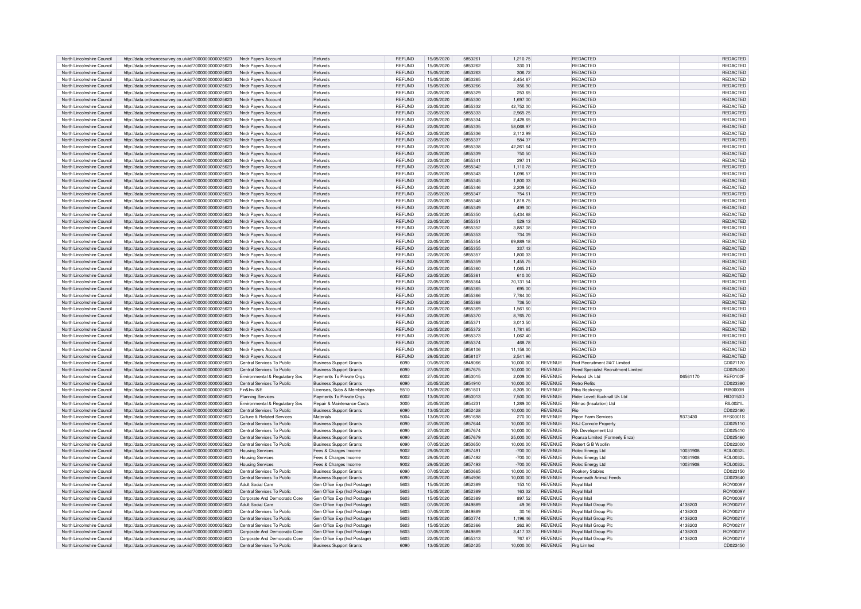| North Lincolnshire Council | http://data.ordnancesurvey.co.uk/id/7000000000025623 | Nndr Payers Accoun             | Refunds                               | <b>REFUND</b> | 15/05/2020 | 5853261 | 1.210.75  |                | REDACTED                            |          | REDACTED        |
|----------------------------|------------------------------------------------------|--------------------------------|---------------------------------------|---------------|------------|---------|-----------|----------------|-------------------------------------|----------|-----------------|
| North Lincolnshire Council | http://data.ordnancesurvey.co.uk/id/7000000000025623 | Nndr Payers Account            | Refunds                               | <b>REFUND</b> | 15/05/2020 | 5853262 | 330.31    |                | <b>REDACTED</b>                     |          | REDACTED        |
| North Lincolnshire Council | http://data.ordnancesurvey.co.uk/id/7000000000025623 | Nndr Pavers Accoun             | Refunds                               | <b>REFUND</b> | 15/05/2020 | 5853263 | 306.72    |                | REDACTED                            |          | REDACTED        |
| North Lincolnshire Council | http://data.ordnancesurvey.co.uk/id/7000000000025623 | Nndr Pavers Accoun             | Refunds                               | <b>REFUND</b> | 15/05/2020 | 5853265 | 2,454.67  |                | REDACTED                            |          | REDACTED        |
| North Lincolnshire Council |                                                      |                                | Refunds                               | <b>REFUND</b> | 15/05/2020 | 5853266 | 356.90    |                | <b>REDACTED</b>                     |          | REDACTED        |
|                            | http://data.ordnancesurvey.co.uk/id/7000000000025623 | Nndr Payers Account            |                                       |               |            |         |           |                |                                     |          |                 |
| North Lincolnshire Council | http://data.ordnancesurvey.co.uk/id/7000000000025623 | Nndr Payers Account            | Refunds                               | <b>REFUND</b> | 22/05/2020 | 5855329 | 253.65    |                | <b>REDACTED</b>                     |          | REDACTED        |
| North Lincolnshire Council | http://data.ordnancesurvey.co.uk/id/7000000000025623 | Nndr Pavers Account            | Refunds                               | <b>REFUND</b> | 22/05/2020 | 5855330 | 1,697.00  |                | REDACTED                            |          | REDACTED        |
| North Lincolnshire Council | http://data.ordnancesurvey.co.uk/id/7000000000025623 | Nndr Pavers Account            | Refunds                               | <b>REFUND</b> | 22/05/2020 | 5855332 | 42.752.00 |                | REDACTED                            |          | REDACTED        |
| North Lincolnshire Council | http://data.ordnancesurvey.co.uk/id/7000000000025623 | Nndr Pavers Account            | Refunds                               | <b>REFUND</b> | 22/05/2020 | 5855333 | 2.965.25  |                | REDACTED                            |          | REDACTED        |
| North Lincolnshire Council | http://data.ordnancesurvey.co.uk/id/7000000000025623 | Nndr Payers Account            | Refunds                               | REFUND        | 22/05/2020 | 5855334 | 2.428.65  |                | REDACTED                            |          | REDACTED        |
| North Lincolnshire Council | http://data.ordnancesurvey.co.uk/id/7000000000025623 | Nndr Payers Account            | Refunds                               | <b>REFUND</b> | 22/05/2020 | 5855335 | 58.068.97 |                | REDACTED                            |          | REDACTED        |
| North Lincolnshire Council | http://data.ordnancesurvey.co.uk/id/7000000000025623 | Nndr Payers Account            | Refunds                               | <b>REFUND</b> | 22/05/2020 | 5855336 | 2,112.99  |                | REDACTED                            |          | REDACTED        |
| North Lincolnshire Council | http://data.ordnancesurvey.co.uk/id/7000000000025623 | Nndr Pavers Account            | Refunds                               | <b>REFUND</b> | 22/05/2020 | 5855337 | 584.37    |                | <b>REDACTED</b>                     |          | REDACTED        |
| North Lincolnshire Council | http://data.ordnancesurvey.co.uk/id/7000000000025623 | Nndr Payers Accoun             | Refunds                               | <b>REFUND</b> | 22/05/2020 | 5855338 | 42,261.64 |                | <b>REDACTED</b>                     |          | REDACTED        |
| North Lincolnshire Council |                                                      | Nndr Pavers Account            | Refunds                               | REFUND        | 22/05/2020 | 5855339 | 750.50    |                | <b>REDACTED</b>                     |          | REDACTED        |
|                            | http://data.ordnancesurvey.co.uk/id/7000000000025623 |                                |                                       |               |            |         |           |                |                                     |          |                 |
| North Lincolnshire Council | http://data.ordnancesurvey.co.uk/id/7000000000025623 | Nndr Pavers Accoun             | Refunds                               | <b>REFUND</b> | 22/05/2020 | 585534  | 297.01    |                | <b>REDACTED</b>                     |          | <b>REDACTED</b> |
| North Lincolnshire Council | http://data.ordnancesurvey.co.uk/id/7000000000025623 | Nndr Payers Account            | <b>Refunds</b>                        | <b>RFFUND</b> | 22/05/2020 | 5855342 | 1,110.78  |                | <b>REDACTED</b>                     |          | REDACTED        |
| North Lincolnshire Council | http://data.ordnancesurvey.co.uk/id/7000000000025623 | Nndr Pavers Account            | Refunds                               | <b>REFUND</b> | 22/05/2020 | 5855343 | 1,096.57  |                | <b>REDACTED</b>                     |          | REDACTED        |
| North Lincolnshire Council | http://data.ordnancesurvey.co.uk/id/7000000000025623 | Nndr Pavers Accoun             | Refunds                               | REFUND        | 22/05/2020 | 5855345 | 1,800.33  |                | <b>REDACTED</b>                     |          | REDACTED        |
| North Lincolnshire Council | http://data.ordnancesurvey.co.uk/id/7000000000025623 | Nndr Payers Account            | <b>Refunds</b>                        | <b>REFUND</b> | 22/05/2020 | 5855346 | 2,209.50  |                | <b>REDACTED</b>                     |          | REDACTED        |
| North Lincolnshire Council | http://data.ordnancesurvey.co.uk/id/7000000000025623 | Nndr Payers Account            | Refunds                               | REFUND        | 22/05/2020 | 5855347 | 754.61    |                | <b>REDACTED</b>                     |          | REDACTED        |
| North Lincolnshire Council | http://data.ordnancesurvey.co.uk/id/7000000000025623 | Nndr Payers Account            | Refunds                               | <b>REFUND</b> | 22/05/2020 | 5855348 | 1.818.75  |                | <b>REDACTED</b>                     |          | REDACTED        |
| North Lincolnshire Council | http://data.ordnancesurvey.co.uk/id/7000000000025623 | Nndr Payers Account            | Refunds                               | REFUND        | 22/05/2020 | 5855349 | 499.00    |                | REDACTED                            |          | REDACTED        |
| North Lincolnshire Council | http://data.ordnancesurvey.co.uk/id/7000000000025623 | Nndr Payers Account            | Refunds                               | <b>REFUND</b> | 22/05/2020 | 5855350 | 5,434.88  |                | <b>REDACTED</b>                     |          | REDACTED        |
| North Lincolnshire Council | http://data.ordnancesurvey.co.uk/id/7000000000025623 | Nndr Pavers Account            | Refunds                               | REFUND        | 22/05/2020 | 5855351 | 529.13    |                | <b>REDACTED</b>                     |          | REDACTED        |
|                            |                                                      |                                |                                       |               |            |         |           |                |                                     |          |                 |
| North Lincolnshire Council | http://data.ordnancesurvey.co.uk/id/7000000000025623 | Nndr Payers Account            | Refunds                               | <b>RFFUND</b> | 22/05/2020 | 5855352 | 3,887.08  |                | <b>REDACTED</b>                     |          | REDACTED        |
| North Lincolnshire Council | http://data.ordnancesurvey.co.uk/id/7000000000025623 | Nndr Payers Account            | Refunds                               | <b>REFUND</b> | 22/05/2020 | 5855353 | 734.09    |                | REDACTED                            |          | REDACTED        |
| North Lincolnshire Council | http://data.ordnancesurvey.co.uk/id/7000000000025623 | Nndr Pavers Account            | Refunds                               | <b>REFUND</b> | 22/05/2020 | 5855354 | 69,889.18 |                | <b>REDACTED</b>                     |          | REDACTED        |
| North Lincolnshire Council | http://data.ordnancesurvey.co.uk/id/7000000000025623 | Nndr Pavers Account            | Refunds                               | <b>REFUND</b> | 22/05/2020 | 5855355 | 337.43    |                | <b>REDACTED</b>                     |          | REDACTED        |
| North Lincolnshire Council | http://data.ordnancesurvey.co.uk/id/7000000000025623 | Nndr Pavers Account            | Refunds                               | <b>REFUND</b> | 22/05/2020 | 5855357 | 1.800.33  |                | <b>REDACTED</b>                     |          | REDACTED        |
| North Lincolnshire Council | http://data.ordnancesurvey.co.uk/id/7000000000025623 | Nndr Payers Account            | <b>Refunds</b>                        | REFUND        | 22/05/2020 | 5855359 | 1,455.75  |                | <b>REDACTED</b>                     |          | <b>REDACTED</b> |
| North Lincolnshire Council | http://data.ordnancesurvey.co.uk/id/7000000000025623 | Nndr Payers Account            | Refunds                               | <b>REFUND</b> | 22/05/2020 | 5855360 | 1,065.21  |                | REDACTED                            |          | REDACTED        |
| North Lincolnshire Council | http://data.ordnancesurvey.co.uk/id/7000000000025623 | Nndr Payers Account            | Refunds                               | <b>REFUND</b> | 22/05/2020 | 5855361 | 610.00    |                | <b>REDACTED</b>                     |          | REDACTED        |
| North Lincolnshire Council | http://data.ordnancesurvey.co.uk/id/7000000000025623 | Nndr Payers Account            | Refunds                               | <b>REFUND</b> | 22/05/2020 | 5855364 | 70,131.54 |                | REDACTED                            |          | REDACTED        |
| North Lincolnshire Council | http://data.ordnancesurvey.co.uk/id/7000000000025623 | Nndr Pavers Account            | Refunds                               | <b>REFUND</b> | 22/05/2020 | 5855365 | 695.00    |                | <b>REDACTED</b>                     |          | REDACTED        |
| North Lincolnshire Council |                                                      | Nndr Pavers Account            | Refunds                               | <b>REFUND</b> | 22/05/2020 | 5855366 | 7,784.00  |                | REDACTED                            |          | <b>REDACTED</b> |
|                            | http://data.ordnancesurvey.co.uk/id/7000000000025623 |                                |                                       |               |            |         |           |                |                                     |          |                 |
| North Lincolnshire Council | http://data.ordnancesurvey.co.uk/id/7000000000025623 | Nndr Payers Account            | Refunds                               | REFUND        | 22/05/2020 | 5855368 | 736.50    |                | REDACTED                            |          | REDACTED        |
| North Lincolnshire Council | http://data.ordnancesurvey.co.uk/id/7000000000025623 | Nndr Pavers Accoun             | <b>Refunds</b>                        | <b>REFUND</b> | 22/05/2020 | 5855369 | 1.561.60  |                | <b>REDACTED</b>                     |          | REDACTED        |
| North Lincolnshire Council | http://data.ordnancesurvey.co.uk/id/7000000000025623 | Nndr Payers Account            | Refunds                               | <b>RFFUND</b> | 22/05/2020 | 5855370 | 8,765.70  |                | <b>REDACTED</b>                     |          | REDACTED        |
| North Lincolnshire Council | http://data.ordnancesurvey.co.uk/id/7000000000025623 | Nndr Payers Account            | Refunds                               | <b>REFUND</b> | 22/05/2020 | 5855371 | 3,013.50  |                | <b>REDACTED</b>                     |          | REDACTED        |
| North Lincolnshire Council | http://data.ordnancesurvey.co.uk/id/7000000000025623 | Nndr Payers Account            | Refunds                               | <b>REFUND</b> | 22/05/2020 | 5855372 | 1,781.65  |                | <b>REDACTED</b>                     |          | REDACTED        |
| North Lincolnshire Council | http://data.ordnancesurvey.co.uk/id/7000000000025623 | Nndr Payers Account            | Refunds                               | <b>REFUND</b> | 22/05/2020 | 5855373 | 1,062.40  |                | REDACTED                            |          | REDACTED        |
| North Lincolnshire Council | http://data.ordnancesurvey.co.uk/id/7000000000025623 | Nndr Payers Account            | Refunds                               | <b>REFUND</b> | 22/05/2020 | 5855374 | 468.78    |                | REDACTED                            |          | REDACTED        |
| North Lincolnshire Council | http://data.ordnancesurvey.co.uk/id/7000000000025623 | Nndr Payers Account            | Refunds                               | <b>REFUND</b> | 29/05/2020 | 5858106 | 11,158.00 |                | <b>REDACTED</b>                     |          | REDACTED        |
| North Lincolnshire Council | http://data.ordnancesurvey.co.uk/id/7000000000025623 | Nndr Payers Account            | Refunds                               | <b>REFUND</b> | 29/05/2020 | 5858107 | 2,541.96  |                | REDACTED                            |          | REDACTED        |
| North Lincolnshire Council | http://data.ordnancesurvey.co.uk/id/7000000000025623 | Central Services To Public     | <b>Business Support Grants</b>        | 6090          | 01/05/2020 | 5848066 | 10.000.00 | <b>REVENUE</b> | Red Recruitment 24/7 Limited        |          | CD021120        |
| North Lincolnshire Council | http://data.ordnancesurvey.co.uk/id/7000000000025623 | Central Services To Public     | <b>Business Support Grants</b>        | 6090          | 27/05/2020 | 5857675 | 10.000.00 | <b>REVENUE</b> | Reed Specialist Recruitment Limited |          | CD025420        |
| North Lincolnshire Council | http://data.ordnancesurvey.co.uk/id/7000000000025623 | Environmental & Regulatory Svs | Payments To Private Orgs              | 6002          | 27/05/2020 | 5853015 | 2,009.00  | REVENUE        | Refood Uk Ltd                       | 06561170 | <b>RFF0100F</b> |
| North Lincolnshire Council |                                                      | Central Services To Public     |                                       | 6090          |            | 5854910 |           | <b>REVENUE</b> | <b>Retro Refits</b>                 |          | CD023380        |
|                            | http://data.ordnancesurvey.co.uk/id/7000000000025623 |                                | <b>Business Support Grants</b>        |               | 20/05/2020 |         | 10,000.00 |                |                                     |          |                 |
| North Lincolnshire Council | http://data.ordnancesurvey.co.uk/id/7000000000025623 | Fin&Inv I&F                    | Licenses, Subs & Memberships          | 5510          | 13/05/2020 | 5851801 | 8,305.00  | REVENUE        | Riba Bookshop                       |          | <b>RIB0003B</b> |
| North Lincolnshire Council | http://data.ordnancesurvey.co.uk/id/7000000000025623 | <b>Planning Services</b>       | Payments To Private Orgs              | 6002          | 13/05/2020 | 5850013 | 7,500.00  | <b>REVENUE</b> | <b>Bider Levett Bucknall Uk Ltd</b> |          | <b>RID0150D</b> |
| North Lincolnshire Council | http://data.ordnancesurvey.co.uk/id/7000000000025623 | Environmental & Regulatory Sys | <b>Benair &amp; Maintenance Costs</b> | 3000          | 20/05/2020 | 5854231 | 1.289.00  | <b>REVENUE</b> | <b>Bilmac (Insulation) Ltd</b>      |          | RII 00211       |
| North Lincolnshire Council | http://data.ordnancesurvey.co.uk/id/7000000000025623 | Central Services To Public     | <b>Business Support Grants</b>        | 6090          | 13/05/2020 | 5852428 | 10,000.00 | <b>REVENUE</b> | Rio                                 |          | CD022480        |
| North Lincolnshire Council | http://data.ordnancesurvey.co.uk/id/7000000000025623 | Culture & Related Services     | Materials                             | 5004          | 13/05/2020 | 5851698 | 270.00    | <b>REVENUE</b> | Ripon Farm Services                 | 9373430  | <b>RFS0001S</b> |
| North Lincolnshire Council | http://data.ordnancesurvey.co.uk/id/7000000000025623 | Central Services To Public     | <b>Business Support Grants</b>        | 6090          | 27/05/2020 | 5857644 | 10.000.00 | <b>REVENUE</b> | R&J Connole Property                |          | CD025110        |
| North Lincolnshire Council | http://data.ordnancesurvey.co.uk/id/7000000000025623 | Central Services To Public     | <b>Business Support Grants</b>        | 6090          | 27/05/2020 | 5857674 | 10,000.00 | REVENUE        | Rik Development Ltd                 |          | CD025410        |
| North Lincolnshire Council | http://data.ordnancesurvey.co.uk/id/7000000000025623 | Central Services To Public     | <b>Business Support Grants</b>        | 6090          | 27/05/2020 | 5857679 | 25,000.00 | <b>REVENUE</b> | Roanza Limited (Formerly Enza)      |          | CD025460        |
| North Lincolnshire Council | http://data.ordnancesurvey.co.uk/id/7000000000025623 | Central Services To Public     | <b>Business Support Grants</b>        | 6090          | 07/05/2020 | 5850650 | 10.000.00 | <b>REVENUE</b> | Robert G B Woollin                  |          | CD022000        |
| North Lincolnshire Council | http://data.ordnancesurvey.co.uk/id/7000000000025623 | <b>Housing Services</b>        | Fees & Charges Income                 | 9002          | 29/05/2020 | 5857491 | $-700.00$ | <b>REVENUE</b> | Rolec Energy Ltd                    | 10031908 | <b>ROL0032L</b> |
| North Lincolnshire Council | http://data.ordnancesurvey.co.uk/id/7000000000025623 | <b>Housing Services</b>        | Fees & Charges Income                 | 9002          | 29/05/2020 | 5857492 | $-700.00$ | <b>REVENUE</b> | Rolec Energy Ltd                    | 10031908 | <b>BOL0032L</b> |
| North Lincolnshire Council | http://data.ordnancesurvey.co.uk/id/7000000000025623 | <b>Housing Services</b>        | Fees & Charges Income                 | 9002          | 29/05/2020 | 5857493 | $-700.00$ | <b>REVENUE</b> | Rolec Energy Ltd                    | 10031908 | ROL0032L        |
|                            |                                                      | Central Services To Public     |                                       |               |            | 5850665 |           |                | <b>Rookery Stables</b>              |          |                 |
| North Lincolnshire Council | http://data.ordnancesurvey.co.uk/id/7000000000025623 |                                | <b>Business Support Grants</b>        | 6090          | 07/05/2020 |         | 10,000.00 | <b>REVENUE</b> |                                     |          | CD022150        |
| North Lincolnshire Council | http://data.ordnancesurvey.co.uk/id/7000000000025623 | Central Services To Public     | <b>Business Support Grants</b>        | 6090          | 20/05/2020 | 5854936 | 10,000.00 | <b>REVENUE</b> | Roseneath Animal Feeds              |          | CD023640        |
| North Lincolnshire Council | http://data.ordnancesurvey.co.uk/id/7000000000025623 | Adult Social Care              | Gen Office Exp (Incl Postage)         | 5603          | 15/05/2020 | 5852389 | 153.10    | <b>REVENUE</b> | Royal Mail                          |          | <b>ROY0009</b>  |
| North Lincolnshire Council | http://data.ordnancesurvey.co.uk/id/7000000000025623 | Central Services To Public     | Gen Office Exp (Incl Postage)         | 5603          | 15/05/2020 | 5852389 | 163.32    | <b>REVENUE</b> | Royal Mail                          |          | ROY0009Y        |
| North Lincolnshire Council | http://data.ordnancesurvey.co.uk/id/7000000000025623 | Corporate And Democratic Core  | Gen Office Exp (Incl Postage)         | 5603          | 15/05/2020 | 5852389 | 897.52    | REVENUE        | Royal Mail                          |          | <b>ROY0009</b>  |
| North Lincolnshire Council | http://data.ordnancesurvey.co.uk/id/7000000000025623 | Adult Social Care              | Gen Office Exp (Incl Postage)         | 5603          | 07/05/2020 | 5849889 | 49.36     | REVENUE        | Royal Mail Group Plc                | 4138203  | ROY0021Y        |
| North Lincolnshire Council | http://data.ordnancesurvev.co.uk/id/7000000000025623 | Central Services To Public     | Gen Office Exp (Incl Postage)         | 5603          | 07/05/2020 | 5849889 | 30.16     | <b>REVENUE</b> | Royal Mail Group Plo                | 4138203  | ROY0021Y        |
| North Lincolnshire Council | http://data.ordnancesurvey.co.uk/id/7000000000025623 | Central Services To Public     | Gen Office Exp (Incl Postage)         | 5603          | 13/05/2020 | 5850774 | 1.196.46  | <b>REVENUE</b> | Roval Mail Group Plg                | 4138203  | ROY0021Y        |
| North Lincolnshire Council | http://data.ordnancesurvey.co.uk/id/7000000000025623 | Central Services To Public     | Gen Office Exp (Incl Postage)         | 5603          | 15/05/2020 | 5852366 | 262.90    | <b>REVENUE</b> | Royal Mail Group Plc                | 4138203  | ROY0021Y        |
| North Lincolnshire Council | http://data.ordnancesurvey.co.uk/id/7000000000025623 | Corporate And Democratic Core  | Gen Office Exp (Incl Postage)         | 5603          | 07/05/2020 | 5849889 | 3,417.33  | <b>REVENUE</b> | Royal Mail Group Plc                | 4138203  | ROY0021Y        |
| North Lincolnshire Council | http://data.ordnancesurvey.co.uk/id/7000000000025623 | Corporate And Democratic Core  | Gen Office Exp (Incl Postage)         | 5603          | 22/05/2020 | 5855313 | 767.87    | REVENUE        | Royal Mail Group Plc                | 4138203  | ROY0021Y        |
|                            |                                                      | Central Services To Public     | <b>Business Support Grants</b>        | 6090          | 13/05/2020 | 5852425 | 10.000.00 | <b>REVENUE</b> | <b>Rrg Limited</b>                  |          | CD022450        |
| North Lincolnshire Council | http://data.ordnancesurvey.co.uk/id/7000000000025623 |                                |                                       |               |            |         |           |                |                                     |          |                 |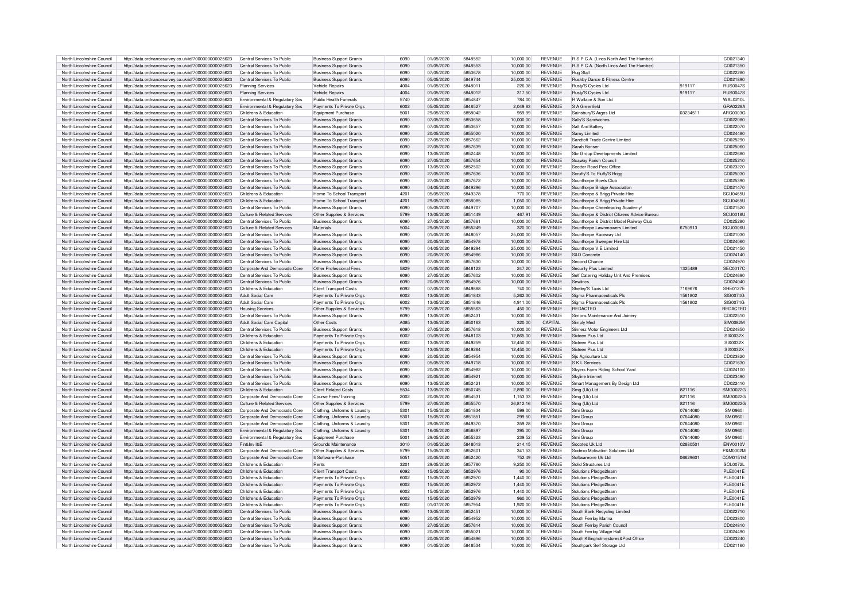| North Lincolnshire Council | http://data.ordnancesurvey.co.uk/id/7000000000025623                                                         | Central Services To Public     | <b>Business Support Grants</b> | 6090        | 01/05/2020 | 5848552 | 10,000.00              | <b>REVENUE</b> | R.S.P.C.A. (Lincs North And The Humber                             |          | CD021340        |
|----------------------------|--------------------------------------------------------------------------------------------------------------|--------------------------------|--------------------------------|-------------|------------|---------|------------------------|----------------|--------------------------------------------------------------------|----------|-----------------|
|                            |                                                                                                              |                                |                                |             |            |         |                        |                |                                                                    |          |                 |
| North Lincolnshire Council | http://data.ordnancesurvey.co.uk/id/7000000000025623                                                         | Central Services To Public     | <b>Business Support Grants</b> | 6090        | 01/05/2020 | 5848553 | 10,000.00              | <b>REVENUE</b> | R.S.P.C.A. (North Lincs And The Humber                             |          | CD021350        |
| North Lincolnshire Council | http://data.ordnancesurvey.co.uk/id/7000000000025623                                                         | Central Services To Public     | <b>Business Support Grants</b> | 6090        | 07/05/2020 | 5850678 | 10,000.00              | <b>REVENUE</b> | <b>Bug Stall</b>                                                   |          | CD022280        |
| North Lincolnshire Council | http://data.ordnancesurvey.co.uk/id/7000000000025623                                                         | Central Services To Public     | <b>Business Support Grants</b> | 6090        | 05/05/2020 | 5849744 | 25,000.00              | <b>REVENUE</b> | Rushby Dance & Fitness Centre                                      |          | CD021890        |
|                            |                                                                                                              |                                |                                |             |            |         |                        |                |                                                                    |          |                 |
| North Lincolnshire Council | http://data.ordnancesurvey.co.uk/id/7000000000025623                                                         | Planning Services              | Vehicle Repairs                | 4004        | 01/05/2020 | 584801  | 226.38                 | REVENUE        | Rusty'S Cycles Ltd                                                 | 919117   | <b>RUS00479</b> |
| North Lincolnshire Council | http://data.ordnancesurvey.co.uk/id/7000000000025623                                                         | <b>Planning Services</b>       | Vehicle Repairs                | 4004        | 01/05/2020 | 5848012 | 317.50                 | <b>REVENUE</b> | Rusty'S Cycles Ltd                                                 | 919117   | <b>RUS0047S</b> |
|                            |                                                                                                              |                                |                                |             |            |         |                        |                |                                                                    |          |                 |
| North Lincolnshire Council | http://data.ordnancesurvey.co.uk/id/7000000000025623                                                         | Environmental & Regulatory Sys | Public Health Funerals         | 5740        | 27/05/2020 | 5854847 | 784.00                 | <b>REVENUE</b> | R Wallace & Son Ltd                                                |          | <b>WAL0210L</b> |
| North Lincolnshire Council | http://data.ordnancesurvey.co.uk/id/7000000000025623                                                         | Environmental & Regulatory Sys | Payments To Private Orgs       | 6002        | 05/05/2020 | 5848527 | 2,049.83               | <b>REVENUE</b> | S A Greenfield                                                     |          | GRA0228/        |
| North Lincolnshire Council | http://data.ordnancesurvey.co.uk/id/7000000000025623                                                         | Childrens & Education          | Foujoment Purchase             | 5001        | 29/05/2020 | 5858042 | 959.99                 | <b>REVENUE</b> | Sainsbury'S Argos Ltd                                              | 03234511 | ABG00036        |
|                            |                                                                                                              |                                |                                |             |            |         |                        |                |                                                                    |          |                 |
| North Lincolnshire Council | http://data.ordnancesurvey.co.uk/id/7000000000025623                                                         | Central Services To Public     | <b>Business Support Grants</b> | 6090        | 07/05/2020 | 5850658 | 10.000.00              | <b>REVENUE</b> | Sally'S Sandwiches                                                 |          | CD022080        |
| North Lincolnshire Council | http://data.ordnancesurvey.co.uk/id/7000000000025623                                                         | Central Services To Public     | <b>Business Support Grants</b> | 6090        | 07/05/2020 | 5850657 | 10.000.00              | <b>REVENUE</b> | Salt And Batter                                                    |          | CD022070        |
|                            |                                                                                                              |                                |                                | 6090        |            | 5855020 |                        |                |                                                                    |          |                 |
| North Lincolnshire Council | http://data.ordnancesurvey.co.uk/id/7000000000025623                                                         | Central Services To Public     | <b>Business Support Grants</b> |             | 20/05/2020 |         | 10,000.00              | <b>REVENUE</b> | Samy Limited                                                       |          | CD024480        |
| North Lincolnshire Council | http://data.ordnancesurvey.co.uk/id/7000000000025623                                                         | Central Services To Public     | <b>Business Support Grants</b> | 6090        | 27/05/2020 | 5857662 | 10.000.00              | <b>REVENUE</b> | Sandtoft Trade Centre Limited                                      |          | CD025290        |
| North Lincolnshire Council | http://data.ordnancesurvey.co.uk/id/7000000000025623                                                         | Central Services To Public     | <b>Business Support Grants</b> | 6090        | 27/05/2020 | 5857639 | 10.000.00              | <b>REVENUE</b> | Sarah Bonse                                                        |          | CD025060        |
|                            |                                                                                                              |                                |                                |             |            |         |                        |                |                                                                    |          |                 |
| North Lincolnshire Council | http://data.ordnancesurvey.co.uk/id/7000000000025623                                                         | Central Services To Public     | <b>Business Support Grants</b> | 6090        | 13/05/2020 | 5852448 | 10,000.00              | <b>REVENUE</b> | Sbr Group Developments Limited                                     |          | CD022680        |
| North Lincolnshire Council | http://data.ordnancesurvey.co.uk/id/7000000000025623                                                         | Central Services To Public     | <b>Business Support Grants</b> | 6090        | 27/05/2020 | 5857654 | 10,000.00              | <b>REVENUE</b> | Scawby Parish Council                                              |          | CD025210        |
|                            |                                                                                                              |                                |                                |             |            |         |                        |                |                                                                    |          |                 |
| North Lincolnshire Council | http://data.ordnancesurvey.co.uk/id/7000000000025623                                                         | Central Services To Public     | <b>Business Support Grants</b> | 6090        | 13/05/2020 | 5852502 | 10.000.00              | <b>REVENUE</b> | Scotter Road Post Office                                           |          | CD023220        |
| North Lincolnshire Council | http://data.ordnancesurvey.co.uk/id/7000000000025623                                                         | Central Services To Public     | <b>Business Support Grants</b> | 6090        | 27/05/2020 | 5857636 | 10,000.00              | <b>REVENUE</b> | Scruffy'S To Fluffy'S Brigg                                        |          | CD025030        |
| North Lincolnshire Council | http://data.ordnancesurvey.co.uk/id/7000000000025623                                                         | Central Services To Public     | <b>Business Support Grants</b> | 6090        | 27/05/2020 | 5857672 | 10,000.00              | <b>REVENUE</b> | Scunthorpe Bowls Club                                              |          | CD025390        |
|                            |                                                                                                              |                                |                                |             |            |         |                        |                |                                                                    |          |                 |
| North Lincolnshire Council | http://data.ordnancesurvey.co.uk/id/7000000000025623                                                         | Central Services To Public     | <b>Business Support Grants</b> | 6090        | 04/05/2020 | 5849296 | 10,000.00              | <b>REVENUE</b> | Scunthorpe Bridge Association                                      |          | CD021470        |
| North Lincolnshire Council | http://data.ordnancesurvey.co.uk/id/7000000000025623                                                         | Childrens & Education          | Home To School Transport       | 4201        | 05/05/2020 | 5849378 | 770.00                 | <b>REVENUE</b> | Scunthorpe & Brigg Private Hire                                    |          | SCU0465L        |
|                            |                                                                                                              |                                |                                |             |            |         |                        |                |                                                                    |          |                 |
| North Lincolnshire Council | http://data.ordnancesurvey.co.uk/id/7000000000025623                                                         | Childrens & Education          | Home To School Transport       | 4201        | 29/05/2020 | 5858085 | 1,050.00               | REVENUE        | Scunthorpe & Brigg Private Hire                                    |          | SCU0465L        |
| North Lincolnshire Council | http://data.ordnancesurvey.co.uk/id/7000000000025623                                                         | Central Services To Public     | <b>Business Support Grants</b> | 6090        | 05/05/2020 | 5849707 | 10.000.00              | REVENUE        | Scunthorpe Cheerleading Academy/                                   |          | CD021520        |
| North Lincolnshire Council | http://data.ordnancesurvey.co.uk/id/7000000000025623                                                         | Culture & Related Services     | Other Supplies & Services      | 5799        | 13/05/2020 | 5851449 | 467.91                 | <b>REVENUE</b> | Scunthorpe & District Citizens Advice Bureau                       |          | SCU0018U        |
|                            |                                                                                                              |                                |                                |             |            |         |                        |                |                                                                    |          |                 |
| North Lincolnshire Council | http://data.ordnancesurvey.co.uk/id/7000000000025623                                                         | Central Services To Public     | <b>Business Support Grants</b> | 6090        | 27/05/2020 | 5857661 | 10,000.00              | <b>REVENUE</b> | Scunthorpe & District Model Railway Club                           |          | CD025280        |
| North Lincolnshire Council | http://data.ordnancesurvey.co.uk/id/7000000000025623                                                         | Culture & Related Services     | Materials                      | 5004        | 29/05/2020 | 5855249 | 320.00                 | <b>REVENUE</b> | Scunthorpe Lawnmowers Limited                                      | 6750913  | SCU0006U        |
|                            |                                                                                                              |                                |                                |             |            |         |                        |                |                                                                    |          |                 |
| North Lincolnshire Council | http://data.ordnancesurvey.co.uk/id/7000000000025623                                                         | Central Services To Public     | <b>Business Support Grants</b> | 6090        | 01/05/2020 | 5848057 | 25,000.00              | REVENUE        | Scunthorpe Raceway Ltd                                             |          | CD021030        |
| North Lincolnshire Council | http://data.ordnancesurvey.co.uk/id/7000000000025623                                                         | Central Services To Public     | <b>Business Support Grants</b> | 6090        | 20/05/2020 | 5854978 | 10,000.00              | <b>REVENUE</b> | Scunthorpe Sweeper Hire Ltd                                        |          | CD024060        |
| North Lincolnshire Council | http://data.ordnancesurvey.co.uk/id/7000000000025623                                                         | Central Services To Public     | <b>Business Support Grants</b> | 6090        | 04/05/2020 | 5849294 | 25,000.00              | <b>REVENUE</b> | Scunthorne V.F Limited                                             |          | CD021450        |
|                            |                                                                                                              |                                |                                |             |            |         |                        |                |                                                                    |          |                 |
| North Lincolnshire Council | http://data.ordnancesurvey.co.uk/id/7000000000025623                                                         | Central Services To Public     | <b>Business Support Grants</b> | 6090        | 20/05/2020 | 5854986 | 10.000.00              | <b>REVENUE</b> | S&D Concrete                                                       |          | CD024140        |
| North Lincolnshire Council | http://data.ordnancesurvey.co.uk/id/7000000000025623                                                         | Central Services To Public     | <b>Business Support Grants</b> | 6090        | 27/05/2020 | 5857630 | 10,000.00              | <b>REVENUE</b> | Second Chance                                                      |          | CD024970        |
|                            |                                                                                                              |                                |                                |             |            |         |                        |                |                                                                    | 1325489  |                 |
| North Lincolnshire Council | http://data.ordnancesurvey.co.uk/id/7000000000025623                                                         | Corporate And Democratic Core  | Other Professional Fees        | 5829        | 01/05/2020 | 5848123 | 247.20                 | <b>REVENUE</b> | Security Plus Limited                                              |          | <b>SEC0017C</b> |
| North Lincolnshire Council | http://data.ordnancesurvey.co.uk/id/7000000000025623                                                         | Central Services To Public     | <b>Business Support Grants</b> | 6090        | 27/05/2020 | 5857602 | 10,000.00              | <b>REVENUE</b> | Self Catering Holiday Unit And Premises                            |          | CD024690        |
| North Lincolnshire Council | http://data.ordnancesurvey.co.uk/id/7000000000025623                                                         | Central Services To Public     | <b>Business Support Grants</b> | 6090        | 20/05/2020 | 5854976 | 10,000.00              | <b>REVENUE</b> | Sewlincs                                                           |          | CD024040        |
|                            |                                                                                                              |                                |                                |             |            |         |                        |                |                                                                    |          |                 |
| North Lincolnshire Council | http://data.ordnancesurvey.co.uk/id/7000000000025623                                                         | Childrens & Education          | <b>Client Transport Costs</b>  | 6092        | 07/05/2020 | 5849888 | 740.00                 | <b>REVENUE</b> | Shelley'S Taxis I td                                               | 7169676  | <b>SHE0127E</b> |
| North Lincolnshire Council | http://data.ordnancesurvey.co.uk/id/7000000000025623                                                         | <b>Adult Social Care</b>       | Payments To Private Orgs       | 6002        | 13/05/2020 | 5851843 | 5,262.30               | <b>REVENUE</b> | Sigma Pharmaceuticals Plc                                          | 1561802  | SIG0074G        |
| North Lincolnshire Council | http://data.ordnancesurvey.co.uk/id/7000000000025623                                                         | <b>Adult Social Care</b>       | Payments To Private Orgs       | 6002        | 13/05/2020 | 5851846 | 4,911.00               | <b>REVENUE</b> | Sigma Pharmaceuticals Plc                                          | 1561802  | SIG0074G        |
|                            |                                                                                                              |                                |                                |             |            |         |                        |                |                                                                    |          |                 |
| North Lincolnshire Council | http://data.ordnancesurvey.co.uk/id/7000000000025623                                                         | <b>Housing Services</b>        | Other Supplies & Services      | 5799        | 27/05/2020 | 5855563 | 450.00                 | <b>REVENUE</b> | REDACTED                                                           |          | <b>REDACTED</b> |
| North Lincolnshire Council | http://data.ordnancesurvey.co.uk/id/7000000000025623                                                         | Central Services To Public     | <b>Business Support Grants</b> | 6090        | 13/05/2020 | 5852431 | 10.000.00              | <b>REVENUE</b> | Simons Maintenance And Joinery                                     |          | CD022510        |
|                            |                                                                                                              |                                |                                |             |            |         |                        |                |                                                                    |          |                 |
| North Lincolnshire Council | http://data.ordnancesurvey.co.uk/id/7000000000025623                                                         | Adult Social Care Capital      | Other Costs                    | <b>A085</b> | 13/05/2020 | 5850163 | 320.00                 | CAPITAL        | Simply Med                                                         |          | SIM0082M        |
| North Lincolnshire Council | http://data.ordnancesurvey.co.uk/id/7000000000025623                                                         | Central Services To Public     | <b>Business Support Grants</b> | 6090        | 27/05/2020 | 5857618 | 10,000.00              | <b>REVENUE</b> | Sinnerz Motor Engineers Ltd                                        |          | CD024850        |
| North Lincolnshire Council |                                                                                                              | Childrens & Education          |                                | 6002        | 01/05/2020 | 5848103 | 12.865.00              | <b>REVENUE</b> | Sixteen Plus Ltd                                                   |          | SIX0032X        |
|                            | http://data.ordnancesurvey.co.uk/id/7000000000025623                                                         |                                | Payments To Private Orgs       |             |            |         |                        |                |                                                                    |          |                 |
|                            |                                                                                                              |                                |                                |             |            |         |                        | <b>REVENUE</b> | Sixteen Plus Ltd                                                   |          |                 |
| North Lincolnshire Council | http://data.ordnancesurvey.co.uk/id/7000000000025623                                                         | Childrens & Education          | Payments To Private Orgs       | 6002        | 13/05/2020 | 5849259 | 12,450.00              |                |                                                                    |          | SIX0032>        |
|                            |                                                                                                              |                                |                                |             |            |         |                        |                |                                                                    |          |                 |
| North Lincolnshire Council | http://data.ordnancesurvey.co.uk/id/7000000000025623                                                         | Childrens & Education          | Payments To Private Orgs       | 6002        | 13/05/2020 | 5849264 | 12,450.00              | <b>REVENUE</b> | Sixteen Plus I td                                                  |          | SIX0032>        |
| North Lincolnshire Council | http://data.ordnancesurvey.co.uk/id/7000000000025623                                                         | Central Services To Public     | <b>Business Support Grants</b> | 6090        | 20/05/2020 | 5854954 | 10.000.00              | <b>REVENUE</b> | Sis Agriculture Ltd                                                |          | CD023820        |
|                            |                                                                                                              |                                |                                |             |            | 5849718 |                        | <b>REVENUE</b> |                                                                    |          |                 |
| North Lincolnshire Council | http://data.ordnancesurvey.co.uk/id/7000000000025623                                                         | Central Services To Public     | <b>Business Support Grants</b> | 6090        | 05/05/2020 |         | 10,000.00              |                | S K L Services                                                     |          | CD021630        |
| North Lincolnshire Council | http://data.ordnancesurvey.co.uk/id/7000000000025623                                                         | Central Services To Public     | <b>Business Support Grants</b> | 6090        | 20/05/2020 | 5854982 | 10,000.00              | REVENUE        | Skyers Farm Riding School Yard                                     |          | CD024100        |
| North Lincolnshire Council | http://data.ordnancesurvey.co.uk/id/7000000000025623                                                         | Central Services To Public     | <b>Business Support Grants</b> | 6090        | 20/05/2020 | 5854921 | 10.000.00              | <b>REVENUE</b> | Skyline Internet                                                   |          | CD023490        |
|                            |                                                                                                              |                                |                                |             |            |         |                        |                |                                                                    |          |                 |
| North Lincolnshire Council | http://data.ordnancesurvey.co.uk/id/7000000000025623                                                         | Central Services To Public     | <b>Business Support Grants</b> | 6090        | 13/05/2020 | 5852421 | 10,000.00              | <b>REVENUE</b> | Smart Management By Design Ltd                                     |          | CD022410        |
| North Lincolnshire Council | http://data.ordnancesurvey.co.uk/id/7000000000025623                                                         | Childrens & Education          | <b>Client Related Costs</b>    | 5534        | 13/05/2020 | 5850745 | 2,890.00               | <b>REVENUE</b> | Smg (Uk) Ltd                                                       | 821116   | SMG0022G        |
| North Lincolnshire Council | http://data.ordnancesurvey.co.uk/id/7000000000025623                                                         | Corporate And Democratic Core  | Course Fees/Training           | 2002        | 20/05/2020 | 5854531 | 1,153.33               | <b>REVENUE</b> | Smg (Uk) Ltd                                                       | 821116   | SMG00220        |
|                            |                                                                                                              |                                |                                | 5799        |            | 5855570 |                        |                |                                                                    |          | SMG00220        |
| North Lincolnshire Council | http://data.ordnancesurvey.co.uk/id/7000000000025623                                                         | Culture & Related Services     | Other Supplies & Services      |             | 27/05/2020 |         | 26,812.16              | <b>REVENUE</b> | Smg (Uk) Ltd                                                       | 821116   |                 |
| North Lincolnshire Council | http://data.ordnancesurvey.co.uk/id/7000000000025623                                                         | Corporate And Democratic Core  | Clothing, Uniforms & Laundry   | 5301        | 15/05/2020 | 5851834 | 599.00                 | <b>REVENUE</b> | Smi Group                                                          | 07644080 | <b>SMI0960</b>  |
| North Lincolnshire Council | http://data.ordnancesurvey.co.uk/id/7000000000025623                                                         | Corporate And Democratic Core  | Clothing, Uniforms & Laundry   | 5301        | 15/05/2020 | 585185  | 299.50                 | <b>REVENUE</b> | Smi Group                                                          | 07644080 | <b>SMI0960</b>  |
|                            |                                                                                                              |                                |                                |             |            |         |                        |                |                                                                    |          |                 |
| North Lincolnshire Council | http://data.ordnancesurvey.co.uk/id/7000000000025623                                                         | Corporate And Democratic Core  | Clothing, Uniforms & Laundr    | 5301        | 29/05/2020 | 5849370 | 359.28                 | REVENUE        | Smi Group                                                          | 07644080 | <b>SMI09601</b> |
| North Lincolnshire Council | http://data.ordnancesurvey.co.uk/id/7000000000025623                                                         | Environmental & Regulatory Svs | Clothing, Uniforms & Laundry   | 5301        | 16/05/2020 | 5856897 | 395.00                 | <b>REVENUE</b> | Smi Group                                                          | 07644080 | <b>SMI09601</b> |
| North Lincolnshire Council |                                                                                                              |                                |                                | 5001        | 29/05/2020 | 5855323 | 239.52                 | <b>REVENUE</b> | Smi Group                                                          | 07644080 | <b>SMI0960</b>  |
|                            | http://data.ordnancesurvey.co.uk/id/7000000000025623                                                         | Environmental & Regulatory Svs | Equipment Purchase             |             |            |         |                        |                |                                                                    |          |                 |
| North Lincolnshire Council | http://data.ordnancesurvey.co.uk/id/7000000000025623                                                         | Fin&Inv I&F                    | Grounds Maintenance            | 3010        | 01/05/2020 | 5848013 | 214.15                 | <b>REVENUE</b> | Socotec Uk Ltd                                                     | 02880501 | <b>ENV0010V</b> |
| North Lincolnshire Council | http://data.ordnancesurvey.co.uk/id/7000000000025623                                                         | Corporate And Democratic Core  | Other Supplies & Services      | 5799        | 15/05/2020 | 585260  | 341.53                 | REVENUE        | Sodexo Motivation Solutions Ltd                                    |          | P&M0002M        |
|                            |                                                                                                              |                                |                                |             |            |         |                        |                |                                                                    |          |                 |
| North Lincolnshire Council | http://data.ordnancesurvey.co.uk/id/7000000000025623                                                         | Corporate And Democratic Core  | It Software-Purchase           | 5051        | 20/05/2020 | 5852420 | 752.49                 | <b>REVENUE</b> | Softwareone Uk I td                                                | 06629601 | COM0151M        |
| North Lincolnshire Council | http://data.ordnancesurvey.co.uk/id/7000000000025623                                                         | Childrens & Education          | Rents                          | 3201        | 29/05/2020 | 5857780 | 9.250.00               | <b>REVENUE</b> | Solid Structures Ltd                                               |          | SOL0072L        |
|                            |                                                                                                              |                                |                                | 6092        |            | 5852976 |                        | <b>REVENUE</b> |                                                                    |          |                 |
| North Lincolnshire Council | http://data.ordnancesurvey.co.uk/id/7000000000025623                                                         | Childrens & Education          | <b>Client Transport Costs</b>  |             | 15/05/2020 |         | 90.00                  |                | Solutions Pledge2learn                                             |          | <b>PLE0041E</b> |
| North Lincolnshire Council | http://data.ordnancesurvey.co.uk/id/7000000000025623                                                         | Childrens & Education          | Payments To Private Orgs       | 6002        | 15/05/2020 | 5852970 | 1.440.00               | <b>REVENUE</b> | Solutions Pledge2learn                                             |          | <b>PLE0041E</b> |
| North Lincolnshire Council | http://data.ordnancesurvey.co.uk/id/7000000000025623                                                         | Childrens & Education          | Payments To Private Orgs       | 6002        | 15/05/2020 | 5852972 | 1.440.00               | <b>REVENUE</b> | Solutions Pledge2learn                                             |          | <b>PLE0041E</b> |
|                            |                                                                                                              |                                |                                |             |            |         |                        |                |                                                                    |          |                 |
| North Lincolnshire Council | http://data.ordnancesurvey.co.uk/id/7000000000025623                                                         | Childrens & Education          | Payments To Private Orgs       | 6002        | 15/05/2020 | 5852976 | 1,440.00               | <b>REVENUE</b> | Solutions Pledge2learn                                             |          | <b>PLE0041E</b> |
| North Lincolnshire Council | http://data.ordnancesurvey.co.uk/id/7000000000025623                                                         | Childrens & Education          | Payments To Private Orgs       | 6002        | 15/05/2020 | 5852979 | 960.00                 | REVENUE        | Solutions Pledge2learn                                             |          | <b>PLE0041E</b> |
| North Lincolnshire Council |                                                                                                              | Childrens & Education          |                                | 6002        | 01/07/2020 | 5857954 | 1.920.00               | <b>REVENUE</b> |                                                                    |          | <b>PLE0041E</b> |
|                            | http://data.ordnancesurvey.co.uk/id/7000000000025623                                                         |                                | Payments To Private Orgs       |             |            |         |                        |                | Solutions Pledge2learn                                             |          |                 |
| North Lincolnshire Council | http://data.ordnancesurvey.co.uk/id/7000000000025623                                                         | Central Services To Public     | <b>Business Support Grants</b> | 6090        | 13/05/2020 | 5852451 | 10,000.00              | <b>REVENUE</b> | South Bank Recycling Limited                                       |          | CD022710        |
| North Lincolnshire Council | http://data.ordnancesurvey.co.uk/id/7000000000025623                                                         | Central Services To Public     | <b>Business Support Grants</b> | 6090        | 20/05/2020 | 5854952 | 10,000.00              | <b>REVENUE</b> | South Ferriby Marina                                               |          | CD023800        |
|                            |                                                                                                              |                                |                                |             |            |         |                        |                |                                                                    |          |                 |
| North Lincolnshire Council | http://data.ordnancesurvey.co.uk/id/7000000000025623                                                         | Central Services To Public     | <b>Business Support Grants</b> | 6090        | 27/05/2020 | 5857614 | 10.000.00              | <b>REVENUE</b> | South Ferriby Parish Council                                       |          | CD024810        |
| North Lincolnshire Council | http://data.ordnancesurvey.co.uk/id/7000000000025623                                                         | Central Services To Public     | <b>Business Support Grants</b> | 6090        | 20/05/2020 | 5855021 | 10.000.00              | <b>REVENUE</b> | South Ferriby Village Hall                                         |          | CD024490        |
| North Lincolnshire Council |                                                                                                              | Central Services To Public     | <b>Business Support Grants</b> | 6090        | 20/05/2020 | 5854896 |                        | <b>REVENUE</b> |                                                                    |          | CD023240        |
| North Lincolnshire Council | http://data.ordnancesurvey.co.uk/id/7000000000025623<br>http://data.ordnancesurvey.co.uk/id/7000000000025623 | Central Services To Public     | <b>Business Support Grants</b> | 6090        | 01/05/2020 | 5848534 | 10,000.00<br>10,000.00 | <b>REVENUE</b> | South Killingholmestores&Post Office<br>Southpark Self Storage Ltd |          | CD021160        |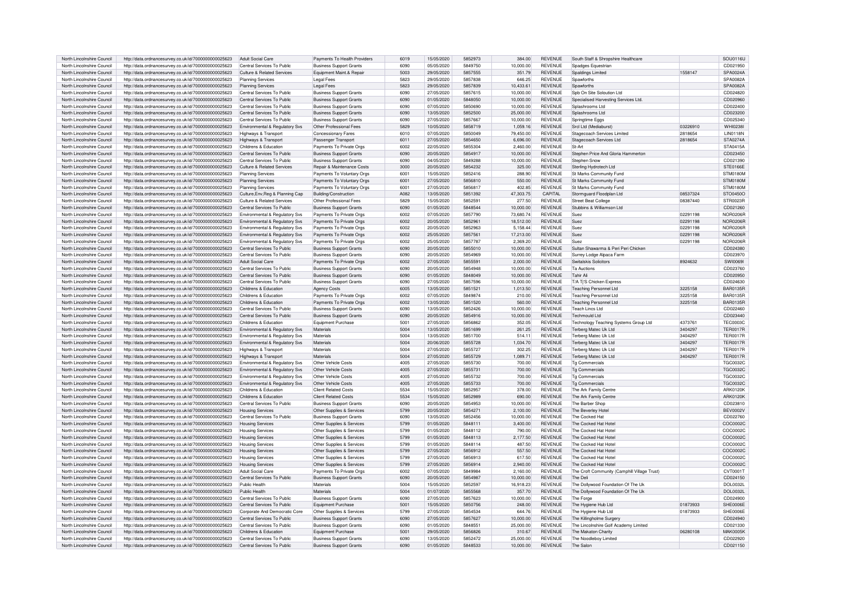| North Lincolnshire Council | http://data.ordnancesurvey.co.uk/id/7000000000025623 | <b>Adult Social Care</b>                  | Payments To Health Providers   | 6019 | 15/05/2020 | 5852973 | 384.00    | <b>REVENUE</b> | South Staff & Shropshire Healthcare          |          | SOU0116L         |
|----------------------------|------------------------------------------------------|-------------------------------------------|--------------------------------|------|------------|---------|-----------|----------------|----------------------------------------------|----------|------------------|
| North Lincolnshire Council | http://data.ordnancesurvey.co.uk/id/7000000000025623 | Central Services To Public                | <b>Business Support Grants</b> | 6090 | 05/05/2020 | 5849750 | 10,000.00 | <b>REVENUE</b> | Spadges Equestrian                           |          | CD021950         |
|                            |                                                      |                                           |                                |      |            |         |           |                |                                              |          |                  |
| North Lincolnshire Council | http://data.ordnancesurvey.co.uk/id/7000000000025623 | Culture & Related Services                | Equipment Maint.& Repair       | 5003 | 29/05/2020 | 5857555 | 351.79    | <b>REVENUE</b> | Spaldings Limited                            | 1558147  | SPA0024A         |
| North Lincolnshire Council | http://data.ordnancesurvey.co.uk/id/7000000000025623 | <b>Planning Services</b>                  | I egal Fees                    | 5823 | 29/05/2020 | 5857838 | 646.25    | REVENUE        | Spawforths                                   |          | SPA0082A         |
| North Lincolnshire Council | http://data.ordnancesurvey.co.uk/id/7000000000025623 | <b>Planning Services</b>                  | Legal Fees                     | 5823 | 29/05/2020 | 5857839 | 10,433.61 | <b>REVENUE</b> | Snawforths                                   |          | SPA0082A         |
| North Lincolnshire Council | http://data.ordnancesurvey.co.uk/id/7000000000025623 | Central Services To Public                | <b>Business Support Grants</b> | 6090 | 27/05/2020 | 5857615 | 10.000.00 | <b>REVENUE</b> | Spb On Site Soloution Ltd                    |          | CD024820         |
| North Lincolnshire Council | http://data.ordnancesurvey.co.uk/id/7000000000025623 | Central Services To Public                | <b>Business Support Grants</b> | 6090 | 01/05/2020 | 5848050 | 10,000.00 | <b>REVENUE</b> | Specialised Harvesting Services Ltd          |          | CD020960         |
|                            |                                                      | Central Services To Public                |                                | 6090 | 07/05/2020 | 5850690 |           | <b>REVENUE</b> | Splashrooms Ltd                              |          | CD022400         |
| North Lincolnshire Council | http://data.ordnancesurvey.co.uk/id/7000000000025623 |                                           | <b>Business Support Grants</b> |      |            |         | 10,000.00 |                |                                              |          |                  |
| North Lincolnshire Council | http://data.ordnancesurvey.co.uk/id/7000000000025623 | Central Services To Public                | <b>Business Support Grants</b> | 6090 | 13/05/2020 | 5852500 | 25,000.00 | <b>REVENUE</b> | Splashrooms Ltd                              |          | CD023200         |
| North Lincolnshire Council | http://data.ordnancesurvey.co.uk/id/7000000000025623 | Central Services To Public                | <b>Business Support Grants</b> | 6090 | 27/05/2020 | 5857667 | 10,000.00 | <b>REVENUE</b> | Springtime Eggs                              |          | CD025340         |
| North Lincolnshire Council | http://data.ordnancesurvey.co.uk/id/7000000000025623 | Environmental & Regulatory Svs            | Other Professional Fees        | 5829 | 10/05/2020 | 5858719 | 1,059.16  | <b>REVENUE</b> | Srcl Ltd (Mediaburst)                        | 03226910 | WHI0238          |
| North Lincolnshire Council | http://data.ordnancesurvey.co.uk/id/7000000000025623 | Highways & Transport                      | Concessionary Fares            | 6010 | 07/05/2020 | 585004  | 79.450.00 | <b>REVENUE</b> | <b>Stagecoach Services Limited</b>           | 2818654  | <b>I IN0118N</b> |
| North Lincolnshire Council | http://data.ordnancesurvey.co.uk/id/7000000000025623 | Highways & Transport                      | Passenger Transport            | 6011 | 27/05/2020 | 5854650 | 6,696.00  | <b>REVENUE</b> | Stagecoach Services Ltd                      | 2818654  | STA0274A         |
|                            |                                                      |                                           |                                |      |            | 585530  |           | <b>REVENUE</b> | St-Art                                       |          |                  |
| North Lincolnshire Council | http://data.ordnancesurvey.co.uk/id/7000000000025623 | Childrens & Education                     | Payments To Private Orgs       | 6002 | 22/05/2020 |         | 2,460.00  |                |                                              |          | STA0415A         |
| North Lincolnshire Council | http://data.ordnancesurvey.co.uk/id/7000000000025623 | Central Services To Public                | <b>Business Support Grants</b> | 6090 | 20/05/2020 | 5854917 | 10.000.00 | <b>REVENUE</b> | Stephen Price And Gloria Hammerton           |          | CD023450         |
| North Lincolnshire Council | http://data.ordnancesurvey.co.uk/id/7000000000025623 | Central Services To Public                | <b>Business Support Grants</b> | 6090 | 04/05/2020 | 5849288 | 10.000.00 | <b>REVENUE</b> | Stephen Snow                                 |          | CD021390         |
| North Lincolnshire Council | http://data.ordnancesurvey.co.uk/id/7000000000025623 | Culture & Related Services                | Repair & Maintenance Costs     | 3000 | 20/05/2020 | 5854232 | 325.00    | <b>REVENUE</b> | Sterling Hydrotech Ltd                       |          | STE0166E         |
| North Lincolnshire Council | http://data.ordnancesurvey.co.uk/id/7000000000025623 | <b>Planning Services</b>                  | Payments To Voluntary Orgs     | 6001 | 15/05/2020 | 5852416 | 288.90    | <b>REVENUE</b> | St Marks Community Fund                      |          | STM0180M         |
| North Lincolnshire Council | http://data.ordnancesurvey.co.uk/id/7000000000025623 | <b>Planning Services</b>                  | Payments To Voluntary Orgs     | 6001 | 27/05/2020 | 5856810 | 550.00    | <b>REVENUE</b> | St Marks Community Fund                      |          | STM0180M         |
|                            |                                                      |                                           |                                |      |            |         |           |                |                                              |          |                  |
| North Lincolnshire Council | http://data.ordnancesurvey.co.uk/id/7000000000025623 | <b>Planning Services</b>                  | Payments To Voluntary Orgs     | 6001 | 27/05/2020 | 5856817 | 402.85    | <b>REVENUE</b> | St Marks Community Fund                      |          | STM0180M         |
| North Lincolnshire Council | http://data.ordnancesurvey.co.uk/id/7000000000025623 | Culture, Env, Reg & Planning Cap          | Building/Construction          | A082 | 13/05/2020 | 5851392 | 47,303.75 | CAPITAL        | Stormguard Floodplan Ltd                     | 08537324 | STO0450C         |
| North Lincolnshire Council | http://data.ordnancesurvey.co.uk/id/7000000000025623 | Culture & Related Services                | Other Professional Fees        | 5829 | 15/05/2020 | 585259  | 277.50    | REVENUE        | <b>Street Beat College</b>                   | 08387440 | STR0023F         |
| North Lincolnshire Council | http://data.ordnancesurvey.co.uk/id/7000000000025623 | Central Services To Public                | <b>Business Support Grants</b> | 6090 | 01/05/2020 | 5848544 | 10,000.00 | <b>REVENUE</b> | Stubbins & Williamson Ltd                    |          | CD021260         |
| North Lincolnshire Council | http://data.ordnancesurvey.co.uk/id/7000000000025623 | Environmental & Regulatory Svs            | Payments To Private Orgs       | 6002 | 07/05/2020 | 5857790 | 73,680.74 | <b>REVENUE</b> | Suez                                         | 02291198 | NOR0206F         |
| North Lincolnshire Council | http://data.ordnancesurvey.co.uk/id/7000000000025623 | Environmental & Regulatory Sys            | Payments To Private Orgs       | 6002 | 20/05/2020 | 5852961 | 18,512.00 | <b>REVENUE</b> | Suez                                         | 02291198 | <b>NOR0206R</b>  |
| North Lincolnshire Council |                                                      |                                           |                                | 6002 | 20/05/2020 | 5852963 |           | <b>REVENUE</b> | Suez                                         |          | NOR0206F         |
|                            | http://data.ordnancesurvey.co.uk/id/7000000000025623 | Environmental & Regulatory Svs            | Payments To Private Orgs       |      |            |         | 5,158.44  |                |                                              | 02291198 |                  |
| North Lincolnshire Council | http://data.ordnancesurvey.co.uk/id/7000000000025623 | Environmental & Regulatory Svs            | Payments To Private Orgs       | 6002 | 25/05/2020 | 585756  | 17,213.00 | <b>REVENUE</b> | Suez                                         | 02291198 | <b>NOR0206R</b>  |
| North Lincolnshire Council | http://data.ordnancesurvey.co.uk/id/7000000000025623 | Environmental & Regulatory Sys            | Payments To Private Orgs       | 6002 | 25/05/2020 | 585778  | 2.369.20  | <b>REVENUE</b> | Suez                                         | 02291198 | NOR0206F         |
| North Lincolnshire Council | http://data.ordnancesurvey.co.uk/id/7000000000025623 | Central Services To Public                | <b>Business Support Grants</b> | 6090 | 20/05/2020 | 5855010 | 10,000.00 | <b>REVENUE</b> | Sultan Shawarma & Peri Peri Chicken          |          | CD024380         |
| North Lincolnshire Council | http://data.ordnancesurvey.co.uk/id/7000000000025623 | Central Services To Public                | <b>Business Support Grants</b> | 6090 | 20/05/2020 | 5854969 | 10.000.00 | REVENUE        | Surrey Lodge Alpaca Farm                     |          | CD023970         |
| North Lincolnshire Council | http://data.ordnancesurvey.co.uk/id/7000000000025623 | <b>Adult Social Care</b>                  | Payments To Private Orgs       | 6002 | 27/05/2020 | 585559  | 2,000.00  | <b>REVENUE</b> | Switalskis Solicitors                        | 8924632  | <b>SWI00691</b>  |
| North Lincolnshire Council | http://data.ordnancesurvey.co.uk/id/7000000000025623 | Central Services To Public                | <b>Business Support Grants</b> | 6090 | 20/05/2020 | 5854948 | 10,000.00 | <b>REVENUE</b> | <b>Ta Auctions</b>                           |          | CD023760         |
|                            |                                                      |                                           |                                |      |            |         |           |                |                                              |          |                  |
| North Lincolnshire Council | http://data.ordnancesurvey.co.uk/id/7000000000025623 | Central Services To Public                | <b>Business Support Grants</b> | 6090 | 01/05/2020 | 5848049 | 10,000.00 | <b>REVENUE</b> | <b>Tahir Ali</b>                             |          | CD020950         |
| North Lincolnshire Council | http://data.ordnancesurvey.co.uk/id/7000000000025623 | Central Services To Public                | <b>Business Support Grants</b> | 6090 | 27/05/2020 | 5857596 | 10.000.00 | <b>REVENUE</b> | T/A Ti'S Chicken Express                     |          | CD024630         |
| North Lincolnshire Council | http://data.ordnancesurvey.co.uk/id/7000000000025623 | Childrens & Education                     | <b>Agency Costs</b>            | 6005 | 13/05/2020 | 585152  | 1,013.50  | <b>REVENUE</b> | <b>Teaching Personnel Ltd</b>                | 3225158  | <b>BAR0135R</b>  |
| North Lincolnshire Council | http://data.ordnancesurvey.co.uk/id/7000000000025623 | Childrens & Education                     | Payments To Private Orgs       | 6002 | 07/05/2020 | 5849874 | 210.00    | <b>REVENUE</b> | Teaching Personnel Ltd.                      | 3225158  | <b>BAR0135R</b>  |
| North Lincolnshire Council | http://data.ordnancesurvey.co.uk/id/7000000000025623 | Childrens & Education                     | Payments To Private Orgs       | 6002 | 13/05/2020 | 5851520 | 560.00    | <b>REVENUE</b> | Teaching Personnel Ltd.                      | 3225158  | <b>BAR0135R</b>  |
| North Lincolnshire Council | http://data.ordnancesurvey.co.uk/id/7000000000025623 | Central Services To Public                |                                | 6090 | 13/05/2020 | 5852426 | 10.000.00 | <b>REVENUE</b> | Teach Lincs Ltd                              |          | CD022460         |
|                            |                                                      |                                           | <b>Business Support Grants</b> |      |            |         |           |                |                                              |          |                  |
| North Lincolnshire Council | http://data.ordnancesurvey.co.uk/id/7000000000025623 | Central Services To Public                | <b>Business Support Grants</b> | 6090 | 20/05/2020 | 5854916 | 10.000.00 | <b>REVENUE</b> | Techmould Ltd                                |          | CD023440         |
| North Lincolnshire Council | http://data.ordnancesurvey.co.uk/id/7000000000025623 | Childrens & Education                     | Equipment Purchase             | 5001 | 27/05/2020 | 5856862 | 352.05    | <b>REVENUE</b> | Technology Teaching Systems Group Ltd        | 4373761  | <b>TFC00030</b>  |
| North Lincolnshire Council | http://data.ordnancesurvey.co.uk/id/7000000000025623 | Environmental & Regulatory Svs            | Materials                      | 5004 | 13/05/2020 | 5851699 | 261.25    | <b>REVENUE</b> | Terberg Matec Uk Ltd                         | 3404297  | <b>TER0017F</b>  |
| North Lincolnshire Council | http://data.ordnancesurvey.co.uk/id/7000000000025623 | Environmental & Regulatory Svs            | Materials                      | 5004 | 13/05/2020 | 5851700 | 514.11    | <b>REVENUE</b> | Terberg Matec Uk Ltd                         | 3404297  | <b>TER0017F</b>  |
| North Lincolnshire Council | http://data.ordnancesurvey.co.uk/id/7000000000025623 | Environmental & Regulatory Sys            | Materials                      | 5004 | 20/06/2020 | 5855728 | 1,034.70  | <b>REVENUE</b> | Terberg Matec Uk Ltd                         | 3404297  | <b>TER0017R</b>  |
| North Lincolnshire Council | http://data.ordnancesurvey.co.uk/id/7000000000025623 | Highways & Transport                      | Materials                      | 5004 | 27/05/2020 | 5855727 | 302.25    | REVENUE        | Terberg Matec Uk Ltd                         | 3404297  | <b>TER0017R</b>  |
|                            |                                                      |                                           |                                |      |            |         |           |                |                                              |          |                  |
| North Lincolnshire Council | http://data.ordnancesurvey.co.uk/id/7000000000025623 | Highways & Transport                      | Materials                      | 5004 | 27/05/2020 | 5855729 | 1,089.71  | <b>REVENUE</b> | Terberg Matec Uk Ltd                         | 3404297  | <b>TFR0017F</b>  |
| North Lincolnshire Council | http://data.ordnancesurvey.co.uk/id/7000000000025623 | Environmental & Regulatory Sys            | Other Vehicle Costs            | 4005 | 27/05/2020 | 5855730 | 700.00    | <b>REVENUE</b> | To Commercials                               |          | <b>TGC0032C</b>  |
| North Lincolnshire Council | http://data.ordnancesurvey.co.uk/id/7000000000025623 | Environmental & Regulatory Sys            | Other Vehicle Costs            | 4005 | 27/05/2020 | 5855731 | 700.00    | <b>REVENUE</b> | <b>Ta Commercials</b>                        |          | <b>TGC0032C</b>  |
| North Lincolnshire Council | http://data.ordnancesurvey.co.uk/id/7000000000025623 | Environmental & Regulatory Sys            | Other Vehicle Costs            | 4005 | 27/05/2020 | 5855732 | 700.00    | <b>REVENUE</b> | Tg Commercials                               |          | <b>TGC00320</b>  |
| North Lincolnshire Council | http://data.ordnancesurvey.co.uk/id/7000000000025623 | <b>Environmental &amp; Requlatory Sys</b> | Other Vehicle Costs            | 4005 | 27/05/2020 | 5855733 | 700.00    | <b>REVENUE</b> | To Commercials                               |          | <b>TGC00320</b>  |
| North Lincolnshire Council |                                                      | Childrens & Education                     | Client Related Costs           | 5534 | 15/05/2020 | 585295  | 378.00    | <b>REVENUE</b> | The Ark Family Centre                        |          | ARK0120K         |
|                            | http://data.ordnancesurvey.co.uk/id/7000000000025623 |                                           |                                |      |            |         |           |                |                                              |          |                  |
| North Lincolnshire Council | http://data.ordnancesurvey.co.uk/id/7000000000025623 | Childrens & Education                     | <b>Client Related Costs</b>    | 5534 | 15/05/2020 | 5852989 | 690.00    | <b>REVENUE</b> | The Ark Family Centre                        |          | ARK0120K         |
| North Lincolnshire Council | http://data.ordnancesurvey.co.uk/id/7000000000025623 | Central Services To Public                | <b>Business Support Grants</b> | 6090 | 20/05/2020 | 5854953 | 10.000.00 | <b>REVENUE</b> | The Barber Shop                              |          | CD023810         |
| North Lincolnshire Council | http://data.ordnancesurvey.co.uk/id/7000000000025623 | <b>Housing Services</b>                   | Other Supplies & Services      | 5799 | 20/05/2020 | 585427  | 2,100.00  | <b>REVENUE</b> | The Beverlev Hotel                           |          | <b>BFV0002V</b>  |
| North Lincolnshire Council | http://data.ordnancesurvey.co.uk/id/7000000000025623 | Central Services To Public                | <b>Business Support Grants</b> | 6090 | 13/05/2020 | 5852456 | 10,000.00 | <b>REVENUE</b> | The Cocked Hat                               |          | CD022760         |
| North Lincolnshire Council | http://data.ordnancesurvey.co.uk/id/7000000000025623 | <b>Housing Services</b>                   | Other Supplies & Services      | 5799 | 01/05/2020 | 584811  | 3,400.00  | <b>REVENUE</b> | The Cocked Hat Hote                          |          | COC00020         |
| North Lincolnshire Council | http://data.ordnancesurvey.co.uk/id/7000000000025623 | <b>Housing Services</b>                   | Other Supplies & Services      | 5799 | 01/05/2020 | 5848112 | 790.00    | <b>REVENUE</b> | The Cocked Hat Hote                          |          | COC0002C         |
| North Lincolnshire Council | http://data.ordnancesurvey.co.uk/id/7000000000025623 | <b>Housing Services</b>                   | Other Supplies & Services      | 5799 | 01/05/2020 | 5848113 | 2.177.50  | <b>REVENUE</b> | The Cocked Hat Hote                          |          | COC00020         |
|                            |                                                      |                                           |                                |      |            |         |           |                |                                              |          |                  |
| North Lincolnshire Council | http://data.ordnancesurvey.co.uk/id/7000000000025623 | <b>Housing Services</b>                   | Other Supplies & Services      | 5799 | 01/05/2020 | 5848114 | 487.50    | REVENUE        | The Cocked Hat Hotel                         |          | COC0002C         |
| North Lincolnshire Council | http://data.ordnancesurvey.co.uk/id/7000000000025623 | <b>Housing Services</b>                   | Other Supplies & Services      | 5799 | 27/05/2020 | 5856912 | 557.50    | <b>REVENUE</b> | The Cocked Hat Hotel                         |          | COC0002C         |
| North Lincolnshire Council | http://data.ordnancesurvey.co.uk/id/7000000000025623 | <b>Housing Services</b>                   | Other Supplies & Services      | 5799 | 27/05/2020 | 5856913 | 617.50    | <b>REVENUE</b> | The Cocked Hat Hote                          |          | COC00020         |
| North Lincolnshire Council | http://data.ordnancesurvey.co.uk/id/7000000000025623 | <b>Housing Services</b>                   | Other Supplies & Services      | 5799 | 27/05/2020 | 585691  | 2.940.00  | <b>REVENUE</b> | The Cocked Hat Hotel                         |          | COC00020         |
| North Lincolnshire Council | http://data.ordnancesurvey.co.uk/id/7000000000025623 | Adult Social Care                         | Payments To Private Orgs       | 6002 | 07/05/2020 | 584998  | 2.160.00  | <b>REVENUE</b> | The Croft Community (Camphill Village Trust) |          | CVT00017         |
| North Lincolnshire Council |                                                      | Central Services To Public                |                                | 6090 | 20/05/2020 | 585498  | 10.000.00 | <b>REVENUE</b> | The Deli                                     |          | CD024150         |
|                            | http://data.ordnancesurvey.co.uk/id/7000000000025623 |                                           | <b>Business Support Grants</b> |      |            |         |           |                |                                              |          |                  |
| North Lincolnshire Council | http://data.ordnancesurvey.co.uk/id/7000000000025623 | Public Health                             | Materials                      | 5004 | 15/05/2020 | 585259  | 16.918.23 | <b>REVENUE</b> | The Dollywood Foundation Of The Uk           |          | DOL0032L         |
| North Lincolnshire Council | http://data.ordnancesurvey.co.uk/id/7000000000025623 | Public Health                             | Materials                      | 5004 | 01/07/2020 | 5855568 | 357.70    | <b>REVENUE</b> | The Dollywood Foundation Of The Uk           |          | <b>DOL0032L</b>  |
| North Lincolnshire Council | http://data.ordnancesurvey.co.uk/id/7000000000025623 | Central Services To Public                | <b>Business Support Grants</b> | 6090 | 27/05/2020 | 5857623 | 10.000.00 | <b>REVENUE</b> | The Forge                                    |          | CD024900         |
| North Lincolnshire Council | http://data.ordnancesurvey.co.uk/id/7000000000025623 | Central Services To Public                | Equipment Purchase             | 5001 | 15/05/2020 | 5850756 | 248.00    | <b>REVENUE</b> | The Hygiene Hub Ltd                          | 01873933 | SHE0006E         |
| North Lincolnshire Council | http://data.ordnancesurvey.co.uk/id/7000000000025623 | Corporate And Democratic Core             | Other Supplies & Services      | 5799 | 27/05/2020 | 5854534 | 644.76    | <b>REVENUE</b> | The Hygiene Hub Ltd                          | 01873933 | SHE0006E         |
| North Lincolnshire Council | http://data.ordnancesurvey.co.uk/id/7000000000025623 | Central Services To Public                | <b>Business Support Grants</b> | 6090 | 27/05/2020 | 585762  | 10,000.00 | <b>REVENUE</b> | The Killingholme Surgery                     |          | CD024940         |
| North Lincolnshire Council | http://data.ordnancesurvey.co.uk/id/7000000000025623 | Central Services To Public                |                                | GOOO | 01/05/2020 | 5848551 | 25.000.00 | <b>REVENUE</b> | The Lincolnshire Golf Academy Limited        |          | CD021330         |
|                            |                                                      |                                           | <b>Business Support Grants</b> |      |            |         |           |                |                                              |          |                  |
| North Lincolnshire Council | http://data.ordnancesurvey.co.uk/id/7000000000025623 | Childrens & Education                     | Equipment Purchase             | 5001 | 29/05/2020 | 5856826 | 310.67    | <b>REVENUE</b> | The Makaton Charity                          | 06280108 | <b>MAK0005K</b>  |
| North Lincolnshire Council | http://data.ordnancesurvey.co.uk/id/7000000000025623 | Central Services To Public                | <b>Business Support Grants</b> | 6090 | 13/05/2020 | 5852472 | 25.000.00 | <b>REVENUE</b> | The Noodleboy Limited                        |          | CD022920         |
| North Lincolnshire Council | http://data.ordnancesurvey.co.uk/id/7000000000025623 | Central Services To Public                | <b>Business Support Grants</b> | 6090 | 01/05/2020 | 5848533 | 10.000.00 | <b>REVENUE</b> | The Salor                                    |          | CD021150         |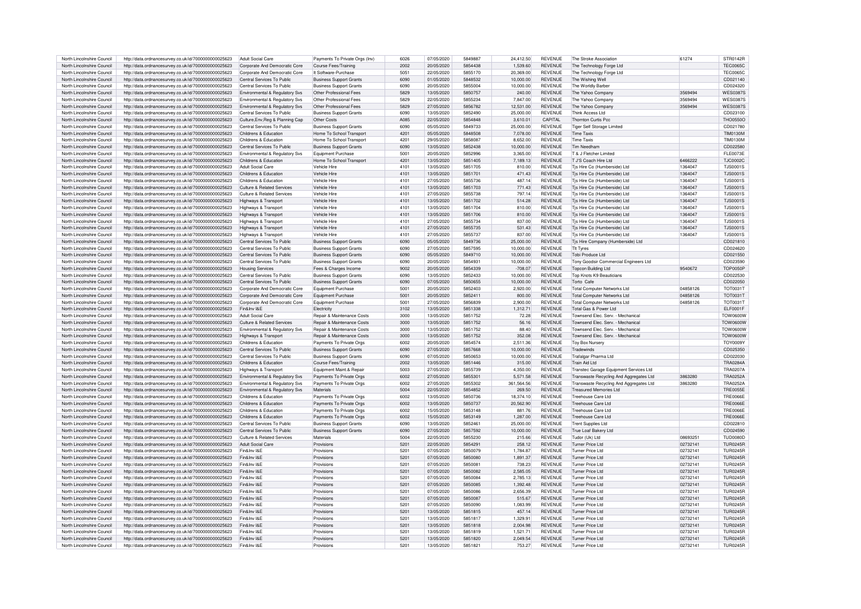| North Lincolnshire Council | http://data.ordnancesurvey.co.uk/id/7000000000025623 | Adult Social Care                         | Payments To Private Oras (Inv)        | 6026 | 07/05/2020 | 5849887 | 24,412.50  | REVENUE        | The Stroke Association                                                   | 61274    | STR0142R        |
|----------------------------|------------------------------------------------------|-------------------------------------------|---------------------------------------|------|------------|---------|------------|----------------|--------------------------------------------------------------------------|----------|-----------------|
| North Lincolnshire Council | http://data.ordnancesurvey.co.uk/id/7000000000025623 | Corporate And Democratic Core             | Course Fees/Training                  | 2002 | 20/05/2020 | 5854438 | 1,539.60   | <b>REVENUE</b> | The Technology Forge Ltd                                                 |          | <b>TFC00650</b> |
| North Lincolnshire Council | http://data.ordnancesurvey.co.uk/id/7000000000025623 | Corporate And Democratic Core             | It Software-Purchase                  | 5051 | 22/05/2020 | 5855170 | 20.369.00  | <b>REVENUE</b> | The Technology Forge Ltd                                                 |          | <b>TEC00650</b> |
| North Lincolnshire Council | http://data.ordnancesurvey.co.uk/id/7000000000025623 | Central Services To Public                | <b>Business Support Grants</b>        | 6090 | 01/05/2020 | 5848532 | 10,000.00  | <b>REVENUE</b> | The Wishing Well                                                         |          | CD021140        |
|                            |                                                      |                                           |                                       | 6090 | 20/05/2020 | 5855004 | 10.000.00  | <b>REVENUE</b> |                                                                          |          | CD024320        |
| North Lincolnshire Council | http://data.ordnancesurvey.co.uk/id/7000000000025623 | Central Services To Public                | <b>Business Support Grants</b>        |      |            |         |            |                | The Worldly Barber                                                       |          |                 |
| North Lincolnshire Council | http://data.ordnancesurvey.co.uk/id/7000000000025623 | Environmental & Regulatory Sys            | Other Professional Fees               | 5829 | 13/05/2020 | 5850757 | 240.00     | <b>REVENUE</b> | The Yahoo Company                                                        | 3569494  | <b>WES0387S</b> |
| North Lincolnshire Council | http://data.ordnancesurvey.co.uk/id/7000000000025623 | Environmental & Regulatory Sys            | Other Professional Fees               | 5829 | 22/05/2020 | 5855234 | 7,847.00   | REVENUE        | The Yahoo Compa                                                          | 3569494  | <b>WES03875</b> |
| North Lincolnshire Council | http://data.ordnancesurvey.co.uk/id/7000000000025623 | Environmental & Regulatory Svs            | Other Professional Fees               | 5829 | 27/05/2020 | 5856782 | 12,531.00  | REVENUE        | The Yahoo Compar                                                         | 3569494  | <b>WES03875</b> |
| North Lincolnshire Council |                                                      | Central Services To Public                |                                       | 6090 |            | 5852490 |            | <b>REVENUE</b> | <b>Think Access Ltd</b>                                                  |          | CD023100        |
|                            | http://data.ordnancesurvey.co.uk/id/7000000000025623 |                                           | <b>Business Support Grants</b>        |      | 13/05/2020 |         | 25,000.00  |                |                                                                          |          |                 |
| North Lincolnshire Council | http://data.ordnancesurvey.co.uk/id/7000000000025623 | Culture.Env.Reg & Planning Cap            | Other Costs                           | A085 | 22/05/2020 | 5854848 | 3,610.01   | CAPITAL        | <b>Thornton Curtis Pco</b>                                               |          | <b>THO0550C</b> |
| North Lincolnshire Council | http://data.ordnancesurvey.co.uk/id/7000000000025623 | Central Services To Public                | <b>Business Support Grants</b>        | 6090 | 05/05/2020 | 5849733 | 25,000.00  | <b>REVENUE</b> | <b>Tiger Self Storage Limited</b>                                        |          | CD021780        |
| North Lincolnshire Council | http://data.ordnancesurvey.co.uk/id/7000000000025623 | Childrens & Education                     | Home To School Transpor               | 4201 | 05/05/2020 | 5848508 | 7.078.00   | <b>REVENUE</b> | <b>Time Taxis</b>                                                        |          | <b>TIM0130N</b> |
| North Lincolnshire Council | http://data.ordnancesurvey.co.uk/id/7000000000025623 | Childrens & Education                     | Home To School Transport              | 4201 | 29/05/2020 | 5858087 | 8,652.00   | <b>REVENUE</b> | <b>Time Taxis</b>                                                        |          | <b>TIM0130M</b> |
|                            |                                                      |                                           |                                       | 6090 | 13/05/2020 | 5852438 |            | <b>REVENUE</b> | Tim Needham                                                              |          | CD022580        |
| North Lincolnshire Council | http://data.ordnancesurvey.co.uk/id/7000000000025623 | Central Services To Public                | <b>Business Support Grants</b>        |      |            |         | 10,000.00  |                |                                                                          |          |                 |
| North Lincolnshire Council | http://data.ordnancesurvey.co.uk/id/7000000000025623 | <b>Fnvironmental &amp; Requlatory Sys</b> | Foujoment Purchase                    | 5001 | 20/05/2020 | 5852996 | 3.365.00   | <b>REVENUE</b> | T & J Fletcher Limited                                                   |          | FLE0073E        |
| North Lincolnshire Council | http://data.ordnancesurvey.co.uk/id/7000000000025623 | Childrens & Education                     | Home To School Transpor               | 4201 | 13/05/2020 | 5851405 | 7.189.13   | <b>REVENUE</b> | T J'S Coach Hire Ltd                                                     | 6466222  | <b>TJC00020</b> |
| North Lincolnshire Council | http://data.ordnancesurvey.co.uk/id/7000000000025623 | Adult Social Care                         | Vehicle Hire                          | 4101 | 13/05/2020 | 5851705 | 810.00     | <b>REVENUE</b> | Tis Hire Co (Humberside) Ltd                                             | 1364047  | T.IS00019       |
| North Lincolnshire Council | http://data.ordnancesurvey.co.uk/id/7000000000025623 | Childrens & Education                     | Vehicle Hire                          | 4101 | 13/05/2020 | 5851701 | 471.43     | <b>REVENUE</b> | Tis Hire Co (Humberside) Ltd                                             | 1364047  | T.IS00019       |
|                            |                                                      |                                           |                                       |      | 27/05/2020 | 5855736 |            | <b>REVENUE</b> |                                                                          |          | T.IS00019       |
| North Lincolnshire Council | http://data.ordnancesurvev.co.uk/id/7000000000025623 | Childrens & Education                     | Vehicle Hire                          | 4101 |            |         | 487.14     |                | Tis Hire Co (Humberside) Ltd                                             | 1364047  |                 |
| North Lincolnshire Council | http://data.ordnancesurvey.co.uk/id/7000000000025623 | Culture & Related Services                | Vehicle Hire                          | 4101 | 13/05/2020 | 5851703 | 771.43     | <b>REVENUE</b> | Tis Hire Co (Humberside) Ltd                                             | 1364047  | T.IS00015       |
| North Lincolnshire Council | http://data.ordnancesurvey.co.uk/id/7000000000025623 | Culture & Related Services                | Vehicle Hire                          | 4101 | 27/05/2020 | 5855738 | 797.14     | <b>REVENUE</b> | Tis Hire Co (Humberside) Ltd                                             | 1364047  | <b>TJS0001S</b> |
| North Lincolnshire Council | http://data.ordnancesurvey.co.uk/id/7000000000025623 | Highways & Transport                      | Vehicle Hire                          | 4101 | 13/05/2020 | 5851702 | 514.28     | <b>REVENUE</b> | Tis Hire Co (Humberside) Ltd                                             | 1364047  | <b>TJS0001S</b> |
| North Lincolnshire Council | http://data.ordnancesurvey.co.uk/id/7000000000025623 | Highways & Transport                      | Vehicle Hire                          | 4101 | 13/05/2020 | 5851704 | 810.00     | <b>REVENUE</b> | Tis Hire Co (Humberside) Ltd                                             | 1364047  | <b>TJS0001S</b> |
|                            |                                                      |                                           |                                       |      |            |         |            |                |                                                                          |          |                 |
| North Lincolnshire Council | http://data.ordnancesurvey.co.uk/id/7000000000025623 | Highways & Transport                      | Vehicle Hire                          | 4101 | 13/05/2020 | 5851706 | 810.00     | <b>REVENUE</b> | Tis Hire Co (Humberside) Ltd                                             | 1364047  | T.IS00015       |
| North Lincolnshire Council | http://data.ordnancesurvey.co.uk/id/7000000000025623 | Highways & Transport                      | Vehicle Hire                          | 4101 | 27/05/2020 | 5855734 | 837.00     | <b>REVENUE</b> | Tis Hire Co (Humberside) Ltd                                             | 1364047  | <b>TJS0001S</b> |
| North Lincolnshire Council | http://data.ordnancesurvey.co.uk/id/7000000000025623 | Highways & Transport                      | Vehicle Hire                          | 4101 | 27/05/2020 | 5855735 | 531.43     | <b>REVENUE</b> | Tis Hire Co (Humberside) Ltd                                             | 1364047  | T.IS00015       |
| North Lincolnshire Council | http://data.ordnancesurvey.co.uk/id/7000000000025623 | Highways & Transport                      | Vehicle Hire                          | 4101 | 27/05/2020 | 5855737 | 837.00     | <b>REVENUE</b> | Tjs Hire Co (Humberside) Ltd                                             | 1364047  | TJS00015        |
|                            |                                                      |                                           |                                       |      |            | 5849736 |            |                |                                                                          |          |                 |
| North Lincolnshire Council | http://data.ordnancesurvey.co.uk/id/7000000000025623 | Central Services To Public                | <b>Business Support Grants</b>        | 6090 | 05/05/2020 |         | 25.000.00  | <b>REVENUE</b> | Tjs Hire Company (Humberside) Ltd                                        |          | CD021810        |
| North Lincolnshire Council | http://data.ordnancesurvey.co.uk/id/7000000000025623 | Central Services To Public                | <b>Business Support Grants</b>        | 6090 | 27/05/2020 | 5857595 | 10.000.00  | <b>REVENUE</b> | TIt Tyres                                                                |          | CD024620        |
| North Lincolnshire Council | http://data.ordnancesurvey.co.uk/id/7000000000025623 | Central Services To Public                | <b>Business Support Grants</b>        | 6090 | 05/05/2020 | 5849710 | 10.000.00  | <b>REVENUE</b> | <b>Tobi Produce Ltd</b>                                                  |          | CD021550        |
| North Lincolnshire Council | http://data.ordnancesurvey.co.uk/id/7000000000025623 | Central Services To Public                | <b>Business Support Grants</b>        | 6090 | 20/05/2020 | 5854931 | 10,000.00  | <b>REVENUE</b> | Tony Goodsir Commercial Engineers Ltd                                    |          | CD023590        |
| North Lincolnshire Council | http://data.ordnancesurvey.co.uk/id/7000000000025623 | <b>Housing Services</b>                   | Fees & Charges Income                 | 9002 | 20/05/2020 | 5854339 | $-708.07$  | <b>REVENUE</b> | Topcon Building Ltd                                                      | 9540672  | <b>TOP0050F</b> |
|                            |                                                      |                                           |                                       |      |            |         |            |                |                                                                          |          |                 |
| North Lincolnshire Council | http://data.ordnancesurvey.co.uk/id/7000000000025623 | Central Services To Public                | <b>Business Support Grants</b>        | 6090 | 13/05/2020 | 5852433 | 10.000.00  | <b>REVENUE</b> | Top Knots K9 Beauticians                                                 |          | CD022530        |
| North Lincolnshire Council | http://data.ordnancesurvey.co.uk/id/7000000000025623 | Central Services To Public                | <b>Business Support Grants</b>        | 6090 | 07/05/2020 | 5850655 | 10.000.00  | <b>REVENUE</b> | Torto Cafe                                                               |          | CD022050        |
| North Lincolnshire Council | http://data.ordnancesurvey.co.uk/id/7000000000025623 | Corporate And Democratic Core             | Equipment Purchase                    | 5001 | 20/05/2020 | 5852403 | 2,920.00   | <b>REVENUE</b> | <b>Total Computer Networks Ltd</b>                                       | 04858126 | <b>TOT00311</b> |
| North Lincolnshire Council | http://data.ordnancesurvey.co.uk/id/7000000000025623 | Corporate And Democratic Core             | Foujoment Purchase                    | 5001 | 20/05/2020 | 5852411 | 800.00     | <b>REVENUE</b> | <b>Total Computer Networks Ltd</b>                                       | 04858126 | <b>TOT00311</b> |
| North Lincolnshire Council | http://data.ordnancesurvey.co.uk/id/7000000000025623 | Cornorate And Democratic Core             | Foujoment Purchase                    | 5001 | 27/05/2020 | 5856839 | 2.900.00   | <b>REVENUE</b> | Total Computer Networks Ltd                                              | 04858126 | <b>TOT00311</b> |
|                            |                                                      |                                           |                                       |      |            |         |            |                |                                                                          |          |                 |
| North Lincolnshire Council | http://data.ordnancesurvey.co.uk/id/7000000000025623 | Fin&Inv I&F                               | Electricity                           | 3102 | 13/05/2020 | 5851338 | 1,312.71   | <b>REVENUE</b> | Total Gas & Power Ltd                                                    |          | <b>ELF0001F</b> |
| North Lincolnshire Council | http://data.ordnancesurvey.co.uk/id/7000000000025623 | Adult Social Care                         | <b>Benair &amp; Maintenance Costs</b> | 3000 | 13/05/2020 | 5851752 | 72.28      | <b>REVENUE</b> | Townsend Elec. Serv. - Mechanical                                        |          | <b>TOW0600W</b> |
| North Lincolnshire Council | http://data.ordnancesurvey.co.uk/id/7000000000025623 | Culture & Related Services                | Repair & Maintenance Costs            | 3000 | 13/05/2020 | 5851752 | 56.16      | <b>REVENUE</b> | Townsend Elec. Serv. - Mechanica                                         |          | TOW0600W        |
| North Lincolnshire Council | http://data.ordnancesurvey.co.uk/id/7000000000025623 | Environmental & Regulatory Svs            | Repair & Maintenance Costs            | 3000 | 13/05/2020 | 5851752 | 88.40      | <b>REVENUE</b> | Townsend Elec. Serv. - Mechanical                                        |          | TOW0600W        |
|                            |                                                      |                                           |                                       |      |            |         |            |                |                                                                          |          |                 |
|                            |                                                      | Highways & Transport                      | Repair & Maintenance Costs            | 3000 | 13/05/2020 | 5851752 | 352.08     | <b>REVENUE</b> | Townsend Elec, Serv. - Mechanical                                        |          | <b>TOW0600W</b> |
| North Lincolnshire Council | http://data.ordnancesurvey.co.uk/id/7000000000025623 |                                           |                                       |      |            |         |            | <b>REVENUE</b> | <b>Tov Box Nurser</b>                                                    |          |                 |
| North Lincolnshire Council | http://data.ordnancesurvey.co.uk/id/7000000000025623 | Childrens & Education                     | Payments To Private Orgs              | 6002 | 20/05/2020 | 5854574 | 2,511.36   |                |                                                                          |          | <b>TOY0009Y</b> |
| North Lincolnshire Council | http://data.ordnancesurvev.co.uk/id/7000000000025623 | Central Services To Public                | <b>Business Support Grants</b>        | 6090 | 27/05/2020 | 5857668 | 10,000.00  | <b>REVENUE</b> | Tradewinds                                                               |          | CD025350        |
|                            |                                                      |                                           |                                       |      |            |         |            |                |                                                                          |          |                 |
| North Lincolnshire Council | http://data.ordnancesurvey.co.uk/id/7000000000025623 | Central Services To Public                | <b>Business Support Grants</b>        | 6090 | 07/05/2020 | 5850653 | 10.000.00  | <b>REVENUE</b> | Trafalgar Pharma Ltd                                                     |          | CD022030        |
| North Lincolnshire Council | http://data.ordnancesurvey.co.uk/id/7000000000025623 | Childrens & Education                     | Course Fees/Training                  | 2002 | 13/05/2020 | 5851446 | 315.00     | <b>REVENUE</b> | <b>Train Aid Ltd</b>                                                     |          | TRA0284A        |
| North Lincolnshire Council | http://data.ordnancesurvey.co.uk/id/7000000000025623 | Highways & Transport                      | Equipment Maint.& Repair              | 5003 | 27/05/2020 | 5855739 | 4,350.00   | <b>REVENUE</b> | Transtec Garage Equipment Services Ltd                                   |          | TRA0207         |
| North Lincolnshire Council | http://data.ordnancesurvey.co.uk/id/7000000000025623 | Environmental & Regulatory Svs            | Payments To Private Orgs              | 6002 | 27/05/2020 | 5855301 | 5.571.58   | <b>REVENUE</b> | Transwaste Recycling And Aggregates Ltd                                  | 3863280  | TRA0252A        |
| North Lincolnshire Council | http://data.ordnancesurvey.co.uk/id/7000000000025623 | Environmental & Regulatory Svs            |                                       | 6002 | 27/05/2020 | 5855302 | 361.564.56 | <b>REVENUE</b> |                                                                          | 3863280  | TRA0252A        |
|                            |                                                      |                                           | Payments To Private Orgs<br>Materials | 5004 | 22/05/2020 | 5854852 |            | <b>REVENUE</b> | Transwaste Recycling And Aggregates Ltd<br><b>Treasured Memories Ltd</b> |          | <b>TRE0055E</b> |
| North Lincolnshire Council | http://data.ordnancesurvey.co.uk/id/7000000000025623 | Environmental & Regulatory Svs            |                                       |      |            |         | 269.50     |                |                                                                          |          |                 |
| North Lincolnshire Council | http://data.ordnancesurvey.co.uk/id/7000000000025623 | Childrens & Education                     | Payments To Private Orgs              | 6002 | 13/05/2020 | 5850736 | 18.374.10  | <b>REVENUE</b> | Treehouse Care Ltd                                                       |          | <b>TRE0066</b>  |
| North Lincolnshire Council | http://data.ordnancesurvey.co.uk/id/7000000000025623 | Childrens & Education                     | Payments To Private Orgs              | 6002 | 13/05/2020 | 5850737 | 20.562.90  | <b>REVENUE</b> | Treehouse Care Ltd                                                       |          | TRE0066         |
| North Lincolnshire Council | http://data.ordnancesurvey.co.uk/id/7000000000025623 | Childrens & Education                     | Payments To Private Orgs              | 6002 | 15/05/2020 | 5853148 | 881.76     | <b>REVENUE</b> | Treehouse Care Ltd                                                       |          | TRF0066         |
| North Lincolnshire Council |                                                      | Childrens & Education                     |                                       | 6002 | 15/05/2020 | 5853149 |            | <b>REVENUE</b> | Treehouse Care Ltd                                                       |          | TRF0066         |
|                            | http://data.ordnancesurvey.co.uk/id/7000000000025623 |                                           | Payments To Private Orgs              |      |            |         | 1,287.00   |                |                                                                          |          |                 |
| North Lincolnshire Council | http://data.ordnancesurvey.co.uk/id/7000000000025623 | Central Services To Public                | <b>Business Support Grants</b>        | 6090 | 13/05/2020 | 585246  | 25.000.00  | <b>REVENUE</b> | <b>Trent Supplies Ltd</b>                                                |          | CD02281         |
| North Lincolnshire Council | http://data.ordnancesurvey.co.uk/id/7000000000025623 | Central Services To Public                | <b>Business Support Grants</b>        | 6090 | 27/05/2020 | 5857592 | 10,000.00  | <b>REVENUE</b> | True Loaf Bakery Ltd                                                     |          | CD024590        |
| North Lincolnshire Council | http://data.ordnancesurvey.co.uk/id/7000000000025623 | Culture & Related Services                | Materials                             | 5004 | 22/05/2020 | 5855230 | 215.66     | <b>REVENUE</b> | Tudor (Uk) Ltd                                                           | 0869325  | TUD0080E        |
| North Lincolnshire Council | http://data.ordnancesurvey.co.uk/id/7000000000025623 | Adult Social Care                         | Provisions                            | 5201 | 22/05/2020 | 5854291 | 258.12     | <b>REVENUE</b> | Turner Price Ltd                                                         | 02732141 | <b>TUR0245F</b> |
| North Lincolnshire Council | http://data.ordnancesurvey.co.uk/id/7000000000025623 | Fin&Inv I&F                               | Provisions                            | 5201 | 07/05/2020 | 5850079 | 1,784.87   | <b>REVENUE</b> | Turner Price Ltd                                                         | 02732141 | <b>TUR0245F</b> |
|                            |                                                      |                                           |                                       |      |            |         |            |                |                                                                          |          |                 |
| North Lincolnshire Council | http://data.ordnancesurvey.co.uk/id/7000000000025623 | Fin&Inv I&E                               | Provisions                            | 5201 | 07/05/2020 | 5850080 | 1.891.37   | <b>REVENUE</b> | Turner Price Ltd                                                         | 02732141 | <b>TUR0245F</b> |
| North Lincolnshire Council | http://data.ordnancesurvey.co.uk/id/7000000000025623 | Fin&Inv I&F                               | Provisions                            | 5201 | 07/05/2020 | 585008  | 738.23     | <b>REVENUE</b> | Turner Price Ltd                                                         | 02732141 | <b>TUR0245F</b> |
| North Lincolnshire Council | http://data.ordnancesurvey.co.uk/id/7000000000025623 | Fin&Inv I&F                               | Provisions                            | 5201 | 07/05/2020 | 5850082 | 2.585.05   | <b>REVENUE</b> | Turner Price Ltd                                                         | 02732141 | <b>TUR0245F</b> |
| North Lincolnshire Council | http://data.ordnancesurvey.co.uk/id/7000000000025623 | Fin&Inv I&F                               | Provisions                            | 5201 | 07/05/2020 | 5850084 | 2.785.13   | <b>REVENUE</b> | <b>Turner Price Ltd</b>                                                  | 02732141 | <b>TUR0245F</b> |
| North Lincolnshire Council |                                                      | Fin&Inv I&E                               | Provisions                            | 5201 | 07/05/2020 | 5850085 | 1.392.48   | <b>REVENUE</b> | <b>Turner Price Ltd</b>                                                  |          | <b>TUR0245F</b> |
|                            | http://data.ordnancesurvey.co.uk/id/7000000000025623 |                                           |                                       |      |            |         |            |                |                                                                          | 02732141 |                 |
| North Lincolnshire Council | http://data.ordnancesurvey.co.uk/id/7000000000025623 | Fin&Inv I&F                               | Provisions                            | 5201 | 07/05/2020 | 5850086 | 2,656.39   | REVENUE        | Turner Price Ltd                                                         | 02732141 | <b>TUR0245R</b> |
| North Lincolnshire Council | http://data.ordnancesurvey.co.uk/id/7000000000025623 | Fin&Inv I&F                               | Provisions                            | 5201 | 07/05/2020 | 5850087 | 515.67     | <b>REVENUE</b> | Turner Price Ltd.                                                        | 02732141 | <b>TUR0245R</b> |
| North Lincolnshire Council | http://data.ordnancesurvey.co.uk/id/7000000000025623 | Fin&Inv I&E                               | Provisions                            | 5201 | 07/05/2020 | 5850090 | 1.083.99   | <b>REVENUE</b> | <b>Turner Price Ltd</b>                                                  | 02732141 | <b>TUR0245R</b> |
| North Lincolnshire Council | http://data.ordnancesurvey.co.uk/id/7000000000025623 | Fin&Inv I&F                               | Provisions                            | 5201 | 13/05/2020 | 5851815 | 457.14     | <b>REVENUE</b> | Turner Price Ltd                                                         | 02732141 | <b>TUR0245F</b> |
| North Lincolnshire Council | http://data.ordnancesurvey.co.uk/id/7000000000025623 | Fin&Inv I&F                               | Provisions                            | 5201 | 13/05/2020 | 5851817 | 1,329.91   | <b>REVENUE</b> | Turner Price Ltd                                                         | 02732141 | <b>TUR0245F</b> |
|                            |                                                      |                                           |                                       |      |            |         |            |                |                                                                          |          |                 |
| North Lincolnshire Council | http://data.ordnancesurvey.co.uk/id/7000000000025623 | Fin&Inv I&E                               | Provisions                            | 5201 | 13/05/2020 | 5851818 | 2.004.98   | <b>REVENUE</b> | Turner Price Ltd.                                                        | 02732141 | <b>TUR0245R</b> |
| North Lincolnshire Council | http://data.ordnancesurvey.co.uk/id/7000000000025623 | Fin&Inv I&F                               | Provisions                            | 5201 | 13/05/2020 | 5851819 | 1.521.71   | <b>REVENUE</b> | Turner Price Ltd.                                                        | 02732141 | <b>TUR0245R</b> |
| North Lincolnshire Council | http://data.ordnancesurvey.co.uk/id/7000000000025623 | Fin&Inv I&F                               | Provisions                            | 5201 | 13/05/2020 | 5851820 | 2.049.54   | <b>REVENUE</b> | Turner Price Ltd.                                                        | 02732141 | <b>TUR0245R</b> |
| North Lincolnshire Council | http://data.ordnancesurvey.co.uk/id/7000000000025623 | Fin&Inv I&F                               | Provisions                            | 5201 | 13/05/2020 | 5851821 | 753.27     | <b>REVENUE</b> | Turner Price Ltd.                                                        | 02732141 | <b>TUR0245R</b> |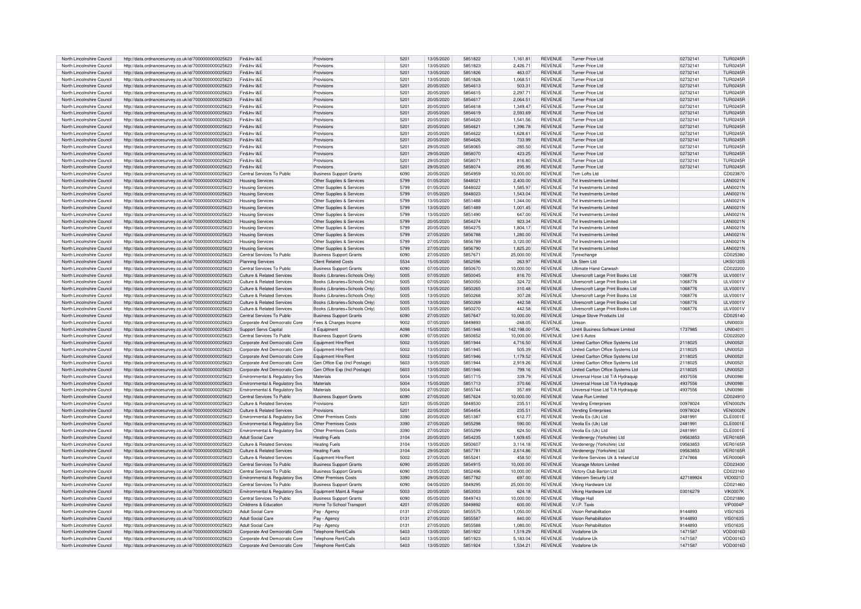| North Lincolnshire Council | http://data.ordnancesurvey.co.uk/id/7000000000025623 | Fin&Inv I&F                                | Provisions                     | 5201             | 13/05/2020 | 5851822 | 1.161.81   | <b>REVENUE</b> | Turner Price Ltd                         | 02732141  | <b>TUR0245F</b> |
|----------------------------|------------------------------------------------------|--------------------------------------------|--------------------------------|------------------|------------|---------|------------|----------------|------------------------------------------|-----------|-----------------|
| North Lincolnshire Council | http://data.ordnancesurvey.co.uk/id/7000000000025623 | Fin&Inv I&F                                | Provisions                     | 5201             | 13/05/2020 | 5851823 | 2.426.71   | <b>REVENUE</b> | Turner Price Ltd                         | 02732141  | TUR0245F        |
| North Lincolnshire Council | http://data.ordnancesurvey.co.uk/id/7000000000025623 | Fin&Inv I&E                                | Provisions                     | 5201             | 13/05/2020 | 5851826 | 463.07     | <b>REVENUE</b> | Turner Price Ltd                         | 02732141  | <b>TUR0245R</b> |
| North Lincolnshire Council | http://data.ordnancesurvey.co.uk/id/7000000000025623 | Fin&Inv I&F                                | Provisions                     | 5201             | 13/05/2020 | 5851828 | 1,068.51   | <b>REVENUE</b> | Turner Price Ltd                         | 02732141  | TUR0245F        |
| North Lincolnshire Council | http://data.ordnancesurvey.co.uk/id/7000000000025623 | Fin&Inv I&F                                | Provisions                     | $520^{\circ}$    | 20/05/2020 | 5854613 | 503.31     | <b>REVENUE</b> | Turner Price Ltd                         | 02732141  | <b>TUR0245R</b> |
| North Lincolnshire Council |                                                      | Fin&Inv I&E                                | Provisions                     | 520 <sup>°</sup> | 20/05/2020 | 5854615 | 2.297.71   | <b>REVENUE</b> | Turner Price Ltd                         | 02732141  | <b>TUR0245R</b> |
|                            | http://data.ordnancesurvey.co.uk/id/7000000000025623 | Fin&Inv I&F                                |                                | $520^{\circ}$    |            | 5854617 |            | <b>REVENUE</b> | Turner Price Ltd                         |           |                 |
| North Lincolnshire Council | http://data.ordnancesurvey.co.uk/id/7000000000025623 |                                            | Provisions                     |                  | 20/05/2020 |         | 2,064.51   |                |                                          | 02732141  | <b>TUR0245R</b> |
| North Lincolnshire Council | http://data.ordnancesurvey.co.uk/id/7000000000025623 | Fin&Inv I&F                                | Provisions                     | 5201             | 20/05/2020 | 5854618 | 1.349.47   | <b>REVENUE</b> | Turner Price Ltd                         | 02732141  | <b>TUR0245R</b> |
| North Lincolnshire Council | http://data.ordnancesurvey.co.uk/id/7000000000025623 | Fin&Inv I&F                                | Provisions                     | 5201             | 20/05/2020 | 5854619 | 2.593.69   | <b>REVENUE</b> | Turner Price I td                        | 02732141  | <b>TUR0245R</b> |
| North Lincolnshire Council | http://data.ordnancesurvey.co.uk/id/7000000000025623 | Fin&Inv I&F                                | Provisions                     | 5201             | 20/05/2020 | 5854620 | 1.541.56   | <b>REVENUE</b> | Turner Price Ltd                         | 02732141  | THR0245F        |
| North Lincolnshire Council | http://data.ordnancesurvey.co.uk/id/7000000000025623 | Fin&Inv I&F                                | Provisions                     | 5201             | 20/05/2020 | 5854621 | 1.396.78   | <b>REVENUE</b> | Turner Price I td                        | 02732141  | TUR0245F        |
| North Lincolnshire Council | http://data.ordnancesurvey.co.uk/id/7000000000025623 | Fin&Inv I&F                                | Provisions                     | 5201             | 20/05/2020 | 5854622 | 1.628.61   | <b>REVENUE</b> | <b>Turner Price Ltd</b>                  | 02732141  | <b>TUR0245R</b> |
| North Lincolnshire Council | http://data.ordnancesurvey.co.uk/id/7000000000025623 | Fin&Inv I&F                                | Provisions                     | 5201             | 20/05/2020 | 5854626 | 733.99     | <b>REVENUE</b> | <b>Turner Price Ltd</b>                  | 02732141  | <b>TUR0245R</b> |
| North Lincolnshire Council | http://data.ordnancesurvey.co.uk/id/7000000000025623 | Fin&Inv I&F                                | Provisions                     | 5201             | 29/05/2020 | 5858065 | $-285.50$  | <b>REVENUE</b> | <b>Turner Price Ltd</b>                  | 02732141  | <b>TUR0245R</b> |
| North Lincolnshire Council | http://data.ordnancesurvey.co.uk/id/7000000000025623 | Fin&Inv I&E                                | Provisions                     | 5201             | 29/05/2020 | 5858070 | 423.25     | <b>REVENUE</b> | <b>Turner Price Ltd</b>                  | 02732141  | <b>TUR0245R</b> |
| North Lincolnshire Council | http://data.ordnancesurvey.co.uk/id/7000000000025623 | Fin&Inv I&E                                | Provisions                     | 5201             | 29/05/2020 | 5858071 | 816.80     | <b>REVENUE</b> | <b>Turner Price Ltd</b>                  | 02732141  | <b>TUR0245R</b> |
| North Lincolnshire Council | http://data.ordnancesurvey.co.uk/id/7000000000025623 | Fin&Inv I&F                                | Provisions                     | 5201             | 29/05/2020 | 5858074 | 295.95     | <b>REVENUE</b> | Turner Price Ltd                         | 02732141  | <b>TUR0245R</b> |
| North Lincolnshire Council | http://data.ordnancesurvey.co.uk/id/7000000000025623 | Central Services To Public                 | <b>Business Support Grants</b> | 6090             | 20/05/2020 | 5854959 | 10.000.00  | <b>REVENUE</b> | Tvm Lofts Ltd                            |           | CD023870        |
| North Lincolnshire Council | http://data.ordnancesurvey.co.uk/id/7000000000025623 | <b>Housing Services</b>                    | Other Supplies & Services      | 5799             | 01/05/2020 | 5848021 | 2.400.00   | <b>REVENUE</b> | <b>Tvt Investments Limited</b>           |           | <b>LAN0021N</b> |
| North Lincolnshire Council | http://data.ordnancesurvey.co.uk/id/7000000000025623 | <b>Housing Services</b>                    | Other Supplies & Services      | 5799             | 01/05/2020 | 5848022 | 1.585.97   | <b>REVENUE</b> | Tyt Investments I imited                 |           | <b>LAN0021N</b> |
| North Lincolnshire Council | http://data.ordnancesurvey.co.uk/id/7000000000025623 | <b>Housing Services</b>                    | Other Supplies & Services      | 5799             | 01/05/2020 | 5848023 | 1.543.04   | <b>REVENUE</b> | Tyt Investments Limited                  |           | <b>LAN0021N</b> |
| North Lincolnshire Council |                                                      |                                            | Other Supplies & Services      | 5799             | 13/05/2020 | 5851488 | 1.344.00   | <b>REVENUE</b> | Tyt Investments Limited                  |           | <b>LAN0021N</b> |
|                            | http://data.ordnancesurvey.co.uk/id/7000000000025623 | <b>Housing Services</b>                    |                                |                  |            |         |            |                |                                          |           |                 |
| North Lincolnshire Council | http://data.ordnancesurvey.co.uk/id/7000000000025623 | <b>Housing Services</b>                    | Other Supplies & Services      | 5799             | 13/05/2020 | 5851489 | 1,001.45   | <b>REVENUE</b> | Tvt Investments Limited                  |           | <b>LAN0021N</b> |
| North Lincolnshire Council | http://data.ordnancesurvey.co.uk/id/7000000000025623 | <b>Housing Services</b>                    | Other Supplies & Services      | 5799             | 13/05/2020 | 5851490 | 647.00     | <b>REVENUE</b> | Tyt Investments I imited                 |           | <b>LAN0021N</b> |
| North Lincolnshire Council | http://data.ordnancesurvey.co.uk/id/7000000000025623 | <b>Housing Services</b>                    | Other Supplies & Services      | 5799             | 20/05/2020 | 5854274 | 923.34     | <b>REVENUE</b> | Tyt Investments Limited                  |           | <b>LAN0021N</b> |
| North Lincolnshire Council | http://data.ordnancesurvey.co.uk/id/7000000000025623 | <b>Housing Services</b>                    | Other Supplies & Services      | 5799             | 20/05/2020 | 5854275 | 1,804.17   | <b>REVENUE</b> | Tyt Investments I imited                 |           | <b>LAN0021N</b> |
| North Lincolnshire Council | http://data.ordnancesurvey.co.uk/id/7000000000025623 | <b>Housing Services</b>                    | Other Supplies & Services      | 5799             | 27/05/2020 | 5856788 | 1,280.00   | <b>REVENUE</b> | Tyt Investments Limited                  |           | LAN0021N        |
| North Lincolnshire Council | http://data.ordnancesurvey.co.uk/id/7000000000025623 | <b>Housing Services</b>                    | Other Supplies & Services      | 5799             | 27/05/2020 | 5856789 | 3.120.00   | <b>REVENUE</b> | Tyt Investments Limited                  |           | <b>LAN0021N</b> |
| North Lincolnshire Council | http://data.ordnancesurvey.co.uk/id/7000000000025623 | <b>Housing Services</b>                    | Other Supplies & Services      | 5799             | 27/05/2020 | 5856790 | 1,825.20   | <b>REVENUE</b> | Tvt Investments Limited                  |           | <b>LAN0021N</b> |
| North Lincolnshire Council | http://data.ordnancesurvey.co.uk/id/7000000000025623 | Central Services To Public                 | <b>Business Support Grants</b> | 6090             | 27/05/2020 | 5857671 | 25.000.00  | <b>REVENUE</b> | Tvrexchange                              |           | CD025380        |
| North Lincolnshire Council | http://data.ordnancesurvey.co.uk/id/7000000000025623 | Planning Services                          | <b>Client Related Costs</b>    | 5534             | 15/05/2020 | 5852596 | 263.97     | <b>REVENUE</b> | Uk Stem Ltd                              |           | <b>UKS0120S</b> |
| North Lincolnshire Council | http://data.ordnancesurvey.co.uk/id/7000000000025623 | Central Services To Public                 | <b>Business Support Grants</b> | 6090             | 07/05/2020 | 5850670 | 10,000.00  | <b>REVENUE</b> | Ultimate Hand Carwash                    |           | CD022200        |
| North Lincolnshire Council | http://data.ordnancesurvey.co.uk/id/7000000000025623 | Culture & Related Services                 | Books (Libraries+Schools Only) | 5005             | 07/05/2020 | 5850045 | 816.70     | <b>REVENUE</b> | Ulverscroft Large Print Books Ltd        | 1068776   | LII V0001V      |
| North Lincolnshire Council | http://data.ordnancesurvey.co.uk/id/7000000000025623 | Culture & Related Services                 | Books (Libraries+Schools Only) | 5005             | 07/05/2020 | 5850050 | 324.72     | <b>REVENUE</b> | Ulverscroft Large Print Books Ltd        | 1068776   | <b>ULV0001V</b> |
| North Lincolnshire Council | http://data.ordnancesurvey.co.uk/id/7000000000025623 | Culture & Related Services                 | Books (Libraries+Schools Only  | 5005             | 13/05/2020 | 5850265 | 310.48     | <b>REVENUE</b> | Ulverscroft Large Print Books Ltd        | 1068776   | ULV0001V        |
| North Lincolnshire Council | http://data.ordnancesurvey.co.uk/id/7000000000025623 | Culture & Related Services                 | Books (Libraries+Schools Only  | 5005             | 13/05/2020 | 5850268 | 307.28     | <b>REVENUE</b> | Ulverscroft Large Print Books Ltd        | 1068776   | LII V0001V      |
| North Lincolnshire Council | http://data.ordnancesurvey.co.uk/id/7000000000025623 | Culture & Related Services                 | Books (Libraries+Schools Only) | 5005             | 13/05/2020 | 5850269 | 442.58     | <b>REVENUE</b> | Ulverscroft Large Print Books Ltd        | 1068776   | LILV0001V       |
| North Lincolnshire Council | http://data.ordnancesurvey.co.uk/id/7000000000025623 | Culture & Related Services                 | Books (Libraries+Schools Only) | 5005             | 13/05/2020 | 5850270 | 442.58     | <b>REVENUE</b> | Ulverscroft Large Print Books Ltd        | 1068776   | <b>ULV0001V</b> |
| North Lincolnshire Council | http://data.ordnancesurvey.co.uk/id/7000000000025623 | Central Services To Public                 | <b>Business Support Grants</b> | 6090             | 27/05/2020 | 5857647 | 10,000.00  | <b>REVENUE</b> | Unique Stove Products Ltd                |           | CD025140        |
| North Lincolnshire Council |                                                      | Corporate And Democratic Core              |                                | 9002             | 07/05/2020 | 5849893 | $-248.05$  | <b>REVENUE</b> | Unison                                   |           | <b>UNI0003I</b> |
|                            | http://data.ordnancesurvey.co.uk/id/7000000000025623 |                                            | Fees & Charges Income          |                  |            |         |            |                |                                          |           |                 |
| North Lincolnshire Council | http://data.ordnancesurvey.co.uk/id/7000000000025623 | Support Servs Capital                      | It Equipment                   | A098             | 15/05/2020 | 5851948 | 142,198.00 | <b>CAPITAL</b> | Unit4 Business Software Limited          | 1737985   | UNI0401         |
| North Lincolnshire Council | http://data.ordnancesurvey.co.uk/id/7000000000025623 | Central Services To Public                 | <b>Business Support Grants</b> | 6090             | 07/05/2020 | 5850652 | 10.000.00  | <b>REVENUE</b> | <b>Hnit 5 Autos</b>                      |           | CD022020        |
| North Lincolnshire Council | http://data.ordnancesurvey.co.uk/id/7000000000025623 | Corporate And Democratic Core              | Equipment Hire/Rent            | 5002             | 13/05/2020 | 5851944 | 4,716.50   | <b>REVENUE</b> | United Carlton Office Systems Ltd        | 2118025   | <b>UNI00521</b> |
| North Lincolnshire Council | http://data.ordnancesurvey.co.uk/id/7000000000025623 | Corporate And Democratic Core              | Equipment Hire/Rent            | 5002             | 13/05/2020 | 5851945 | 505.39     | <b>REVENUE</b> | United Carlton Office Systems Ltd        | 2118025   | UNI0052         |
| North Lincolnshire Council | http://data.ordnancesurvey.co.uk/id/7000000000025623 | Corporate And Democratic Core              | Equipment Hire/Rent            | 5002             | 13/05/2020 | 5851946 | 1,179.52   | <b>REVENUE</b> | United Carlton Office Systems Ltd        | 2118025   | <b>UNI0052</b>  |
| North Lincolnshire Council | http://data.ordnancesurvey.co.uk/id/7000000000025623 | Corporate And Democratic Core              | Gen Office Exp (Incl Postage)  | 5603             | 13/05/2020 | 5851944 | 2.919.26   | <b>REVENUE</b> | <b>United Carlton Office Systems Ltd</b> | 2118025   | UNI0052         |
| North Lincolnshire Council | http://data.ordnancesurvey.co.uk/id/7000000000025623 | Corporate And Democratic Core              | Gen Office Exp (Incl Postage)  | 5603             | 13/05/2020 | 5851946 | 799.16     | <b>REVENUE</b> | <b>United Carlton Office Systems Ltd</b> | 2118025   | <b>UNI0052</b>  |
| North Lincolnshire Council | http://data.ordnancesurvey.co.uk/id/7000000000025623 | Environmental & Regulatory Svs             | Materials                      | 5004             | 13/05/2020 | 5851715 | 339.79     | <b>REVENUE</b> | Universal Hose Ltd T/A Hydraguip         | 4937556   | UNI0098         |
| North Lincolnshire Council | http://data.ordnancesurvey.co.uk/id/7000000000025623 | Environmental & Regulatory Svs             | Materials                      | 5004             | 15/05/2020 | 5851713 | 370.66     | <b>REVENUE</b> | Universal Hose Ltd T/A Hydraquip         | 4937556   | <b>UNI0098I</b> |
| North Lincolnshire Council | http://data.ordnancesurvey.co.uk/id/7000000000025623 | <b>Fnvironmental &amp; Regulatory Sys.</b> | Materials                      | 5004             | 27/05/2020 | 5855744 | 357.89     | <b>REVENUE</b> | Universal Hose Ltd T/A Hydraguin         | 4937556   | <b>UNI0098I</b> |
| North Lincolnshire Council | http://data.ordnancesurvey.co.uk/id/7000000000025623 | Central Services To Public                 | <b>Business Support Grants</b> | 6090             | 27/05/2020 | 5857624 | 10,000.00  | <b>REVENUE</b> | Value Run Limited                        |           | CD024910        |
| North Lincolnshire Council | http://data.ordnancesurvey.co.uk/id/7000000000025623 | Culture & Related Services                 | Provisions                     | 5201             | 05/05/2020 | 5848530 | 235.51     | <b>REVENUE</b> | Vending Enterprises                      | 00978024  | VEN0002N        |
| North Lincolnshire Council | http://data.ordnancesurvey.co.uk/id/7000000000025623 | Culture & Related Services                 | Provisions                     | 5201             | 22/05/2020 | 5854454 | 235.51     | <b>REVENUE</b> | <b>Vending Enterprises</b>               | 00978024  | VFN0002N        |
| North Lincolnshire Council | http://data.ordnancesurvey.co.uk/id/7000000000025623 | Environmental & Regulatory Svs             | Other Premises Costs           | 3390             | 20/05/2020 | 5851387 | 612.77     | <b>REVENUE</b> | Veolia Es (Uk) Ltd                       | 2481991   | CLE0001E        |
| North Lincolnshire Council | http://data.ordnancesurvey.co.uk/id/7000000000025623 | Environmental & Regulatory Svs             | Other Premises Costs           | 3390             | 27/05/2020 | 5855298 | 590.00     | <b>REVENUE</b> | Veolia Es (Uk) Ltd                       | 2481991   | CLE0001E        |
| North Lincolnshire Council | http://data.ordnancesurvey.co.uk/id/7000000000025623 | <b>Environmental &amp; Regulatory Sys</b>  | Other Premises Costs           | 3390             | 27/05/2020 | 5855299 | 624.50     | <b>REVENUE</b> | Veolia Es (Uk) Ltd                       | 2481991   | CLE0001E        |
| North Lincolnshire Council | http://data.ordnancesurvey.co.uk/id/7000000000025623 | <b>Adult Social Care</b>                   | <b>Heating Fuels</b>           | 3104             | 20/05/2020 | 5854235 | 1.609.65   | <b>REVENUE</b> | Verdenergy (Yorkshire) Ltd               | 09563853  | <b>VER0165R</b> |
| North Lincolnshire Council | http://data.ordnancesurvey.co.uk/id/7000000000025623 | Culture & Related Services                 | <b>Heating Fuels</b>           | 3104             | 13/05/2020 | 5850607 | 3,114.18   | <b>REVENUE</b> | Verdenergy (Yorkshire) Ltd               | 09563853  | <b>VER0165R</b> |
| North Lincolnshire Council | http://data.ordnancesurvey.co.uk/id/7000000000025623 | Culture & Related Services                 | <b>Heating Fuels</b>           | 3104             | 29/05/2020 | 5857781 | 2.614.86   | <b>REVENUE</b> | Verdenergy (Yorkshire) Ltd               | 09563853  | <b>VER0165R</b> |
|                            |                                                      |                                            |                                |                  |            |         |            |                |                                          |           |                 |
| North Lincolnshire Council | http://data.ordnancesurvey.co.uk/id/7000000000025623 | Culture & Related Services                 | Fauinment Hire/Rent            | 5002             | 27/05/2020 | 5855241 | 458.50     | <b>REVENUE</b> | Verifone Services Uk & Ireland Ltd       | 2747866   | <b>VER0006R</b> |
| North Lincolnshire Council | http://data.ordnancesurvey.co.uk/id/7000000000025623 | Central Services To Public                 | <b>Business Support Grants</b> | 6090             | 20/05/2020 | 5854915 | 10,000.00  | <b>REVENUE</b> | Vicarage Motors Limited                  |           | CD023430        |
| North Lincolnshire Council | http://data.ordnancesurvey.co.uk/id/7000000000025623 | Central Services To Public                 | <b>Business Support Grants</b> | 6090             | 13/05/2020 | 5852496 | 10,000.00  | <b>REVENUE</b> | Victory Club Barton Ltd                  |           | CD023160        |
| North Lincolnshire Council | http://data.ordnancesurvey.co.uk/id/7000000000025623 | Environmental & Regulatory Svs             | Other Premises Costs           | 3390             | 29/05/2020 | 5857782 | 697.00     | <b>REVENUE</b> | Videcom Security Ltd                     | 427189924 | <b>VID0021D</b> |
| North Lincolnshire Council | http://data.ordnancesurvey.co.uk/id/7000000000025623 | Central Services To Public                 | <b>Business Support Grants</b> | 6090             | 04/05/2020 | 5849295 | 25,000.00  | <b>REVENUE</b> | Viking Hardware Ltd                      |           | CD021460        |
| North Lincolnshire Council | http://data.ordnancesurvey.co.uk/id/7000000000025623 | Environmental & Regulatory Svs             | Equipment Maint.& Repair       | 5003             | 20/05/2020 | 5853003 | 624.18     | <b>REVENUE</b> | Viking Hardware Ltd                      | 03016279  | <b>VIK0007K</b> |
| North Lincolnshire Council | http://data.ordnancesurvey.co.uk/id/7000000000025623 | Central Services To Public                 | <b>Business Support Grants</b> | 6090             | 05/05/2020 | 5849743 | 10.000.00  | <b>REVENUE</b> | Village Hall                             |           | CD021880        |
| North Lincolnshire Council | http://data.ordnancesurvey.co.uk/id/7000000000025623 | Childrens & Education                      | Home To School Transport       | 4201             | 07/05/2020 | 5849892 | 600.00     | <b>REVENUE</b> | V.I.P. Taxis                             |           | <b>VIP0004P</b> |
| North Lincolnshire Council | http://data.ordnancesurvey.co.uk/id/7000000000025623 | Adult Social Care                          | Pay - Agency                   | 0131             | 27/05/2020 | 5855575 | 1,050.00   | <b>REVENUE</b> | <b>Vision Rehabilitation</b>             | 9144893   | <b>VIS0163S</b> |
| North Lincolnshire Council | http://data.ordnancesurvey.co.uk/id/7000000000025623 | Adult Social Care                          | Pav - Agency                   | 0131             | 27/05/2020 | 5855587 | 840.00     | <b>REVENUE</b> | <b>Vision Rehabilitation</b>             | 9144893   | <b>VIS0163S</b> |
| North Lincolnshire Council | http://data.ordnancesurvey.co.uk/id/7000000000025623 | Adult Social Care                          | Pay - Agency                   | 0131             | 27/05/2020 | 5855588 | 1.080.00   | <b>REVENUE</b> | Vision Rehabilitation                    | 9144893   | <b>VIS0163S</b> |
| North Lincolnshire Council | http://data.ordnancesurvey.co.uk/id/7000000000025623 | Corporate And Democratic Core              | Telephone Rent/Calls           | 5403             | 13/05/2020 | 5851922 | 1,519.29   | <b>REVENUE</b> | Vodafone Uk                              | 1471587   | VOD0016D        |
| North Lincolnshire Council | http://data.ordnancesurvey.co.uk/id/7000000000025623 | Corporate And Democratic Core              | Telephone Rent/Calls           | 5403             | 13/05/2020 | 5851923 | 5.183.04   | <b>REVENUE</b> | Vodafone Uk                              | 1471587   | VOD0016D        |
| North Lincolnshire Council | http://data.ordnancesurvey.co.uk/id/7000000000025623 | Corporate And Democratic Core              | Telephone Rent/Calls           | 5403             | 13/05/2020 | 5851924 | 1.534.21   | <b>REVENUE</b> | Vodafone Uk                              | 1471587   | VOD0016D        |
|                            |                                                      |                                            |                                |                  |            |         |            |                |                                          |           |                 |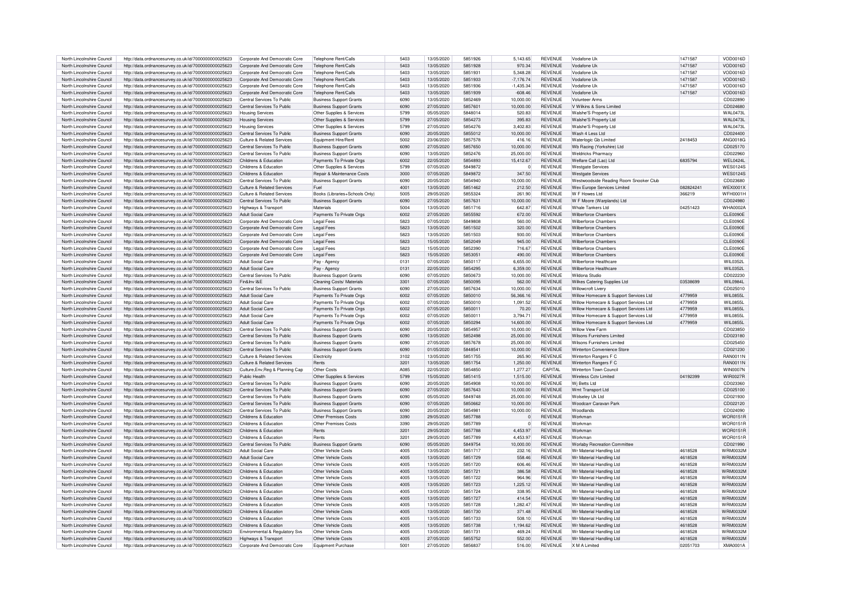| North Lincolnshire Council                               | http://data.ordnancesurvey.co.uk/id/7000000000025623                                                         | Corporate And Democratic Core                         | Telephone Rent/Calls                      | 5403         | 13/05/2020               | 5851926            | 5.143.65         | <b>REVENUE</b>                   | Vodafone Uk                               | 1471587             | VOD0016D                           |
|----------------------------------------------------------|--------------------------------------------------------------------------------------------------------------|-------------------------------------------------------|-------------------------------------------|--------------|--------------------------|--------------------|------------------|----------------------------------|-------------------------------------------|---------------------|------------------------------------|
|                                                          |                                                                                                              |                                                       |                                           |              |                          |                    |                  |                                  |                                           |                     |                                    |
| North Lincolnshire Council                               | http://data.ordnancesurvey.co.uk/id/7000000000025623                                                         | Corporate And Democratic Core                         | Telephone Rent/Calls                      | 5403         | 13/05/2020               | 5851928            | 970.34           | <b>REVENUE</b>                   | Vodafone Uk                               | 1471587             | VOD0016D                           |
| North Lincolnshire Council                               | http://data.ordnancesurvey.co.uk/id/7000000000025623                                                         | Corporate And Democratic Core                         | Telephone Rent/Calls                      | 5403         | 13/05/2020               | 5851931            | 5,348.28         | <b>REVENUE</b>                   | Vodafone Uk                               | 1471587             | VOD0016D                           |
| North Lincolnshire Council                               | http://data.ordnancesurvey.co.uk/id/7000000000025623                                                         | Corporate And Democratic Core                         | Telephone Rent/Calls                      | 5403         | 13/05/2020               | 5851933            | $-7,176.74$      | <b>REVENUE</b>                   | Vodafone Uk                               | 1471587             | VOD0016D                           |
| North Lincolnshire Council                               | http://data.ordnancesurvey.co.uk/id/7000000000025623                                                         | Corporate And Democratic Core                         | Telephone Rent/Calls                      | 5403         | 13/05/2020               | 5851936            | $-1,435.34$      | <b>REVENUE</b>                   | Vodafone Ul                               | 1471587             | VOD0016D                           |
|                                                          |                                                                                                              |                                                       |                                           |              |                          |                    |                  |                                  |                                           |                     |                                    |
| North Lincolnshire Council                               | http://data.ordnancesurvey.co.uk/id/7000000000025623                                                         | Corporate And Democratic Core                         | Telephone Rent/Calls                      | 5403         | 13/05/2020               | 5851939            | $-608.46$        | <b>REVENUE</b>                   | Vodafone Uk                               | 1471587             | VOD0016D                           |
| North Lincolnshire Council                               | http://data.ordnancesurvey.co.uk/id/7000000000025623                                                         | Central Services To Public                            | <b>Business Support Grants</b>            | 6090         | 13/05/2020               | 5852469            | 10.000.00        | <b>REVENUE</b>                   | <b>Volunteer Arms</b>                     |                     | CD022890                           |
| North Lincolnshire Council                               | http://data.ordnancesurvey.co.uk/id/7000000000025623                                                         | Central Services To Public                            | <b>Business Support Grants</b>            | 6090         | 27/05/2020               | 5857601            | 10,000.00        | <b>REVENUE</b>                   | V Wilkins & Sons Limited                  |                     | CD024680                           |
| North Lincolnshire Council                               | http://data.ordnancesurvey.co.uk/id/7000000000025623                                                         | <b>Housing Services</b>                               | Other Supplies & Services                 | 5799         | 05/05/2020               | 5848014            | 520.83           | <b>REVENUE</b>                   | Walshe'S Property Ltd                     |                     | <b>WAL0473L</b>                    |
|                                                          |                                                                                                              |                                                       |                                           |              |                          |                    |                  |                                  |                                           |                     |                                    |
| North Lincolnshire Council                               | http://data.ordnancesurvey.co.uk/id/7000000000025623                                                         | <b>Housing Services</b>                               | Other Supplies & Services                 | 5799         | 27/05/2020               | 5854273            | 395.83           | <b>REVENUE</b>                   | Walshe'S Property Ltd                     |                     | <b>WAL0473L</b>                    |
| North Lincolnshire Council                               | http://data.ordnancesurvey.co.uk/id/7000000000025623                                                         | <b>Housing Services</b>                               | Other Supplies & Services                 | 5799         | 27/05/2020               | 5854276            | 3,402.83         | <b>REVENUE</b>                   | Walshe'S Property Ltd                     |                     | <b>WAL0473L</b>                    |
| North Lincolnshire Council                               | http://data.ordnancesurvey.co.uk/id/7000000000025623                                                         | Central Services To Public                            | <b>Business Support Grants</b>            | 6090         | 20/05/2020               | 5855012            | 10.000.00        | <b>REVENUE</b>                   | Wash 4 Less Ltd                           |                     | CD024400                           |
| North Lincolnshire Council                               | http://data.ordnancesurvey.co.uk/id/7000000000025623                                                         | Culture & Related Services                            | Equipment Hire/Rent                       | 5002         | 23/06/2020               | 5857578            | 416.16           | <b>REVENUE</b>                   | Waterlogic Gb Limited                     | 2418453             | ANG0018G                           |
|                                                          |                                                                                                              | Central Services To Public                            |                                           | 6090         | 27/05/2020               | 5857650            | 10.000.00        | <b>REVENUE</b>                   |                                           |                     | CD025170                           |
| North Lincolnshire Council                               | http://data.ordnancesurvey.co.uk/id/7000000000025623                                                         |                                                       | <b>Business Support Grants</b>            |              |                          |                    |                  |                                  | Wb Racing (Yorkshire) Ltd                 |                     |                                    |
| North Lincolnshire Council                               | http://data.ordnancesurvey.co.uk/id/7000000000025623                                                         | Central Services To Public                            | <b>Business Support Grants</b>            | 6090         | 13/05/2020               | 5852476            | 25,000.00        | <b>REVENUE</b>                   | Weldricks Pharmacy                        |                     | CD022960                           |
| North Lincolnshire Council                               | http://data.ordnancesurvey.co.uk/id/7000000000025623                                                         | Childrens & Education                                 | Payments To Private Orgs                  | 6002         | 22/05/2020               | 5854893            | 15.412.67        | <b>REVENUE</b>                   | Welfare Call (Lac) Ltd                    | 6835794             | WEL0424L                           |
| North Lincolnshire Council                               | http://data.ordnancesurvey.co.uk/id/7000000000025623                                                         | Childrens & Education                                 | Other Supplies & Services                 | 5799         | 07/05/2020               | 5849872            | $\overline{0}$   | <b>REVENUE</b>                   | <b>Westgate Services</b>                  |                     | <b>WES0124S</b>                    |
| North Lincolnshire Council                               |                                                                                                              | Childrens & Education                                 | <b>Benair &amp; Maintenance Costs</b>     | 3000         | 07/05/2020               | 5849872            | 347.50           | <b>REVENUE</b>                   |                                           |                     | <b>WES0124S</b>                    |
|                                                          | http://data.ordnancesurvey.co.uk/id/7000000000025623                                                         |                                                       |                                           |              |                          |                    |                  |                                  | <b>Westgate Services</b>                  |                     |                                    |
| North Lincolnshire Council                               | http://data.ordnancesurvey.co.uk/id/7000000000025623                                                         | Central Services To Public                            | <b>Business Support Grants</b>            | 6090         | 20/05/2020               | 5854940            | 10,000.00        | <b>REVENUE</b>                   | Westwoodside Reading Room Snooker Club    |                     | CD023680                           |
| North Lincolnshire Council                               | http://data.ordnancesurvey.co.uk/id/7000000000025623                                                         | Culture & Related Services                            | Fuel                                      | 4001         | 13/05/2020               | 5851462            | 212.50           | <b>REVENUE</b>                   | Wex Europe Services Limited               | 082824241           | <b>WEX0001X</b>                    |
| North Lincolnshire Council                               | http://data.ordnancesurvey.co.uk/id/7000000000025623                                                         | Culture & Related Services                            | Books (Libraries+Schools Only)            | 5005         | 29/05/2020               | 5855324            | 261.90           | <b>REVENUE</b>                   | W F Howes I td                            | 366219              | <b>WFH0001H</b>                    |
| North Lincolnshire Council                               | http://data.ordnancesurvey.co.uk/id/7000000000025623                                                         | Central Services To Public                            | <b>Business Support Grants</b>            | 6090         | 27/05/2020               | 5857631            | 10,000.00        | <b>REVENUE</b>                   | W F Moore (Warplands) Ltd                 |                     | CD024980                           |
|                                                          |                                                                                                              |                                                       |                                           |              |                          |                    |                  |                                  |                                           |                     |                                    |
| North Lincolnshire Council                               | http://data.ordnancesurvey.co.uk/id/7000000000025623                                                         | Highways & Transport                                  | Materials                                 | 5004         | 13/05/2020               | 5851716            | 642.87           | <b>REVENUE</b>                   | Whale Tankers I td                        | 04251423            | WHA0002/                           |
| North Lincolnshire Council                               | http://data.ordnancesurvey.co.uk/id/7000000000025623                                                         | Adult Social Care                                     | Payments To Private Orgs                  | 6002         | 27/05/2020               | 5855592            | 672.00           | <b>REVENUE</b>                   | Wilherforce Chambers                      |                     | CLE0090E                           |
| North Lincolnshire Council                               | http://data.ordnancesurvey.co.uk/id/7000000000025623                                                         | Corporate And Democratic Core                         | <b>Legal Fees</b>                         | 5823         | 07/05/2020               | 5849808            | 560.00           | <b>REVENUE</b>                   | Wilberforce Chambers                      |                     | CLE0090E                           |
| North Lincolnshire Council                               | http://data.ordnancesurvey.co.uk/id/7000000000025623                                                         | Corporate And Democratic Core                         | <b>Legal Fees</b>                         | 5823         | 13/05/2020               | 5851502            | 320.00           | <b>REVENUE</b>                   | <b>Wilberforce Chambers</b>               |                     | <b>CLE0090E</b>                    |
|                                                          |                                                                                                              |                                                       |                                           |              |                          |                    |                  | <b>REVENUE</b>                   | Wilberforce Chambers                      |                     |                                    |
| North Lincolnshire Council                               | http://data.ordnancesurvey.co.uk/id/7000000000025623                                                         | Corporate And Democratic Core                         | Legal Fees                                | 5823         | 13/05/2020               | 5851503            | 930.00           |                                  |                                           |                     | CLE0090E                           |
| North Lincolnshire Council                               | http://data.ordnancesurvey.co.uk/id/7000000000025623                                                         | Corporate And Democratic Core                         | <b>Legal Fees</b>                         | 5823         | 15/05/2020               | 5852049            | 945.00           | <b>REVENUE</b>                   | Wilberforce Chambers                      |                     | <b>CLE0090E</b>                    |
| North Lincolnshire Council                               | http://data.ordnancesurvey.co.uk/id/7000000000025623                                                         | Corporate And Democratic Core                         | Legal Fees                                | 5823         | 15/05/2020               | 5852390            | 716.67           | <b>REVENUE</b>                   | <b>Wilberforce Chambers</b>               |                     | <b>CLE0090E</b>                    |
| North Lincolnshire Council                               | http://data.ordnancesurvey.co.uk/id/7000000000025623                                                         | Corporate And Democratic Core                         | <b>Legal Fees</b>                         | 5823         | 15/05/2020               | 5853051            | 490.00           | <b>REVENUE</b>                   | <b>Wilberforce Chambers</b>               |                     | <b>CLE0090E</b>                    |
| North Lincolnshire Council                               | http://data.ordnancesurvey.co.uk/id/7000000000025623                                                         | Adult Social Care                                     | Pay - Agency                              | 0131         | 07/05/2020               | 5850117            | 6.655.00         | <b>REVENUE</b>                   | Wilberforce Healthcare                    |                     | WIL0352L                           |
|                                                          |                                                                                                              |                                                       |                                           |              |                          |                    |                  |                                  |                                           |                     |                                    |
| North Lincolnshire Council                               | http://data.ordnancesurvey.co.uk/id/7000000000025623                                                         | Adult Social Care                                     | Pay - Agency                              | 0131         | 22/05/2020               | 5854295            | 6.359.00         | <b>REVENUE</b>                   | Wilberforce Healthcare                    |                     | WIL0352L                           |
| North Lincolnshire Council                               | http://data.ordnancesurvey.co.uk/id/7000000000025623                                                         | Central Services To Public                            | <b>Business Support Grants</b>            | 6090         | 07/05/2020               | 5850673            | 10,000.00        | REVENUE                          | Wildona Studio                            |                     | CD022230                           |
| North Lincolnshire Council                               | http://data.ordnancesurvey.co.uk/id/7000000000025623                                                         | Fin&Inv I&F                                           | Cleaning Costs/ Materials                 | 3301         | 07/05/2020               | 5850095            | 562.00           | <b>REVENUE</b>                   | Wilkes Catering Supplies Ltd              | 03538699            | WIL0984L                           |
| North Lincolnshire Council                               | http://data.ordnancesurvey.co.uk/id/7000000000025623                                                         | Central Services To Public                            | <b>Business Support Grants</b>            | 6090         | 27/05/2020               | 5857634            | 10.000.00        | <b>REVENUE</b>                   | Willowcroft I ivery                       |                     | CD025010                           |
|                                                          |                                                                                                              |                                                       |                                           |              |                          |                    |                  |                                  |                                           |                     |                                    |
| North Lincolnshire Council                               | http://data.ordnancesurvey.co.uk/id/7000000000025623                                                         | Adult Social Care                                     | Payments To Private Orgs                  | 6002         | 07/05/2020               | 5850010            | 56.366.16        | <b>REVENUE</b>                   | Willow Homecare & Support Services Ltd    | 4779959             | <b>WIL0855L</b>                    |
| North Lincolnshire Council                               | http://data.ordnancesurvey.co.uk/id/7000000000025623                                                         | Adult Social Care                                     | Payments To Private Orgs                  | 6002         | 07/05/2020               | 5850010            | 1.091.52         | <b>REVENUE</b>                   | Willow Homecare & Support Services Ltd    | 4779959             | <b>WIL0855L</b>                    |
| North Lincolnshire Council                               | http://data.ordnancesurvey.co.uk/id/7000000000025623                                                         | <b>Adult Social Care</b>                              | Payments To Private Orgs                  | 6002         | 07/05/2020               | 5850011            | 70.20            | <b>REVENUE</b>                   | Willow Homecare & Support Services Ltd    | 4779959             | <b>WIL0855L</b>                    |
| North Lincolnshire Council                               | http://data.ordnancesurvey.co.uk/id/7000000000025623                                                         | Adult Social Care                                     | Payments To Private Orgs                  | 6002         | 07/05/2020               | 5850011            | 3.794.71         | <b>REVENUE</b>                   | Willow Homecare & Support Services Ltd    | 4779959             | WII 08551                          |
|                                                          |                                                                                                              |                                                       |                                           | 6002         |                          | 5850294            |                  | <b>REVENUE</b>                   |                                           |                     |                                    |
| North Lincolnshire Council                               | http://data.ordnancesurvey.co.uk/id/7000000000025623                                                         | Adult Social Care                                     | Payments To Private Orgs                  |              | 07/05/2020               |                    | 14,600.00        |                                  | Willow Homecare & Support Services Ltd    | 4779959             | <b>WIL0855L</b>                    |
| North Lincolnshire Council                               | http://data.ordnancesurvey.co.uk/id/7000000000025623                                                         | Central Services To Public                            | <b>Business Support Grants</b>            | 6090         | 20/05/2020               | 5854957            | 10.000.00        | <b>REVENUE</b>                   | Willow View Farm                          |                     | CD023850                           |
| North Lincolnshire Council                               | http://data.ordnancesurvey.co.uk/id/7000000000025623                                                         | Central Services To Public                            | <b>Business Support Grants</b>            | 6090         | 13/05/2020               | 5852498            | 25,000.00        | <b>REVENUE</b>                   | <b>Wilsons Furnishers Limited</b>         |                     | CD023180                           |
| North Lincolnshire Council                               | http://data.ordnancesurvey.co.uk/id/7000000000025623                                                         | Central Services To Public                            | <b>Business Support Grants</b>            | 6090         | 27/05/2020               | 5857678            | 25,000.00        | <b>REVENUE</b>                   | Wilsons Furnishers Limited                |                     | CD025450                           |
| North Lincolnshire Council                               | http://data.ordnancesurvey.co.uk/id/7000000000025623                                                         | Central Services To Public                            | <b>Business Support Grants</b>            | 6090         | 01/05/2020               | 5848541            | 10,000.00        | <b>REVENUE</b>                   | Winterton Convenience Store               |                     | CD021230                           |
|                                                          |                                                                                                              |                                                       |                                           |              |                          |                    |                  |                                  |                                           |                     |                                    |
| North Lincolnshire Council                               | http://data.ordnancesurvey.co.uk/id/7000000000025623                                                         | Culture & Related Services                            | Electricity                               | 3102         | 13/05/2020               | 5851755            | 265.90           | <b>REVENUE</b>                   | Winterton Rangers F C                     |                     | RAN0011N                           |
| North Lincolnshire Council                               | http://data.ordnancesurvey.co.uk/id/7000000000025623                                                         | Culture & Related Services                            | Rents                                     | 3201         | 13/05/2020               | 5851754            | 1,250.00         | <b>REVENUE</b>                   | Winterton Bangers F C                     |                     | <b>RAN0011N</b>                    |
| North Lincolnshire Council                               | http://data.ordnancesurvey.co.uk/id/7000000000025623                                                         | Culture.Env.Reg & Planning Cap                        | Other Costs                               | A085         | 22/05/2020               | 5854850            | 1,277.27         | CAPITAL                          | Winterton Town Council                    |                     | <b>WIN0007N</b>                    |
| North Lincolnshire Council                               | http://data.ordnancesurvey.co.uk/id/7000000000025623                                                         | Public Health                                         | Other Supplies & Services                 | 5799         | 15/05/2020               | 5851415            | 1,515.00         | <b>REVENUE</b>                   | Wireless Cctv Limited                     | 04192399            | <b>WIR0027R</b>                    |
|                                                          |                                                                                                              |                                                       |                                           |              |                          |                    |                  |                                  |                                           |                     |                                    |
| North Lincolnshire Council                               | http://data.ordnancesurvey.co.uk/id/7000000000025623                                                         | Central Services To Public                            | <b>Business Support Grants</b>            | 6090         | 20/05/2020               | 5854908            | 10.000.00        | <b>REVENUE</b>                   | Wi Betts Ltd                              |                     | CD023360                           |
| North Lincolnshire Council                               | http://data.ordnancesurvey.co.uk/id/7000000000025623                                                         | Central Services To Public                            | <b>Business Support Grants</b>            | 6090         | 27/05/2020               | 5857643            | 10,000.00        | <b>REVENUE</b>                   | Wmt Transport Ltd                         |                     | CD025100                           |
| North Lincolnshire Council                               | http://data.ordnancesurvey.co.uk/id/7000000000025623                                                         | Central Services To Public                            | <b>Business Support Grants</b>            | 6090         | 05/05/2020               | 5849748            | 25,000.00        | <b>REVENUE</b>                   | Wolseley Uk Ltd                           |                     | CD021930                           |
| North Lincolnshire Council                               | http://data.ordnancesurvey.co.uk/id/7000000000025623                                                         | Central Services To Public                            | <b>Business Support Grants</b>            | 6090         | 07/05/2020               | 5850662            | 10,000.00        | <b>REVENUE</b>                   | Woodcarr Caravan Park                     |                     | CD022120                           |
| North Lincolnshire Council                               | http://data.ordnancesurvey.co.uk/id/7000000000025623                                                         | Central Services To Public                            | <b>Business Support Grants</b>            | 6090         | 20/05/2020               | 5854981            | 10.000.00        | <b>REVENUE</b>                   | Woodlands                                 |                     | CD024090                           |
|                                                          |                                                                                                              |                                                       |                                           | 3390         |                          |                    |                  |                                  |                                           |                     |                                    |
| North Lincolnshire Council                               | http://data.ordnancesurvey.co.uk/id/7000000000025623                                                         | Childrens & Education                                 | Other Premises Costs                      |              | 29/05/2020               | 5857788            | $\overline{0}$   | <b>REVENUE</b>                   | Workman                                   |                     | <b>WOR0151F</b>                    |
| North Lincolnshire Council                               | http://data.ordnancesurvey.co.uk/id/7000000000025623                                                         | Childrens & Education                                 | Other Premises Costs                      | 3390         | 29/05/2020               | 5857789            | $\Omega$         | <b>REVENUE</b>                   | Workman                                   |                     | <b>WOR0151F</b>                    |
| North Lincolnshire Council                               | http://data.ordnancesurvey.co.uk/id/7000000000025623                                                         | Childrens & Education                                 | Rents                                     | 3201         | 29/05/2020               | 5857788            | 4,453.97         | <b>REVENUE</b>                   | Workman                                   |                     | <b>WOR0151F</b>                    |
| North Lincolnshire Council                               | http://data.ordnancesurvey.co.uk/id/7000000000025623                                                         | Childrens & Education                                 | Rents                                     | 3201         | 29/05/2020               | 5857789            | 4.453.97         | <b>REVENUE</b>                   | Workman                                   |                     | <b>WOR0151F</b>                    |
| North Lincolnshire Council                               | http://data.ordnancesurvey.co.uk/id/7000000000025623                                                         | Central Services To Public                            | <b>Business Support Grants</b>            | 6090         | 05/05/2020               | 5849754            | 10.000.00        | <b>REVENUE</b>                   | <b>Worlaby Recreation Committee</b>       |                     | CD021990                           |
|                                                          |                                                                                                              |                                                       |                                           |              |                          |                    |                  |                                  |                                           |                     |                                    |
| North Lincolnshire Council                               | http://data.ordnancesurvey.co.uk/id/7000000000025623                                                         | Adult Social Care                                     | Other Vehicle Costs                       | 4005         | 13/05/2020               | 5851717            | 232.16           | <b>REVENUE</b>                   | Wr Material Handling Ltd                  | 4618528             | <b>WRM0032M</b>                    |
| North Lincolnshire Council                               | http://data.ordnancesurvey.co.uk/id/7000000000025623                                                         | Adult Social Care                                     | Other Vehicle Costs                       | 4005         | 13/05/2020               | 5851729            | 558.46           | <b>REVENUE</b>                   | Wr Material Handling Ltd                  | 4618528             | <b>WRM0032M</b>                    |
| North Lincolnshire Council                               | http://data.ordnancesurvey.co.uk/id/7000000000025623                                                         | Childrens & Education                                 | Other Vehicle Costs                       | 4005         | 13/05/2020               | 5851720            | 606.46           | <b>REVENUE</b>                   | Wr Material Handling Ltd                  | 4618528             | <b>WRM0032M</b>                    |
| North Lincolnshire Council                               | http://data.ordnancesurvey.co.uk/id/7000000000025623                                                         | Childrens & Education                                 | Other Vehicle Costs                       | 4005         | 13/05/2020               | 5851721            | 386.58           | <b>REVENUE</b>                   | Wr Material Handling Ltd                  | 4618528             | <b>WRM0032M</b>                    |
|                                                          |                                                                                                              |                                                       |                                           |              |                          |                    |                  | <b>REVENUE</b>                   |                                           |                     |                                    |
| North Lincolnshire Council                               | http://data.ordnancesurvey.co.uk/id/7000000000025623                                                         | Childrens & Education                                 | Other Vehicle Costs                       | 4005         | 13/05/2020               | 5851722            | 964.96           |                                  | Wr Material Handling Ltd                  | 4618528             | <b>WRM0032M</b>                    |
| North Lincolnshire Council                               | http://data.ordnancesurvey.co.uk/id/7000000000025623                                                         | Childrens & Education                                 | Other Vehicle Costs                       | 4005         | 13/05/2020               | 5851723            | 1.225.12         | <b>REVENUE</b>                   | Wr Material Handling Ltd                  | 4618528             | <b>WRM0032M</b>                    |
|                                                          |                                                                                                              | Childrens & Education                                 | Other Vehicle Costs                       | 4005         | 13/05/2020               | 5851724            | 338.95           | <b>REVENUE</b>                   | Wr Material Handling Ltd                  | 4618528             | <b>WRM0032M</b>                    |
| North Lincolnshire Council                               | http://data.ordnancesurvey.co.uk/id/7000000000025623                                                         |                                                       |                                           |              |                          |                    |                  |                                  |                                           |                     | <b>WRM0032M</b>                    |
| North Lincolnshire Council                               |                                                                                                              | Childrens & Education                                 | Other Vehicle Costs                       | 4005         | 13/05/2020               | 5851727            | 414.54           | <b>REVENUE</b>                   |                                           | 4618528             |                                    |
|                                                          | http://data.ordnancesurvey.co.uk/id/7000000000025623                                                         |                                                       |                                           |              |                          |                    |                  |                                  | Wr Material Handling Ltd                  |                     |                                    |
| North Lincolnshire Council                               | http://data.ordnancesurvey.co.uk/id/7000000000025623                                                         | Childrens & Education                                 | Other Vehicle Costs                       | 4005         | 13/05/2020               | 5851728            | 1.282.47         | <b>REVENUE</b>                   | Wr Material Handling Ltd                  | 4618528             | <b>WRM0032M</b>                    |
| North Lincolnshire Council                               | http://data.ordnancesurvey.co.uk/id/7000000000025623                                                         | Childrens & Education                                 | Other Vehicle Costs                       | 4005         | 13/05/2020               | 5851730            | 371.48           | <b>REVENUE</b>                   | Wr Material Handling Ltd                  | 4618528             | <b>WRM0032M</b>                    |
| North Lincolnshire Council                               | http://data.ordnancesurvey.co.uk/id/7000000000025623                                                         | Childrens & Education                                 | Other Vehicle Costs                       | 4005         | 13/05/2020               | 5851733            | 508.10           | <b>REVENUE</b>                   | Wr Material Handling Ltd                  | 4618528             | <b>WRM0032M</b>                    |
| North Lincolnshire Council                               | http://data.ordnancesurvey.co.uk/id/7000000000025623                                                         | Childrens & Education                                 | Other Vehicle Costs                       | 4005         | 13/05/2020               | 5851738            | 1.194.62         | <b>REVENUE</b>                   | Wr Material Handling Ltd                  | 4618528             | <b>WRM0032M</b>                    |
|                                                          |                                                                                                              |                                                       |                                           |              |                          |                    |                  |                                  |                                           |                     |                                    |
| North Lincolnshire Council                               | http://data.ordnancesurvey.co.uk/id/7000000000025623                                                         | Environmental & Regulatory Svs                        | Other Vehicle Costs                       | 4005         | 13/05/2020               | 5851731            | 469.24           | <b>REVENUE</b>                   | Wr Material Handling Ltd                  | 4618528             | <b>WRM0032M</b>                    |
| North Lincolnshire Council<br>North Lincolnshire Council | http://data.ordnancesurvey.co.uk/id/7000000000025623<br>http://data.ordnancesurvey.co.uk/id/7000000000025623 | Highways & Transport<br>Corporate And Democratic Core | Other Vehicle Costs<br>Equipment Purchase | 4005<br>5001 | 27/05/2020<br>27/05/2020 | 5855752<br>5856837 | 552.00<br>516.00 | <b>REVENUE</b><br><b>REVENUE</b> | Wr Material Handling Ltd<br>X M A Limited | 4618528<br>02051703 | <b>WRM0032M</b><br><b>XMA0001A</b> |